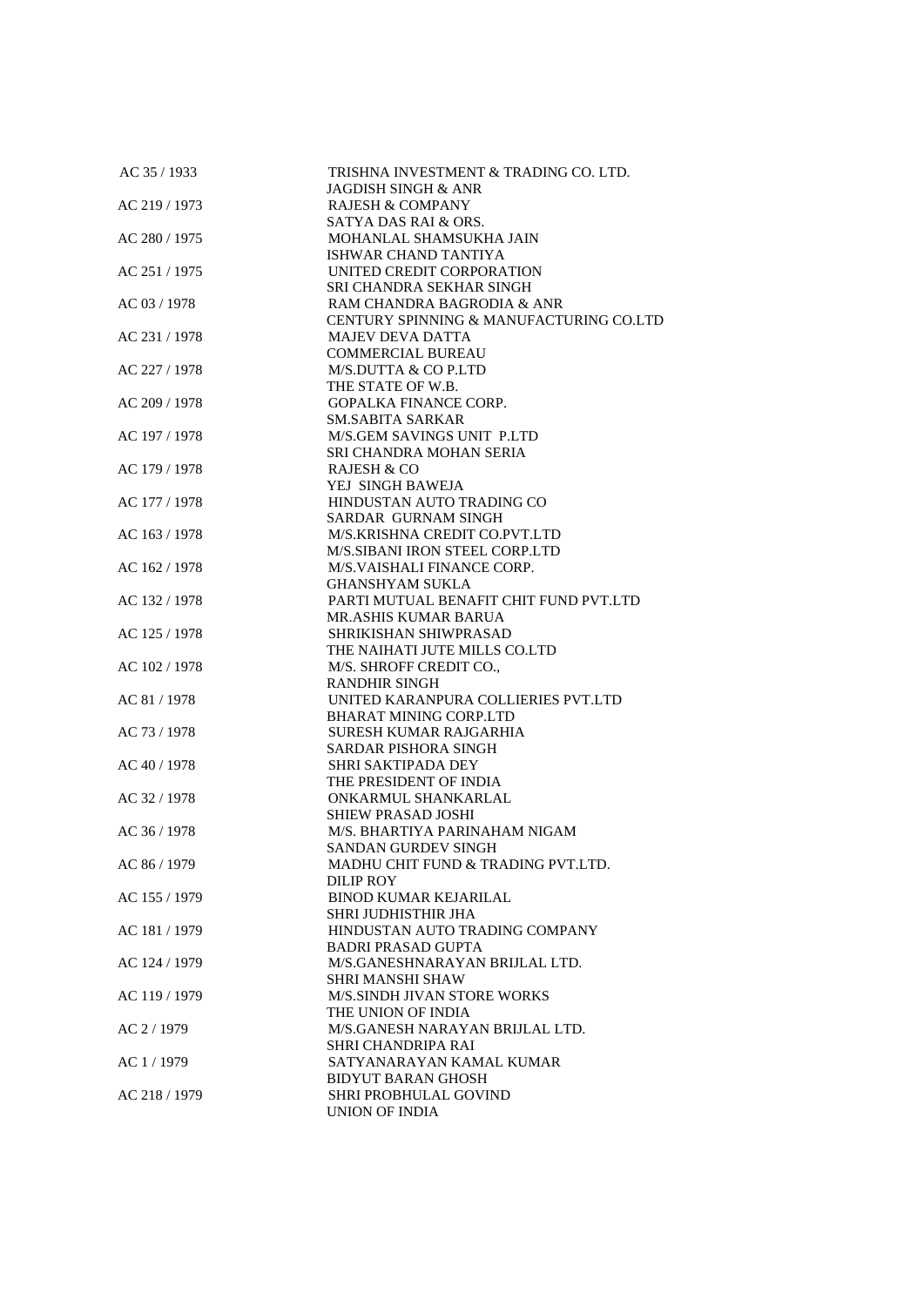| AC 35 / 1933  | TRISHNA INVESTMENT & TRADING CO. LTD.                   |
|---------------|---------------------------------------------------------|
|               | JAGDISH SINGH & ANR                                     |
| AC 219 / 1973 | <b>RAJESH &amp; COMPANY</b>                             |
|               | SATYA DAS RAI & ORS.                                    |
| AC 280 / 1975 | MOHANLAL SHAMSUKHA JAIN<br>ISHWAR CHAND TANTIYA         |
| AC 251 / 1975 | UNITED CREDIT CORPORATION                               |
|               | SRI CHANDRA SEKHAR SINGH                                |
| AC 03 / 1978  | RAM CHANDRA BAGRODIA & ANR                              |
|               | CENTURY SPINNING & MANUFACTURING CO.LTD                 |
| AC 231 / 1978 | <b>MAJEV DEVA DATTA</b>                                 |
|               | <b>COMMERCIAL BUREAU</b>                                |
| AC 227 / 1978 | M/S.DUTTA & CO P.LTD                                    |
|               | THE STATE OF W.B.                                       |
| AC 209 / 1978 | <b>GOPALKA FINANCE CORP.</b>                            |
|               | SM.SABITA SARKAR                                        |
| AC 197 / 1978 | M/S.GEM SAVINGS UNIT P.LTD                              |
|               | SRI CHANDRA MOHAN SERIA                                 |
| AC 179 / 1978 | <b>RAJESH &amp; CO</b>                                  |
|               | YEJ SINGH BAWEJA                                        |
| AC 177 / 1978 | HINDUSTAN AUTO TRADING CO                               |
|               | SARDAR GURNAM SINGH                                     |
| AC 163 / 1978 | M/S.KRISHNA CREDIT CO.PVT.LTD                           |
|               | M/S.SIBANI IRON STEEL CORP.LTD                          |
| AC 162 / 1978 | M/S.VAISHALI FINANCE CORP.                              |
|               | <b>GHANSHYAM SUKLA</b>                                  |
| AC 132 / 1978 | PARTI MUTUAL BENAFIT CHIT FUND PVT.LTD                  |
|               | <b>MR.ASHIS KUMAR BARUA</b>                             |
| AC 125 / 1978 | SHRIKISHAN SHIWPRASAD                                   |
|               | THE NAIHATI JUTE MILLS CO.LTD                           |
| AC 102 / 1978 | M/S. SHROFF CREDIT CO.,                                 |
|               | <b>RANDHIR SINGH</b>                                    |
| AC 81 / 1978  | UNITED KARANPURA COLLIERIES PVT.LTD                     |
| AC 73 / 1978  | <b>BHARAT MINING CORP.LTD</b><br>SURESH KUMAR RAJGARHIA |
|               | <b>SARDAR PISHORA SINGH</b>                             |
| AC 40 / 1978  | <b>SHRI SAKTIPADA DEY</b>                               |
|               | THE PRESIDENT OF INDIA                                  |
| AC 32 / 1978  | ONKARMUL SHANKARLAL                                     |
|               | <b>SHIEW PRASAD JOSHI</b>                               |
| AC 36 / 1978  | M/S. BHARTIYA PARINAHAM NIGAM                           |
|               | <b>SANDAN GURDEV SINGH</b>                              |
| AC 86 / 1979  | MADHU CHIT FUND & TRADING PVT.LTD.                      |
|               | <b>DILIP ROY</b>                                        |
| AC 155 / 1979 | <b>BINOD KUMAR KEJARILAL</b>                            |
|               | SHRI JUDHISTHIR JHA                                     |
| AC 181 / 1979 | HINDUSTAN AUTO TRADING COMPANY                          |
|               | <b>BADRI PRASAD GUPTA</b>                               |
| AC 124 / 1979 | M/S.GANESHNARAYAN BRIJLAL LTD.                          |
|               | SHRI MANSHI SHAW                                        |
| AC 119 / 1979 | M/S.SINDH JIVAN STORE WORKS                             |
|               | THE UNION OF INDIA                                      |
| AC 2/1979     | M/S.GANESH NARAYAN BRIJLAL LTD.                         |
|               | SHRI CHANDRIPA RAI                                      |
| AC 1/1979     | SATYANARAYAN KAMAL KUMAR                                |
|               | BIDYUT BARAN GHOSH                                      |
| AC 218 / 1979 | SHRI PROBHULAL GOVIND                                   |
|               | UNION OF INDIA                                          |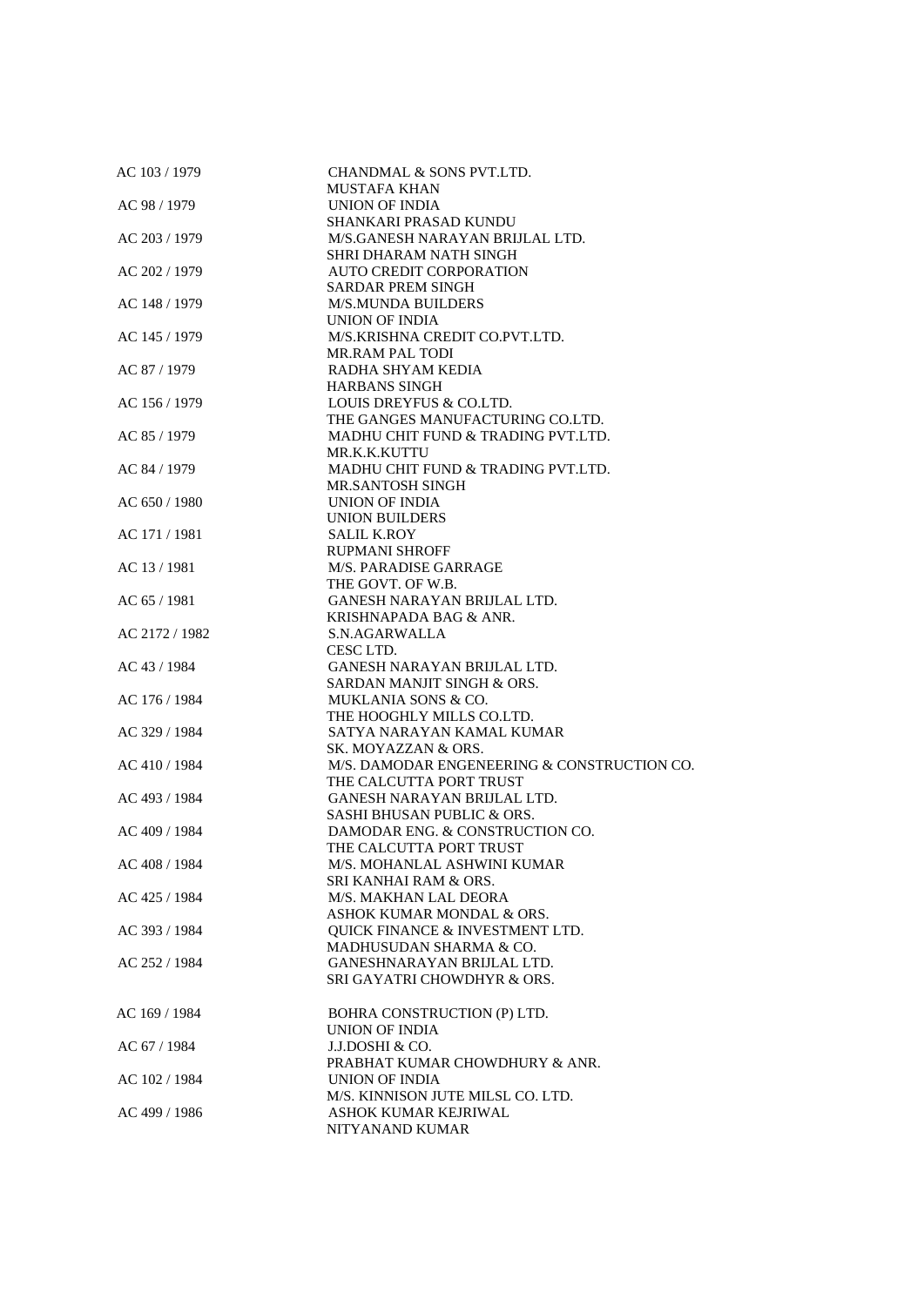| AC 103 / 1979  | CHANDMAL & SONS PVT.LTD.                    |
|----------------|---------------------------------------------|
|                | <b>MUSTAFA KHAN</b>                         |
| AC 98 / 1979   | UNION OF INDIA                              |
|                | <b>SHANKARI PRASAD KUNDU</b>                |
| AC 203 / 1979  | M/S.GANESH NARAYAN BRIJLAL LTD.             |
|                | <b>SHRI DHARAM NATH SINGH</b>               |
| AC 202 / 1979  | <b>AUTO CREDIT CORPORATION</b>              |
|                | <b>SARDAR PREM SINGH</b>                    |
| AC 148 / 1979  | <b>M/S.MUNDA BUILDERS</b>                   |
|                | <b>UNION OF INDIA</b>                       |
| AC 145 / 1979  | M/S.KRISHNA CREDIT CO.PVT.LTD.              |
|                | <b>MR.RAM PAL TODI</b>                      |
|                |                                             |
| AC 87 / 1979   | RADHA SHYAM KEDIA                           |
|                | <b>HARBANS SINGH</b>                        |
| AC 156 / 1979  | LOUIS DREYFUS & CO.LTD.                     |
|                | THE GANGES MANUFACTURING CO.LTD.            |
| AC 85 / 1979   | MADHU CHIT FUND & TRADING PVT.LTD.          |
|                | MR.K.K.KUTTU                                |
| AC 84 / 1979   | MADHU CHIT FUND & TRADING PVT.LTD.          |
|                | <b>MR.SANTOSH SINGH</b>                     |
| AC 650 / 1980  | UNION OF INDIA                              |
|                | <b>UNION BUILDERS</b>                       |
| AC 171 / 1981  | <b>SALIL K.ROY</b>                          |
|                | RUPMANI SHROFF                              |
| AC 13 / 1981   | M/S. PARADISE GARRAGE                       |
|                | THE GOVT. OF W.B.                           |
|                |                                             |
| AC 65 / 1981   | GANESH NARAYAN BRIJLAL LTD.                 |
|                | KRISHNAPADA BAG & ANR.                      |
| AC 2172 / 1982 | S.N.AGARWALLA                               |
|                | CESC LTD.                                   |
| AC 43 / 1984   | GANESH NARAYAN BRIJLAL LTD.                 |
|                | SARDAN MANJIT SINGH & ORS.                  |
| AC 176 / 1984  | MUKLANIA SONS & CO.                         |
|                | THE HOOGHLY MILLS CO.LTD.                   |
| AC 329 / 1984  | SATYA NARAYAN KAMAL KUMAR                   |
|                | SK. MOYAZZAN & ORS.                         |
| AC 410 / 1984  | M/S. DAMODAR ENGENEERING & CONSTRUCTION CO. |
|                | THE CALCUTTA PORT TRUST                     |
| AC 493 / 1984  | GANESH NARAYAN BRIJLAL LTD.                 |
|                | SASHI BHUSAN PUBLIC & ORS.                  |
| AC 409 / 1984  | DAMODAR ENG. & CONSTRUCTION CO.             |
|                |                                             |
|                | THE CALCUTTA PORT TRUST                     |
| AC 408 / 1984  | M/S. MOHANLAL ASHWINI KUMAR                 |
|                | SRI KANHAI RAM & ORS.                       |
| AC 425 / 1984  | M/S. MAKHAN LAL DEORA                       |
|                | ASHOK KUMAR MONDAL & ORS.                   |
| AC 393 / 1984  | <b>OUICK FINANCE &amp; INVESTMENT LTD.</b>  |
|                | MADHUSUDAN SHARMA & CO.                     |
| AC 252 / 1984  | <b>GANESHNARAYAN BRIJLAL LTD.</b>           |
|                | SRI GAYATRI CHOWDHYR & ORS.                 |
|                |                                             |
| AC 169 / 1984  | BOHRA CONSTRUCTION (P) LTD.                 |
|                | UNION OF INDIA                              |
| AC 67 / 1984   | J.J.DOSHI & CO.                             |
|                | PRABHAT KUMAR CHOWDHURY & ANR.              |
|                |                                             |
| AC 102 / 1984  | UNION OF INDIA                              |
|                | M/S. KINNISON JUTE MILSL CO. LTD.           |
| AC 499 / 1986  | ASHOK KUMAR KEJRIWAL                        |
|                | NITYANAND KUMAR                             |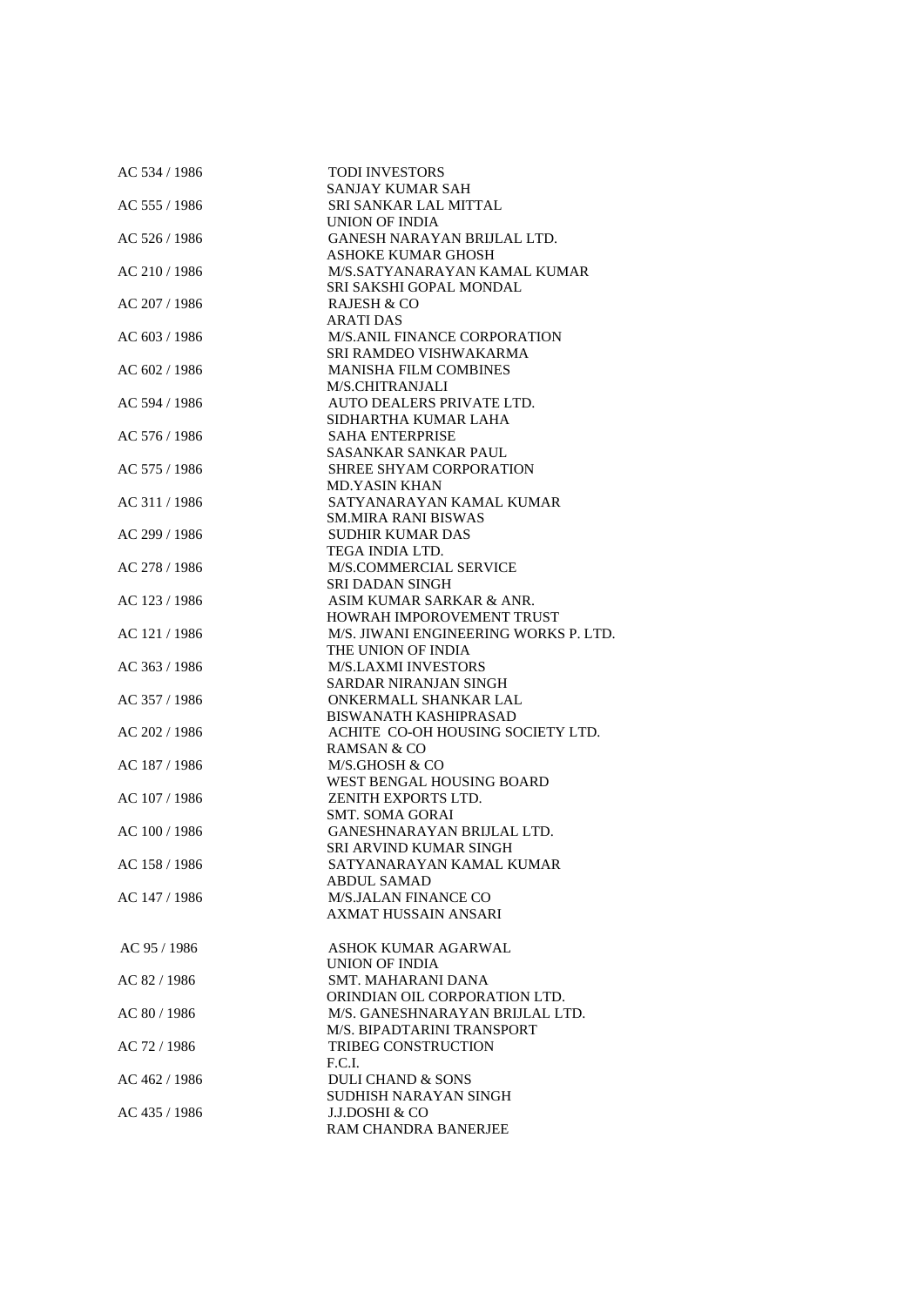| AC 534 / 1986 | <b>TODI INVESTORS</b>                 |
|---------------|---------------------------------------|
|               | SANJAY KUMAR SAH                      |
| AC 555 / 1986 | SRI SANKAR LAL MITTAL                 |
|               | <b>UNION OF INDIA</b>                 |
| AC 526 / 1986 | GANESH NARAYAN BRIJLAL LTD.           |
|               | <b>ASHOKE KUMAR GHOSH</b>             |
| AC 210 / 1986 | M/S.SATYANARAYAN KAMAL KUMAR          |
|               | SRI SAKSHI GOPAL MONDAL               |
| AC 207 / 1986 | RAJESH & CO                           |
|               | <b>ARATI DAS</b>                      |
| AC 603 / 1986 | <b>M/S.ANIL FINANCE CORPORATION</b>   |
|               | SRI RAMDEO VISHWAKARMA                |
| AC 602 / 1986 | <b>MANISHA FILM COMBINES</b>          |
|               | M/S.CHITRANJALI                       |
| AC 594 / 1986 | AUTO DEALERS PRIVATE LTD.             |
|               | SIDHARTHA KUMAR LAHA                  |
| AC 576 / 1986 | <b>SAHA ENTERPRISE</b>                |
|               | SASANKAR SANKAR PAUL                  |
| AC 575 / 1986 | SHREE SHYAM CORPORATION               |
|               | <b>MD.YASIN KHAN</b>                  |
| AC 311 / 1986 | SATYANARAYAN KAMAL KUMAR              |
|               | <b>SM.MIRA RANI BISWAS</b>            |
| AC 299 / 1986 | <b>SUDHIR KUMAR DAS</b>               |
|               | TEGA INDIA LTD.                       |
| AC 278 / 1986 | M/S.COMMERCIAL SERVICE                |
|               | <b>SRI DADAN SINGH</b>                |
| AC 123 / 1986 | ASIM KUMAR SARKAR & ANR.              |
|               | HOWRAH IMPOROVEMENT TRUST             |
| AC 121 / 1986 | M/S. JIWANI ENGINEERING WORKS P. LTD. |
|               | THE UNION OF INDIA                    |
| AC 363 / 1986 | <b>M/S.LAXMI INVESTORS</b>            |
|               | SARDAR NIRANJAN SINGH                 |
| AC 357 / 1986 | ONKERMALL SHANKAR LAL                 |
|               | <b>BISWANATH KASHIPRASAD</b>          |
| AC 202 / 1986 | ACHITE CO-OH HOUSING SOCIETY LTD.     |
|               | <b>RAMSAN &amp; CO</b>                |
| AC 187 / 1986 | M/S.GHOSH & CO                        |
|               | WEST BENGAL HOUSING BOARD             |
| AC 107 / 1986 | ZENITH EXPORTS LTD.                   |
|               | <b>SMT. SOMA GORAI</b>                |
| AC 100 / 1986 | GANESHNARAYAN BRIJLAL LTD.            |
|               | SRI ARVIND KUMAR SINGH                |
| AC 158 / 1986 | SATYANARAYAN KAMAL KUMAR              |
|               | ABDUL SAMAD                           |
| AC 147 / 1986 | <b>M/S.JALAN FINANCE CO</b>           |
|               | <b>AXMAT HUSSAIN ANSARI</b>           |
|               |                                       |
| AC 95 / 1986  | ASHOK KUMAR AGARWAL                   |
|               | <b>UNION OF INDIA</b>                 |
| AC 82 / 1986  | <b>SMT. MAHARANI DANA</b>             |
|               | ORINDIAN OIL CORPORATION LTD.         |
| AC 80 / 1986  | M/S. GANESHNARAYAN BRIJLAL LTD.       |
|               | M/S. BIPADTARINI TRANSPORT            |
| AC 72 / 1986  | <b>TRIBEG CONSTRUCTION</b>            |
|               | F.C.I.                                |
| AC 462 / 1986 | <b>DULI CHAND &amp; SONS</b>          |
|               | SUDHISH NARAYAN SINGH                 |
| AC 435 / 1986 | J.J.DOSHI & CO                        |
|               | RAM CHANDRA BANERJEE                  |
|               |                                       |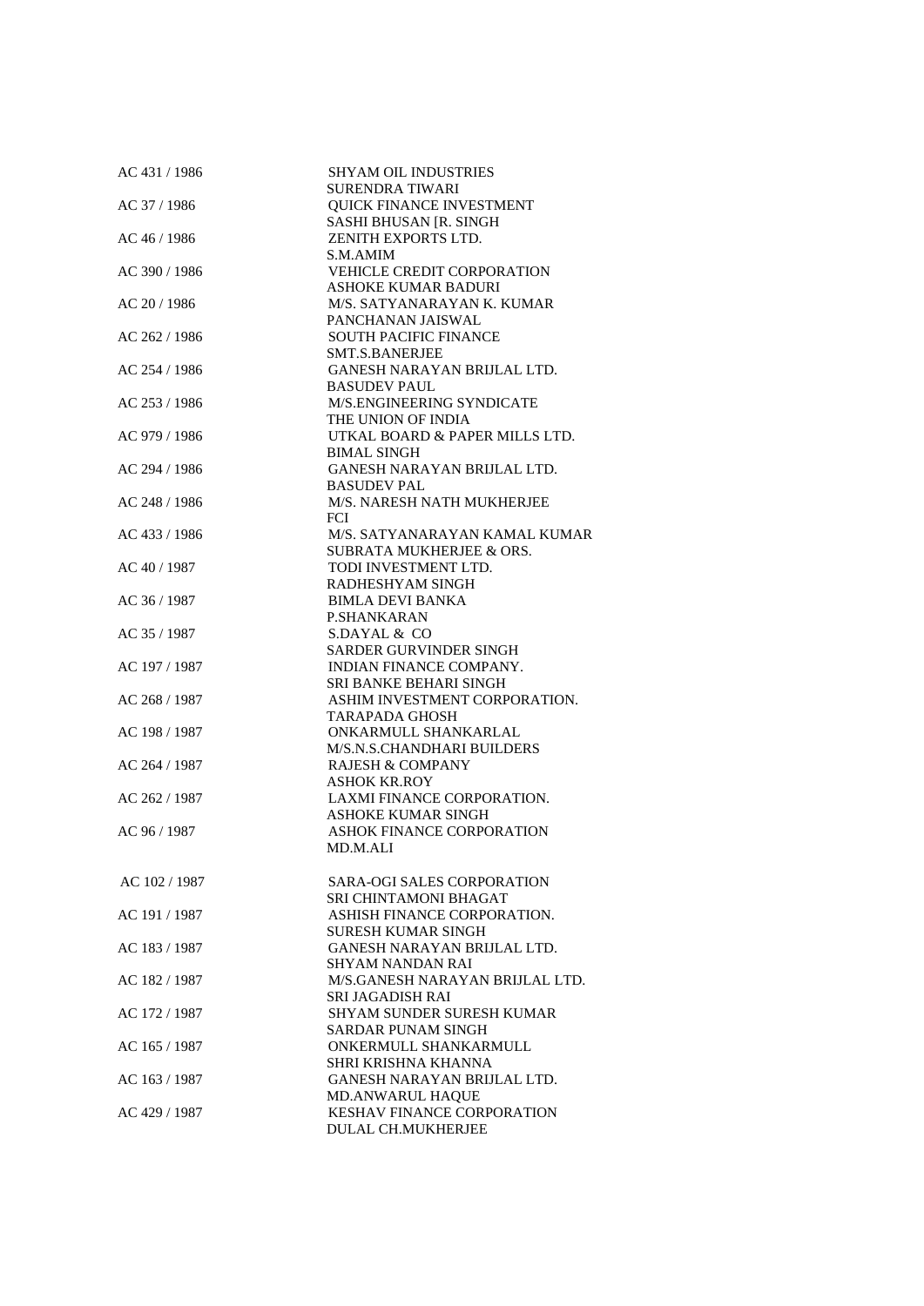| AC 431 / 1986 | <b>SHYAM OIL INDUSTRIES</b>                          |
|---------------|------------------------------------------------------|
|               | <b>SURENDRA TIWARI</b>                               |
| AC 37 / 1986  | <b>QUICK FINANCE INVESTMENT</b>                      |
|               | SASHI BHUSAN [R. SINGH                               |
| AC 46 / 1986  | ZENITH EXPORTS LTD.                                  |
|               | S.M.AMIM                                             |
| AC 390 / 1986 | <b>VEHICLE CREDIT CORPORATION</b>                    |
|               | <b>ASHOKE KUMAR BADURI</b>                           |
| AC 20 / 1986  | M/S. SATYANARAYAN K. KUMAR                           |
|               | PANCHANAN JAISWAL                                    |
| AC 262 / 1986 | <b>SOUTH PACIFIC FINANCE</b>                         |
|               | SMT.S.BANERJEE                                       |
| AC 254 / 1986 | GANESH NARAYAN BRIJLAL LTD.                          |
|               | <b>BASUDEV PAUL</b>                                  |
| AC 253 / 1986 | M/S.ENGINEERING SYNDICATE                            |
|               | THE UNION OF INDIA                                   |
| AC 979 / 1986 | UTKAL BOARD & PAPER MILLS LTD.                       |
|               | <b>BIMAL SINGH</b>                                   |
| AC 294 / 1986 | GANESH NARAYAN BRIJLAL LTD.                          |
|               | <b>BASUDEV PAL</b>                                   |
| AC 248 / 1986 | M/S. NARESH NATH MUKHERJEE                           |
|               | FCI.                                                 |
| AC 433 / 1986 | M/S. SATYANARAYAN KAMAL KUMAR                        |
|               | SUBRATA MUKHERJEE & ORS.                             |
| AC 40 / 1987  | TODI INVESTMENT LTD.                                 |
|               | RADHESHYAM SINGH                                     |
| AC 36 / 1987  | <b>BIMLA DEVI BANKA</b>                              |
|               | <b>P.SHANKARAN</b>                                   |
| AC 35 / 1987  | S.DAYAL & CO                                         |
|               | <b>SARDER GURVINDER SINGH</b>                        |
| AC 197 / 1987 | INDIAN FINANCE COMPANY.                              |
|               | SRI BANKE BEHARI SINGH                               |
| AC 268 / 1987 | ASHIM INVESTMENT CORPORATION.                        |
|               | TARAPADA GHOSH                                       |
| AC 198 / 1987 | ONKARMULL SHANKARLAL                                 |
|               | M/S.N.S.CHANDHARI BUILDERS                           |
| AC 264 / 1987 | <b>RAJESH &amp; COMPANY</b>                          |
|               | <b>ASHOK KR.ROY</b>                                  |
| AC 262 / 1987 | LAXMI FINANCE CORPORATION.                           |
|               | <b>ASHOKE KUMAR SINGH</b>                            |
| AC 96 / 1987  | <b>ASHOK FINANCE CORPORATION</b>                     |
|               | MD.M.ALI                                             |
|               |                                                      |
| AC 102 / 1987 | <b>SARA-OGI SALES CORPORATION</b>                    |
|               | SRI CHINTAMONI BHAGAT<br>ASHISH FINANCE CORPORATION. |
| AC 191 / 1987 |                                                      |
|               | SURESH KUMAR SINGH                                   |
| AC 183 / 1987 | GANESH NARAYAN BRIJLAL LTD.                          |
|               | SHYAM NANDAN RAI                                     |
| AC 182 / 1987 | M/S.GANESH NARAYAN BRIJLAL LTD.                      |
| AC 172 / 1987 | SRI JAGADISH RAI<br>SHYAM SUNDER SURESH KUMAR        |
|               | <b>SARDAR PUNAM SINGH</b>                            |
| AC 165 / 1987 | ONKERMULL SHANKARMULL                                |
|               | SHRI KRISHNA KHANNA                                  |
| AC 163 / 1987 | GANESH NARAYAN BRIJLAL LTD.                          |
|               | <b>MD.ANWARUL HAQUE</b>                              |
| AC 429 / 1987 | KESHAV FINANCE CORPORATION                           |
|               | DULAL CH.MUKHERJEE                                   |
|               |                                                      |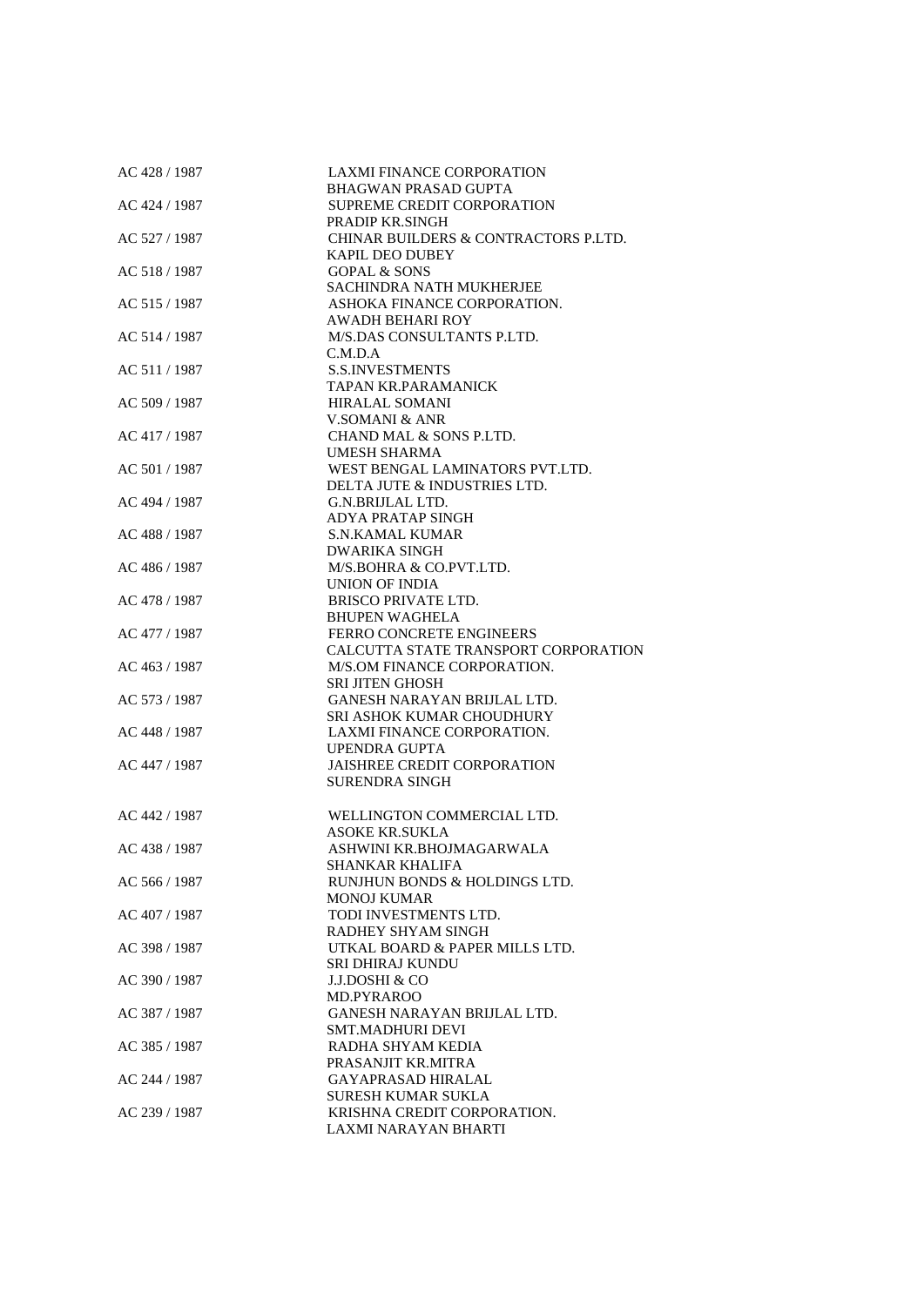| AC 428 / 1987 | <b>LAXMI FINANCE CORPORATION</b>     |
|---------------|--------------------------------------|
|               | <b>BHAGWAN PRASAD GUPTA</b>          |
| AC 424 / 1987 | SUPREME CREDIT CORPORATION           |
|               | PRADIP KR.SINGH                      |
| AC 527 / 1987 | CHINAR BUILDERS & CONTRACTORS P.LTD. |
|               | <b>KAPIL DEO DUBEY</b>               |
| AC 518 / 1987 | <b>GOPAL &amp; SONS</b>              |
|               | SACHINDRA NATH MUKHERJEE             |
| AC 515 / 1987 | ASHOKA FINANCE CORPORATION.          |
|               | AWADH BEHARI ROY                     |
| AC 514 / 1987 | M/S.DAS CONSULTANTS P.LTD.           |
|               | C.M.D.A                              |
| AC 511 / 1987 | <b>S.S.INVESTMENTS</b>               |
|               | <b>TAPAN KR.PARAMANICK</b>           |
|               |                                      |
| AC 509 / 1987 | <b>HIRALAL SOMANI</b>                |
|               | V.SOMANI & ANR                       |
| AC 417 / 1987 | CHAND MAL & SONS P.LTD.              |
|               | UMESH SHARMA                         |
| AC 501 / 1987 | WEST BENGAL LAMINATORS PVT.LTD.      |
|               | DELTA JUTE & INDUSTRIES LTD.         |
| AC 494 / 1987 | G.N.BRIJLAL LTD.                     |
|               | <b>ADYA PRATAP SINGH</b>             |
| AC 488 / 1987 | <b>S.N.KAMAL KUMAR</b>               |
|               | <b>DWARIKA SINGH</b>                 |
| AC 486 / 1987 | M/S.BOHRA & CO.PVT.LTD.              |
|               |                                      |
|               | UNION OF INDIA                       |
| AC 478 / 1987 | <b>BRISCO PRIVATE LTD.</b>           |
|               | <b>BHUPEN WAGHELA</b>                |
| AC 477 / 1987 | <b>FERRO CONCRETE ENGINEERS</b>      |
|               | CALCUTTA STATE TRANSPORT CORPORATION |
| AC 463 / 1987 | M/S.OM FINANCE CORPORATION.          |
|               | <b>SRI JITEN GHOSH</b>               |
| AC 573 / 1987 | GANESH NARAYAN BRIJLAL LTD.          |
|               | SRI ASHOK KUMAR CHOUDHURY            |
| AC 448 / 1987 | LAXMI FINANCE CORPORATION.           |
|               | <b>UPENDRA GUPTA</b>                 |
| AC 447 / 1987 | <b>JAISHREE CREDIT CORPORATION</b>   |
|               | <b>SURENDRA SINGH</b>                |
|               |                                      |
|               |                                      |
| AC 442 / 1987 | WELLINGTON COMMERCIAL LTD.           |
|               | <b>ASOKE KR.SUKLA</b>                |
| AC 438 / 1987 | ASHWINI KR.BHOJMAGARWALA             |
|               | SHANKAR KHALIFA                      |
| AC 566 / 1987 | RUNJHUN BONDS & HOLDINGS LTD.        |
|               | <b>MONOJ KUMAR</b>                   |
| AC 407 / 1987 | TODI INVESTMENTS LTD.                |
|               | RADHEY SHYAM SINGH                   |
| AC 398 / 1987 | UTKAL BOARD & PAPER MILLS LTD.       |
|               | SRI DHIRAJ KUNDU                     |
| AC 390 / 1987 | <b>J.J.DOSHI &amp; CO</b>            |
|               | MD.PYRAROO                           |
|               |                                      |
| AC 387 / 1987 | GANESH NARAYAN BRIJLAL LTD.          |
|               | <b>SMT.MADHURI DEVI</b>              |
| AC 385 / 1987 | RADHA SHYAM KEDIA                    |
|               | PRASANJIT KR.MITRA                   |
| AC 244 / 1987 | <b>GAYAPRASAD HIRALAL</b>            |
|               | <b>SURESH KUMAR SUKLA</b>            |
| AC 239 / 1987 | KRISHNA CREDIT CORPORATION.          |
|               | LAXMI NARAYAN BHARTI                 |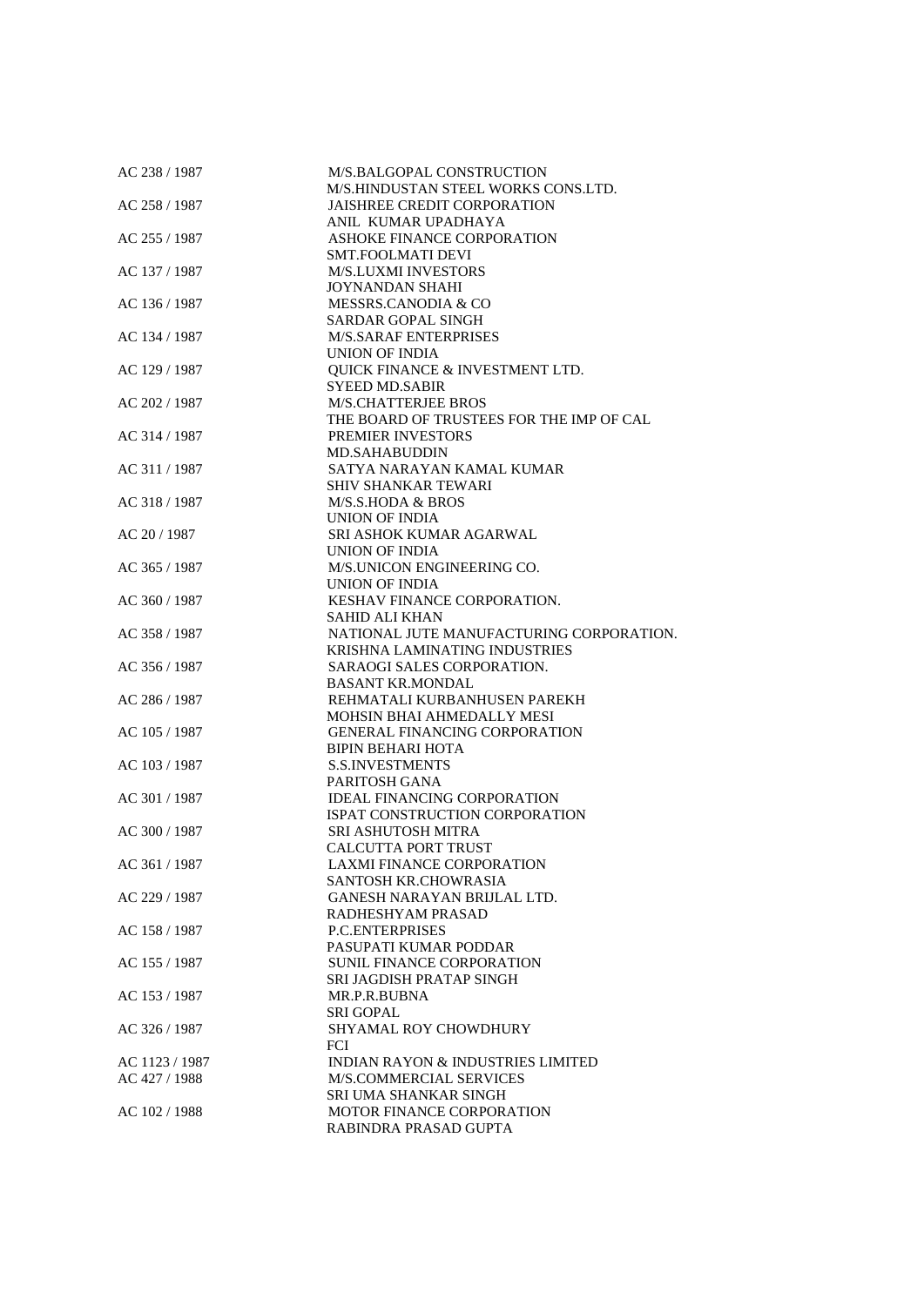| AC 238 / 1987  | M/S.BALGOPAL CONSTRUCTION<br>M/S.HINDUSTAN STEEL WORKS CONS.LTD. |
|----------------|------------------------------------------------------------------|
|                |                                                                  |
| AC 258 / 1987  | <b>JAISHREE CREDIT CORPORATION</b>                               |
|                | ANIL KUMAR UPADHAYA                                              |
| AC 255 / 1987  | ASHOKE FINANCE CORPORATION                                       |
|                | SMT.FOOLMATI DEVI                                                |
| AC 137 / 1987  | <b>M/S.LUXMI INVESTORS</b>                                       |
|                | <b>JOYNANDAN SHAHI</b>                                           |
| AC 136 / 1987  | MESSRS.CANODIA & CO                                              |
|                | <b>SARDAR GOPAL SINGH</b>                                        |
| AC 134 / 1987  | <b>M/S.SARAF ENTERPRISES</b>                                     |
|                | <b>UNION OF INDIA</b>                                            |
| AC 129 / 1987  | QUICK FINANCE & INVESTMENT LTD.                                  |
|                | <b>SYEED MD.SABIR</b>                                            |
| AC 202 / 1987  | <b>M/S.CHATTERJEE BROS</b>                                       |
|                | THE BOARD OF TRUSTEES FOR THE IMP OF CAL                         |
| AC 314 / 1987  | <b>PREMIER INVESTORS</b>                                         |
|                | <b>MD.SAHABUDDIN</b>                                             |
| AC 311 / 1987  | SATYA NARAYAN KAMAL KUMAR                                        |
|                | SHIV SHANKAR TEWARI                                              |
| AC 318 / 1987  | M/S.S.HODA & BROS                                                |
|                | UNION OF INDIA                                                   |
| AC 20 / 1987   | SRI ASHOK KUMAR AGARWAL                                          |
|                | <b>UNION OF INDIA</b>                                            |
| AC 365 / 1987  | M/S.UNICON ENGINEERING CO.                                       |
|                | UNION OF INDIA                                                   |
|                | KESHAV FINANCE CORPORATION.                                      |
| AC 360 / 1987  | <b>SAHID ALI KHAN</b>                                            |
|                |                                                                  |
| AC 358 / 1987  | NATIONAL JUTE MANUFACTURING CORPORATION.                         |
|                | <b>KRISHNA LAMINATING INDUSTRIES</b>                             |
| AC 356 / 1987  | SARAOGI SALES CORPORATION.                                       |
|                | <b>BASANT KR.MONDAL</b>                                          |
| AC 286 / 1987  | REHMATALI KURBANHUSEN PAREKH                                     |
|                | MOHSIN BHAI AHMEDALLY MESI                                       |
| AC 105 / 1987  | <b>GENERAL FINANCING CORPORATION</b>                             |
|                | <b>BIPIN BEHARI HOTA</b>                                         |
| AC 103 / 1987  | <b>S.S.INVESTMENTS</b>                                           |
|                | PARITOSH GANA                                                    |
| AC 301 / 1987  | <b>IDEAL FINANCING CORPORATION</b>                               |
|                | <b>ISPAT CONSTRUCTION CORPORATION</b>                            |
| AC 300 / 1987  | <b>SRI ASHUTOSH MITRA</b>                                        |
|                | <b>CALCUTTA PORT TRUST</b>                                       |
| AC 361 / 1987  | LAXMI FINANCE CORPORATION                                        |
|                | SANTOSH KR.CHOWRASIA                                             |
| AC 229 / 1987  | GANESH NARAYAN BRIJLAL LTD.                                      |
|                | RADHESHYAM PRASAD                                                |
| AC 158 / 1987  | <b>P.C.ENTERPRISES</b>                                           |
|                | PASUPATI KUMAR PODDAR                                            |
| AC 155 / 1987  | <b>SUNIL FINANCE CORPORATION</b>                                 |
|                | SRI JAGDISH PRATAP SINGH                                         |
| AC 153 / 1987  | MR.P.R.BUBNA                                                     |
|                | <b>SRI GOPAL</b>                                                 |
| AC 326 / 1987  | SHYAMAL ROY CHOWDHURY                                            |
|                | FCI                                                              |
| AC 1123 / 1987 | <b>INDIAN RAYON &amp; INDUSTRIES LIMITED</b>                     |
| AC 427 / 1988  | M/S.COMMERCIAL SERVICES                                          |
|                | SRI UMA SHANKAR SINGH                                            |
| AC 102 / 1988  | <b>MOTOR FINANCE CORPORATION</b>                                 |
|                | RABINDRA PRASAD GUPTA                                            |
|                |                                                                  |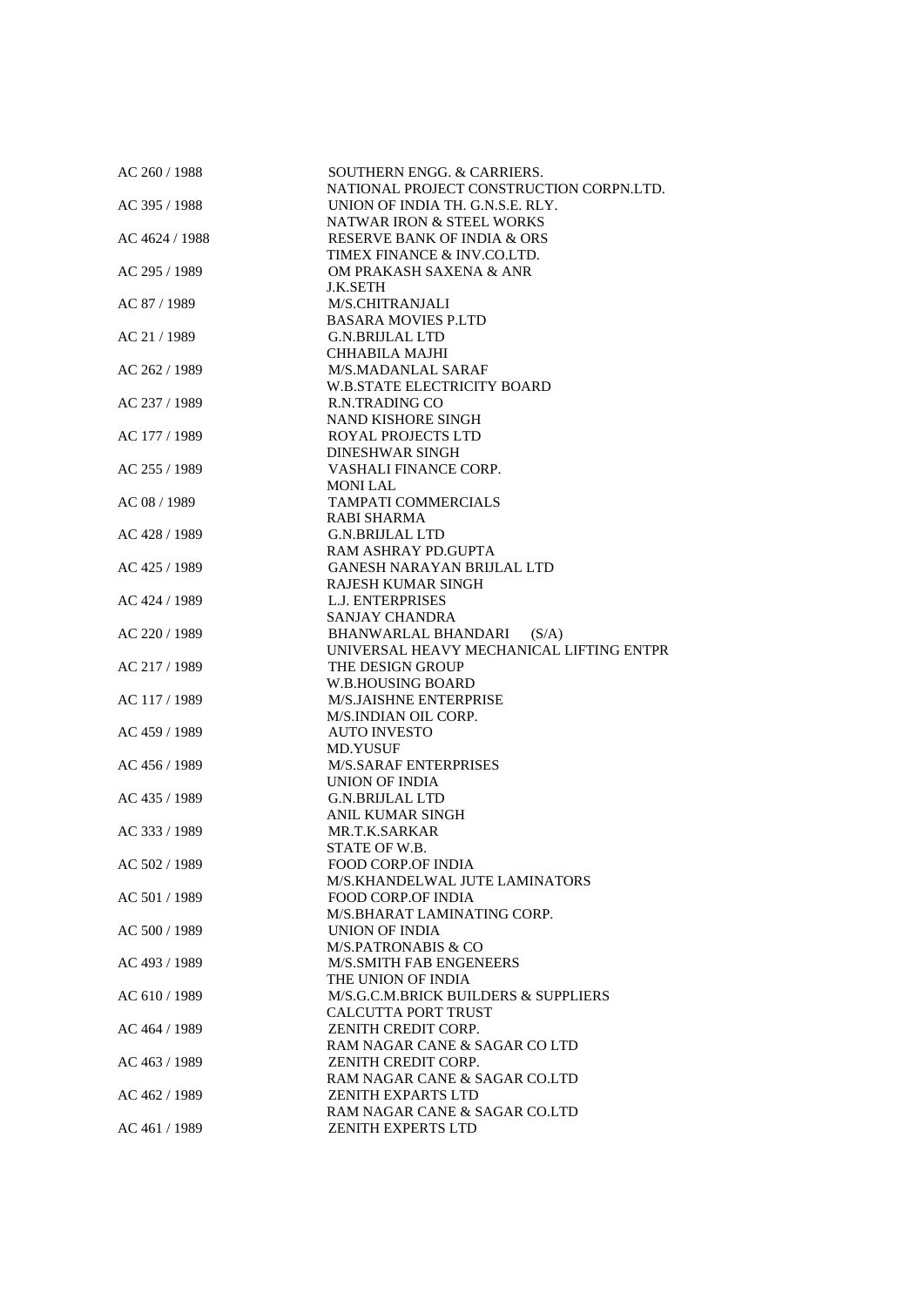| AC 260 / 1988  | SOUTHERN ENGG. & CARRIERS.<br>NATIONAL PROJECT CONSTRUCTION CORPN.LTD.   |
|----------------|--------------------------------------------------------------------------|
| AC 395 / 1988  | UNION OF INDIA TH. G.N.S.E. RLY.                                         |
|                | <b>NATWAR IRON &amp; STEEL WORKS</b>                                     |
| AC 4624 / 1988 | <b>RESERVE BANK OF INDIA &amp; ORS</b>                                   |
|                | TIMEX FINANCE & INV.CO.LTD.                                              |
| AC 295 / 1989  | OM PRAKASH SAXENA & ANR                                                  |
|                | J.K.SETH                                                                 |
| AC 87 / 1989   | M/S.CHITRANJALI                                                          |
|                | <b>BASARA MOVIES P.LTD</b>                                               |
| AC 21 / 1989   | <b>G.N.BRIJLAL LTD</b>                                                   |
|                | CHHABILA MAJHI                                                           |
| AC 262 / 1989  | M/S.MADANLAL SARAF                                                       |
|                | <b>W.B.STATE ELECTRICITY BOARD</b>                                       |
| AC 237 / 1989  | R.N.TRADING CO                                                           |
|                | <b>NAND KISHORE SINGH</b>                                                |
| AC 177 / 1989  | <b>ROYAL PROJECTS LTD</b>                                                |
|                | <b>DINESHWAR SINGH</b>                                                   |
| AC 255 / 1989  | <b>VASHALI FINANCE CORP.</b>                                             |
|                | <b>MONILAL</b>                                                           |
| AC 08 / 1989   | <b>TAMPATI COMMERCIALS</b>                                               |
|                | <b>RABI SHARMA</b>                                                       |
| AC 428 / 1989  | <b>G.N.BRIJLAL LTD</b>                                                   |
|                | RAM ASHRAY PD.GUPTA                                                      |
| AC 425 / 1989  | <b>GANESH NARAYAN BRIJLAL LTD</b>                                        |
|                | <b>RAJESH KUMAR SINGH</b>                                                |
| AC 424 / 1989  | <b>L.J. ENTERPRISES</b>                                                  |
| AC 220 / 1989  | SANJAY CHANDRA                                                           |
|                | BHANWARLAL BHANDARI<br>(S/A)<br>UNIVERSAL HEAVY MECHANICAL LIFTING ENTPR |
| AC 217 / 1989  | THE DESIGN GROUP                                                         |
|                | <b>W.B.HOUSING BOARD</b>                                                 |
| AC 117 / 1989  | M/S.JAISHNE ENTERPRISE                                                   |
|                | M/S.INDIAN OIL CORP.                                                     |
| AC 459 / 1989  | <b>AUTO INVESTO</b>                                                      |
|                | MD.YUSUF                                                                 |
| AC 456 / 1989  | <b>M/S.SARAF ENTERPRISES</b>                                             |
|                | UNION OF INDIA                                                           |
| AC 435 / 1989  | <b>G.N.BRIJLAL LTD</b>                                                   |
|                | <b>ANIL KUMAR SINGH</b>                                                  |
| AC 333 / 1989  | MR.T.K.SARKAR                                                            |
|                | STATE OF W.B.                                                            |
| AC 502 / 1989  | <b>FOOD CORP.OF INDIA</b>                                                |
|                | M/S.KHANDELWAL JUTE LAMINATORS                                           |
| AC 501 / 1989  | <b>FOOD CORP.OF INDIA</b>                                                |
|                | M/S.BHARAT LAMINATING CORP.                                              |
| AC 500 / 1989  | UNION OF INDIA                                                           |
|                | <b>M/S.PATRONABIS &amp; CO</b>                                           |
| AC 493 / 1989  | M/S.SMITH FAB ENGENEERS                                                  |
|                | THE UNION OF INDIA                                                       |
| AC 610 / 1989  | M/S.G.C.M.BRICK BUILDERS & SUPPLIERS                                     |
|                | CALCUTTA PORT TRUST                                                      |
| AC 464 / 1989  | ZENITH CREDIT CORP.                                                      |
|                | RAM NAGAR CANE & SAGAR CO LTD                                            |
| AC 463 / 1989  | ZENITH CREDIT CORP.                                                      |
|                | RAM NAGAR CANE & SAGAR CO.LTD                                            |
| AC 462 / 1989  | <b>ZENITH EXPARTS LTD</b>                                                |
|                | RAM NAGAR CANE & SAGAR CO.LTD                                            |
| AC 461 / 1989  | <b>ZENITH EXPERTS LTD</b>                                                |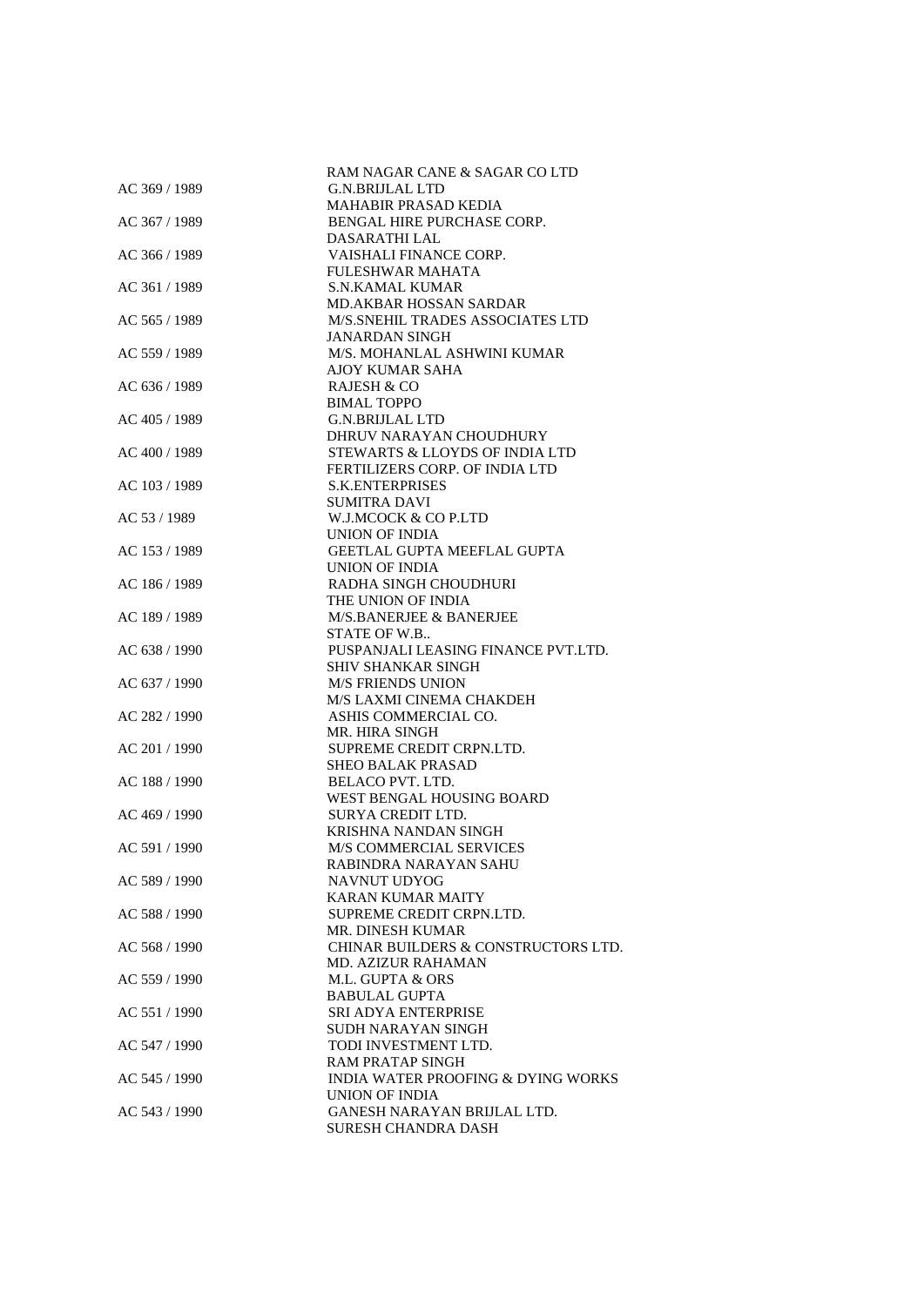|               | RAM NAGAR CANE & SAGAR CO LTD                 |
|---------------|-----------------------------------------------|
| AC 369 / 1989 | <b>G.N.BRIJLAL LTD</b>                        |
|               | MAHABIR PRASAD KEDIA                          |
| AC 367 / 1989 | BENGAL HIRE PURCHASE CORP.                    |
|               | DASARATHI LAL                                 |
| AC 366 / 1989 | VAISHALI FINANCE CORP.                        |
|               | FULESHWAR MAHATA                              |
| AC 361 / 1989 | <b>S.N.KAMAL KUMAR</b>                        |
|               |                                               |
|               | <b>MD.AKBAR HOSSAN SARDAR</b>                 |
| AC 565 / 1989 | M/S.SNEHIL TRADES ASSOCIATES LTD              |
|               | <b>JANARDAN SINGH</b>                         |
| AC 559 / 1989 | M/S. MOHANLAL ASHWINI KUMAR                   |
|               | AJOY KUMAR SAHA                               |
| AC 636 / 1989 | <b>RAJESH &amp; CO</b>                        |
|               | <b>BIMAL TOPPO</b>                            |
| AC 405 / 1989 | <b>G.N.BRIJLAL LTD</b>                        |
|               | DHRUV NARAYAN CHOUDHURY                       |
| AC 400 / 1989 | STEWARTS & LLOYDS OF INDIA LTD                |
|               | FERTILIZERS CORP. OF INDIA LTD                |
| AC 103/1989   | <b>S.K.ENTERPRISES</b>                        |
|               | <b>SUMITRA DAVI</b>                           |
| AC 53 / 1989  | W.J.MCOCK & CO P.LTD                          |
|               | UNION OF INDIA                                |
| AC 153 / 1989 | GEETLAL GUPTA MEEFLAL GUPTA                   |
|               | <b>UNION OF INDIA</b>                         |
| AC 186 / 1989 | RADHA SINGH CHOUDHURI                         |
|               | THE UNION OF INDIA                            |
| AC 189 / 1989 | M/S.BANERJEE & BANERJEE                       |
|               |                                               |
|               | STATE OF W.B                                  |
| AC 638 / 1990 | PUSPANJALI LEASING FINANCE PVT.LTD.           |
|               | SHIV SHANKAR SINGH                            |
| AC 637 / 1990 | <b>M/S FRIENDS UNION</b>                      |
|               | M/S LAXMI CINEMA CHAKDEH                      |
| AC 282 / 1990 | ASHIS COMMERCIAL CO.                          |
|               | MR. HIRA SINGH                                |
| AC 201 / 1990 | SUPREME CREDIT CRPN.LTD.                      |
|               | <b>SHEO BALAK PRASAD</b>                      |
| AC 188 / 1990 | <b>BELACO PVT. LTD.</b>                       |
|               | WEST BENGAL HOUSING BOARD                     |
| AC 469 / 1990 | SURYA CREDIT LTD.                             |
|               | KRISHNA NANDAN SINGH                          |
| AC 591 / 1990 | <b>M/S COMMERCIAL SERVICES</b>                |
|               | RABINDRA NARAYAN SAHU                         |
| AC 589 / 1990 | NAVNUT UDYOG                                  |
|               | KARAN KUMAR MAITY                             |
| AC 588 / 1990 | SUPREME CREDIT CRPN.LTD.                      |
|               | <b>MR. DINESH KUMAR</b>                       |
| AC 568 / 1990 |                                               |
|               | CHINAR BUILDERS & CONSTRUCTORS LTD.           |
|               | <b>MD. AZIZUR RAHAMAN</b>                     |
| AC 559 / 1990 | M.L. GUPTA & ORS                              |
|               | <b>BABULAL GUPTA</b>                          |
| AC 551 / 1990 | SRI ADYA ENTERPRISE                           |
|               | SUDH NARAYAN SINGH                            |
| AC 547 / 1990 | TODI INVESTMENT LTD.                          |
|               | <b>RAM PRATAP SINGH</b>                       |
| AC 545 / 1990 | <b>INDIA WATER PROOFING &amp; DYING WORKS</b> |
|               | UNION OF INDIA                                |
| AC 543 / 1990 | GANESH NARAYAN BRIJLAL LTD.                   |
|               | <b>SURESH CHANDRA DASH</b>                    |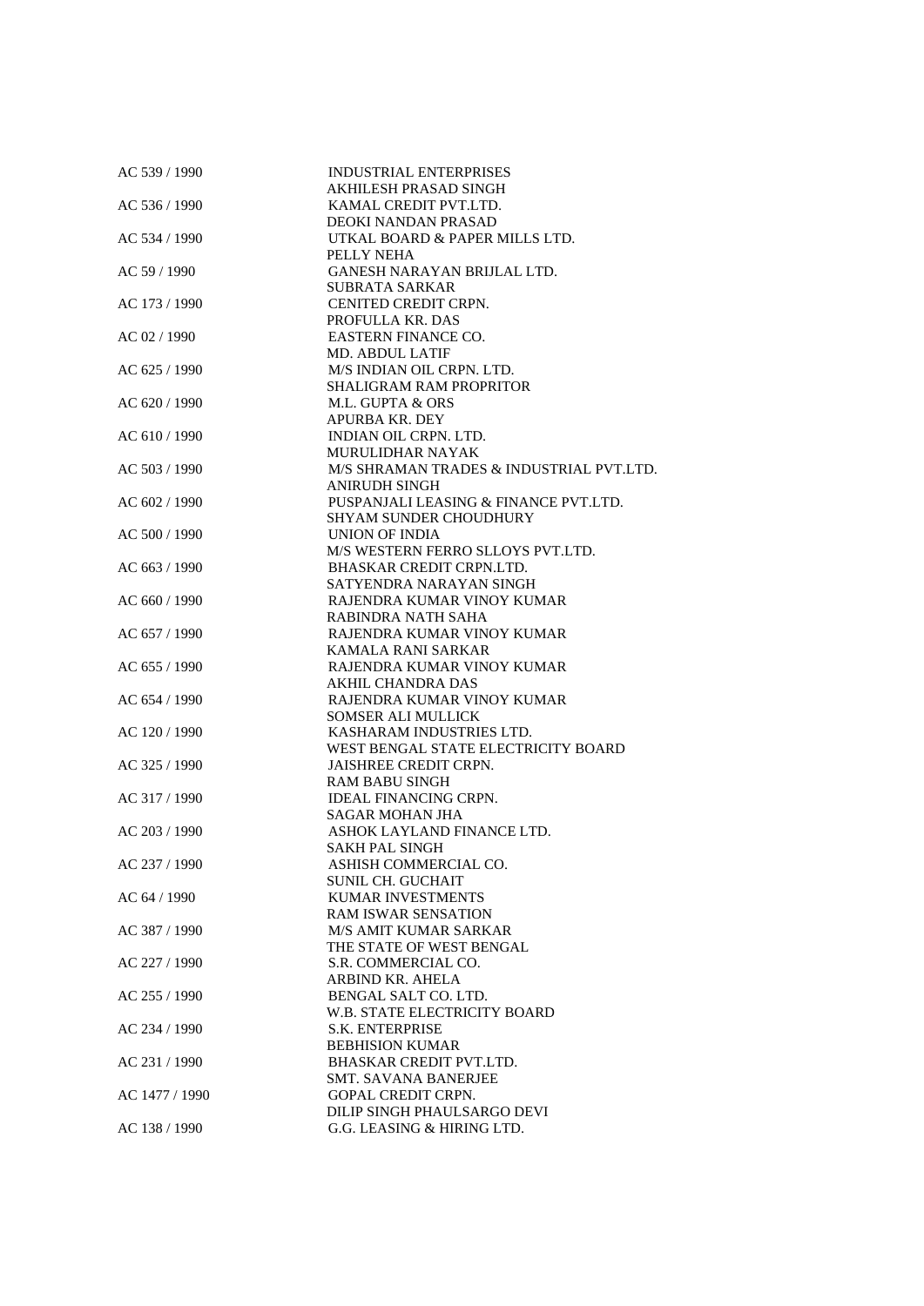| AC 539 / 1990  | <b>INDUSTRIAL ENTERPRISES</b>            |
|----------------|------------------------------------------|
|                | AKHILESH PRASAD SINGH                    |
| AC 536 / 1990  | KAMAL CREDIT PVT.LTD.                    |
|                | DEOKI NANDAN PRASAD                      |
| AC 534 / 1990  | UTKAL BOARD & PAPER MILLS LTD.           |
|                | PELLY NEHA                               |
| AC 59 / 1990   | <b>GANESH NARAYAN BRIJLAL LTD.</b>       |
|                | <b>SUBRATA SARKAR</b>                    |
| AC 173 / 1990  | CENITED CREDIT CRPN.                     |
|                | PROFULLA KR. DAS                         |
| AC 02 / 1990   | <b>EASTERN FINANCE CO.</b>               |
|                |                                          |
|                | <b>MD. ABDUL LATIF</b>                   |
| AC 625 / 1990  | M/S INDIAN OIL CRPN. LTD.                |
|                | <b>SHALIGRAM RAM PROPRITOR</b>           |
| AC 620 / 1990  | M.L. GUPTA & ORS                         |
|                | <b>APURBA KR. DEY</b>                    |
| AC 610 / 1990  | INDIAN OIL CRPN. LTD.                    |
|                | <b>MURULIDHAR NAYAK</b>                  |
| AC 503 / 1990  | M/S SHRAMAN TRADES & INDUSTRIAL PVT.LTD. |
|                | ANIRUDH SINGH                            |
| AC 602 / 1990  | PUSPANJALI LEASING & FINANCE PVT.LTD.    |
|                | <b>SHYAM SUNDER CHOUDHURY</b>            |
| AC 500 / 1990  | UNION OF INDIA                           |
|                | M/S WESTERN FERRO SLLOYS PVT.LTD.        |
| AC 663 / 1990  | BHASKAR CREDIT CRPN.LTD.                 |
|                | SATYENDRA NARAYAN SINGH                  |
|                |                                          |
| AC 660 / 1990  | RAJENDRA KUMAR VINOY KUMAR               |
|                | RABINDRA NATH SAHA                       |
| AC 657 / 1990  | RAJENDRA KUMAR VINOY KUMAR               |
|                | KAMALA RANI SARKAR                       |
| AC 655 / 1990  | RAJENDRA KUMAR VINOY KUMAR               |
|                | AKHIL CHANDRA DAS                        |
| AC 654 / 1990  | RAJENDRA KUMAR VINOY KUMAR               |
|                | <b>SOMSER ALI MULLICK</b>                |
| AC 120 / 1990  | KASHARAM INDUSTRIES LTD.                 |
|                | WEST BENGAL STATE ELECTRICITY BOARD      |
| AC 325 / 1990  | <b>JAISHREE CREDIT CRPN.</b>             |
|                | <b>RAM BABU SINGH</b>                    |
| AC 317 / 1990  | <b>IDEAL FINANCING CRPN.</b>             |
|                | <b>SAGAR MOHAN JHA</b>                   |
| AC 203 / 1990  | ASHOK LAYLAND FINANCE LTD.               |
|                | <b>SAKH PAL SINGH</b>                    |
|                |                                          |
| AC 237 / 1990  | ASHISH COMMERCIAL CO.                    |
|                | <b>SUNIL CH. GUCHAIT</b>                 |
| AC 64 / 1990   | <b>KUMAR INVESTMENTS</b>                 |
|                | <b>RAM ISWAR SENSATION</b>               |
| AC 387 / 1990  | <b>M/S AMIT KUMAR SARKAR</b>             |
|                | THE STATE OF WEST BENGAL                 |
| AC 227 / 1990  | S.R. COMMERCIAL CO.                      |
|                | ARBIND KR. AHELA                         |
| AC 255 / 1990  | BENGAL SALT CO. LTD.                     |
|                | W.B. STATE ELECTRICITY BOARD             |
| AC 234 / 1990  | <b>S.K. ENTERPRISE</b>                   |
|                | <b>BEBHISION KUMAR</b>                   |
| AC 231 / 1990  | <b>BHASKAR CREDIT PVT.LTD.</b>           |
|                | <b>SMT. SAVANA BANERJEE</b>              |
|                | <b>GOPAL CREDIT CRPN.</b>                |
| AC 1477 / 1990 |                                          |
|                | DILIP SINGH PHAULSARGO DEVI              |
| AC 138 / 1990  | G.G. LEASING & HIRING LTD.               |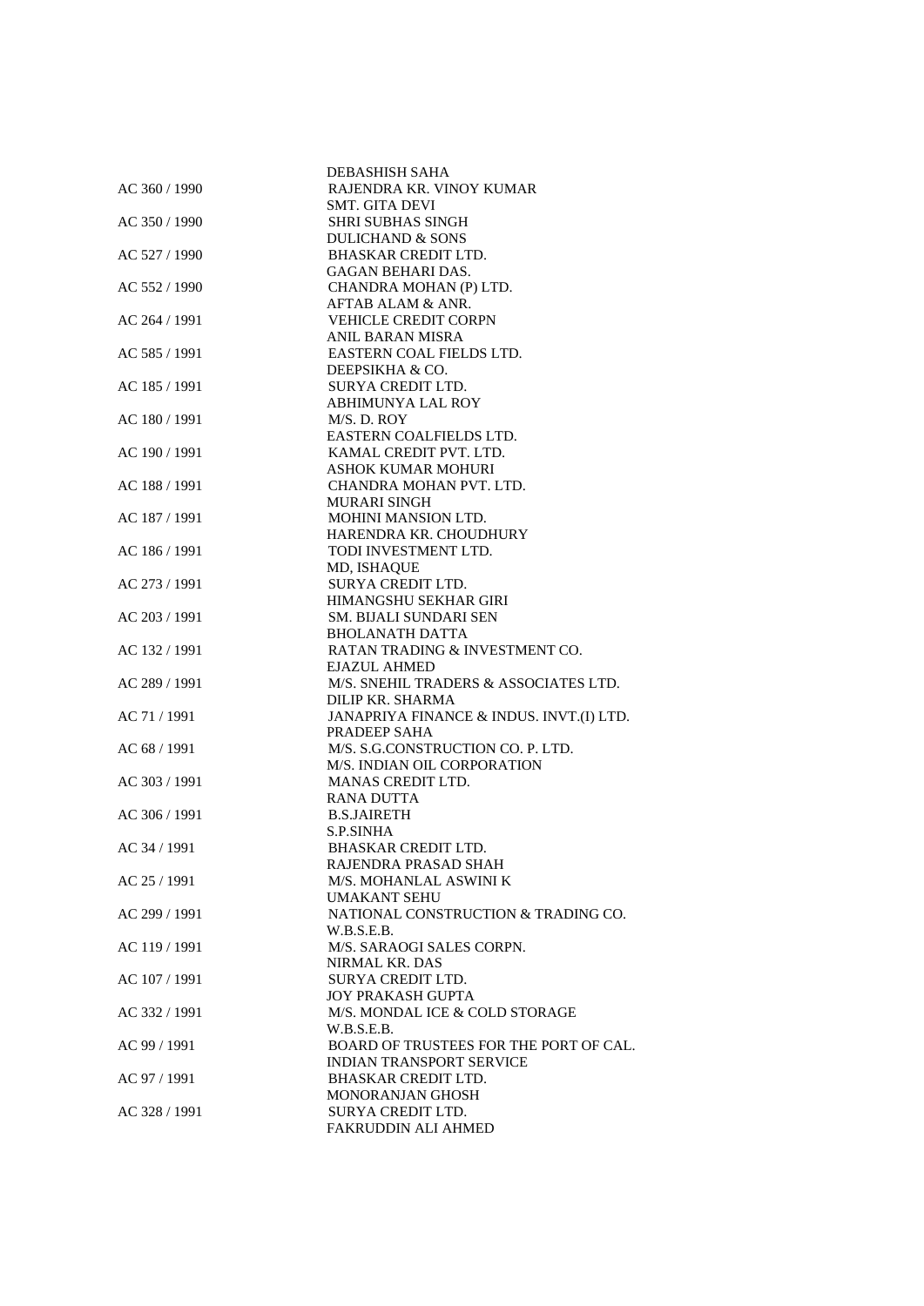|               | DEBASHISH SAHA                           |
|---------------|------------------------------------------|
| AC 360 / 1990 | RAJENDRA KR. VINOY KUMAR                 |
|               | SMT. GITA DEVI                           |
| AC 350 / 1990 | <b>SHRI SUBHAS SINGH</b>                 |
|               | <b>DULICHAND &amp; SONS</b>              |
| AC 527 / 1990 | <b>BHASKAR CREDIT LTD.</b>               |
|               | <b>GAGAN BEHARI DAS.</b>                 |
| AC 552 / 1990 | CHANDRA MOHAN (P) LTD.                   |
|               | AFTAB ALAM & ANR.                        |
| AC 264 / 1991 | <b>VEHICLE CREDIT CORPN</b>              |
|               | <b>ANIL BARAN MISRA</b>                  |
| AC 585 / 1991 | EASTERN COAL FIELDS LTD.                 |
|               | DEEPSIKHA & CO.                          |
| AC 185 / 1991 | <b>SURYA CREDIT LTD.</b>                 |
|               | <b>ABHIMUNYA LAL ROY</b>                 |
| AC 180 / 1991 | M/S. D. ROY                              |
|               | EASTERN COALFIELDS LTD.                  |
| AC 190 / 1991 | KAMAL CREDIT PVT. LTD.                   |
|               | ASHOK KUMAR MOHURI                       |
| AC 188 / 1991 | CHANDRA MOHAN PVT. LTD.                  |
|               | <b>MURARI SINGH</b>                      |
| AC 187 / 1991 | MOHINI MANSION LTD.                      |
|               | HARENDRA KR. CHOUDHURY                   |
| AC 186 / 1991 | TODI INVESTMENT LTD.                     |
|               | MD, ISHAQUE                              |
| AC 273 / 1991 | <b>SURYA CREDIT LTD.</b>                 |
|               | HIMANGSHU SEKHAR GIRI                    |
| AC 203 / 1991 | <b>SM. BIJALI SUNDARI SEN</b>            |
|               | <b>BHOLANATH DATTA</b>                   |
| AC 132 / 1991 | RATAN TRADING & INVESTMENT CO.           |
|               | <b>EJAZUL AHMED</b>                      |
| AC 289 / 1991 | M/S. SNEHIL TRADERS & ASSOCIATES LTD.    |
|               | DILIP KR. SHARMA                         |
| AC 71 / 1991  | JANAPRIYA FINANCE & INDUS. INVT.(I) LTD. |
|               | PRADEEP SAHA                             |
| AC 68 / 1991  | M/S. S.G.CONSTRUCTION CO. P. LTD.        |
|               | M/S. INDIAN OIL CORPORATION              |
| AC 303 / 1991 | <b>MANAS CREDIT LTD.</b>                 |
|               | <b>RANA DUTTA</b>                        |
| AC 306 / 1991 | <b>B.S.JAIRETH</b>                       |
|               | <b>S.P.SINHA</b>                         |
| AC 34 / 1991  | <b>BHASKAR CREDIT LTD.</b>               |
|               | RAJENDRA PRASAD SHAH                     |
| AC 25 / 1991  | M/S. MOHANLAL ASWINI K                   |
|               | UMAKANT SEHU                             |
| AC 299 / 1991 | NATIONAL CONSTRUCTION & TRADING CO.      |
|               | W.B.S.E.B.                               |
| AC 119 / 1991 | M/S. SARAOGI SALES CORPN.                |
|               | NIRMAL KR. DAS                           |
| AC 107 / 1991 | SURYA CREDIT LTD.                        |
|               | <b>JOY PRAKASH GUPTA</b>                 |
| AC 332 / 1991 | M/S. MONDAL ICE & COLD STORAGE           |
|               | W.B.S.E.B.                               |
| AC 99 / 1991  | BOARD OF TRUSTEES FOR THE PORT OF CAL.   |
|               | <b>INDIAN TRANSPORT SERVICE</b>          |
| AC 97 / 1991  | <b>BHASKAR CREDIT LTD.</b>               |
|               | MONORANJAN GHOSH                         |
| AC 328 / 1991 | SURYA CREDIT LTD.                        |
|               | <b>FAKRUDDIN ALI AHMED</b>               |
|               |                                          |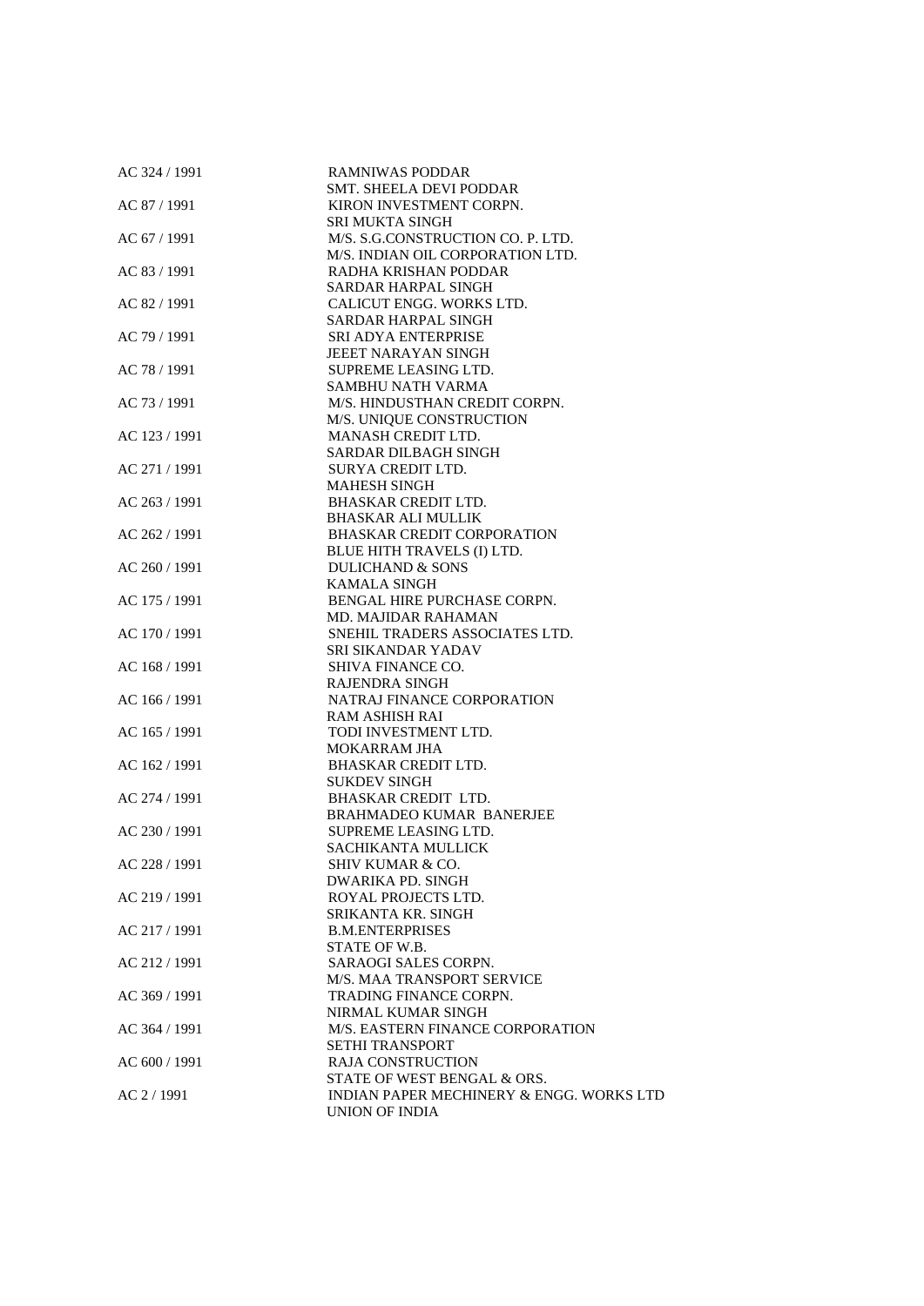| AC 324 / 1991 | <b>RAMNIWAS PODDAR</b>                   |
|---------------|------------------------------------------|
|               | <b>SMT. SHEELA DEVI PODDAR</b>           |
| AC 87 / 1991  | KIRON INVESTMENT CORPN.                  |
|               | <b>SRI MUKTA SINGH</b>                   |
| AC 67 / 1991  | M/S. S.G.CONSTRUCTION CO. P. LTD.        |
|               | M/S. INDIAN OIL CORPORATION LTD.         |
| AC 83 / 1991  | RADHA KRISHAN PODDAR                     |
|               | SARDAR HARPAL SINGH                      |
| AC 82 / 1991  | CALICUT ENGG. WORKS LTD.                 |
|               | SARDAR HARPAL SINGH                      |
| AC 79 / 1991  | SRI ADYA ENTERPRISE                      |
|               | JEEET NARAYAN SINGH                      |
| AC 78 / 1991  | SUPREME LEASING LTD.                     |
|               | SAMBHU NATH VARMA                        |
| AC 73 / 1991  | M/S. HINDUSTHAN CREDIT CORPN.            |
|               | M/S. UNIQUE CONSTRUCTION                 |
| AC 123 / 1991 | MANASH CREDIT LTD.                       |
|               | SARDAR DILBAGH SINGH                     |
| AC 271 / 1991 | SURYA CREDIT LTD.                        |
|               | <b>MAHESH SINGH</b>                      |
| AC 263 / 1991 | <b>BHASKAR CREDIT LTD.</b>               |
|               | <b>BHASKAR ALI MULLIK</b>                |
| AC 262 / 1991 | <b>BHASKAR CREDIT CORPORATION</b>        |
|               | BLUE HITH TRAVELS (I) LTD.               |
| AC 260 / 1991 | <b>DULICHAND &amp; SONS</b>              |
|               | <b>KAMALA SINGH</b>                      |
| AC 175 / 1991 | BENGAL HIRE PURCHASE CORPN.              |
|               | <b>MD. MAJIDAR RAHAMAN</b>               |
| AC 170 / 1991 | SNEHIL TRADERS ASSOCIATES LTD.           |
|               | SRI SIKANDAR YADAV                       |
| AC 168 / 1991 | SHIVA FINANCE CO.                        |
|               | <b>RAJENDRA SINGH</b>                    |
| AC 166 / 1991 | NATRAJ FINANCE CORPORATION               |
|               | <b>RAM ASHISH RAI</b>                    |
| AC 165 / 1991 | TODI INVESTMENT LTD.                     |
|               | <b>MOKARRAM JHA</b>                      |
| AC 162 / 1991 | <b>BHASKAR CREDIT LTD.</b>               |
|               | <b>SUKDEV SINGH</b>                      |
| AC 274 / 1991 | BHASKAR CREDIT LTD.                      |
|               | <b>BRAHMADEO KUMAR BANERJEE</b>          |
| AC 230 / 1991 | SUPREME LEASING LTD.                     |
|               | SACHIKANTA MULLICK                       |
| AC 228 / 1991 | SHIV KUMAR & CO.                         |
|               | DWARIKA PD. SINGH                        |
| AC 219 / 1991 | ROYAL PROJECTS LTD.                      |
|               | SRIKANTA KR. SINGH                       |
| AC 217 / 1991 | <b>B.M.ENTERPRISES</b>                   |
|               | STATE OF W.B.                            |
| AC 212 / 1991 | SARAOGI SALES CORPN.                     |
|               | M/S. MAA TRANSPORT SERVICE               |
| AC 369 / 1991 | TRADING FINANCE CORPN.                   |
|               | NIRMAL KUMAR SINGH                       |
| AC 364 / 1991 | M/S. EASTERN FINANCE CORPORATION         |
|               | <b>SETHI TRANSPORT</b>                   |
| AC 600 / 1991 | <b>RAJA CONSTRUCTION</b>                 |
|               | STATE OF WEST BENGAL & ORS.              |
| $AC$ 2 / 1991 | INDIAN PAPER MECHINERY & ENGG. WORKS LTD |
|               | UNION OF INDIA                           |
|               |                                          |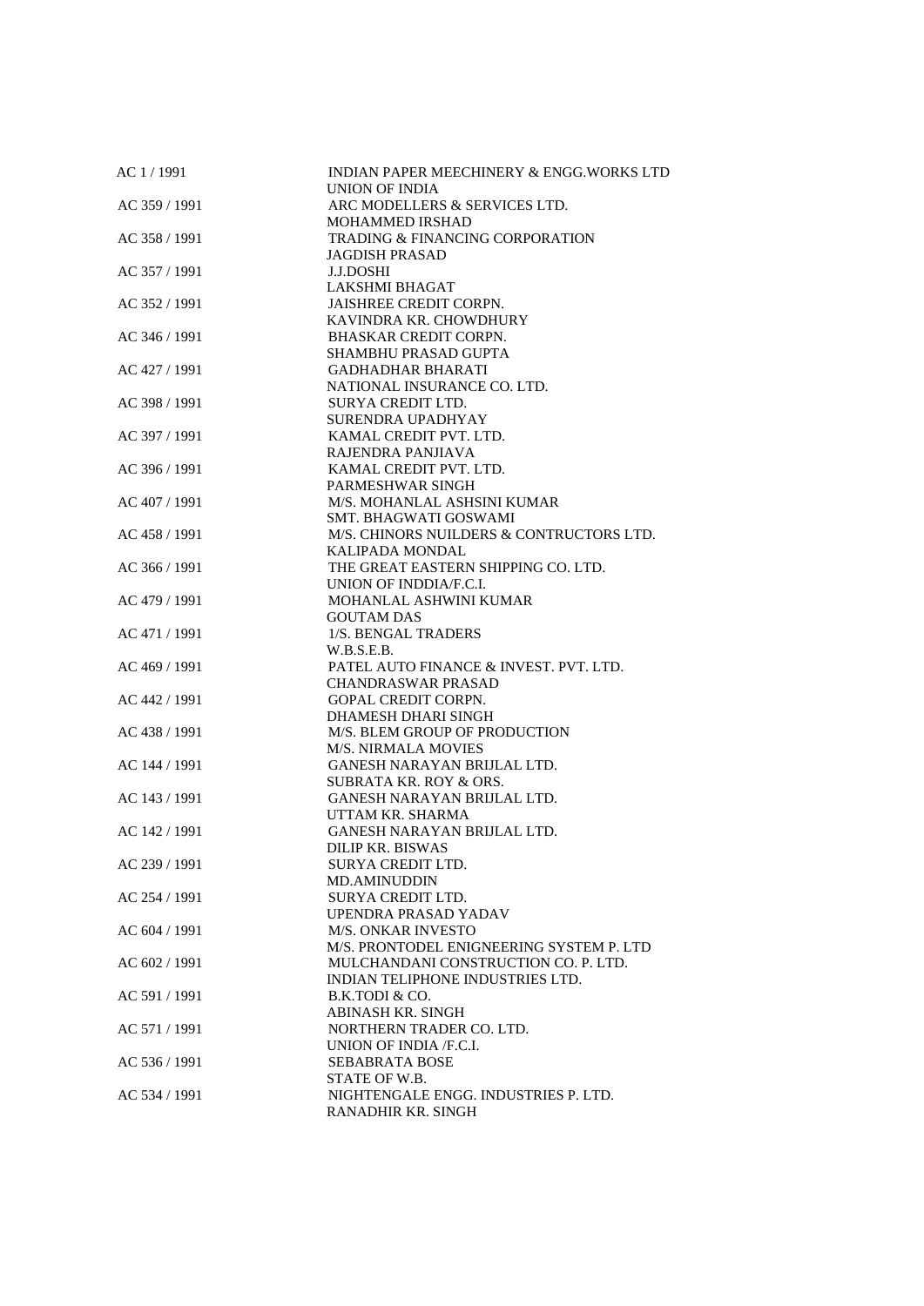| AC 1/1991       | <b>INDIAN PAPER MEECHINERY &amp; ENGG. WORKS LTD</b><br>UNION OF INDIA           |
|-----------------|----------------------------------------------------------------------------------|
| AC 359 / 1991   | ARC MODELLERS & SERVICES LTD.                                                    |
|                 | <b>MOHAMMED IRSHAD</b>                                                           |
| AC 358 / 1991   | <b>TRADING &amp; FINANCING CORPORATION</b>                                       |
|                 | <b>JAGDISH PRASAD</b>                                                            |
| AC 357 / 1991   | <b>J.J.DOSHI</b>                                                                 |
|                 | <b>LAKSHMI BHAGAT</b>                                                            |
| AC 352 / 1991   | <b>JAISHREE CREDIT CORPN.</b>                                                    |
| AC 346 / 1991   | KAVINDRA KR. CHOWDHURY<br><b>BHASKAR CREDIT CORPN.</b>                           |
|                 | SHAMBHU PRASAD GUPTA                                                             |
| AC 427 / 1991   | <b>GADHADHAR BHARATI</b>                                                         |
|                 | NATIONAL INSURANCE CO. LTD.                                                      |
| AC 398 / 1991   | SURYA CREDIT LTD.                                                                |
|                 | SURENDRA UPADHYAY                                                                |
| AC 397 / 1991   | KAMAL CREDIT PVT. LTD.                                                           |
|                 | RAJENDRA PANJIAVA                                                                |
| AC 396 / 1991   | KAMAL CREDIT PVT. LTD.                                                           |
|                 | PARMESHWAR SINGH                                                                 |
| AC 407 / 1991   | M/S. MOHANLAL ASHSINI KUMAR                                                      |
|                 | SMT. BHAGWATI GOSWAMI                                                            |
| AC 458 / 1991   | M/S. CHINORS NUILDERS & CONTRUCTORS LTD.                                         |
|                 | <b>KALIPADA MONDAL</b>                                                           |
| $AC$ 366 / 1991 | THE GREAT EASTERN SHIPPING CO. LTD.                                              |
|                 | UNION OF INDDIA/F.C.I.                                                           |
| AC 479 / 1991   | MOHANLAL ASHWINI KUMAR                                                           |
|                 | <b>GOUTAM DAS</b>                                                                |
| AC 471 / 1991   | 1/S. BENGAL TRADERS                                                              |
| AC 469 / 1991   | W.B.S.E.B.<br>PATEL AUTO FINANCE & INVEST. PVT. LTD.                             |
|                 | <b>CHANDRASWAR PRASAD</b>                                                        |
| AC 442 / 1991   | <b>GOPAL CREDIT CORPN.</b>                                                       |
|                 | DHAMESH DHARI SINGH                                                              |
| AC 438 / 1991   | M/S. BLEM GROUP OF PRODUCTION                                                    |
|                 | <b>M/S. NIRMALA MOVIES</b>                                                       |
| AC 144 / 1991   | <b>GANESH NARAYAN BRIJLAL LTD.</b>                                               |
|                 | <b>SUBRATA KR. ROY &amp; ORS.</b>                                                |
| AC 143 / 1991   | <b>GANESH NARAYAN BRIJLAL LTD.</b>                                               |
|                 | UTTAM KR. SHARMA                                                                 |
| AC 142 / 1991   | <b>GANESH NARAYAN BRIJLAL LTD.</b>                                               |
|                 | <b>DILIP KR. BISWAS</b>                                                          |
| AC 239 / 1991   | <b>SURYA CREDIT LTD.</b>                                                         |
|                 | <b>MD.AMINUDDIN</b>                                                              |
| AC 254 / 1991   | SURYA CREDIT LTD.                                                                |
|                 | UPENDRA PRASAD YADAV                                                             |
| AC 604 / 1991   | <b>M/S. ONKAR INVESTO</b>                                                        |
|                 | M/S. PRONTODEL ENIGNEERING SYSTEM P. LTD<br>MULCHANDANI CONSTRUCTION CO. P. LTD. |
| AC 602 / 1991   | INDIAN TELIPHONE INDUSTRIES LTD.                                                 |
| AC 591 / 1991   | B.K.TODI & CO.                                                                   |
|                 | <b>ABINASH KR. SINGH</b>                                                         |
| AC 571 / 1991   | NORTHERN TRADER CO. LTD.                                                         |
|                 | UNION OF INDIA /F.C.I.                                                           |
| AC 536 / 1991   | <b>SEBABRATA BOSE</b>                                                            |
|                 | STATE OF W.B.                                                                    |
| AC 534 / 1991   | NIGHTENGALE ENGG. INDUSTRIES P. LTD.                                             |
|                 | RANADHIR KR. SINGH                                                               |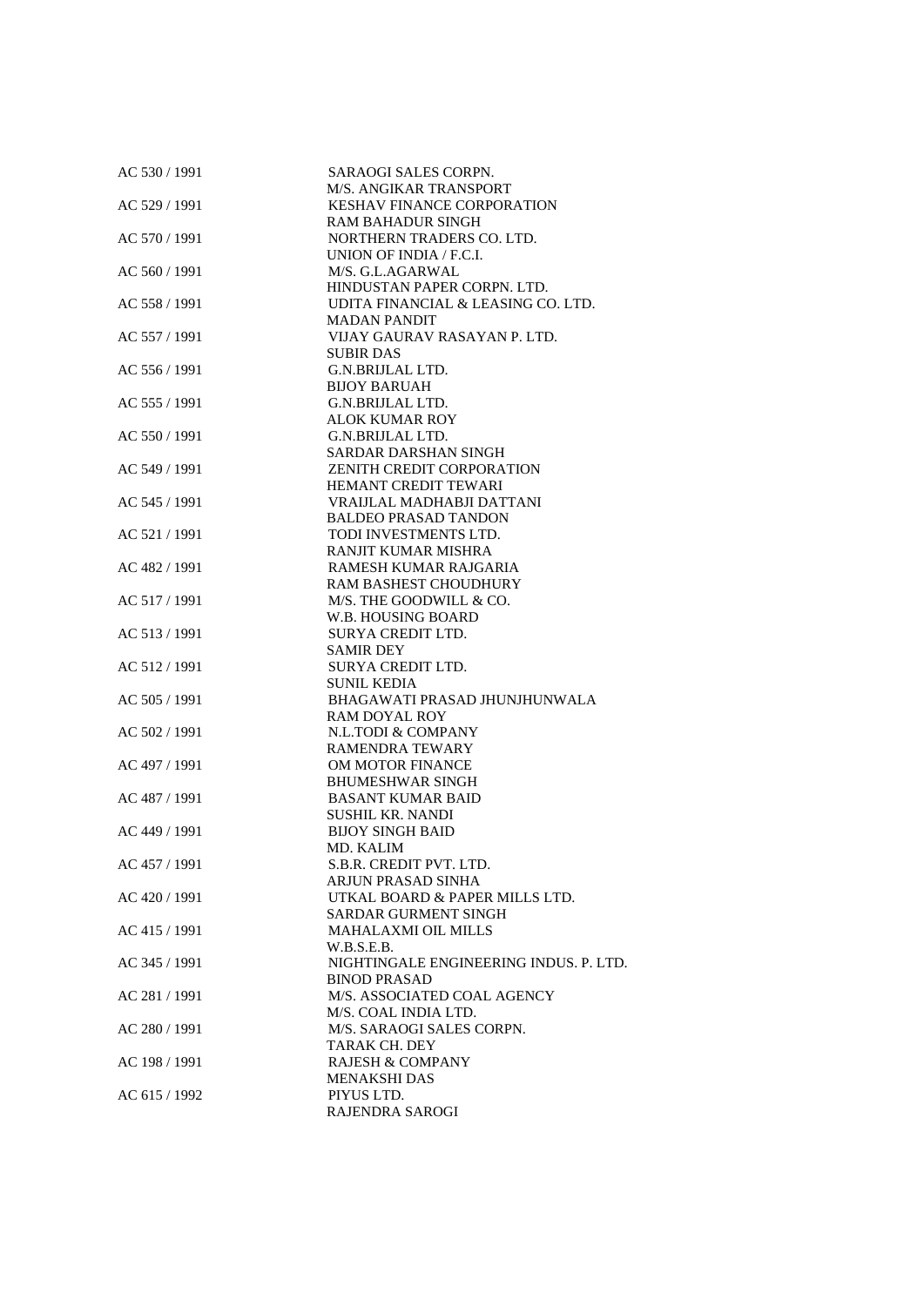| AC 530 / 1991 | SARAOGI SALES CORPN.<br>M/S. ANGIKAR TRANSPORT                |
|---------------|---------------------------------------------------------------|
| AC 529 / 1991 |                                                               |
|               | <b>KESHAV FINANCE CORPORATION</b><br><b>RAM BAHADUR SINGH</b> |
| AC 570 / 1991 | NORTHERN TRADERS CO. LTD.                                     |
|               |                                                               |
|               | UNION OF INDIA / F.C.I.                                       |
| AC 560 / 1991 | M/S. G.L.AGARWAL                                              |
|               | HINDUSTAN PAPER CORPN. LTD.                                   |
| AC 558 / 1991 | UDITA FINANCIAL & LEASING CO. LTD.                            |
|               | <b>MADAN PANDIT</b><br>VIJAY GAURAV RASAYAN P. LTD.           |
| AC 557 / 1991 |                                                               |
| AC 556 / 1991 | <b>SUBIR DAS</b><br>G.N.BRIJLAL LTD.                          |
|               | <b>BIJOY BARUAH</b>                                           |
| AC 555 / 1991 | G.N.BRIJLAL LTD.                                              |
|               |                                                               |
| AC 550 / 1991 | ALOK KUMAR ROY<br>G.N.BRIJLAL LTD.                            |
|               | SARDAR DARSHAN SINGH                                          |
|               | ZENITH CREDIT CORPORATION                                     |
| AC 549 / 1991 | HEMANT CREDIT TEWARI                                          |
| AC 545 / 1991 | VRAIJLAL MADHABJI DATTANI                                     |
|               | <b>BALDEO PRASAD TANDON</b>                                   |
| AC 521 / 1991 | TODI INVESTMENTS LTD.                                         |
|               | <b>RANJIT KUMAR MISHRA</b>                                    |
| AC 482 / 1991 | RAMESH KUMAR RAJGARIA                                         |
|               | RAM BASHEST CHOUDHURY                                         |
| AC 517 / 1991 | M/S. THE GOODWILL & CO.                                       |
|               | W.B. HOUSING BOARD                                            |
| AC 513 / 1991 | SURYA CREDIT LTD.                                             |
|               | <b>SAMIR DEY</b>                                              |
|               |                                                               |
| AC 512 / 1991 | SURYA CREDIT LTD.                                             |
| AC 505 / 1991 | SUNIL KEDIA<br>BHAGAWATI PRASAD JHUNJHUNWALA                  |
|               | <b>RAM DOYAL ROY</b>                                          |
| AC 502 / 1991 | N.L.TODI & COMPANY                                            |
|               | <b>RAMENDRA TEWARY</b>                                        |
| AC 497 / 1991 | <b>OM MOTOR FINANCE</b>                                       |
|               | <b>BHUMESHWAR SINGH</b>                                       |
| AC 487 / 1991 | <b>BASANT KUMAR BAID</b>                                      |
|               | <b>SUSHIL KR. NANDI</b>                                       |
| AC 449 / 1991 | <b>BIJOY SINGH BAID</b>                                       |
|               | MD. KALIM                                                     |
| AC 457 / 1991 | S.B.R. CREDIT PVT. LTD.                                       |
|               | ARJUN PRASAD SINHA                                            |
| AC 420 / 1991 | UTKAL BOARD & PAPER MILLS LTD.                                |
|               | <b>SARDAR GURMENT SINGH</b>                                   |
| AC 415 / 1991 | <b>MAHALAXMI OIL MILLS</b>                                    |
|               | W.B.S.E.B.                                                    |
| AC 345 / 1991 | NIGHTINGALE ENGINEERING INDUS. P. LTD.                        |
|               | <b>BINOD PRASAD</b>                                           |
| AC 281 / 1991 | M/S. ASSOCIATED COAL AGENCY                                   |
|               | M/S. COAL INDIA LTD.                                          |
| AC 280 / 1991 | M/S. SARAOGI SALES CORPN.                                     |
|               | TARAK CH. DEY                                                 |
| AC 198 / 1991 | <b>RAJESH &amp; COMPANY</b>                                   |
|               | MENAKSHI DAS                                                  |
| AC 615 / 1992 | PIYUS LTD.                                                    |
|               | RAJENDRA SAROGI                                               |
|               |                                                               |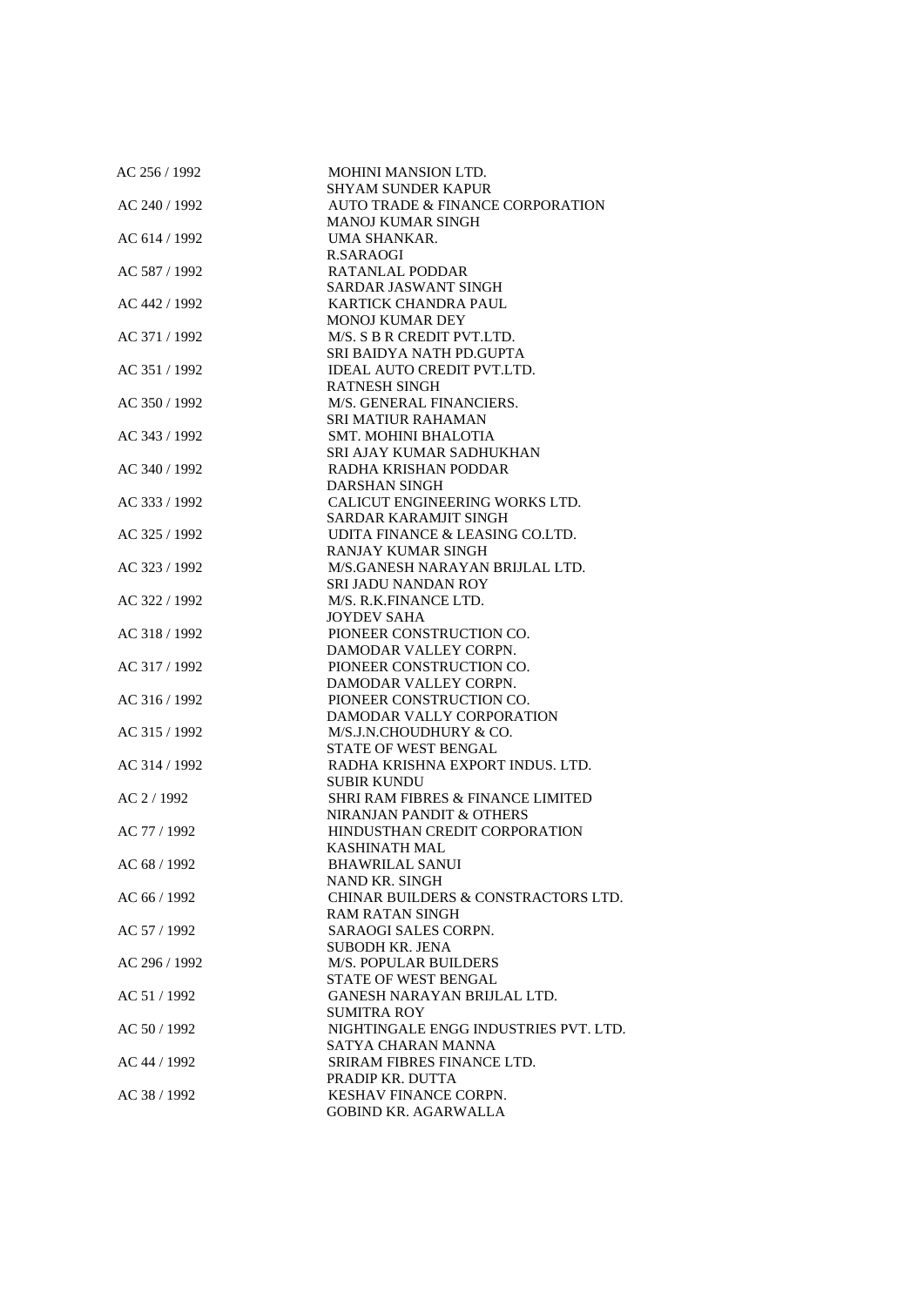| AC 256 / 1992 | MOHINI MANSION LTD.                          |
|---------------|----------------------------------------------|
|               | <b>SHYAM SUNDER KAPUR</b>                    |
| AC 240 / 1992 | AUTO TRADE & FINANCE CORPORATION             |
|               | <b>MANOJ KUMAR SINGH</b>                     |
| AC 614 / 1992 | UMA SHANKAR.                                 |
|               | <b>R.SARAOGI</b>                             |
| AC 587 / 1992 | RATANLAL PODDAR                              |
|               | SARDAR JASWANT SINGH                         |
| AC 442 / 1992 | KARTICK CHANDRA PAUL                         |
|               | MONOJ KUMAR DEY                              |
| AC 371 / 1992 | M/S. S B R CREDIT PVT.LTD.                   |
|               | SRI BAIDYA NATH PD.GUPTA                     |
| AC 351 / 1992 | <b>IDEAL AUTO CREDIT PVT.LTD.</b>            |
|               | <b>RATNESH SINGH</b>                         |
| AC 350 / 1992 | M/S. GENERAL FINANCIERS.                     |
|               | SRI MATIUR RAHAMAN                           |
| AC 343 / 1992 | <b>SMT. MOHINI BHALOTIA</b>                  |
|               | SRI AJAY KUMAR SADHUKHAN                     |
| AC 340 / 1992 | RADHA KRISHAN PODDAR                         |
|               | DARSHAN SINGH                                |
| AC 333 / 1992 | CALICUT ENGINEERING WORKS LTD.               |
|               | SARDAR KARAMJIT SINGH                        |
| AC 325 / 1992 | UDITA FINANCE & LEASING CO.LTD.              |
|               | RANJAY KUMAR SINGH                           |
| AC 323 / 1992 | M/S.GANESH NARAYAN BRIJLAL LTD.              |
|               | SRI JADU NANDAN ROY                          |
| AC 322 / 1992 | M/S. R.K.FINANCE LTD.                        |
|               | <b>JOYDEV SAHA</b>                           |
| AC 318 / 1992 | PIONEER CONSTRUCTION CO.                     |
|               | DAMODAR VALLEY CORPN.                        |
| AC 317 / 1992 | PIONEER CONSTRUCTION CO.                     |
|               | DAMODAR VALLEY CORPN.                        |
| AC 316 / 1992 | PIONEER CONSTRUCTION CO.                     |
|               | DAMODAR VALLY CORPORATION                    |
| AC 315 / 1992 | M/S.J.N.CHOUDHURY & CO.                      |
|               | <b>STATE OF WEST BENGAL</b>                  |
| AC 314 / 1992 | RADHA KRISHNA EXPORT INDUS. LTD.             |
|               | SUBIR KUNDU                                  |
| AC 2 / 1992   | <b>SHRI RAM FIBRES &amp; FINANCE LIMITED</b> |
|               | NIRANJAN PANDIT & OTHERS                     |
| AC 77 / 1992  | HINDUSTHAN CREDIT CORPORATION                |
|               | KASHINATH MAL                                |
| AC 68 / 1992  | BHAWRILAL SANUI                              |
|               | NAND KR. SINGH                               |
| AC 66 / 1992  | CHINAR BUILDERS & CONSTRACTORS LTD.          |
|               | RAM RATAN SINGH                              |
| AC 57 / 1992  | <b>SARAOGI SALES CORPN.</b>                  |
|               | <b>SUBODH KR. JENA</b>                       |
| AC 296 / 1992 | <b>M/S. POPULAR BUILDERS</b>                 |
|               | <b>STATE OF WEST BENGAL</b>                  |
| AC 51/1992    | GANESH NARAYAN BRIJLAL LTD.                  |
|               | <b>SUMITRA ROY</b>                           |
| AC 50 / 1992  | NIGHTINGALE ENGG INDUSTRIES PVT. LTD.        |
|               | SATYA CHARAN MANNA                           |
|               | SRIRAM FIBRES FINANCE LTD.                   |
| AC 44 / 1992  |                                              |
|               | PRADIP KR. DUTTA                             |
| AC 38 / 1992  | <b>KESHAV FINANCE CORPN.</b>                 |
|               | <b>GOBIND KR. AGARWALLA</b>                  |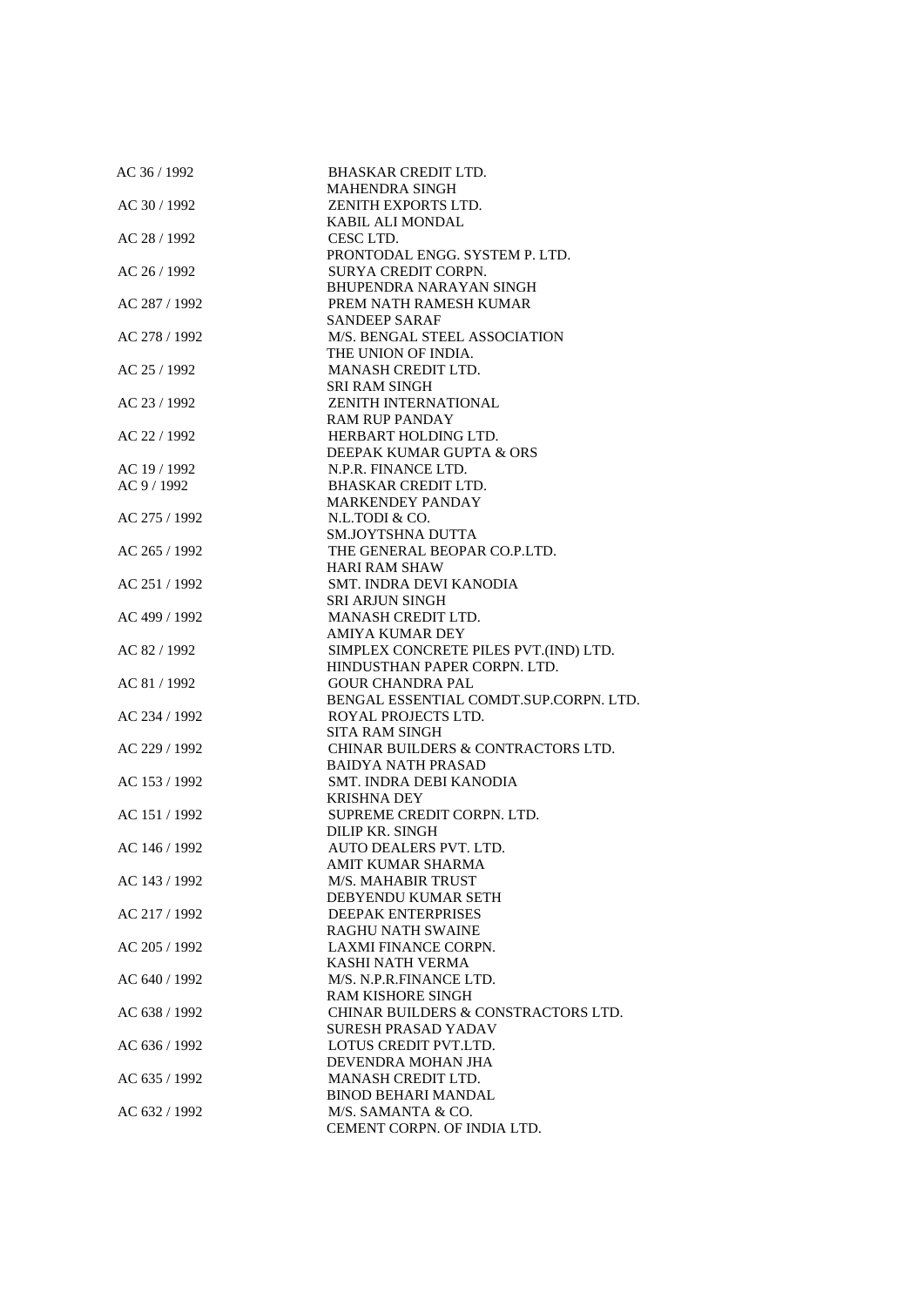| AC 36 / 1992  | <b>BHASKAR CREDIT LTD.</b>             |
|---------------|----------------------------------------|
|               | <b>MAHENDRA SINGH</b>                  |
| AC 30 / 1992  | ZENITH EXPORTS LTD.                    |
|               | KABIL ALI MONDAL                       |
| AC 28 / 1992  | CESC LTD.                              |
|               | PRONTODAL ENGG. SYSTEM P. LTD.         |
| AC 26 / 1992  | <b>SURYA CREDIT CORPN.</b>             |
|               | <b>BHUPENDRA NARAYAN SINGH</b>         |
| AC 287 / 1992 | PREM NATH RAMESH KUMAR                 |
|               | SANDEEP SARAF                          |
| AC 278 / 1992 | M/S. BENGAL STEEL ASSOCIATION          |
|               | THE UNION OF INDIA.                    |
| AC 25 / 1992  | MANASH CREDIT LTD.                     |
|               | <b>SRI RAM SINGH</b>                   |
| AC 23 / 1992  | <b>ZENITH INTERNATIONAL</b>            |
|               | <b>RAM RUP PANDAY</b>                  |
| AC 22 / 1992  | HERBART HOLDING LTD.                   |
|               | DEEPAK KUMAR GUPTA & ORS               |
| AC 19 / 1992  | N.P.R. FINANCE LTD.                    |
|               | <b>BHASKAR CREDIT LTD.</b>             |
| AC 9 / 1992   |                                        |
|               | <b>MARKENDEY PANDAY</b>                |
| AC 275 / 1992 | N.L.TODI & CO.                         |
|               | <b>SM.JOYTSHNA DUTTA</b>               |
| AC 265 / 1992 | THE GENERAL BEOPAR CO.P.LTD.           |
|               | <b>HARI RAM SHAW</b>                   |
| AC 251 / 1992 | SMT. INDRA DEVI KANODIA                |
|               | <b>SRI ARJUN SINGH</b>                 |
| AC 499 / 1992 | MANASH CREDIT LTD.                     |
|               | <b>AMIYA KUMAR DEY</b>                 |
| AC 82 / 1992  | SIMPLEX CONCRETE PILES PVT.(IND) LTD.  |
|               | HINDUSTHAN PAPER CORPN. LTD.           |
| AC 81 / 1992  | <b>GOUR CHANDRA PAL</b>                |
|               | BENGAL ESSENTIAL COMDT.SUP.CORPN. LTD. |
| AC 234 / 1992 | ROYAL PROJECTS LTD.                    |
|               | <b>SITA RAM SINGH</b>                  |
| AC 229 / 1992 | CHINAR BUILDERS & CONTRACTORS LTD.     |
|               | <b>BAIDYA NATH PRASAD</b>              |
| AC 153 / 1992 | SMT. INDRA DEBI KANODIA                |
|               | <b>KRISHNA DEY</b>                     |
| AC 151 / 1992 | SUPREME CREDIT CORPN. LTD.             |
|               | DILIP KR. SINGH                        |
| AC 146 / 1992 | AUTO DEALERS PVT. LTD.                 |
|               | AMIT KUMAR SHARMA                      |
| AC 143 / 1992 | M/S. MAHABIR TRUST                     |
|               | DEBYENDU KUMAR SETH                    |
| AC 217 / 1992 | DEEPAK ENTERPRISES                     |
|               | <b>RAGHU NATH SWAINE</b>               |
| AC 205 / 1992 | LAXMI FINANCE CORPN.                   |
|               | KASHI NATH VERMA                       |
| AC 640 / 1992 | M/S. N.P.R.FINANCE LTD.                |
|               | RAM KISHORE SINGH                      |
| AC 638 / 1992 | CHINAR BUILDERS & CONSTRACTORS LTD.    |
|               | <b>SURESH PRASAD YADAV</b>             |
| AC 636 / 1992 | LOTUS CREDIT PVT.LTD.                  |
|               | DEVENDRA MOHAN JHA                     |
| AC 635 / 1992 | MANASH CREDIT LTD.                     |
|               | <b>BINOD BEHARI MANDAL</b>             |
| AC 632 / 1992 | M/S. SAMANTA & CO.                     |
|               | CEMENT CORPN. OF INDIA LTD.            |
|               |                                        |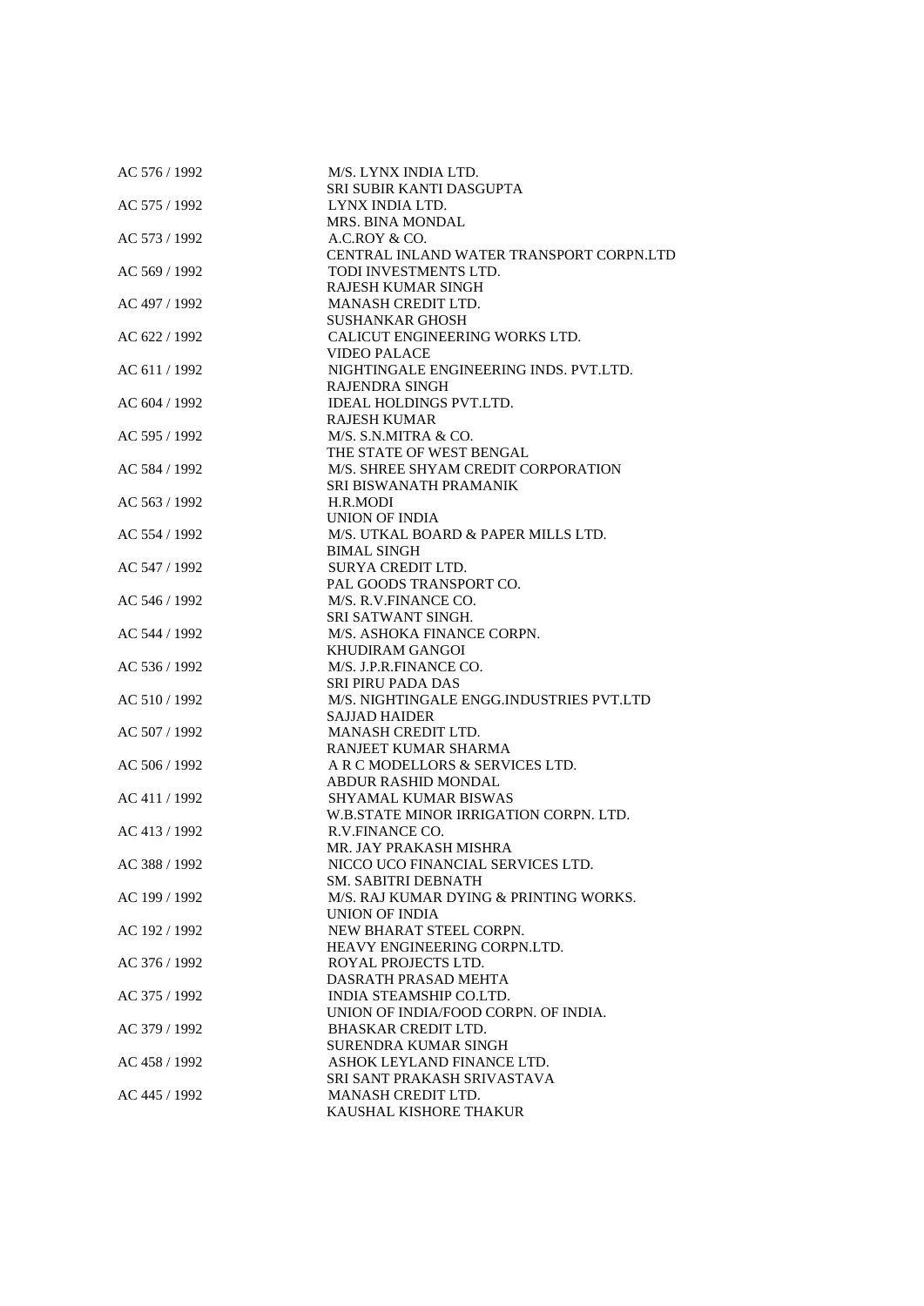| AC 576 / 1992 | M/S. LYNX INDIA LTD.                     |
|---------------|------------------------------------------|
|               | SRI SUBIR KANTI DASGUPTA                 |
| AC 575 / 1992 | LYNX INDIA LTD.                          |
|               | MRS. BINA MONDAL                         |
| AC 573 / 1992 | A.C.ROY & CO.                            |
|               | CENTRAL INLAND WATER TRANSPORT CORPN.LTD |
| AC 569 / 1992 | TODI INVESTMENTS LTD.                    |
|               | <b>RAJESH KUMAR SINGH</b>                |
| AC 497 / 1992 | MANASH CREDIT LTD.                       |
|               | <b>SUSHANKAR GHOSH</b>                   |
| AC 622 / 1992 | CALICUT ENGINEERING WORKS LTD.           |
|               | <b>VIDEO PALACE</b>                      |
| AC 611/1992   | NIGHTINGALE ENGINEERING INDS. PVT.LTD.   |
|               |                                          |
|               | RAJENDRA SINGH                           |
| AC 604 / 1992 | <b>IDEAL HOLDINGS PVT.LTD.</b>           |
|               | <b>RAJESH KUMAR</b>                      |
| AC 595 / 1992 | M/S. S.N.MITRA & CO.                     |
|               | THE STATE OF WEST BENGAL                 |
| AC 584 / 1992 | M/S. SHREE SHYAM CREDIT CORPORATION      |
|               | <b>SRI BISWANATH PRAMANIK</b>            |
| AC 563 / 1992 | H.R.MODI                                 |
|               | <b>UNION OF INDIA</b>                    |
| AC 554 / 1992 | M/S. UTKAL BOARD & PAPER MILLS LTD.      |
|               | <b>BIMAL SINGH</b>                       |
| AC 547 / 1992 | SURYA CREDIT LTD.                        |
|               | PAL GOODS TRANSPORT CO.                  |
| AC 546 / 1992 | M/S. R.V.FINANCE CO.                     |
|               | <b>SRI SATWANT SINGH.</b>                |
| AC 544 / 1992 | M/S. ASHOKA FINANCE CORPN.               |
|               | KHUDIRAM GANGOI                          |
| AC 536 / 1992 | M/S. J.P.R.FINANCE CO.                   |
|               | <b>SRI PIRU PADA DAS</b>                 |
| AC 510 / 1992 | M/S. NIGHTINGALE ENGG.INDUSTRIES PVT.LTD |
|               | <b>SAJJAD HAIDER</b>                     |
|               | MANASH CREDIT LTD.                       |
| AC 507 / 1992 |                                          |
|               | RANJEET KUMAR SHARMA                     |
| AC 506 / 1992 | A R C MODELLORS & SERVICES LTD.          |
|               | ABDUR RASHID MONDAL                      |
| AC 411 / 1992 | SHYAMAL KUMAR BISWAS                     |
|               | W.B.STATE MINOR IRRIGATION CORPN. LTD.   |
| AC 413/1992   | R.V.FINANCE CO.                          |
|               | MR. JAY PRAKASH MISHRA                   |
| AC 388 / 1992 | NICCO UCO FINANCIAL SERVICES LTD.        |
|               | SM. SABITRI DEBNATH                      |
| AC 199 / 1992 | M/S. RAJ KUMAR DYING & PRINTING WORKS.   |
|               | UNION OF INDIA                           |
| AC 192 / 1992 | NEW BHARAT STEEL CORPN.                  |
|               | HEAVY ENGINEERING CORPN.LTD.             |
| AC 376 / 1992 | ROYAL PROJECTS LTD.                      |
|               | DASRATH PRASAD MEHTA                     |
| AC 375 / 1992 | INDIA STEAMSHIP CO.LTD.                  |
|               | UNION OF INDIA/FOOD CORPN. OF INDIA.     |
| AC 379 / 1992 | <b>BHASKAR CREDIT LTD.</b>               |
|               | SURENDRA KUMAR SINGH                     |
| AC 458 / 1992 | ASHOK LEYLAND FINANCE LTD.               |
|               | SRI SANT PRAKASH SRIVASTAVA              |
|               | MANASH CREDIT LTD.                       |
| AC 445 / 1992 |                                          |
|               | KAUSHAL KISHORE THAKUR                   |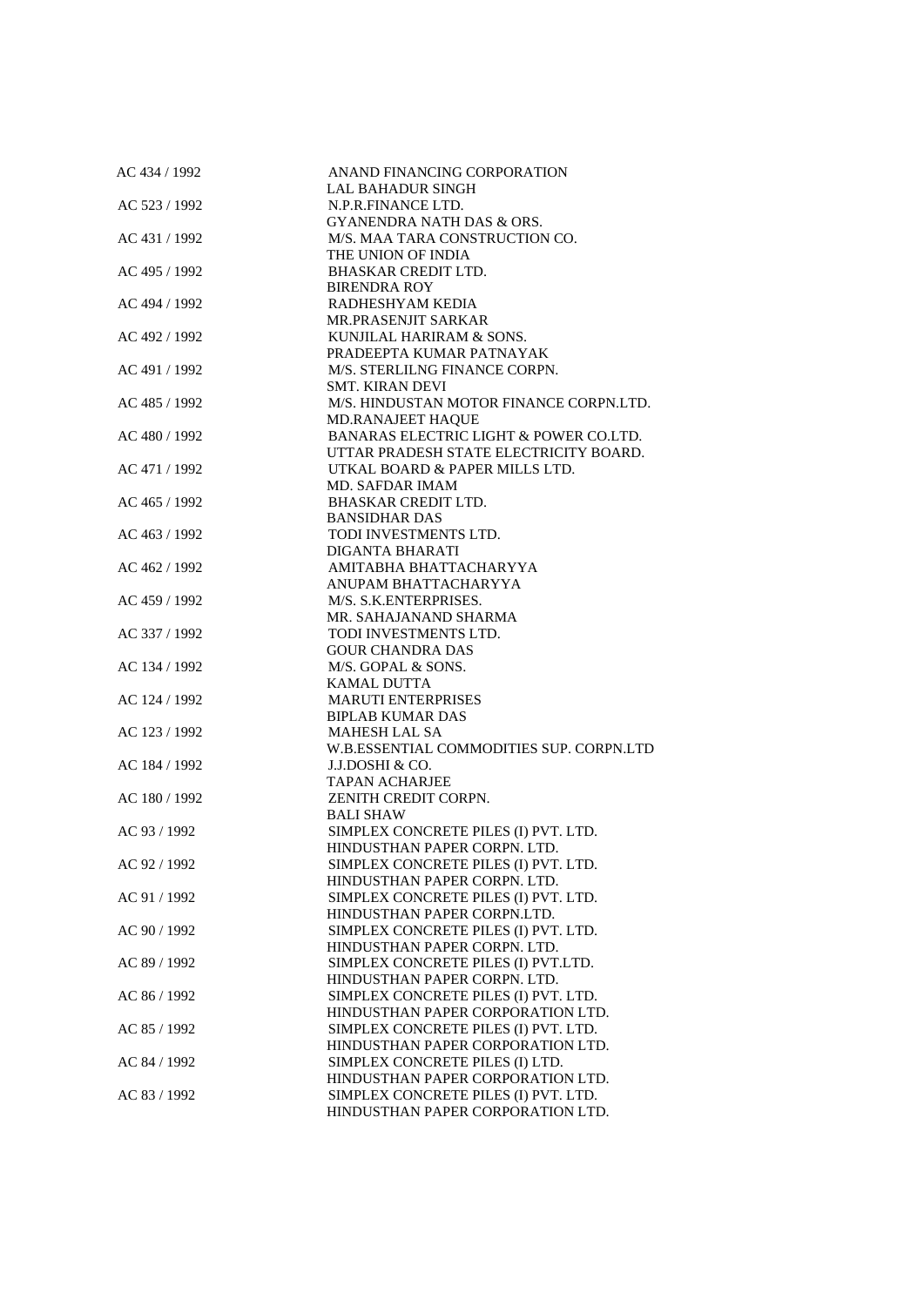| AC 434 / 1992 | ANAND FINANCING CORPORATION              |
|---------------|------------------------------------------|
|               | <b>LAL BAHADUR SINGH</b>                 |
| AC 523 / 1992 | N.P.R.FINANCE LTD.                       |
|               | <b>GYANENDRA NATH DAS &amp; ORS.</b>     |
| AC 431 / 1992 | M/S. MAA TARA CONSTRUCTION CO.           |
|               | THE UNION OF INDIA                       |
| AC 495 / 1992 | <b>BHASKAR CREDIT LTD.</b>               |
|               | <b>BIRENDRA ROY</b>                      |
| AC 494 / 1992 | RADHESHYAM KEDIA                         |
|               | MR.PRASENJIT SARKAR                      |
| AC 492 / 1992 | KUNJILAL HARIRAM & SONS.                 |
|               | PRADEEPTA KUMAR PATNAYAK                 |
| AC 491 / 1992 | M/S. STERLILNG FINANCE CORPN.            |
|               | <b>SMT. KIRAN DEVI</b>                   |
| AC 485 / 1992 | M/S. HINDUSTAN MOTOR FINANCE CORPN.LTD.  |
|               | <b>MD.RANAJEET HAQUE</b>                 |
| AC 480 / 1992 | BANARAS ELECTRIC LIGHT & POWER CO.LTD.   |
|               | UTTAR PRADESH STATE ELECTRICITY BOARD.   |
| AC 471 / 1992 | UTKAL BOARD & PAPER MILLS LTD.           |
|               | <b>MD. SAFDAR IMAM</b>                   |
| AC 465 / 1992 | <b>BHASKAR CREDIT LTD.</b>               |
|               | <b>BANSIDHAR DAS</b>                     |
| AC 463 / 1992 | TODI INVESTMENTS LTD.                    |
|               | <b>DIGANTA BHARATI</b>                   |
| AC 462 / 1992 | AMITABHA BHATTACHARYYA                   |
|               | ANUPAM BHATTACHARYYA                     |
| AC 459 / 1992 | M/S. S.K.ENTERPRISES.                    |
|               | MR. SAHAJANAND SHARMA                    |
| AC 337 / 1992 | TODI INVESTMENTS LTD.                    |
|               | <b>GOUR CHANDRA DAS</b>                  |
| AC 134 / 1992 | M/S. GOPAL & SONS.                       |
|               | <b>KAMAL DUTTA</b>                       |
| AC 124 / 1992 | <b>MARUTI ENTERPRISES</b>                |
|               | <b>BIPLAB KUMAR DAS</b>                  |
| AC 123 / 1992 | <b>MAHESH LAL SA</b>                     |
|               | W.B.ESSENTIAL COMMODITIES SUP. CORPN.LTD |
| AC 184 / 1992 | J.J.DOSHI & CO.                          |
|               | <b>TAPAN ACHARJEE</b>                    |
| AC 180 / 1992 | ZENITH CREDIT CORPN.                     |
|               | <b>BALI SHAW</b>                         |
| AC 93 / 1992  | SIMPLEX CONCRETE PILES (I) PVT. LTD.     |
|               | HINDUSTHAN PAPER CORPN. LTD.             |
| AC 92 / 1992  | SIMPLEX CONCRETE PILES (I) PVT. LTD.     |
|               | HINDUSTHAN PAPER CORPN. LTD.             |
| AC 91 / 1992  | SIMPLEX CONCRETE PILES (I) PVT. LTD.     |
|               | HINDUSTHAN PAPER CORPN.LTD.              |
| AC 90 / 1992  | SIMPLEX CONCRETE PILES (I) PVT. LTD.     |
|               | HINDUSTHAN PAPER CORPN. LTD.             |
| AC 89 / 1992  | SIMPLEX CONCRETE PILES (I) PVT.LTD.      |
|               | HINDUSTHAN PAPER CORPN. LTD.             |
| AC 86 / 1992  | SIMPLEX CONCRETE PILES (I) PVT. LTD.     |
|               | HINDUSTHAN PAPER CORPORATION LTD.        |
| AC 85 / 1992  | SIMPLEX CONCRETE PILES (I) PVT. LTD.     |
|               | HINDUSTHAN PAPER CORPORATION LTD.        |
| AC 84 / 1992  | SIMPLEX CONCRETE PILES (I) LTD.          |
|               | HINDUSTHAN PAPER CORPORATION LTD.        |
| AC 83 / 1992  | SIMPLEX CONCRETE PILES (I) PVT. LTD.     |
|               | HINDUSTHAN PAPER CORPORATION LTD.        |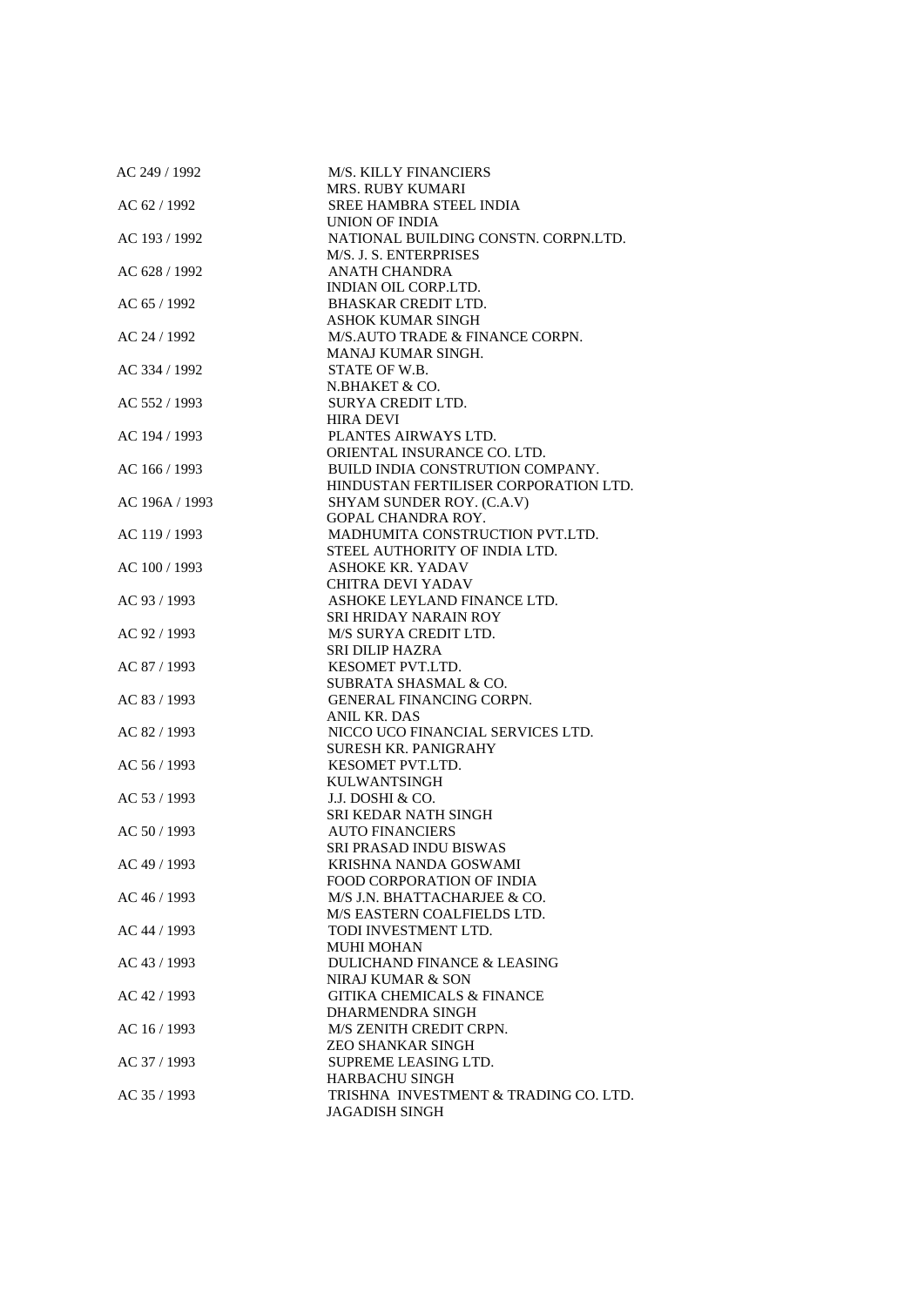| AC 249 / 1992  | <b>M/S. KILLY FINANCIERS</b>                           |
|----------------|--------------------------------------------------------|
|                | <b>MRS. RUBY KUMARI</b>                                |
| AC 62 / 1992   | SREE HAMBRA STEEL INDIA                                |
|                | UNION OF INDIA                                         |
| AC 193 / 1992  | NATIONAL BUILDING CONSTN. CORPN.LTD.                   |
|                | M/S. J. S. ENTERPRISES                                 |
| AC 628 / 1992  | <b>ANATH CHANDRA</b>                                   |
|                | <b>INDIAN OIL CORP.LTD.</b>                            |
| AC 65 / 1992   | <b>BHASKAR CREDIT LTD.</b>                             |
|                | <b>ASHOK KUMAR SINGH</b>                               |
| AC 24 / 1992   | M/S.AUTO TRADE & FINANCE CORPN.                        |
|                | MANAJ KUMAR SINGH.                                     |
| AC 334 / 1992  | STATE OF W.B.                                          |
|                | N.BHAKET & CO.                                         |
| AC 552 / 1993  | SURYA CREDIT LTD.                                      |
|                | <b>HIRA DEVI</b>                                       |
| AC 194 / 1993  | PLANTES AIRWAYS LTD.                                   |
|                | ORIENTAL INSURANCE CO. LTD.                            |
| AC 166 / 1993  | BUILD INDIA CONSTRUTION COMPANY.                       |
|                | HINDUSTAN FERTILISER CORPORATION LTD.                  |
| AC 196A / 1993 | SHYAM SUNDER ROY. (C.A.V)                              |
|                | <b>GOPAL CHANDRA ROY.</b>                              |
| AC 119 / 1993  | MADHUMITA CONSTRUCTION PVT.LTD.                        |
|                | STEEL AUTHORITY OF INDIA LTD.                          |
| AC 100 / 1993  | <b>ASHOKE KR. YADAV</b>                                |
|                | CHITRA DEVI YADAV                                      |
| AC 93 / 1993   | ASHOKE LEYLAND FINANCE LTD.                            |
|                | SRI HRIDAY NARAIN ROY                                  |
| AC 92 / 1993   | M/S SURYA CREDIT LTD.                                  |
|                | <b>SRI DILIP HAZRA</b>                                 |
| AC 87 / 1993   | KESOMET PVT.LTD.                                       |
|                | <b>SUBRATA SHASMAL &amp; CO.</b>                       |
|                | GENERAL FINANCING CORPN.                               |
| AC 83 / 1993   | ANIL KR. DAS                                           |
| AC 82 / 1993   | NICCO UCO FINANCIAL SERVICES LTD.                      |
|                | <b>SURESH KR. PANIGRAHY</b>                            |
| AC 56 / 1993   | <b>KESOMET PVT.LTD.</b>                                |
|                | <b>KULWANTSINGH</b>                                    |
| AC 53 / 1993   | J.J. DOSHI & CO.                                       |
|                | <b>SRI KEDAR NATH SINGH</b>                            |
| AC 50 / 1993   | <b>AUTO FINANCIERS</b>                                 |
|                |                                                        |
|                | <b>SRI PRASAD INDU BISWAS</b><br>KRISHNA NANDA GOSWAMI |
| AC 49 / 1993   | FOOD CORPORATION OF INDIA                              |
|                |                                                        |
| AC 46 / 1993   | M/S J.N. BHATTACHARJEE & CO.                           |
|                | M/S EASTERN COALFIELDS LTD.                            |
| AC 44 / 1993   | TODI INVESTMENT LTD.<br><b>MUHI MOHAN</b>              |
|                |                                                        |
| AC 43 / 1993   | DULICHAND FINANCE & LEASING                            |
|                | NIRAJ KUMAR & SON                                      |
| AC 42 / 1993   | <b>GITIKA CHEMICALS &amp; FINANCE</b>                  |
|                | DHARMENDRA SINGH                                       |
| $AC$ 16 / 1993 | M/S ZENITH CREDIT CRPN.                                |
|                | <b>ZEO SHANKAR SINGH</b>                               |
| AC 37 / 1993   | SUPREME LEASING LTD.                                   |
|                | <b>HARBACHU SINGH</b>                                  |
| AC 35 / 1993   | TRISHNA INVESTMENT & TRADING CO. LTD.                  |
|                | <b>JAGADISH SINGH</b>                                  |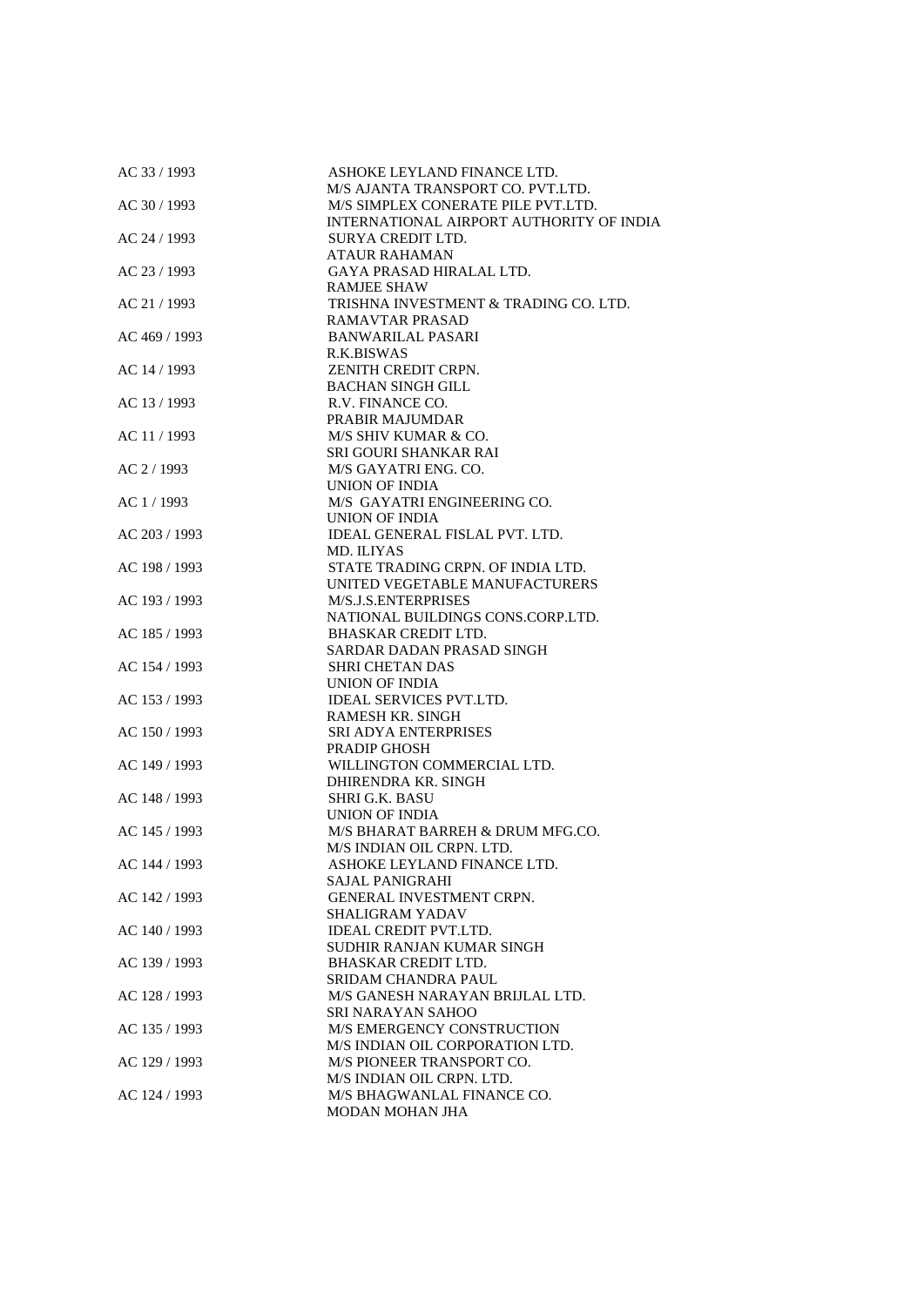| AC 33 / 1993  | ASHOKE LEYLAND FINANCE LTD.              |
|---------------|------------------------------------------|
|               | M/S AJANTA TRANSPORT CO. PVT.LTD.        |
| AC 30 / 1993  | M/S SIMPLEX CONERATE PILE PVT.LTD.       |
|               | INTERNATIONAL AIRPORT AUTHORITY OF INDIA |
| AC 24 / 1993  | SURYA CREDIT LTD.                        |
|               | <b>ATAUR RAHAMAN</b>                     |
| AC 23 / 1993  | <b>GAYA PRASAD HIRALAL LTD.</b>          |
|               | <b>RAMJEE SHAW</b>                       |
| AC 21 / 1993  | TRISHNA INVESTMENT & TRADING CO. LTD.    |
|               | <b>RAMAVTAR PRASAD</b>                   |
| AC 469 / 1993 | <b>BANWARILAL PASARI</b>                 |
|               | R.K.BISWAS                               |
|               | ZENITH CREDIT CRPN.                      |
| AC 14 / 1993  |                                          |
|               | <b>BACHAN SINGH GILL</b>                 |
| AC 13/1993    | R.V. FINANCE CO.                         |
|               | PRABIR MAJUMDAR                          |
| AC 11 / 1993  | M/S SHIV KUMAR & CO.                     |
|               | SRI GOURI SHANKAR RAI                    |
| AC 2/1993     | M/S GAYATRI ENG. CO.                     |
|               | UNION OF INDIA                           |
| AC 1 / 1993   | M/S GAYATRI ENGINEERING CO.              |
|               | UNION OF INDIA                           |
| AC 203 / 1993 | IDEAL GENERAL FISLAL PVT. LTD.           |
|               | MD. ILIYAS                               |
| AC 198 / 1993 | STATE TRADING CRPN. OF INDIA LTD.        |
|               | UNITED VEGETABLE MANUFACTURERS           |
| AC 193 / 1993 | M/S.J.S.ENTERPRISES                      |
|               | NATIONAL BUILDINGS CONS.CORP.LTD.        |
| AC 185 / 1993 | <b>BHASKAR CREDIT LTD.</b>               |
|               | SARDAR DADAN PRASAD SINGH                |
| AC 154 / 1993 | <b>SHRI CHETAN DAS</b>                   |
|               | UNION OF INDIA                           |
| AC 153 / 1993 | <b>IDEAL SERVICES PVT.LTD.</b>           |
|               | <b>RAMESH KR. SINGH</b>                  |
| AC 150 / 1993 | <b>SRI ADYA ENTERPRISES</b>              |
|               | <b>PRADIP GHOSH</b>                      |
| AC 149 / 1993 | WILLINGTON COMMERCIAL LTD.               |
|               | DHIRENDRA KR. SINGH                      |
| AC 148 / 1993 | <b>SHRI G.K. BASU</b>                    |
|               | UNION OF INDIA                           |
| AC 145 / 1993 | M/S BHARAT BARREH & DRUM MFG.CO.         |
|               | M/S INDIAN OIL CRPN. LTD.                |
| AC 144 / 1993 | ASHOKE LEYLAND FINANCE LTD.              |
|               | SAJAL PANIGRAHI                          |
| AC 142 / 1993 | <b>GENERAL INVESTMENT CRPN.</b>          |
|               | <b>SHALIGRAM YADAV</b>                   |
| AC 140 / 1993 | <b>IDEAL CREDIT PVT.LTD.</b>             |
|               | SUDHIR RANJAN KUMAR SINGH                |
| AC 139 / 1993 | <b>BHASKAR CREDIT LTD.</b>               |
|               | SRIDAM CHANDRA PAUL                      |
|               | M/S GANESH NARAYAN BRIJLAL LTD.          |
| AC 128 / 1993 |                                          |
|               | <b>SRI NARAYAN SAHOO</b>                 |
| AC 135 / 1993 | M/S EMERGENCY CONSTRUCTION               |
|               | M/S INDIAN OIL CORPORATION LTD.          |
| AC 129 / 1993 | M/S PIONEER TRANSPORT CO.                |
|               | M/S INDIAN OIL CRPN. LTD.                |
| AC 124 / 1993 | M/S BHAGWANLAL FINANCE CO.               |
|               | <b>MODAN MOHAN JHA</b>                   |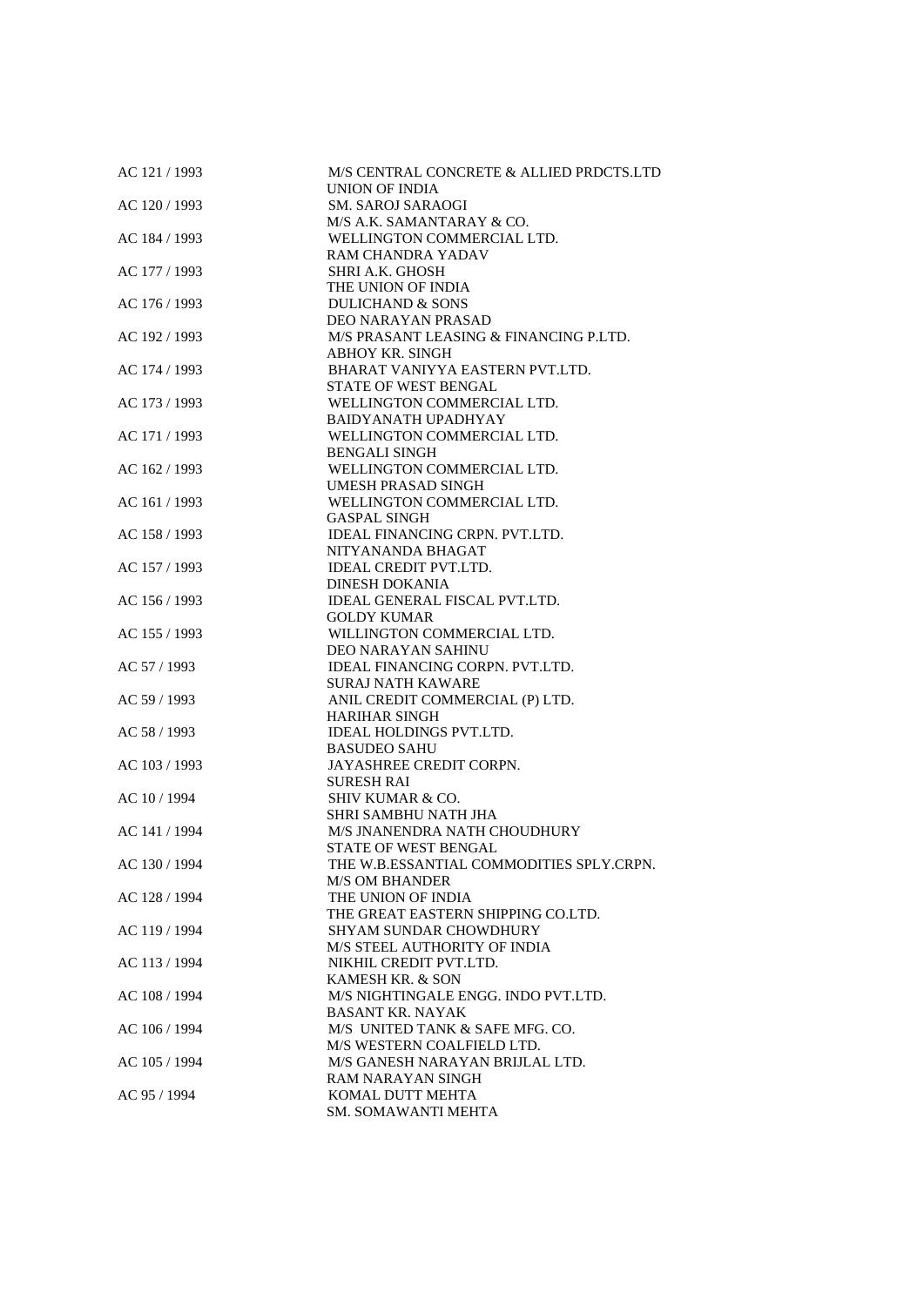| AC 121 / 1993 | M/S CENTRAL CONCRETE & ALLIED PRDCTS.LTD<br>UNION OF INDIA |
|---------------|------------------------------------------------------------|
| AC 120 / 1993 | <b>SM. SAROJ SARAOGI</b>                                   |
|               | M/S A.K. SAMANTARAY & CO.                                  |
| AC 184 / 1993 | WELLINGTON COMMERCIAL LTD.                                 |
|               | RAM CHANDRA YADAV                                          |
|               | <b>SHRI A.K. GHOSH</b>                                     |
| AC 177 / 1993 | THE UNION OF INDIA                                         |
|               | <b>DULICHAND &amp; SONS</b>                                |
| AC 176 / 1993 | DEO NARAYAN PRASAD                                         |
| AC 192 / 1993 |                                                            |
|               | M/S PRASANT LEASING & FINANCING P.LTD.                     |
| AC 174 / 1993 | ABHOY KR. SINGH<br>BHARAT VANIYYA EASTERN PVT.LTD.         |
|               | STATE OF WEST BENGAL                                       |
|               |                                                            |
| AC 173 / 1993 | WELLINGTON COMMERCIAL LTD.                                 |
|               | <b>BAIDYANATH UPADHYAY</b>                                 |
| AC 171 / 1993 | WELLINGTON COMMERCIAL LTD.                                 |
|               | BENGALI SINGH                                              |
| AC 162 / 1993 | WELLINGTON COMMERCIAL LTD.                                 |
|               | UMESH PRASAD SINGH                                         |
| AC 161 / 1993 | WELLINGTON COMMERCIAL LTD.                                 |
|               | <b>GASPAL SINGH</b>                                        |
| AC 158 / 1993 | IDEAL FINANCING CRPN. PVT.LTD.                             |
|               | NITYANANDA BHAGAT                                          |
| AC 157 / 1993 | <b>IDEAL CREDIT PVT.LTD.</b>                               |
|               | <b>DINESH DOKANIA</b>                                      |
| AC 156 / 1993 | <b>IDEAL GENERAL FISCAL PVT.LTD.</b>                       |
|               | <b>GOLDY KUMAR</b>                                         |
| AC 155 / 1993 | WILLINGTON COMMERCIAL LTD.                                 |
|               | DEO NARAYAN SAHINU                                         |
| AC 57 / 1993  | IDEAL FINANCING CORPN. PVT.LTD.                            |
|               | <b>SURAJ NATH KAWARE</b>                                   |
| AC 59 / 1993  | ANIL CREDIT COMMERCIAL (P) LTD.                            |
|               | <b>HARIHAR SINGH</b>                                       |
| AC 58 / 1993  | <b>IDEAL HOLDINGS PVT.LTD.</b>                             |
|               | <b>BASUDEO SAHU</b>                                        |
| AC 103 / 1993 | JAYASHREE CREDIT CORPN.                                    |
|               | <b>SURESH RAI</b>                                          |
| AC 10 / 1994  | <b>SHIV KUMAR &amp; CO.</b>                                |
|               | SHRI SAMBHU NATH JHA                                       |
| AC 141 / 1994 | M/S JNANENDRA NATH CHOUDHURY                               |
|               | STATE OF WEST BENGAL                                       |
| AC 130 / 1994 | THE W.B.ESSANTIAL COMMODITIES SPLY.CRPN.                   |
|               | <b>M/S OM BHANDER</b>                                      |
| AC 128 / 1994 | THE UNION OF INDIA                                         |
|               | THE GREAT EASTERN SHIPPING CO.LTD.                         |
| AC 119 / 1994 | <b>SHYAM SUNDAR CHOWDHURY</b>                              |
|               | M/S STEEL AUTHORITY OF INDIA                               |
| AC 113 / 1994 | NIKHIL CREDIT PVT.LTD.                                     |
|               | KAMESH KR. & SON                                           |
| AC 108 / 1994 | M/S NIGHTINGALE ENGG. INDO PVT.LTD.                        |
|               | <b>BASANT KR. NAYAK</b>                                    |
| AC 106 / 1994 | M/S UNITED TANK & SAFE MFG. CO.                            |
|               | M/S WESTERN COALFIELD LTD.                                 |
| AC 105 / 1994 | M/S GANESH NARAYAN BRIJLAL LTD.                            |
|               | RAM NARAYAN SINGH                                          |
| AC 95 / 1994  | KOMAL DUTT MEHTA                                           |
|               | SM. SOMAWANTI MEHTA                                        |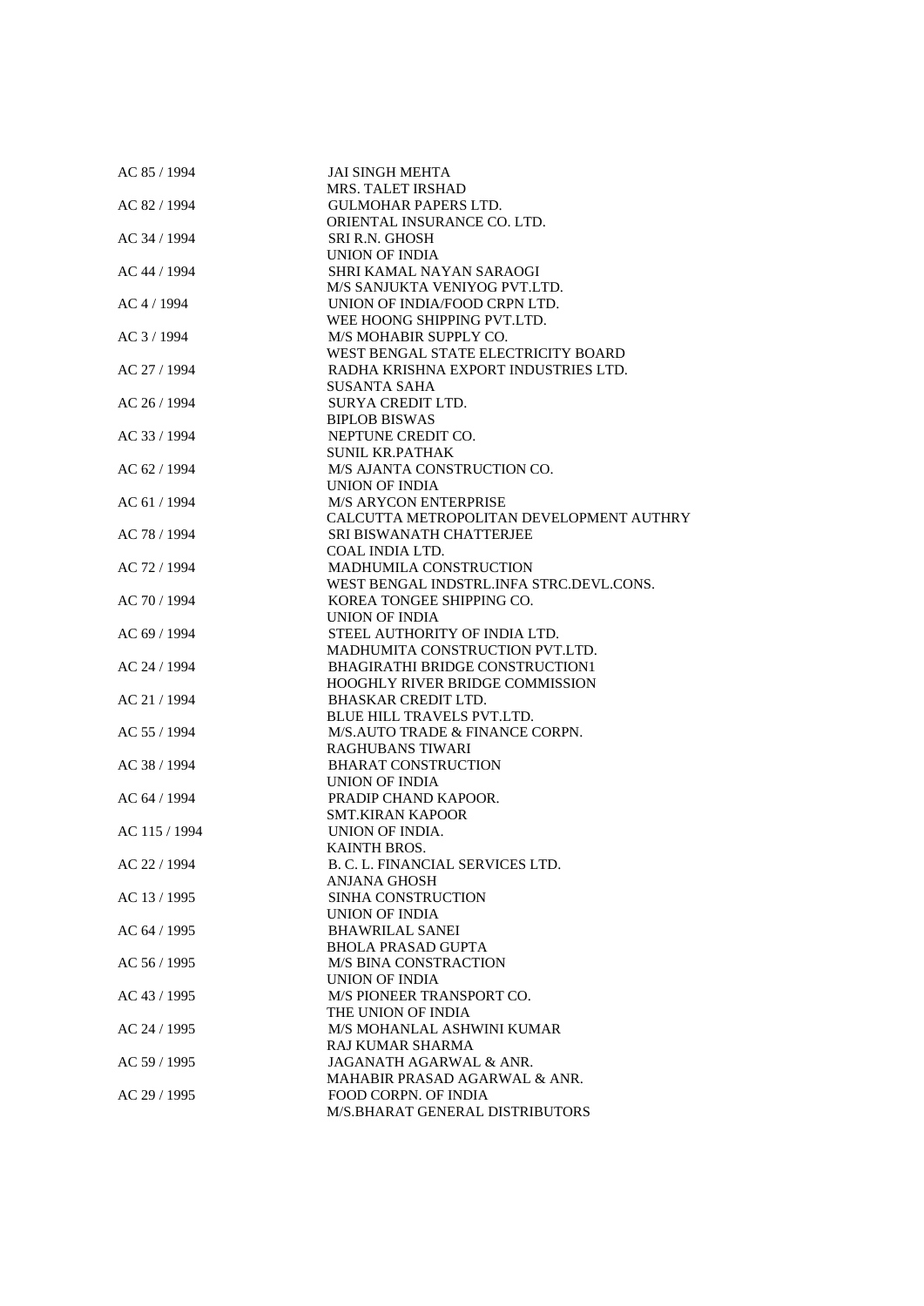| AC 85 / 1994  | <b>JAI SINGH MEHTA</b>                   |
|---------------|------------------------------------------|
|               | MRS. TALET IRSHAD                        |
| AC 82 / 1994  | <b>GULMOHAR PAPERS LTD.</b>              |
|               | ORIENTAL INSURANCE CO. LTD.              |
| AC 34 / 1994  | <b>SRI R.N. GHOSH</b>                    |
|               | UNION OF INDIA                           |
| AC 44 / 1994  | SHRI KAMAL NAYAN SARAOGI                 |
|               | M/S SANJUKTA VENIYOG PVT.LTD.            |
| AC 4 / 1994   | UNION OF INDIA/FOOD CRPN LTD.            |
|               | WEE HOONG SHIPPING PVT.LTD.              |
| AC 3/1994     | M/S MOHABIR SUPPLY CO.                   |
|               | WEST BENGAL STATE ELECTRICITY BOARD      |
| AC 27 / 1994  | RADHA KRISHNA EXPORT INDUSTRIES LTD.     |
|               | SUSANTA SAHA                             |
| AC 26 / 1994  | SURYA CREDIT LTD.                        |
|               | <b>BIPLOB BISWAS</b>                     |
| AC 33 / 1994  | NEPTUNE CREDIT CO.                       |
|               |                                          |
|               | SUNIL KR.PATHAK                          |
| AC 62 / 1994  | M/S AJANTA CONSTRUCTION CO.              |
|               | UNION OF INDIA                           |
| AC 61 / 1994  | <b>M/S ARYCON ENTERPRISE</b>             |
|               | CALCUTTA METROPOLITAN DEVELOPMENT AUTHRY |
| AC 78 / 1994  | SRI BISWANATH CHATTERJEE                 |
|               | COAL INDIA LTD.                          |
| AC 72 / 1994  | <b>MADHUMILA CONSTRUCTION</b>            |
|               | WEST BENGAL INDSTRL.INFA STRC.DEVL.CONS. |
| AC 70 / 1994  | KOREA TONGEE SHIPPING CO.                |
|               | UNION OF INDIA                           |
| AC 69 / 1994  | STEEL AUTHORITY OF INDIA LTD.            |
|               | MADHUMITA CONSTRUCTION PVT.LTD.          |
| AC 24 / 1994  | BHAGIRATHI BRIDGE CONSTRUCTION1          |
|               | HOOGHLY RIVER BRIDGE COMMISSION          |
| AC 21 / 1994  | <b>BHASKAR CREDIT LTD.</b>               |
|               | <b>BLUE HILL TRAVELS PVT.LTD.</b>        |
| AC 55 / 1994  | M/S.AUTO TRADE & FINANCE CORPN.          |
|               | <b>RAGHUBANS TIWARI</b>                  |
| AC 38 / 1994  | <b>BHARAT CONSTRUCTION</b>               |
|               | UNION OF INDIA                           |
| AC 64 / 1994  | PRADIP CHAND KAPOOR.                     |
|               | <b>SMT.KIRAN KAPOOR</b>                  |
| AC 115 / 1994 | <b>UNION OF INDIA.</b>                   |
|               | <b>KAINTH BROS.</b>                      |
| AC 22 / 1994  | B. C. L. FINANCIAL SERVICES LTD.         |
|               | ANJANA GHOSH                             |
| AC 13 / 1995  | SINHA CONSTRUCTION                       |
|               | <b>UNION OF INDIA</b>                    |
| AC 64 / 1995  | <b>BHAWRILAL SANEI</b>                   |
|               | <b>BHOLA PRASAD GUPTA</b>                |
| AC 56 / 1995  | <b>M/S BINA CONSTRACTION</b>             |
|               | UNION OF INDIA                           |
|               |                                          |
| AC 43 / 1995  | M/S PIONEER TRANSPORT CO.                |
|               | THE UNION OF INDIA                       |
| AC 24 / 1995  | M/S MOHANLAL ASHWINI KUMAR               |
|               | RAJ KUMAR SHARMA                         |
| AC 59 / 1995  | JAGANATH AGARWAL & ANR.                  |
|               | MAHABIR PRASAD AGARWAL & ANR.            |
| AC 29 / 1995  | <b>FOOD CORPN. OF INDIA</b>              |
|               | M/S.BHARAT GENERAL DISTRIBUTORS          |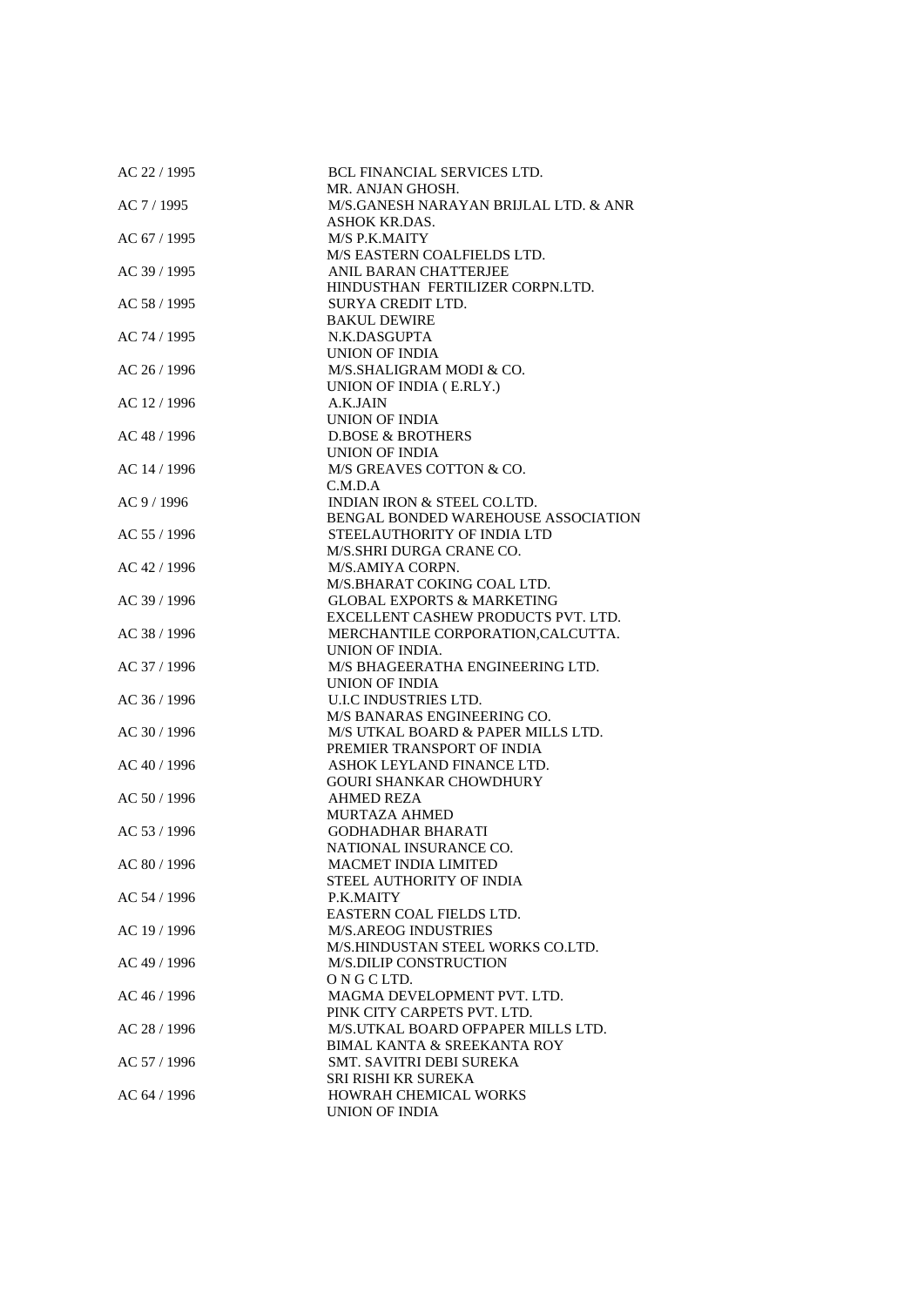| AC 22 / 1995 | <b>BCL FINANCIAL SERVICES LTD.</b>     |
|--------------|----------------------------------------|
|              | MR. ANJAN GHOSH.                       |
| AC 7 / 1995  | M/S.GANESH NARAYAN BRIJLAL LTD. & ANR  |
|              | <b>ASHOK KR.DAS.</b>                   |
| AC 67 / 1995 | M/S P.K.MAITY                          |
|              | M/S EASTERN COALFIELDS LTD.            |
| AC 39 / 1995 | ANIL BARAN CHATTERJEE                  |
|              | HINDUSTHAN FERTILIZER CORPN.LTD.       |
|              |                                        |
| AC 58 / 1995 | SURYA CREDIT LTD.                      |
|              | <b>BAKUL DEWIRE</b>                    |
| AC 74 / 1995 | N.K.DASGUPTA                           |
|              | UNION OF INDIA                         |
| AC 26 / 1996 | M/S.SHALIGRAM MODI & CO.               |
|              | UNION OF INDIA (E.RLY.)                |
| AC 12 / 1996 | A.K.JAIN                               |
|              | UNION OF INDIA                         |
| AC 48 / 1996 | <b>D.BOSE &amp; BROTHERS</b>           |
|              | UNION OF INDIA                         |
| AC 14 / 1996 | M/S GREAVES COTTON & CO.               |
|              | C.M.D.A                                |
| AC 9 / 1996  | INDIAN IRON & STEEL CO.LTD.            |
|              | BENGAL BONDED WAREHOUSE ASSOCIATION    |
| AC 55 / 1996 | STEELAUTHORITY OF INDIA LTD            |
|              | M/S.SHRI DURGA CRANE CO.               |
|              | M/S.AMIYA CORPN.                       |
| AC 42 / 1996 |                                        |
|              | M/S.BHARAT COKING COAL LTD.            |
| AC 39 / 1996 | <b>GLOBAL EXPORTS &amp; MARKETING</b>  |
|              | EXCELLENT CASHEW PRODUCTS PVT. LTD.    |
| AC 38 / 1996 | MERCHANTILE CORPORATION, CALCUTTA.     |
|              | UNION OF INDIA.                        |
| AC 37 / 1996 | M/S BHAGEERATHA ENGINEERING LTD.       |
|              | UNION OF INDIA                         |
| AC 36 / 1996 | U.I.C INDUSTRIES LTD.                  |
|              | M/S BANARAS ENGINEERING CO.            |
| AC 30 / 1996 | M/S UTKAL BOARD & PAPER MILLS LTD.     |
|              | PREMIER TRANSPORT OF INDIA             |
| AC 40 / 1996 | ASHOK LEYLAND FINANCE LTD.             |
|              | <b>GOURI SHANKAR CHOWDHURY</b>         |
| AC 50 / 1996 | <b>AHMED REZA</b>                      |
|              | <b>MURTAZA AHMED</b>                   |
| AC 53 / 1996 | <b>GODHADHAR BHARATI</b>               |
|              | NATIONAL INSURANCE CO.                 |
| AC 80 / 1996 | <b>MACMET INDIA LIMITED</b>            |
|              | STEEL AUTHORITY OF INDIA               |
|              |                                        |
| AC 54 / 1996 | P.K.MAITY                              |
|              | EASTERN COAL FIELDS LTD.               |
| AC 19 / 1996 | <b>M/S.AREOG INDUSTRIES</b>            |
|              | M/S.HINDUSTAN STEEL WORKS CO.LTD.      |
| AC 49 / 1996 | <b>M/S.DILIP CONSTRUCTION</b>          |
|              | ONGCLTD.                               |
| AC 46 / 1996 | MAGMA DEVELOPMENT PVT. LTD.            |
|              | PINK CITY CARPETS PVT. LTD.            |
| AC 28 / 1996 | M/S.UTKAL BOARD OFPAPER MILLS LTD.     |
|              | <b>BIMAL KANTA &amp; SREEKANTA ROY</b> |
| AC 57 / 1996 | SMT. SAVITRI DEBI SUREKA               |
|              | SRI RISHI KR SUREKA                    |
| AC 64 / 1996 | HOWRAH CHEMICAL WORKS                  |
|              | UNION OF INDIA                         |
|              |                                        |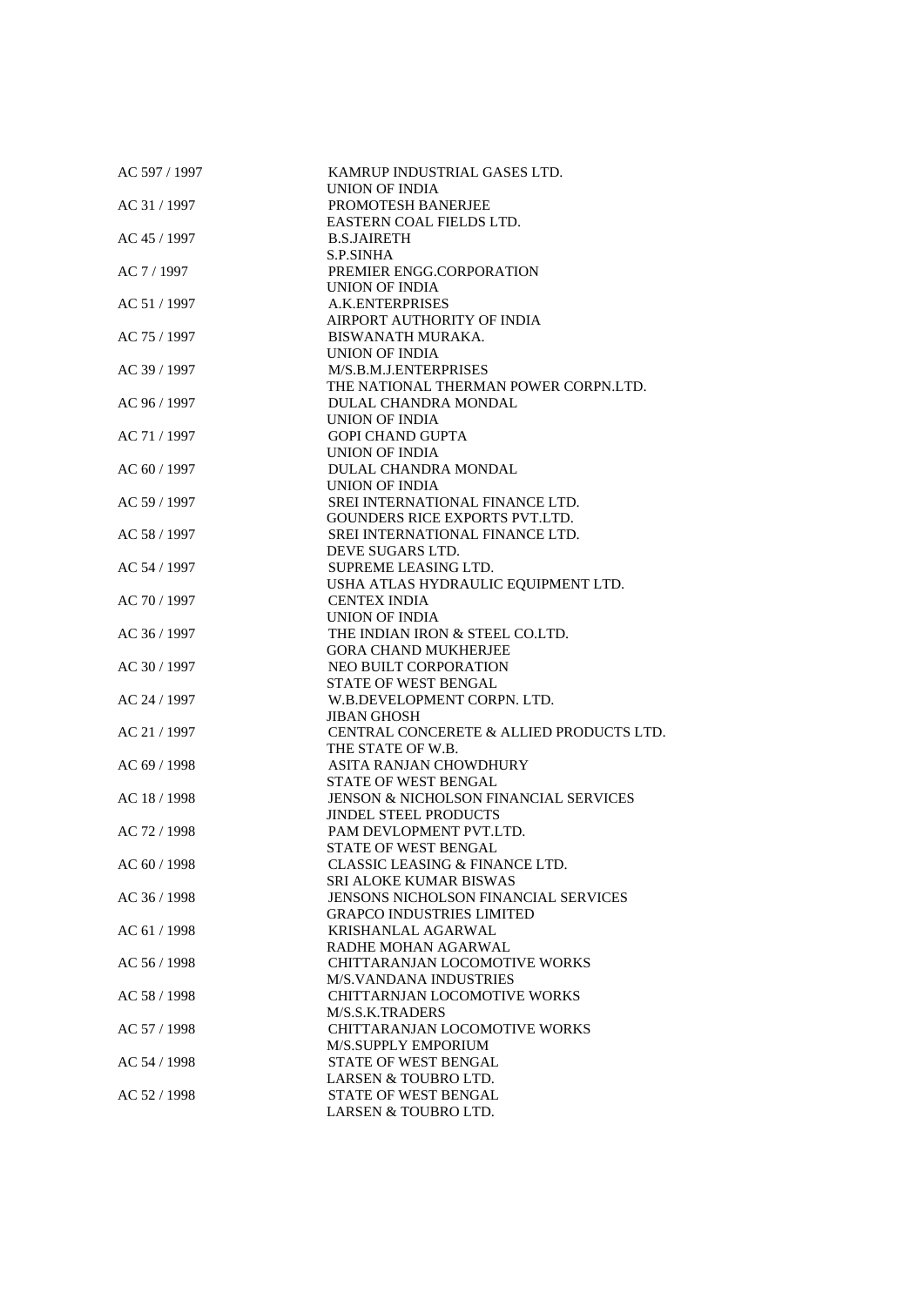| AC 597 / 1997 | KAMRUP INDUSTRIAL GASES LTD.<br>UNION OF INDIA   |
|---------------|--------------------------------------------------|
| AC 31 / 1997  | PROMOTESH BANERJEE                               |
|               | EASTERN COAL FIELDS LTD.                         |
| AC 45 / 1997  | <b>B.S.JAIRETH</b>                               |
|               | <b>S.P.SINHA</b>                                 |
| AC 7 / 1997   | PREMIER ENGG.CORPORATION                         |
|               | UNION OF INDIA                                   |
| AC 51 / 1997  | A.K.ENTERPRISES                                  |
|               | AIRPORT AUTHORITY OF INDIA                       |
| AC 75 / 1997  | BISWANATH MURAKA.                                |
|               | UNION OF INDIA                                   |
| AC 39 / 1997  | M/S.B.M.J.ENTERPRISES                            |
|               | THE NATIONAL THERMAN POWER CORPN.LTD.            |
| AC 96 / 1997  | DULAL CHANDRA MONDAL                             |
|               | UNION OF INDIA                                   |
| AC 71 / 1997  | <b>GOPI CHAND GUPTA</b>                          |
|               | UNION OF INDIA                                   |
| AC 60 / 1997  | DULAL CHANDRA MONDAL                             |
|               | UNION OF INDIA                                   |
| AC 59 / 1997  | SREI INTERNATIONAL FINANCE LTD.                  |
|               | GOUNDERS RICE EXPORTS PVT.LTD.                   |
| AC 58 / 1997  | SREI INTERNATIONAL FINANCE LTD.                  |
|               | DEVE SUGARS LTD.                                 |
| AC 54 / 1997  | SUPREME LEASING LTD.                             |
|               | USHA ATLAS HYDRAULIC EQUIPMENT LTD.              |
| AC 70 / 1997  | <b>CENTEX INDIA</b>                              |
|               | UNION OF INDIA                                   |
| AC 36 / 1997  | THE INDIAN IRON & STEEL CO.LTD.                  |
|               | <b>GORA CHAND MUKHERJEE</b>                      |
| AC 30 / 1997  | NEO BUILT CORPORATION                            |
|               | STATE OF WEST BENGAL                             |
| AC 24 / 1997  | W.B.DEVELOPMENT CORPN. LTD.                      |
|               | <b>JIBAN GHOSH</b>                               |
| AC 21 / 1997  | CENTRAL CONCERETE & ALLIED PRODUCTS LTD.         |
|               | THE STATE OF W.B.                                |
| AC 69 / 1998  | ASITA RANJAN CHOWDHURY                           |
|               | STATE OF WEST BENGAL                             |
| AC 18 / 1998  | <b>JENSON &amp; NICHOLSON FINANCIAL SERVICES</b> |
|               | <b>JINDEL STEEL PRODUCTS</b>                     |
| AC 72 / 1998  | PAM DEVLOPMENT PVT.LTD.                          |
|               | <b>STATE OF WEST BENGAL</b>                      |
| AC 60 / 1998  | <b>CLASSIC LEASING &amp; FINANCE LTD.</b>        |
|               | SRI ALOKE KUMAR BISWAS                           |
| AC 36 / 1998  | JENSONS NICHOLSON FINANCIAL SERVICES             |
|               | <b>GRAPCO INDUSTRIES LIMITED</b>                 |
| AC 61 / 1998  | KRISHANLAL AGARWAL                               |
|               | RADHE MOHAN AGARWAL                              |
| AC 56 / 1998  | CHITTARANJAN LOCOMOTIVE WORKS                    |
|               | <b>M/S.VANDANA INDUSTRIES</b>                    |
| AC 58 / 1998  | CHITTARNJAN LOCOMOTIVE WORKS                     |
|               | M/S.S.K.TRADERS                                  |
| AC 57 / 1998  | CHITTARANJAN LOCOMOTIVE WORKS                    |
|               | M/S.SUPPLY EMPORIUM                              |
| AC 54 / 1998  | STATE OF WEST BENGAL                             |
|               | LARSEN & TOUBRO LTD.                             |
| AC 52 / 1998  | STATE OF WEST BENGAL                             |
|               | LARSEN & TOUBRO LTD.                             |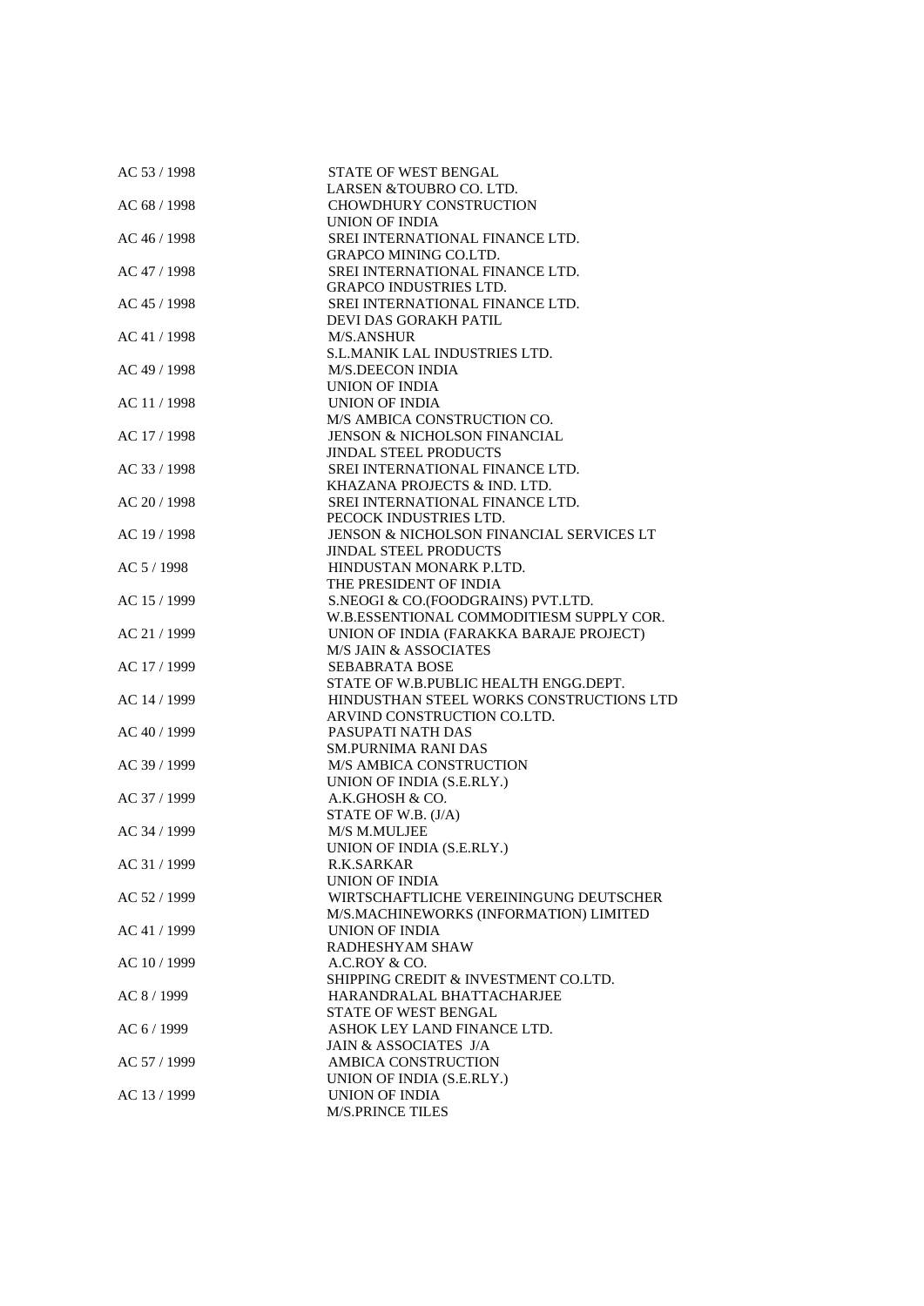| AC 53 / 1998 | STATE OF WEST BENGAL                     |
|--------------|------------------------------------------|
|              | LARSEN & TOUBRO CO. LTD.                 |
| AC 68 / 1998 | <b>CHOWDHURY CONSTRUCTION</b>            |
|              | UNION OF INDIA                           |
| AC 46 / 1998 | SREI INTERNATIONAL FINANCE LTD.          |
|              | <b>GRAPCO MINING CO.LTD.</b>             |
| AC 47 / 1998 | SREI INTERNATIONAL FINANCE LTD.          |
|              | GRAPCO INDUSTRIES LTD.                   |
| AC 45 / 1998 | SREI INTERNATIONAL FINANCE LTD.          |
|              | DEVI DAS GORAKH PATIL                    |
| AC 41 / 1998 | <b>M/S.ANSHUR</b>                        |
|              | S.L.MANIK LAL INDUSTRIES LTD.            |
|              |                                          |
| AC 49 / 1998 | <b>M/S.DEECON INDIA</b>                  |
|              | UNION OF INDIA                           |
| AC 11 / 1998 | UNION OF INDIA                           |
|              | M/S AMBICA CONSTRUCTION CO.              |
| AC 17 / 1998 | <b>JENSON &amp; NICHOLSON FINANCIAL</b>  |
|              | <b>JINDAL STEEL PRODUCTS</b>             |
| AC 33 / 1998 | SREI INTERNATIONAL FINANCE LTD.          |
|              | KHAZANA PROJECTS & IND. LTD.             |
| AC 20 / 1998 | SREI INTERNATIONAL FINANCE LTD.          |
|              | PECOCK INDUSTRIES LTD.                   |
| AC 19 / 1998 | JENSON & NICHOLSON FINANCIAL SERVICES LT |
|              | <b>JINDAL STEEL PRODUCTS</b>             |
| AC 5 / 1998  | HINDUSTAN MONARK P.LTD.                  |
|              | THE PRESIDENT OF INDIA                   |
| AC 15 / 1999 | S.NEOGI & CO.(FOODGRAINS) PVT.LTD.       |
|              | W.B.ESSENTIONAL COMMODITIESM SUPPLY COR. |
| AC 21 / 1999 | UNION OF INDIA (FARAKKA BARAJE PROJECT)  |
|              | <b>M/S JAIN &amp; ASSOCIATES</b>         |
| AC 17 / 1999 | <b>SEBABRATA BOSE</b>                    |
|              | STATE OF W.B.PUBLIC HEALTH ENGG.DEPT.    |
| AC 14 / 1999 | HINDUSTHAN STEEL WORKS CONSTRUCTIONS LTD |
|              | ARVIND CONSTRUCTION CO.LTD.              |
| AC 40 / 1999 | PASUPATI NATH DAS                        |
|              | <b>SM.PURNIMA RANI DAS</b>               |
| AC 39 / 1999 | <b>M/S AMBICA CONSTRUCTION</b>           |
|              | UNION OF INDIA (S.E.RLY.)                |
| AC 37 / 1999 | A.K.GHOSH & CO.                          |
|              | STATE OF W.B. (J/A)                      |
| AC 34 / 1999 | M/S M.MULJEE                             |
|              | UNION OF INDIA (S.E.RLY.)                |
| AC 31 / 1999 | R.K.SARKAR                               |
|              | UNION OF INDIA                           |
| AC 52 / 1999 | WIRTSCHAFTLICHE VEREININGUNG DEUTSCHER   |
|              | M/S.MACHINEWORKS (INFORMATION) LIMITED   |
| AC 41 / 1999 | UNION OF INDIA                           |
|              | RADHESHYAM SHAW                          |
| AC 10 / 1999 | A.C.ROY & CO.                            |
|              | SHIPPING CREDIT & INVESTMENT CO.LTD.     |
| AC 8 / 1999  | HARANDRALAL BHATTACHARJEE                |
|              | STATE OF WEST BENGAL                     |
| AC 6 / 1999  | ASHOK LEY LAND FINANCE LTD.              |
|              | JAIN & ASSOCIATES J/A                    |
| AC 57 / 1999 | AMBICA CONSTRUCTION                      |
|              | UNION OF INDIA (S.E.RLY.)                |
| AC 13 / 1999 | UNION OF INDIA                           |
|              | <b>M/S.PRINCE TILES</b>                  |
|              |                                          |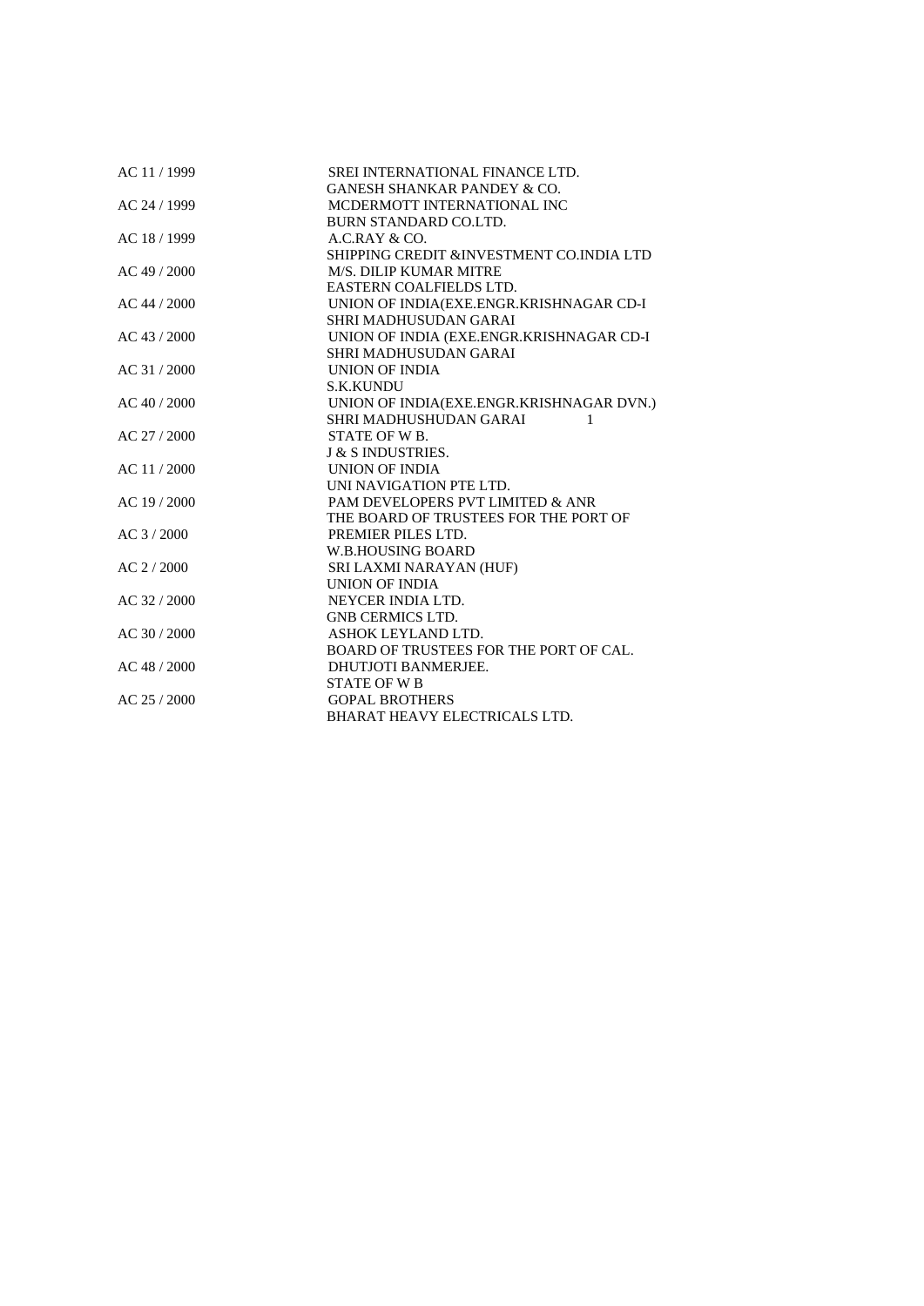| AC 11 / 1999   | SREI INTERNATIONAL FINANCE LTD.               |
|----------------|-----------------------------------------------|
|                | <b>GANESH SHANKAR PANDEY &amp; CO.</b>        |
| AC 24 / 1999   | MCDERMOTT INTERNATIONAL INC                   |
|                | <b>BURN STANDARD CO.LTD.</b>                  |
| AC 18 / 1999   | A.C.RAY & CO.                                 |
|                | SHIPPING CREDIT & INVESTMENT CO. INDIA LTD    |
| AC 49 / 2000   | <b>M/S. DILIP KUMAR MITRE</b>                 |
|                | EASTERN COALFIELDS LTD.                       |
| AC 44 / 2000   | UNION OF INDIA(EXE.ENGR.KRISHNAGAR CD-I       |
|                | SHRI MADHUSUDAN GARAI                         |
| AC 43 / 2000   | UNION OF INDIA (EXE.ENGR.KRISHNAGAR CD-I      |
|                | SHRI MADHUSUDAN GARAI                         |
| $AC$ 31 / 2000 | UNION OF INDIA                                |
|                | <b>S.K.KUNDU</b>                              |
| AC 40 / 2000   | UNION OF INDIA(EXE.ENGR.KRISHNAGAR DVN.)      |
|                | SHRI MADHUSHUDAN GARAI<br>1                   |
| AC 27 / 2000   | STATE OF W <sub>B</sub> .                     |
|                | J & S INDUSTRIES.                             |
| AC 11/2000     | <b>UNION OF INDIA</b>                         |
|                | UNI NAVIGATION PTE LTD.                       |
| AC 19 / 2000   | PAM DEVELOPERS PVT LIMITED & ANR              |
|                | THE BOARD OF TRUSTEES FOR THE PORT OF         |
| AC 3 / 2000    | PREMIER PILES LTD.                            |
|                | W.B.HOUSING BOARD                             |
| AC 2 / 2000    | SRI LAXMI NARAYAN (HUF)                       |
|                | UNION OF INDIA                                |
| AC 32 / 2000   | NEYCER INDIA LTD.                             |
|                | <b>GNB CERMICS LTD.</b>                       |
| AC 30 / 2000   | ASHOK LEYLAND LTD.                            |
|                | <b>BOARD OF TRUSTEES FOR THE PORT OF CAL.</b> |
| AC 48 / 2000   | <b>DHUTJOTI BANMERJEE.</b>                    |
|                | <b>STATE OF W B</b>                           |
| $AC$ 25 / 2000 | <b>GOPAL BROTHERS</b>                         |
|                | <b>BHARAT HEAVY ELECTRICALS LTD.</b>          |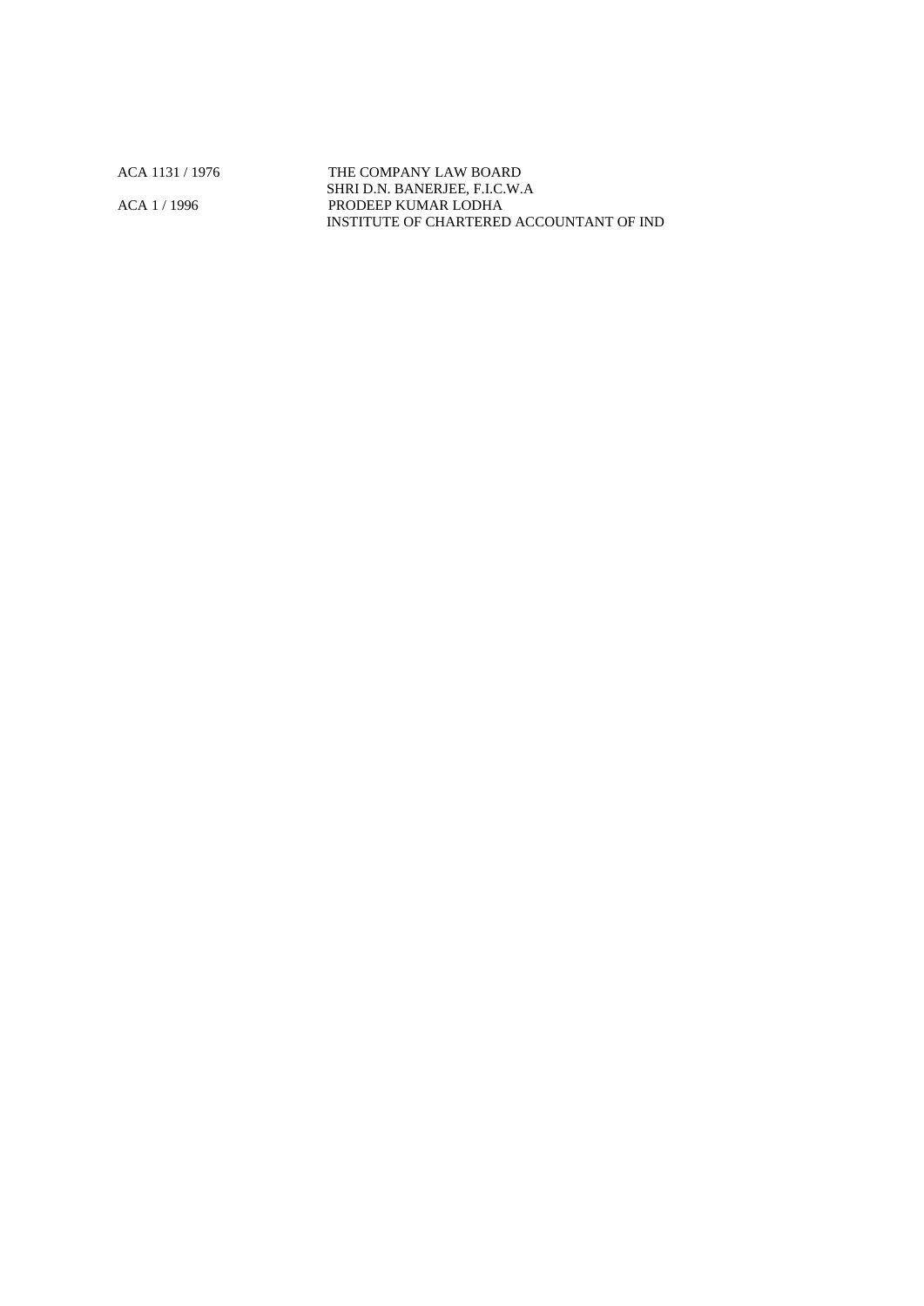ACA 1131 / 1976 THE COMPANY LAW BOARD SHRI D.N. BANERJEE, F.I.C.W.A ACA 1 / 1996 PRODEEP KUMAR LODHA INSTITUTE OF CHARTERED ACCOUNTANT OF IND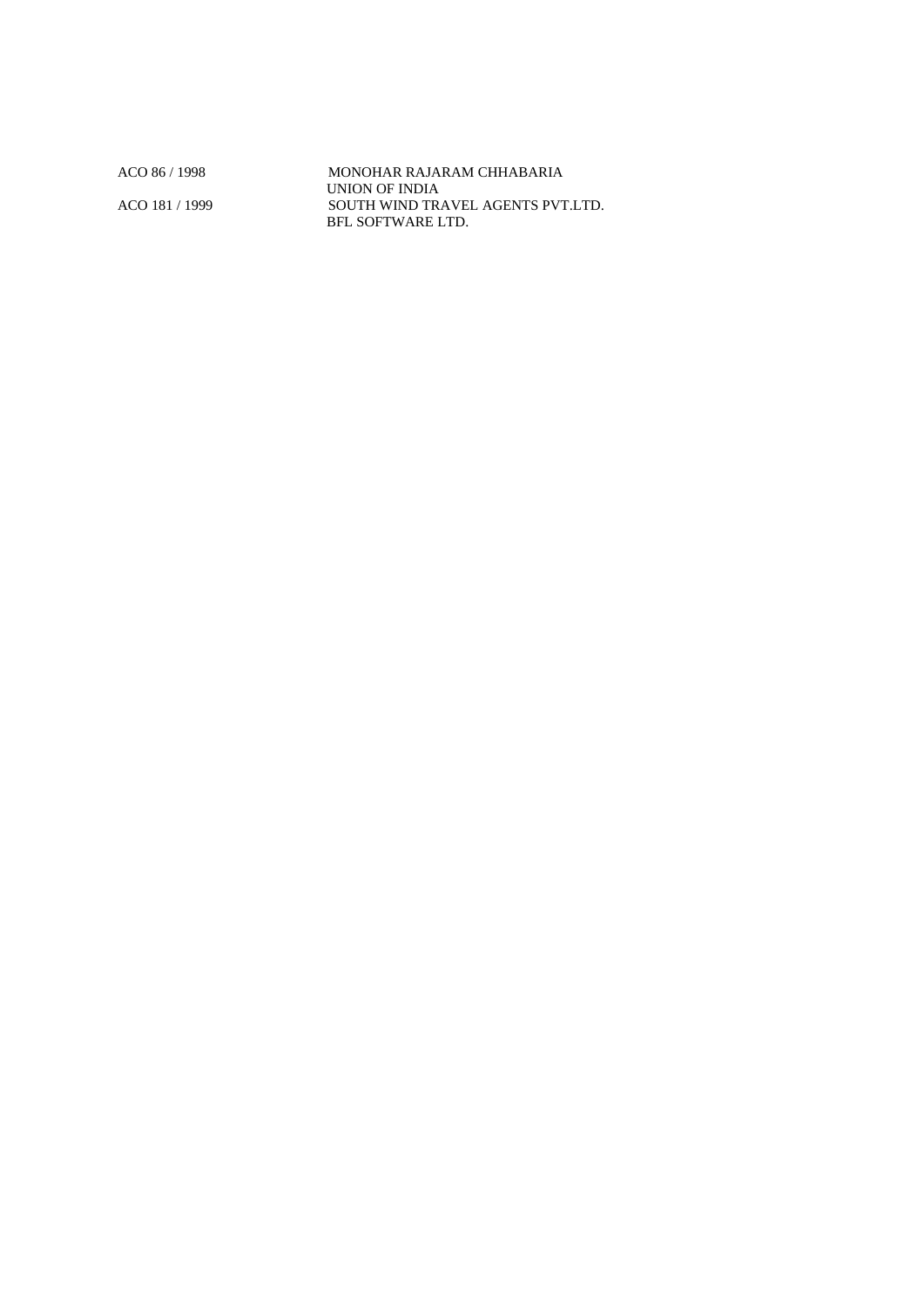ACO 86 / 1998 MONOHAR RAJARAM CHHABARIA UNION OF INDIA ACO 181 / 1999 SOUTH WIND TRAVEL AGENTS PVT.LTD. BFL SOFTWARE LTD.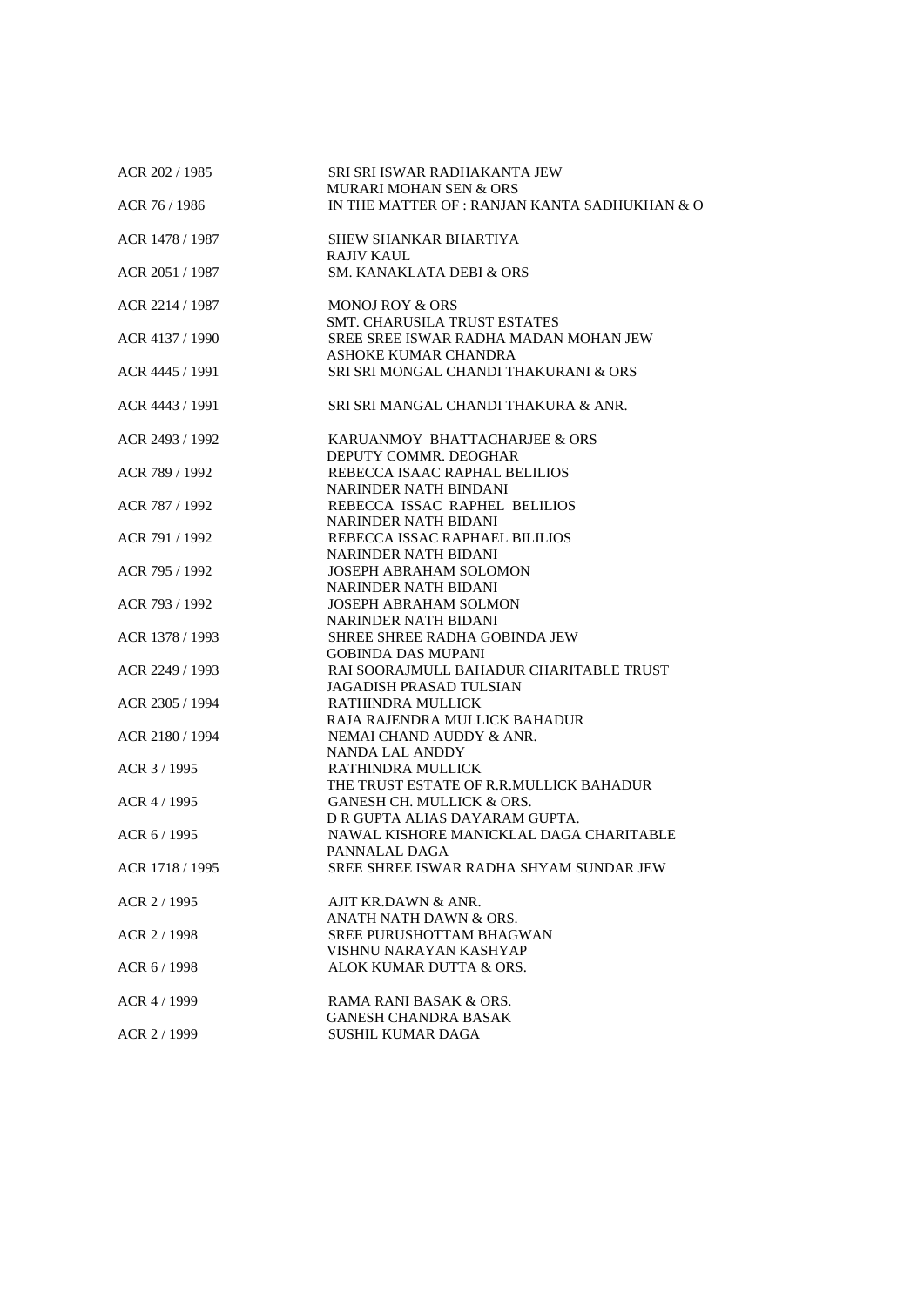| ACR 202 / 1985  | SRI SRI ISWAR RADHAKANTA JEW<br><b>MURARI MOHAN SEN &amp; ORS</b>         |
|-----------------|---------------------------------------------------------------------------|
| ACR 76 / 1986   | IN THE MATTER OF: RANJAN KANTA SADHUKHAN & O                              |
| ACR 1478 / 1987 | SHEW SHANKAR BHARTIYA<br><b>RAJIV KAUL</b>                                |
| ACR 2051 / 1987 | SM. KANAKLATA DEBI & ORS                                                  |
| ACR 2214 / 1987 | <b>MONOJ ROY &amp; ORS</b><br><b>SMT. CHARUSILA TRUST ESTATES</b>         |
| ACR 4137 / 1990 | SREE SREE ISWAR RADHA MADAN MOHAN JEW<br>ASHOKE KUMAR CHANDRA             |
| ACR 4445 / 1991 | SRI SRI MONGAL CHANDI THAKURANI & ORS                                     |
| ACR 4443 / 1991 | SRI SRI MANGAL CHANDI THAKURA & ANR.                                      |
| ACR 2493 / 1992 | KARUANMOY BHATTACHARJEE & ORS<br>DEPUTY COMMR. DEOGHAR                    |
| ACR 789 / 1992  | REBECCA ISAAC RAPHAL BELILIOS<br>NARINDER NATH BINDANI                    |
| ACR 787 / 1992  | REBECCA ISSAC RAPHEL BELILIOS<br>NARINDER NATH BIDANI                     |
| ACR 791 / 1992  | REBECCA ISSAC RAPHAEL BILILIOS<br><b>NARINDER NATH BIDANI</b>             |
| ACR 795 / 1992  | <b>JOSEPH ABRAHAM SOLOMON</b><br><b>NARINDER NATH BIDANI</b>              |
| ACR 793 / 1992  | <b>JOSEPH ABRAHAM SOLMON</b><br>NARINDER NATH BIDANI                      |
| ACR 1378 / 1993 | SHREE SHREE RADHA GOBINDA JEW<br><b>GOBINDA DAS MUPANI</b>                |
| ACR 2249 / 1993 | RAI SOORAJMULL BAHADUR CHARITABLE TRUST<br><b>JAGADISH PRASAD TULSIAN</b> |
| ACR 2305 / 1994 | RATHINDRA MULLICK<br>RAJA RAJENDRA MULLICK BAHADUR                        |
| ACR 2180 / 1994 | NEMAI CHAND AUDDY & ANR.<br>NANDA LAL ANDDY                               |
| ACR 3 / 1995    | <b>RATHINDRA MULLICK</b><br>THE TRUST ESTATE OF R.R.MULLICK BAHADUR       |
| ACR 4 / 1995    | GANESH CH. MULLICK & ORS.<br>D R GUPTA ALIAS DAYARAM GUPTA.               |
| ACR 6 / 1995    | NAWAL KISHORE MANICKLAL DAGA CHARITABLE<br>PANNALAL DAGA                  |
| ACR 1718 / 1995 | SREE SHREE ISWAR RADHA SHYAM SUNDAR JEW                                   |
| ACR 2 / 1995    | AJIT KR.DAWN & ANR.<br>ANATH NATH DAWN & ORS.                             |
| ACR 2 / 1998    | SREE PURUSHOTTAM BHAGWAN<br>VISHNU NARAYAN KASHYAP                        |
| ACR 6 / 1998    | ALOK KUMAR DUTTA & ORS.                                                   |
| ACR 4 / 1999    | RAMA RANI BASAK & ORS.<br><b>GANESH CHANDRA BASAK</b>                     |
| ACR 2 / 1999    | <b>SUSHIL KUMAR DAGA</b>                                                  |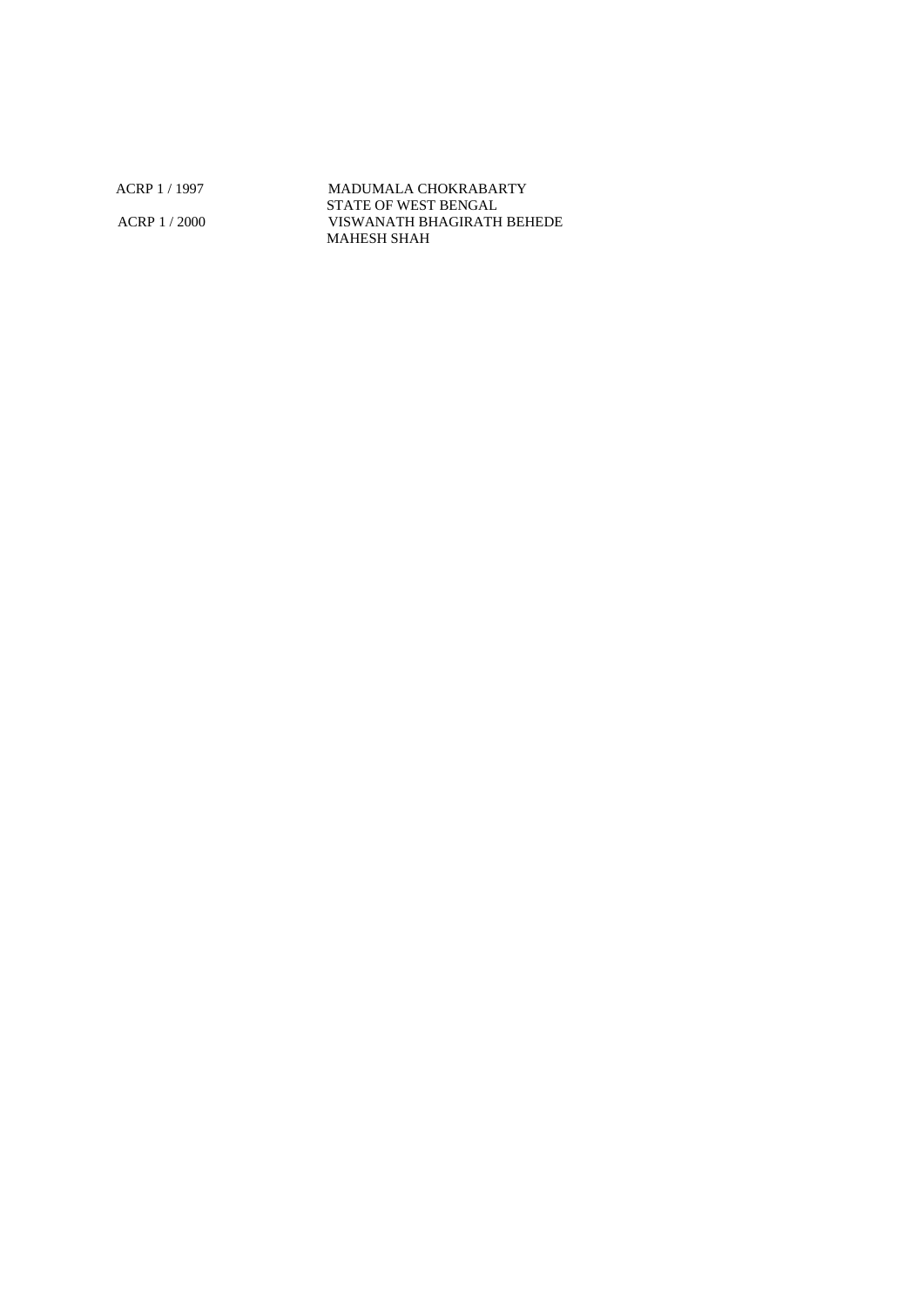ACRP 1 / 1997 MADUMALA CHOKRABARTY STATE OF WEST BENGAL ACRP 1 / 2000 VISWANATH BHAGIRATH BEHEDE MAHESH SHAH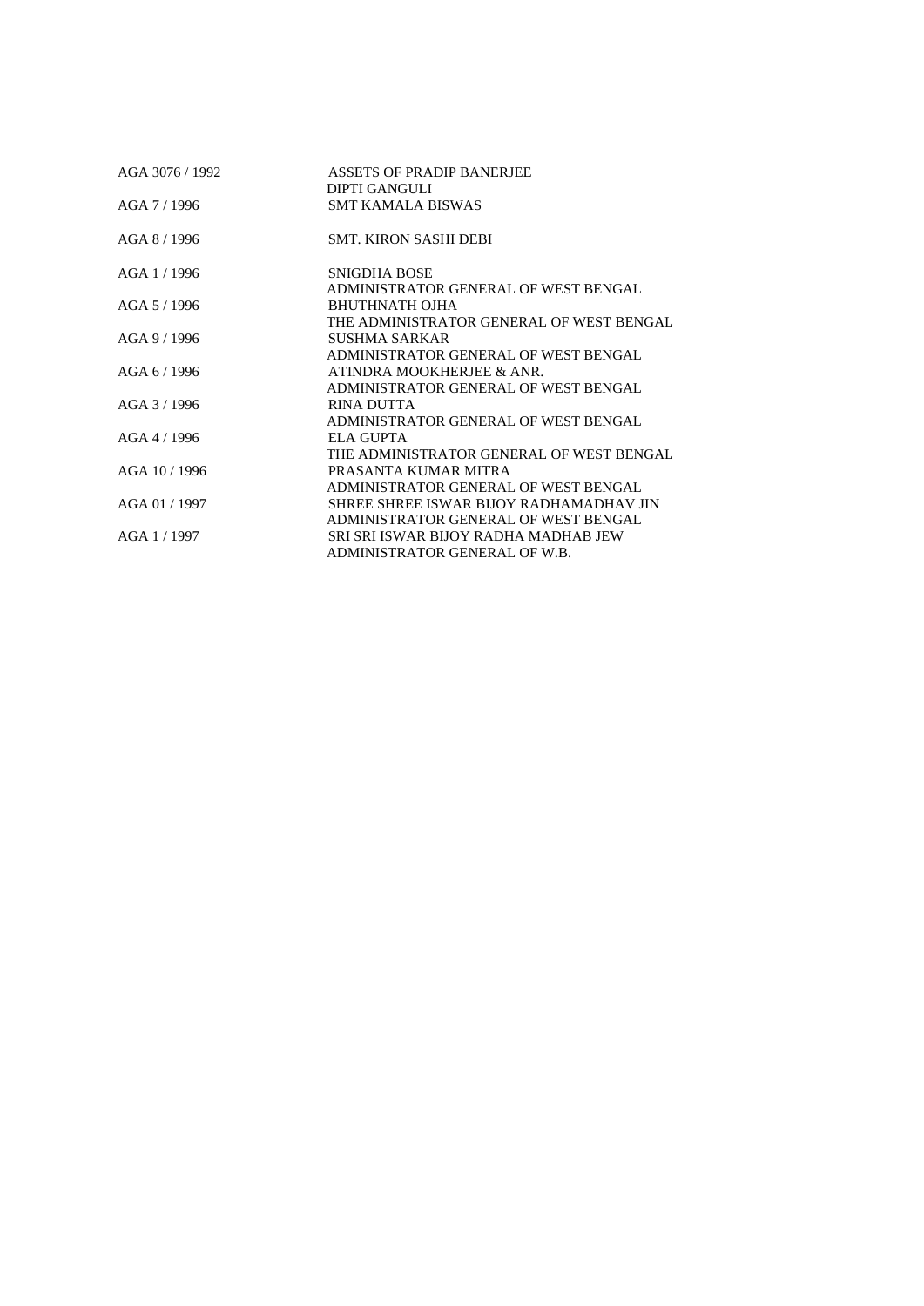| AGA 3076 / 1992 | ASSETS OF PRADIP BANERIEE                |
|-----------------|------------------------------------------|
|                 | DIPTI GANGULI                            |
| AGA 7/1996      | <b>SMT KAMALA BISWAS</b>                 |
| AGA 8 / 1996    | <b>SMT. KIRON SASHI DEBI</b>             |
| AGA 1 / 1996    | <b>SNIGDHA BOSE</b>                      |
|                 | ADMINISTRATOR GENERAL OF WEST BENGAL     |
| AGA 5/1996      | BHUTHNATH OJHA                           |
|                 | THE ADMINISTRATOR GENERAL OF WEST BENGAL |
| AGA9/1996       | SUSHMA SARKAR                            |
|                 | ADMINISTRATOR GENERAL OF WEST BENGAL     |
| AGA 6/1996      | ATINDRA MOOKHERJEE & ANR.                |
|                 | ADMINISTRATOR GENERAL OF WEST BENGAL     |
| AGA 3 / 1996    | RINA DUTTA                               |
|                 | ADMINISTRATOR GENERAL OF WEST BENGAL     |
| $AGA$ 4 / 1996  | ELA GUPTA                                |
|                 | THE ADMINISTRATOR GENERAL OF WEST BENGAL |
| AGA 10 / 1996   | PRASANTA KUMAR MITRA                     |
|                 | ADMINISTRATOR GENERAL OF WEST BENGAL     |
| AGA 01 / 1997   | SHREE SHREE ISWAR BIJOY RADHAMADHAV JIN  |
|                 | ADMINISTRATOR GENERAL OF WEST BENGAL     |
| AGA 1/1997      | SRI SRI ISWAR BIJOY RADHA MADHAB JEW     |
|                 | ADMINISTRATOR GENERAL OF W.B.            |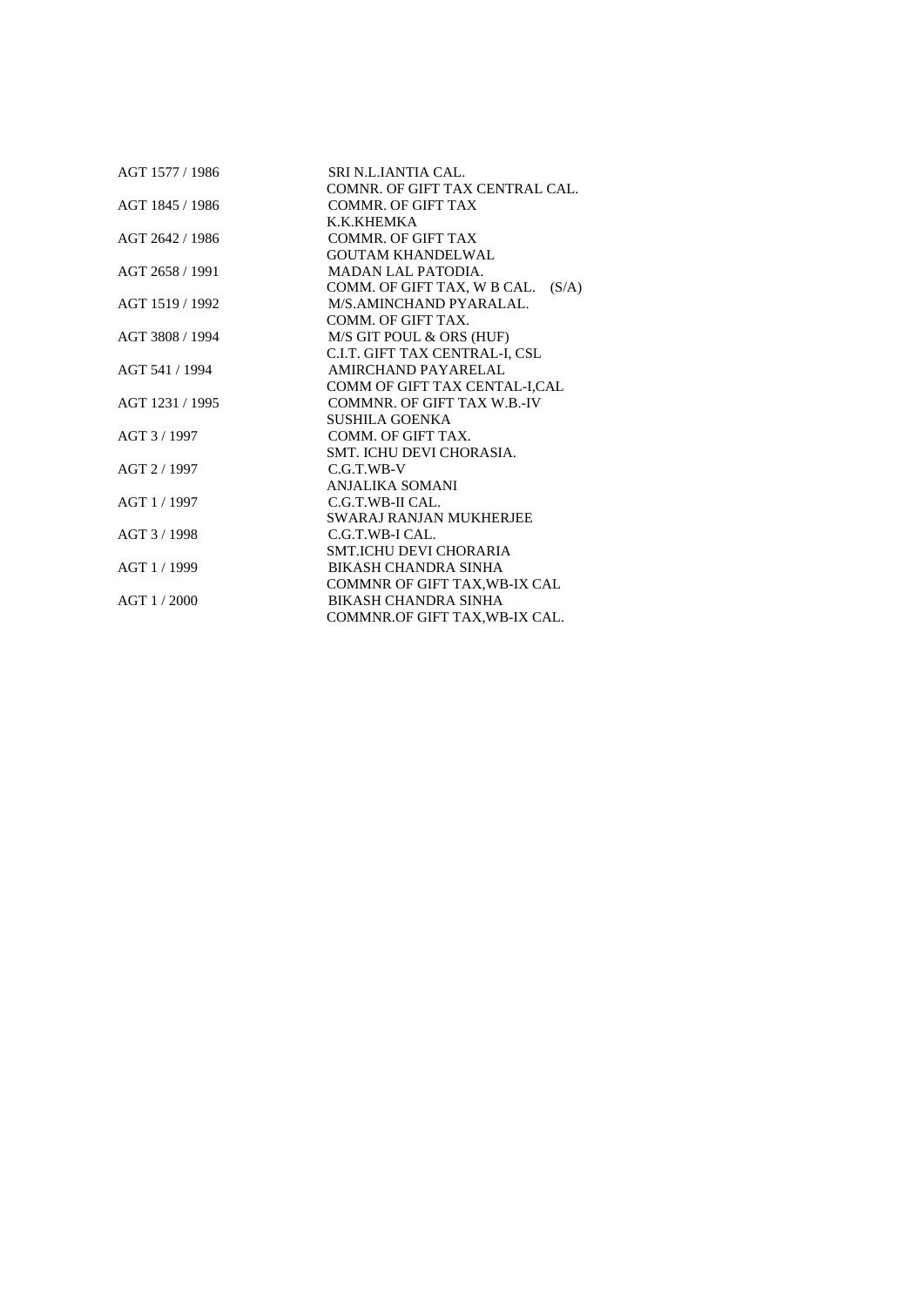| AGT 1577 / 1986 | SRI N.L.IANTIA CAL.               |  |
|-----------------|-----------------------------------|--|
|                 | COMNR. OF GIFT TAX CENTRAL CAL.   |  |
| AGT 1845 / 1986 | <b>COMMR. OF GIFT TAX</b>         |  |
|                 | K.K.KHEMKA                        |  |
| AGT 2642 / 1986 | <b>COMMR. OF GIFT TAX</b>         |  |
|                 | <b>GOUTAM KHANDELWAL</b>          |  |
| AGT 2658 / 1991 | <b>MADAN LAL PATODIA.</b>         |  |
|                 | COMM. OF GIFT TAX, W B CAL. (S/A) |  |
| AGT 1519 / 1992 | M/S.AMINCHAND PYARALAL.           |  |
|                 | COMM. OF GIFT TAX.                |  |
| AGT 3808 / 1994 | M/S GIT POUL & ORS (HUF)          |  |
|                 | C.I.T. GIFT TAX CENTRAL-I, CSL    |  |
| AGT 541 / 1994  | AMIRCHAND PAYARELAL               |  |
|                 | COMM OF GIFT TAX CENTAL-I,CAL     |  |
| AGT 1231 / 1995 | COMMNR. OF GIFT TAX W.B.-IV       |  |
|                 | <b>SUSHILA GOENKA</b>             |  |
| AGT 3 / 1997    | COMM. OF GIFT TAX.                |  |
|                 | SMT. ICHU DEVI CHORASIA.          |  |
| AGT 2/1997      | $C.G.T.WB-V$                      |  |
|                 | ANJALIKA SOMANI                   |  |
| AGT 1 / 1997    | C.G.T.WB-II CAL.                  |  |
|                 | <b>SWARAJ RANJAN MUKHERJEE</b>    |  |
| AGT 3 / 1998    | C.G.T.WB-I CAL.                   |  |
|                 | SMT.ICHU DEVI CHORARIA            |  |
| AGT 1/1999      | <b>BIKASH CHANDRA SINHA</b>       |  |
|                 | COMMNR OF GIFT TAX, WB-IX CAL     |  |
| $AGT$ 1 / 2000  | BIKASH CHANDRA SINHA              |  |
|                 | COMMNR.OF GIFT TAX, WB-IX CAL.    |  |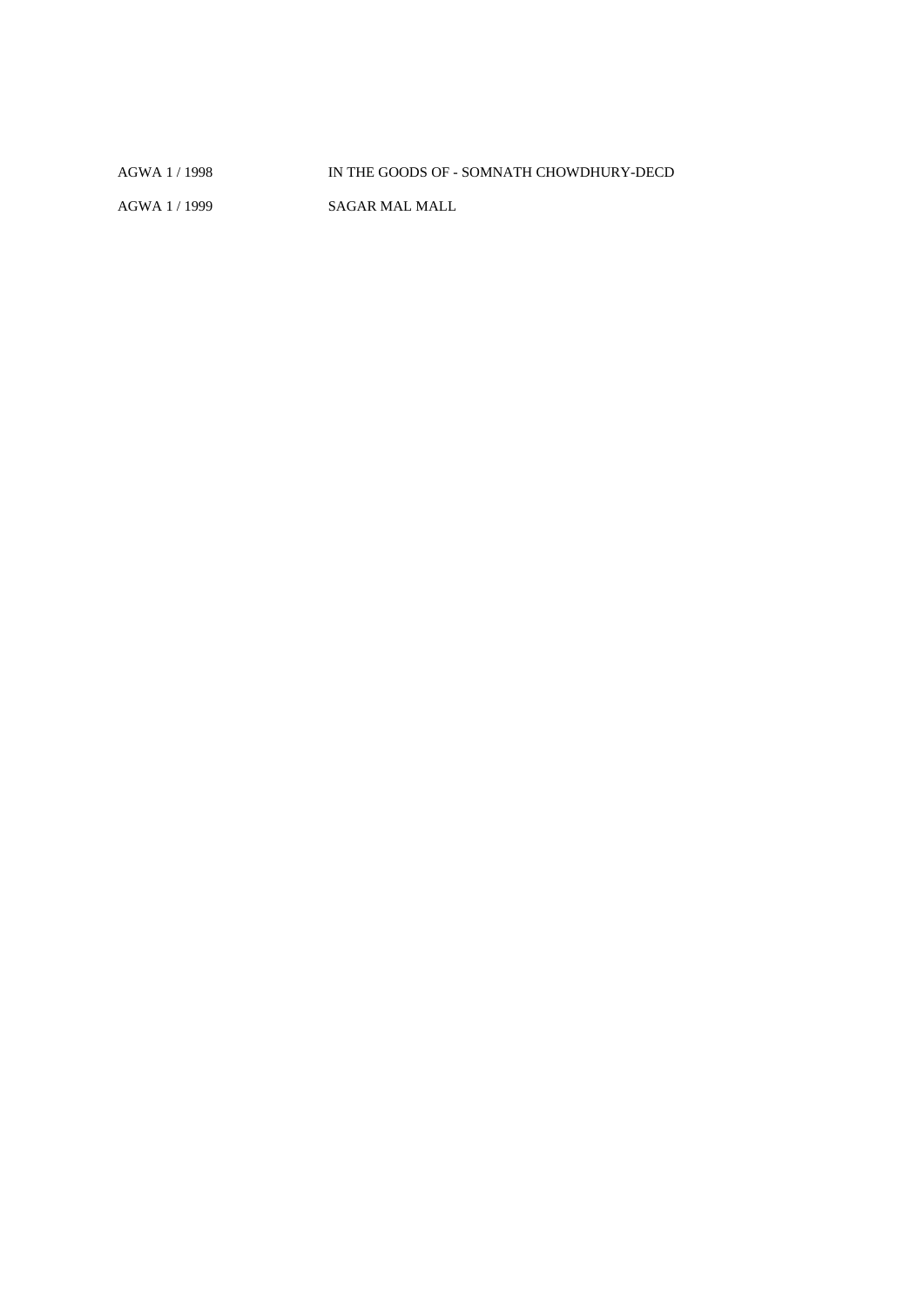AGWA 1 / 1998 IN THE GOODS OF - SOMNATH CHOWDHURY-DECD AGWA 1 / 1999 SAGAR MAL MALL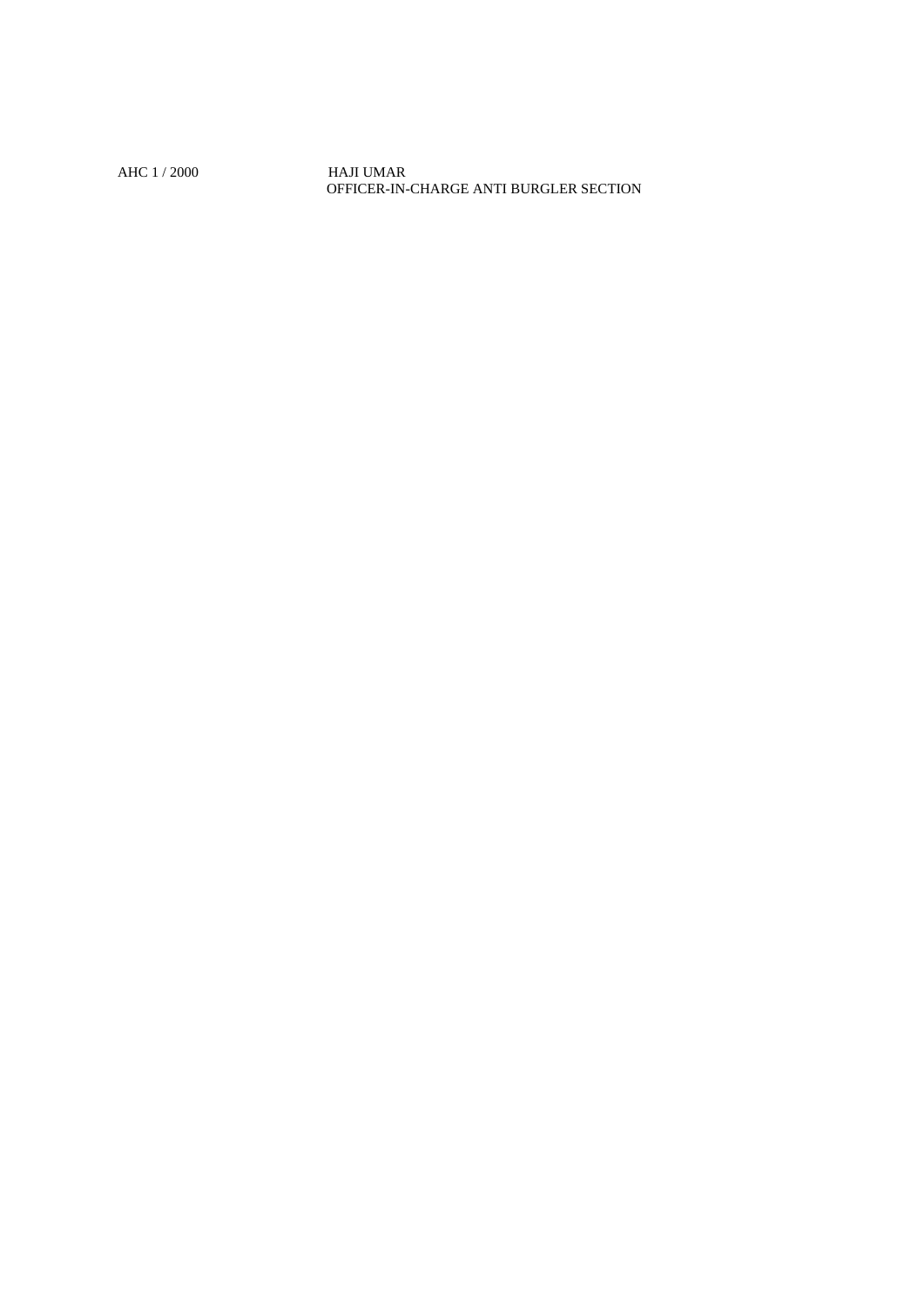AHC 1 / 2000 HAJI UMAR OFFICER-IN-CHARGE ANTI BURGLER SECTION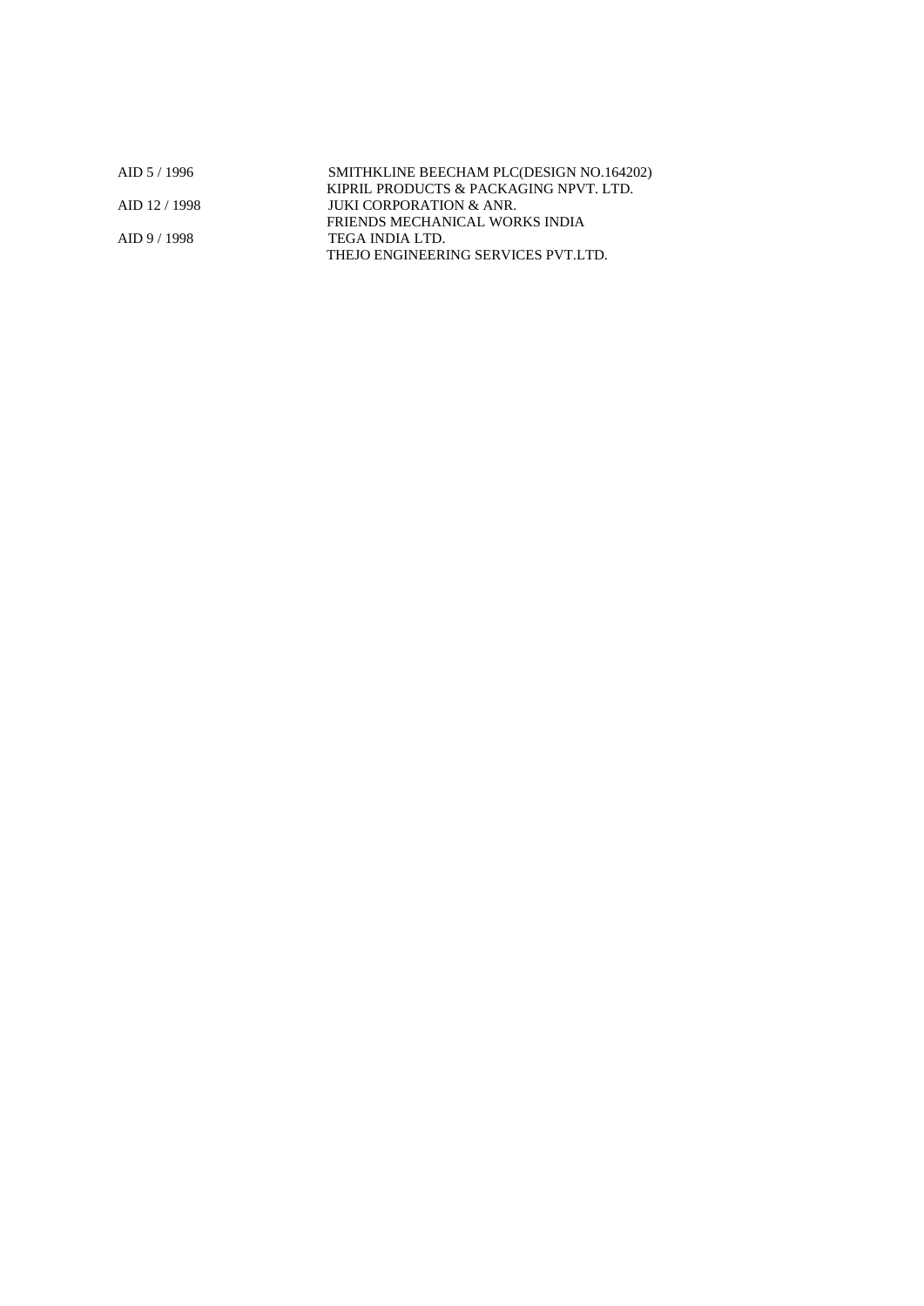| $AID$ 5 / 1996 | SMITHKLINE BEECHAM PLC(DESIGN NO.164202) |
|----------------|------------------------------------------|
|                | KIPRIL PRODUCTS & PACKAGING NPVT. LTD.   |
| AID 12/1998    | JUKI CORPORATION & ANR.                  |
|                | FRIENDS MECHANICAL WORKS INDIA           |
| AID 9/1998     | TEGA INDIA LTD.                          |
|                | THEJO ENGINEERING SERVICES PVT.LTD.      |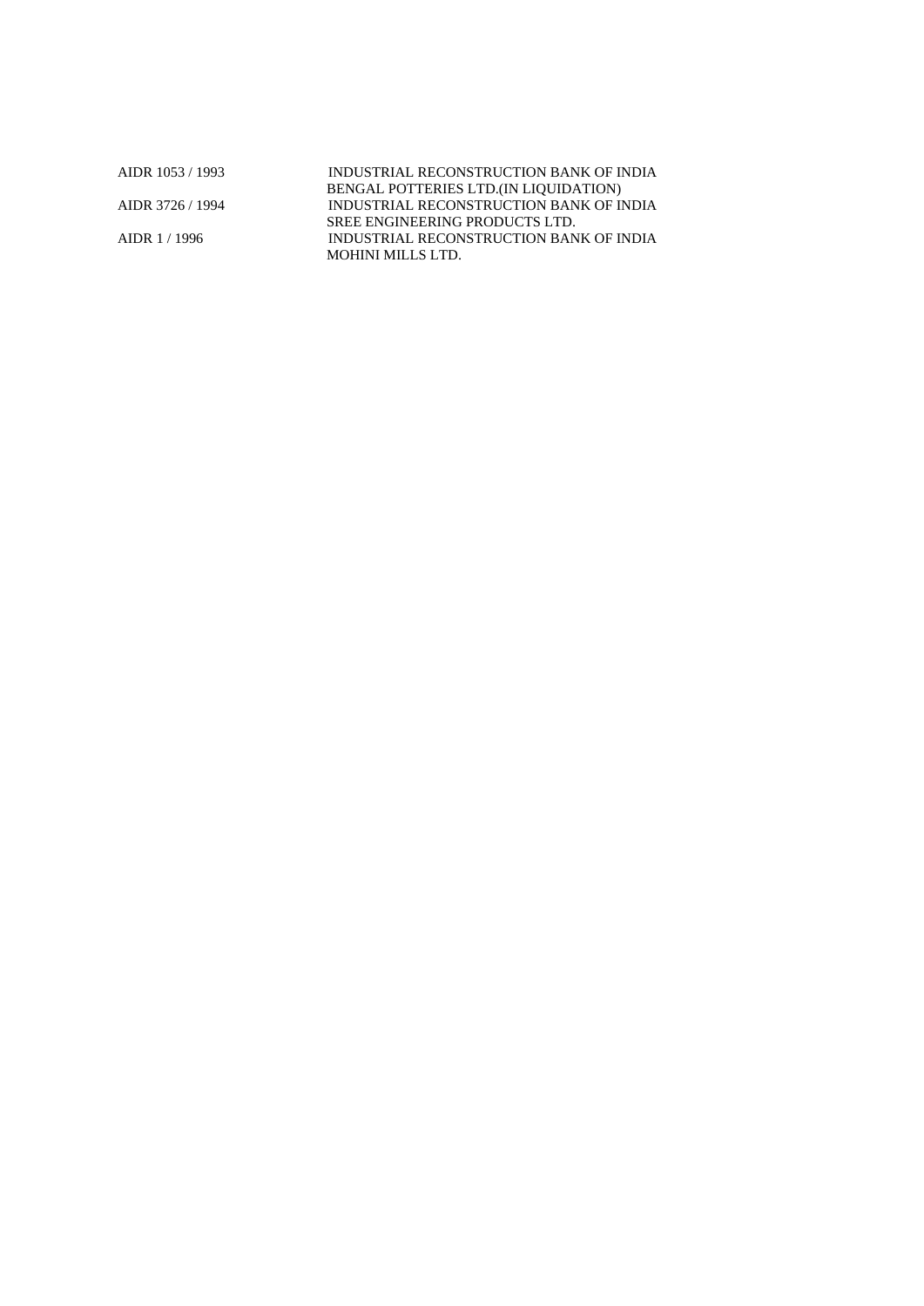AIDR 1053 / 1993 INDUSTRIAL RECONSTRUCTION BANK OF INDIA BENGAL POTTERIES LTD.(IN LIQUIDATION) AIDR 3726 / 1994 INDUSTRIAL RECONSTRUCTION BANK OF INDIA SREE ENGINEERING PRODUCTS LTD. AIDR 1 / 1996 INDUSTRIAL RECONSTRUCTION BANK OF INDIA MOHINI MILLS LTD.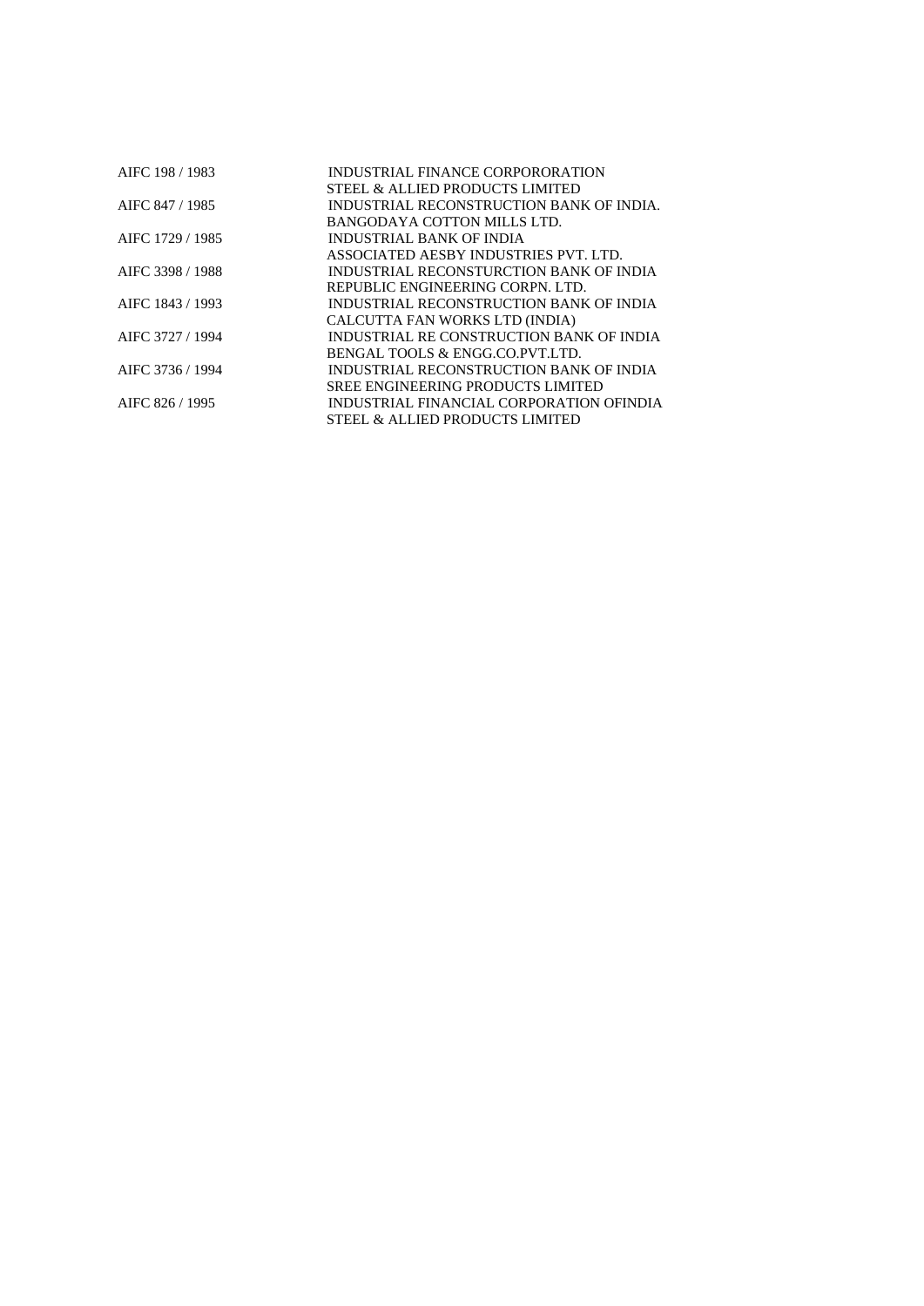| AIFC 198 / 1983  | INDUSTRIAL FINANCE CORPORORATION         |
|------------------|------------------------------------------|
|                  | STEEL & ALLIED PRODUCTS LIMITED          |
| AIFC 847 / 1985  | INDUSTRIAL RECONSTRUCTION BANK OF INDIA. |
|                  | BANGODAYA COTTON MILLS LTD.              |
| AIFC 1729 / 1985 | INDUSTRIAL BANK OF INDIA                 |
|                  | ASSOCIATED AESBY INDUSTRIES PVT. LTD.    |
| AIFC 3398 / 1988 | INDUSTRIAL RECONSTURCTION BANK OF INDIA  |
|                  | REPUBLIC ENGINEERING CORPN. LTD.         |
| AIFC 1843 / 1993 | INDUSTRIAL RECONSTRUCTION BANK OF INDIA  |
|                  | CALCUTTA FAN WORKS LTD (INDIA)           |
| AIFC 3727 / 1994 | INDUSTRIAL RE CONSTRUCTION BANK OF INDIA |
|                  | BENGAL TOOLS & ENGG.CO.PVT.LTD.          |
| AIFC 3736 / 1994 | INDUSTRIAL RECONSTRUCTION BANK OF INDIA  |
|                  | <b>SREE ENGINEERING PRODUCTS LIMITED</b> |
| AIFC 826 / 1995  | INDUSTRIAL FINANCIAL CORPORATION OFINDIA |
|                  | STEEL & ALLIED PRODUCTS LIMITED          |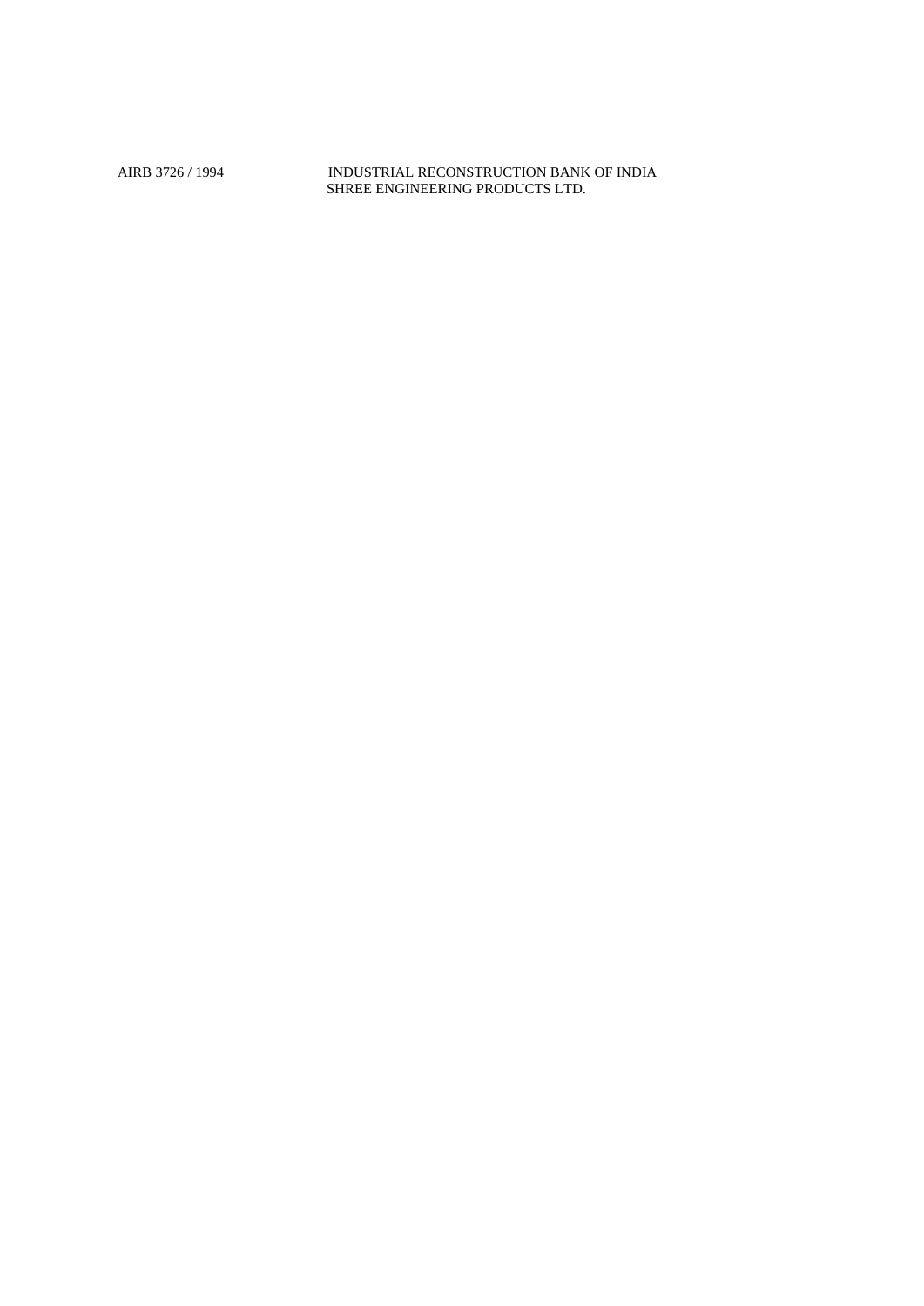AIRB 3726 / 1994 INDUSTRIAL RECONSTRUCTION BANK OF INDIA SHREE ENGINEERING PRODUCTS LTD.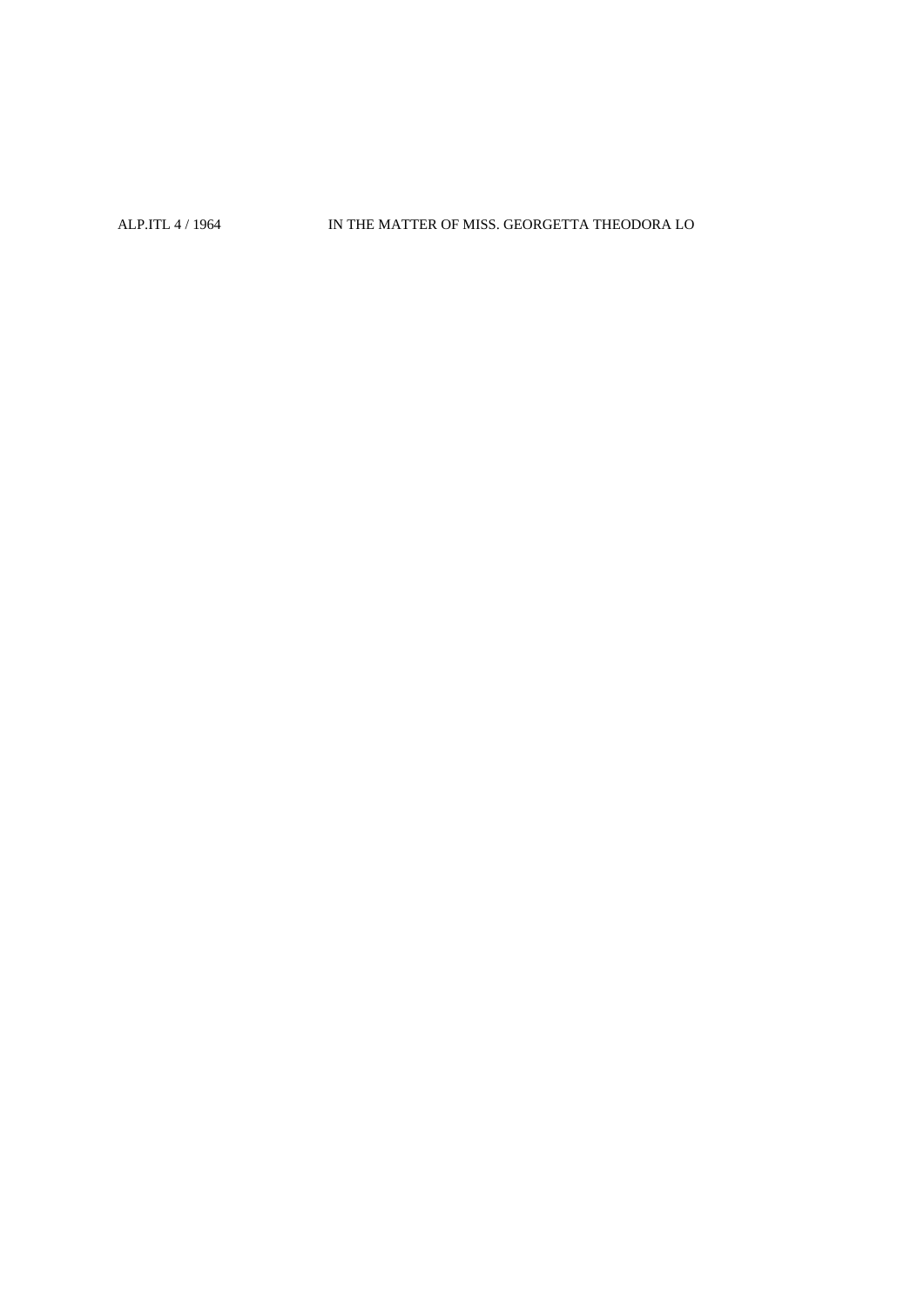## ALP.ITL 4 / 1964 IN THE MATTER OF MISS. GEORGETTA THEODORA LO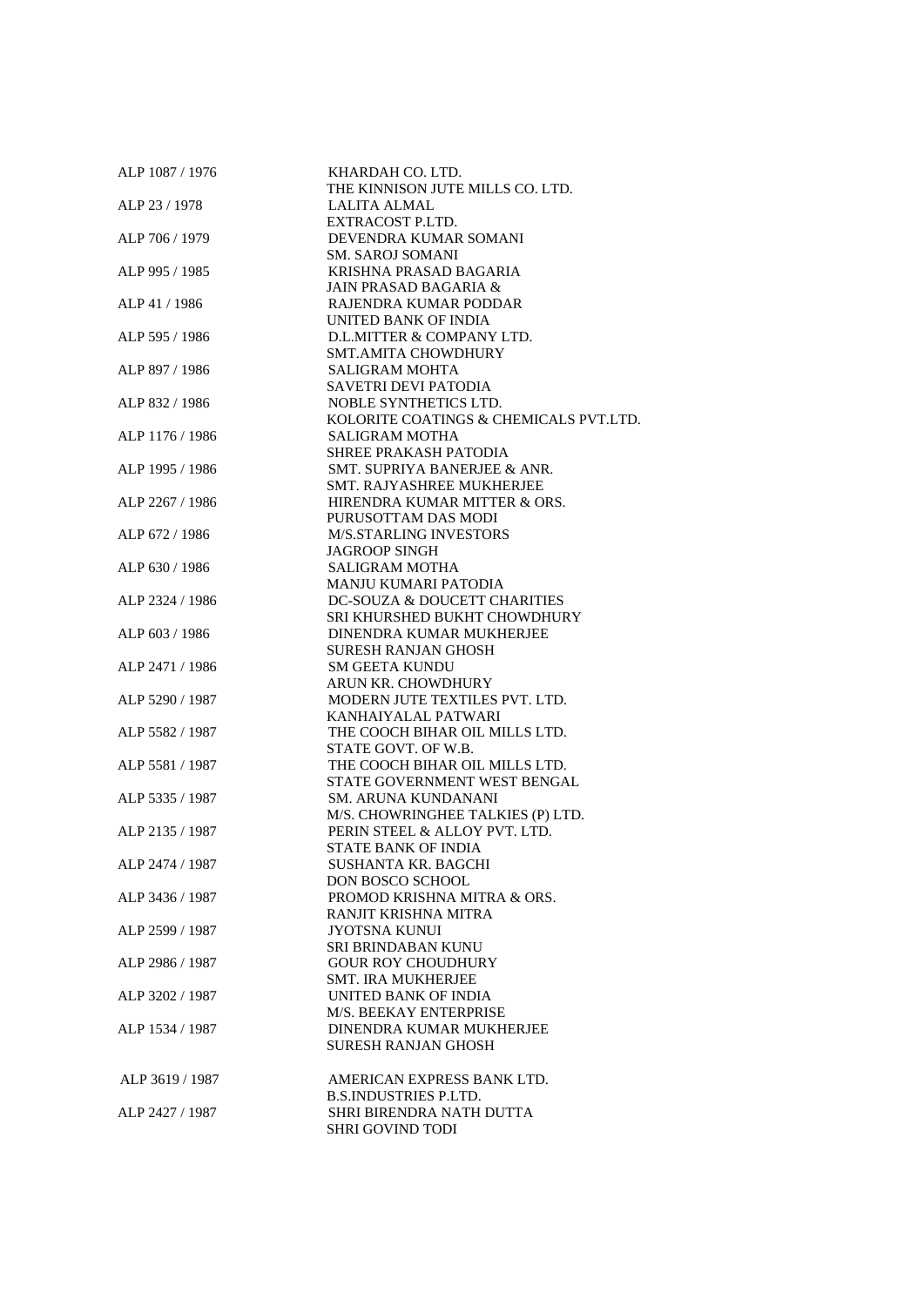| ALP 1087 / 1976 | KHARDAH CO. LTD.                                          |
|-----------------|-----------------------------------------------------------|
|                 | THE KINNISON JUTE MILLS CO. LTD.                          |
| ALP 23/1978     | LALITA ALMAL                                              |
|                 | EXTRACOST P.LTD.                                          |
| ALP 706 / 1979  | DEVENDRA KUMAR SOMANI                                     |
|                 | <b>SM. SAROJ SOMANI</b>                                   |
| ALP 995 / 1985  | KRISHNA PRASAD BAGARIA                                    |
|                 | <b>JAIN PRASAD BAGARIA &amp;</b>                          |
| ALP 41 / 1986   | RAJENDRA KUMAR PODDAR                                     |
|                 | UNITED BANK OF INDIA                                      |
| ALP 595 / 1986  | D.L.MITTER & COMPANY LTD.                                 |
|                 | <b>SMT.AMITA CHOWDHURY</b>                                |
| ALP 897 / 1986  | <b>SALIGRAM MOHTA</b>                                     |
|                 | SAVETRI DEVI PATODIA                                      |
| ALP 832 / 1986  | NOBLE SYNTHETICS LTD.                                     |
|                 | KOLORITE COATINGS & CHEMICALS PVT.LTD.                    |
| ALP 1176 / 1986 | <b>SALIGRAM MOTHA</b>                                     |
|                 | <b>SHREE PRAKASH PATODIA</b>                              |
| ALP 1995 / 1986 | SMT. SUPRIYA BANERJEE & ANR.<br>SMT. RAJYASHREE MUKHERJEE |
| ALP 2267 / 1986 | HIRENDRA KUMAR MITTER & ORS.                              |
|                 | PURUSOTTAM DAS MODI                                       |
| ALP 672 / 1986  | <b>M/S.STARLING INVESTORS</b>                             |
|                 | <b>JAGROOP SINGH</b>                                      |
| ALP 630 / 1986  | <b>SALIGRAM MOTHA</b>                                     |
|                 | MANJU KUMARI PATODIA                                      |
| ALP 2324 / 1986 | DC-SOUZA & DOUCETT CHARITIES                              |
|                 | SRI KHURSHED BUKHT CHOWDHURY                              |
| ALP 603 / 1986  | DINENDRA KUMAR MUKHERJEE                                  |
|                 | <b>SURESH RANJAN GHOSH</b>                                |
| ALP 2471 / 1986 | <b>SM GEETA KUNDU</b>                                     |
|                 | ARUN KR. CHOWDHURY                                        |
| ALP 5290 / 1987 | MODERN JUTE TEXTILES PVT. LTD.                            |
|                 | KANHAIYALAL PATWARI                                       |
| ALP 5582 / 1987 | THE COOCH BIHAR OIL MILLS LTD.                            |
|                 | STATE GOVT. OF W.B.                                       |
| ALP 5581 / 1987 | THE COOCH BIHAR OIL MILLS LTD.                            |
|                 | STATE GOVERNMENT WEST BENGAL                              |
| ALP 5335 / 1987 | SM. ARUNA KUNDANANI                                       |
|                 | M/S. CHOWRINGHEE TALKIES (P) LTD.                         |
| ALP 2135 / 1987 | PERIN STEEL & ALLOY PVT. LTD.                             |
|                 | <b>STATE BANK OF INDIA</b>                                |
| ALP 2474 / 1987 | SUSHANTA KR. BAGCHI                                       |
|                 | <b>DON BOSCO SCHOOL</b>                                   |
| ALP 3436 / 1987 | PROMOD KRISHNA MITRA & ORS.                               |
|                 | RANJIT KRISHNA MITRA                                      |
| ALP 2599 / 1987 | <b>JYOTSNA KUNUI</b>                                      |
|                 | SRI BRINDABAN KUNU                                        |
| ALP 2986 / 1987 | <b>GOUR ROY CHOUDHURY</b>                                 |
|                 | <b>SMT. IRA MUKHERJEE</b>                                 |
| ALP 3202 / 1987 | UNITED BANK OF INDIA                                      |
|                 | M/S. BEEKAY ENTERPRISE                                    |
| ALP 1534 / 1987 | DINENDRA KUMAR MUKHERJEE                                  |
|                 | <b>SURESH RANJAN GHOSH</b>                                |
|                 |                                                           |
| ALP 3619 / 1987 | AMERICAN EXPRESS BANK LTD.                                |
|                 | <b>B.S.INDUSTRIES P.LTD.</b>                              |
| ALP 2427 / 1987 | SHRI BIRENDRA NATH DUTTA                                  |
|                 | <b>SHRI GOVIND TODI</b>                                   |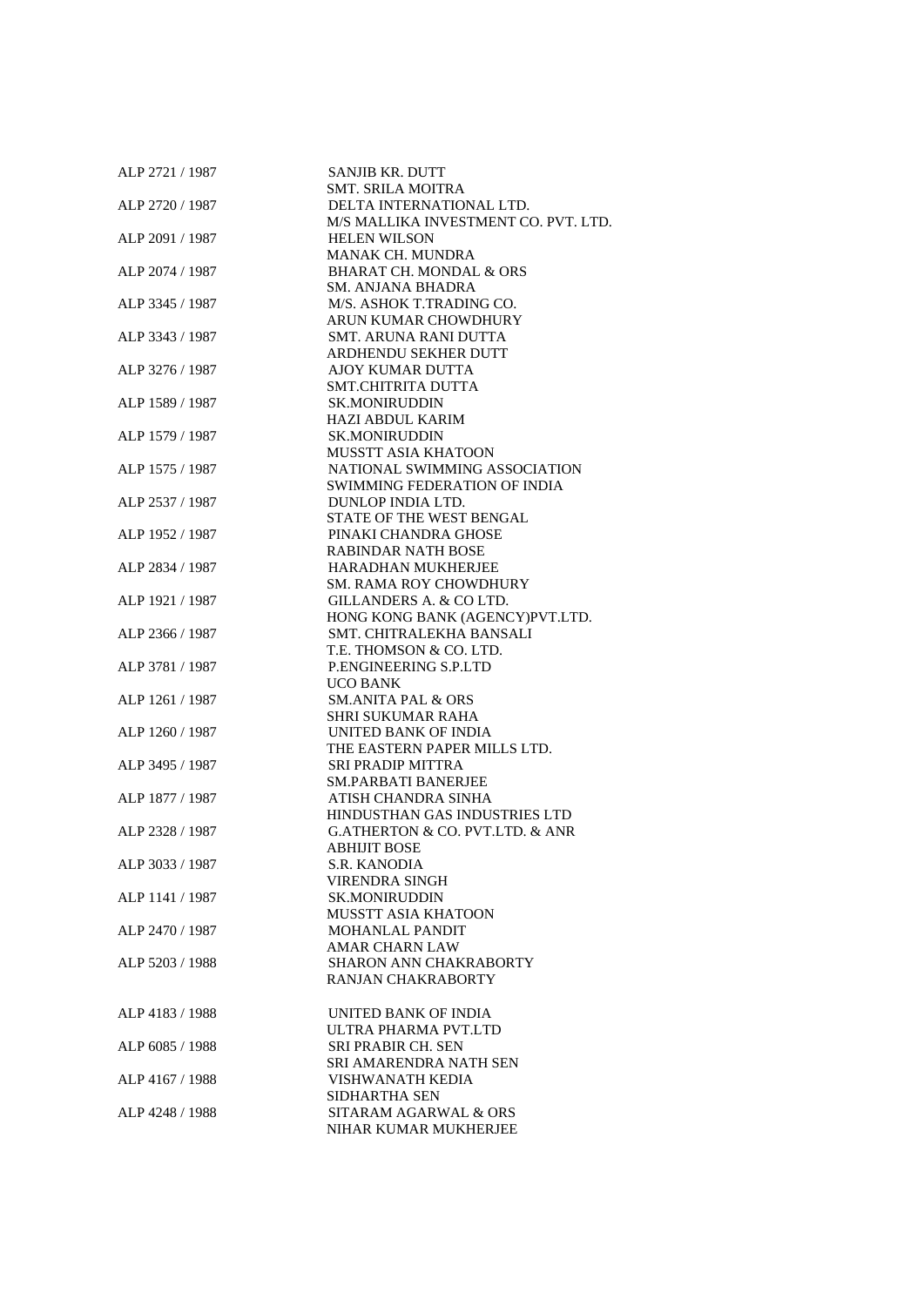| ALP 2721 / 1987 | SANJIB KR. DUTT                                |
|-----------------|------------------------------------------------|
|                 | <b>SMT. SRILA MOITRA</b>                       |
| ALP 2720 / 1987 | DELTA INTERNATIONAL LTD.                       |
|                 | M/S MALLIKA INVESTMENT CO. PVT. LTD.           |
| ALP 2091 / 1987 | <b>HELEN WILSON</b>                            |
|                 | <b>MANAK CH. MUNDRA</b>                        |
| ALP 2074 / 1987 | <b>BHARAT CH. MONDAL &amp; ORS</b>             |
|                 | SM. ANJANA BHADRA                              |
|                 |                                                |
| ALP 3345 / 1987 | M/S. ASHOK T.TRADING CO.                       |
|                 | ARUN KUMAR CHOWDHURY                           |
| ALP 3343 / 1987 | <b>SMT. ARUNA RANI DUTTA</b>                   |
|                 | ARDHENDU SEKHER DUTT                           |
| ALP 3276 / 1987 | <b>AJOY KUMAR DUTTA</b>                        |
|                 | <b>SMT.CHITRITA DUTTA</b>                      |
| ALP 1589 / 1987 | <b>SK.MONIRUDDIN</b>                           |
|                 | <b>HAZI ABDUL KARIM</b>                        |
| ALP 1579 / 1987 | <b>SK.MONIRUDDIN</b>                           |
|                 | <b>MUSSTT ASIA KHATOON</b>                     |
| ALP 1575 / 1987 | NATIONAL SWIMMING ASSOCIATION                  |
|                 | SWIMMING FEDERATION OF INDIA                   |
|                 |                                                |
| ALP 2537 / 1987 | DUNLOP INDIA LTD.                              |
|                 | STATE OF THE WEST BENGAL                       |
| ALP 1952 / 1987 | PINAKI CHANDRA GHOSE                           |
|                 | <b>RABINDAR NATH BOSE</b>                      |
| ALP 2834 / 1987 | HARADHAN MUKHERJEE                             |
|                 | <b>SM. RAMA ROY CHOWDHURY</b>                  |
| ALP 1921 / 1987 | GILLANDERS A. & CO LTD.                        |
|                 | HONG KONG BANK (AGENCY)PVT.LTD.                |
| ALP 2366 / 1987 | SMT. CHITRALEKHA BANSALI                       |
|                 | T.E. THOMSON & CO. LTD.                        |
| ALP 3781 / 1987 | P.ENGINEERING S.P.LTD                          |
|                 | UCO BANK                                       |
| ALP 1261 / 1987 | <b>SM.ANITA PAL &amp; ORS</b>                  |
|                 |                                                |
|                 | <b>SHRI SUKUMAR RAHA</b>                       |
| ALP 1260 / 1987 | UNITED BANK OF INDIA                           |
|                 | THE EASTERN PAPER MILLS LTD.                   |
| ALP 3495 / 1987 | <b>SRI PRADIP MITTRA</b>                       |
|                 | <b>SM.PARBATI BANERJEE</b>                     |
| ALP 1877 / 1987 | ATISH CHANDRA SINHA                            |
|                 | HINDUSTHAN GAS INDUSTRIES LTD                  |
| ALP 2328 / 1987 | <b>G.ATHERTON &amp; CO. PVT.LTD. &amp; ANR</b> |
|                 | <b>ABHIJIT BOSE</b>                            |
| ALP 3033 / 1987 | S.R. KANODIA                                   |
|                 | VIRENDRA SINGH                                 |
| ALP 1141 / 1987 | <b>SK.MONIRUDDIN</b>                           |
|                 | MUSSTT ASIA KHATOON                            |
|                 |                                                |
| ALP 2470 / 1987 | <b>MOHANLAL PANDIT</b>                         |
|                 | <b>AMAR CHARN LAW</b>                          |
| ALP 5203 / 1988 | SHARON ANN CHAKRABORTY                         |
|                 | <b>RANJAN CHAKRABORTY</b>                      |
|                 |                                                |
| ALP 4183 / 1988 | UNITED BANK OF INDIA                           |
|                 | ULTRA PHARMA PVT.LTD                           |
| ALP 6085 / 1988 | <b>SRI PRABIR CH. SEN</b>                      |
|                 | SRI AMARENDRA NATH SEN                         |
| ALP 4167 / 1988 | VISHWANATH KEDIA                               |
|                 | SIDHARTHA SEN                                  |
|                 |                                                |
| ALP 4248 / 1988 | SITARAM AGARWAL & ORS                          |
|                 | NIHAR KUMAR MUKHERJEE                          |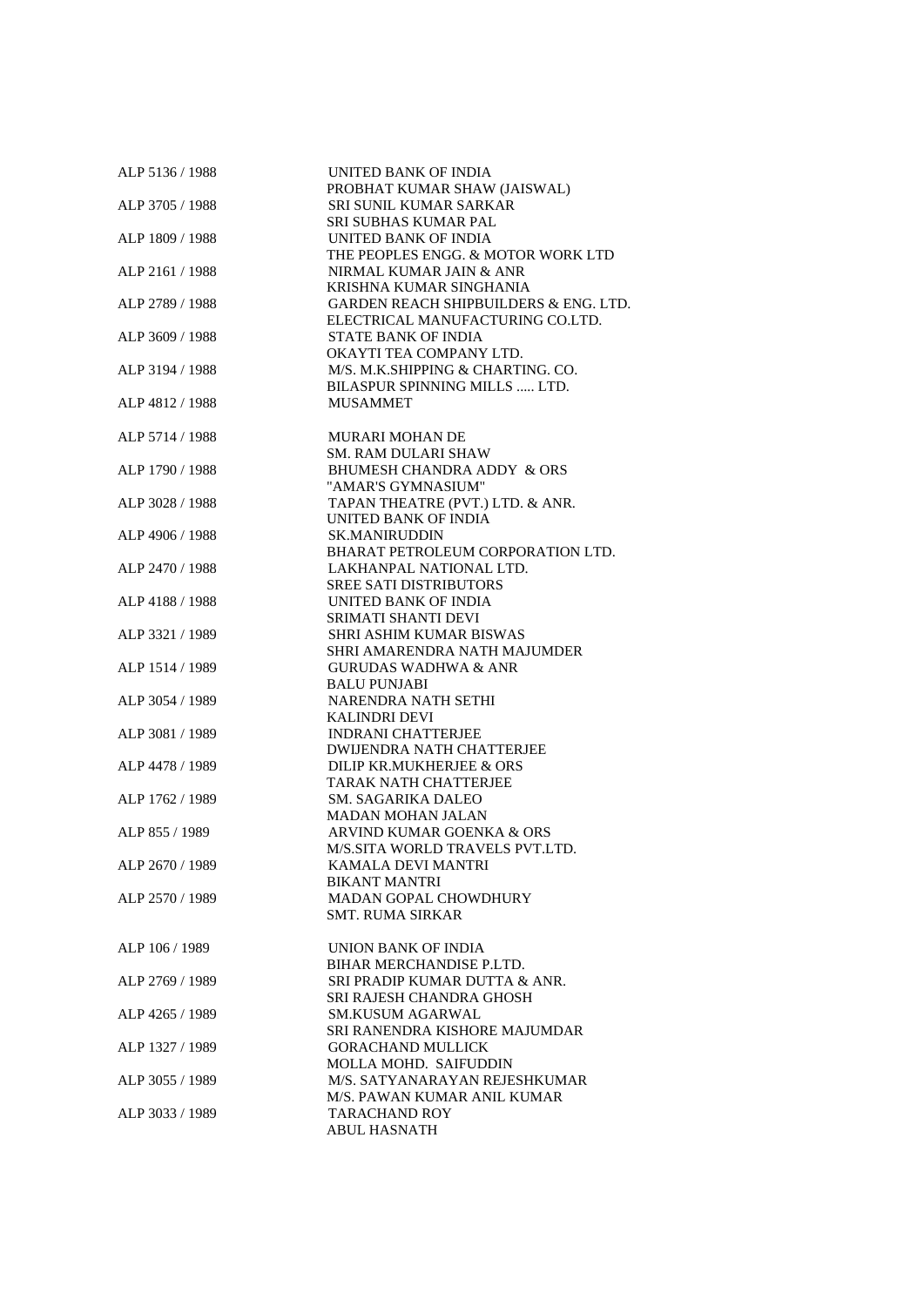| ALP 5136 / 1988 | UNITED BANK OF INDIA                             |
|-----------------|--------------------------------------------------|
|                 | PROBHAT KUMAR SHAW (JAISWAL)                     |
| ALP 3705 / 1988 | <b>SRI SUNIL KUMAR SARKAR</b>                    |
|                 | SRI SUBHAS KUMAR PAL                             |
| ALP 1809 / 1988 | UNITED BANK OF INDIA                             |
|                 | THE PEOPLES ENGG. & MOTOR WORK LTD               |
| ALP 2161 / 1988 | NIRMAL KUMAR JAIN & ANR                          |
|                 | KRISHNA KUMAR SINGHANIA                          |
| ALP 2789 / 1988 | <b>GARDEN REACH SHIPBUILDERS &amp; ENG. LTD.</b> |
|                 | ELECTRICAL MANUFACTURING CO.LTD.                 |
| ALP 3609 / 1988 | <b>STATE BANK OF INDIA</b>                       |
|                 | OKAYTI TEA COMPANY LTD.                          |
| ALP 3194 / 1988 | M/S. M.K.SHIPPING & CHARTING. CO.                |
|                 | BILASPUR SPINNING MILLS  LTD.                    |
| ALP 4812 / 1988 | <b>MUSAMMET</b>                                  |
|                 |                                                  |
|                 |                                                  |
| ALP 5714 / 1988 | <b>MURARI MOHAN DE</b>                           |
|                 | <b>SM. RAM DULARI SHAW</b>                       |
| ALP 1790 / 1988 | BHUMESH CHANDRA ADDY & ORS                       |
|                 | "AMAR'S GYMNASIUM"                               |
| ALP 3028 / 1988 | TAPAN THEATRE (PVT.) LTD. & ANR.                 |
|                 | UNITED BANK OF INDIA                             |
| ALP 4906 / 1988 | <b>SK.MANIRUDDIN</b>                             |
|                 | BHARAT PETROLEUM CORPORATION LTD.                |
| ALP 2470 / 1988 | LAKHANPAL NATIONAL LTD.                          |
|                 | <b>SREE SATI DISTRIBUTORS</b>                    |
| ALP 4188 / 1988 | UNITED BANK OF INDIA                             |
|                 | <b>SRIMATI SHANTI DEVI</b>                       |
| ALP 3321 / 1989 | SHRI ASHIM KUMAR BISWAS                          |
|                 | SHRI AMARENDRA NATH MAJUMDER                     |
| ALP 1514 / 1989 | <b>GURUDAS WADHWA &amp; ANR</b>                  |
|                 | <b>BALU PUNJABI</b>                              |
| ALP 3054 / 1989 | NARENDRA NATH SETHI                              |
|                 | <b>KALINDRI DEVI</b>                             |
| ALP 3081 / 1989 | <b>INDRANI CHATTERJEE</b>                        |
|                 | <b>DWIJENDRA NATH CHATTERJEE</b>                 |
| ALP 4478 / 1989 | DILIP KR.MUKHERJEE & ORS                         |
|                 | <b>TARAK NATH CHATTERJEE</b>                     |
| ALP 1762 / 1989 | <b>SM. SAGARIKA DALEO</b>                        |
|                 | <b>MADAN MOHAN JALAN</b>                         |
|                 |                                                  |
| ALP 855 / 1989  | ARVIND KUMAR GOENKA & ORS                        |
|                 | M/S.SITA WORLD TRAVELS PVT.LTD.                  |
| ALP 2670 / 1989 | KAMALA DEVI MANTRI                               |
|                 | <b>BIKANT MANTRI</b>                             |
| ALP 2570 / 1989 | <b>MADAN GOPAL CHOWDHURY</b>                     |
|                 | <b>SMT. RUMA SIRKAR</b>                          |
|                 |                                                  |
| ALP 106 / 1989  | UNION BANK OF INDIA                              |
|                 | BIHAR MERCHANDISE P.LTD.                         |
| ALP 2769 / 1989 | SRI PRADIP KUMAR DUTTA & ANR.                    |
|                 | SRI RAJESH CHANDRA GHOSH                         |
| ALP 4265 / 1989 | <b>SM.KUSUM AGARWAL</b>                          |
|                 | SRI RANENDRA KISHORE MAJUMDAR                    |
| ALP 1327 / 1989 | <b>GORACHAND MULLICK</b>                         |
|                 | MOLLA MOHD. SAIFUDDIN                            |
| ALP 3055 / 1989 | M/S. SATYANARAYAN REJESHKUMAR                    |
|                 | M/S. PAWAN KUMAR ANIL KUMAR                      |
| ALP 3033 / 1989 | <b>TARACHAND ROY</b>                             |
|                 | <b>ABUL HASNATH</b>                              |
|                 |                                                  |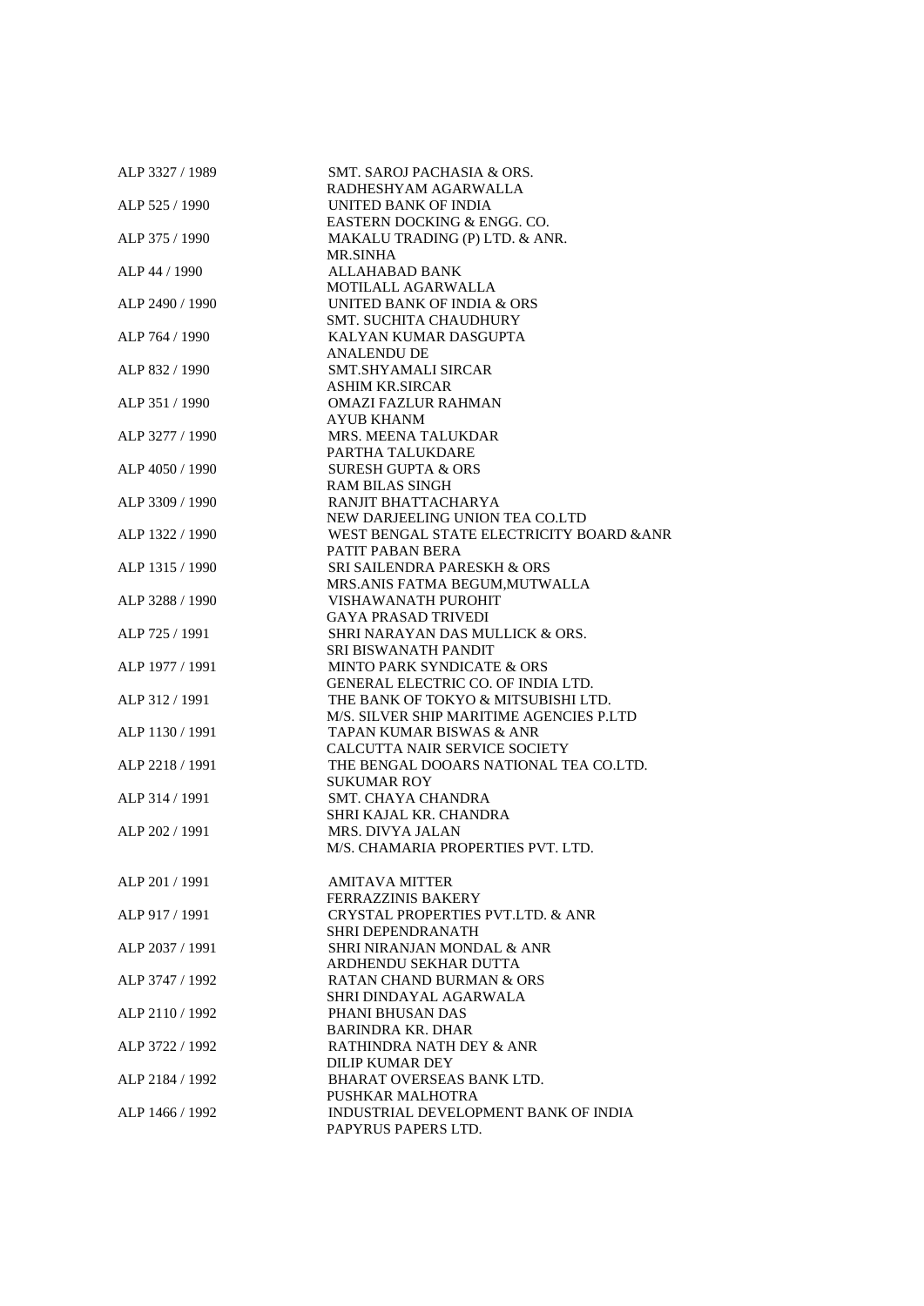| ALP 3327 / 1989 | SMT. SAROJ PACHASIA & ORS.                                                   |
|-----------------|------------------------------------------------------------------------------|
|                 | RADHESHYAM AGARWALLA                                                         |
| ALP 525 / 1990  | UNITED BANK OF INDIA                                                         |
|                 | EASTERN DOCKING & ENGG. CO.                                                  |
| ALP 375 / 1990  | MAKALU TRADING (P) LTD. & ANR.                                               |
| ALP 44 / 1990   | MR.SINHA<br>ALLAHABAD BANK                                                   |
|                 | MOTILALL AGARWALLA                                                           |
| ALP 2490 / 1990 | UNITED BANK OF INDIA & ORS                                                   |
|                 | <b>SMT. SUCHITA CHAUDHURY</b>                                                |
| ALP 764 / 1990  | KALYAN KUMAR DASGUPTA                                                        |
|                 | <b>ANALENDU DE</b>                                                           |
| ALP 832 / 1990  | <b>SMT.SHYAMALI SIRCAR</b>                                                   |
|                 | <b>ASHIM KR.SIRCAR</b>                                                       |
| ALP 351 / 1990  | <b>OMAZI FAZLUR RAHMAN</b>                                                   |
|                 | AYUB KHANM                                                                   |
| ALP 3277 / 1990 | <b>MRS. MEENA TALUKDAR</b>                                                   |
|                 | PARTHA TALUKDARE                                                             |
| ALP 4050 / 1990 | <b>SURESH GUPTA &amp; ORS</b>                                                |
|                 | <b>RAM BILAS SINGH</b>                                                       |
| ALP 3309 / 1990 | RANJIT BHATTACHARYA                                                          |
| ALP 1322 / 1990 | NEW DARJEELING UNION TEA CO.LTD<br>WEST BENGAL STATE ELECTRICITY BOARD & ANR |
|                 | PATIT PABAN BERA                                                             |
| ALP 1315 / 1990 | <b>SRI SAILENDRA PARESKH &amp; ORS</b>                                       |
|                 | MRS.ANIS FATMA BEGUM, MUTWALLA                                               |
| ALP 3288 / 1990 | VISHAWANATH PUROHIT                                                          |
|                 | <b>GAYA PRASAD TRIVEDI</b>                                                   |
| ALP 725 / 1991  | SHRI NARAYAN DAS MULLICK & ORS.                                              |
|                 | <b>SRI BISWANATH PANDIT</b>                                                  |
| ALP 1977 / 1991 | MINTO PARK SYNDICATE & ORS                                                   |
|                 | <b>GENERAL ELECTRIC CO. OF INDIA LTD.</b>                                    |
| ALP 312 / 1991  | THE BANK OF TOKYO & MITSUBISHI LTD.                                          |
|                 | M/S. SILVER SHIP MARITIME AGENCIES P.LTD                                     |
| ALP 1130 / 1991 | TAPAN KUMAR BISWAS & ANR                                                     |
|                 | CALCUTTA NAIR SERVICE SOCIETY                                                |
| ALP 2218 / 1991 | THE BENGAL DOOARS NATIONAL TEA CO.LTD.<br><b>SUKUMAR ROY</b>                 |
| ALP 314 / 1991  | <b>SMT. CHAYA CHANDRA</b>                                                    |
|                 | SHRI KAJAL KR. CHANDRA                                                       |
| ALP 202 / 1991  | <b>MRS. DIVYA JALAN</b>                                                      |
|                 | M/S. CHAMARIA PROPERTIES PVT. LTD.                                           |
|                 |                                                                              |
| ALP 201 / 1991  | <b>AMITAVA MITTER</b>                                                        |
|                 | <b>FERRAZZINIS BAKERY</b>                                                    |
| ALP 917 / 1991  | CRYSTAL PROPERTIES PVT.LTD. & ANR                                            |
|                 | <b>SHRI DEPENDRANATH</b>                                                     |
| ALP 2037 / 1991 | SHRI NIRANJAN MONDAL & ANR                                                   |
|                 | ARDHENDU SEKHAR DUTTA                                                        |
| ALP 3747 / 1992 | <b>RATAN CHAND BURMAN &amp; ORS</b>                                          |
| ALP 2110 / 1992 | SHRI DINDAYAL AGARWALA                                                       |
|                 | PHANI BHUSAN DAS<br><b>BARINDRA KR. DHAR</b>                                 |
| ALP 3722 / 1992 | RATHINDRA NATH DEY & ANR                                                     |
|                 | DILIP KUMAR DEY                                                              |
| ALP 2184 / 1992 | BHARAT OVERSEAS BANK LTD.                                                    |
|                 | PUSHKAR MALHOTRA                                                             |
| ALP 1466 / 1992 | INDUSTRIAL DEVELOPMENT BANK OF INDIA                                         |
|                 | PAPYRUS PAPERS LTD.                                                          |
|                 |                                                                              |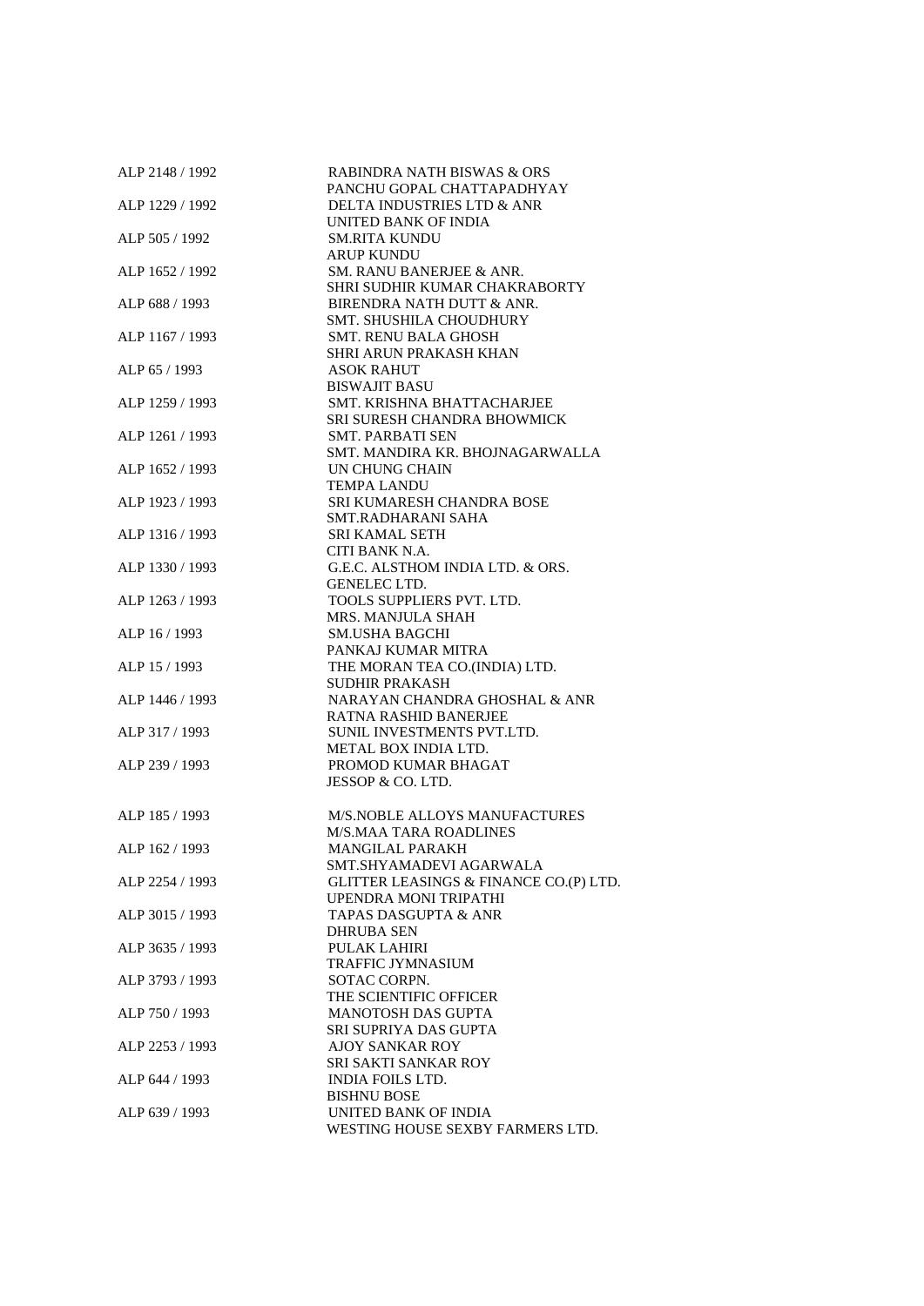| ALP 2148 / 1992 | <b>RABINDRA NATH BISWAS &amp; ORS</b>  |
|-----------------|----------------------------------------|
|                 | PANCHU GOPAL CHATTAPADHYAY             |
| ALP 1229 / 1992 | DELTA INDUSTRIES LTD & ANR             |
|                 | UNITED BANK OF INDIA                   |
| ALP 505 / 1992  | <b>SM.RITA KUNDU</b>                   |
|                 | <b>ARUP KUNDU</b>                      |
| ALP 1652 / 1992 | SM. RANU BANERJEE & ANR.               |
|                 | SHRI SUDHIR KUMAR CHAKRABORTY          |
| ALP 688 / 1993  | BIRENDRA NATH DUTT & ANR.              |
|                 | <b>SMT. SHUSHILA CHOUDHURY</b>         |
| ALP 1167 / 1993 | <b>SMT. RENU BALA GHOSH</b>            |
|                 | SHRI ARUN PRAKASH KHAN                 |
| ALP 65 / 1993   | <b>ASOK RAHUT</b>                      |
|                 | <b>BISWAJIT BASU</b>                   |
|                 |                                        |
| ALP 1259 / 1993 | SMT. KRISHNA BHATTACHARJEE             |
|                 | SRI SURESH CHANDRA BHOWMICK            |
| ALP 1261 / 1993 | <b>SMT. PARBATI SEN</b>                |
|                 | SMT. MANDIRA KR. BHOJNAGARWALLA        |
| ALP 1652 / 1993 | UN CHUNG CHAIN                         |
|                 | <b>TEMPA LANDU</b>                     |
| ALP 1923 / 1993 | SRI KUMARESH CHANDRA BOSE              |
|                 | SMT.RADHARANI SAHA                     |
| ALP 1316 / 1993 | <b>SRI KAMAL SETH</b>                  |
|                 | CITI BANK N.A.                         |
| ALP 1330 / 1993 | G.E.C. ALSTHOM INDIA LTD. & ORS.       |
|                 | GENELEC LTD.                           |
| ALP 1263 / 1993 | TOOLS SUPPLIERS PVT. LTD.              |
|                 | MRS. MANJULA SHAH                      |
| ALP 16 / 1993   | <b>SM.USHA BAGCHI</b>                  |
|                 |                                        |
|                 | PANKAJ KUMAR MITRA                     |
| ALP 15 / 1993   | THE MORAN TEA CO.(INDIA) LTD.          |
|                 | <b>SUDHIR PRAKASH</b>                  |
| ALP 1446 / 1993 | NARAYAN CHANDRA GHOSHAL & ANR          |
|                 | <b>RATNA RASHID BANERJEE</b>           |
| ALP 317 / 1993  | SUNIL INVESTMENTS PVT.LTD.             |
|                 | METAL BOX INDIA LTD.                   |
| ALP 239 / 1993  | PROMOD KUMAR BHAGAT                    |
|                 | JESSOP & CO. LTD.                      |
|                 |                                        |
| ALP 185 / 1993  | <b>M/S.NOBLE ALLOYS MANUFACTURES</b>   |
|                 | <b>M/S.MAA TARA ROADLINES</b>          |
| ALP 162 / 1993  | <b>MANGILAL PARAKH</b>                 |
|                 | SMT.SHYAMADEVI AGARWALA                |
| ALP 2254 / 1993 |                                        |
|                 | GLITTER LEASINGS & FINANCE CO.(P) LTD. |
|                 | UPENDRA MONI TRIPATHI                  |
| ALP 3015 / 1993 | <b>TAPAS DASGUPTA &amp; ANR</b>        |
|                 | DHRUBA SEN                             |
| ALP 3635 / 1993 | <b>PULAK LAHIRI</b>                    |
|                 | <b>TRAFFIC JYMNASIUM</b>               |
| ALP 3793 / 1993 | SOTAC CORPN.                           |
|                 | THE SCIENTIFIC OFFICER                 |
| ALP 750 / 1993  | <b>MANOTOSH DAS GUPTA</b>              |
|                 | SRI SUPRIYA DAS GUPTA                  |
| ALP 2253 / 1993 | <b>AJOY SANKAR ROY</b>                 |
|                 | <b>SRI SAKTI SANKAR ROY</b>            |
| ALP 644 / 1993  | <b>INDIA FOILS LTD.</b>                |
|                 | <b>BISHNU BOSE</b>                     |
| ALP 639 / 1993  | UNITED BANK OF INDIA                   |
|                 |                                        |
|                 | WESTING HOUSE SEXBY FARMERS LTD.       |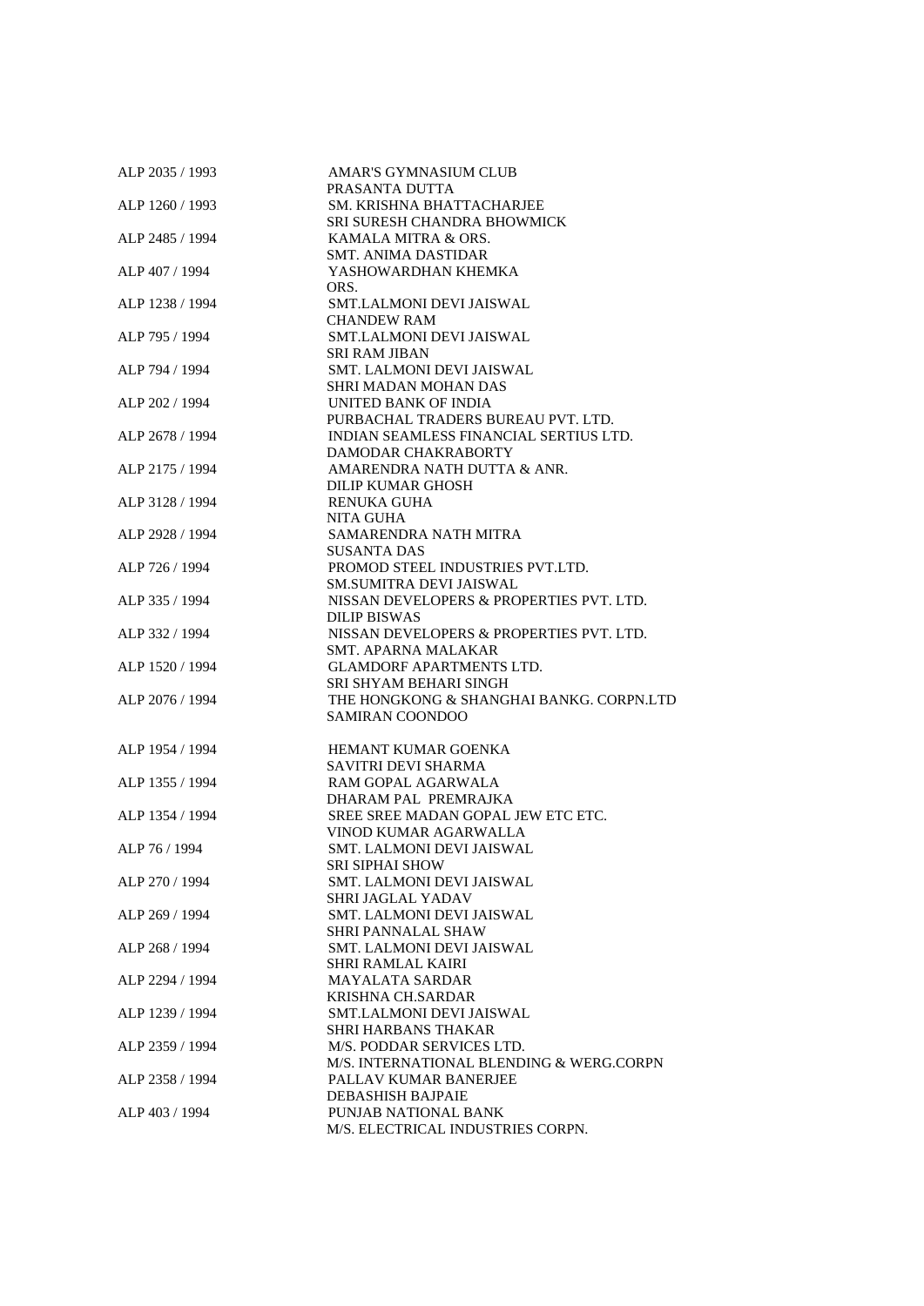| ALP 2035 / 1993 | AMAR'S GYMNASIUM CLUB                    |
|-----------------|------------------------------------------|
|                 | PRASANTA DUTTA                           |
| ALP 1260 / 1993 | SM. KRISHNA BHATTACHARJEE                |
|                 | SRI SURESH CHANDRA BHOWMICK              |
| ALP 2485 / 1994 | KAMALA MITRA & ORS.                      |
|                 | <b>SMT. ANIMA DASTIDAR</b>               |
| ALP 407 / 1994  | YASHOWARDHAN KHEMKA                      |
|                 | ORS.                                     |
| ALP 1238 / 1994 | SMT.LALMONI DEVI JAISWAL                 |
|                 | <b>CHANDEW RAM</b>                       |
| ALP 795 / 1994  | <b>SMT.LALMONI DEVI JAISWAL</b>          |
|                 | <b>SRI RAM JIBAN</b>                     |
|                 |                                          |
| ALP 794 / 1994  | SMT. LALMONI DEVI JAISWAL                |
|                 | SHRI MADAN MOHAN DAS                     |
| ALP 202 / 1994  | UNITED BANK OF INDIA                     |
|                 | PURBACHAL TRADERS BUREAU PVT. LTD.       |
| ALP 2678 / 1994 | INDIAN SEAMLESS FINANCIAL SERTIUS LTD.   |
|                 | DAMODAR CHAKRABORTY                      |
| ALP 2175 / 1994 | AMARENDRA NATH DUTTA & ANR.              |
|                 | <b>DILIP KUMAR GHOSH</b>                 |
| ALP 3128 / 1994 | <b>RENUKA GUHA</b>                       |
|                 | <b>NITA GUHA</b>                         |
| ALP 2928 / 1994 | SAMARENDRA NATH MITRA                    |
|                 | <b>SUSANTA DAS</b>                       |
| ALP 726 / 1994  | PROMOD STEEL INDUSTRIES PVT.LTD.         |
|                 | <b>SM.SUMITRA DEVI JAISWAL</b>           |
|                 |                                          |
| ALP 335 / 1994  | NISSAN DEVELOPERS & PROPERTIES PVT. LTD. |
|                 | <b>DILIP BISWAS</b>                      |
| ALP 332 / 1994  | NISSAN DEVELOPERS & PROPERTIES PVT. LTD. |
|                 | SMT. APARNA MALAKAR                      |
| ALP 1520 / 1994 | <b>GLAMDORF APARTMENTS LTD.</b>          |
|                 | SRI SHYAM BEHARI SINGH                   |
| ALP 2076 / 1994 | THE HONGKONG & SHANGHAI BANKG. CORPN.LTD |
|                 | <b>SAMIRAN COONDOO</b>                   |
|                 |                                          |
| ALP 1954 / 1994 | HEMANT KUMAR GOENKA                      |
|                 | SAVITRI DEVI SHARMA                      |
| ALP 1355 / 1994 | RAM GOPAL AGARWALA                       |
|                 | DHARAM PAL PREMRAJKA                     |
|                 |                                          |
| ALP 1354 / 1994 | SREE SREE MADAN GOPAL JEW ETC ETC.       |
|                 | VINOD KUMAR AGARWALLA                    |
| ALP 76 / 1994   | SMT. LALMONI DEVI JAISWAL                |
|                 | SRI SIPHAI SHOW                          |
| ALP 270 / 1994  | SMT. LALMONI DEVI JAISWAL                |
|                 | SHRI JAGLAL YADAV                        |
| ALP 269 / 1994  | SMT. LALMONI DEVI JAISWAL                |
|                 | <b>SHRI PANNALAL SHAW</b>                |
| ALP 268 / 1994  | SMT. LALMONI DEVI JAISWAL                |
|                 | <b>SHRI RAMLAL KAIRI</b>                 |
| ALP 2294 / 1994 | <b>MAYALATA SARDAR</b>                   |
|                 | <b>KRISHNA CH.SARDAR</b>                 |
|                 | SMT.LALMONI DEVI JAISWAL                 |
| ALP 1239 / 1994 |                                          |
|                 | <b>SHRI HARBANS THAKAR</b>               |
| ALP 2359 / 1994 | M/S. PODDAR SERVICES LTD.                |
|                 | M/S. INTERNATIONAL BLENDING & WERG.CORPN |
| ALP 2358 / 1994 | PALLAV KUMAR BANERJEE                    |
|                 | <b>DEBASHISH BAJPAIE</b>                 |
| ALP 403 / 1994  | PUNJAB NATIONAL BANK                     |
|                 | M/S. ELECTRICAL INDUSTRIES CORPN.        |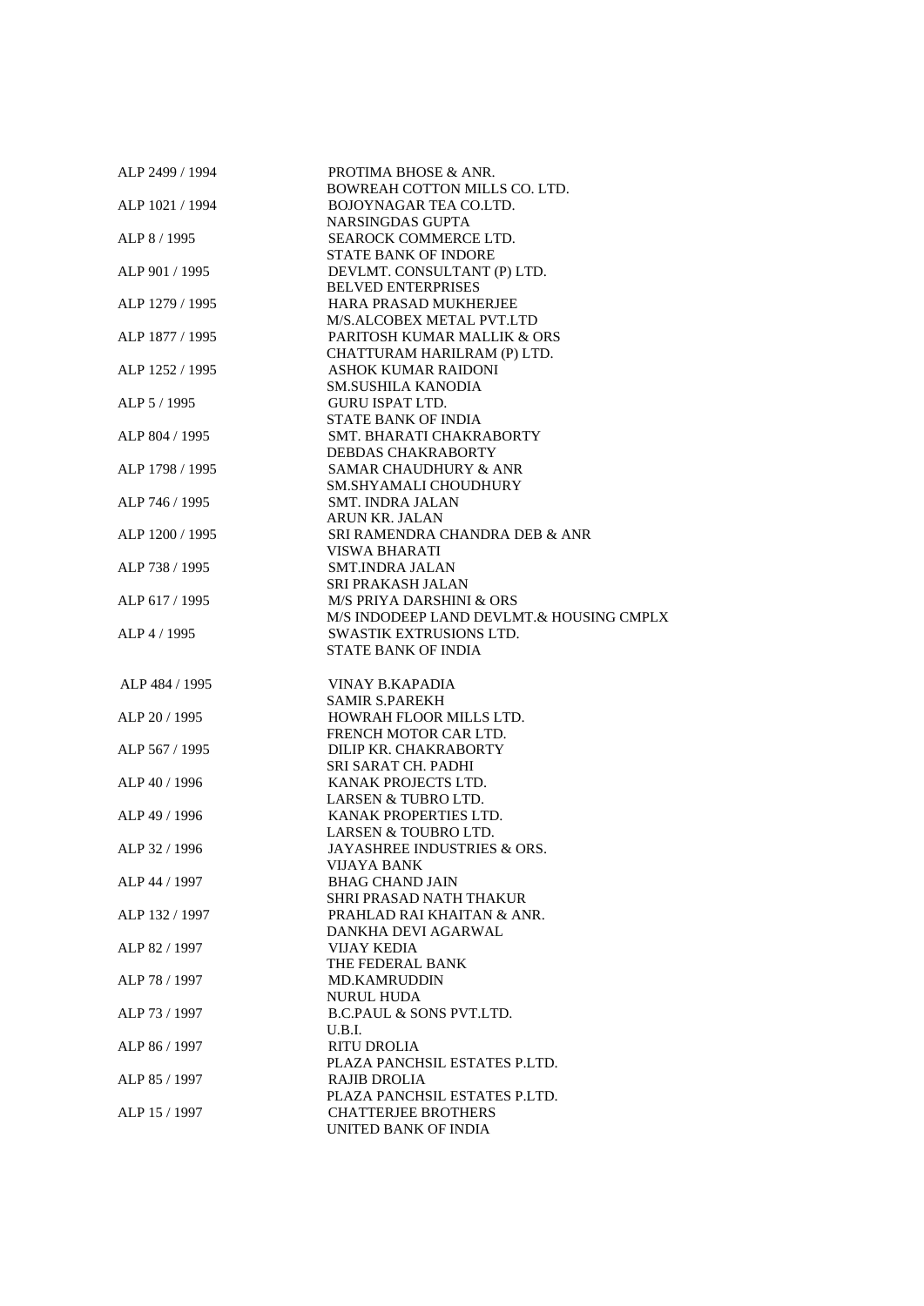| ALP 2499 / 1994 | PROTIMA BHOSE & ANR.                                          |
|-----------------|---------------------------------------------------------------|
|                 | BOWREAH COTTON MILLS CO. LTD.                                 |
| ALP 1021 / 1994 | BOJOYNAGAR TEA CO.LTD.                                        |
|                 | NARSINGDAS GUPTA                                              |
| ALP 8 / 1995    | SEAROCK COMMERCE LTD.                                         |
|                 | <b>STATE BANK OF INDORE</b>                                   |
| ALP 901 / 1995  | DEVLMT. CONSULTANT (P) LTD.                                   |
|                 | <b>BELVED ENTERPRISES</b>                                     |
| ALP 1279 / 1995 | HARA PRASAD MUKHERJEE                                         |
|                 | M/S.ALCOBEX METAL PVT.LTD                                     |
| ALP 1877 / 1995 | PARITOSH KUMAR MALLIK & ORS                                   |
|                 | CHATTURAM HARILRAM (P) LTD.                                   |
| ALP 1252 / 1995 | <b>ASHOK KUMAR RAIDONI</b>                                    |
|                 | <b>SM.SUSHILA KANODIA</b>                                     |
| ALP 5 / 1995    | <b>GURU ISPAT LTD.</b>                                        |
|                 | <b>STATE BANK OF INDIA</b>                                    |
| ALP 804 / 1995  | SMT. BHARATI CHAKRABORTY                                      |
|                 | <b>DEBDAS CHAKRABORTY</b><br><b>SAMAR CHAUDHURY &amp; ANR</b> |
| ALP 1798 / 1995 |                                                               |
| ALP 746 / 1995  | SM.SHYAMALI CHOUDHURY<br><b>SMT. INDRA JALAN</b>              |
|                 |                                                               |
| ALP 1200 / 1995 | <b>ARUN KR. JALAN</b><br>SRI RAMENDRA CHANDRA DEB & ANR       |
|                 | <b>VISWA BHARATI</b>                                          |
| ALP 738 / 1995  | <b>SMT.INDRA JALAN</b>                                        |
|                 | SRI PRAKASH JALAN                                             |
| ALP 617 / 1995  | <b>M/S PRIYA DARSHINI &amp; ORS</b>                           |
|                 | M/S INDODEEP LAND DEVLMT.& HOUSING CMPLX                      |
| ALP 4 / 1995    | SWASTIK EXTRUSIONS LTD.                                       |
|                 | <b>STATE BANK OF INDIA</b>                                    |
|                 |                                                               |
|                 |                                                               |
|                 |                                                               |
| ALP 484 / 1995  | <b>VINAY B.KAPADIA</b>                                        |
|                 | <b>SAMIR S.PAREKH</b>                                         |
| ALP 20 / 1995   | HOWRAH FLOOR MILLS LTD.                                       |
|                 | FRENCH MOTOR CAR LTD.                                         |
| ALP 567 / 1995  | DILIP KR. CHAKRABORTY                                         |
|                 | SRI SARAT CH. PADHI                                           |
| ALP 40 / 1996   | KANAK PROJECTS LTD.                                           |
|                 | LARSEN & TUBRO LTD.                                           |
| ALP 49 / 1996   | KANAK PROPERTIES LTD.                                         |
|                 | LARSEN & TOUBRO LTD.                                          |
| ALP 32 / 1996   | JAYASHREE INDUSTRIES & ORS.                                   |
| ALP 44 / 1997   | VIJAYA BANK<br><b>BHAG CHAND JAIN</b>                         |
|                 |                                                               |
| ALP 132 / 1997  | SHRI PRASAD NATH THAKUR                                       |
|                 | PRAHLAD RAI KHAITAN & ANR.                                    |
|                 | DANKHA DEVI AGARWAL                                           |
| ALP 82 / 1997   | <b>VIJAY KEDIA</b><br>THE FEDERAL BANK                        |
| ALP 78 / 1997   | <b>MD.KAMRUDDIN</b>                                           |
|                 | <b>NURUL HUDA</b>                                             |
|                 | <b>B.C.PAUL &amp; SONS PVT.LTD.</b>                           |
| ALP 73 / 1997   | U.B.I.                                                        |
| ALP 86 / 1997   | <b>RITU DROLIA</b>                                            |
|                 | PLAZA PANCHSIL ESTATES P.LTD.                                 |
| ALP 85 / 1997   | RAJIB DROLIA                                                  |
|                 | PLAZA PANCHSIL ESTATES P.LTD.                                 |
| ALP 15 / 1997   | <b>CHATTERJEE BROTHERS</b>                                    |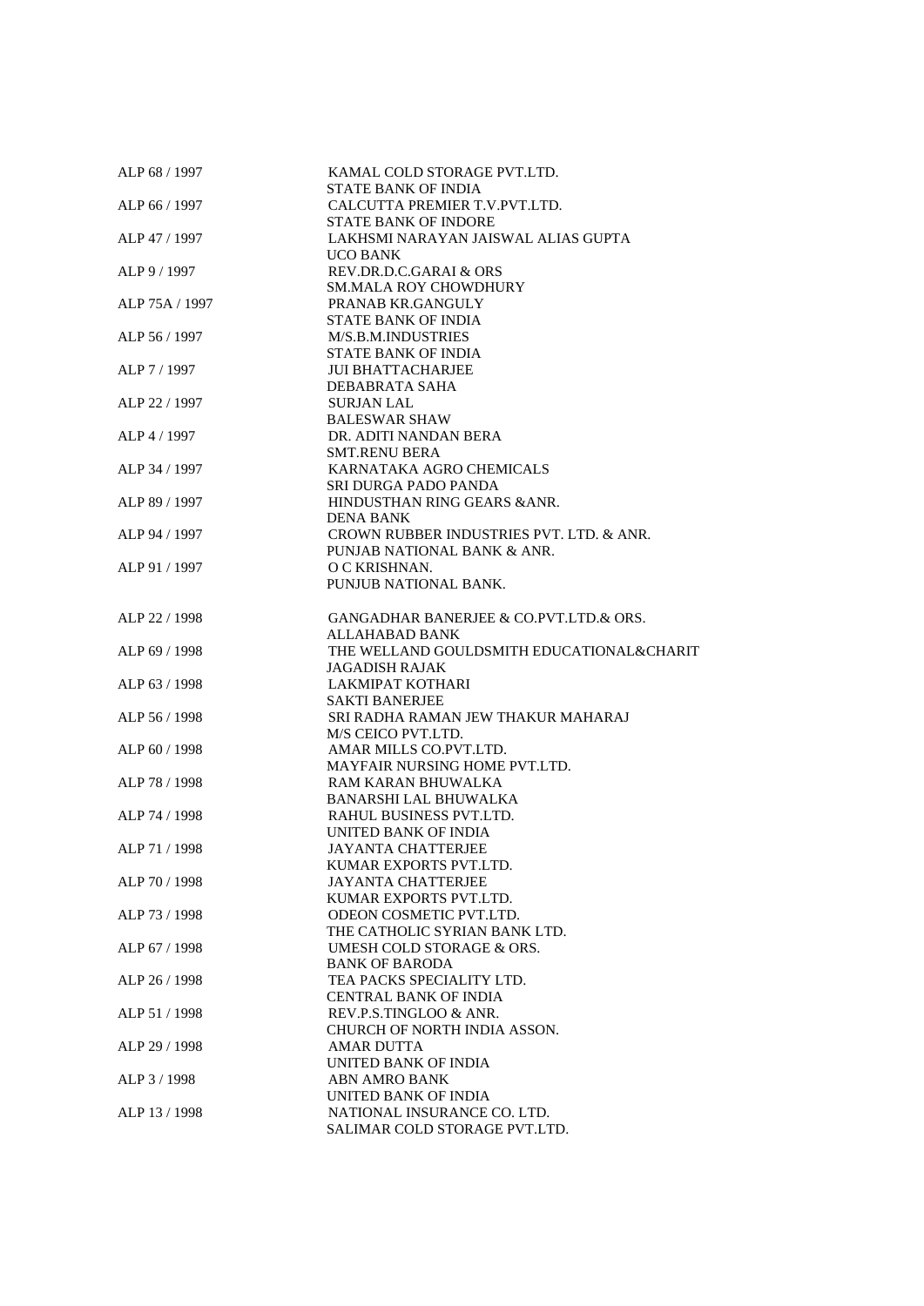| ALP 68 / 1997  | KAMAL COLD STORAGE PVT.LTD.<br>STATE BANK OF INDIA |
|----------------|----------------------------------------------------|
| ALP 66 / 1997  | CALCUTTA PREMIER T.V.PVT.LTD.                      |
|                | <b>STATE BANK OF INDORE</b>                        |
| ALP 47 / 1997  | LAKHSMI NARAYAN JAISWAL ALIAS GUPTA                |
|                | <b>UCO BANK</b>                                    |
| ALP 9 / 1997   | REV.DR.D.C.GARAI & ORS                             |
|                | <b>SM.MALA ROY CHOWDHURY</b>                       |
| ALP 75A / 1997 | PRANAB KR.GANGULY                                  |
|                | <b>STATE BANK OF INDIA</b>                         |
| ALP 56 / 1997  | M/S.B.M.INDUSTRIES                                 |
|                | <b>STATE BANK OF INDIA</b>                         |
| ALP 7 / 1997   | <b>JUI BHATTACHARJEE</b>                           |
|                | <b>DEBABRATA SAHA</b>                              |
| ALP 22 / 1997  | <b>SURJAN LAL</b>                                  |
|                | <b>BALESWAR SHAW</b>                               |
|                | DR. ADITI NANDAN BERA                              |
| ALP 4 / 1997   |                                                    |
|                | <b>SMT.RENU BERA</b>                               |
| ALP 34 / 1997  | KARNATAKA AGRO CHEMICALS                           |
|                | SRI DURGA PADO PANDA                               |
| ALP 89 / 1997  | HINDUSTHAN RING GEARS & ANR.                       |
|                | <b>DENA BANK</b>                                   |
| ALP 94 / 1997  | CROWN RUBBER INDUSTRIES PVT. LTD. & ANR.           |
|                | PUNJAB NATIONAL BANK & ANR.                        |
| ALP 91 / 1997  | O C KRISHNAN.                                      |
|                | PUNJUB NATIONAL BANK.                              |
|                |                                                    |
| ALP 22 / 1998  | GANGADHAR BANERJEE & CO.PVT.LTD.& ORS.             |
|                | ALLAHABAD BANK                                     |
| ALP 69 / 1998  | THE WELLAND GOULDSMITH EDUCATIONAL&CHARIT          |
|                | <b>JAGADISH RAJAK</b>                              |
| ALP 63 / 1998  | LAKMIPAT KOTHARI                                   |
|                | <b>SAKTI BANERJEE</b>                              |
| ALP 56 / 1998  | SRI RADHA RAMAN JEW THAKUR MAHARAJ                 |
|                | M/S CEICO PVT.LTD.                                 |
| ALP 60 / 1998  | AMAR MILLS CO.PVT.LTD.                             |
|                | MAYFAIR NURSING HOME PVT.LTD.                      |
| ALP 78 / 1998  | RAM KARAN BHUWALKA                                 |
|                | <b>BANARSHI LAL BHUWALKA</b>                       |
| ALP 74 / 1998  | RAHUL BUSINESS PVT.LTD.                            |
|                | UNITED BANK OF INDIA                               |
| ALP 71 / 1998  | <b>JAYANTA CHATTERJEE</b>                          |
|                | KUMAR EXPORTS PVT.LTD.                             |
| ALP 70 / 1998  | <b>JAYANTA CHATTERJEE</b>                          |
|                | KUMAR EXPORTS PVT.LTD.                             |
| ALP 73 / 1998  | ODEON COSMETIC PVT.LTD.                            |
|                | THE CATHOLIC SYRIAN BANK LTD.                      |
| ALP 67 / 1998  | UMESH COLD STORAGE & ORS.                          |
|                | <b>BANK OF BARODA</b>                              |
| ALP 26 / 1998  | TEA PACKS SPECIALITY LTD.                          |
|                | CENTRAL BANK OF INDIA                              |
| ALP 51 / 1998  | REV.P.S.TINGLOO & ANR.                             |
|                | CHURCH OF NORTH INDIA ASSON.                       |
| ALP 29 / 1998  | <b>AMAR DUTTA</b>                                  |
|                | UNITED BANK OF INDIA                               |
| ALP 3 / 1998   | <b>ABN AMRO BANK</b>                               |
|                | UNITED BANK OF INDIA                               |
| ALP 13 / 1998  | NATIONAL INSURANCE CO. LTD.                        |
|                | SALIMAR COLD STORAGE PVT.LTD.                      |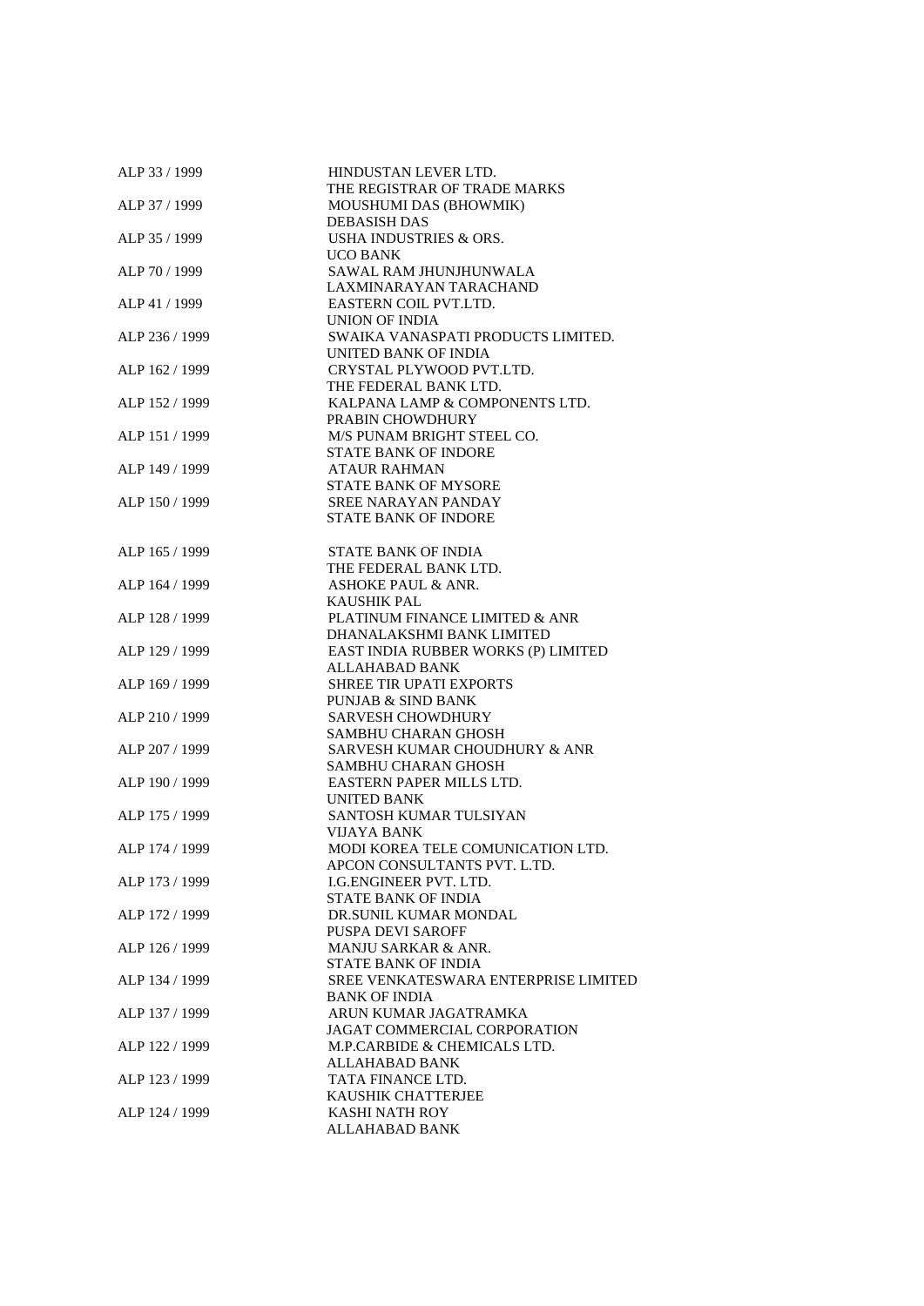| ALP 33 / 1999  | HINDUSTAN LEVER LTD.                 |
|----------------|--------------------------------------|
|                | THE REGISTRAR OF TRADE MARKS         |
| ALP 37 / 1999  | MOUSHUMI DAS (BHOWMIK)               |
|                | <b>DEBASISH DAS</b>                  |
| ALP 35 / 1999  | USHA INDUSTRIES & ORS.               |
|                | UCO BANK                             |
| ALP 70 / 1999  | SAWAL RAM JHUNJHUNWALA               |
|                | LAXMINARAYAN TARACHAND               |
| ALP 41 / 1999  | EASTERN COIL PVT.LTD.                |
|                | UNION OF INDIA                       |
| ALP 236 / 1999 | SWAIKA VANASPATI PRODUCTS LIMITED.   |
|                | UNITED BANK OF INDIA                 |
| ALP 162 / 1999 | CRYSTAL PLYWOOD PVT.LTD.             |
|                | THE FEDERAL BANK LTD.                |
| ALP 152 / 1999 | KALPANA LAMP & COMPONENTS LTD.       |
|                | PRABIN CHOWDHURY                     |
| ALP 151 / 1999 | M/S PUNAM BRIGHT STEEL CO.           |
|                | <b>STATE BANK OF INDORE</b>          |
| ALP 149 / 1999 | <b>ATAUR RAHMAN</b>                  |
|                | STATE BANK OF MYSORE                 |
| ALP 150 / 1999 | <b>SREE NARAYAN PANDAY</b>           |
|                | <b>STATE BANK OF INDORE</b>          |
|                |                                      |
| ALP 165 / 1999 | <b>STATE BANK OF INDIA</b>           |
|                | THE FEDERAL BANK LTD.                |
| ALP 164 / 1999 | <b>ASHOKE PAUL &amp; ANR.</b>        |
|                | <b>KAUSHIK PAL</b>                   |
| ALP 128 / 1999 | PLATINUM FINANCE LIMITED & ANR       |
|                | DHANALAKSHMI BANK LIMITED            |
| ALP 129 / 1999 | EAST INDIA RUBBER WORKS (P) LIMITED  |
|                | <b>ALLAHABAD BANK</b>                |
| ALP 169 / 1999 | <b>SHREE TIR UPATI EXPORTS</b>       |
|                | PUNJAB & SIND BANK                   |
| ALP 210 / 1999 | <b>SARVESH CHOWDHURY</b>             |
|                | SAMBHU CHARAN GHOSH                  |
| ALP 207 / 1999 | SARVESH KUMAR CHOUDHURY & ANR        |
|                | SAMBHU CHARAN GHOSH                  |
| ALP 190 / 1999 | EASTERN PAPER MILLS LTD.             |
|                | <b>UNITED BANK</b>                   |
| ALP 175 / 1999 | SANTOSH KUMAR TULSIYAN               |
|                | <b>VIJAYA BANK</b>                   |
| ALP 174 / 1999 | MODI KOREA TELE COMUNICATION LTD.    |
|                | APCON CONSULTANTS PVT. L.TD.         |
| ALP 173 / 1999 | <b>I.G.ENGINEER PVT. LTD.</b>        |
|                | STATE BANK OF INDIA                  |
| ALP 172 / 1999 | DR.SUNIL KUMAR MONDAL                |
|                | <b>PUSPA DEVI SAROFF</b>             |
| ALP 126 / 1999 | MANJU SARKAR & ANR.                  |
|                | <b>STATE BANK OF INDIA</b>           |
| ALP 134 / 1999 | SREE VENKATESWARA ENTERPRISE LIMITED |
|                | <b>BANK OF INDIA</b>                 |
| ALP 137 / 1999 | ARUN KUMAR JAGATRAMKA                |
|                | JAGAT COMMERCIAL CORPORATION         |
| ALP 122 / 1999 | M.P.CARBIDE & CHEMICALS LTD.         |
|                | ALLAHABAD BANK                       |
| ALP 123 / 1999 | TATA FINANCE LTD.                    |
|                | KAUSHIK CHATTERJEE                   |
| ALP 124 / 1999 | <b>KASHI NATH ROY</b>                |
|                | ALLAHABAD BANK                       |
|                |                                      |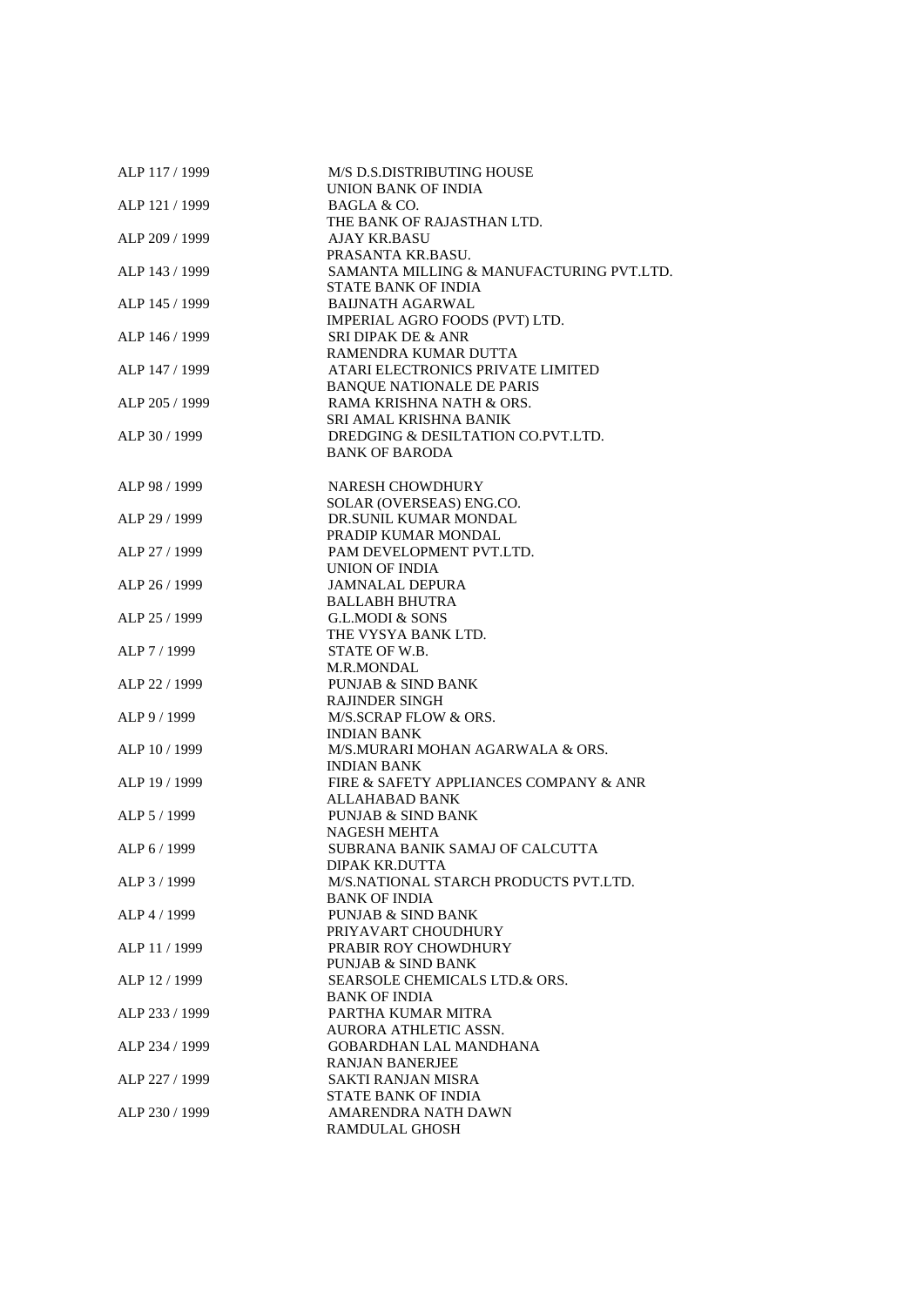| ALP 117 / 1999 | M/S D.S.DISTRIBUTING HOUSE<br>UNION BANK OF INDIA                     |
|----------------|-----------------------------------------------------------------------|
| ALP 121 / 1999 | BAGLA & CO.<br>THE BANK OF RAJASTHAN LTD.                             |
| ALP 209 / 1999 | AJAY KR.BASU                                                          |
| ALP 143 / 1999 | PRASANTA KR.BASU.<br>SAMANTA MILLING & MANUFACTURING PVT.LTD.         |
| ALP 145 / 1999 | <b>STATE BANK OF INDIA</b><br><b>BAIJNATH AGARWAL</b>                 |
|                | IMPERIAL AGRO FOODS (PVT) LTD.                                        |
| ALP 146 / 1999 | SRI DIPAK DE & ANR<br>RAMENDRA KUMAR DUTTA                            |
| ALP 147 / 1999 | ATARI ELECTRONICS PRIVATE LIMITED<br><b>BANQUE NATIONALE DE PARIS</b> |
| ALP 205 / 1999 | RAMA KRISHNA NATH & ORS.<br>SRI AMAL KRISHNA BANIK                    |
| ALP 30 / 1999  | DREDGING & DESILTATION CO.PVT.LTD.                                    |
|                | <b>BANK OF BARODA</b>                                                 |
| ALP 98 / 1999  | NARESH CHOWDHURY<br>SOLAR (OVERSEAS) ENG.CO.                          |
| ALP 29 / 1999  | DR.SUNIL KUMAR MONDAL                                                 |
| ALP 27 / 1999  | PRADIP KUMAR MONDAL<br>PAM DEVELOPMENT PVT.LTD.                       |
|                | UNION OF INDIA                                                        |
| ALP 26 / 1999  | <b>JAMNALAL DEPURA</b><br><b>BALLABH BHUTRA</b>                       |
| ALP 25 / 1999  | <b>G.L.MODI &amp; SONS</b>                                            |
| ALP 7 / 1999   | THE VYSYA BANK LTD.<br>STATE OF W.B.                                  |
|                | <b>M.R.MONDAL</b>                                                     |
| ALP 22 / 1999  | <b>PUNJAB &amp; SIND BANK</b><br><b>RAJINDER SINGH</b>                |
| ALP 9 / 1999   | M/S.SCRAP FLOW & ORS.                                                 |
| ALP 10 / 1999  | <b>INDIAN BANK</b><br>M/S.MURARI MOHAN AGARWALA & ORS.                |
|                | <b>INDIAN BANK</b>                                                    |
| ALP 19 / 1999  | FIRE & SAFETY APPLIANCES COMPANY & ANR<br>ALLAHABAD BANK              |
| ALP 5 / 1999   | <b>PUNJAB &amp; SIND BANK</b>                                         |
|                | <b>NAGESH MEHTA</b>                                                   |
| ALP 6 / 1999   | SUBRANA BANIK SAMAJ OF CALCUTTA<br>DIPAK KR.DUTTA                     |
| ALP 3/1999     | M/S.NATIONAL STARCH PRODUCTS PVT.LTD.<br><b>BANK OF INDIA</b>         |
| ALP 4 / 1999   | <b>PUNJAB &amp; SIND BANK</b>                                         |
| ALP 11 / 1999  | PRIYAVART CHOUDHURY<br><b>PRABIR ROY CHOWDHURY</b>                    |
|                | <b>PUNJAB &amp; SIND BANK</b>                                         |
| ALP 12 / 1999  | <b>SEARSOLE CHEMICALS LTD.&amp; ORS.</b><br><b>BANK OF INDIA</b>      |
| ALP 233 / 1999 | PARTHA KUMAR MITRA                                                    |
| ALP 234 / 1999 | AURORA ATHLETIC ASSN.<br><b>GOBARDHAN LAL MANDHANA</b>                |
|                | RANJAN BANERJEE                                                       |
| ALP 227 / 1999 | SAKTI RANJAN MISRA<br><b>STATE BANK OF INDIA</b>                      |
| ALP 230 / 1999 | AMARENDRA NATH DAWN                                                   |
|                | <b>RAMDULAL GHOSH</b>                                                 |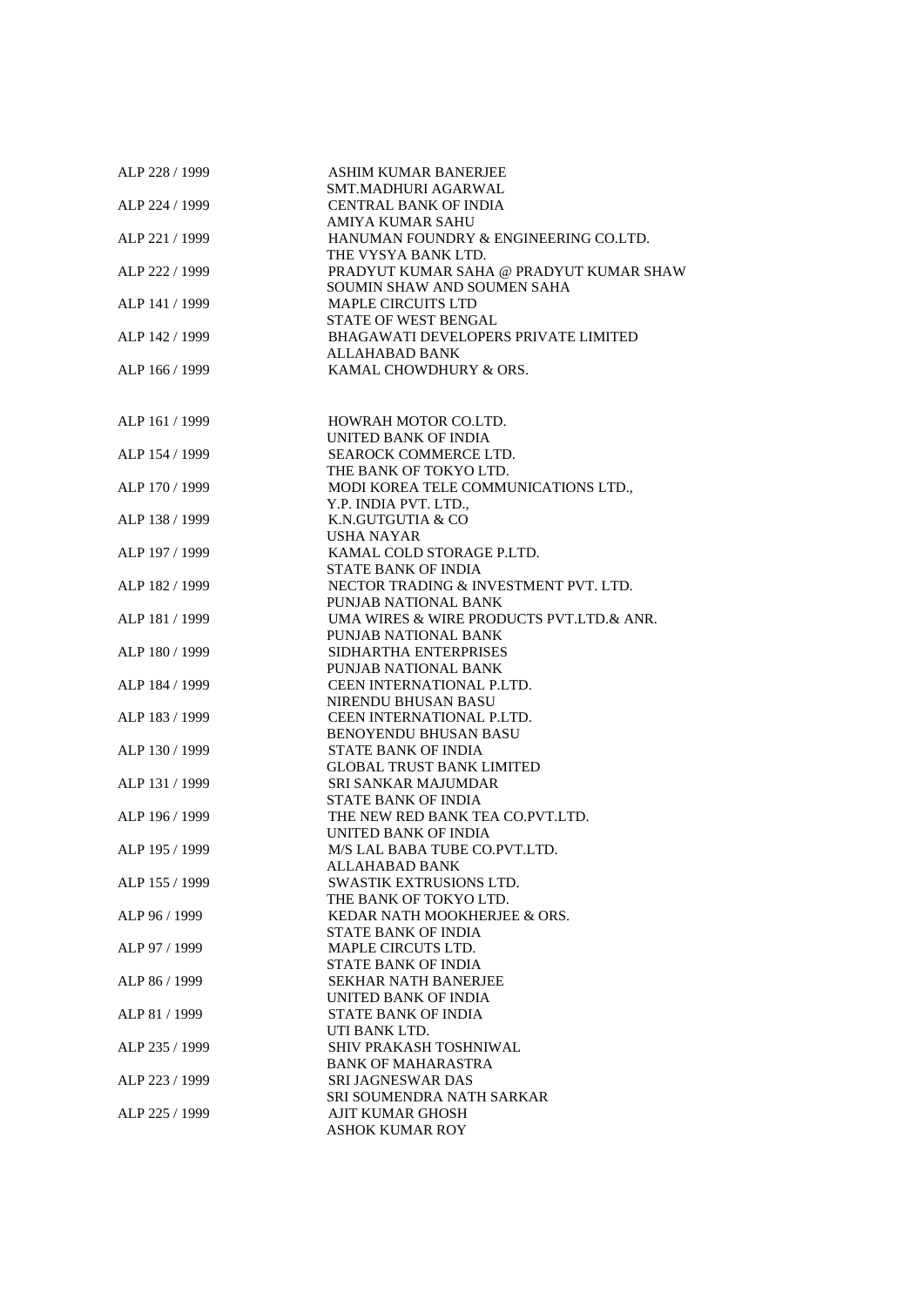| ALP 228 / 1999 | <b>ASHIM KUMAR BANERJEE</b>                 |
|----------------|---------------------------------------------|
|                | SMT.MADHURI AGARWAL                         |
| ALP 224 / 1999 | <b>CENTRAL BANK OF INDIA</b>                |
|                | <b>AMIYA KUMAR SAHU</b>                     |
| ALP 221 / 1999 | HANUMAN FOUNDRY & ENGINEERING CO.LTD.       |
|                | THE VYSYA BANK LTD.                         |
| ALP 222 / 1999 | PRADYUT KUMAR SAHA @ PRADYUT KUMAR SHAW     |
|                | SOUMIN SHAW AND SOUMEN SAHA                 |
| ALP 141 / 1999 | <b>MAPLE CIRCUITS LTD</b>                   |
|                | STATE OF WEST BENGAL                        |
| ALP 142 / 1999 | <b>BHAGAWATI DEVELOPERS PRIVATE LIMITED</b> |
|                | ALLAHABAD BANK                              |
|                | KAMAL CHOWDHURY & ORS.                      |
| ALP 166 / 1999 |                                             |
|                |                                             |
|                |                                             |
| ALP 161 / 1999 | HOWRAH MOTOR CO.LTD.                        |
|                | UNITED BANK OF INDIA                        |
| ALP 154 / 1999 | SEAROCK COMMERCE LTD.                       |
|                | THE BANK OF TOKYO LTD.                      |
| ALP 170 / 1999 | MODI KOREA TELE COMMUNICATIONS LTD.,        |
|                | Y.P. INDIA PVT. LTD.,                       |
| ALP 138 / 1999 | K.N.GUTGUTIA & CO                           |
|                | <b>USHA NAYAR</b>                           |
| ALP 197 / 1999 | KAMAL COLD STORAGE P.LTD.                   |
|                | STATE BANK OF INDIA                         |
| ALP 182 / 1999 | NECTOR TRADING & INVESTMENT PVT. LTD.       |
|                | PUNJAB NATIONAL BANK                        |
| ALP 181 / 1999 | UMA WIRES & WIRE PRODUCTS PVT.LTD.& ANR.    |
|                | PUNJAB NATIONAL BANK                        |
| ALP 180 / 1999 | SIDHARTHA ENTERPRISES                       |
|                | PUNJAB NATIONAL BANK                        |
|                |                                             |
| ALP 184 / 1999 | CEEN INTERNATIONAL P.LTD.                   |
|                | NIRENDU BHUSAN BASU                         |
| ALP 183 / 1999 | CEEN INTERNATIONAL P.LTD.                   |
|                | <b>BENOYENDU BHUSAN BASU</b>                |
| ALP 130 / 1999 | STATE BANK OF INDIA                         |
|                | <b>GLOBAL TRUST BANK LIMITED</b>            |
| ALP 131 / 1999 | <b>SRI SANKAR MAJUMDAR</b>                  |
|                | <b>STATE BANK OF INDIA</b>                  |
| ALP 196 / 1999 | THE NEW RED BANK TEA CO.PVT.LTD.            |
|                | UNITED BANK OF INDIA                        |
| ALP 195 / 1999 | M/S LAL BABA TUBE CO.PVT.LTD.               |
|                | ALLAHABAD BANK                              |
| ALP 155 / 1999 | SWASTIK EXTRUSIONS LTD.                     |
|                | THE BANK OF TOKYO LTD.                      |
| ALP 96 / 1999  | KEDAR NATH MOOKHERJEE & ORS.                |
|                | STATE BANK OF INDIA                         |
| ALP 97 / 1999  | MAPLE CIRCUTS LTD.                          |
|                | <b>STATE BANK OF INDIA</b>                  |
| ALP 86 / 1999  | <b>SEKHAR NATH BANERJEE</b>                 |
|                | UNITED BANK OF INDIA                        |
| ALP 81 / 1999  | <b>STATE BANK OF INDIA</b>                  |
|                | UTI BANK LTD.                               |
|                |                                             |
| ALP 235 / 1999 | SHIV PRAKASH TOSHNIWAL                      |
|                | <b>BANK OF MAHARASTRA</b>                   |
| ALP 223 / 1999 | <b>SRI JAGNESWAR DAS</b>                    |
|                | SRI SOUMENDRA NATH SARKAR                   |
| ALP 225 / 1999 | <b>AJIT KUMAR GHOSH</b>                     |
|                | <b>ASHOK KUMAR ROY</b>                      |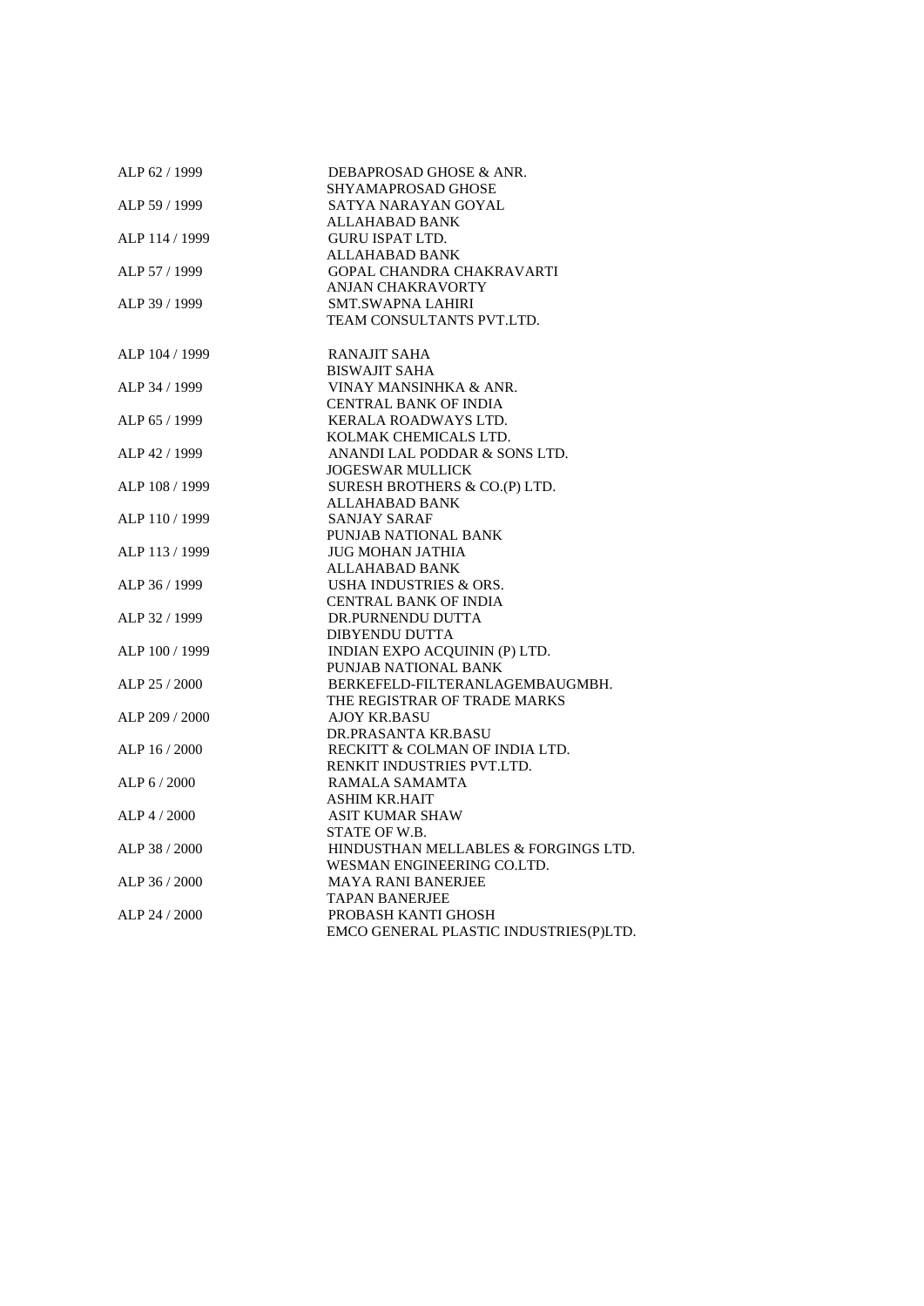| ALP 62 / 1999  | DEBAPROSAD GHOSE & ANR.                |
|----------------|----------------------------------------|
|                | SHYAMAPROSAD GHOSE                     |
| ALP 59 / 1999  | SATYA NARAYAN GOYAL                    |
|                | ALLAHABAD BANK                         |
| ALP 114 / 1999 | <b>GURU ISPAT LTD.</b>                 |
|                | ALLAHABAD BANK                         |
| ALP 57 / 1999  | <b>GOPAL CHANDRA CHAKRAVARTI</b>       |
|                | <b>ANJAN CHAKRAVORTY</b>               |
| ALP 39 / 1999  | <b>SMT.SWAPNA LAHIRI</b>               |
|                | TEAM CONSULTANTS PVT.LTD.              |
| ALP 104 / 1999 | <b>RANAJIT SAHA</b>                    |
|                | <b>BISWAJIT SAHA</b>                   |
| ALP 34 / 1999  | VINAY MANSINHKA & ANR.                 |
|                | <b>CENTRAL BANK OF INDIA</b>           |
| ALP 65 / 1999  | KERALA ROADWAYS LTD.                   |
|                | KOLMAK CHEMICALS LTD.                  |
| ALP 42 / 1999  | ANANDI LAL PODDAR & SONS LTD.          |
|                | <b>JOGESWAR MULLICK</b>                |
| ALP 108 / 1999 | SURESH BROTHERS & CO.(P) LTD.          |
|                | ALLAHABAD BANK                         |
| ALP 110 / 1999 | <b>SANJAY SARAF</b>                    |
|                | PUNJAB NATIONAL BANK                   |
| ALP 113 / 1999 | JUG MOHAN JATHIA                       |
|                | ALLAHABAD BANK                         |
| ALP 36 / 1999  | USHA INDUSTRIES & ORS.                 |
|                | <b>CENTRAL BANK OF INDIA</b>           |
| ALP 32 / 1999  | DR.PURNENDU DUTTA                      |
|                | <b>DIBYENDU DUTTA</b>                  |
| ALP 100 / 1999 | INDIAN EXPO ACQUININ (P) LTD.          |
|                | PUNJAB NATIONAL BANK                   |
| ALP 25 / 2000  | BERKEFELD-FILTERANLAGEMBAUGMBH.        |
|                | THE REGISTRAR OF TRADE MARKS           |
| ALP 209 / 2000 | <b>AJOY KR.BASU</b>                    |
|                | DR.PRASANTA KR.BASU                    |
| ALP 16 / 2000  | RECKITT & COLMAN OF INDIA LTD.         |
|                | RENKIT INDUSTRIES PVT.LTD.             |
| ALP 6 / 2000   | RAMALA SAMAMTA                         |
|                | <b>ASHIM KR.HAIT</b>                   |
| $ALP$ 4 / 2000 | <b>ASIT KUMAR SHAW</b>                 |
|                | STATE OF W.B.                          |
| ALP 38 / 2000  | HINDUSTHAN MELLABLES & FORGINGS LTD.   |
|                | WESMAN ENGINEERING CO.LTD.             |
| ALP 36 / 2000  | <b>MAYA RANI BANERJEE</b>              |
|                | <b>TAPAN BANERJEE</b>                  |
| ALP 24 / 2000  | PROBASH KANTI GHOSH                    |
|                | EMCO GENERAL PLASTIC INDUSTRIES(P)LTD. |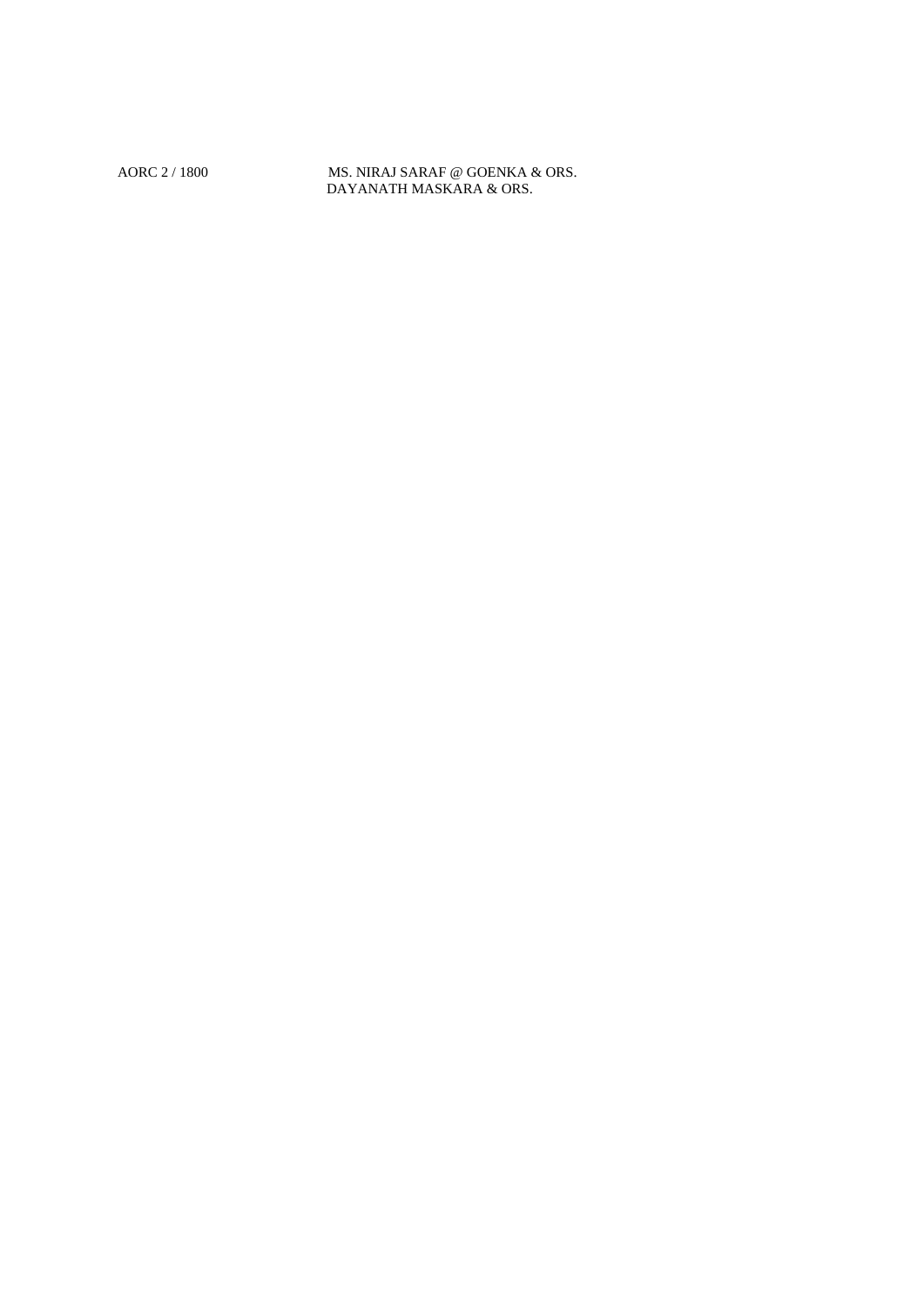AORC 2 / 1800 MS. NIRAJ SARAF @ GOENKA & ORS. DAYANATH MASKARA & ORS.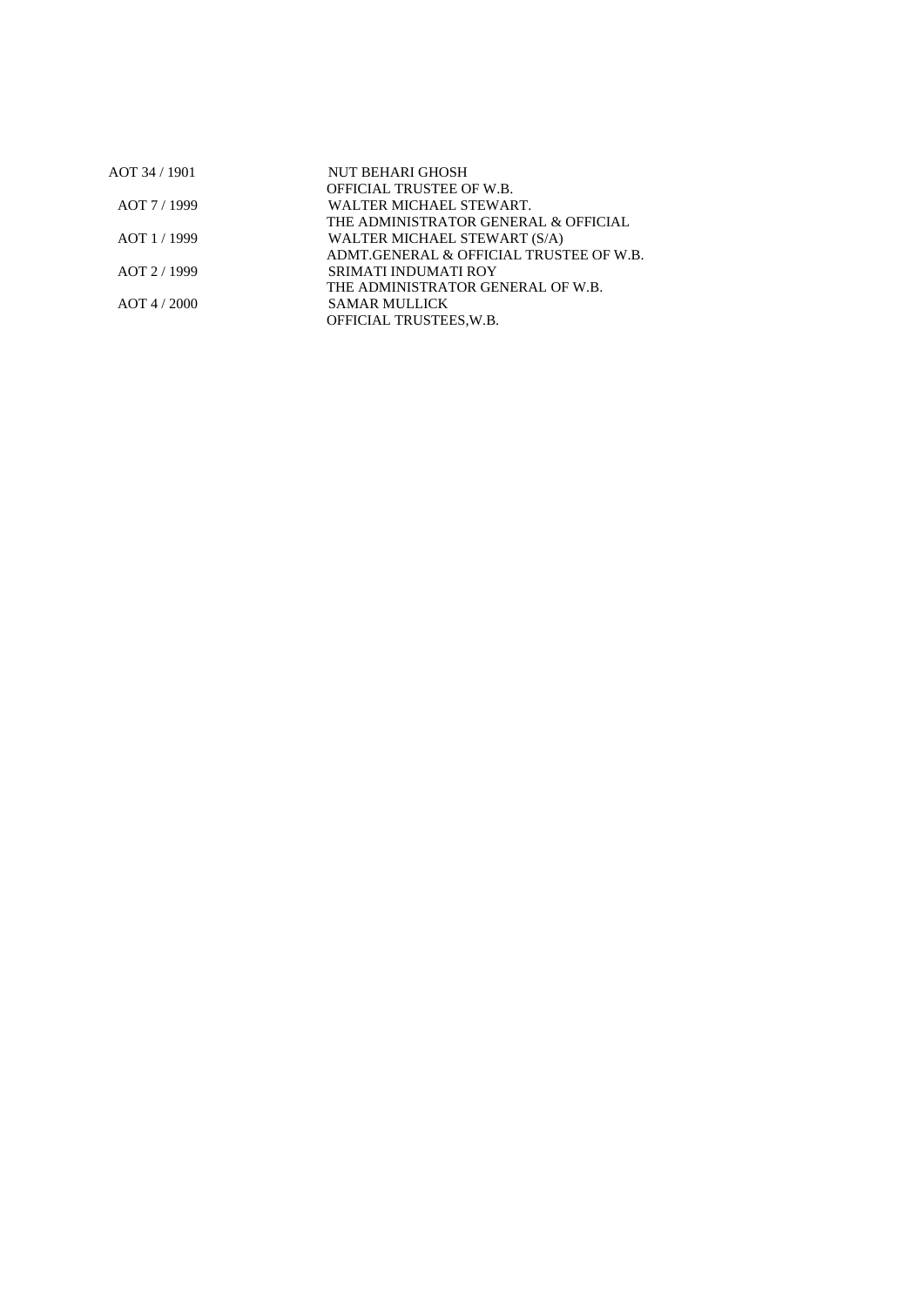| AOT 34 / 1901  | NUT BEHARI GHOSH                        |  |
|----------------|-----------------------------------------|--|
|                | <b>OFFICIAL TRUSTEE OF W.B.</b>         |  |
| AOT 7/1999     | WALTER MICHAEL STEWART.                 |  |
|                | THE ADMINISTRATOR GENERAL & OFFICIAL    |  |
| AOT 1/1999     | WALTER MICHAEL STEWART (S/A)            |  |
|                | ADMT.GENERAL & OFFICIAL TRUSTEE OF W.B. |  |
| AOT 2/1999     | SRIMATI INDUMATI ROY                    |  |
|                | THE ADMINISTRATOR GENERAL OF W.B.       |  |
| $AOT$ 4 / 2000 | SAMAR MULLICK                           |  |
|                | OFFICIAL TRUSTEES, W.B.                 |  |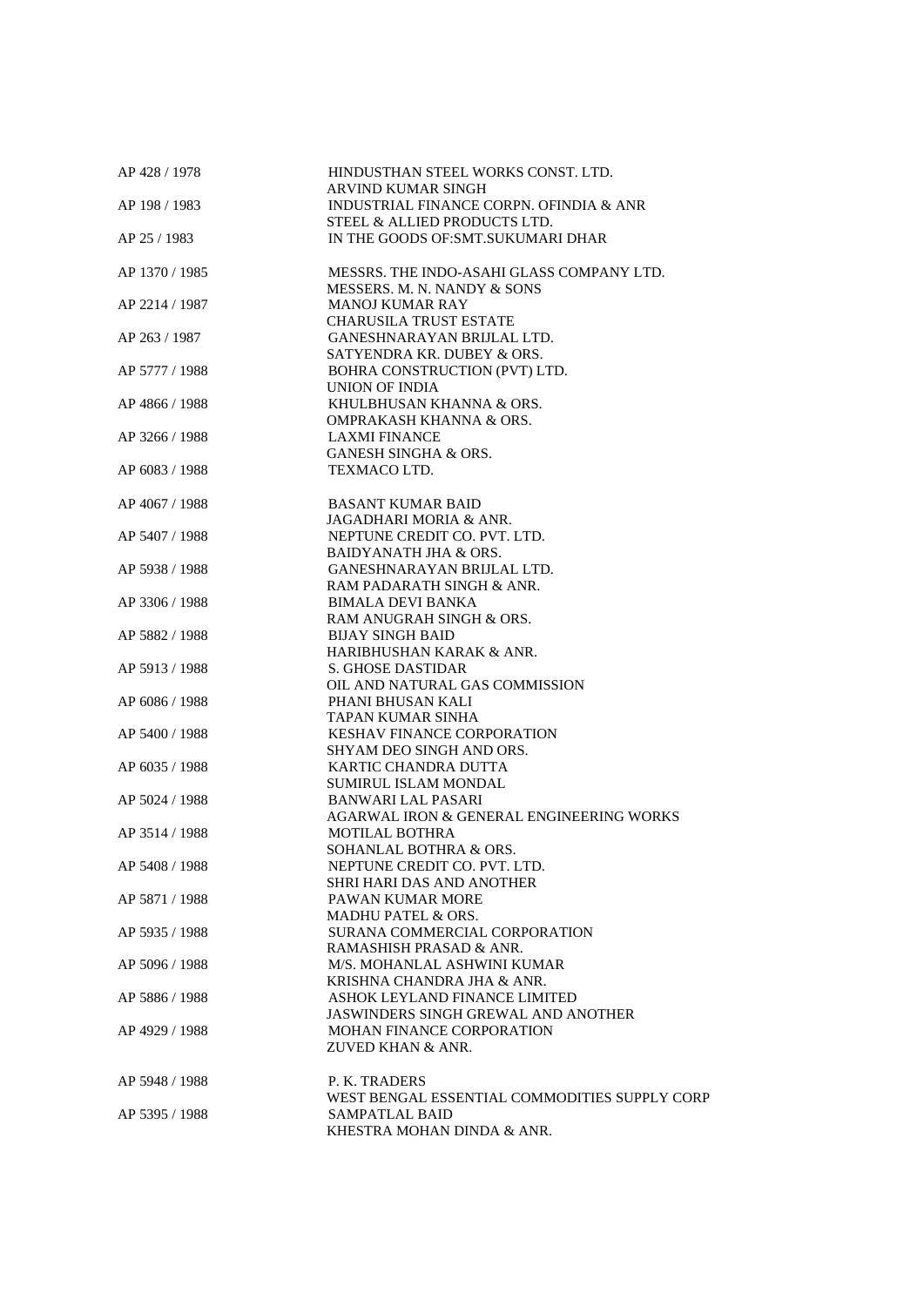| AP 428 / 1978  | HINDUSTHAN STEEL WORKS CONST. LTD.                                  |
|----------------|---------------------------------------------------------------------|
| AP 198 / 1983  | ARVIND KUMAR SINGH                                                  |
|                | INDUSTRIAL FINANCE CORPN. OFINDIA & ANR                             |
| AP 25 / 1983   | STEEL & ALLIED PRODUCTS LTD.<br>IN THE GOODS OF: SMT. SUKUMARI DHAR |
|                |                                                                     |
| AP 1370 / 1985 | MESSRS. THE INDO-ASAHI GLASS COMPANY LTD.                           |
|                | MESSERS. M. N. NANDY & SONS                                         |
| AP 2214 / 1987 | <b>MANOJ KUMAR RAY</b>                                              |
|                | <b>CHARUSILA TRUST ESTATE</b>                                       |
| AP 263 / 1987  | GANESHNARAYAN BRIJLAL LTD.                                          |
| AP 5777 / 1988 | SATYENDRA KR. DUBEY & ORS.<br>BOHRA CONSTRUCTION (PVT) LTD.         |
|                | UNION OF INDIA                                                      |
| AP 4866 / 1988 | KHULBHUSAN KHANNA & ORS.                                            |
|                | OMPRAKASH KHANNA & ORS.                                             |
| AP 3266 / 1988 | <b>LAXMI FINANCE</b>                                                |
|                | <b>GANESH SINGHA &amp; ORS.</b>                                     |
| AP 6083 / 1988 | TEXMACO LTD.                                                        |
|                |                                                                     |
| AP 4067 / 1988 | <b>BASANT KUMAR BAID</b>                                            |
|                | JAGADHARI MORIA & ANR.                                              |
| AP 5407 / 1988 | NEPTUNE CREDIT CO. PVT. LTD.                                        |
|                | <b>BAIDYANATH JHA &amp; ORS.</b>                                    |
| AP 5938 / 1988 | GANESHNARAYAN BRIJLAL LTD.                                          |
|                | RAM PADARATH SINGH & ANR.                                           |
| AP 3306 / 1988 | <b>BIMALA DEVI BANKA</b>                                            |
|                | RAM ANUGRAH SINGH & ORS.                                            |
| AP 5882 / 1988 | <b>BIJAY SINGH BAID</b>                                             |
|                | HARIBHUSHAN KARAK & ANR.                                            |
| AP 5913 / 1988 | S. GHOSE DASTIDAR                                                   |
|                | OIL AND NATURAL GAS COMMISSION                                      |
| AP 6086 / 1988 | PHANI BHUSAN KALI                                                   |
|                | TAPAN KUMAR SINHA                                                   |
| AP 5400 / 1988 | <b>KESHAV FINANCE CORPORATION</b>                                   |
|                | SHYAM DEO SINGH AND ORS.                                            |
| AP 6035 / 1988 | KARTIC CHANDRA DUTTA                                                |
|                | <b>SUMIRUL ISLAM MONDAL</b>                                         |
| AP 5024 / 1988 | <b>BANWARI LAL PASARI</b>                                           |
|                | AGARWAL IRON & GENERAL ENGINEERING WORKS                            |
| AP 3514 / 1988 | <b>MOTILAL BOTHRA</b>                                               |
|                | SOHANLAL BOTHRA & ORS.                                              |
| AP 5408 / 1988 | NEPTUNE CREDIT CO. PVT. LTD.                                        |
|                | SHRI HARI DAS AND ANOTHER                                           |
| AP 5871 / 1988 | PAWAN KUMAR MORE                                                    |
|                | <b>MADHU PATEL &amp; ORS.</b>                                       |
| AP 5935 / 1988 | SURANA COMMERCIAL CORPORATION                                       |
|                | RAMASHISH PRASAD & ANR.                                             |
| AP 5096 / 1988 | M/S. MOHANLAL ASHWINI KUMAR                                         |
|                | KRISHNA CHANDRA JHA & ANR.                                          |
| AP 5886 / 1988 | ASHOK LEYLAND FINANCE LIMITED                                       |
|                | <b>JASWINDERS SINGH GREWAL AND ANOTHER</b>                          |
| AP 4929 / 1988 | <b>MOHAN FINANCE CORPORATION</b><br>ZUVED KHAN & ANR.               |
|                |                                                                     |
| AP 5948 / 1988 | P. K. TRADERS                                                       |
|                | WEST BENGAL ESSENTIAL COMMODITIES SUPPLY CORP                       |
| AP 5395 / 1988 | <b>SAMPATLAL BAID</b>                                               |
|                | KHESTRA MOHAN DINDA & ANR.                                          |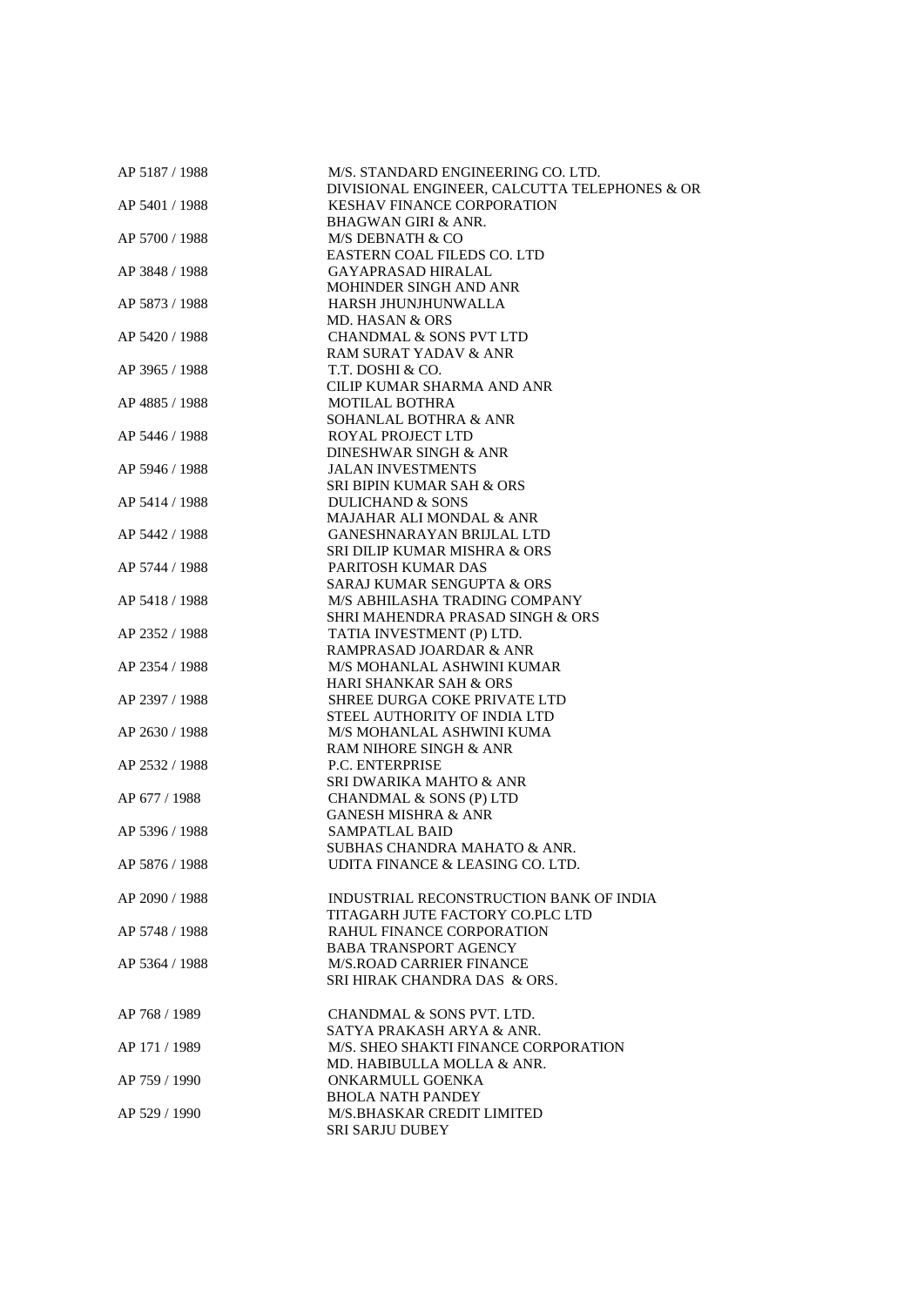| AP 5187 / 1988 | M/S. STANDARD ENGINEERING CO. LTD.            |
|----------------|-----------------------------------------------|
|                | DIVISIONAL ENGINEER, CALCUTTA TELEPHONES & OR |
| AP 5401 / 1988 | <b>KESHAV FINANCE CORPORATION</b>             |
|                | <b>BHAGWAN GIRI &amp; ANR.</b>                |
| AP 5700 / 1988 | M/S DEBNATH & CO                              |
|                | EASTERN COAL FILEDS CO. LTD                   |
| AP 3848 / 1988 | <b>GAYAPRASAD HIRALAL</b>                     |
|                | MOHINDER SINGH AND ANR                        |
| AP 5873 / 1988 | HARSH JHUNJHUNWALLA                           |
|                | MD. HASAN & ORS                               |
| AP 5420 / 1988 | <b>CHANDMAL &amp; SONS PVT LTD</b>            |
|                | RAM SURAT YADAV & ANR                         |
| AP 3965 / 1988 | T.T. DOSHI & CO.                              |
|                |                                               |
|                | CILIP KUMAR SHARMA AND ANR                    |
| AP 4885 / 1988 | <b>MOTILAL BOTHRA</b>                         |
|                | SOHANLAL BOTHRA & ANR                         |
| AP 5446 / 1988 | <b>ROYAL PROJECT LTD</b>                      |
|                | DINESHWAR SINGH & ANR                         |
| AP 5946 / 1988 | <b>JALAN INVESTMENTS</b>                      |
|                | SRI BIPIN KUMAR SAH & ORS                     |
| AP 5414 / 1988 | <b>DULICHAND &amp; SONS</b>                   |
|                | MAJAHAR ALI MONDAL & ANR                      |
| AP 5442 / 1988 | GANESHNARAYAN BRIJLAL LTD                     |
|                | SRI DILIP KUMAR MISHRA & ORS                  |
| AP 5744 / 1988 | PARITOSH KUMAR DAS                            |
|                | SARAJ KUMAR SENGUPTA & ORS                    |
| AP 5418 / 1988 | M/S ABHILASHA TRADING COMPANY                 |
|                |                                               |
|                | SHRI MAHENDRA PRASAD SINGH & ORS              |
| AP 2352 / 1988 | TATIA INVESTMENT (P) LTD.                     |
|                | RAMPRASAD JOARDAR & ANR                       |
| AP 2354 / 1988 | M/S MOHANLAL ASHWINI KUMAR                    |
|                | <b>HARI SHANKAR SAH &amp; ORS</b>             |
| AP 2397 / 1988 | SHREE DURGA COKE PRIVATE LTD                  |
|                | STEEL AUTHORITY OF INDIA LTD                  |
| AP 2630 / 1988 | M/S MOHANLAL ASHWINI KUMA                     |
|                | RAM NIHORE SINGH & ANR                        |
| AP 2532 / 1988 | <b>P.C. ENTERPRISE</b>                        |
|                | SRI DWARIKA MAHTO & ANR                       |
| AP 677 / 1988  | CHANDMAL & SONS (P) LTD                       |
|                | <b>GANESH MISHRA &amp; ANR</b>                |
| AP 5396 / 1988 | <b>SAMPATLAL BAID</b>                         |
|                | SUBHAS CHANDRA MAHATO & ANR.                  |
|                | UDITA FINANCE & LEASING CO. LTD.              |
| AP 5876 / 1988 |                                               |
|                |                                               |
| AP 2090 / 1988 | INDUSTRIAL RECONSTRUCTION BANK OF INDIA       |
|                | TITAGARH JUTE FACTORY CO.PLC LTD              |
| AP 5748 / 1988 | <b>RAHUL FINANCE CORPORATION</b>              |
|                | <b>BABA TRANSPORT AGENCY</b>                  |
| AP 5364 / 1988 | <b>M/S.ROAD CARRIER FINANCE</b>               |
|                | SRI HIRAK CHANDRA DAS & ORS.                  |
|                |                                               |
| AP 768 / 1989  | CHANDMAL & SONS PVT. LTD.                     |
|                | SATYA PRAKASH ARYA & ANR.                     |
| AP 171 / 1989  | M/S. SHEO SHAKTI FINANCE CORPORATION          |
|                | MD. HABIBULLA MOLLA & ANR.                    |
| AP 759 / 1990  | ONKARMULL GOENKA                              |
|                | <b>BHOLA NATH PANDEY</b>                      |
|                |                                               |
| AP 529 / 1990  | M/S.BHASKAR CREDIT LIMITED                    |
|                | SRI SARJU DUBEY                               |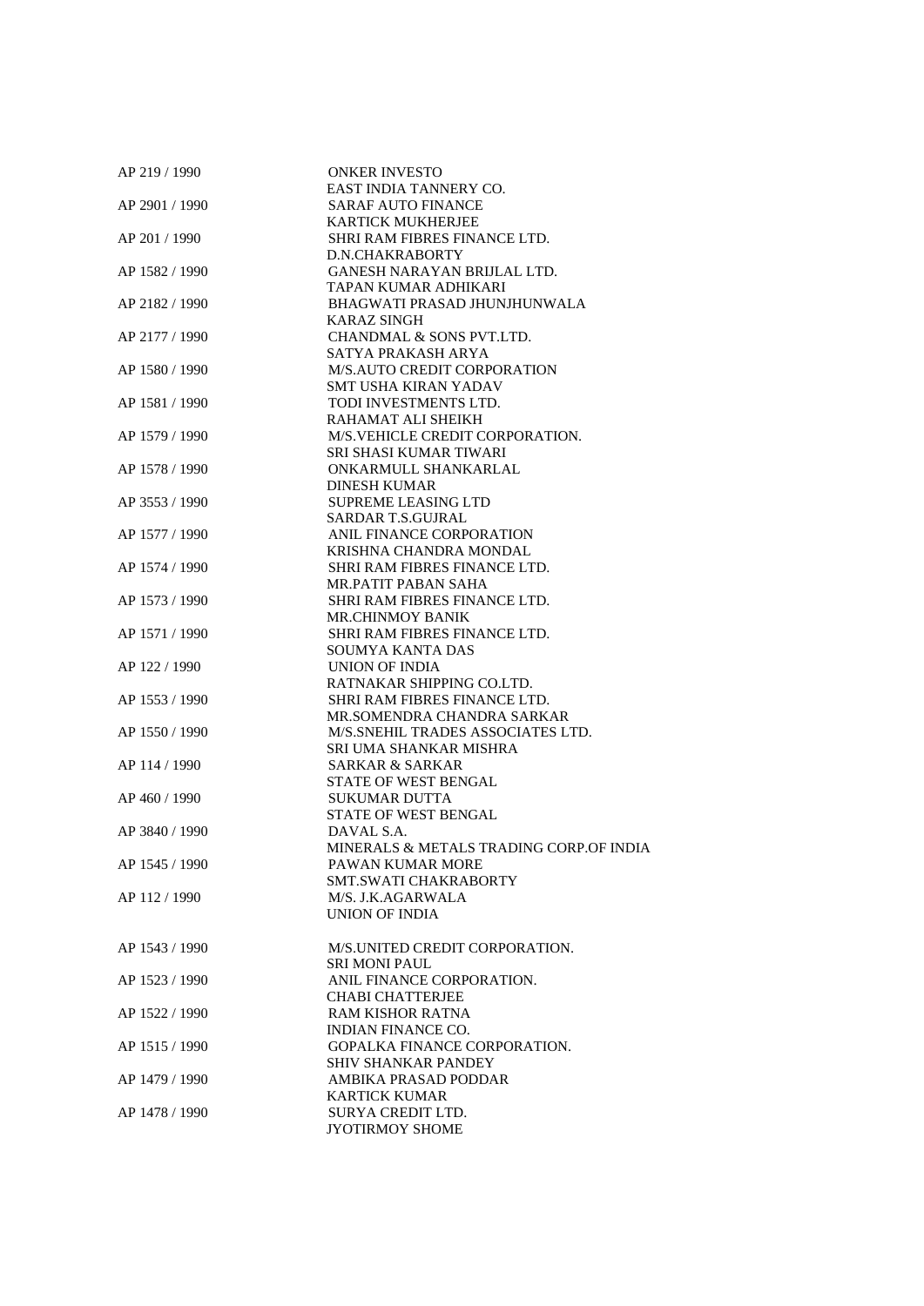| AP 219 / 1990  | <b>ONKER INVESTO</b>                        |
|----------------|---------------------------------------------|
|                | EAST INDIA TANNERY CO.                      |
| AP 2901 / 1990 | <b>SARAF AUTO FINANCE</b>                   |
|                | <b>KARTICK MUKHERJEE</b>                    |
| AP 201 / 1990  | SHRI RAM FIBRES FINANCE LTD.                |
|                | D.N.CHAKRABORTY                             |
| AP 1582 / 1990 | <b>GANESH NARAYAN BRIJLAL LTD.</b>          |
|                | TAPAN KUMAR ADHIKARI                        |
| AP 2182 / 1990 | BHAGWATI PRASAD JHUNJHUNWALA                |
|                | <b>KARAZ SINGH</b>                          |
| AP 2177 / 1990 | CHANDMAL & SONS PVT.LTD.                    |
|                | SATYA PRAKASH ARYA                          |
| AP 1580 / 1990 | M/S.AUTO CREDIT CORPORATION                 |
|                | <b>SMT USHA KIRAN YADAV</b>                 |
| AP 1581 / 1990 | TODI INVESTMENTS LTD.                       |
|                | RAHAMAT ALI SHEIKH                          |
| AP 1579 / 1990 | M/S.VEHICLE CREDIT CORPORATION.             |
|                | SRI SHASI KUMAR TIWARI                      |
| AP 1578 / 1990 | ONKARMULL SHANKARLAL                        |
|                | <b>DINESH KUMAR</b>                         |
| AP 3553 / 1990 | <b>SUPREME LEASING LTD</b>                  |
|                | <b>SARDAR T.S.GUJRAL</b>                    |
| AP 1577 / 1990 | ANIL FINANCE CORPORATION                    |
|                | KRISHNA CHANDRA MONDAL                      |
| AP 1574 / 1990 | SHRI RAM FIBRES FINANCE LTD.                |
|                | <b>MR.PATIT PABAN SAHA</b>                  |
| AP 1573 / 1990 | SHRI RAM FIBRES FINANCE LTD.                |
|                | <b>MR.CHINMOY BANIK</b>                     |
| AP 1571 / 1990 | SHRI RAM FIBRES FINANCE LTD.                |
|                | <b>SOUMYA KANTA DAS</b>                     |
| AP 122 / 1990  | UNION OF INDIA<br>RATNAKAR SHIPPING CO.LTD. |
| AP 1553 / 1990 | <b>SHRI RAM FIBRES FINANCE LTD.</b>         |
|                | MR.SOMENDRA CHANDRA SARKAR                  |
| AP 1550 / 1990 | M/S.SNEHIL TRADES ASSOCIATES LTD.           |
|                | SRI UMA SHANKAR MISHRA                      |
| AP 114 / 1990  | <b>SARKAR &amp; SARKAR</b>                  |
|                | STATE OF WEST BENGAL                        |
| AP 460 / 1990  | <b>SUKUMAR DUTTA</b>                        |
|                | STATE OF WEST BENGAL                        |
| AP 3840 / 1990 | DAVAL S.A.                                  |
|                | MINERALS & METALS TRADING CORP.OF INDIA     |
| AP 1545 / 1990 | PAWAN KUMAR MORE                            |
|                | <b>SMT.SWATI CHAKRABORTY</b>                |
| AP 112 / 1990  | M/S. J.K.AGARWALA                           |
|                | UNION OF INDIA                              |
|                |                                             |
| AP 1543 / 1990 | M/S.UNITED CREDIT CORPORATION.              |
|                | <b>SRI MONI PAUL</b>                        |
| AP 1523 / 1990 | ANIL FINANCE CORPORATION.                   |
|                | <b>CHABI CHATTERJEE</b>                     |
| AP 1522 / 1990 | <b>RAM KISHOR RATNA</b>                     |
|                | <b>INDIAN FINANCE CO.</b>                   |
| AP 1515 / 1990 | <b>GOPALKA FINANCE CORPORATION.</b>         |
|                | <b>SHIV SHANKAR PANDEY</b>                  |
| AP 1479 / 1990 | AMBIKA PRASAD PODDAR                        |
|                | <b>KARTICK KUMAR</b>                        |
| AP 1478 / 1990 | SURYA CREDIT LTD.                           |
|                | <b>JYOTIRMOY SHOME</b>                      |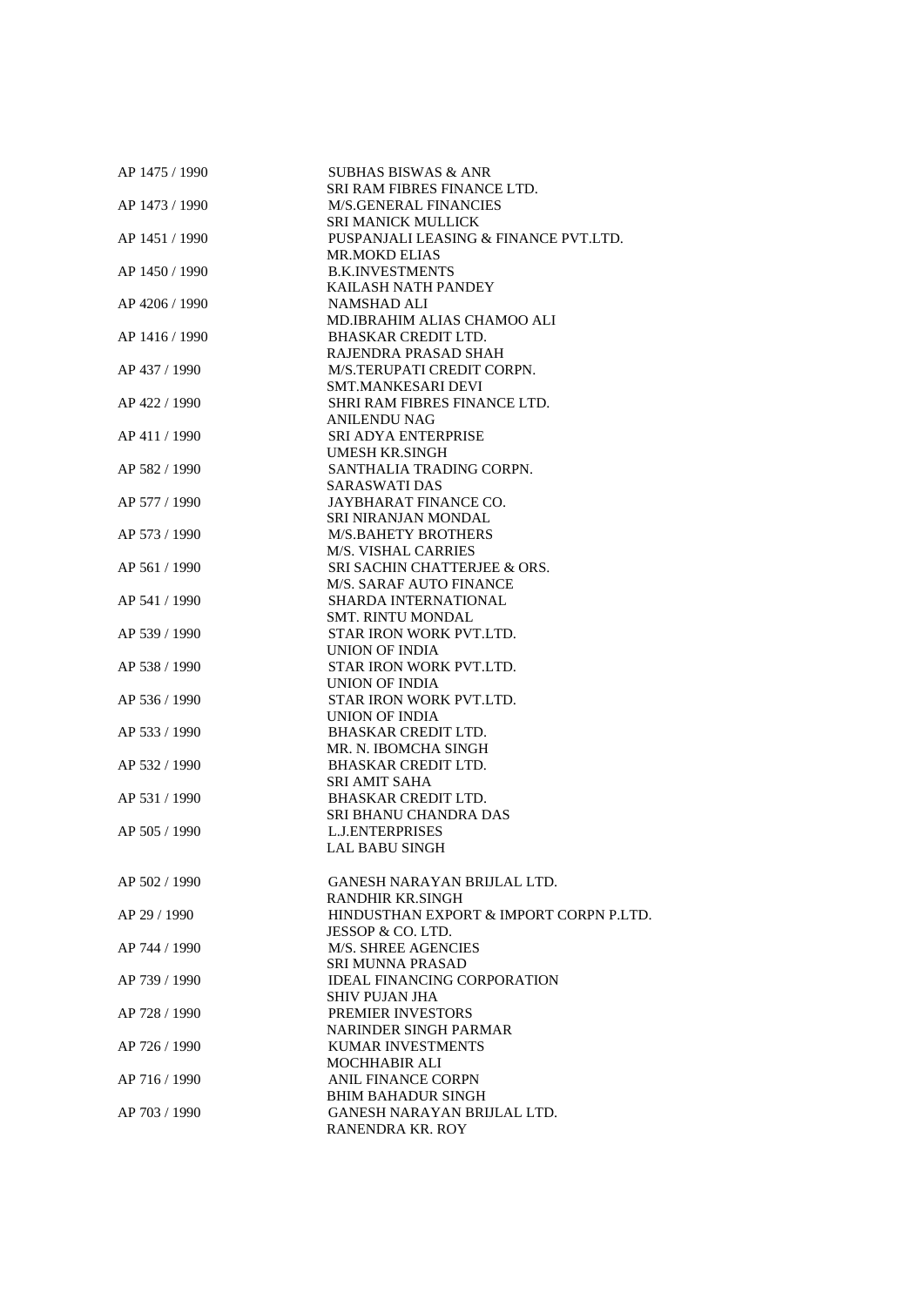| AP 1475 / 1990 | <b>SUBHAS BISWAS &amp; ANR</b>          |
|----------------|-----------------------------------------|
|                | SRI RAM FIBRES FINANCE LTD.             |
| AP 1473 / 1990 | <b>M/S.GENERAL FINANCIES</b>            |
|                | <b>SRI MANICK MULLICK</b>               |
| AP 1451 / 1990 | PUSPANJALI LEASING & FINANCE PVT.LTD.   |
|                | <b>MR.MOKD ELIAS</b>                    |
| AP 1450 / 1990 | <b>B.K.INVESTMENTS</b>                  |
|                | KAILASH NATH PANDEY                     |
| AP 4206 / 1990 | <b>NAMSHAD ALI</b>                      |
|                | MD.IBRAHIM ALIAS CHAMOO ALI             |
| AP 1416 / 1990 | <b>BHASKAR CREDIT LTD.</b>              |
|                | RAJENDRA PRASAD SHAH                    |
| AP 437 / 1990  | M/S.TERUPATI CREDIT CORPN.              |
|                | SMT.MANKESARI DEVI                      |
|                |                                         |
| AP 422 / 1990  | SHRI RAM FIBRES FINANCE LTD.            |
|                | <b>ANILENDU NAG</b>                     |
| AP 411 / 1990  | SRI ADYA ENTERPRISE                     |
|                | UMESH KR.SINGH                          |
| AP 582 / 1990  | SANTHALIA TRADING CORPN.                |
|                | <b>SARASWATI DAS</b>                    |
| AP 577 / 1990  | JAYBHARAT FINANCE CO.                   |
|                | SRI NIRANJAN MONDAL                     |
| AP 573 / 1990  | <b>M/S.BAHETY BROTHERS</b>              |
|                | <b>M/S. VISHAL CARRIES</b>              |
| AP 561 / 1990  | <b>SRI SACHIN CHATTERJEE &amp; ORS.</b> |
|                | <b>M/S. SARAF AUTO FINANCE</b>          |
| AP 541 / 1990  | SHARDA INTERNATIONAL                    |
|                | <b>SMT. RINTU MONDAL</b>                |
| AP 539 / 1990  | STAR IRON WORK PVT.LTD.                 |
|                | UNION OF INDIA                          |
| AP 538 / 1990  | STAR IRON WORK PVT.LTD.                 |
|                | UNION OF INDIA                          |
| AP 536 / 1990  | STAR IRON WORK PVT.LTD.                 |
|                | <b>UNION OF INDIA</b>                   |
| AP 533 / 1990  | <b>BHASKAR CREDIT LTD.</b>              |
|                |                                         |
|                | MR. N. IBOMCHA SINGH                    |
| AP 532 / 1990  | <b>BHASKAR CREDIT LTD.</b>              |
|                | <b>SRI AMIT SAHA</b>                    |
| AP 531 / 1990  | <b>BHASKAR CREDIT LTD.</b>              |
|                | SRI BHANU CHANDRA DAS                   |
| AP 505 / 1990  | <b>L.J.ENTERPRISES</b>                  |
|                | <b>LAL BABU SINGH</b>                   |
|                |                                         |
| AP 502 / 1990  | <b>GANESH NARAYAN BRIJLAL LTD.</b>      |
|                | RANDHIR KR.SINGH                        |
| AP 29 / 1990   | HINDUSTHAN EXPORT & IMPORT CORPN P.LTD. |
|                | JESSOP & CO. LTD.                       |
| AP 744 / 1990  | <b>M/S. SHREE AGENCIES</b>              |
|                | <b>SRI MUNNA PRASAD</b>                 |
| AP 739 / 1990  | <b>IDEAL FINANCING CORPORATION</b>      |
|                | SHIV PUJAN JHA                          |
| AP 728 / 1990  | <b>PREMIER INVESTORS</b>                |
|                | NARINDER SINGH PARMAR                   |
| AP 726 / 1990  | <b>KUMAR INVESTMENTS</b>                |
|                | <b>MOCHHABIR ALI</b>                    |
|                |                                         |
| AP 716 / 1990  | <b>ANIL FINANCE CORPN</b>               |
|                | <b>BHIM BAHADUR SINGH</b>               |
| AP 703 / 1990  | GANESH NARAYAN BRIJLAL LTD.             |
|                | RANENDRA KR. ROY                        |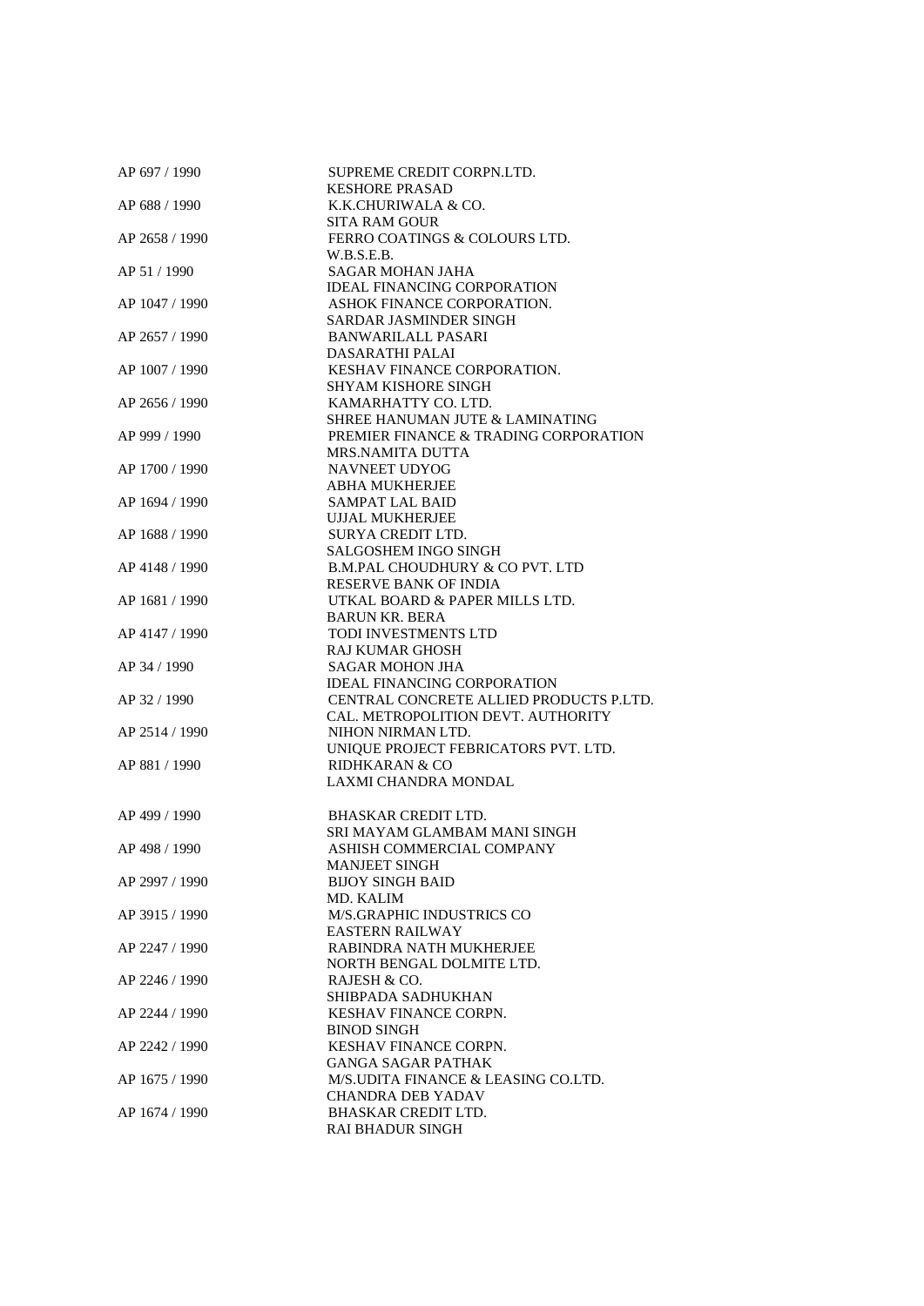| AP 697 / 1990  | SUPREME CREDIT CORPN.LTD.<br><b>KESHORE PRASAD</b> |
|----------------|----------------------------------------------------|
| AP 688 / 1990  | K.K.CHURIWALA & CO.                                |
|                | <b>SITA RAM GOUR</b>                               |
|                | FERRO COATINGS & COLOURS LTD.                      |
| AP 2658 / 1990 |                                                    |
|                | W.B.S.E.B.                                         |
| AP 51 / 1990   | SAGAR MOHAN JAHA                                   |
|                | <b>IDEAL FINANCING CORPORATION</b>                 |
| AP 1047 / 1990 | ASHOK FINANCE CORPORATION.                         |
|                | SARDAR JASMINDER SINGH                             |
| AP 2657 / 1990 | <b>BANWARILALL PASARI</b>                          |
|                | DASARATHI PALAI                                    |
| AP 1007 / 1990 | <b>KESHAV FINANCE CORPORATION.</b>                 |
|                | <b>SHYAM KISHORE SINGH</b>                         |
| AP 2656 / 1990 | KAMARHATTY CO. LTD.                                |
|                | SHREE HANUMAN JUTE & LAMINATING                    |
| AP 999 / 1990  | PREMIER FINANCE & TRADING CORPORATION              |
|                | MRS.NAMITA DUTTA                                   |
| AP 1700 / 1990 | NAVNEET UDYOG                                      |
|                | <b>ABHA MUKHERJEE</b>                              |
| AP 1694 / 1990 | <b>SAMPAT LAL BAID</b>                             |
|                | <b>UJJAL MUKHERJEE</b>                             |
| AP 1688 / 1990 | SURYA CREDIT LTD.                                  |
|                | <b>SALGOSHEM INGO SINGH</b>                        |
| AP 4148 / 1990 | <b>B.M.PAL CHOUDHURY &amp; CO PVT. LTD</b>         |
|                | <b>RESERVE BANK OF INDIA</b>                       |
| AP 1681 / 1990 | UTKAL BOARD & PAPER MILLS LTD.                     |
|                | <b>BARUN KR. BERA</b>                              |
| AP 4147 / 1990 | TODI INVESTMENTS LTD                               |
|                | <b>RAJ KUMAR GHOSH</b>                             |
| AP 34 / 1990   | <b>SAGAR MOHON JHA</b>                             |
|                | <b>IDEAL FINANCING CORPORATION</b>                 |
| AP 32 / 1990   | CENTRAL CONCRETE ALLIED PRODUCTS P.LTD.            |
|                | CAL. METROPOLITION DEVT. AUTHORITY                 |
| AP 2514 / 1990 | NIHON NIRMAN LTD.                                  |
|                | UNIQUE PROJECT FEBRICATORS PVT. LTD.               |
| AP 881 / 1990  | <b>RIDHKARAN &amp; CO</b>                          |
|                | LAXMI CHANDRA MONDAL                               |
|                |                                                    |
| AP 499 / 1990  | <b>BHASKAR CREDIT LTD.</b>                         |
|                | SRI MAYAM GLAMBAM MANI SINGH                       |
| AP 498 / 1990  | ASHISH COMMERCIAL COMPANY                          |
|                | MANJEET SINGH                                      |
| AP 2997 / 1990 | <b>BIJOY SINGH BAID</b>                            |
|                | MD. KALIM                                          |
| AP 3915 / 1990 | <b>M/S.GRAPHIC INDUSTRICS CO</b>                   |
|                | <b>EASTERN RAILWAY</b>                             |
|                | RABINDRA NATH MUKHERJEE                            |
| AP 2247 / 1990 | NORTH BENGAL DOLMITE LTD.                          |
|                |                                                    |
| AP 2246 / 1990 | RAJESH & CO.                                       |
|                | SHIBPADA SADHUKHAN                                 |
| AP 2244 / 1990 | <b>KESHAV FINANCE CORPN.</b>                       |
|                | <b>BINOD SINGH</b>                                 |
| AP 2242 / 1990 | <b>KESHAV FINANCE CORPN.</b>                       |
|                | GANGA SAGAR PATHAK                                 |
| AP 1675 / 1990 | M/S.UDITA FINANCE & LEASING CO.LTD.                |
|                | CHANDRA DEB YADAV                                  |
| AP 1674 / 1990 | <b>BHASKAR CREDIT LTD.</b>                         |
|                | <b>RAI BHADUR SINGH</b>                            |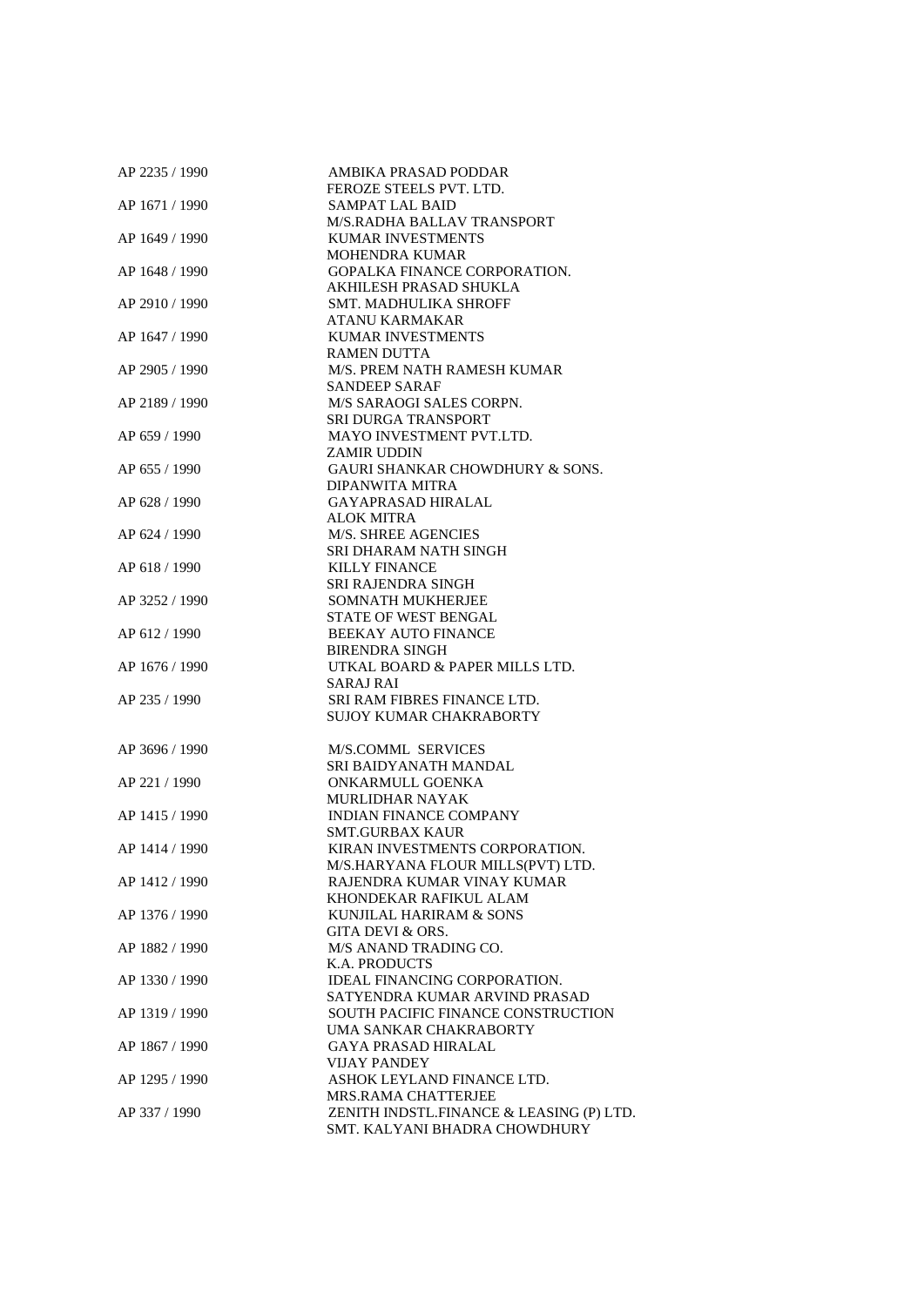| AP 2235 / 1990 | AMBIKA PRASAD PODDAR                       |
|----------------|--------------------------------------------|
|                | FEROZE STEELS PVT. LTD.                    |
| AP 1671 / 1990 | <b>SAMPAT LAL BAID</b>                     |
|                | M/S.RADHA BALLAV TRANSPORT                 |
| AP 1649 / 1990 | <b>KUMAR INVESTMENTS</b>                   |
|                | <b>MOHENDRA KUMAR</b>                      |
| AP 1648 / 1990 | <b>GOPALKA FINANCE CORPORATION.</b>        |
|                | AKHILESH PRASAD SHUKLA                     |
| AP 2910 / 1990 | SMT. MADHULIKA SHROFF                      |
|                | ATANU KARMAKAR                             |
| AP 1647 / 1990 | <b>KUMAR INVESTMENTS</b>                   |
|                | <b>RAMEN DUTTA</b>                         |
| AP 2905 / 1990 | M/S. PREM NATH RAMESH KUMAR                |
|                |                                            |
|                | <b>SANDEEP SARAF</b>                       |
| AP 2189 / 1990 | M/S SARAOGI SALES CORPN.                   |
|                | <b>SRI DURGA TRANSPORT</b>                 |
| AP 659 / 1990  | MAYO INVESTMENT PVT.LTD.                   |
|                | <b>ZAMIR UDDIN</b>                         |
| AP 655 / 1990  | <b>GAURI SHANKAR CHOWDHURY &amp; SONS.</b> |
|                | DIPANWITA MITRA                            |
| AP 628 / 1990  | GAYAPRASAD HIRALAL                         |
|                | <b>ALOK MITRA</b>                          |
| AP 624 / 1990  | M/S. SHREE AGENCIES                        |
|                | SRI DHARAM NATH SINGH                      |
| AP 618 / 1990  | <b>KILLY FINANCE</b>                       |
|                | SRI RAJENDRA SINGH                         |
| AP 3252 / 1990 | <b>SOMNATH MUKHERJEE</b>                   |
|                | STATE OF WEST BENGAL                       |
| AP 612 / 1990  | <b>BEEKAY AUTO FINANCE</b>                 |
|                | <b>BIRENDRA SINGH</b>                      |
| AP 1676 / 1990 | UTKAL BOARD & PAPER MILLS LTD.             |
|                | SARAJ RAI                                  |
| AP 235 / 1990  | <b>SRI RAM FIBRES FINANCE LTD.</b>         |
|                | SUJOY KUMAR CHAKRABORTY                    |
|                |                                            |
| AP 3696 / 1990 | <b>M/S.COMML SERVICES</b>                  |
|                | SRI BAIDYANATH MANDAL                      |
|                | ONKARMULL GOENKA                           |
| AP 221 / 1990  |                                            |
|                | <b>MURLIDHAR NAYAK</b>                     |
| AP 1415 / 1990 | <b>INDIAN FINANCE COMPANY</b>              |
|                | <b>SMT.GURBAX KAUR</b>                     |
| AP 1414 / 1990 | KIRAN INVESTMENTS CORPORATION.             |
|                | M/S.HARYANA FLOUR MILLS(PVT) LTD.          |
| AP 1412 / 1990 | RAJENDRA KUMAR VINAY KUMAR                 |
|                | KHONDEKAR RAFIKUL ALAM                     |
| AP 1376 / 1990 | KUNJILAL HARIRAM & SONS                    |
|                | GITA DEVI & ORS.                           |
| AP 1882 / 1990 | M/S ANAND TRADING CO.                      |
|                | <b>K.A. PRODUCTS</b>                       |
| AP 1330 / 1990 | <b>IDEAL FINANCING CORPORATION.</b>        |
|                | SATYENDRA KUMAR ARVIND PRASAD              |
| AP 1319 / 1990 | SOUTH PACIFIC FINANCE CONSTRUCTION         |
|                | UMA SANKAR CHAKRABORTY                     |
| AP 1867 / 1990 | <b>GAYA PRASAD HIRALAL</b>                 |
|                | <b>VIJAY PANDEY</b>                        |
| AP 1295 / 1990 | ASHOK LEYLAND FINANCE LTD.                 |
|                | MRS.RAMA CHATTERJEE                        |
| AP 337 / 1990  | ZENITH INDSTL.FINANCE & LEASING (P) LTD.   |
|                | SMT. KALYANI BHADRA CHOWDHURY              |
|                |                                            |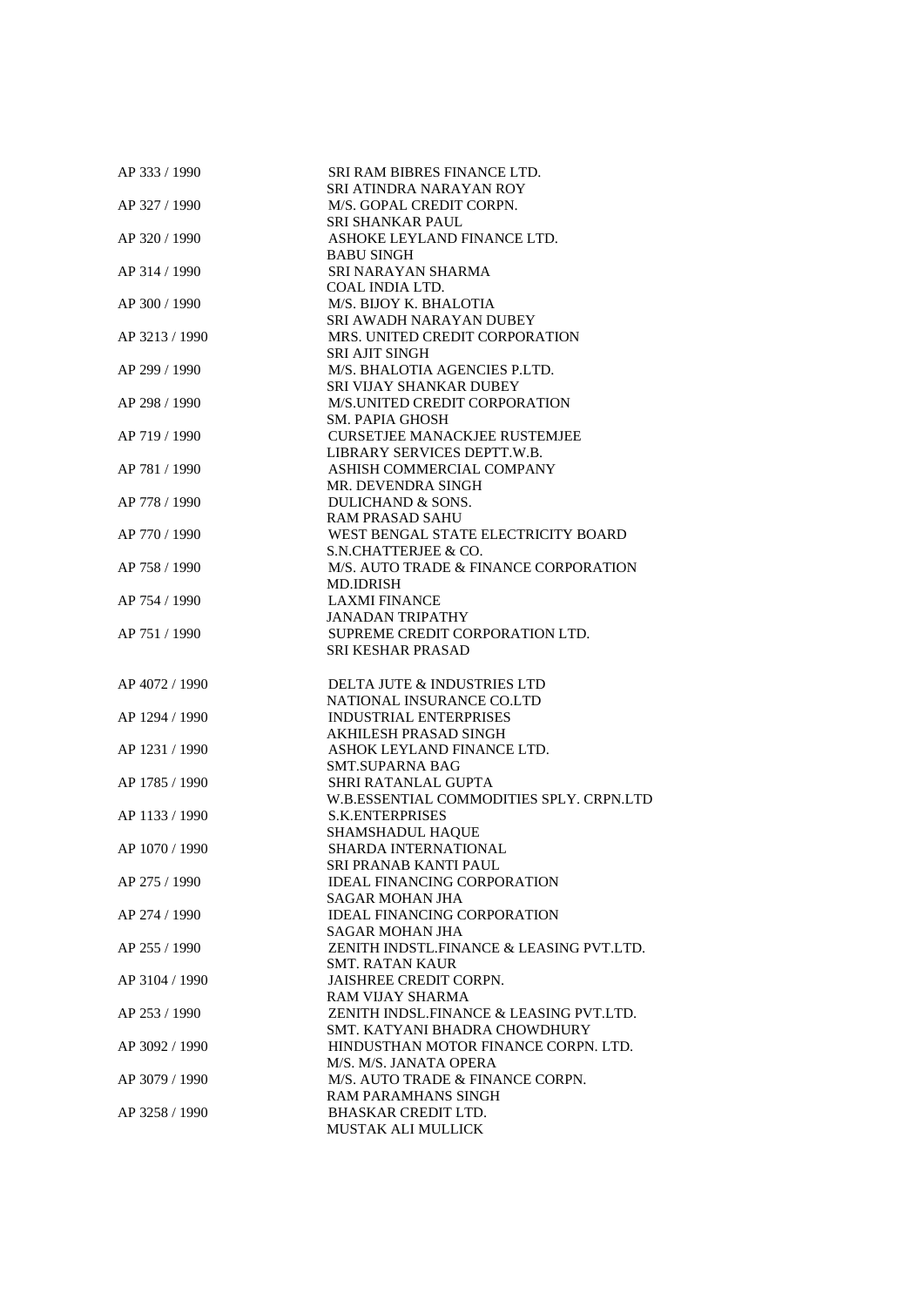| AP 333 / 1990  | <b>SRI RAM BIBRES FINANCE LTD.</b>       |
|----------------|------------------------------------------|
|                | SRI ATINDRA NARAYAN ROY                  |
| AP 327 / 1990  | M/S. GOPAL CREDIT CORPN.                 |
|                | SRI SHANKAR PAUL                         |
| AP 320 / 1990  | ASHOKE LEYLAND FINANCE LTD.              |
|                | <b>BABU SINGH</b>                        |
| AP 314 / 1990  | SRI NARAYAN SHARMA                       |
|                | COAL INDIA LTD.                          |
| AP 300 / 1990  | M/S. BIJOY K. BHALOTIA                   |
|                | SRI AWADH NARAYAN DUBEY                  |
| AP 3213/1990   | MRS. UNITED CREDIT CORPORATION           |
|                | <b>SRI AJIT SINGH</b>                    |
| AP 299 / 1990  | M/S. BHALOTIA AGENCIES P.LTD.            |
|                | SRI VIJAY SHANKAR DUBEY                  |
| AP 298 / 1990  | M/S.UNITED CREDIT CORPORATION            |
|                | <b>SM. PAPIA GHOSH</b>                   |
| AP 719 / 1990  | <b>CURSETJEE MANACKJEE RUSTEMJEE</b>     |
|                | LIBRARY SERVICES DEPTT.W.B.              |
| AP 781 / 1990  | ASHISH COMMERCIAL COMPANY                |
|                | MR. DEVENDRA SINGH                       |
| AP 778 / 1990  | DULICHAND & SONS.                        |
|                | <b>RAM PRASAD SAHU</b>                   |
| AP 770 / 1990  | WEST BENGAL STATE ELECTRICITY BOARD      |
|                | S.N.CHATTERJEE & CO.                     |
| AP 758 / 1990  | M/S. AUTO TRADE & FINANCE CORPORATION    |
|                | MD.IDRISH                                |
| AP 754 / 1990  | <b>LAXMI FINANCE</b>                     |
|                | <b>JANADAN TRIPATHY</b>                  |
| AP 751 / 1990  | SUPREME CREDIT CORPORATION LTD.          |
|                | SRI KESHAR PRASAD                        |
|                |                                          |
| AP 4072 / 1990 | DELTA JUTE & INDUSTRIES LTD              |
|                | NATIONAL INSURANCE CO.LTD                |
| AP 1294 / 1990 | <b>INDUSTRIAL ENTERPRISES</b>            |
|                | AKHILESH PRASAD SINGH                    |
| AP 1231 / 1990 | ASHOK LEYLAND FINANCE LTD.               |
|                | <b>SMT.SUPARNA BAG</b>                   |
| AP 1785 / 1990 | SHRI RATANLAL GUPTA                      |
|                | W.B.ESSENTIAL COMMODITIES SPLY. CRPN.LTD |
| AP 1133 / 1990 | <b>S.K.ENTERPRISES</b>                   |
|                | SHAMSHADUL HAQUE                         |
| AP 1070 / 1990 | <b>SHARDA INTERNATIONAL</b>              |
|                | SRI PRANAB KANTI PAUL                    |
| AP 275 / 1990  | <b>IDEAL FINANCING CORPORATION</b>       |
|                | SAGAR MOHAN JHA                          |
| AP 274 / 1990  | <b>IDEAL FINANCING CORPORATION</b>       |
|                | SAGAR MOHAN JHA                          |
| AP 255 / 1990  | ZENITH INDSTL.FINANCE & LEASING PVT.LTD. |
|                | <b>SMT. RATAN KAUR</b>                   |
| AP 3104 / 1990 | <b>JAISHREE CREDIT CORPN.</b>            |
|                | <b>RAM VIJAY SHARMA</b>                  |
| AP 253 / 1990  | ZENITH INDSL.FINANCE & LEASING PVT.LTD.  |
|                | SMT. KATYANI BHADRA CHOWDHURY            |
| AP 3092 / 1990 | HINDUSTHAN MOTOR FINANCE CORPN. LTD.     |
|                | M/S. M/S. JANATA OPERA                   |
| AP 3079 / 1990 | M/S. AUTO TRADE & FINANCE CORPN.         |
|                | <b>RAM PARAMHANS SINGH</b>               |
| AP 3258 / 1990 | <b>BHASKAR CREDIT LTD.</b>               |
|                | MUSTAK ALI MULLICK                       |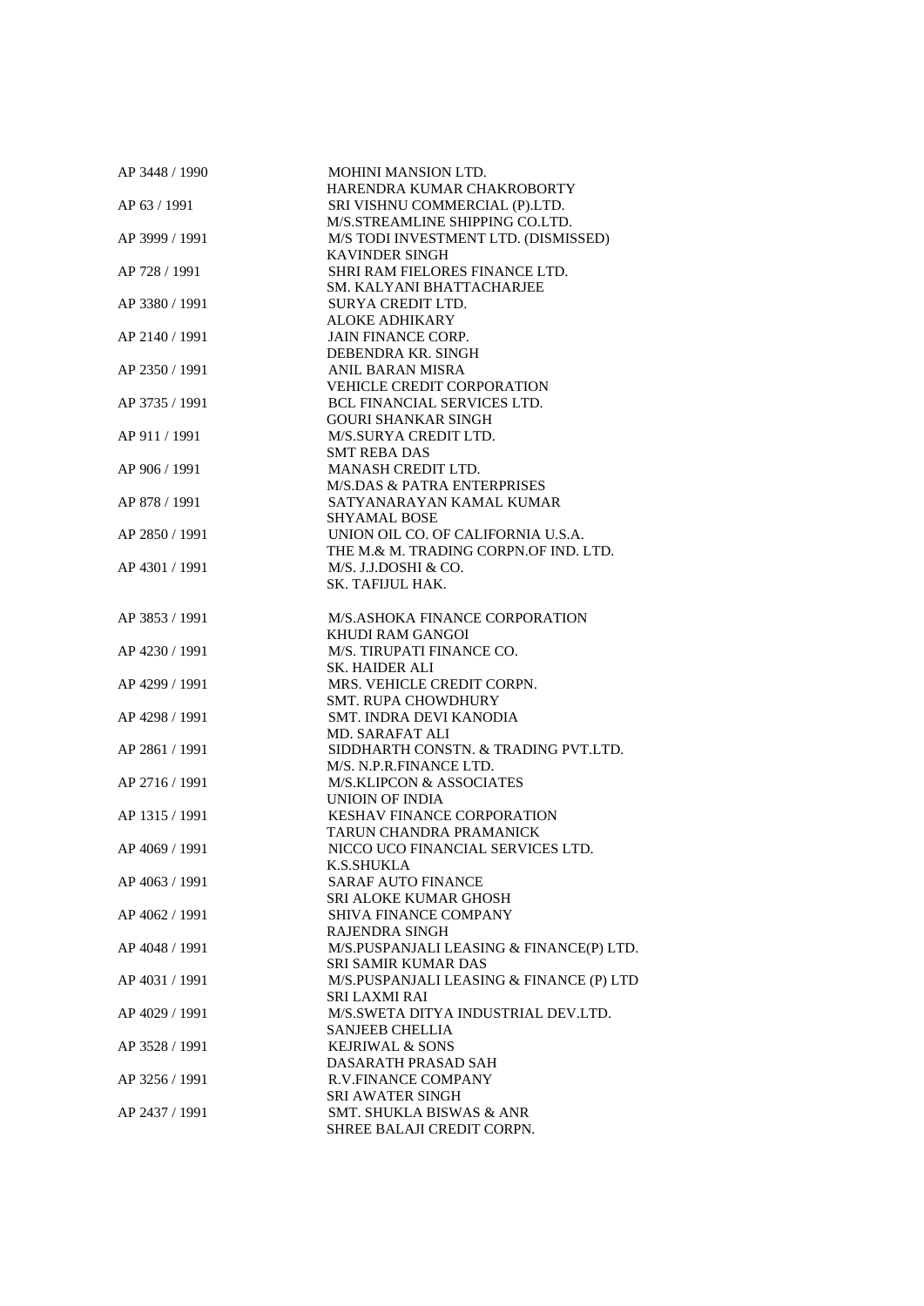| AP 3448 / 1990 | MOHINI MANSION LTD.                      |
|----------------|------------------------------------------|
|                | HARENDRA KUMAR CHAKROBORTY               |
| AP 63 / 1991   | SRI VISHNU COMMERCIAL (P).LTD.           |
|                | M/S.STREAMLINE SHIPPING CO.LTD.          |
| AP 3999 / 1991 | M/S TODI INVESTMENT LTD. (DISMISSED)     |
|                | <b>KAVINDER SINGH</b>                    |
| AP 728 / 1991  | SHRI RAM FIELORES FINANCE LTD.           |
|                | SM. KALYANI BHATTACHARJEE                |
| AP 3380 / 1991 | SURYA CREDIT LTD.                        |
|                | <b>ALOKE ADHIKARY</b>                    |
| AP 2140 / 1991 | <b>JAIN FINANCE CORP.</b>                |
|                | DEBENDRA KR. SINGH                       |
| AP 2350 / 1991 | <b>ANIL BARAN MISRA</b>                  |
|                | <b>VEHICLE CREDIT CORPORATION</b>        |
| AP 3735 / 1991 | <b>BCL FINANCIAL SERVICES LTD.</b>       |
|                |                                          |
|                | <b>GOURI SHANKAR SINGH</b>               |
| AP 911 / 1991  | M/S.SURYA CREDIT LTD.                    |
|                | <b>SMT REBA DAS</b>                      |
| AP 906 / 1991  | MANASH CREDIT LTD.                       |
|                | <b>M/S.DAS &amp; PATRA ENTERPRISES</b>   |
| AP 878 / 1991  | SATYANARAYAN KAMAL KUMAR                 |
|                | <b>SHYAMAL BOSE</b>                      |
| AP 2850 / 1991 | UNION OIL CO. OF CALIFORNIA U.S.A.       |
|                | THE M.& M. TRADING CORPN.OF IND. LTD.    |
| AP 4301 / 1991 | M/S. J.J.DOSHI & CO.                     |
|                | SK. TAFIJUL HAK.                         |
|                |                                          |
| AP 3853 / 1991 | M/S.ASHOKA FINANCE CORPORATION           |
|                | KHUDI RAM GANGOI                         |
| AP 4230 / 1991 | M/S. TIRUPATI FINANCE CO.                |
|                | <b>SK. HAIDER ALI</b>                    |
| AP 4299 / 1991 | MRS. VEHICLE CREDIT CORPN.               |
|                | <b>SMT. RUPA CHOWDHURY</b>               |
| AP 4298 / 1991 | SMT. INDRA DEVI KANODIA                  |
|                | <b>MD. SARAFAT ALI</b>                   |
| AP 2861 / 1991 | SIDDHARTH CONSTN. & TRADING PVT.LTD.     |
|                | M/S. N.P.R.FINANCE LTD.                  |
| AP 2716 / 1991 | <b>M/S.KLIPCON &amp; ASSOCIATES</b>      |
|                | UNIOIN OF INDIA                          |
|                |                                          |
| AP 1315 / 1991 | <b>KESHAV FINANCE CORPORATION</b>        |
|                | TARUN CHANDRA PRAMANICK                  |
| AP 4069 / 1991 | NICCO UCO FINANCIAL SERVICES LTD.        |
|                | K.S.SHUKLA                               |
| AP 4063 / 1991 | <b>SARAF AUTO FINANCE</b>                |
|                | SRI ALOKE KUMAR GHOSH                    |
| AP 4062 / 1991 | <b>SHIVA FINANCE COMPANY</b>             |
|                | <b>RAJENDRA SINGH</b>                    |
| AP 4048 / 1991 | M/S.PUSPANJALI LEASING & FINANCE(P) LTD. |
|                | SRI SAMIR KUMAR DAS                      |
| AP 4031 / 1991 | M/S.PUSPANJALI LEASING & FINANCE (P) LTD |
|                | SRI LAXMI RAI                            |
| AP 4029 / 1991 | M/S.SWETA DITYA INDUSTRIAL DEV.LTD.      |
|                | <b>SANJEEB CHELLIA</b>                   |
| AP 3528 / 1991 | <b>KEJRIWAL &amp; SONS</b>               |
|                | DASARATH PRASAD SAH                      |
| AP 3256 / 1991 | <b>R.V.FINANCE COMPANY</b>               |
|                | <b>SRI AWATER SINGH</b>                  |
| AP 2437 / 1991 | <b>SMT. SHUKLA BISWAS &amp; ANR</b>      |
|                | SHREE BALAJI CREDIT CORPN.               |
|                |                                          |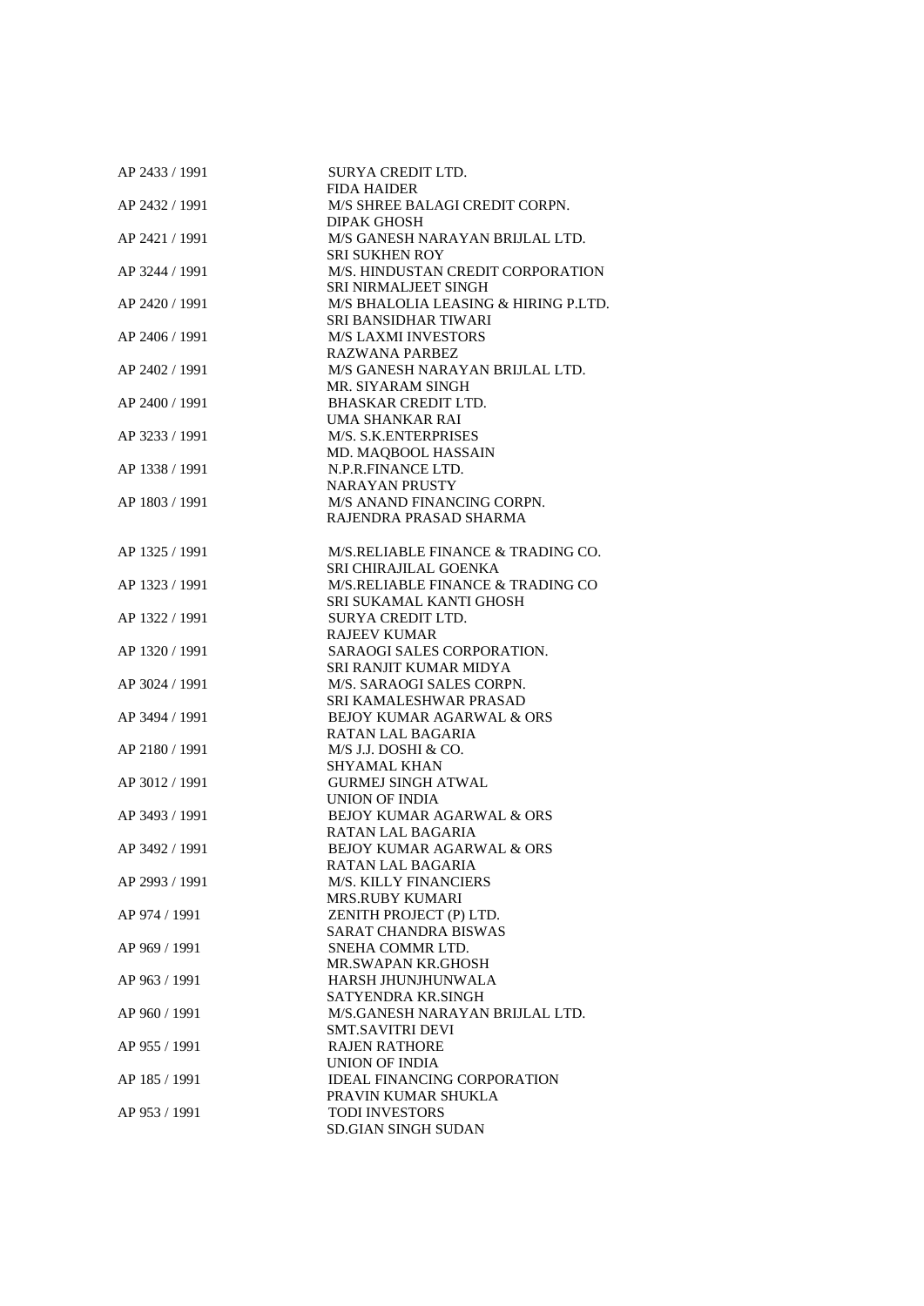| AP 2433 / 1991 | SURYA CREDIT LTD.                    |
|----------------|--------------------------------------|
|                | <b>FIDA HAIDER</b>                   |
| AP 2432 / 1991 | M/S SHREE BALAGI CREDIT CORPN.       |
|                | <b>DIPAK GHOSH</b>                   |
| AP 2421 / 1991 | M/S GANESH NARAYAN BRIJLAL LTD.      |
|                | <b>SRI SUKHEN ROY</b>                |
| AP 3244 / 1991 | M/S. HINDUSTAN CREDIT CORPORATION    |
|                | <b>SRI NIRMALJEET SINGH</b>          |
| AP 2420 / 1991 | M/S BHALOLIA LEASING & HIRING P.LTD. |
|                | SRI BANSIDHAR TIWARI                 |
| AP 2406 / 1991 | <b>M/S LAXMI INVESTORS</b>           |
|                | <b>RAZWANA PARBEZ</b>                |
| AP 2402 / 1991 | M/S GANESH NARAYAN BRIJLAL LTD.      |
|                | MR. SIYARAM SINGH                    |
| AP 2400 / 1991 | BHASKAR CREDIT LTD.                  |
|                | UMA SHANKAR RAI                      |
| AP 3233 / 1991 | M/S. S.K.ENTERPRISES                 |
|                | MD. MAQBOOL HASSAIN                  |
| AP 1338 / 1991 | N.P.R.FINANCE LTD.                   |
|                | <b>NARAYAN PRUSTY</b>                |
| AP 1803 / 1991 | M/S ANAND FINANCING CORPN.           |
|                | RAJENDRA PRASAD SHARMA               |
|                |                                      |
| AP 1325 / 1991 | M/S.RELIABLE FINANCE & TRADING CO.   |
|                | SRI CHIRAJILAL GOENKA                |
| AP 1323 / 1991 | M/S.RELIABLE FINANCE & TRADING CO    |
|                | SRI SUKAMAL KANTI GHOSH              |
| AP 1322 / 1991 | SURYA CREDIT LTD.                    |
|                | <b>RAJEEV KUMAR</b>                  |
| AP 1320 / 1991 | SARAOGI SALES CORPORATION.           |
|                | SRI RANJIT KUMAR MIDYA               |
| AP 3024 / 1991 | M/S. SARAOGI SALES CORPN.            |
|                | SRI KAMALESHWAR PRASAD               |
| AP 3494 / 1991 | <b>BEJOY KUMAR AGARWAL &amp; ORS</b> |
|                | RATAN LAL BAGARIA                    |
| AP 2180 / 1991 | M/S J.J. DOSHI & CO.                 |
|                | <b>SHYAMAL KHAN</b>                  |
| AP 3012 / 1991 | <b>GURMEJ SINGH ATWAL</b>            |
|                | UNION OF INDIA                       |
| AP 3493 / 1991 | BEJOY KUMAR AGARWAL & ORS            |
|                | RATAN LAL BAGARIA                    |
| AP 3492 / 1991 | BEJOY KUMAR AGARWAL & ORS            |
|                | RATAN LAL BAGARIA                    |
| AP 2993 / 1991 | <b>M/S. KILLY FINANCIERS</b>         |
|                | <b>MRS.RUBY KUMARI</b>               |
| AP 974 / 1991  | ZENITH PROJECT (P) LTD.              |
|                | <b>SARAT CHANDRA BISWAS</b>          |
| AP 969 / 1991  | SNEHA COMMR LTD.                     |
|                | MR.SWAPAN KR.GHOSH                   |
| AP 963 / 1991  | HARSH JHUNJHUNWALA                   |
|                | SATYENDRA KR.SINGH                   |
| AP 960 / 1991  | M/S.GANESH NARAYAN BRIJLAL LTD.      |
|                | <b>SMT.SAVITRI DEVI</b>              |
| AP 955 / 1991  | <b>RAJEN RATHORE</b>                 |
|                | UNION OF INDIA                       |
| AP 185 / 1991  | <b>IDEAL FINANCING CORPORATION</b>   |
|                | PRAVIN KUMAR SHUKLA                  |
| AP 953 / 1991  | TODI INVESTORS                       |
|                | SD.GIAN SINGH SUDAN                  |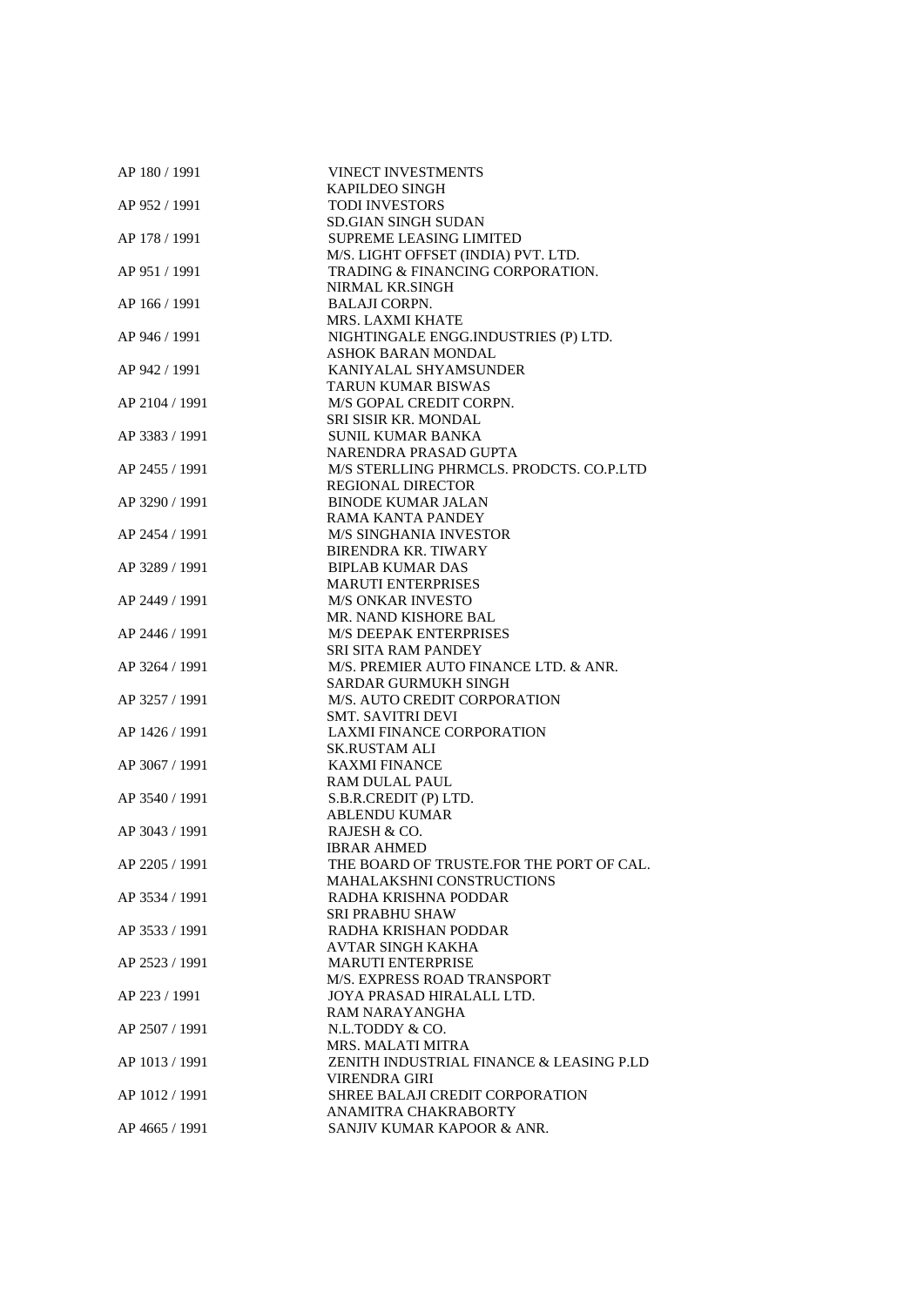| AP 180 / 1991  | <b>VINECT INVESTMENTS</b>                |
|----------------|------------------------------------------|
|                | <b>KAPILDEO SINGH</b>                    |
| AP 952 / 1991  | <b>TODI INVESTORS</b>                    |
|                | <b>SD.GIAN SINGH SUDAN</b>               |
| AP 178 / 1991  | <b>SUPREME LEASING LIMITED</b>           |
|                | M/S. LIGHT OFFSET (INDIA) PVT. LTD.      |
| AP 951 / 1991  | TRADING & FINANCING CORPORATION.         |
|                | NIRMAL KR.SINGH                          |
| AP 166 / 1991  | <b>BALAJI CORPN.</b>                     |
|                | MRS. LAXMI KHATE                         |
| AP 946 / 1991  | NIGHTINGALE ENGG.INDUSTRIES (P) LTD.     |
|                | ASHOK BARAN MONDAL                       |
| AP 942 / 1991  | KANIYALAL SHYAMSUNDER                    |
|                | <b>TARUN KUMAR BISWAS</b>                |
| AP 2104 / 1991 | M/S GOPAL CREDIT CORPN.                  |
|                | SRI SISIR KR. MONDAL                     |
| AP 3383 / 1991 | SUNIL KUMAR BANKA                        |
|                | NARENDRA PRASAD GUPTA                    |
| AP 2455 / 1991 | M/S STERLLING PHRMCLS. PRODCTS. CO.P.LTD |
|                | <b>REGIONAL DIRECTOR</b>                 |
| AP 3290 / 1991 | <b>BINODE KUMAR JALAN</b>                |
|                |                                          |
|                | RAMA KANTA PANDEY                        |
| AP 2454 / 1991 | <b>M/S SINGHANIA INVESTOR</b>            |
|                | <b>BIRENDRA KR. TIWARY</b>               |
| AP 3289 / 1991 | <b>BIPLAB KUMAR DAS</b>                  |
|                | <b>MARUTI ENTERPRISES</b>                |
| AP 2449 / 1991 | <b>M/S ONKAR INVESTO</b>                 |
|                | MR. NAND KISHORE BAL                     |
| AP 2446 / 1991 | <b>M/S DEEPAK ENTERPRISES</b>            |
|                | SRI SITA RAM PANDEY                      |
| AP 3264 / 1991 | M/S. PREMIER AUTO FINANCE LTD. & ANR.    |
|                | SARDAR GURMUKH SINGH                     |
| AP 3257 / 1991 | M/S. AUTO CREDIT CORPORATION             |
|                | <b>SMT. SAVITRI DEVI</b>                 |
| AP 1426 / 1991 | <b>LAXMI FINANCE CORPORATION</b>         |
|                | <b>SK.RUSTAM ALI</b>                     |
| AP 3067 / 1991 | <b>KAXMI FINANCE</b>                     |
|                | <b>RAM DULAL PAUL</b>                    |
| AP 3540 / 1991 | S.B.R.CREDIT (P) LTD.                    |
|                | <b>ABLENDU KUMAR</b>                     |
| AP 3043 / 1991 | RAJESH & CO.                             |
|                | <b>IBRAR AHMED</b>                       |
| AP 2205 / 1991 | THE BOARD OF TRUSTE.FOR THE PORT OF CAL. |
|                | <b>MAHALAKSHNI CONSTRUCTIONS</b>         |
| AP 3534 / 1991 | RADHA KRISHNA PODDAR                     |
|                | <b>SRI PRABHU SHAW</b>                   |
| AP 3533 / 1991 | RADHA KRISHAN PODDAR                     |
|                | <b>AVTAR SINGH KAKHA</b>                 |
| AP 2523 / 1991 | <b>MARUTI ENTERPRISE</b>                 |
|                | M/S. EXPRESS ROAD TRANSPORT              |
| AP 223 / 1991  | JOYA PRASAD HIRALALL LTD.                |
|                | RAM NARAYANGHA                           |
| AP 2507 / 1991 | N.L.TODDY & CO.                          |
|                | <b>MRS. MALATI MITRA</b>                 |
| AP 1013 / 1991 | ZENITH INDUSTRIAL FINANCE & LEASING P.LD |
|                | VIRENDRA GIRI                            |
| AP 1012 / 1991 | SHREE BALAJI CREDIT CORPORATION          |
|                | ANAMITRA CHAKRABORTY                     |
| AP 4665 / 1991 | SANJIV KUMAR KAPOOR & ANR.               |
|                |                                          |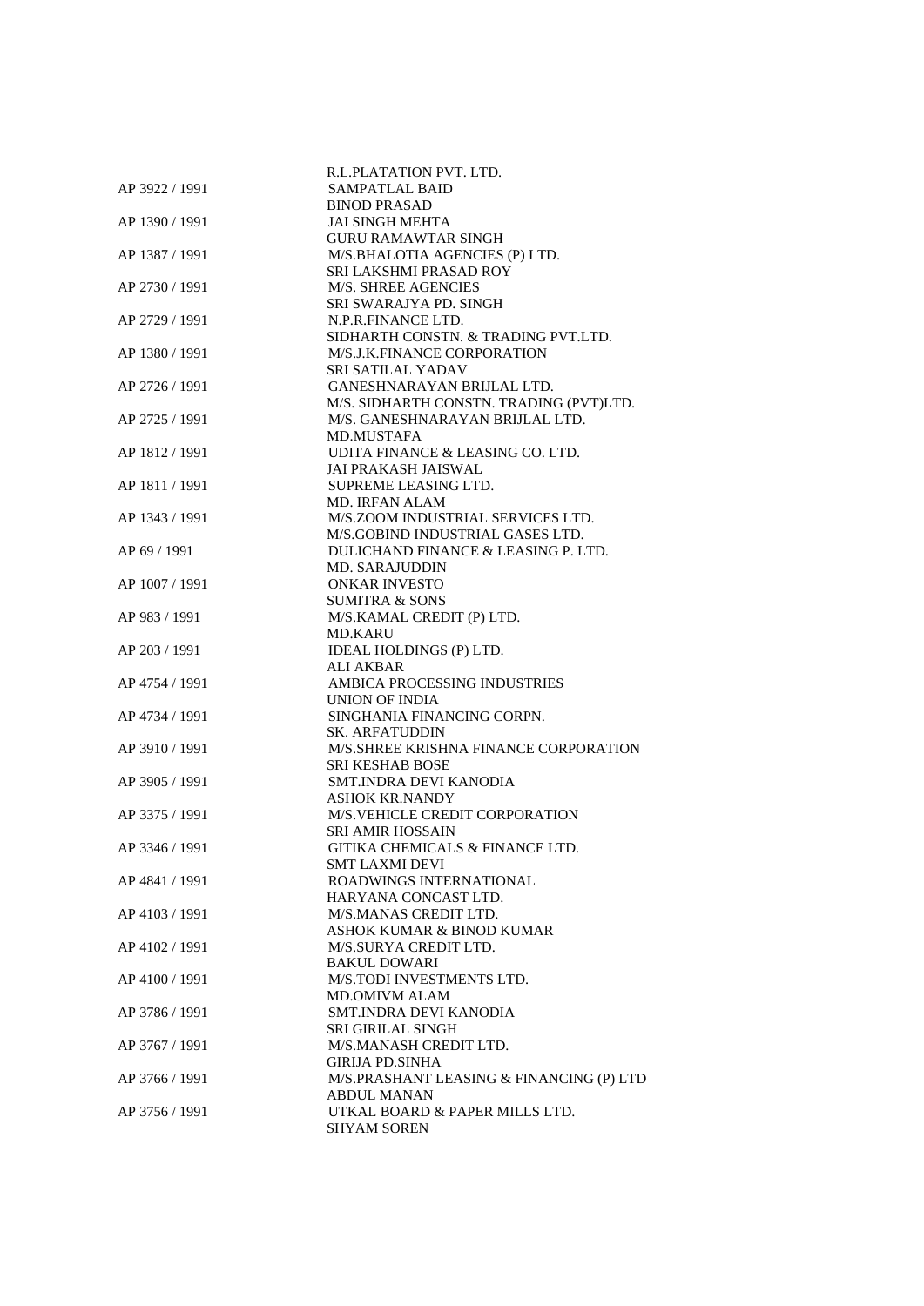|                | R.L.PLATATION PVT. LTD.                                                    |
|----------------|----------------------------------------------------------------------------|
| AP 3922 / 1991 | SAMPATLAL BAID                                                             |
|                | <b>BINOD PRASAD</b>                                                        |
| AP 1390 / 1991 | <b>JAI SINGH MEHTA</b>                                                     |
|                | <b>GURU RAMAWTAR SINGH</b>                                                 |
| AP 1387 / 1991 | M/S.BHALOTIA AGENCIES (P) LTD.                                             |
|                | SRI LAKSHMI PRASAD ROY                                                     |
| AP 2730 / 1991 | M/S. SHREE AGENCIES                                                        |
|                | SRI SWARAJYA PD. SINGH                                                     |
| AP 2729 / 1991 | N.P.R.FINANCE LTD.                                                         |
|                | SIDHARTH CONSTN. & TRADING PVT.LTD.                                        |
| AP 1380 / 1991 | M/S.J.K.FINANCE CORPORATION                                                |
|                | SRI SATILAL YADAV                                                          |
| AP 2726 / 1991 | GANESHNARAYAN BRIJLAL LTD.                                                 |
|                | M/S. SIDHARTH CONSTN. TRADING (PVT)LTD.<br>M/S. GANESHNARAYAN BRIJLAL LTD. |
| AP 2725 / 1991 | <b>MD.MUSTAFA</b>                                                          |
| AP 1812 / 1991 | UDITA FINANCE & LEASING CO. LTD.                                           |
|                | JAI PRAKASH JAISWAL                                                        |
| AP 1811 / 1991 | SUPREME LEASING LTD.                                                       |
|                | <b>MD. IRFAN ALAM</b>                                                      |
| AP 1343 / 1991 | M/S.ZOOM INDUSTRIAL SERVICES LTD.                                          |
|                | M/S.GOBIND INDUSTRIAL GASES LTD.                                           |
| AP 69 / 1991   | DULICHAND FINANCE & LEASING P. LTD.                                        |
|                | <b>MD. SARAJUDDIN</b>                                                      |
| AP 1007 / 1991 | <b>ONKAR INVESTO</b>                                                       |
|                | <b>SUMITRA &amp; SONS</b>                                                  |
| AP 983 / 1991  | M/S.KAMAL CREDIT (P) LTD.                                                  |
|                | MD.KARU                                                                    |
| AP 203 / 1991  | IDEAL HOLDINGS (P) LTD.                                                    |
|                | <b>ALI AKBAR</b>                                                           |
| AP 4754 / 1991 | AMBICA PROCESSING INDUSTRIES                                               |
|                | UNION OF INDIA                                                             |
| AP 4734 / 1991 | SINGHANIA FINANCING CORPN.                                                 |
|                | <b>SK. ARFATUDDIN</b>                                                      |
| AP 3910 / 1991 | M/S.SHREE KRISHNA FINANCE CORPORATION                                      |
| AP 3905 / 1991 | SRI KESHAB BOSE<br>SMT.INDRA DEVI KANODIA                                  |
|                | <b>ASHOK KR.NANDY</b>                                                      |
| AP 3375 / 1991 | M/S.VEHICLE CREDIT CORPORATION                                             |
|                | <b>SRI AMIR HOSSAIN</b>                                                    |
| AP 3346 / 1991 | GITIKA CHEMICALS & FINANCE LTD.                                            |
|                | <b>SMT LAXMI DEVI</b>                                                      |
| AP 4841 / 1991 | ROADWINGS INTERNATIONAL                                                    |
|                | HARYANA CONCAST LTD.                                                       |
| AP 4103 / 1991 | M/S.MANAS CREDIT LTD.                                                      |
|                | ASHOK KUMAR & BINOD KUMAR                                                  |
| AP 4102 / 1991 | M/S.SURYA CREDIT LTD.                                                      |
|                | <b>BAKUL DOWARI</b>                                                        |
| AP 4100 / 1991 | <b>M/S.TODI INVESTMENTS LTD.</b>                                           |
|                | <b>MD.OMIVM ALAM</b>                                                       |
| AP 3786 / 1991 | SMT.INDRA DEVI KANODIA                                                     |
|                | <b>SRI GIRILAL SINGH</b>                                                   |
| AP 3767 / 1991 | M/S.MANASH CREDIT LTD.                                                     |
|                | <b>GIRIJA PD.SINHA</b>                                                     |
| AP 3766 / 1991 | M/S.PRASHANT LEASING & FINANCING (P) LTD<br><b>ABDUL MANAN</b>             |
| AP 3756 / 1991 | UTKAL BOARD & PAPER MILLS LTD.                                             |
|                | <b>SHYAM SOREN</b>                                                         |
|                |                                                                            |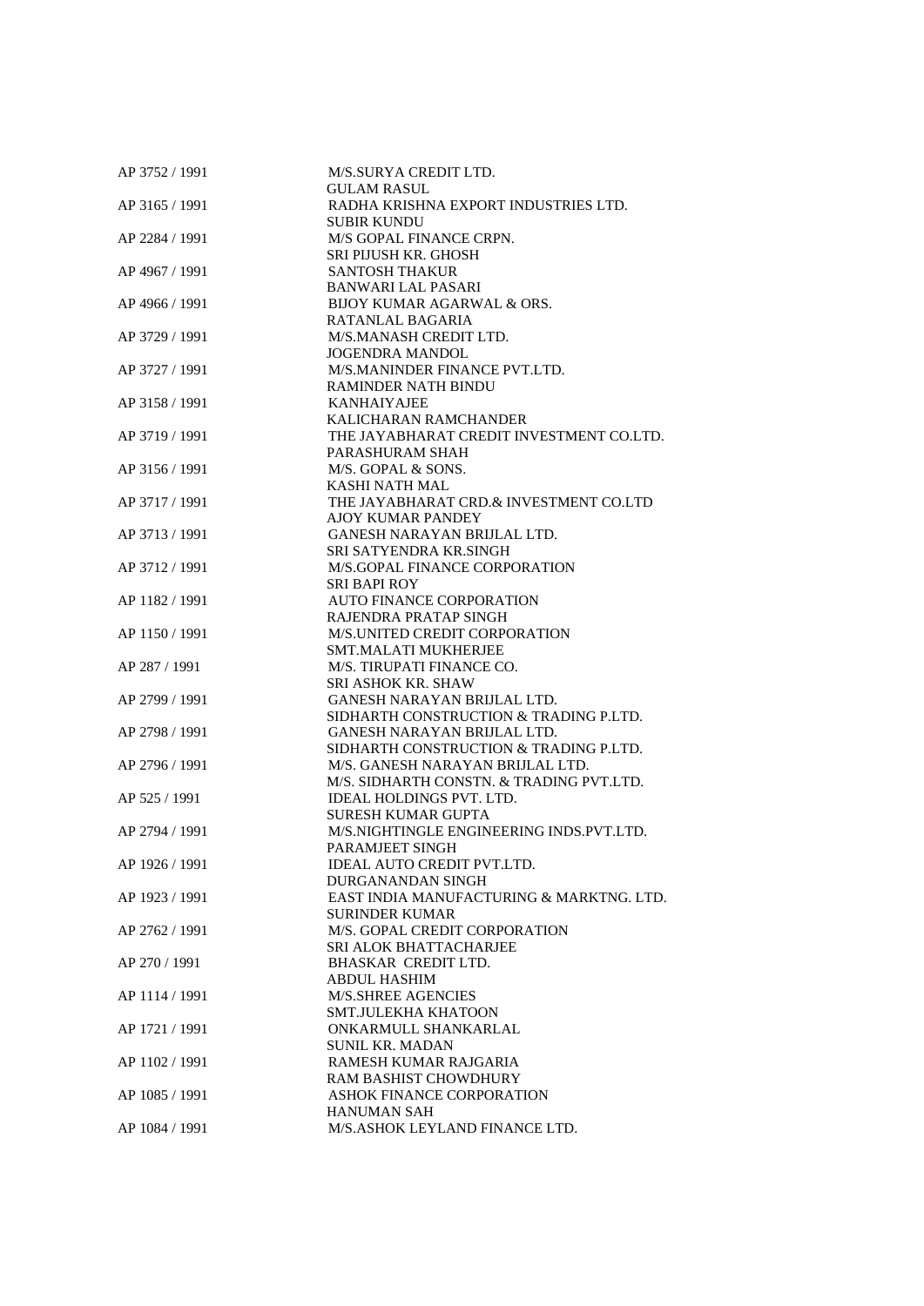| AP 3752 / 1991 | M/S.SURYA CREDIT LTD.                         |
|----------------|-----------------------------------------------|
|                | <b>GULAM RASUL</b>                            |
| AP 3165 / 1991 | RADHA KRISHNA EXPORT INDUSTRIES LTD.          |
|                | <b>SUBIR KUNDU</b>                            |
| AP 2284 / 1991 | M/S GOPAL FINANCE CRPN.                       |
|                | SRI PIJUSH KR. GHOSH                          |
| AP 4967 / 1991 | <b>SANTOSH THAKUR</b>                         |
|                | <b>BANWARI LAL PASARI</b>                     |
| AP 4966 / 1991 | BIJOY KUMAR AGARWAL & ORS.                    |
|                | RATANLAL BAGARIA                              |
| AP 3729 / 1991 | M/S.MANASH CREDIT LTD.                        |
|                | <b>JOGENDRA MANDOL</b>                        |
| AP 3727 / 1991 | M/S.MANINDER FINANCE PVT.LTD.                 |
|                | <b>RAMINDER NATH BINDU</b>                    |
| AP 3158 / 1991 | <b>KANHAIYAJEE</b>                            |
|                | KALICHARAN RAMCHANDER                         |
| AP 3719 / 1991 | THE JAYABHARAT CREDIT INVESTMENT CO.LTD.      |
|                | PARASHURAM SHAH                               |
| AP 3156 / 1991 | M/S. GOPAL & SONS.                            |
|                | KASHI NATH MAL                                |
| AP 3717 / 1991 | THE JAYABHARAT CRD.& INVESTMENT CO.LTD        |
|                | <b>AJOY KUMAR PANDEY</b>                      |
| AP 3713 / 1991 | GANESH NARAYAN BRIJLAL LTD.                   |
|                | <b>SRI SATYENDRA KR.SINGH</b>                 |
| AP 3712 / 1991 | M/S.GOPAL FINANCE CORPORATION                 |
|                | <b>SRI BAPI ROY</b>                           |
|                |                                               |
| AP 1182 / 1991 | <b>AUTO FINANCE CORPORATION</b>               |
|                | RAJENDRA PRATAP SINGH                         |
| AP 1150 / 1991 | M/S.UNITED CREDIT CORPORATION                 |
|                | <b>SMT.MALATI MUKHERJEE</b>                   |
| AP 287 / 1991  | M/S. TIRUPATI FINANCE CO.                     |
|                | <b>SRI ASHOK KR. SHAW</b>                     |
| AP 2799 / 1991 | GANESH NARAYAN BRIJLAL LTD.                   |
|                | SIDHARTH CONSTRUCTION & TRADING P.LTD.        |
| AP 2798 / 1991 | GANESH NARAYAN BRIJLAL LTD.                   |
|                | SIDHARTH CONSTRUCTION & TRADING P.LTD.        |
| AP 2796 / 1991 | M/S. GANESH NARAYAN BRIJLAL LTD.              |
|                | M/S. SIDHARTH CONSTN. & TRADING PVT.LTD.      |
| AP 525 / 1991  | <b>IDEAL HOLDINGS PVT. LTD.</b>               |
|                | <b>SURESH KUMAR GUPTA</b>                     |
| AP 2794 / 1991 | M/S.NIGHTINGLE ENGINEERING INDS.PVT.LTD.      |
|                | PARAMJEET SINGH                               |
| AP 1926 / 1991 | IDEAL AUTO CREDIT PVT.LTD.                    |
|                | DURGANANDAN SINGH                             |
| AP 1923 / 1991 | EAST INDIA MANUFACTURING & MARKTNG. LTD.      |
|                | <b>SURINDER KUMAR</b>                         |
| AP 2762 / 1991 | M/S. GOPAL CREDIT CORPORATION                 |
|                | SRI ALOK BHATTACHARJEE                        |
| AP 270 / 1991  | <b>BHASKAR CREDIT LTD.</b>                    |
|                | <b>ABDUL HASHIM</b>                           |
| AP 1114 / 1991 | <b>M/S.SHREE AGENCIES</b>                     |
|                |                                               |
|                | <b>SMT.JULEKHA KHATOON</b>                    |
| AP 1721 / 1991 | ONKARMULL SHANKARLAL                          |
|                | <b>SUNIL KR. MADAN</b>                        |
| AP 1102 / 1991 | RAMESH KUMAR RAJGARIA                         |
|                | RAM BASHIST CHOWDHURY                         |
| AP 1085 / 1991 | <b>ASHOK FINANCE CORPORATION</b>              |
| AP 1084 / 1991 | HANUMAN SAH<br>M/S.ASHOK LEYLAND FINANCE LTD. |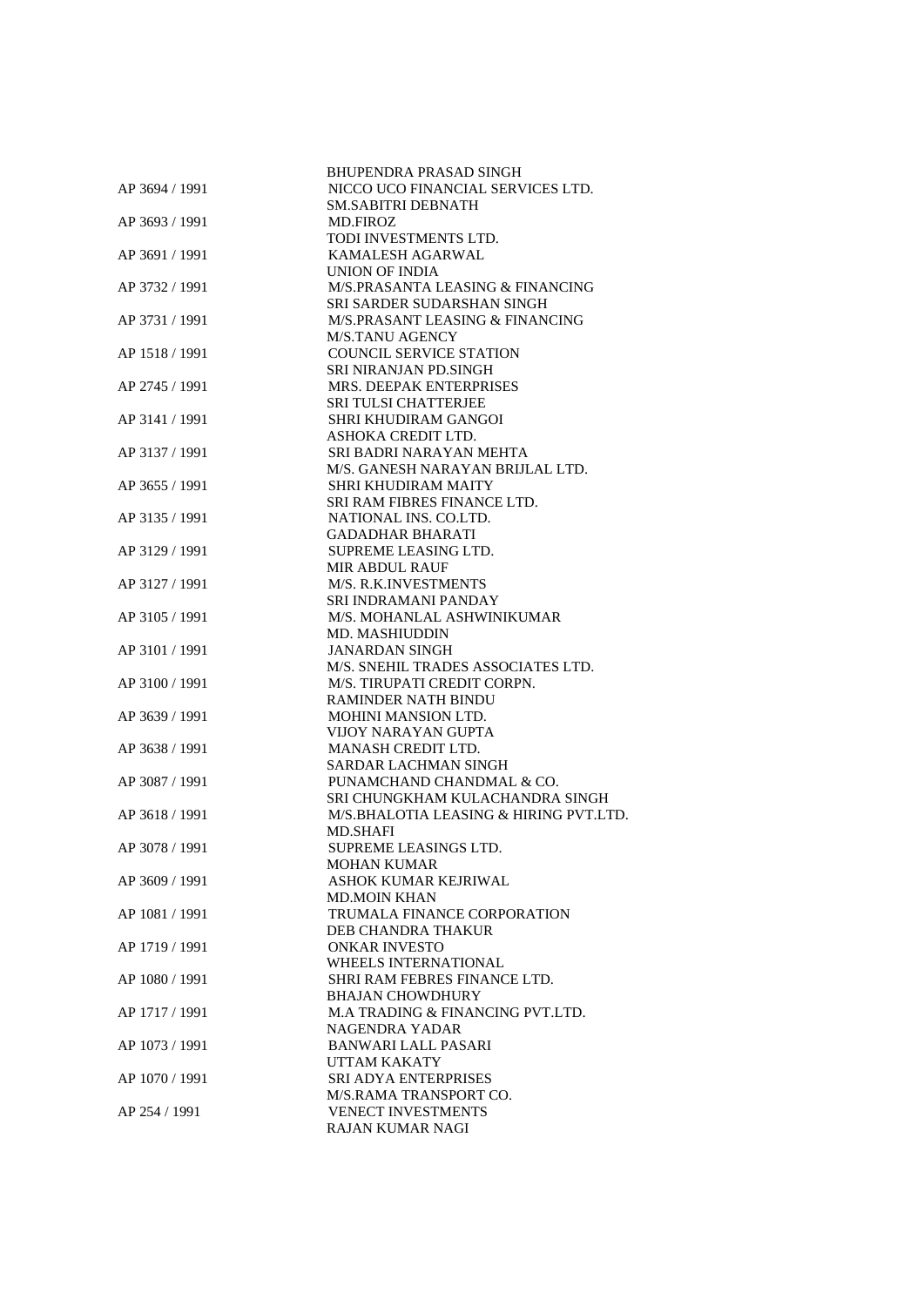|                | <b>BHUPENDRA PRASAD SINGH</b>               |
|----------------|---------------------------------------------|
| AP 3694 / 1991 | NICCO UCO FINANCIAL SERVICES LTD.           |
|                | <b>SM.SABITRI DEBNATH</b>                   |
| AP 3693 / 1991 | <b>MD.FIROZ</b>                             |
|                | TODI INVESTMENTS LTD.                       |
| AP 3691 / 1991 | KAMALESH AGARWAL                            |
|                | UNION OF INDIA                              |
| AP 3732 / 1991 | M/S.PRASANTA LEASING & FINANCING            |
|                | SRI SARDER SUDARSHAN SINGH                  |
| AP 3731 / 1991 | M/S.PRASANT LEASING & FINANCING             |
|                | M/S.TANU AGENCY                             |
| AP 1518 / 1991 | <b>COUNCIL SERVICE STATION</b>              |
|                | SRI NIRANJAN PD.SINGH                       |
| AP 2745 / 1991 | <b>MRS. DEEPAK ENTERPRISES</b>              |
|                | <b>SRI TULSI CHATTERJEE</b>                 |
| AP 3141 / 1991 | <b>SHRI KHUDIRAM GANGOI</b>                 |
|                | ASHOKA CREDIT LTD.                          |
| AP 3137 / 1991 | SRI BADRI NARAYAN MEHTA                     |
|                | M/S. GANESH NARAYAN BRIJLAL LTD.            |
| AP 3655 / 1991 | SHRI KHUDIRAM MAITY                         |
|                | SRI RAM FIBRES FINANCE LTD.                 |
| AP 3135 / 1991 | NATIONAL INS. CO.LTD.                       |
|                | <b>GADADHAR BHARATI</b>                     |
| AP 3129 / 1991 | SUPREME LEASING LTD.                        |
|                | <b>MIR ABDUL RAUF</b>                       |
| AP 3127 / 1991 | M/S. R.K.INVESTMENTS                        |
|                | <b>SRI INDRAMANI PANDAY</b>                 |
| AP 3105 / 1991 | M/S. MOHANLAL ASHWINIKUMAR                  |
|                | MD. MASHIUDDIN                              |
| AP 3101 / 1991 | <b>JANARDAN SINGH</b>                       |
|                | M/S. SNEHIL TRADES ASSOCIATES LTD.          |
| AP 3100 / 1991 | M/S. TIRUPATI CREDIT CORPN.                 |
|                | <b>RAMINDER NATH BINDU</b>                  |
| AP 3639 / 1991 | <b>MOHINI MANSION LTD.</b>                  |
|                | VIJOY NARAYAN GUPTA                         |
| AP 3638 / 1991 | <b>MANASH CREDIT LTD.</b>                   |
|                | SARDAR LACHMAN SINGH                        |
| AP 3087 / 1991 | PUNAMCHAND CHANDMAL & CO.                   |
|                | SRI CHUNGKHAM KULACHANDRA SINGH             |
| AP 3618 / 1991 | M/S.BHALOTIA LEASING & HIRING PVT.LTD.      |
|                | <b>MD.SHAFI</b>                             |
| AP 3078 / 1991 | SUPREME LEASINGS LTD.<br><b>MOHAN KUMAR</b> |
| AP 3609 / 1991 | ASHOK KUMAR KEJRIWAL                        |
|                | <b>MD.MOIN KHAN</b>                         |
| AP 1081 / 1991 | TRUMALA FINANCE CORPORATION                 |
|                | <b>DEB CHANDRA THAKUR</b>                   |
| AP 1719 / 1991 | <b>ONKAR INVESTO</b>                        |
|                | WHEELS INTERNATIONAL                        |
| AP 1080 / 1991 | SHRI RAM FEBRES FINANCE LTD.                |
|                | <b>BHAJAN CHOWDHURY</b>                     |
| AP 1717 / 1991 | M.A TRADING & FINANCING PVT.LTD.            |
|                | NAGENDRA YADAR                              |
| AP 1073 / 1991 | <b>BANWARI LALL PASARI</b>                  |
|                | UTTAM KAKATY                                |
| AP 1070 / 1991 | SRI ADYA ENTERPRISES                        |
|                | M/S.RAMA TRANSPORT CO.                      |
| AP 254 / 1991  | <b>VENECT INVESTMENTS</b>                   |
|                | <b>RAJAN KUMAR NAGI</b>                     |
|                |                                             |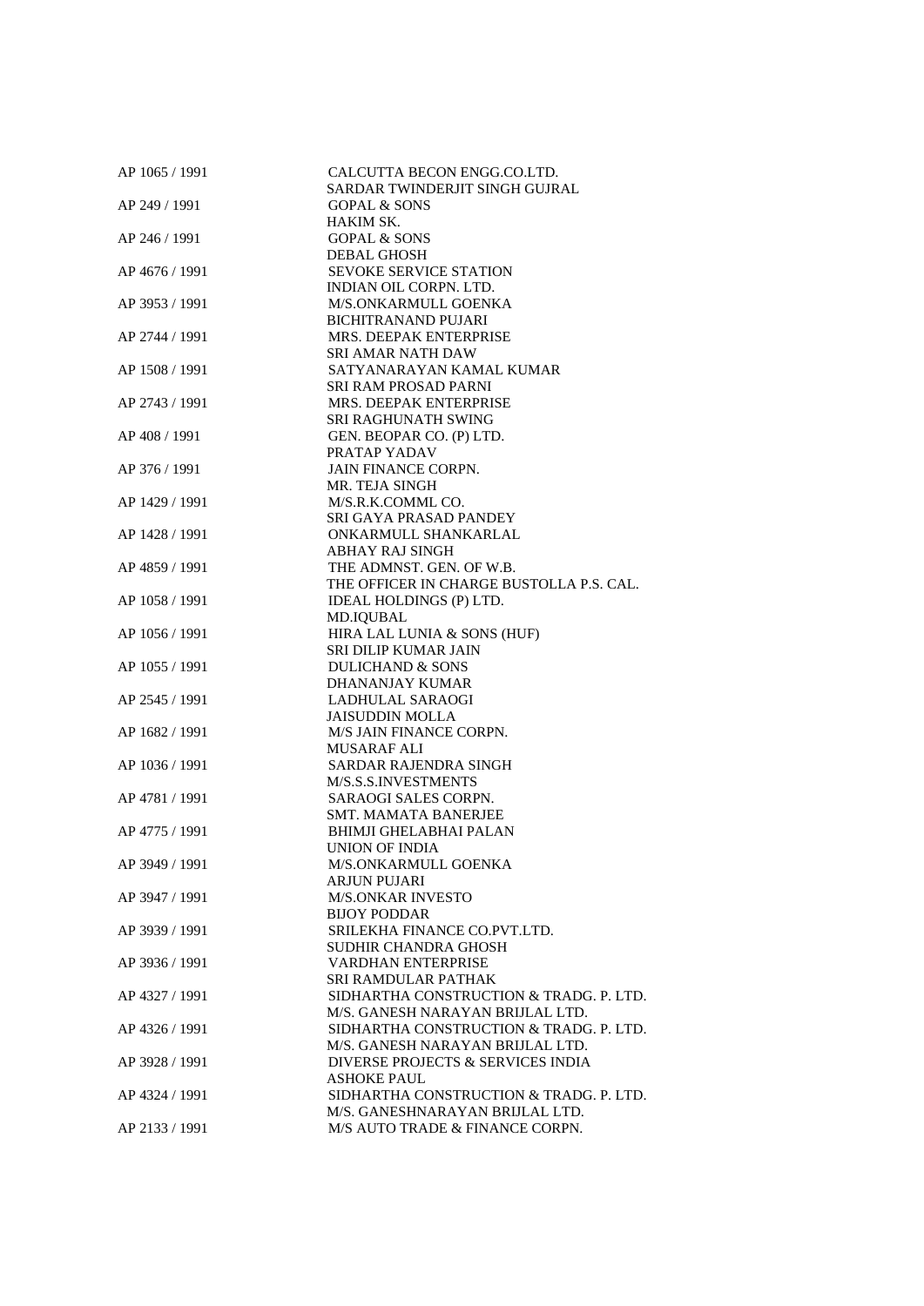| AP 1065 / 1991 | CALCUTTA BECON ENGG.CO.LTD.                                  |
|----------------|--------------------------------------------------------------|
|                | SARDAR TWINDERJIT SINGH GUJRAL                               |
| AP 249 / 1991  | <b>GOPAL &amp; SONS</b>                                      |
|                | HAKIM SK.                                                    |
| AP 246 / 1991  | <b>GOPAL &amp; SONS</b>                                      |
|                | <b>DEBAL GHOSH</b>                                           |
| AP 4676 / 1991 | <b>SEVOKE SERVICE STATION</b>                                |
|                | INDIAN OIL CORPN. LTD.                                       |
| AP 3953 / 1991 | M/S.ONKARMULL GOENKA                                         |
|                | <b>BICHITRANAND PUJARI</b>                                   |
| AP 2744 / 1991 | MRS. DEEPAK ENTERPRISE                                       |
|                | <b>SRI AMAR NATH DAW</b>                                     |
| AP 1508 / 1991 | SATYANARAYAN KAMAL KUMAR                                     |
|                | SRI RAM PROSAD PARNI                                         |
| AP 2743 / 1991 | <b>MRS. DEEPAK ENTERPRISE</b>                                |
|                | SRI RAGHUNATH SWING                                          |
| AP 408 / 1991  | GEN. BEOPAR CO. (P) LTD.                                     |
|                | PRATAP YADAV                                                 |
| AP 376 / 1991  | JAIN FINANCE CORPN.                                          |
|                | MR. TEJA SINGH                                               |
| AP 1429 / 1991 | M/S.R.K.COMML CO.                                            |
|                | SRI GAYA PRASAD PANDEY                                       |
| AP 1428 / 1991 | ONKARMULL SHANKARLAL                                         |
|                | ABHAY RAJ SINGH                                              |
|                | THE ADMNST. GEN. OF W.B.                                     |
| AP 4859 / 1991 | THE OFFICER IN CHARGE BUSTOLLA P.S. CAL.                     |
|                |                                                              |
| AP 1058 / 1991 | IDEAL HOLDINGS (P) LTD.                                      |
|                | MD.IQUBAL                                                    |
| AP 1056 / 1991 | HIRA LAL LUNIA & SONS (HUF)                                  |
|                | SRI DILIP KUMAR JAIN                                         |
| AP 1055 / 1991 | <b>DULICHAND &amp; SONS</b>                                  |
|                | DHANANJAY KUMAR                                              |
| AP 2545 / 1991 | LADHULAL SARAOGI                                             |
|                | <b>JAISUDDIN MOLLA</b>                                       |
| AP 1682 / 1991 | M/S JAIN FINANCE CORPN.                                      |
|                | <b>MUSARAF ALI</b>                                           |
| AP 1036 / 1991 | SARDAR RAJENDRA SINGH<br>M/S.S.S.INVESTMENTS                 |
|                |                                                              |
| AP 4781 / 1991 | <b>SARAOGI SALES CORPN.</b>                                  |
|                | <b>SMT. MAMATA BANERJEE</b><br><b>BHIMJI GHELABHAI PALAN</b> |
| AP 4775 / 1991 |                                                              |
| AP 3949 / 1991 | UNION OF INDIA                                               |
|                | M/S.ONKARMULL GOENKA<br>ARJUN PUJARI                         |
| AP 3947 / 1991 | <b>M/S.ONKAR INVESTO</b>                                     |
|                | <b>BIJOY PODDAR</b>                                          |
| AP 3939 / 1991 | SRILEKHA FINANCE CO.PVT.LTD.                                 |
|                | SUDHIR CHANDRA GHOSH                                         |
| AP 3936 / 1991 | <b>VARDHAN ENTERPRISE</b>                                    |
|                | SRI RAMDULAR PATHAK                                          |
| AP 4327 / 1991 | SIDHARTHA CONSTRUCTION & TRADG. P. LTD.                      |
|                | M/S. GANESH NARAYAN BRIJLAL LTD.                             |
|                |                                                              |
| AP 4326 / 1991 | SIDHARTHA CONSTRUCTION & TRADG. P. LTD.                      |
|                | M/S. GANESH NARAYAN BRIJLAL LTD.                             |
| AP 3928 / 1991 | DIVERSE PROJECTS & SERVICES INDIA                            |
|                | <b>ASHOKE PAUL</b>                                           |
| AP 4324 / 1991 | SIDHARTHA CONSTRUCTION & TRADG. P. LTD.                      |
|                | M/S. GANESHNARAYAN BRIJLAL LTD.                              |
| AP 2133 / 1991 | M/S AUTO TRADE & FINANCE CORPN.                              |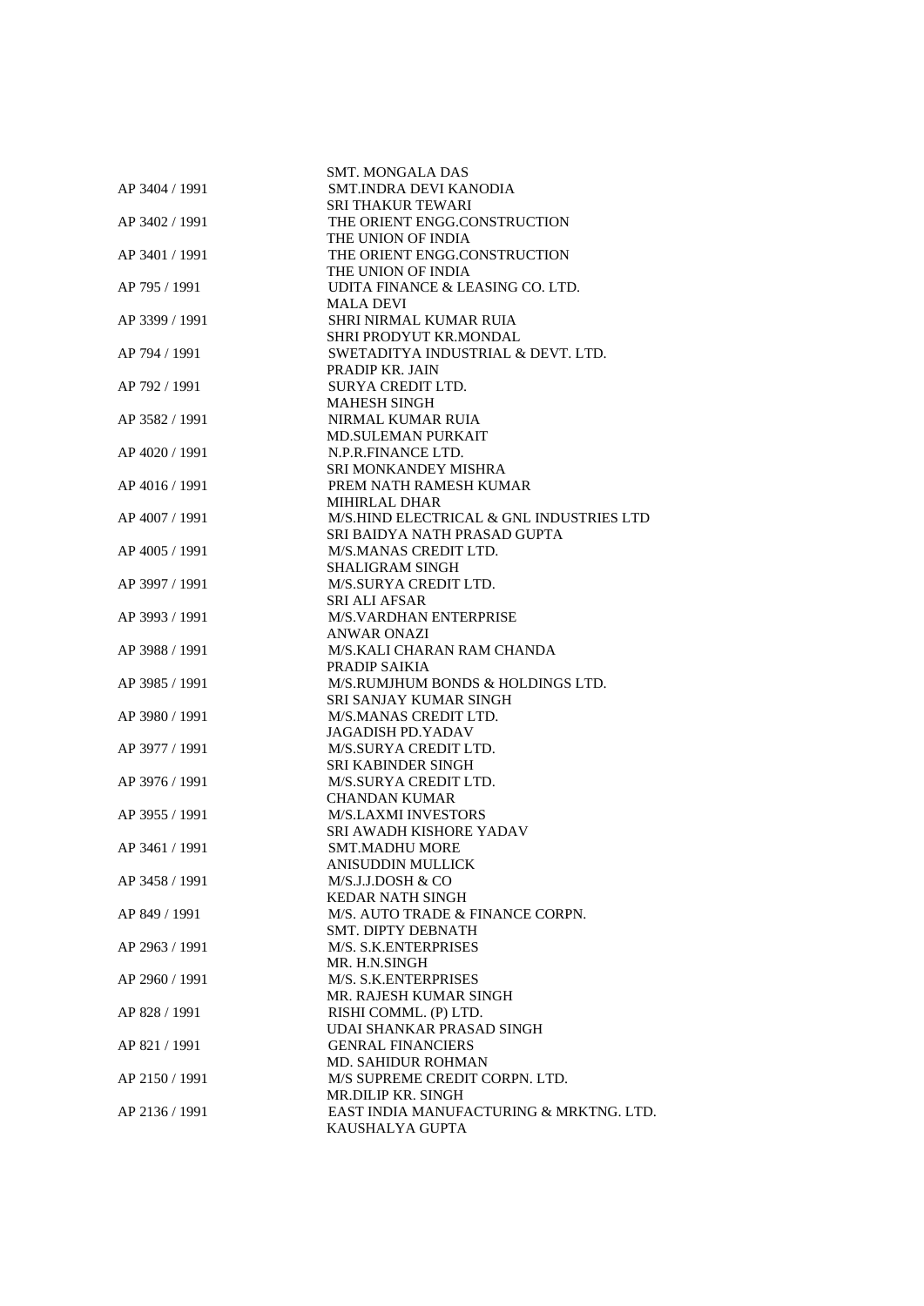| AP 3404 / 1991 | <b>SMT. MONGALA DAS</b><br>SMT.INDRA DEVI KANODIA |
|----------------|---------------------------------------------------|
|                | <b>SRI THAKUR TEWARI</b>                          |
| AP 3402 / 1991 | THE ORIENT ENGG.CONSTRUCTION                      |
|                | THE UNION OF INDIA                                |
| AP 3401 / 1991 | THE ORIENT ENGG.CONSTRUCTION                      |
|                | THE UNION OF INDIA                                |
| AP 795 / 1991  | UDITA FINANCE & LEASING CO. LTD.                  |
|                | <b>MALA DEVI</b>                                  |
| AP 3399 / 1991 | <b>SHRI NIRMAL KUMAR RUIA</b>                     |
|                | SHRI PRODYUT KR.MONDAL                            |
| AP 794 / 1991  | SWETADITYA INDUSTRIAL & DEVT. LTD.                |
|                | PRADIP KR. JAIN                                   |
| AP 792 / 1991  | SURYA CREDIT LTD.                                 |
|                | <b>MAHESH SINGH</b>                               |
| AP 3582 / 1991 | NIRMAL KUMAR RUIA                                 |
|                | <b>MD.SULEMAN PURKAIT</b>                         |
| AP 4020 / 1991 | N.P.R.FINANCE LTD.                                |
|                | SRI MONKANDEY MISHRA                              |
| AP 4016 / 1991 | PREM NATH RAMESH KUMAR<br>MIHIRLAL DHAR           |
| AP 4007 / 1991 | M/S.HIND ELECTRICAL & GNL INDUSTRIES LTD          |
|                | SRI BAIDYA NATH PRASAD GUPTA                      |
| AP 4005 / 1991 | M/S.MANAS CREDIT LTD.                             |
|                | <b>SHALIGRAM SINGH</b>                            |
| AP 3997 / 1991 | M/S.SURYA CREDIT LTD.                             |
|                | <b>SRI ALI AFSAR</b>                              |
| AP 3993 / 1991 | M/S.VARDHAN ENTERPRISE                            |
|                | <b>ANWAR ONAZI</b>                                |
| AP 3988 / 1991 | M/S.KALI CHARAN RAM CHANDA                        |
|                | PRADIP SAIKIA                                     |
| AP 3985 / 1991 | M/S.RUMJHUM BONDS & HOLDINGS LTD.                 |
|                | <b>SRI SANJAY KUMAR SINGH</b>                     |
| AP 3980 / 1991 | M/S.MANAS CREDIT LTD.                             |
|                | JAGADISH PD.YADAV                                 |
| AP 3977 / 1991 | M/S.SURYA CREDIT LTD.                             |
|                | <b>SRI KABINDER SINGH</b>                         |
| AP 3976 / 1991 | M/S.SURYA CREDIT LTD.                             |
|                | <b>CHANDAN KUMAR</b>                              |
| AP 3955 / 1991 | <b>M/S.LAXMI INVESTORS</b>                        |
|                | SRI AWADH KISHORE YADAV                           |
| AP 3461 / 1991 | SMT.MADHU MORE                                    |
| AP 3458 / 1991 | <b>ANISUDDIN MULLICK</b><br>M/S.J.J.DOSH & CO     |
|                | <b>KEDAR NATH SINGH</b>                           |
| AP 849 / 1991  | M/S. AUTO TRADE & FINANCE CORPN.                  |
|                | SMT. DIPTY DEBNATH                                |
| AP 2963 / 1991 | M/S. S.K.ENTERPRISES                              |
|                | MR. H.N.SINGH                                     |
| AP 2960 / 1991 | M/S. S.K.ENTERPRISES                              |
|                | MR. RAJESH KUMAR SINGH                            |
| AP 828 / 1991  | RISHI COMML. (P) LTD.                             |
|                | UDAI SHANKAR PRASAD SINGH                         |
| AP 821 / 1991  | <b>GENRAL FINANCIERS</b>                          |
|                | <b>MD. SAHIDUR ROHMAN</b>                         |
| AP 2150 / 1991 | M/S SUPREME CREDIT CORPN. LTD.                    |
|                | MR.DILIP KR. SINGH                                |
| AP 2136 / 1991 | EAST INDIA MANUFACTURING & MRKTNG. LTD.           |
|                | KAUSHALYA GUPTA                                   |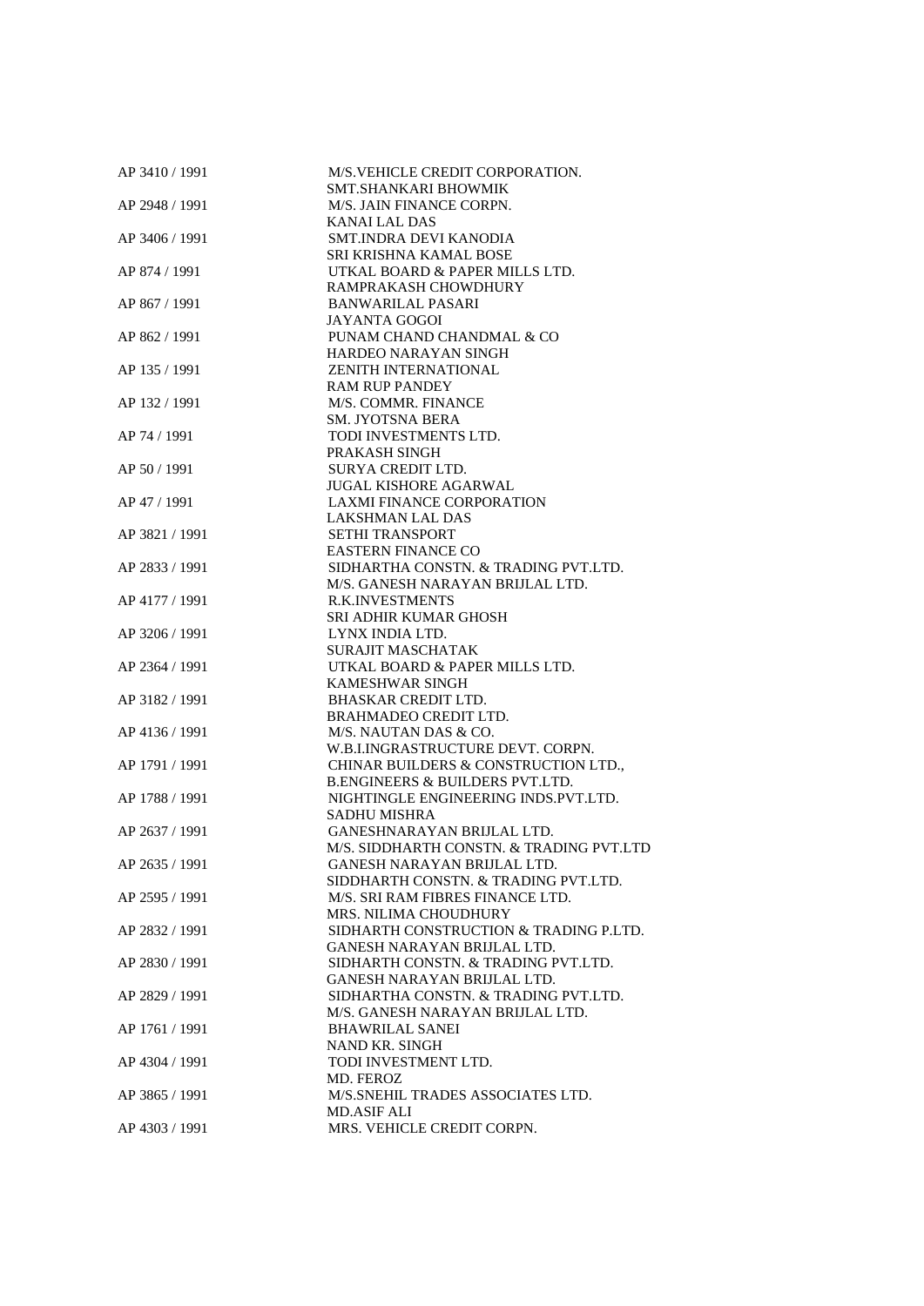| AP 3410 / 1991 | M/S.VEHICLE CREDIT CORPORATION.                             |
|----------------|-------------------------------------------------------------|
|                | SMT.SHANKARI BHOWMIK                                        |
| AP 2948 / 1991 | M/S. JAIN FINANCE CORPN.                                    |
|                | <b>KANAI LAL DAS</b>                                        |
| AP 3406 / 1991 | SMT.INDRA DEVI KANODIA                                      |
|                | SRI KRISHNA KAMAL BOSE                                      |
| AP 874 / 1991  | UTKAL BOARD & PAPER MILLS LTD.                              |
|                | RAMPRAKASH CHOWDHURY                                        |
| AP 867 / 1991  | <b>BANWARILAL PASARI</b>                                    |
|                | <b>JAYANTA GOGOI</b>                                        |
| AP 862 / 1991  | PUNAM CHAND CHANDMAL & CO                                   |
|                | HARDEO NARAYAN SINGH                                        |
| AP 135 / 1991  | <b>ZENITH INTERNATIONAL</b>                                 |
|                | <b>RAM RUP PANDEY</b>                                       |
| AP 132 / 1991  | M/S. COMMR. FINANCE                                         |
|                | <b>SM. JYOTSNA BERA</b>                                     |
|                |                                                             |
| AP 74 / 1991   | TODI INVESTMENTS LTD.                                       |
|                | PRAKASH SINGH                                               |
| AP 50 / 1991   | <b>SURYA CREDIT LTD.</b>                                    |
|                | <b>JUGAL KISHORE AGARWAL</b>                                |
| AP 47 / 1991   | <b>LAXMI FINANCE CORPORATION</b>                            |
|                | LAKSHMAN LAL DAS                                            |
| AP 3821 / 1991 | <b>SETHI TRANSPORT</b>                                      |
|                | <b>EASTERN FINANCE CO</b>                                   |
| AP 2833 / 1991 | SIDHARTHA CONSTN. & TRADING PVT.LTD.                        |
|                | M/S. GANESH NARAYAN BRIJLAL LTD.                            |
| AP 4177 / 1991 | <b>R.K.INVESTMENTS</b>                                      |
|                | SRI ADHIR KUMAR GHOSH                                       |
| AP 3206 / 1991 | LYNX INDIA LTD.                                             |
|                | <b>SURAJIT MASCHATAK</b>                                    |
| AP 2364 / 1991 | UTKAL BOARD & PAPER MILLS LTD.                              |
|                | <b>KAMESHWAR SINGH</b>                                      |
| AP 3182 / 1991 | <b>BHASKAR CREDIT LTD.</b>                                  |
|                | <b>BRAHMADEO CREDIT LTD.</b>                                |
| AP 4136 / 1991 | M/S. NAUTAN DAS & CO.                                       |
|                | W.B.I.INGRASTRUCTURE DEVT. CORPN.                           |
| AP 1791 / 1991 | CHINAR BUILDERS & CONSTRUCTION LTD.                         |
|                | <b>B.ENGINEERS &amp; BUILDERS PVT.LTD.</b>                  |
|                |                                                             |
| AP 1788 / 1991 | NIGHTINGLE ENGINEERING INDS.PVT.LTD.<br><b>SADHU MISHRA</b> |
|                |                                                             |
| AP 2637 / 1991 | GANESHNARAYAN BRIJLAL LTD.                                  |
|                | M/S. SIDDHARTH CONSTN. & TRADING PVT.LTD                    |
| AP 2635 / 1991 | GANESH NARAYAN BRIJLAL LTD.                                 |
|                | SIDDHARTH CONSTN. & TRADING PVT.LTD.                        |
| AP 2595 / 1991 | M/S. SRI RAM FIBRES FINANCE LTD.                            |
|                | MRS. NILIMA CHOUDHURY                                       |
| AP 2832 / 1991 | SIDHARTH CONSTRUCTION & TRADING P.LTD.                      |
|                | GANESH NARAYAN BRIJLAL LTD.                                 |
| AP 2830 / 1991 | SIDHARTH CONSTN. & TRADING PVT.LTD.                         |
|                | GANESH NARAYAN BRIJLAL LTD.                                 |
| AP 2829 / 1991 | SIDHARTHA CONSTN. & TRADING PVT.LTD.                        |
|                | M/S. GANESH NARAYAN BRIJLAL LTD.                            |
| AP 1761 / 1991 | <b>BHAWRILAL SANEI</b>                                      |
|                | NAND KR. SINGH                                              |
| AP 4304 / 1991 | TODI INVESTMENT LTD.                                        |
|                | MD. FEROZ                                                   |
| AP 3865 / 1991 | M/S.SNEHIL TRADES ASSOCIATES LTD.                           |
|                | MD.ASIF ALI                                                 |
| AP 4303 / 1991 | MRS. VEHICLE CREDIT CORPN.                                  |
|                |                                                             |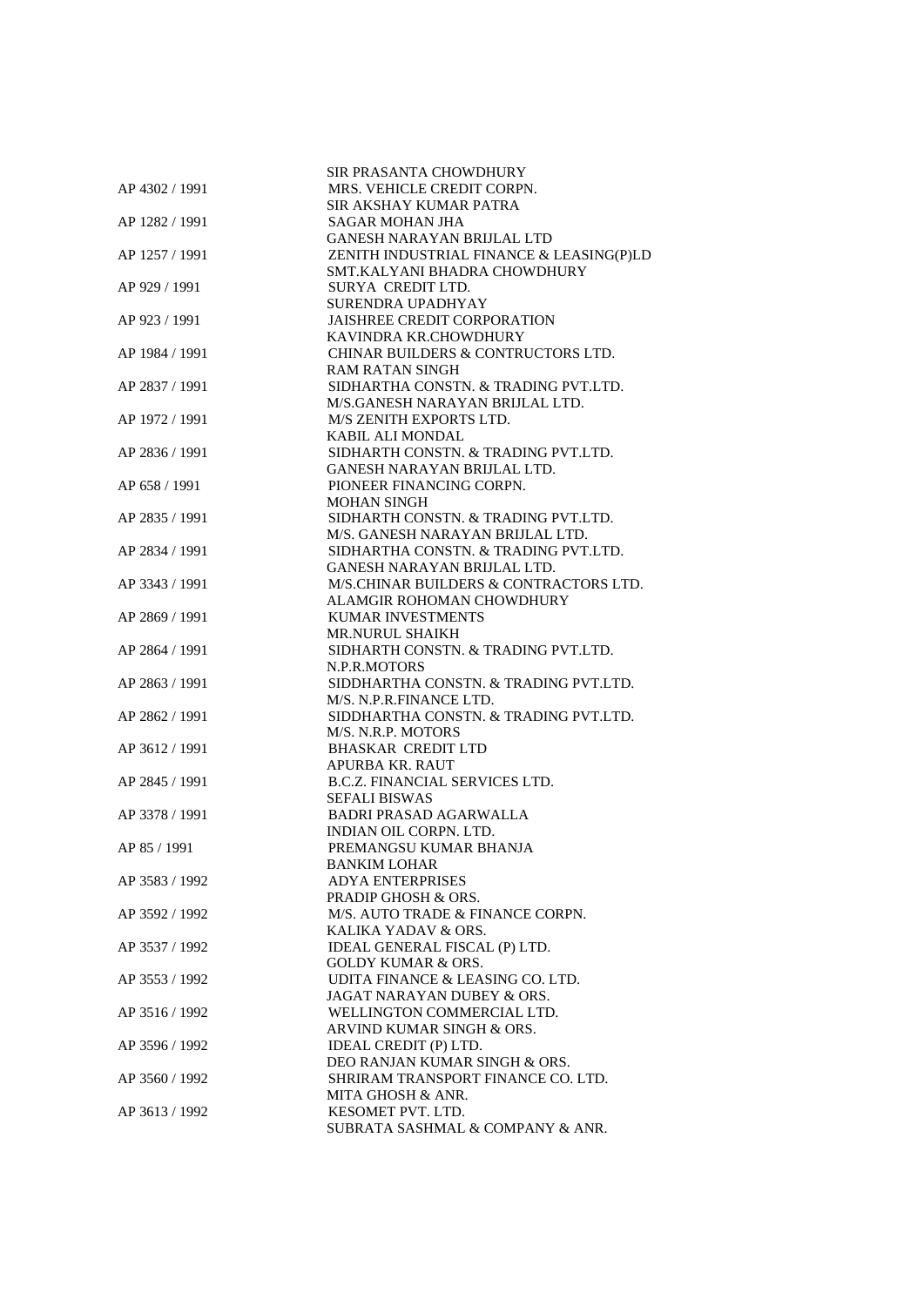|                | SIR PRASANTA CHOWDHURY                               |
|----------------|------------------------------------------------------|
| AP 4302 / 1991 | MRS. VEHICLE CREDIT CORPN.<br>SIR AKSHAY KUMAR PATRA |
| AP 1282 / 1991 | SAGAR MOHAN JHA                                      |
|                | <b>GANESH NARAYAN BRIJLAL LTD</b>                    |
| AP 1257 / 1991 | ZENITH INDUSTRIAL FINANCE & LEASING(P)LD             |
|                | SMT.KALYANI BHADRA CHOWDHURY                         |
| AP 929 / 1991  | SURYA CREDIT LTD.                                    |
|                | SURENDRA UPADHYAY                                    |
| AP 923 / 1991  | <b>JAISHREE CREDIT CORPORATION</b>                   |
|                | KAVINDRA KR.CHOWDHURY                                |
| AP 1984 / 1991 | CHINAR BUILDERS & CONTRUCTORS LTD.                   |
|                | <b>RAM RATAN SINGH</b>                               |
| AP 2837 / 1991 | SIDHARTHA CONSTN. & TRADING PVT.LTD.                 |
|                | M/S.GANESH NARAYAN BRIJLAL LTD.                      |
| AP 1972 / 1991 | M/S ZENITH EXPORTS LTD.                              |
|                | KABIL ALI MONDAL                                     |
| AP 2836 / 1991 | SIDHARTH CONSTN. & TRADING PVT.LTD.                  |
|                | GANESH NARAYAN BRIJLAL LTD.                          |
| AP 658 / 1991  | PIONEER FINANCING CORPN.                             |
|                | <b>MOHAN SINGH</b>                                   |
| AP 2835 / 1991 | SIDHARTH CONSTN. & TRADING PVT.LTD.                  |
|                | M/S. GANESH NARAYAN BRIJLAL LTD.                     |
| AP 2834 / 1991 | SIDHARTHA CONSTN. & TRADING PVT.LTD.                 |
|                | GANESH NARAYAN BRIJLAL LTD.                          |
| AP 3343 / 1991 | M/S.CHINAR BUILDERS & CONTRACTORS LTD.               |
|                | ALAMGIR ROHOMAN CHOWDHURY                            |
| AP 2869 / 1991 | <b>KUMAR INVESTMENTS</b>                             |
|                | <b>MR.NURUL SHAIKH</b>                               |
| AP 2864 / 1991 | SIDHARTH CONSTN. & TRADING PVT.LTD.                  |
|                | N.P.R.MOTORS                                         |
| AP 2863 / 1991 | SIDDHARTHA CONSTN. & TRADING PVT.LTD.                |
|                | M/S. N.P.R.FINANCE LTD.                              |
| AP 2862 / 1991 | SIDDHARTHA CONSTN. & TRADING PVT.LTD.                |
|                | M/S. N.R.P. MOTORS                                   |
| AP 3612 / 1991 | <b>BHASKAR CREDIT LTD</b>                            |
|                | <b>APURBA KR. RAUT</b>                               |
| AP 2845 / 1991 | <b>B.C.Z. FINANCIAL SERVICES LTD.</b>                |
|                | <b>SEFALI BISWAS</b>                                 |
| AP 3378 / 1991 | <b>BADRI PRASAD AGARWALLA</b>                        |
|                | INDIAN OIL CORPN. LTD.                               |
| AP 85 / 1991   | PREMANGSU KUMAR BHANJA                               |
|                | <b>BANKIM LOHAR</b>                                  |
| AP 3583 / 1992 | <b>ADYA ENTERPRISES</b>                              |
|                | PRADIP GHOSH & ORS.                                  |
| AP 3592 / 1992 | M/S. AUTO TRADE & FINANCE CORPN.                     |
|                | KALIKA YADAV & ORS.                                  |
| AP 3537 / 1992 | IDEAL GENERAL FISCAL (P) LTD.                        |
|                | <b>GOLDY KUMAR &amp; ORS.</b>                        |
| AP 3553 / 1992 | UDITA FINANCE & LEASING CO. LTD.                     |
|                | JAGAT NARAYAN DUBEY & ORS.                           |
| AP 3516 / 1992 | WELLINGTON COMMERCIAL LTD.                           |
|                | ARVIND KUMAR SINGH & ORS.                            |
| AP 3596 / 1992 | IDEAL CREDIT (P) LTD.                                |
|                | DEO RANJAN KUMAR SINGH & ORS.                        |
| AP 3560 / 1992 | SHRIRAM TRANSPORT FINANCE CO. LTD.                   |
|                | MITA GHOSH & ANR.                                    |
| AP 3613 / 1992 | KESOMET PVT. LTD.                                    |
|                | SUBRATA SASHMAL & COMPANY & ANR.                     |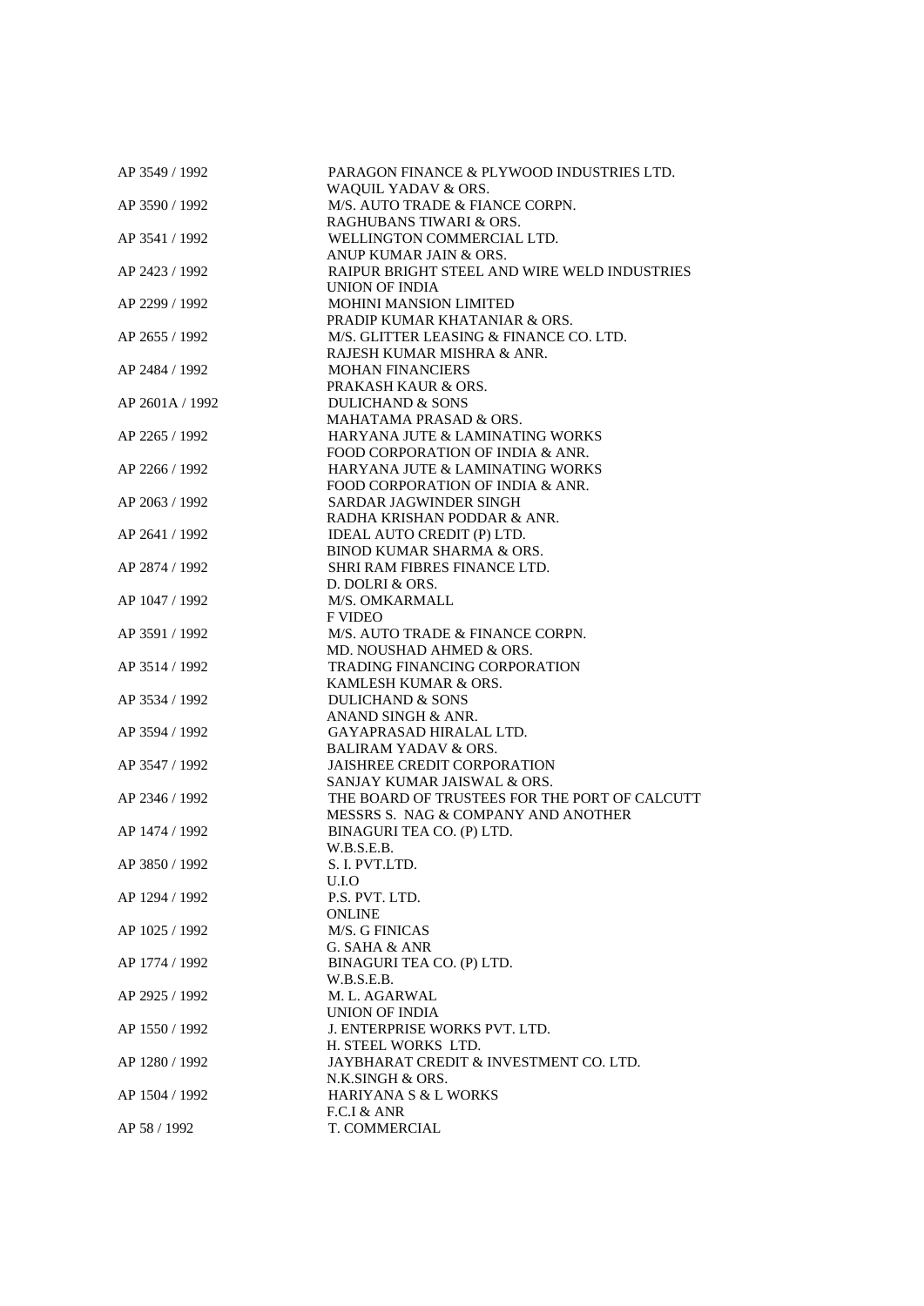| AP 3549 / 1992  | PARAGON FINANCE & PLYWOOD INDUSTRIES LTD.<br>WAQUIL YADAV & ORS. |
|-----------------|------------------------------------------------------------------|
| AP 3590 / 1992  | M/S. AUTO TRADE & FIANCE CORPN.                                  |
|                 | RAGHUBANS TIWARI & ORS.                                          |
| AP 3541 / 1992  | WELLINGTON COMMERCIAL LTD.                                       |
|                 | ANUP KUMAR JAIN & ORS.                                           |
| AP 2423 / 1992  | RAIPUR BRIGHT STEEL AND WIRE WELD INDUSTRIES                     |
|                 | UNION OF INDIA                                                   |
| AP 2299 / 1992  | <b>MOHINI MANSION LIMITED</b>                                    |
|                 | PRADIP KUMAR KHATANIAR & ORS.                                    |
| AP 2655 / 1992  | M/S. GLITTER LEASING & FINANCE CO. LTD.                          |
|                 | RAJESH KUMAR MISHRA & ANR.                                       |
| AP 2484 / 1992  | <b>MOHAN FINANCIERS</b>                                          |
|                 | PRAKASH KAUR & ORS.                                              |
| AP 2601A / 1992 | <b>DULICHAND &amp; SONS</b>                                      |
|                 | MAHATAMA PRASAD & ORS.                                           |
| AP 2265 / 1992  | HARYANA JUTE & LAMINATING WORKS                                  |
|                 | FOOD CORPORATION OF INDIA & ANR.                                 |
| AP 2266 / 1992  | HARYANA JUTE & LAMINATING WORKS                                  |
|                 | FOOD CORPORATION OF INDIA & ANR.                                 |
| AP 2063 / 1992  | SARDAR JAGWINDER SINGH                                           |
|                 | RADHA KRISHAN PODDAR & ANR.                                      |
| AP 2641 / 1992  | IDEAL AUTO CREDIT (P) LTD.                                       |
|                 | BINOD KUMAR SHARMA & ORS.                                        |
| AP 2874 / 1992  | SHRI RAM FIBRES FINANCE LTD.                                     |
|                 | D. DOLRI & ORS.                                                  |
| AP 1047 / 1992  | M/S. OMKARMALL                                                   |
|                 | <b>F VIDEO</b>                                                   |
| AP 3591 / 1992  | M/S. AUTO TRADE & FINANCE CORPN.                                 |
|                 | MD. NOUSHAD AHMED & ORS.                                         |
| AP 3514 / 1992  | <b>TRADING FINANCING CORPORATION</b>                             |
|                 | KAMLESH KUMAR & ORS.                                             |
| AP 3534 / 1992  | <b>DULICHAND &amp; SONS</b>                                      |
|                 | ANAND SINGH & ANR.                                               |
| AP 3594 / 1992  | GAYAPRASAD HIRALAL LTD.                                          |
|                 | <b>BALIRAM YADAV &amp; ORS.</b>                                  |
| AP 3547 / 1992  | <b>JAISHREE CREDIT CORPORATION</b>                               |
|                 | SANJAY KUMAR JAISWAL & ORS.                                      |
| AP 2346 / 1992  | THE BOARD OF TRUSTEES FOR THE PORT OF CALCUTT                    |
|                 | MESSRS S. NAG & COMPANY AND ANOTHER                              |
| AP 1474 / 1992  | BINAGURI TEA CO. (P) LTD.                                        |
|                 | W.B.S.E.B.                                                       |
| AP 3850 / 1992  | S. I. PVT.LTD.                                                   |
|                 | U.I.O                                                            |
| AP 1294 / 1992  | P.S. PVT. LTD.                                                   |
|                 | ONLINE                                                           |
| AP 1025 / 1992  | M/S. G FINICAS                                                   |
|                 | G. SAHA & ANR                                                    |
| AP 1774 / 1992  | BINAGURI TEA CO. (P) LTD.                                        |
|                 | W.B.S.E.B.                                                       |
| AP 2925 / 1992  | M. L. AGARWAL                                                    |
|                 | <b>UNION OF INDIA</b>                                            |
| AP 1550 / 1992  | <b>J. ENTERPRISE WORKS PVT. LTD.</b>                             |
|                 | H. STEEL WORKS LTD.                                              |
| AP 1280 / 1992  | JAYBHARAT CREDIT & INVESTMENT CO. LTD.                           |
|                 | N.K.SINGH & ORS.                                                 |
| AP 1504 / 1992  | <b>HARIYANA S &amp; L WORKS</b>                                  |
|                 | F.C.I & ANR                                                      |
| AP 58 / 1992    | T. COMMERCIAL                                                    |
|                 |                                                                  |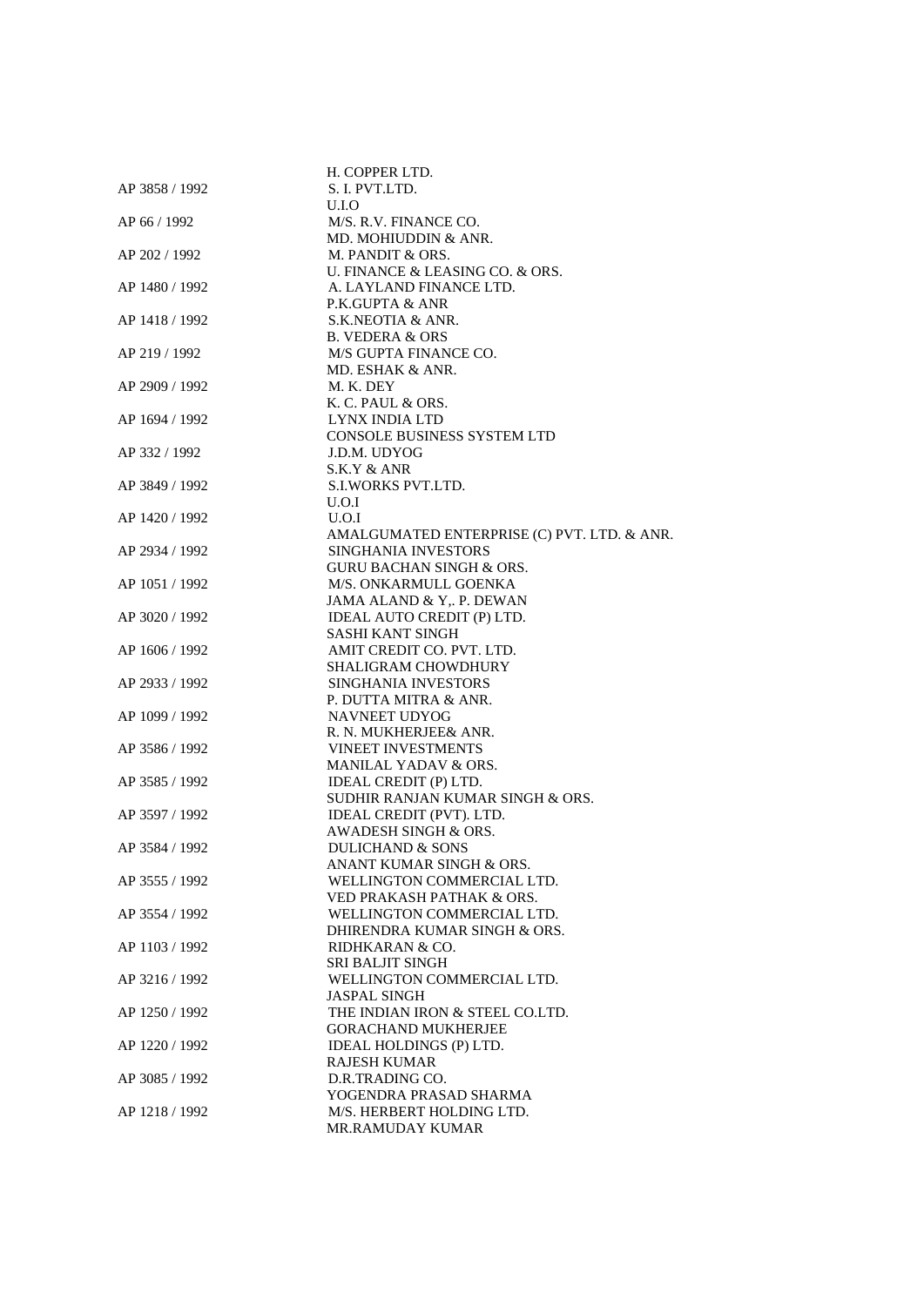|                | H. COPPER LTD.                              |
|----------------|---------------------------------------------|
| AP 3858 / 1992 | S. I. PVT.LTD.                              |
|                | U.I.O                                       |
| AP 66 / 1992   | M/S. R.V. FINANCE CO.                       |
|                | MD. MOHIUDDIN & ANR.                        |
|                |                                             |
| AP 202 / 1992  | M. PANDIT & ORS.                            |
|                | U. FINANCE & LEASING CO. & ORS.             |
| AP 1480 / 1992 | A. LAYLAND FINANCE LTD.                     |
|                | P.K.GUPTA & ANR                             |
| AP 1418 / 1992 | S.K.NEOTIA & ANR.                           |
|                | B. VEDERA & ORS                             |
| AP 219 / 1992  | M/S GUPTA FINANCE CO.                       |
|                | MD. ESHAK & ANR.                            |
| AP 2909 / 1992 | M. K. DEY                                   |
|                | K. C. PAUL & ORS.                           |
| AP 1694 / 1992 | LYNX INDIA LTD                              |
|                | <b>CONSOLE BUSINESS SYSTEM LTD</b>          |
| AP 332 / 1992  | J.D.M. UDYOG                                |
|                | S.K.Y & ANR                                 |
| AP 3849 / 1992 | <b>S.I.WORKS PVT.LTD.</b>                   |
|                | U.O.I                                       |
| AP 1420 / 1992 | U.O.I                                       |
|                | AMALGUMATED ENTERPRISE (C) PVT. LTD. & ANR. |
| AP 2934 / 1992 | SINGHANIA INVESTORS                         |
|                | <b>GURU BACHAN SINGH &amp; ORS.</b>         |
|                |                                             |
| AP 1051 / 1992 | M/S. ONKARMULL GOENKA                       |
|                | JAMA ALAND & Y,. P. DEWAN                   |
| AP 3020 / 1992 | IDEAL AUTO CREDIT (P) LTD.                  |
|                | SASHI KANT SINGH                            |
| AP 1606 / 1992 | AMIT CREDIT CO. PVT. LTD.                   |
|                | <b>SHALIGRAM CHOWDHURY</b>                  |
| AP 2933 / 1992 | SINGHANIA INVESTORS                         |
|                | P. DUTTA MITRA & ANR.                       |
| AP 1099 / 1992 | NAVNEET UDYOG                               |
|                | R. N. MUKHERJEE& ANR.                       |
| AP 3586 / 1992 | <b>VINEET INVESTMENTS</b>                   |
|                | MANILAL YADAV & ORS.                        |
| AP 3585 / 1992 | IDEAL CREDIT (P) LTD.                       |
|                | SUDHIR RANJAN KUMAR SINGH & ORS.            |
| AP 3597 / 1992 | IDEAL CREDIT (PVT). LTD.                    |
|                | AWADESH SINGH & ORS.                        |
| AP 3584 / 1992 | <b>DULICHAND &amp; SONS</b>                 |
|                | ANANT KUMAR SINGH & ORS.                    |
| AP 3555 / 1992 | WELLINGTON COMMERCIAL LTD.                  |
|                | VED PRAKASH PATHAK & ORS.                   |
| AP 3554 / 1992 | WELLINGTON COMMERCIAL LTD.                  |
|                | DHIRENDRA KUMAR SINGH & ORS.                |
| AP 1103 / 1992 | RIDHKARAN & CO.                             |
|                | <b>SRI BALJIT SINGH</b>                     |
|                |                                             |
| AP 3216 / 1992 | WELLINGTON COMMERCIAL LTD.                  |
|                | <b>JASPAL SINGH</b>                         |
| AP 1250 / 1992 | THE INDIAN IRON & STEEL CO.LTD.             |
|                | <b>GORACHAND MUKHERJEE</b>                  |
| AP 1220 / 1992 | IDEAL HOLDINGS (P) LTD.                     |
|                | <b>RAJESH KUMAR</b>                         |
| AP 3085 / 1992 | D.R.TRADING CO.                             |
|                | YOGENDRA PRASAD SHARMA                      |
| AP 1218 / 1992 | M/S. HERBERT HOLDING LTD.                   |
|                | <b>MR.RAMUDAY KUMAR</b>                     |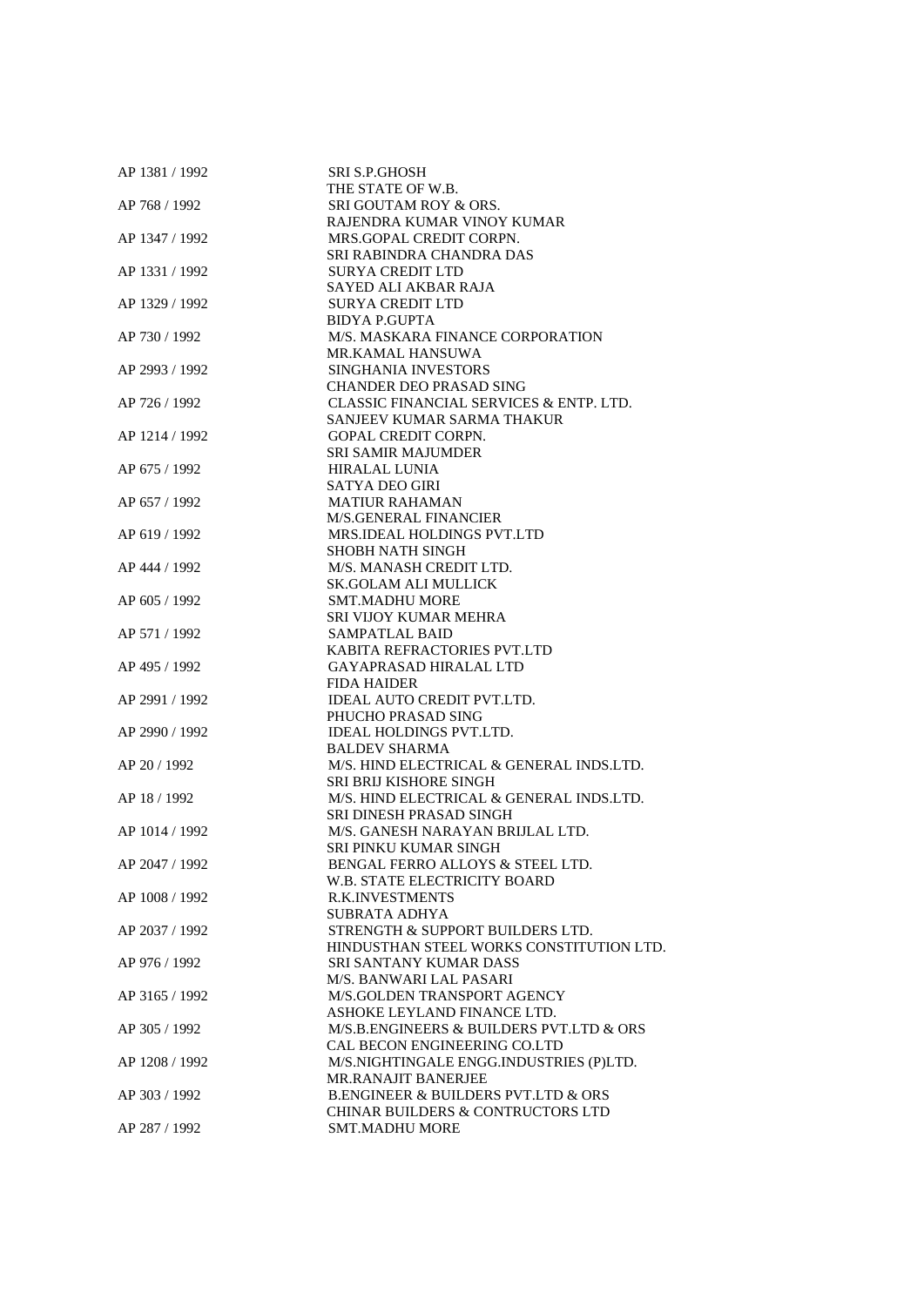| AP 1381 / 1992 | SRI S.P.GHOSH                                                            |
|----------------|--------------------------------------------------------------------------|
|                | THE STATE OF W.B.                                                        |
| AP 768 / 1992  | SRI GOUTAM ROY & ORS.                                                    |
|                | RAJENDRA KUMAR VINOY KUMAR                                               |
| AP 1347 / 1992 | MRS.GOPAL CREDIT CORPN.                                                  |
|                | SRI RABINDRA CHANDRA DAS                                                 |
| AP 1331 / 1992 | <b>SURYA CREDIT LTD</b>                                                  |
|                | SAYED ALI AKBAR RAJA                                                     |
| AP 1329 / 1992 | <b>SURYA CREDIT LTD</b>                                                  |
|                | <b>BIDYA P.GUPTA</b>                                                     |
| AP 730 / 1992  | M/S. MASKARA FINANCE CORPORATION                                         |
|                | MR.KAMAL HANSUWA                                                         |
| AP 2993 / 1992 | SINGHANIA INVESTORS                                                      |
|                | <b>CHANDER DEO PRASAD SING</b>                                           |
| AP 726 / 1992  | CLASSIC FINANCIAL SERVICES & ENTP. LTD.                                  |
|                | SANJEEV KUMAR SARMA THAKUR                                               |
| AP 1214 / 1992 | <b>GOPAL CREDIT CORPN.</b>                                               |
|                | <b>SRI SAMIR MAJUMDER</b>                                                |
| AP 675 / 1992  | <b>HIRALAL LUNIA</b>                                                     |
|                | <b>SATYA DEO GIRI</b>                                                    |
| AP 657 / 1992  | <b>MATIUR RAHAMAN</b>                                                    |
|                | <b>M/S.GENERAL FINANCIER</b>                                             |
| AP 619 / 1992  | MRS.IDEAL HOLDINGS PVT.LTD                                               |
|                | <b>SHOBH NATH SINGH</b>                                                  |
| AP 444 / 1992  | M/S. MANASH CREDIT LTD.                                                  |
|                | <b>SK.GOLAM ALI MULLICK</b>                                              |
| AP 605 / 1992  | <b>SMT.MADHU MORE</b>                                                    |
|                | <b>SRI VIJOY KUMAR MEHRA</b>                                             |
| AP 571 / 1992  | <b>SAMPATLAL BAID</b>                                                    |
|                | KABITA REFRACTORIES PVT.LTD                                              |
| AP 495 / 1992  | <b>GAYAPRASAD HIRALAL LTD</b>                                            |
|                | <b>FIDA HAIDER</b>                                                       |
| AP 2991 / 1992 | IDEAL AUTO CREDIT PVT.LTD.                                               |
|                | PHUCHO PRASAD SING                                                       |
| AP 2990 / 1992 | <b>IDEAL HOLDINGS PVT.LTD.</b>                                           |
|                | <b>BALDEV SHARMA</b>                                                     |
| AP 20 / 1992   | M/S. HIND ELECTRICAL & GENERAL INDS.LTD.                                 |
|                | <b>SRI BRIJ KISHORE SINGH</b>                                            |
| AP 18 / 1992   | M/S. HIND ELECTRICAL & GENERAL INDS.LTD.                                 |
|                | SRI DINESH PRASAD SINGH                                                  |
| AP 1014 / 1992 | M/S. GANESH NARAYAN BRIJLAL LTD.                                         |
|                | <b>SRI PINKU KUMAR SINGH</b>                                             |
| AP 2047 / 1992 | BENGAL FERRO ALLOYS & STEEL LTD.                                         |
|                | <b>W.B. STATE ELECTRICITY BOARD</b>                                      |
| AP 1008 / 1992 | <b>R.K.INVESTMENTS</b>                                                   |
|                | SUBRATA ADHYA                                                            |
| AP 2037 / 1992 | STRENGTH & SUPPORT BUILDERS LTD.                                         |
|                | HINDUSTHAN STEEL WORKS CONSTITUTION LTD.                                 |
| AP 976 / 1992  | <b>SRI SANTANY KUMAR DASS</b><br>M/S. BANWARI LAL PASARI                 |
| AP 3165 / 1992 | M/S.GOLDEN TRANSPORT AGENCY                                              |
|                | ASHOKE LEYLAND FINANCE LTD.                                              |
| AP 305 / 1992  |                                                                          |
|                | M/S.B.ENGINEERS & BUILDERS PVT.LTD & ORS<br>CAL BECON ENGINEERING CO.LTD |
| AP 1208 / 1992 | M/S.NIGHTINGALE ENGG.INDUSTRIES (P)LTD.                                  |
|                | <b>MR.RANAJIT BANERJEE</b>                                               |
| AP 303 / 1992  | <b>B.ENGINEER &amp; BUILDERS PVT.LTD &amp; ORS</b>                       |
|                | <b>CHINAR BUILDERS &amp; CONTRUCTORS LTD</b>                             |
| AP 287 / 1992  | <b>SMT.MADHU MORE</b>                                                    |
|                |                                                                          |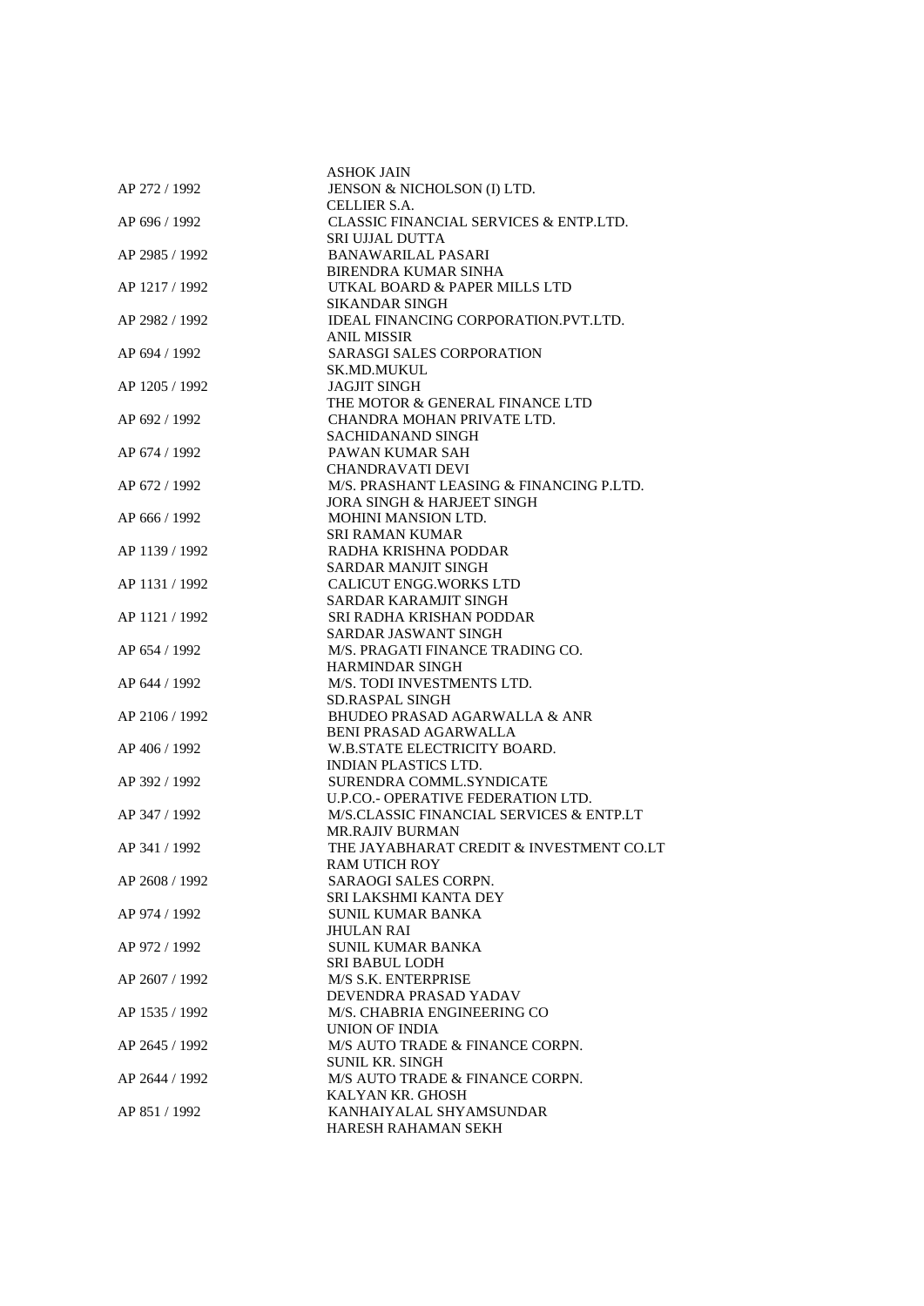|                | <b>ASHOK JAIN</b>                        |
|----------------|------------------------------------------|
| AP 272 / 1992  | JENSON & NICHOLSON (I) LTD.              |
|                | CELLIER S.A.                             |
| AP 696 / 1992  | CLASSIC FINANCIAL SERVICES & ENTP.LTD.   |
|                | <b>SRI UJJAL DUTTA</b>                   |
| AP 2985 / 1992 | <b>BANAWARILAL PASARI</b>                |
|                | BIRENDRA KUMAR SINHA                     |
|                | UTKAL BOARD & PAPER MILLS LTD            |
| AP 1217 / 1992 |                                          |
|                | SIKANDAR SINGH                           |
| AP 2982 / 1992 | IDEAL FINANCING CORPORATION.PVT.LTD.     |
|                | ANIL MISSIR                              |
| AP 694 / 1992  | <b>SARASGI SALES CORPORATION</b>         |
|                | <b>SK.MD.MUKUL</b>                       |
| AP 1205 / 1992 | <b>JAGJIT SINGH</b>                      |
|                | THE MOTOR & GENERAL FINANCE LTD          |
| AP 692 / 1992  | CHANDRA MOHAN PRIVATE LTD.               |
|                | SACHIDANAND SINGH                        |
| AP 674 / 1992  | PAWAN KUMAR SAH                          |
|                | <b>CHANDRAVATI DEVI</b>                  |
| AP 672 / 1992  | M/S. PRASHANT LEASING & FINANCING P.LTD. |
|                | <b>JORA SINGH &amp; HARJEET SINGH</b>    |
| AP 666 / 1992  | <b>MOHINI MANSION LTD.</b>               |
|                | <b>SRI RAMAN KUMAR</b>                   |
| AP 1139 / 1992 | RADHA KRISHNA PODDAR                     |
|                | <b>SARDAR MANJIT SINGH</b>               |
| AP 1131 / 1992 | CALICUT ENGG. WORKS LTD                  |
|                |                                          |
|                | <b>SARDAR KARAMJIT SINGH</b>             |
| AP 1121 / 1992 | SRI RADHA KRISHAN PODDAR                 |
|                | SARDAR JASWANT SINGH                     |
| AP 654 / 1992  | M/S. PRAGATI FINANCE TRADING CO.         |
|                | HARMINDAR SINGH                          |
| AP 644 / 1992  | M/S. TODI INVESTMENTS LTD.               |
|                | <b>SD.RASPAL SINGH</b>                   |
| AP 2106 / 1992 | <b>BHUDEO PRASAD AGARWALLA &amp; ANR</b> |
|                | <b>BENI PRASAD AGARWALLA</b>             |
| AP 406 / 1992  | W.B.STATE ELECTRICITY BOARD.             |
|                | <b>INDIAN PLASTICS LTD.</b>              |
| AP 392 / 1992  | SURENDRA COMML.SYNDICATE                 |
|                | U.P.CO. - OPERATIVE FEDERATION LTD.      |
| AP 347 / 1992  | M/S.CLASSIC FINANCIAL SERVICES & ENTP.LT |
|                | <b>MR.RAJIV BURMAN</b>                   |
| AP 341 / 1992  | THE JAYABHARAT CREDIT & INVESTMENT CO.LT |
|                | <b>RAM UTICH ROY</b>                     |
| AP 2608 / 1992 | SARAOGI SALES CORPN.                     |
|                | SRI LAKSHMI KANTA DEY                    |
| AP 974 / 1992  | SUNIL KUMAR BANKA                        |
|                | <b>JHULAN RAI</b>                        |
| AP 972 / 1992  | <b>SUNIL KUMAR BANKA</b>                 |
|                | <b>SRI BABUL LODH</b>                    |
|                |                                          |
| AP 2607 / 1992 | M/S S.K. ENTERPRISE                      |
|                | DEVENDRA PRASAD YADAV                    |
| AP 1535 / 1992 | M/S. CHABRIA ENGINEERING CO              |
|                | UNION OF INDIA                           |
| AP 2645 / 1992 | M/S AUTO TRADE & FINANCE CORPN.          |
|                | <b>SUNIL KR. SINGH</b>                   |
| AP 2644 / 1992 | M/S AUTO TRADE & FINANCE CORPN.          |
|                | KALYAN KR. GHOSH                         |
| AP 851 / 1992  | KANHAIYALAL SHYAMSUNDAR                  |
|                | HARESH RAHAMAN SEKH                      |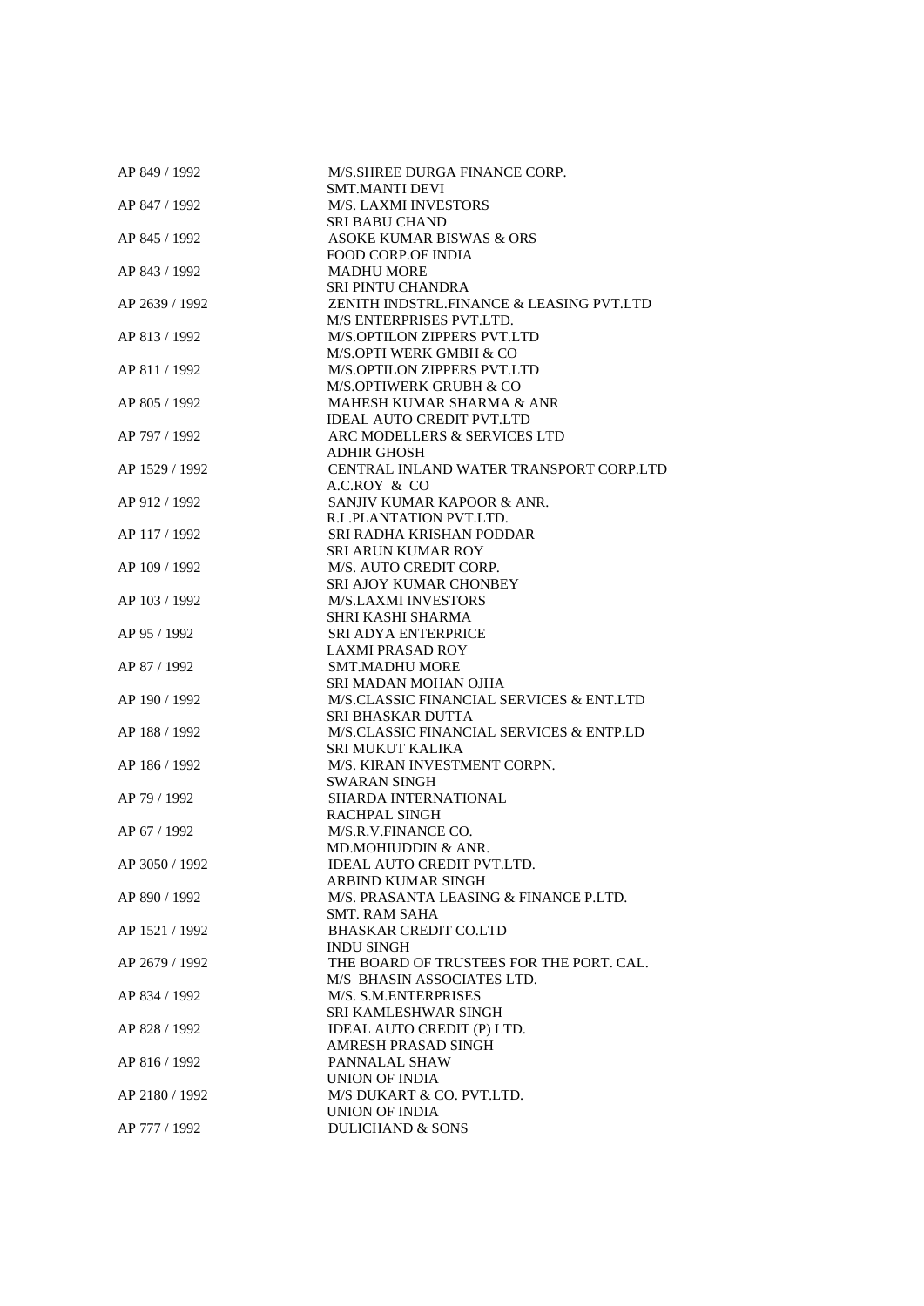| AP 849 / 1992  | M/S.SHREE DURGA FINANCE CORP.            |
|----------------|------------------------------------------|
|                | <b>SMT.MANTI DEVI</b>                    |
| AP 847 / 1992  | <b>M/S. LAXMI INVESTORS</b>              |
|                | <b>SRI BABU CHAND</b>                    |
| AP 845 / 1992  | ASOKE KUMAR BISWAS & ORS                 |
|                | <b>FOOD CORP.OF INDIA</b>                |
| AP 843 / 1992  | <b>MADHU MORE</b>                        |
|                | <b>SRI PINTU CHANDRA</b>                 |
| AP 2639 / 1992 | ZENITH INDSTRL.FINANCE & LEASING PVT.LTD |
|                | M/S ENTERPRISES PVT.LTD.                 |
| AP 813 / 1992  | M/S.OPTILON ZIPPERS PVT.LTD              |
|                | M/S.OPTI WERK GMBH & CO                  |
| AP 811 / 1992  | M/S.OPTILON ZIPPERS PVT.LTD              |
|                | M/S.OPTIWERK GRUBH & CO                  |
| AP 805 / 1992  | MAHESH KUMAR SHARMA & ANR                |
|                | <b>IDEAL AUTO CREDIT PVT.LTD</b>         |
| AP 797 / 1992  | ARC MODELLERS & SERVICES LTD             |
|                | <b>ADHIR GHOSH</b>                       |
|                |                                          |
| AP 1529 / 1992 | CENTRAL INLAND WATER TRANSPORT CORP.LTD  |
|                | A.C.ROY & CO                             |
| AP 912 / 1992  | SANJIV KUMAR KAPOOR & ANR.               |
|                | R.L.PLANTATION PVT.LTD.                  |
| AP 117 / 1992  | SRI RADHA KRISHAN PODDAR                 |
|                | <b>SRI ARUN KUMAR ROY</b>                |
| AP 109 / 1992  | M/S. AUTO CREDIT CORP.                   |
|                | <b>SRI AJOY KUMAR CHONBEY</b>            |
| AP 103 / 1992  | <b>M/S.LAXMI INVESTORS</b>               |
|                | SHRI KASHI SHARMA                        |
| AP 95 / 1992   | <b>SRI ADYA ENTERPRICE</b>               |
|                | <b>LAXMI PRASAD ROY</b>                  |
| AP 87 / 1992   | <b>SMT.MADHU MORE</b>                    |
|                | SRI MADAN MOHAN OJHA                     |
| AP 190 / 1992  | M/S.CLASSIC FINANCIAL SERVICES & ENT.LTD |
|                | SRI BHASKAR DUTTA                        |
| AP 188 / 1992  | M/S.CLASSIC FINANCIAL SERVICES & ENTP.LD |
|                | SRI MUKUT KALIKA                         |
| AP 186 / 1992  | M/S. KIRAN INVESTMENT CORPN.             |
|                | <b>SWARAN SINGH</b>                      |
| AP 79 / 1992   | SHARDA INTERNATIONAL                     |
|                | <b>RACHPAL SINGH</b>                     |
| AP 67 / 1992   | M/S.R.V.FINANCE CO.                      |
|                | MD.MOHIUDDIN & ANR.                      |
| AP 3050 / 1992 | IDEAL AUTO CREDIT PVT.LTD.               |
|                | ARBIND KUMAR SINGH                       |
| AP 890 / 1992  | M/S. PRASANTA LEASING & FINANCE P.LTD.   |
|                | SMT. RAM SAHA                            |
| AP 1521 / 1992 | <b>BHASKAR CREDIT CO.LTD</b>             |
|                | <b>INDU SINGH</b>                        |
| AP 2679 / 1992 | THE BOARD OF TRUSTEES FOR THE PORT. CAL. |
|                | M/S BHASIN ASSOCIATES LTD.               |
| AP 834 / 1992  | M/S. S.M.ENTERPRISES                     |
|                | <b>SRI KAMLESHWAR SINGH</b>              |
| AP 828 / 1992  | IDEAL AUTO CREDIT (P) LTD.               |
|                |                                          |
|                | AMRESH PRASAD SINGH                      |
| AP 816 / 1992  | PANNALAL SHAW                            |
|                | UNION OF INDIA                           |
| AP 2180 / 1992 | M/S DUKART & CO. PVT.LTD.                |
|                | UNION OF INDIA                           |
| AP 777 / 1992  | <b>DULICHAND &amp; SONS</b>              |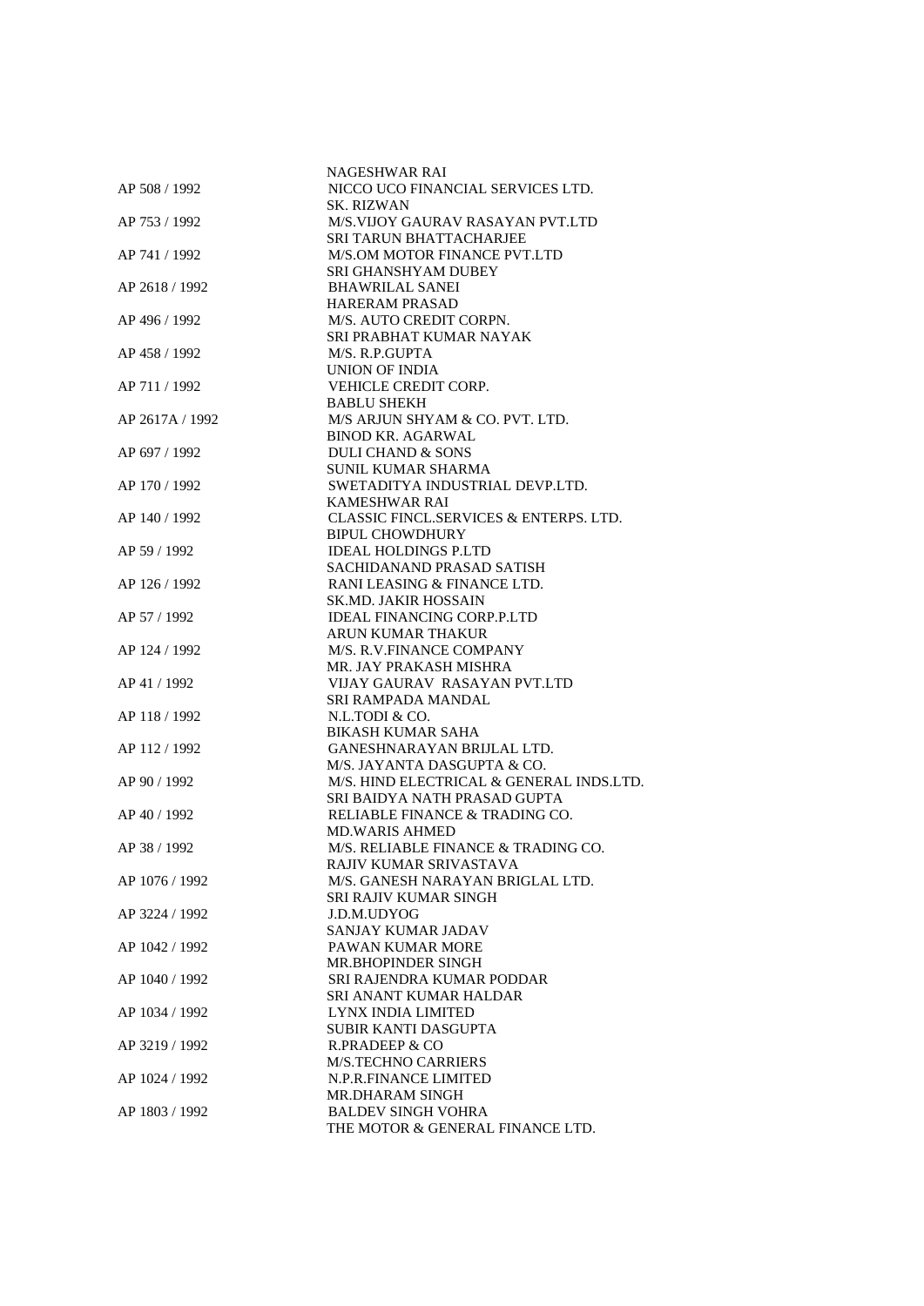|                 | NAGESHWAR RAI                            |
|-----------------|------------------------------------------|
| AP 508 / 1992   | NICCO UCO FINANCIAL SERVICES LTD.        |
|                 | SK. RIZWAN                               |
| AP 753 / 1992   | M/S.VIJOY GAURAV RASAYAN PVT.LTD         |
|                 | <b>SRI TARUN BHATTACHARJEE</b>           |
| AP 741 / 1992   | M/S.OM MOTOR FINANCE PVT.LTD             |
|                 | SRI GHANSHYAM DUBEY                      |
|                 | <b>BHAWRILAL SANEI</b>                   |
| AP 2618 / 1992  |                                          |
|                 | <b>HARERAM PRASAD</b>                    |
| AP 496 / 1992   | M/S. AUTO CREDIT CORPN.                  |
|                 | SRI PRABHAT KUMAR NAYAK                  |
| AP 458 / 1992   | M/S. R.P.GUPTA                           |
|                 | UNION OF INDIA                           |
| AP 711 / 1992   | <b>VEHICLE CREDIT CORP.</b>              |
|                 | <b>BABLU SHEKH</b>                       |
| AP 2617A / 1992 | M/S ARJUN SHYAM & CO. PVT. LTD.          |
|                 | <b>BINOD KR. AGARWAL</b>                 |
| AP 697 / 1992   | <b>DULI CHAND &amp; SONS</b>             |
|                 | SUNIL KUMAR SHARMA                       |
| AP 170 / 1992   | SWETADITYA INDUSTRIAL DEVP.LTD.          |
|                 | KAMESHWAR RAI                            |
| AP 140 / 1992   | CLASSIC FINCL.SERVICES & ENTERPS. LTD.   |
|                 | <b>BIPUL CHOWDHURY</b>                   |
| AP 59 / 1992    | <b>IDEAL HOLDINGS P.LTD</b>              |
|                 | SACHIDANAND PRASAD SATISH                |
|                 |                                          |
| AP 126 / 1992   | RANI LEASING & FINANCE LTD.              |
|                 | <b>SK.MD. JAKIR HOSSAIN</b>              |
| AP 57 / 1992    | <b>IDEAL FINANCING CORP.P.LTD</b>        |
|                 | <b>ARUN KUMAR THAKUR</b>                 |
| AP 124 / 1992   | M/S. R.V.FINANCE COMPANY                 |
|                 | MR. JAY PRAKASH MISHRA                   |
| AP 41 / 1992    | VIJAY GAURAV RASAYAN PVT.LTD             |
|                 | SRI RAMPADA MANDAL                       |
| AP 118 / 1992   | N.L.TODI & CO.                           |
|                 | <b>BIKASH KUMAR SAHA</b>                 |
| AP 112 / 1992   | <b>GANESHNARAYAN BRIJLAL LTD.</b>        |
|                 | M/S. JAYANTA DASGUPTA & CO.              |
| AP 90 / 1992    | M/S. HIND ELECTRICAL & GENERAL INDS.LTD. |
|                 | SRI BAIDYA NATH PRASAD GUPTA             |
| AP 40 / 1992    | RELIABLE FINANCE & TRADING CO.           |
|                 | <b>MD.WARIS AHMED</b>                    |
| AP 38 / 1992    | M/S. RELIABLE FINANCE & TRADING CO.      |
|                 |                                          |
|                 | RAJIV KUMAR SRIVASTAVA                   |
| AP 1076 / 1992  | M/S. GANESH NARAYAN BRIGLAL LTD.         |
|                 | <b>SRI RAJIV KUMAR SINGH</b>             |
| AP 3224 / 1992  | J.D.M.UDYOG                              |
|                 | SANJAY KUMAR JADAV                       |
| AP 1042 / 1992  | PAWAN KUMAR MORE                         |
|                 | MR.BHOPINDER SINGH                       |
| AP 1040 / 1992  | SRI RAJENDRA KUMAR PODDAR                |
|                 | SRI ANANT KUMAR HALDAR                   |
| AP 1034 / 1992  | LYNX INDIA LIMITED                       |
|                 | <b>SUBIR KANTI DASGUPTA</b>              |
| AP 3219 / 1992  | <b>R.PRADEEP &amp; CO</b>                |
|                 | <b>M/S.TECHNO CARRIERS</b>               |
| AP 1024 / 1992  | N.P.R.FINANCE LIMITED                    |
|                 | MR.DHARAM SINGH                          |
| AP 1803 / 1992  | <b>BALDEV SINGH VOHRA</b>                |
|                 |                                          |
|                 | THE MOTOR & GENERAL FINANCE LTD.         |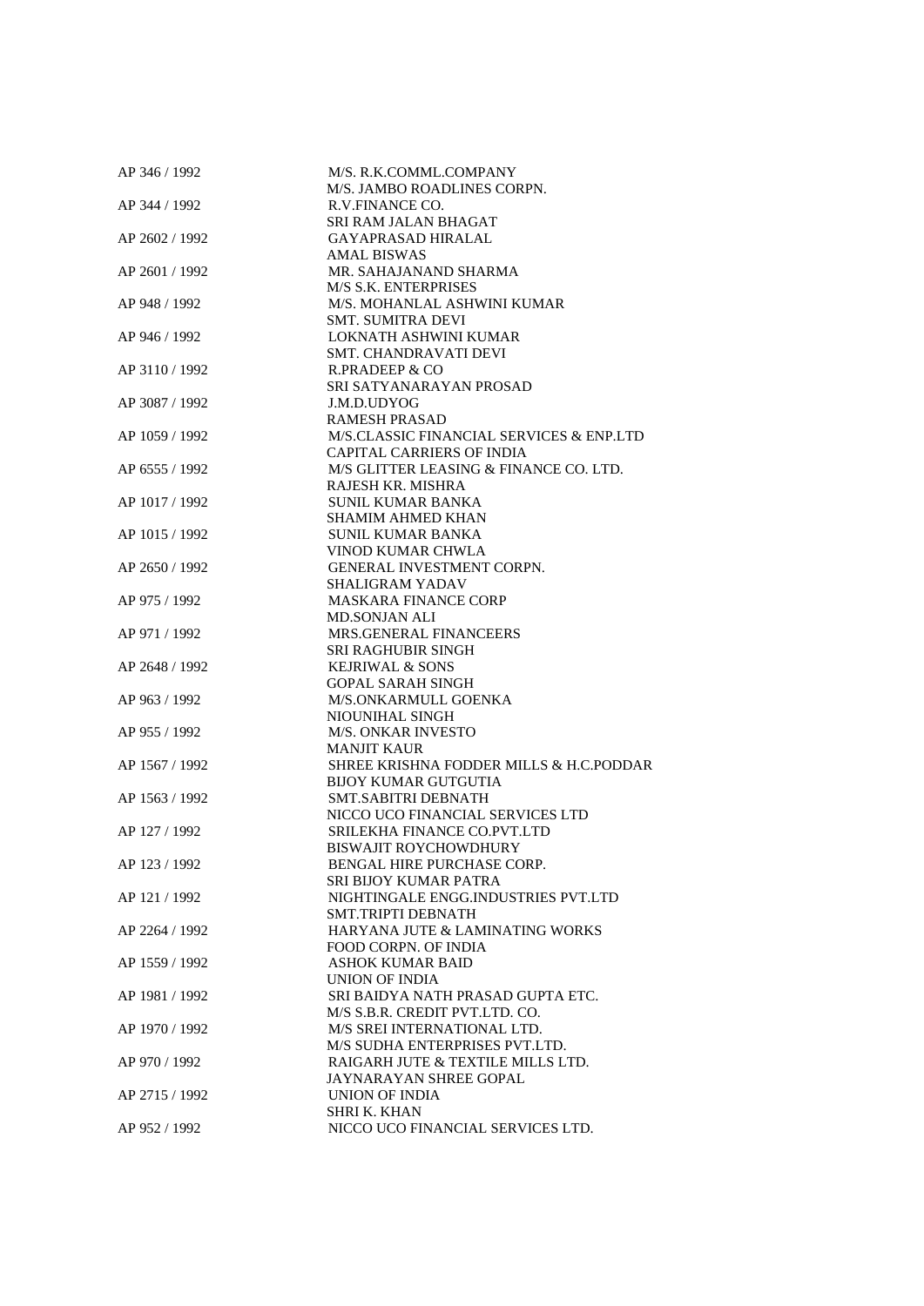| AP 346 / 1992  | M/S. R.K.COMML.COMPANY                              |
|----------------|-----------------------------------------------------|
|                | M/S. JAMBO ROADLINES CORPN.                         |
| AP 344 / 1992  | R.V.FINANCE CO.                                     |
|                | SRI RAM JALAN BHAGAT                                |
| AP 2602 / 1992 | <b>GAYAPRASAD HIRALAL</b>                           |
|                | <b>AMAL BISWAS</b>                                  |
| AP 2601 / 1992 | MR. SAHAJANAND SHARMA                               |
|                | <b>M/S S.K. ENTERPRISES</b>                         |
| AP 948 / 1992  | M/S. MOHANLAL ASHWINI KUMAR                         |
|                | SMT. SUMITRA DEVI                                   |
| AP 946 / 1992  | LOKNATH ASHWINI KUMAR                               |
|                | <b>SMT. CHANDRAVATI DEVI</b>                        |
| AP 3110 / 1992 | R.PRADEEP & CO                                      |
|                | SRI SATYANARAYAN PROSAD                             |
| AP 3087 / 1992 | J.M.D.UDYOG                                         |
|                |                                                     |
|                | <b>RAMESH PRASAD</b>                                |
| AP 1059 / 1992 | M/S.CLASSIC FINANCIAL SERVICES & ENP.LTD            |
|                | <b>CAPITAL CARRIERS OF INDIA</b>                    |
| AP 6555 / 1992 | M/S GLITTER LEASING & FINANCE CO. LTD.              |
|                | RAJESH KR. MISHRA                                   |
| AP 1017 / 1992 | <b>SUNIL KUMAR BANKA</b>                            |
|                | <b>SHAMIM AHMED KHAN</b>                            |
| AP 1015 / 1992 | SUNIL KUMAR BANKA                                   |
|                | VINOD KUMAR CHWLA                                   |
| AP 2650 / 1992 | GENERAL INVESTMENT CORPN.                           |
|                | <b>SHALIGRAM YADAV</b>                              |
| AP 975 / 1992  | <b>MASKARA FINANCE CORP</b>                         |
|                | <b>MD.SONJAN ALI</b>                                |
| AP 971 / 1992  | MRS.GENERAL FINANCEERS                              |
|                | <b>SRI RAGHUBIR SINGH</b>                           |
| AP 2648 / 1992 | <b>KEJRIWAL &amp; SONS</b>                          |
|                | <b>GOPAL SARAH SINGH</b>                            |
| AP 963 / 1992  | M/S.ONKARMULL GOENKA                                |
|                | NIOUNIHAL SINGH                                     |
| AP 955 / 1992  | <b>M/S. ONKAR INVESTO</b>                           |
|                | <b>MANJIT KAUR</b>                                  |
| AP 1567 / 1992 | SHREE KRISHNA FODDER MILLS & H.C.PODDAR             |
|                | <b>BIJOY KUMAR GUTGUTIA</b>                         |
| AP 1563 / 1992 | <b>SMT.SABITRI DEBNATH</b>                          |
|                | NICCO UCO FINANCIAL SERVICES LTD                    |
| AP 127 / 1992  | SRILEKHA FINANCE CO.PVT.LTD                         |
|                | <b>BISWAJIT ROYCHOWDHURY</b>                        |
| AP 123 / 1992  |                                                     |
|                | BENGAL HIRE PURCHASE CORP.<br>SRI BIJOY KUMAR PATRA |
|                |                                                     |
| AP 121 / 1992  | NIGHTINGALE ENGG.INDUSTRIES PVT.LTD                 |
|                | SMT.TRIPTI DEBNATH                                  |
| AP 2264 / 1992 | HARYANA JUTE & LAMINATING WORKS                     |
|                | <b>FOOD CORPN. OF INDIA</b>                         |
| AP 1559 / 1992 | ASHOK KUMAR BAID                                    |
|                | <b>UNION OF INDIA</b>                               |
| AP 1981 / 1992 | SRI BAIDYA NATH PRASAD GUPTA ETC.                   |
|                | M/S S.B.R. CREDIT PVT.LTD. CO.                      |
| AP 1970 / 1992 | M/S SREI INTERNATIONAL LTD.                         |
|                | M/S SUDHA ENTERPRISES PVT.LTD.                      |
| AP 970 / 1992  | RAIGARH JUTE & TEXTILE MILLS LTD.                   |
|                | JAYNARAYAN SHREE GOPAL                              |
| AP 2715 / 1992 | UNION OF INDIA                                      |
|                | SHRI K. KHAN                                        |
| AP 952 / 1992  | NICCO UCO FINANCIAL SERVICES LTD.                   |
|                |                                                     |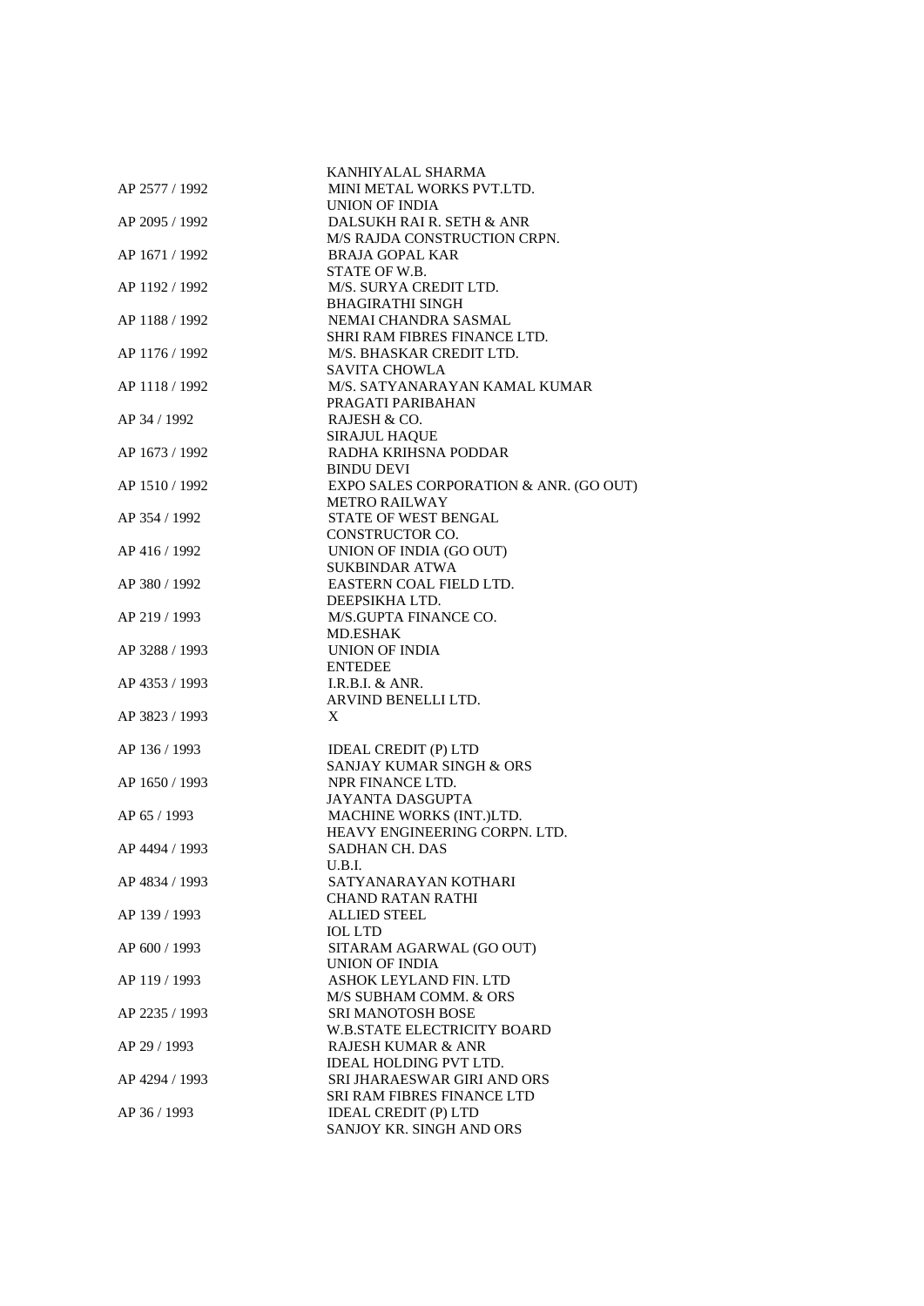| AP 2577 / 1992 | KANHIYALAL SHARMA<br>MINI METAL WORKS PVT.LTD. |
|----------------|------------------------------------------------|
|                | <b>UNION OF INDIA</b>                          |
| AP 2095 / 1992 | DALSUKH RAI R. SETH & ANR                      |
|                | M/S RAJDA CONSTRUCTION CRPN.                   |
| AP 1671 / 1992 | <b>BRAJA GOPAL KAR</b>                         |
|                | STATE OF W.B.                                  |
| AP 1192 / 1992 | M/S. SURYA CREDIT LTD.                         |
|                | <b>BHAGIRATHI SINGH</b>                        |
| AP 1188 / 1992 | NEMAI CHANDRA SASMAL                           |
|                | SHRI RAM FIBRES FINANCE LTD.                   |
| AP 1176 / 1992 | M/S. BHASKAR CREDIT LTD.                       |
|                | <b>SAVITA CHOWLA</b>                           |
| AP 1118 / 1992 | M/S. SATYANARAYAN KAMAL KUMAR                  |
|                | PRAGATI PARIBAHAN                              |
| AP 34 / 1992   | RAJESH & CO.<br><b>SIRAJUL HAQUE</b>           |
| AP 1673 / 1992 | RADHA KRIHSNA PODDAR                           |
|                | <b>BINDU DEVI</b>                              |
| AP 1510 / 1992 | EXPO SALES CORPORATION & ANR. (GO OUT)         |
|                | <b>METRO RAILWAY</b>                           |
| AP 354 / 1992  | <b>STATE OF WEST BENGAL</b>                    |
|                | <b>CONSTRUCTOR CO.</b>                         |
| AP 416 / 1992  | UNION OF INDIA (GO OUT)                        |
|                | <b>SUKBINDAR ATWA</b>                          |
| AP 380 / 1992  | EASTERN COAL FIELD LTD.                        |
|                | DEEPSIKHA LTD.                                 |
| AP 219 / 1993  | M/S.GUPTA FINANCE CO.                          |
|                | MD.ESHAK                                       |
| AP 3288 / 1993 | <b>UNION OF INDIA</b>                          |
|                | <b>ENTEDEE</b>                                 |
| AP 4353 / 1993 | I.R.B.I. & ANR.<br>ARVIND BENELLI LTD.         |
| AP 3823 / 1993 | X                                              |
|                |                                                |
| AP 136 / 1993  | <b>IDEAL CREDIT (P) LTD</b>                    |
|                | SANJAY KUMAR SINGH & ORS                       |
| AP 1650 / 1993 | NPR FINANCE LTD.                               |
|                | <b>JAYANTA DASGUPTA</b>                        |
| AP 65 / 1993   | <b>MACHINE WORKS (INT.)LTD.</b>                |
|                | HEAVY ENGINEERING CORPN. LTD.                  |
| AP 4494 / 1993 | SADHAN CH. DAS                                 |
|                | U.B.I.                                         |
| AP 4834 / 1993 | SATYANARAYAN KOTHARI                           |
|                | <b>CHAND RATAN RATHI</b>                       |
| AP 139 / 1993  | <b>ALLIED STEEL</b>                            |
|                | <b>IOL LTD</b>                                 |
| AP 600 / 1993  | SITARAM AGARWAL (GO OUT)<br>UNION OF INDIA     |
| AP 119 / 1993  | ASHOK LEYLAND FIN. LTD                         |
|                | M/S SUBHAM COMM. & ORS                         |
| AP 2235 / 1993 | <b>SRI MANOTOSH BOSE</b>                       |
|                | <b>W.B.STATE ELECTRICITY BOARD</b>             |
| AP 29 / 1993   | RAJESH KUMAR & ANR                             |
|                | IDEAL HOLDING PVT LTD.                         |
| AP 4294 / 1993 | SRI JHARAESWAR GIRI AND ORS                    |
|                | <b>SRI RAM FIBRES FINANCE LTD</b>              |
| AP 36 / 1993   | <b>IDEAL CREDIT (P) LTD</b>                    |
|                | SANJOY KR. SINGH AND ORS                       |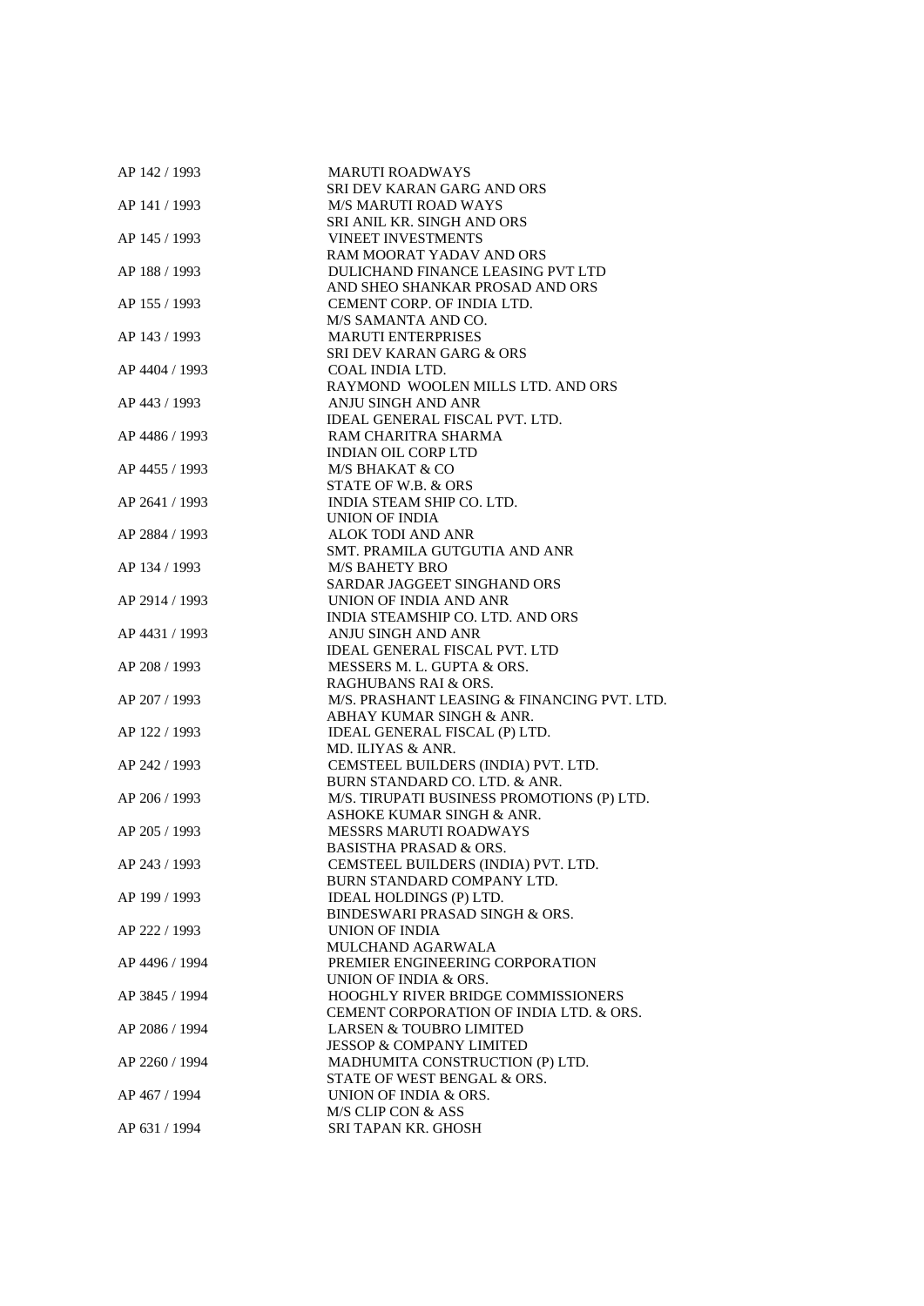| AP 142 / 1993  | <b>MARUTI ROADWAYS</b>                                            |
|----------------|-------------------------------------------------------------------|
|                | SRI DEV KARAN GARG AND ORS                                        |
| AP 141 / 1993  | <b>M/S MARUTI ROAD WAYS</b>                                       |
|                | SRI ANIL KR. SINGH AND ORS                                        |
| AP 145 / 1993  | <b>VINEET INVESTMENTS</b>                                         |
|                | <b>RAM MOORAT YADAV AND ORS</b>                                   |
| AP 188 / 1993  | DULICHAND FINANCE LEASING PVT LTD                                 |
|                | AND SHEO SHANKAR PROSAD AND ORS                                   |
| AP 155 / 1993  | CEMENT CORP. OF INDIA LTD.                                        |
|                | M/S SAMANTA AND CO.                                               |
| AP 143 / 1993  | <b>MARUTI ENTERPRISES</b>                                         |
|                | <b>SRI DEV KARAN GARG &amp; ORS</b>                               |
| AP 4404 / 1993 | COAL INDIA LTD.                                                   |
|                | RAYMOND WOOLEN MILLS LTD. AND ORS                                 |
| AP 443 / 1993  | ANJU SINGH AND ANR                                                |
|                | IDEAL GENERAL FISCAL PVT. LTD.                                    |
|                |                                                                   |
| AP 4486 / 1993 | RAM CHARITRA SHARMA                                               |
|                | <b>INDIAN OIL CORP LTD</b>                                        |
| AP 4455 / 1993 | M/S BHAKAT & CO                                                   |
|                | STATE OF W.B. & ORS                                               |
| AP 2641 / 1993 | INDIA STEAM SHIP CO. LTD.                                         |
|                | UNION OF INDIA                                                    |
| AP 2884 / 1993 | ALOK TODI AND ANR                                                 |
|                | SMT. PRAMILA GUTGUTIA AND ANR                                     |
| AP 134 / 1993  | <b>M/S BAHETY BRO</b>                                             |
|                | SARDAR JAGGEET SINGHAND ORS                                       |
| AP 2914 / 1993 | UNION OF INDIA AND ANR                                            |
|                | INDIA STEAMSHIP CO. LTD. AND ORS                                  |
| AP 4431 / 1993 | ANJU SINGH AND ANR                                                |
|                | <b>IDEAL GENERAL FISCAL PVT. LTD</b>                              |
| AP 208 / 1993  | MESSERS M. L. GUPTA & ORS.                                        |
|                | RAGHUBANS RAI & ORS.                                              |
| AP 207 / 1993  | M/S. PRASHANT LEASING & FINANCING PVT. LTD.                       |
|                | ABHAY KUMAR SINGH & ANR.                                          |
| AP 122 / 1993  | IDEAL GENERAL FISCAL (P) LTD.                                     |
|                | MD. ILIYAS & ANR.                                                 |
| AP 242 / 1993  | CEMSTEEL BUILDERS (INDIA) PVT. LTD.                               |
|                | BURN STANDARD CO. LTD. & ANR.                                     |
| AP 206 / 1993  | M/S. TIRUPATI BUSINESS PROMOTIONS (P) LTD.                        |
|                | ASHOKE KUMAR SINGH & ANR.                                         |
| AP 205 / 1993  | <b>MESSRS MARUTI ROADWAYS</b>                                     |
|                | <b>BASISTHA PRASAD &amp; ORS.</b>                                 |
| AP 243 / 1993  |                                                                   |
|                | CEMSTEEL BUILDERS (INDIA) PVT. LTD.<br>BURN STANDARD COMPANY LTD. |
|                |                                                                   |
| AP 199 / 1993  | IDEAL HOLDINGS (P) LTD.                                           |
|                | BINDESWARI PRASAD SINGH & ORS.                                    |
| AP 222 / 1993  | UNION OF INDIA                                                    |
|                | <b>MULCHAND AGARWALA</b>                                          |
| AP 4496 / 1994 | PREMIER ENGINEERING CORPORATION                                   |
|                | UNION OF INDIA & ORS.                                             |
| AP 3845 / 1994 | <b>HOOGHLY RIVER BRIDGE COMMISSIONERS</b>                         |
|                | CEMENT CORPORATION OF INDIA LTD. & ORS.                           |
| AP 2086 / 1994 | <b>LARSEN &amp; TOUBRO LIMITED</b>                                |
|                | <b>JESSOP &amp; COMPANY LIMITED</b>                               |
| AP 2260 / 1994 | MADHUMITA CONSTRUCTION (P) LTD.                                   |
|                | STATE OF WEST BENGAL & ORS.                                       |
| AP 467 / 1994  | UNION OF INDIA & ORS.                                             |
|                | M/S CLIP CON & ASS                                                |
| AP 631 / 1994  | SRI TAPAN KR. GHOSH                                               |
|                |                                                                   |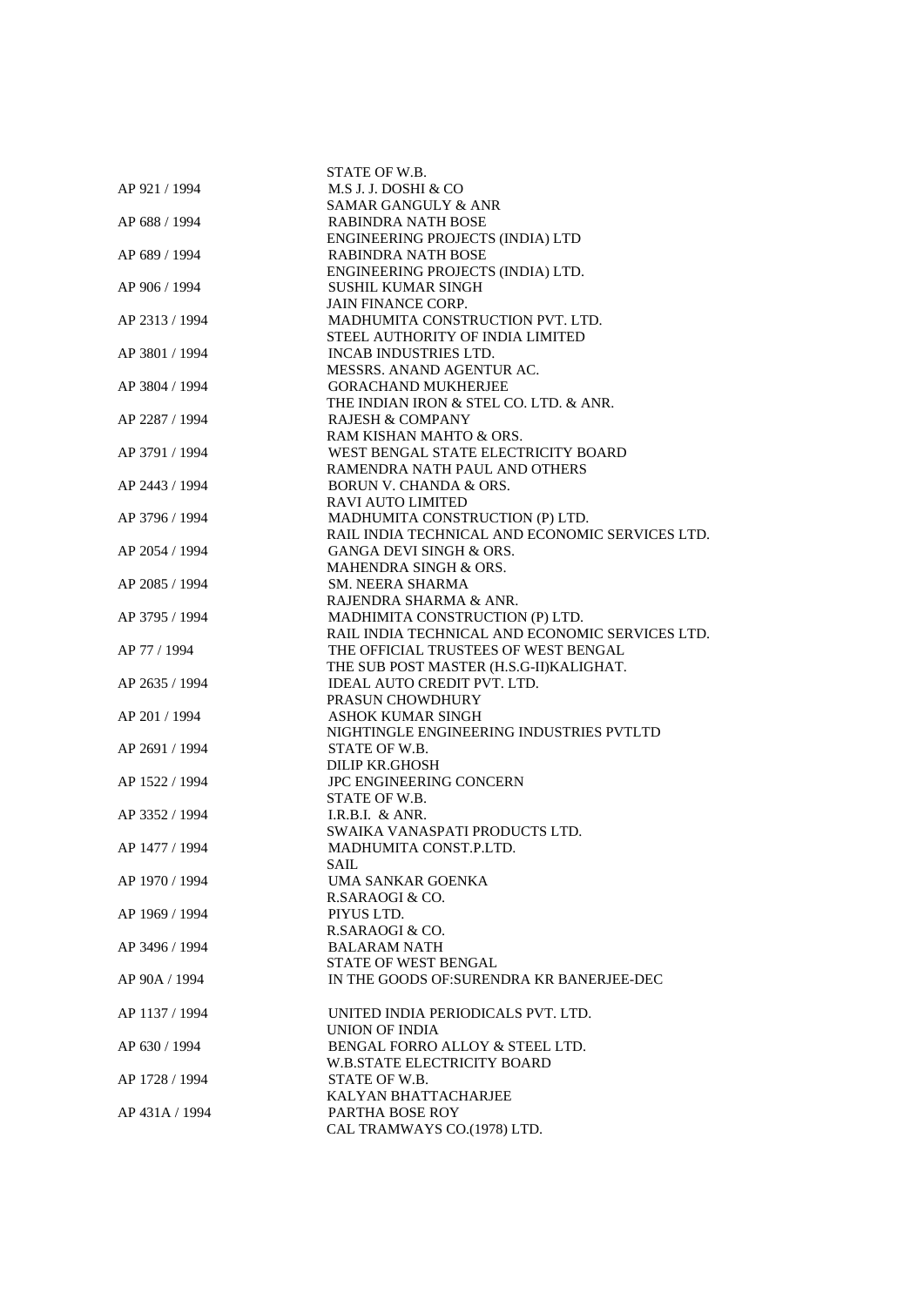|                | STATE OF W.B.                                                  |
|----------------|----------------------------------------------------------------|
| AP 921 / 1994  | M.S J. J. DOSHI & CO                                           |
|                | <b>SAMAR GANGULY &amp; ANR</b>                                 |
| AP 688 / 1994  | <b>RABINDRA NATH BOSE</b>                                      |
|                | ENGINEERING PROJECTS (INDIA) LTD                               |
| AP 689 / 1994  | <b>RABINDRA NATH BOSE</b>                                      |
|                |                                                                |
|                | ENGINEERING PROJECTS (INDIA) LTD.<br><b>SUSHIL KUMAR SINGH</b> |
| AP 906 / 1994  |                                                                |
|                | <b>JAIN FINANCE CORP.</b>                                      |
| AP 2313 / 1994 | MADHUMITA CONSTRUCTION PVT. LTD.                               |
|                | STEEL AUTHORITY OF INDIA LIMITED                               |
| AP 3801 / 1994 | <b>INCAB INDUSTRIES LTD.</b>                                   |
|                | MESSRS. ANAND AGENTUR AC.                                      |
| AP 3804 / 1994 | <b>GORACHAND MUKHERJEE</b>                                     |
|                | THE INDIAN IRON & STEL CO. LTD. & ANR.                         |
| AP 2287 / 1994 | <b>RAJESH &amp; COMPANY</b>                                    |
|                | RAM KISHAN MAHTO & ORS.                                        |
| AP 3791 / 1994 | WEST BENGAL STATE ELECTRICITY BOARD                            |
|                | RAMENDRA NATH PAUL AND OTHERS                                  |
| AP 2443 / 1994 | <b>BORUN V. CHANDA &amp; ORS.</b>                              |
|                | <b>RAVI AUTO LIMITED</b>                                       |
| AP 3796 / 1994 | MADHUMITA CONSTRUCTION (P) LTD.                                |
|                | RAIL INDIA TECHNICAL AND ECONOMIC SERVICES LTD.                |
| AP 2054 / 1994 | <b>GANGA DEVI SINGH &amp; ORS.</b>                             |
|                | <b>MAHENDRA SINGH &amp; ORS.</b>                               |
| AP 2085 / 1994 | <b>SM. NEERA SHARMA</b>                                        |
|                | RAJENDRA SHARMA & ANR.                                         |
| AP 3795 / 1994 | MADHIMITA CONSTRUCTION (P) LTD.                                |
|                | RAIL INDIA TECHNICAL AND ECONOMIC SERVICES LTD.                |
| AP 77 / 1994   | THE OFFICIAL TRUSTEES OF WEST BENGAL                           |
|                | THE SUB POST MASTER (H.S.G-II)KALIGHAT.                        |
| AP 2635 / 1994 | IDEAL AUTO CREDIT PVT. LTD.                                    |
|                | PRASUN CHOWDHURY                                               |
| AP 201 / 1994  | <b>ASHOK KUMAR SINGH</b>                                       |
|                | NIGHTINGLE ENGINEERING INDUSTRIES PVTLTD                       |
| AP 2691 / 1994 | STATE OF W.B.                                                  |
|                | <b>DILIP KR.GHOSH</b>                                          |
| AP 1522 / 1994 | JPC ENGINEERING CONCERN                                        |
|                | STATE OF W.B.                                                  |
| AP 3352 / 1994 | I.R.B.I. $&$ ANR.                                              |
|                | SWAIKA VANASPATI PRODUCTS LTD.                                 |
| AP 1477 / 1994 | MADHUMITA CONST.P.LTD.                                         |
|                | SAIL                                                           |
| AP 1970 / 1994 | UMA SANKAR GOENKA                                              |
|                | R.SARAOGI & CO.                                                |
| AP 1969 / 1994 | PIYUS LTD.                                                     |
|                | R.SARAOGI & CO.                                                |
| AP 3496 / 1994 | <b>BALARAM NATH</b>                                            |
|                | STATE OF WEST BENGAL                                           |
| AP 90A / 1994  | IN THE GOODS OF: SURENDRA KR BANERJEE-DEC                      |
|                |                                                                |
| AP 1137 / 1994 | UNITED INDIA PERIODICALS PVT. LTD.                             |
|                | UNION OF INDIA                                                 |
| AP 630 / 1994  | BENGAL FORRO ALLOY & STEEL LTD.                                |
|                | <b>W.B.STATE ELECTRICITY BOARD</b>                             |
| AP 1728 / 1994 | STATE OF W.B.                                                  |
|                | KALYAN BHATTACHARJEE                                           |
| AP 431A / 1994 | PARTHA BOSE ROY                                                |
|                | CAL TRAMWAYS CO.(1978) LTD.                                    |
|                |                                                                |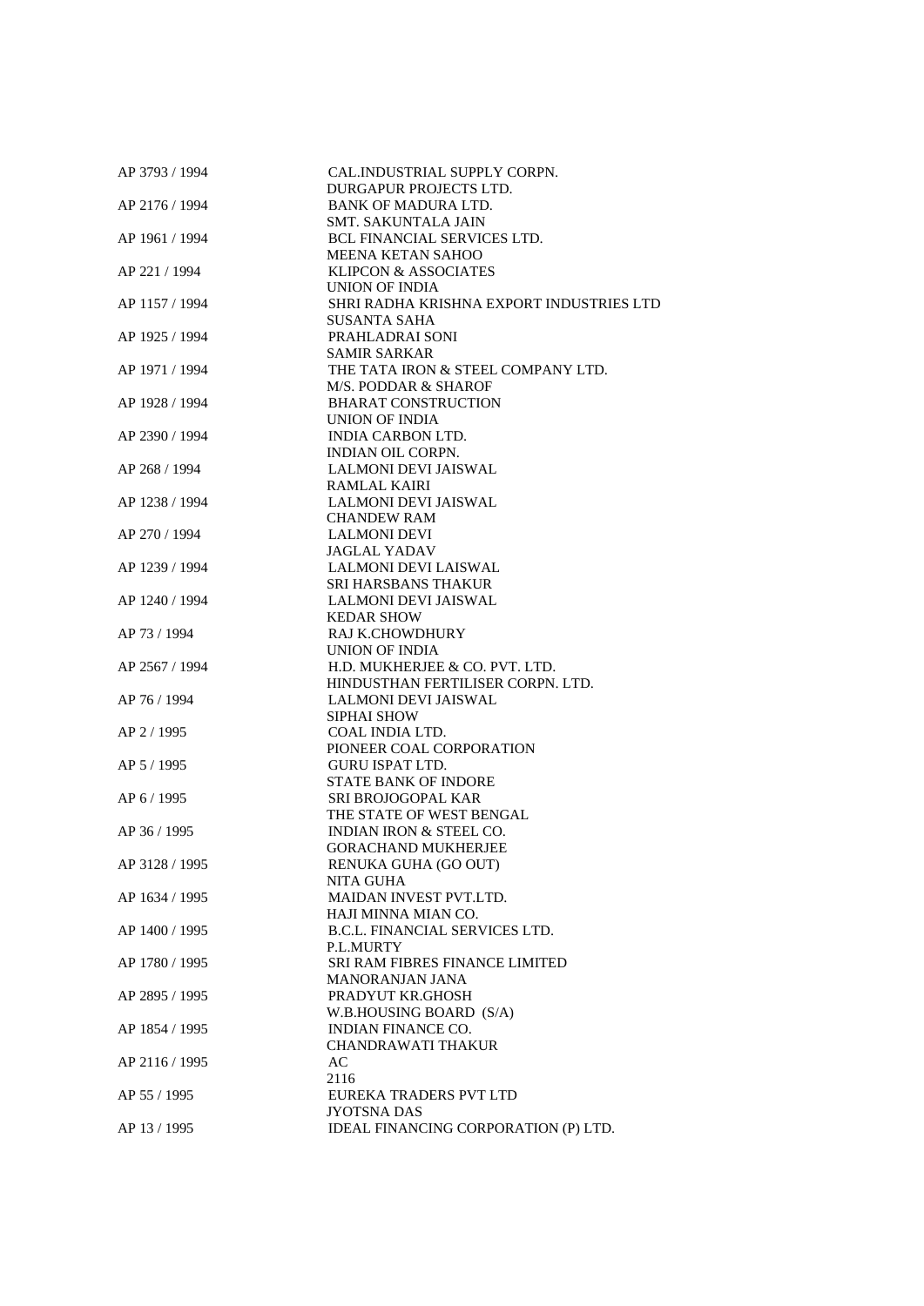| AP 3793 / 1994 | CAL.INDUSTRIAL SUPPLY CORPN.             |
|----------------|------------------------------------------|
|                | DURGAPUR PROJECTS LTD.                   |
| AP 2176 / 1994 | <b>BANK OF MADURA LTD.</b>               |
|                | <b>SMT. SAKUNTALA JAIN</b>               |
| AP 1961 / 1994 | BCL FINANCIAL SERVICES LTD.              |
|                | MEENA KETAN SAHOO                        |
| AP 221 / 1994  | <b>KLIPCON &amp; ASSOCIATES</b>          |
|                | UNION OF INDIA                           |
| AP 1157 / 1994 | SHRI RADHA KRISHNA EXPORT INDUSTRIES LTD |
|                | <b>SUSANTA SAHA</b>                      |
| AP 1925 / 1994 | PRAHLADRAI SONI                          |
|                | <b>SAMIR SARKAR</b>                      |
| AP 1971 / 1994 | THE TATA IRON & STEEL COMPANY LTD.       |
|                |                                          |
|                | M/S. PODDAR & SHAROF                     |
| AP 1928 / 1994 | <b>BHARAT CONSTRUCTION</b>               |
|                | UNION OF INDIA                           |
| AP 2390 / 1994 | <b>INDIA CARBON LTD.</b>                 |
|                | <b>INDIAN OIL CORPN.</b>                 |
| AP 268 / 1994  | LALMONI DEVI JAISWAL                     |
|                | <b>RAMLAL KAIRI</b>                      |
| AP 1238 / 1994 | LALMONI DEVI JAISWAL                     |
|                | <b>CHANDEW RAM</b>                       |
| AP 270 / 1994  | <b>LALMONI DEVI</b>                      |
|                | <b>JAGLAL YADAV</b>                      |
| AP 1239 / 1994 | LALMONI DEVI LAISWAL                     |
|                | SRI HARSBANS THAKUR                      |
| AP 1240 / 1994 | LALMONI DEVI JAISWAL                     |
|                | <b>KEDAR SHOW</b>                        |
| AP 73 / 1994   | RAJ K.CHOWDHURY                          |
|                | UNION OF INDIA                           |
| AP 2567 / 1994 | H.D. MUKHERJEE & CO. PVT. LTD.           |
|                | HINDUSTHAN FERTILISER CORPN. LTD.        |
|                |                                          |
| AP 76 / 1994   | LALMONI DEVI JAISWAL                     |
|                | <b>SIPHAI SHOW</b>                       |
| AP 2/1995      | COAL INDIA LTD.                          |
|                | PIONEER COAL CORPORATION                 |
| AP 5/1995      | <b>GURU ISPAT LTD.</b>                   |
|                | <b>STATE BANK OF INDORE</b>              |
| AP 6/1995      | <b>SRI BROJOGOPAL KAR</b>                |
|                | THE STATE OF WEST BENGAL                 |
| AP 36 / 1995   | <b>INDIAN IRON &amp; STEEL CO.</b>       |
|                | <b>GORACHAND MUKHERJEE</b>               |
| AP 3128 / 1995 | RENUKA GUHA (GO OUT)                     |
|                | <b>NITA GUHA</b>                         |
| AP 1634 / 1995 | MAIDAN INVEST PVT.LTD.                   |
|                | HAJI MINNA MIAN CO.                      |
| AP 1400 / 1995 | B.C.L. FINANCIAL SERVICES LTD.           |
|                | P.L.MURTY                                |
| AP 1780 / 1995 | <b>SRI RAM FIBRES FINANCE LIMITED</b>    |
|                | <b>MANORANJAN JANA</b>                   |
| AP 2895 / 1995 | PRADYUT KR.GHOSH                         |
|                | W.B.HOUSING BOARD (S/A)                  |
|                |                                          |
| AP 1854 / 1995 | <b>INDIAN FINANCE CO.</b>                |
|                | <b>CHANDRAWATI THAKUR</b>                |
| AP 2116 / 1995 | AC                                       |
|                | 2116                                     |
| AP 55 / 1995   | EUREKA TRADERS PVT LTD                   |
|                | <b>JYOTSNA DAS</b>                       |
| AP 13 / 1995   | IDEAL FINANCING CORPORATION (P) LTD.     |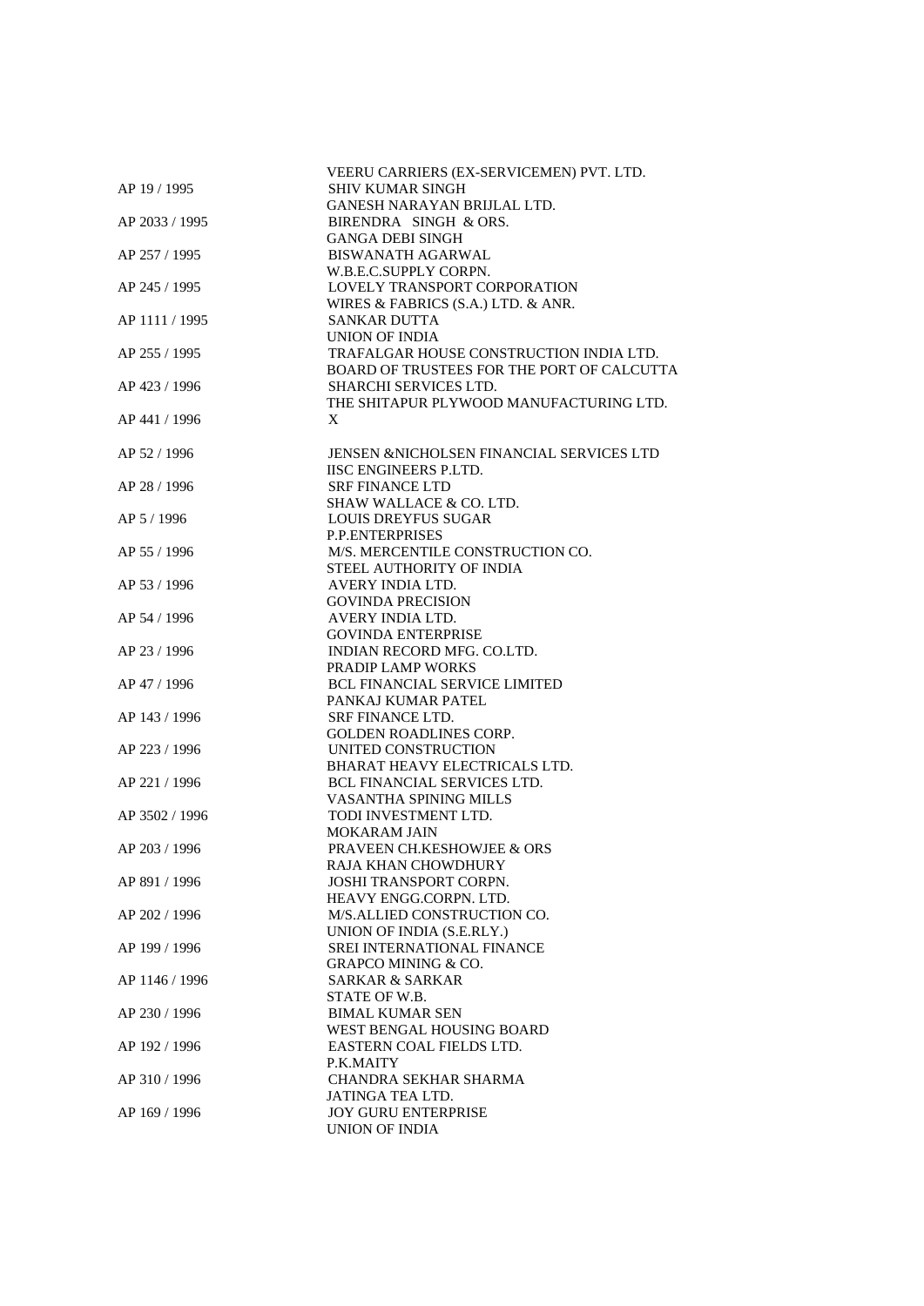|                | VEERU CARRIERS (EX-SERVICEMEN) PVT. LTD.   |
|----------------|--------------------------------------------|
| AP 19 / 1995   | <b>SHIV KUMAR SINGH</b>                    |
|                | GANESH NARAYAN BRIJLAL LTD.                |
| AP 2033 / 1995 | BIRENDRA SINGH & ORS.                      |
|                | <b>GANGA DEBI SINGH</b>                    |
| AP 257 / 1995  | <b>BISWANATH AGARWAL</b>                   |
|                | W.B.E.C.SUPPLY CORPN.                      |
|                |                                            |
| AP 245 / 1995  | LOVELY TRANSPORT CORPORATION               |
|                | WIRES & FABRICS (S.A.) LTD. & ANR.         |
| AP 1111 / 1995 | <b>SANKAR DUTTA</b>                        |
|                | UNION OF INDIA                             |
| AP 255 / 1995  | TRAFALGAR HOUSE CONSTRUCTION INDIA LTD.    |
|                | BOARD OF TRUSTEES FOR THE PORT OF CALCUTTA |
| AP 423 / 1996  | <b>SHARCHI SERVICES LTD.</b>               |
|                | THE SHITAPUR PLYWOOD MANUFACTURING LTD.    |
| AP 441 / 1996  | X                                          |
|                |                                            |
| AP 52 / 1996   | JENSEN & NICHOLSEN FINANCIAL SERVICES LTD  |
|                | <b>IISC ENGINEERS P.LTD.</b>               |
|                |                                            |
| AP 28 / 1996   | <b>SRF FINANCE LTD</b>                     |
|                | SHAW WALLACE & CO. LTD.                    |
| AP 5 / 1996    | <b>LOUIS DREYFUS SUGAR</b>                 |
|                | P.P.ENTERPRISES                            |
| AP 55 / 1996   | M/S. MERCENTILE CONSTRUCTION CO.           |
|                | STEEL AUTHORITY OF INDIA                   |
| AP 53 / 1996   | AVERY INDIA LTD.                           |
|                | <b>GOVINDA PRECISION</b>                   |
| AP 54 / 1996   | AVERY INDIA LTD.                           |
|                | <b>GOVINDA ENTERPRISE</b>                  |
| AP 23 / 1996   | INDIAN RECORD MFG. CO.LTD.                 |
|                |                                            |
|                | PRADIP LAMP WORKS                          |
| AP 47 / 1996   | <b>BCL FINANCIAL SERVICE LIMITED</b>       |
|                | PANKAJ KUMAR PATEL                         |
| AP 143 / 1996  | <b>SRF FINANCE LTD.</b>                    |
|                | <b>GOLDEN ROADLINES CORP.</b>              |
| AP 223 / 1996  | UNITED CONSTRUCTION                        |
|                | BHARAT HEAVY ELECTRICALS LTD.              |
| AP 221 / 1996  | <b>BCL FINANCIAL SERVICES LTD.</b>         |
|                | VASANTHA SPINING MILLS                     |
| AP 3502 / 1996 | TODI INVESTMENT LTD.                       |
|                | <b>MOKARAM JAIN</b>                        |
| AP 203 / 1996  | <b>PRAVEEN CH.KESHOWJEE &amp; ORS</b>      |
|                |                                            |
|                | RAJA KHAN CHOWDHURY                        |
| AP 891 / 1996  | <b>JOSHI TRANSPORT CORPN.</b>              |
|                | HEAVY ENGG.CORPN. LTD.                     |
| AP 202 / 1996  | M/S.ALLIED CONSTRUCTION CO.                |
|                | UNION OF INDIA (S.E.RLY.)                  |
| AP 199 / 1996  | SREI INTERNATIONAL FINANCE                 |
|                | <b>GRAPCO MINING &amp; CO.</b>             |
| AP 1146 / 1996 | <b>SARKAR &amp; SARKAR</b>                 |
|                | STATE OF W.B.                              |
| AP 230 / 1996  | <b>BIMAL KUMAR SEN</b>                     |
|                | WEST BENGAL HOUSING BOARD                  |
| AP 192 / 1996  | EASTERN COAL FIELDS LTD.                   |
|                |                                            |
|                | P.K.MAITY                                  |
| AP 310 / 1996  | CHANDRA SEKHAR SHARMA                      |
|                | JATINGA TEA LTD.                           |
| AP 169 / 1996  | <b>JOY GURU ENTERPRISE</b>                 |
|                | <b>UNION OF INDIA</b>                      |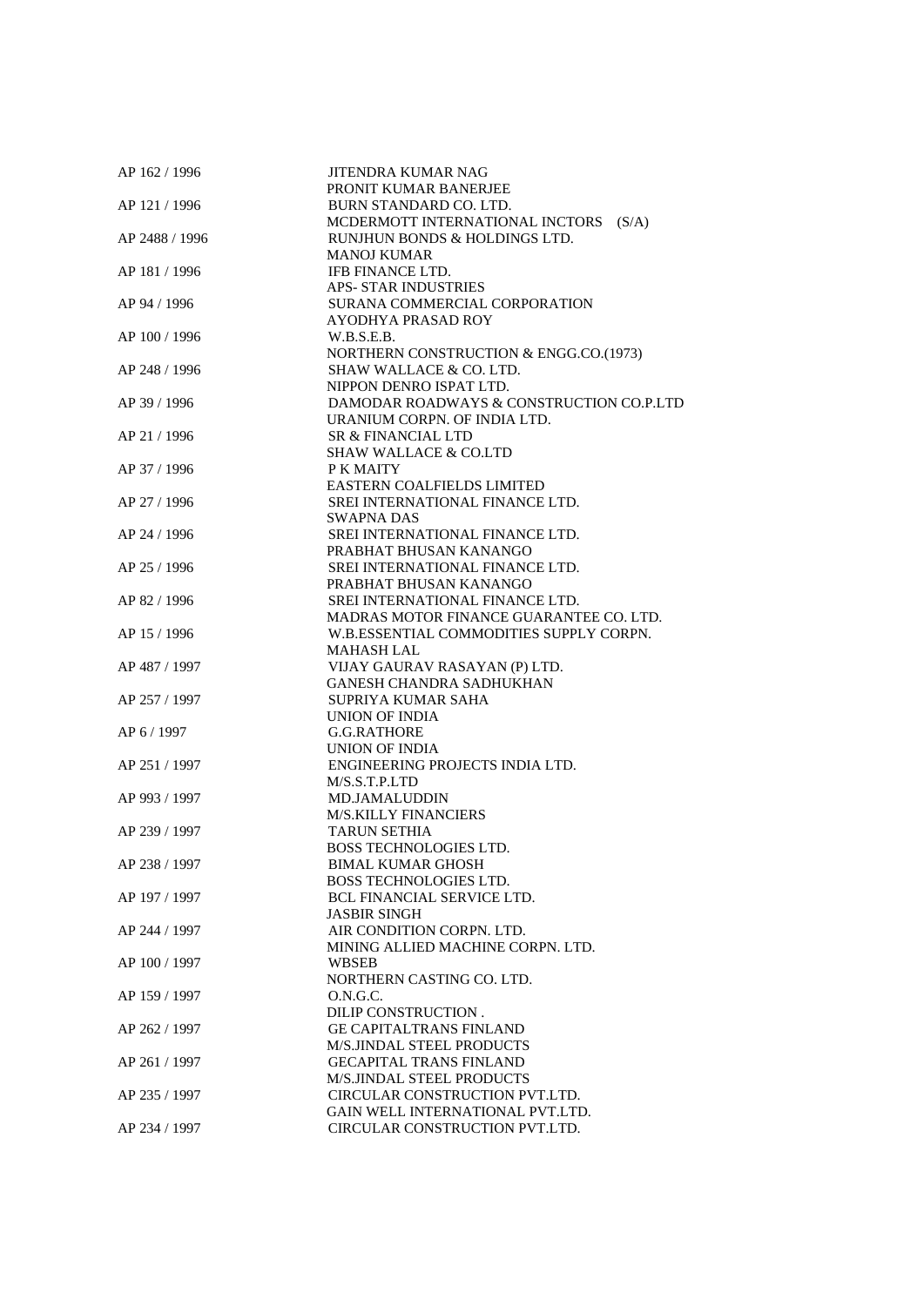| AP 162 / 1996  | <b>JITENDRA KUMAR NAG</b>                |
|----------------|------------------------------------------|
|                | PRONIT KUMAR BANERJEE                    |
| AP 121 / 1996  | BURN STANDARD CO. LTD.                   |
|                | MCDERMOTT INTERNATIONAL INCTORS<br>(S/A) |
| AP 2488 / 1996 | RUNJHUN BONDS & HOLDINGS LTD.            |
|                | <b>MANOJ KUMAR</b>                       |
| AP 181 / 1996  | <b>IFB FINANCE LTD.</b>                  |
|                | <b>APS- STAR INDUSTRIES</b>              |
| AP 94 / 1996   | SURANA COMMERCIAL CORPORATION            |
|                | AYODHYA PRASAD ROY                       |
| AP 100 / 1996  | W.B.S.E.B.                               |
|                |                                          |
|                | NORTHERN CONSTRUCTION & ENGG.CO.(1973)   |
| AP 248 / 1996  | SHAW WALLACE & CO. LTD.                  |
|                | NIPPON DENRO ISPAT LTD.                  |
| AP 39 / 1996   | DAMODAR ROADWAYS & CONSTRUCTION CO.P.LTD |
|                | URANIUM CORPN. OF INDIA LTD.             |
| AP 21 / 1996   | SR & FINANCIAL LTD                       |
|                | <b>SHAW WALLACE &amp; CO.LTD</b>         |
| AP 37 / 1996   | P K MAITY                                |
|                | <b>EASTERN COALFIELDS LIMITED</b>        |
| AP 27 / 1996   | SREI INTERNATIONAL FINANCE LTD.          |
|                | SWAPNA DAS                               |
| AP 24 / 1996   | SREI INTERNATIONAL FINANCE LTD.          |
|                | PRABHAT BHUSAN KANANGO                   |
|                |                                          |
| AP 25 / 1996   | SREI INTERNATIONAL FINANCE LTD.          |
|                | PRABHAT BHUSAN KANANGO                   |
| AP 82 / 1996   | SREI INTERNATIONAL FINANCE LTD.          |
|                | MADRAS MOTOR FINANCE GUARANTEE CO. LTD.  |
| AP 15 / 1996   | W.B.ESSENTIAL COMMODITIES SUPPLY CORPN.  |
|                | <b>MAHASH LAL</b>                        |
| AP 487 / 1997  | VIJAY GAURAV RASAYAN (P) LTD.            |
|                | <b>GANESH CHANDRA SADHUKHAN</b>          |
| AP 257 / 1997  | SUPRIYA KUMAR SAHA                       |
|                | UNION OF INDIA                           |
| AP 6 / 1997    | <b>G.G.RATHORE</b>                       |
|                | UNION OF INDIA                           |
| AP 251 / 1997  | ENGINEERING PROJECTS INDIA LTD.          |
|                | M/S.S.T.P.LTD                            |
| AP 993 / 1997  | <b>MD.JAMALUDDIN</b>                     |
|                | <b>M/S.KILLY FINANCIERS</b>              |
| AP 239 / 1997  | <b>TARUN SETHIA</b>                      |
|                |                                          |
|                | <b>BOSS TECHNOLOGIES LTD.</b>            |
| AP 238 / 1997  | <b>BIMAL KUMAR GHOSH</b>                 |
|                | <b>BOSS TECHNOLOGIES LTD.</b>            |
| AP 197 / 1997  | <b>BCL FINANCIAL SERVICE LTD.</b>        |
|                | <b>JASBIR SINGH</b>                      |
| AP 244 / 1997  | AIR CONDITION CORPN. LTD.                |
|                | MINING ALLIED MACHINE CORPN. LTD.        |
| AP 100 / 1997  | WBSEB                                    |
|                | NORTHERN CASTING CO. LTD.                |
| AP 159 / 1997  | O.N.G.C.                                 |
|                | DILIP CONSTRUCTION.                      |
| AP 262 / 1997  | <b>GE CAPITALTRANS FINLAND</b>           |
|                | M/S.JINDAL STEEL PRODUCTS                |
| AP 261 / 1997  | <b>GECAPITAL TRANS FINLAND</b>           |
|                | M/S.JINDAL STEEL PRODUCTS                |
|                |                                          |
| AP 235 / 1997  | CIRCULAR CONSTRUCTION PVT.LTD.           |
|                | GAIN WELL INTERNATIONAL PVT.LTD.         |
| AP 234 / 1997  | CIRCULAR CONSTRUCTION PVT.LTD.           |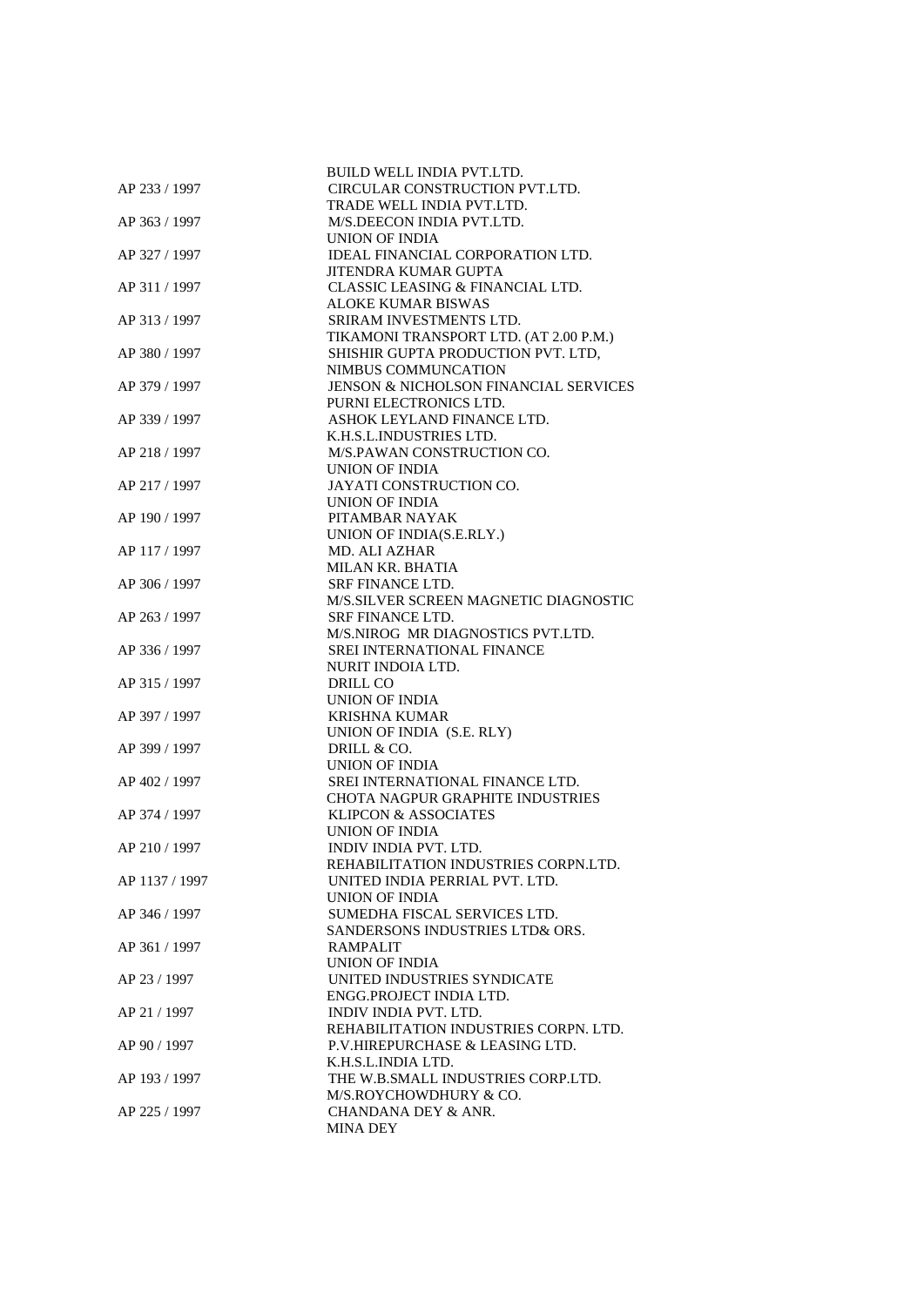|                | <b>BUILD WELL INDIA PVT.LTD.</b><br>CIRCULAR CONSTRUCTION PVT.LTD. |
|----------------|--------------------------------------------------------------------|
| AP 233 / 1997  | TRADE WELL INDIA PVT.LTD.                                          |
| AP 363 / 1997  | M/S.DEECON INDIA PVT.LTD.                                          |
|                | UNION OF INDIA                                                     |
| AP 327 / 1997  | IDEAL FINANCIAL CORPORATION LTD.                                   |
|                | JITENDRA KUMAR GUPTA                                               |
| AP 311 / 1997  | CLASSIC LEASING & FINANCIAL LTD.                                   |
|                | <b>ALOKE KUMAR BISWAS</b>                                          |
| AP 313 / 1997  | SRIRAM INVESTMENTS LTD.                                            |
|                | TIKAMONI TRANSPORT LTD. (AT 2.00 P.M.)                             |
| AP 380 / 1997  | SHISHIR GUPTA PRODUCTION PVT. LTD,                                 |
|                | NIMBUS COMMUNCATION                                                |
| AP 379 / 1997  | JENSON & NICHOLSON FINANCIAL SERVICES                              |
|                | PURNI ELECTRONICS LTD.                                             |
| AP 339 / 1997  | ASHOK LEYLAND FINANCE LTD.                                         |
|                | K.H.S.L.INDUSTRIES LTD.                                            |
| AP 218 / 1997  | M/S.PAWAN CONSTRUCTION CO.<br>UNION OF INDIA                       |
| AP 217 / 1997  | JAYATI CONSTRUCTION CO.                                            |
|                | UNION OF INDIA                                                     |
| AP 190 / 1997  | PITAMBAR NAYAK                                                     |
|                | UNION OF INDIA(S.E.RLY.)                                           |
| AP 117 / 1997  | <b>MD. ALI AZHAR</b>                                               |
|                | MILAN KR. BHATIA                                                   |
| AP 306 / 1997  | <b>SRF FINANCE LTD.</b>                                            |
|                | M/S.SILVER SCREEN MAGNETIC DIAGNOSTIC                              |
| AP 263 / 1997  | SRF FINANCE LTD.                                                   |
|                | M/S.NIROG MR DIAGNOSTICS PVT.LTD.                                  |
| AP 336 / 1997  | SREI INTERNATIONAL FINANCE                                         |
|                | NURIT INDOIA LTD.                                                  |
| AP 315 / 1997  | DRILL CO                                                           |
|                | <b>UNION OF INDIA</b>                                              |
| AP 397 / 1997  | <b>KRISHNA KUMAR</b>                                               |
|                | UNION OF INDIA (S.E. RLY)                                          |
| AP 399 / 1997  | DRILL & CO.                                                        |
| AP 402 / 1997  | UNION OF INDIA<br>SREI INTERNATIONAL FINANCE LTD.                  |
|                | <b>CHOTA NAGPUR GRAPHITE INDUSTRIES</b>                            |
| AP 374 / 1997  | <b>KLIPCON &amp; ASSOCIATES</b>                                    |
|                | <b>UNION OF INDIA</b>                                              |
| AP 210 / 1997  | INDIV INDIA PVT. LTD.                                              |
|                | REHABILITATION INDUSTRIES CORPN.LTD.                               |
| AP 1137 / 1997 | UNITED INDIA PERRIAL PVT. LTD.                                     |
|                | UNION OF INDIA                                                     |
| AP 346 / 1997  | SUMEDHA FISCAL SERVICES LTD.                                       |
|                | SANDERSONS INDUSTRIES LTD& ORS.                                    |
| AP 361 / 1997  | <b>RAMPALIT</b>                                                    |
|                | UNION OF INDIA                                                     |
| AP 23 / 1997   | UNITED INDUSTRIES SYNDICATE                                        |
|                | ENGG.PROJECT INDIA LTD.                                            |
| AP 21 / 1997   | <b>INDIV INDIA PVT. LTD.</b>                                       |
|                | REHABILITATION INDUSTRIES CORPN. LTD.                              |
| AP 90 / 1997   | P.V.HIREPURCHASE & LEASING LTD.<br>K.H.S.L.INDIA LTD.              |
| AP 193 / 1997  | THE W.B.SMALL INDUSTRIES CORP.LTD.                                 |
|                | M/S.ROYCHOWDHURY & CO.                                             |
| AP 225 / 1997  | CHANDANA DEY & ANR.                                                |
|                | <b>MINA DEY</b>                                                    |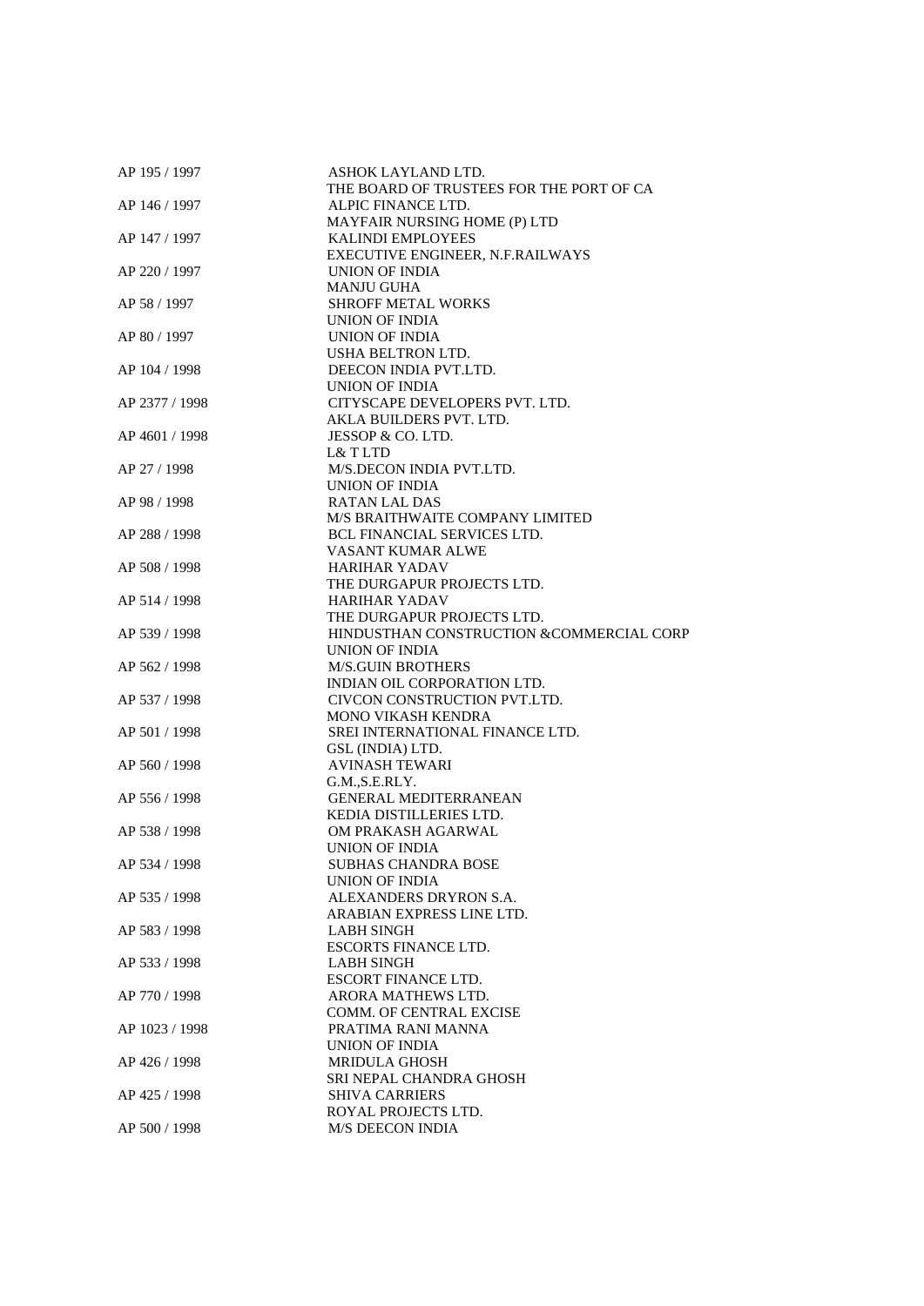| AP 195 / 1997  | ASHOK LAYLAND LTD.                       |
|----------------|------------------------------------------|
|                | THE BOARD OF TRUSTEES FOR THE PORT OF CA |
| AP 146 / 1997  | ALPIC FINANCE LTD.                       |
|                | MAYFAIR NURSING HOME (P) LTD             |
| AP 147 / 1997  | <b>KALINDI EMPLOYEES</b>                 |
|                | EXECUTIVE ENGINEER, N.F.RAILWAYS         |
| AP 220 / 1997  | UNION OF INDIA                           |
|                | <b>MANJU GUHA</b>                        |
| AP 58 / 1997   | <b>SHROFF METAL WORKS</b>                |
|                | UNION OF INDIA                           |
| AP 80 / 1997   | <b>UNION OF INDIA</b>                    |
|                | USHA BELTRON LTD.                        |
| AP 104 / 1998  | DEECON INDIA PVT.LTD.                    |
|                | UNION OF INDIA                           |
| AP 2377 / 1998 | CITYSCAPE DEVELOPERS PVT. LTD.           |
|                |                                          |
|                | AKLA BUILDERS PVT. LTD.                  |
| AP 4601 / 1998 | JESSOP & CO. LTD.                        |
|                | L& T LTD                                 |
| AP 27 / 1998   | M/S.DECON INDIA PVT.LTD.                 |
|                | UNION OF INDIA                           |
| AP 98 / 1998   | <b>RATAN LAL DAS</b>                     |
|                | M/S BRAITHWAITE COMPANY LIMITED          |
| AP 288 / 1998  | <b>BCL FINANCIAL SERVICES LTD.</b>       |
|                | VASANT KUMAR ALWE                        |
| AP 508 / 1998  | <b>HARIHAR YADAV</b>                     |
|                | THE DURGAPUR PROJECTS LTD.               |
| AP 514 / 1998  | <b>HARIHAR YADAV</b>                     |
|                | THE DURGAPUR PROJECTS LTD.               |
| AP 539 / 1998  | HINDUSTHAN CONSTRUCTION &COMMERCIAL CORP |
|                | <b>UNION OF INDIA</b>                    |
| AP 562 / 1998  | <b>M/S.GUIN BROTHERS</b>                 |
|                | INDIAN OIL CORPORATION LTD.              |
| AP 537 / 1998  | CIVCON CONSTRUCTION PVT.LTD.             |
|                | <b>MONO VIKASH KENDRA</b>                |
| AP 501 / 1998  | SREI INTERNATIONAL FINANCE LTD.          |
|                |                                          |
| AP 560 / 1998  | GSL (INDIA) LTD.                         |
|                | <b>AVINASH TEWARI</b>                    |
|                | G.M., S.E.RLY.                           |
| AP 556 / 1998  | <b>GENERAL MEDITERRANEAN</b>             |
|                | KEDIA DISTILLERIES LTD.                  |
| AP 538 / 1998  | OM PRAKASH AGARWAL                       |
|                | UNION OF INDIA                           |
| AP 534 / 1998  | <b>SUBHAS CHANDRA BOSE</b>               |
|                | UNION OF INDIA                           |
| AP 535 / 1998  | ALEXANDERS DRYRON S.A.                   |
|                | ARABIAN EXPRESS LINE LTD.                |
| AP 583 / 1998  | <b>LABH SINGH</b>                        |
|                | <b>ESCORTS FINANCE LTD.</b>              |
| AP 533 / 1998  | LABH SINGH                               |
|                | <b>ESCORT FINANCE LTD.</b>               |
| AP 770 / 1998  | ARORA MATHEWS LTD.                       |
|                | COMM. OF CENTRAL EXCISE                  |
| AP 1023 / 1998 | PRATIMA RANI MANNA                       |
|                | UNION OF INDIA                           |
| AP 426 / 1998  | <b>MRIDULA GHOSH</b>                     |
|                | SRI NEPAL CHANDRA GHOSH                  |
| AP 425 / 1998  | <b>SHIVA CARRIERS</b>                    |
|                | ROYAL PROJECTS LTD.                      |
|                |                                          |
| AP 500 / 1998  | <b>M/S DEECON INDIA</b>                  |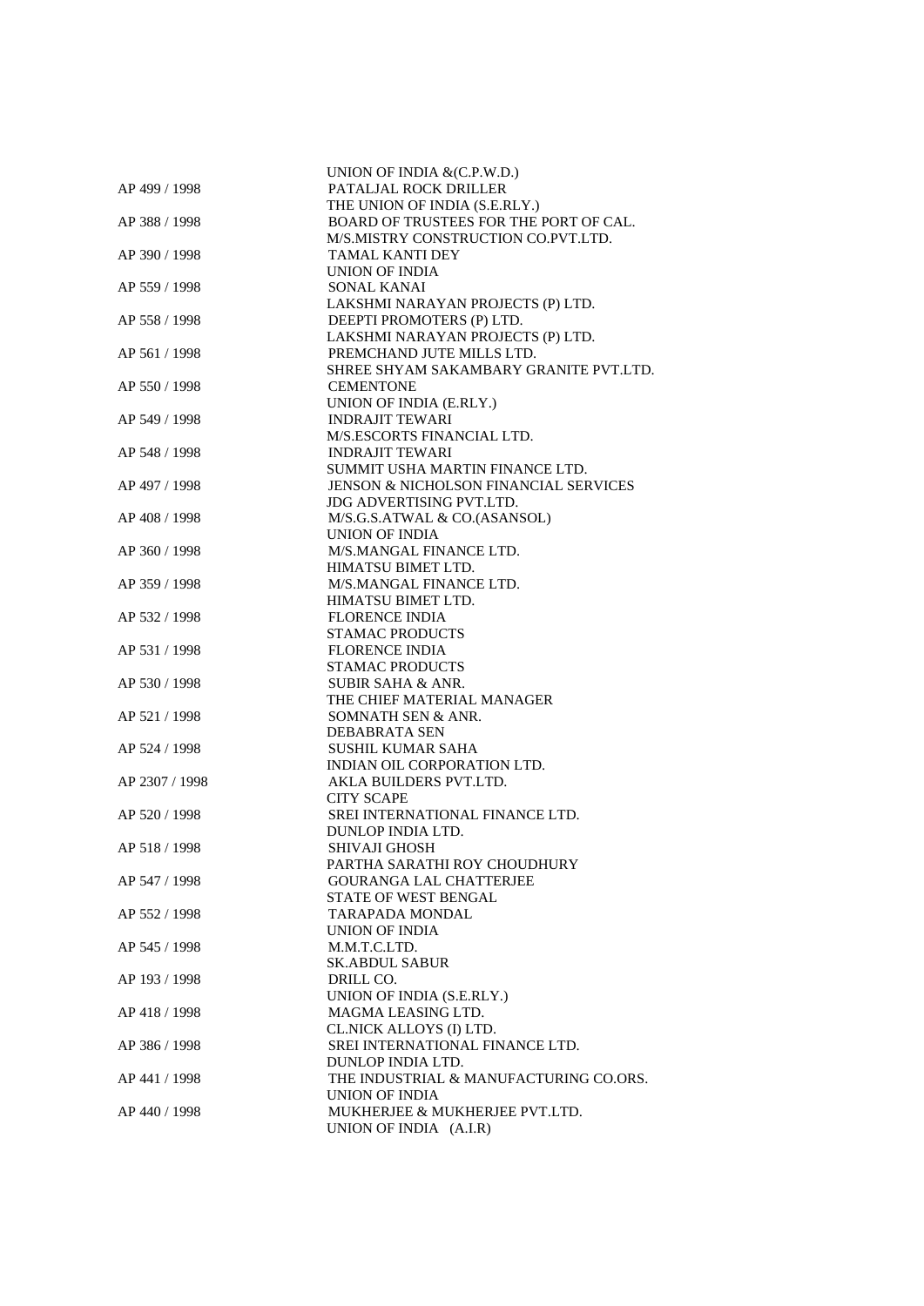|                | UNION OF INDIA & (C.P.W.D.)                      |
|----------------|--------------------------------------------------|
| AP 499 / 1998  | PATALJAL ROCK DRILLER                            |
|                | THE UNION OF INDIA (S.E.RLY.)                    |
| AP 388 / 1998  | BOARD OF TRUSTEES FOR THE PORT OF CAL.           |
|                | M/S.MISTRY CONSTRUCTION CO.PVT.LTD.              |
| AP 390 / 1998  | <b>TAMAL KANTI DEY</b>                           |
|                | UNION OF INDIA                                   |
| AP 559 / 1998  | <b>SONAL KANAI</b>                               |
|                | LAKSHMI NARAYAN PROJECTS (P) LTD.                |
| AP 558 / 1998  | DEEPTI PROMOTERS (P) LTD.                        |
|                | LAKSHMI NARAYAN PROJECTS (P) LTD.                |
| AP 561 / 1998  | PREMCHAND JUTE MILLS LTD.                        |
|                | SHREE SHYAM SAKAMBARY GRANITE PVT.LTD.           |
| AP 550 / 1998  | <b>CEMENTONE</b>                                 |
|                | UNION OF INDIA (E.RLY.)                          |
| AP 549 / 1998  | <b>INDRAJIT TEWARI</b>                           |
|                | M/S.ESCORTS FINANCIAL LTD.                       |
| AP 548 / 1998  | <b>INDRAJIT TEWARI</b>                           |
|                | SUMMIT USHA MARTIN FINANCE LTD.                  |
| AP 497 / 1998  | <b>JENSON &amp; NICHOLSON FINANCIAL SERVICES</b> |
|                | <b>JDG ADVERTISING PVT.LTD.</b>                  |
| AP 408 / 1998  | M/S.G.S.ATWAL & CO.(ASANSOL)                     |
|                | UNION OF INDIA                                   |
| AP 360 / 1998  | M/S.MANGAL FINANCE LTD.                          |
|                | HIMATSU BIMET LTD.                               |
| AP 359 / 1998  | M/S.MANGAL FINANCE LTD.                          |
| AP 532 / 1998  | HIMATSU BIMET LTD.<br><b>FLORENCE INDIA</b>      |
|                | STAMAC PRODUCTS                                  |
| AP 531 / 1998  | <b>FLORENCE INDIA</b>                            |
|                | <b>STAMAC PRODUCTS</b>                           |
| AP 530 / 1998  | <b>SUBIR SAHA &amp; ANR.</b>                     |
|                | THE CHIEF MATERIAL MANAGER                       |
| AP 521 / 1998  | SOMNATH SEN & ANR.                               |
|                | <b>DEBABRATA SEN</b>                             |
| AP 524 / 1998  | SUSHIL KUMAR SAHA                                |
|                | INDIAN OIL CORPORATION LTD.                      |
| AP 2307 / 1998 | AKLA BUILDERS PVT.LTD.                           |
|                | <b>CITY SCAPE</b>                                |
| AP 520 / 1998  | SREI INTERNATIONAL FINANCE LTD.                  |
|                | <b>DUNLOP INDIA LTD.</b>                         |
| AP 518 / 1998  | SHIVAJI GHOSH                                    |
|                | PARTHA SARATHI ROY CHOUDHURY                     |
| AP 547 / 1998  | <b>GOURANGA LAL CHATTERJEE</b>                   |
|                | STATE OF WEST BENGAL                             |
| AP 552 / 1998  | <b>TARAPADA MONDAL</b><br><b>UNION OF INDIA</b>  |
| AP 545 / 1998  | M.M.T.C.LTD.                                     |
|                | <b>SK.ABDUL SABUR</b>                            |
| AP 193 / 1998  | DRILL CO.                                        |
|                | UNION OF INDIA (S.E.RLY.)                        |
| AP 418 / 1998  | MAGMA LEASING LTD.                               |
|                | CL.NICK ALLOYS (I) LTD.                          |
| AP 386 / 1998  | SREI INTERNATIONAL FINANCE LTD.                  |
|                | DUNLOP INDIA LTD.                                |
| AP 441 / 1998  | THE INDUSTRIAL & MANUFACTURING CO.ORS.           |
|                | <b>UNION OF INDIA</b>                            |
| AP 440 / 1998  | MUKHERJEE & MUKHERJEE PVT.LTD.                   |
|                | UNION OF INDIA (A.I.R)                           |
|                |                                                  |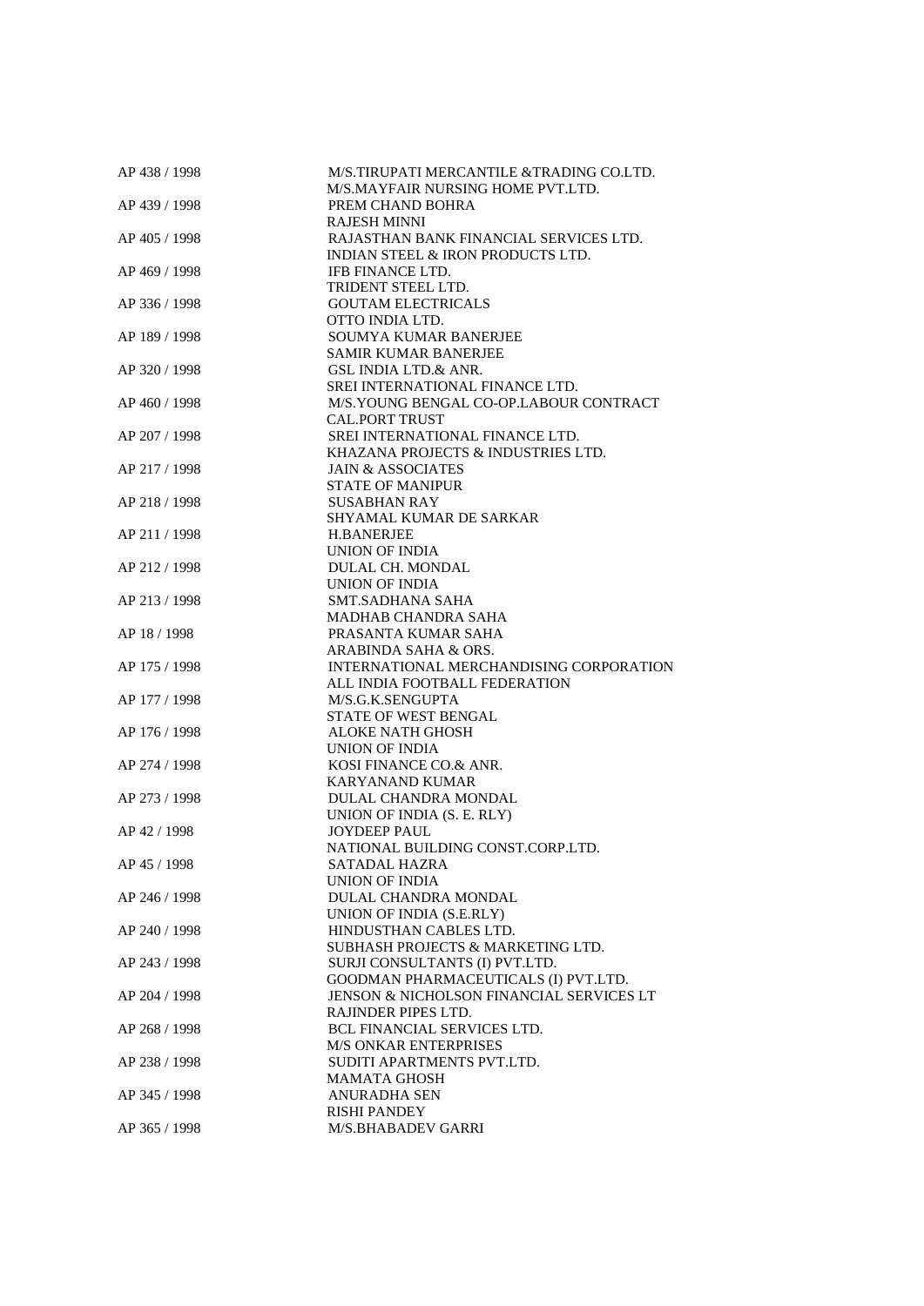| AP 438 / 1998 | M/S.TIRUPATI MERCANTILE &TRADING CO.LTD. |
|---------------|------------------------------------------|
|               | M/S.MAYFAIR NURSING HOME PVT.LTD.        |
| AP 439 / 1998 | PREM CHAND BOHRA                         |
|               | <b>RAJESH MINNI</b>                      |
| AP 405 / 1998 | RAJASTHAN BANK FINANCIAL SERVICES LTD.   |
|               | INDIAN STEEL & IRON PRODUCTS LTD.        |
| AP 469 / 1998 | <b>IFB FINANCE LTD.</b>                  |
|               | TRIDENT STEEL LTD.                       |
| AP 336 / 1998 | <b>GOUTAM ELECTRICALS</b>                |
|               | OTTO INDIA LTD.                          |
| AP 189 / 1998 | SOUMYA KUMAR BANERJEE                    |
|               | <b>SAMIR KUMAR BANERJEE</b>              |
| AP 320 / 1998 | <b>GSL INDIA LTD.&amp; ANR.</b>          |
|               | SREI INTERNATIONAL FINANCE LTD.          |
| AP 460 / 1998 | M/S.YOUNG BENGAL CO-OP.LABOUR CONTRACT   |
|               | <b>CAL.PORT TRUST</b>                    |
|               |                                          |
| AP 207 / 1998 | SREI INTERNATIONAL FINANCE LTD.          |
|               | KHAZANA PROJECTS & INDUSTRIES LTD.       |
| AP 217 / 1998 | <b>JAIN &amp; ASSOCIATES</b>             |
|               | <b>STATE OF MANIPUR</b>                  |
| AP 218 / 1998 | <b>SUSABHAN RAY</b>                      |
|               | SHYAMAL KUMAR DE SARKAR                  |
| AP 211 / 1998 | <b>H.BANERJEE</b>                        |
|               | UNION OF INDIA                           |
| AP 212 / 1998 | DULAL CH. MONDAL                         |
|               | UNION OF INDIA                           |
| AP 213 / 1998 | SMT.SADHANA SAHA                         |
|               | MADHAB CHANDRA SAHA                      |
| AP 18 / 1998  | PRASANTA KUMAR SAHA                      |
|               | ARABINDA SAHA & ORS.                     |
| AP 175 / 1998 | INTERNATIONAL MERCHANDISING CORPORATION  |
|               | ALL INDIA FOOTBALL FEDERATION            |
| AP 177 / 1998 | M/S.G.K.SENGUPTA                         |
|               | STATE OF WEST BENGAL                     |
| AP 176 / 1998 | <b>ALOKE NATH GHOSH</b>                  |
|               | UNION OF INDIA                           |
| AP 274 / 1998 | KOSI FINANCE CO.& ANR.                   |
|               |                                          |
|               | <b>KARYANAND KUMAR</b>                   |
| AP 273 / 1998 | DULAL CHANDRA MONDAL                     |
|               | UNION OF INDIA (S. E. RLY)               |
| AP 42 / 1998  | <b>JOYDEEP PAUL</b>                      |
|               | NATIONAL BUILDING CONST.CORP.LTD.        |
| AP 45 / 1998  | SATADAL HAZRA                            |
|               | UNION OF INDIA                           |
| AP 246 / 1998 | DULAL CHANDRA MONDAL                     |
|               | UNION OF INDIA (S.E.RLY)                 |
| AP 240 / 1998 | HINDUSTHAN CABLES LTD.                   |
|               | SUBHASH PROJECTS & MARKETING LTD.        |
| AP 243 / 1998 | SURJI CONSULTANTS (I) PVT.LTD.           |
|               | GOODMAN PHARMACEUTICALS (I) PVT.LTD.     |
| AP 204 / 1998 | JENSON & NICHOLSON FINANCIAL SERVICES LT |
|               | RAJINDER PIPES LTD.                      |
| AP 268 / 1998 | <b>BCL FINANCIAL SERVICES LTD.</b>       |
|               | <b>M/S ONKAR ENTERPRISES</b>             |
| AP 238 / 1998 | SUDITI APARTMENTS PVT.LTD.               |
|               | <b>MAMATA GHOSH</b>                      |
| AP 345 / 1998 | <b>ANURADHA SEN</b>                      |
|               | <b>RISHI PANDEY</b>                      |
| AP 365 / 1998 | M/S.BHABADEV GARRI                       |
|               |                                          |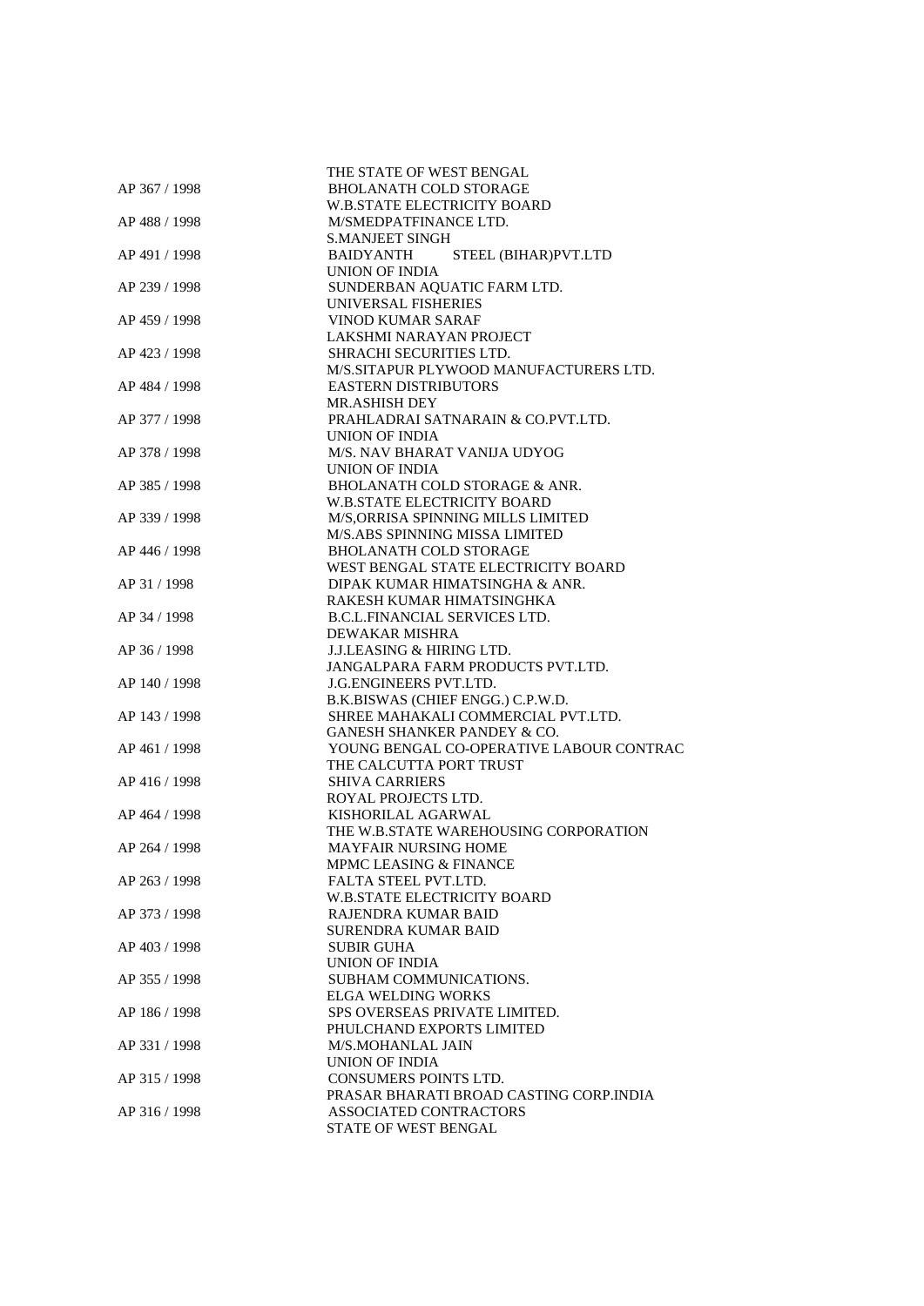| AP 367 / 1998 | THE STATE OF WEST BENGAL<br><b>BHOLANATH COLD STORAGE</b> |
|---------------|-----------------------------------------------------------|
|               | <b>W.B.STATE ELECTRICITY BOARD</b>                        |
| AP 488 / 1998 | M/SMEDPATFINANCE LTD.                                     |
|               | <b>S.MANJEET SINGH</b>                                    |
| AP 491 / 1998 | STEEL (BIHAR)PVT.LTD<br>BAIDYANTH                         |
|               | UNION OF INDIA                                            |
| AP 239 / 1998 | SUNDERBAN AQUATIC FARM LTD.                               |
|               | UNIVERSAL FISHERIES                                       |
| AP 459 / 1998 | VINOD KUMAR SARAF                                         |
|               | LAKSHMI NARAYAN PROJECT                                   |
| AP 423 / 1998 | <b>SHRACHI SECURITIES LTD.</b>                            |
|               | M/S.SITAPUR PLYWOOD MANUFACTURERS LTD.                    |
| AP 484 / 1998 | <b>EASTERN DISTRIBUTORS</b>                               |
|               | <b>MR.ASHISH DEY</b>                                      |
| AP 377 / 1998 | PRAHLADRAI SATNARAIN & CO.PVT.LTD.                        |
|               | UNION OF INDIA                                            |
| AP 378 / 1998 | M/S. NAV BHARAT VANIJA UDYOG                              |
|               | UNION OF INDIA                                            |
| AP 385 / 1998 | BHOLANATH COLD STORAGE & ANR.                             |
|               | <b>W.B.STATE ELECTRICITY BOARD</b>                        |
| AP 339 / 1998 | M/S, ORRISA SPINNING MILLS LIMITED                        |
|               | M/S.ABS SPINNING MISSA LIMITED                            |
| AP 446 / 1998 | <b>BHOLANATH COLD STORAGE</b>                             |
|               | WEST BENGAL STATE ELECTRICITY BOARD                       |
| AP 31 / 1998  | DIPAK KUMAR HIMATSINGHA & ANR.                            |
|               | RAKESH KUMAR HIMATSINGHKA                                 |
| AP 34 / 1998  | <b>B.C.L.FINANCIAL SERVICES LTD.</b>                      |
|               | DEWAKAR MISHRA                                            |
| AP 36 / 1998  | <b>J.J.LEASING &amp; HIRING LTD.</b>                      |
|               | JANGALPARA FARM PRODUCTS PVT.LTD.                         |
| AP 140 / 1998 | J.G.ENGINEERS PVT.LTD.                                    |
|               | B.K.BISWAS (CHIEF ENGG.) C.P.W.D.                         |
| AP 143 / 1998 | SHREE MAHAKALI COMMERCIAL PVT.LTD.                        |
|               | <b>GANESH SHANKER PANDEY &amp; CO.</b>                    |
| AP 461 / 1998 | YOUNG BENGAL CO-OPERATIVE LABOUR CONTRAC                  |
|               | THE CALCUTTA PORT TRUST                                   |
| AP 416 / 1998 | <b>SHIVA CARRIERS</b>                                     |
|               | ROYAL PROJECTS LTD.                                       |
| AP 464 / 1998 | KISHORILAL AGARWAL                                        |
|               | THE W.B.STATE WAREHOUSING CORPORATION                     |
| AP 264 / 1998 | MAYFAIR NURSING HOME                                      |
|               | MPMC LEASING & FINANCE                                    |
| AP 263 / 1998 | FALTA STEEL PVT.LTD.                                      |
|               | W.B.STATE ELECTRICITY BOARD                               |
| AP 373 / 1998 | RAJENDRA KUMAR BAID                                       |
|               | <b>SURENDRA KUMAR BAID</b>                                |
| AP 403 / 1998 | <b>SUBIR GUHA</b>                                         |
|               | <b>UNION OF INDIA</b>                                     |
| AP 355 / 1998 | SUBHAM COMMUNICATIONS.                                    |
| AP 186 / 1998 | <b>ELGA WELDING WORKS</b>                                 |
|               | SPS OVERSEAS PRIVATE LIMITED.                             |
|               | PHULCHAND EXPORTS LIMITED                                 |
| AP 331 / 1998 | M/S.MOHANLAL JAIN<br><b>UNION OF INDIA</b>                |
| AP 315 / 1998 | <b>CONSUMERS POINTS LTD.</b>                              |
|               | PRASAR BHARATI BROAD CASTING CORP.INDIA                   |
| AP 316 / 1998 | ASSOCIATED CONTRACTORS                                    |
|               | STATE OF WEST BENGAL                                      |
|               |                                                           |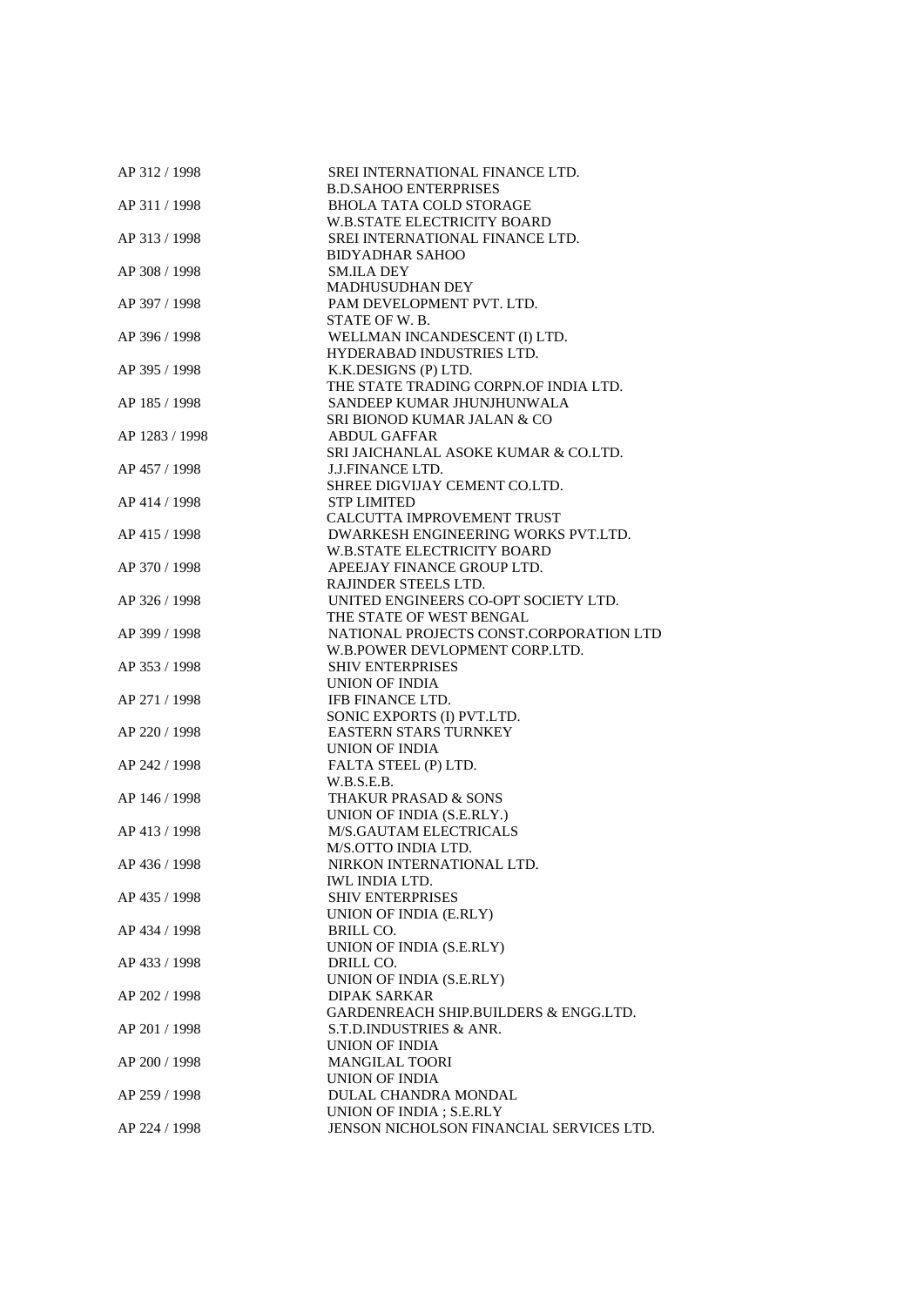| AP 312 / 1998  | SREI INTERNATIONAL FINANCE LTD.          |
|----------------|------------------------------------------|
|                | <b>B.D.SAHOO ENTERPRISES</b>             |
| AP 311 / 1998  | <b>BHOLA TATA COLD STORAGE</b>           |
|                | <b>W.B.STATE ELECTRICITY BOARD</b>       |
| AP 313 / 1998  | SREI INTERNATIONAL FINANCE LTD.          |
|                | <b>BIDYADHAR SAHOO</b>                   |
| AP 308 / 1998  | <b>SM.ILA DEY</b>                        |
|                | MADHUSUDHAN DEY                          |
|                |                                          |
| AP 397 / 1998  | PAM DEVELOPMENT PVT. LTD.                |
|                | STATE OF W.B.                            |
| AP 396 / 1998  | WELLMAN INCANDESCENT (I) LTD.            |
|                | HYDERABAD INDUSTRIES LTD.                |
| AP 395 / 1998  | K.K.DESIGNS (P) LTD.                     |
|                | THE STATE TRADING CORPN.OF INDIA LTD.    |
| AP 185 / 1998  | SANDEEP KUMAR JHUNJHUNWALA               |
|                | SRI BIONOD KUMAR JALAN & CO              |
| AP 1283 / 1998 | <b>ABDUL GAFFAR</b>                      |
|                | SRI JAICHANLAL ASOKE KUMAR & CO.LTD.     |
| AP 457 / 1998  | <b>J.J.FINANCE LTD.</b>                  |
|                | SHREE DIGVIJAY CEMENT CO.LTD.            |
|                |                                          |
| AP 414 / 1998  | <b>STP LIMITED</b>                       |
|                | CALCUTTA IMPROVEMENT TRUST               |
| AP 415 / 1998  | DWARKESH ENGINEERING WORKS PVT.LTD.      |
|                | W.B.STATE ELECTRICITY BOARD              |
| AP 370 / 1998  | APEEJAY FINANCE GROUP LTD.               |
|                | RAJINDER STEELS LTD.                     |
| AP 326 / 1998  | UNITED ENGINEERS CO-OPT SOCIETY LTD.     |
|                | THE STATE OF WEST BENGAL                 |
| AP 399 / 1998  | NATIONAL PROJECTS CONST.CORPORATION LTD  |
|                | W.B.POWER DEVLOPMENT CORP.LTD.           |
| AP 353 / 1998  | <b>SHIV ENTERPRISES</b>                  |
|                | UNION OF INDIA                           |
| AP 271 / 1998  | IFB FINANCE LTD.                         |
|                | SONIC EXPORTS (I) PVT.LTD.               |
| AP 220 / 1998  | <b>EASTERN STARS TURNKEY</b>             |
|                | UNION OF INDIA                           |
|                |                                          |
| AP 242 / 1998  | FALTA STEEL (P) LTD.                     |
|                | W.B.S.E.B.                               |
| AP 146 / 1998  | THAKUR PRASAD & SONS                     |
|                | UNION OF INDIA (S.E.RLY.)                |
| AP 413 / 1998  | M/S.GAUTAM ELECTRICALS                   |
|                | M/S.OTTO INDIA LTD.                      |
| AP 436 / 1998  | NIRKON INTERNATIONAL LTD.                |
|                | IWL INDIA LTD.                           |
| AP 435 / 1998  | <b>SHIV ENTERPRISES</b>                  |
|                | UNION OF INDIA (E.RLY)                   |
| AP 434 / 1998  | <b>BRILL CO.</b>                         |
|                | UNION OF INDIA (S.E.RLY)                 |
| AP 433 / 1998  | DRILL CO.                                |
|                | UNION OF INDIA (S.E.RLY)                 |
| AP 202 / 1998  | <b>DIPAK SARKAR</b>                      |
|                |                                          |
|                | GARDENREACH SHIP.BUILDERS & ENGG.LTD.    |
| AP 201 / 1998  | S.T.D.INDUSTRIES & ANR.                  |
|                | UNION OF INDIA                           |
| AP 200 / 1998  | <b>MANGILAL TOORI</b>                    |
|                | UNION OF INDIA                           |
| AP 259 / 1998  | DULAL CHANDRA MONDAL                     |
|                | UNION OF INDIA; S.E.RLY                  |
| AP 224 / 1998  | JENSON NICHOLSON FINANCIAL SERVICES LTD. |
|                |                                          |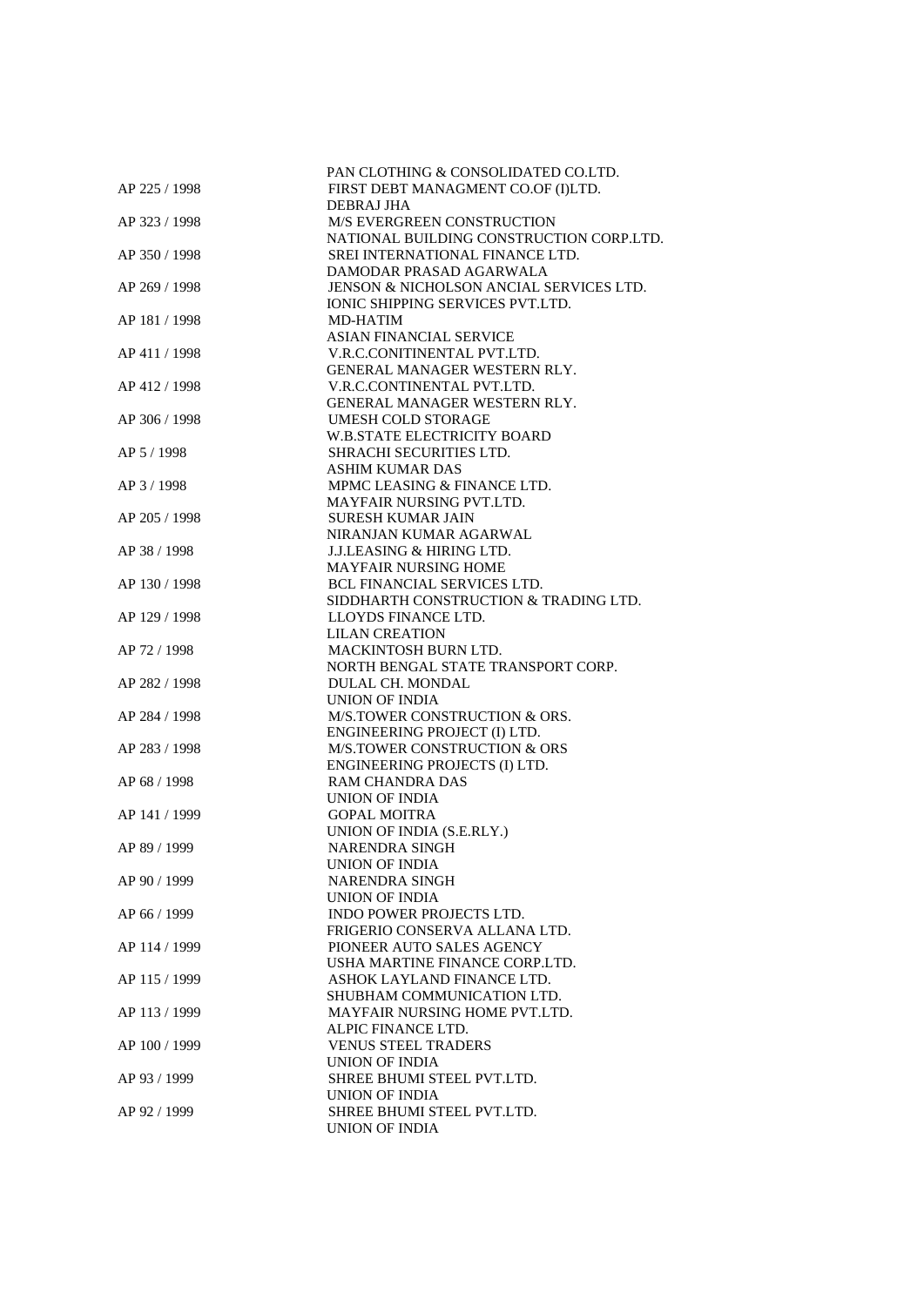|               | PAN CLOTHING & CONSOLIDATED CO.LTD.      |
|---------------|------------------------------------------|
| AP 225 / 1998 | FIRST DEBT MANAGMENT CO.OF (I)LTD.       |
|               | DEBRAJ JHA                               |
| AP 323 / 1998 | <b>M/S EVERGREEN CONSTRUCTION</b>        |
|               | NATIONAL BUILDING CONSTRUCTION CORP.LTD. |
|               | SREI INTERNATIONAL FINANCE LTD.          |
| AP 350 / 1998 |                                          |
|               | DAMODAR PRASAD AGARWALA                  |
| AP 269 / 1998 | JENSON & NICHOLSON ANCIAL SERVICES LTD.  |
|               | IONIC SHIPPING SERVICES PVT.LTD.         |
| AP 181 / 1998 | <b>MD-HATIM</b>                          |
|               | <b>ASIAN FINANCIAL SERVICE</b>           |
| AP 411 / 1998 | V.R.C.CONITINENTAL PVT.LTD.              |
|               | GENERAL MANAGER WESTERN RLY.             |
| AP 412 / 1998 | V.R.C.CONTINENTAL PVT.LTD.               |
|               | GENERAL MANAGER WESTERN RLY.             |
|               |                                          |
| AP 306 / 1998 | <b>UMESH COLD STORAGE</b>                |
|               | <b>W.B.STATE ELECTRICITY BOARD</b>       |
| AP 5 / 1998   | SHRACHI SECURITIES LTD.                  |
|               | <b>ASHIM KUMAR DAS</b>                   |
| AP 3/1998     | MPMC LEASING & FINANCE LTD.              |
|               | MAYFAIR NURSING PVT.LTD.                 |
| AP 205 / 1998 | <b>SURESH KUMAR JAIN</b>                 |
|               | NIRANJAN KUMAR AGARWAL                   |
| AP 38 / 1998  | <b>J.J.LEASING &amp; HIRING LTD.</b>     |
|               | <b>MAYFAIR NURSING HOME</b>              |
| AP 130 / 1998 | <b>BCL FINANCIAL SERVICES LTD.</b>       |
|               |                                          |
|               | SIDDHARTH CONSTRUCTION & TRADING LTD.    |
| AP 129 / 1998 | LLOYDS FINANCE LTD.                      |
|               | <b>LILAN CREATION</b>                    |
| AP 72 / 1998  | MACKINTOSH BURN LTD.                     |
|               | NORTH BENGAL STATE TRANSPORT CORP.       |
| AP 282 / 1998 | DULAL CH. MONDAL                         |
|               | UNION OF INDIA                           |
| AP 284 / 1998 | M/S.TOWER CONSTRUCTION & ORS.            |
|               | ENGINEERING PROJECT (I) LTD.             |
| AP 283 / 1998 | M/S.TOWER CONSTRUCTION & ORS             |
|               | ENGINEERING PROJECTS (I) LTD.            |
| AP 68 / 1998  | RAM CHANDRA DAS                          |
|               | <b>UNION OF INDIA</b>                    |
|               |                                          |
| AP 141 / 1999 | <b>GOPAL MOITRA</b>                      |
|               | UNION OF INDIA (S.E.RLY.)                |
| AP 89 / 1999  | <b>NARENDRA SINGH</b>                    |
|               | <b>UNION OF INDIA</b>                    |
| AP 90 / 1999  | NARENDRA SINGH                           |
|               | UNION OF INDIA                           |
| AP 66 / 1999  | <b>INDO POWER PROJECTS LTD.</b>          |
|               | FRIGERIO CONSERVA ALLANA LTD.            |
| AP 114 / 1999 | PIONEER AUTO SALES AGENCY                |
|               | USHA MARTINE FINANCE CORP.LTD.           |
| AP 115 / 1999 | ASHOK LAYLAND FINANCE LTD.               |
|               | SHUBHAM COMMUNICATION LTD.               |
|               |                                          |
| AP 113 / 1999 | MAYFAIR NURSING HOME PVT.LTD.            |
|               | ALPIC FINANCE LTD.                       |
| AP 100 / 1999 | <b>VENUS STEEL TRADERS</b>               |
|               | <b>UNION OF INDIA</b>                    |
| AP 93 / 1999  | SHREE BHUMI STEEL PVT.LTD.               |
|               | UNION OF INDIA                           |
| AP 92 / 1999  | SHREE BHUMI STEEL PVT.LTD.               |
|               | UNION OF INDIA                           |
|               |                                          |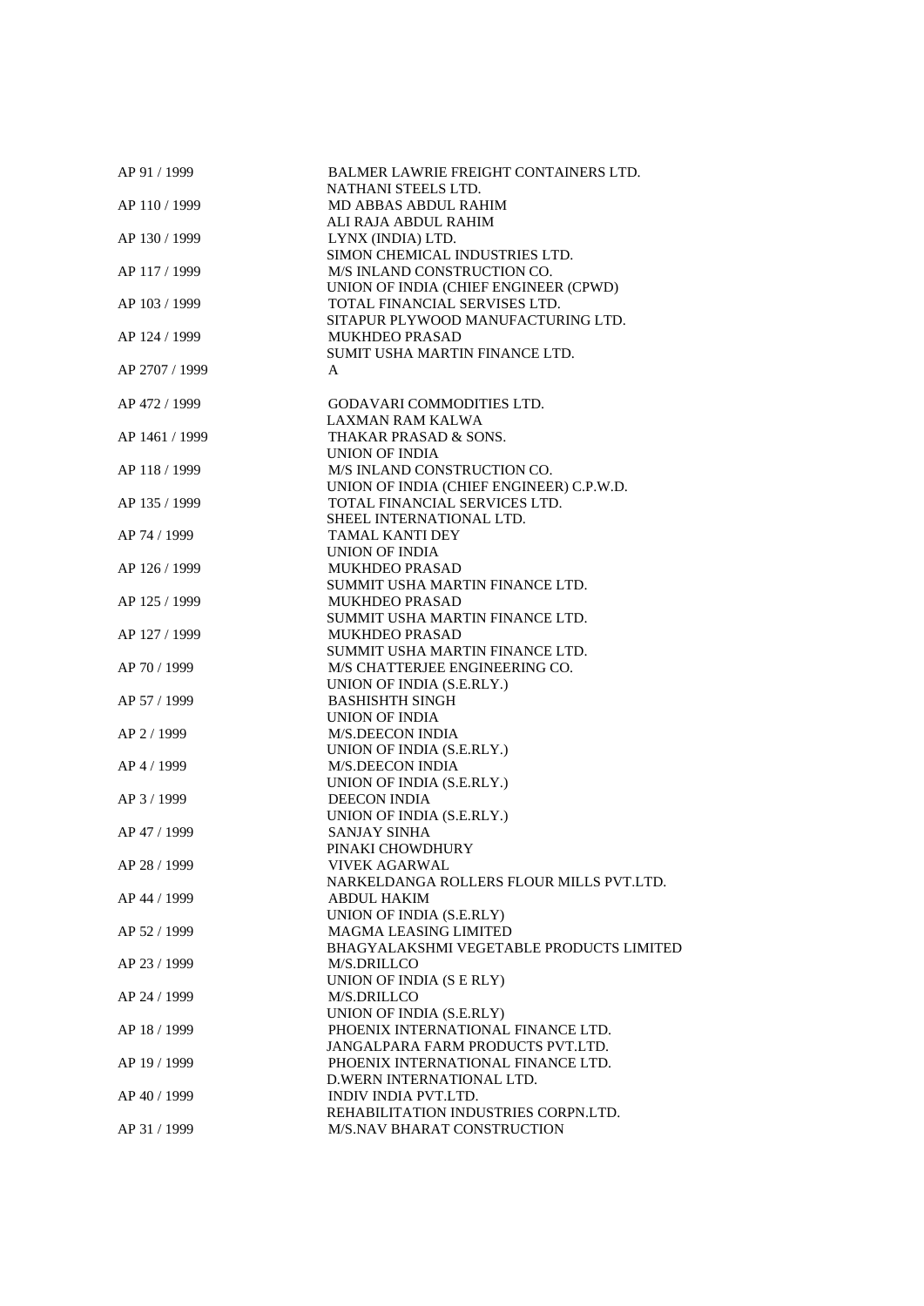| AP 91 / 1999   | <b>BALMER LAWRIE FREIGHT CONTAINERS LTD.</b><br>NATHANI STEELS LTD. |
|----------------|---------------------------------------------------------------------|
| AP 110 / 1999  | MD ABBAS ABDUL RAHIM                                                |
|                | ALI RAJA ABDUL RAHIM                                                |
| AP 130 / 1999  | LYNX (INDIA) LTD.                                                   |
|                | SIMON CHEMICAL INDUSTRIES LTD.                                      |
| AP 117 / 1999  | M/S INLAND CONSTRUCTION CO.                                         |
|                | UNION OF INDIA (CHIEF ENGINEER (CPWD)                               |
| AP 103 / 1999  | TOTAL FINANCIAL SERVISES LTD.                                       |
|                | SITAPUR PLYWOOD MANUFACTURING LTD.                                  |
| AP 124 / 1999  | <b>MUKHDEO PRASAD</b>                                               |
|                | SUMIT USHA MARTIN FINANCE LTD.                                      |
| AP 2707 / 1999 | A                                                                   |
| AP 472 / 1999  | GODAVARI COMMODITIES LTD.                                           |
|                | LAXMAN RAM KALWA                                                    |
| AP 1461 / 1999 | THAKAR PRASAD & SONS.                                               |
|                | UNION OF INDIA                                                      |
| AP 118 / 1999  | M/S INLAND CONSTRUCTION CO.                                         |
|                | UNION OF INDIA (CHIEF ENGINEER) C.P.W.D.                            |
| AP 135 / 1999  | TOTAL FINANCIAL SERVICES LTD.                                       |
|                | SHEEL INTERNATIONAL LTD.                                            |
| AP 74 / 1999   | TAMAL KANTI DEY                                                     |
|                | UNION OF INDIA                                                      |
| AP 126 / 1999  | <b>MUKHDEO PRASAD</b>                                               |
|                | SUMMIT USHA MARTIN FINANCE LTD.                                     |
| AP 125 / 1999  | <b>MUKHDEO PRASAD</b>                                               |
|                | SUMMIT USHA MARTIN FINANCE LTD.                                     |
| AP 127 / 1999  | <b>MUKHDEO PRASAD</b>                                               |
|                | SUMMIT USHA MARTIN FINANCE LTD.                                     |
| AP 70 / 1999   | M/S CHATTERJEE ENGINEERING CO.                                      |
|                | UNION OF INDIA (S.E.RLY.)                                           |
| AP 57 / 1999   | <b>BASHISHTH SINGH</b>                                              |
|                | UNION OF INDIA                                                      |
| AP 2/1999      | <b>M/S.DEECON INDIA</b>                                             |
|                | UNION OF INDIA (S.E.RLY.)                                           |
| AP 4 / 1999    | M/S.DEECON INDIA                                                    |
|                | UNION OF INDIA (S.E.RLY.)                                           |
| AP 3/1999      | <b>DEECON INDIA</b>                                                 |
|                | UNION OF INDIA (S.E.RLY.)                                           |
| AP 47 / 1999   | <b>SANJAY SINHA</b>                                                 |
|                | PINAKI CHOWDHURY                                                    |
| AP 28 / 1999   | <b>VIVEK AGARWAL</b>                                                |
|                | NARKELDANGA ROLLERS FLOUR MILLS PVT.LTD.                            |
| AP 44 / 1999   | <b>ABDUL HAKIM</b>                                                  |
|                | UNION OF INDIA (S.E.RLY)                                            |
| AP 52 / 1999   | <b>MAGMA LEASING LIMITED</b>                                        |
|                | BHAGYALAKSHMI VEGETABLE PRODUCTS LIMITED                            |
| AP 23 / 1999   | M/S.DRILLCO                                                         |
|                | UNION OF INDIA (S E RLY)                                            |
| AP 24 / 1999   | M/S.DRILLCO                                                         |
|                | UNION OF INDIA (S.E.RLY)                                            |
| AP 18 / 1999   | PHOENIX INTERNATIONAL FINANCE LTD.                                  |
|                | JANGALPARA FARM PRODUCTS PVT.LTD.                                   |
| AP 19 / 1999   | PHOENIX INTERNATIONAL FINANCE LTD.                                  |
|                | D.WERN INTERNATIONAL LTD.                                           |
| AP 40 / 1999   | <b>INDIV INDIA PVT.LTD.</b>                                         |
|                | REHABILITATION INDUSTRIES CORPN.LTD.                                |
| AP 31 / 1999   | M/S.NAV BHARAT CONSTRUCTION                                         |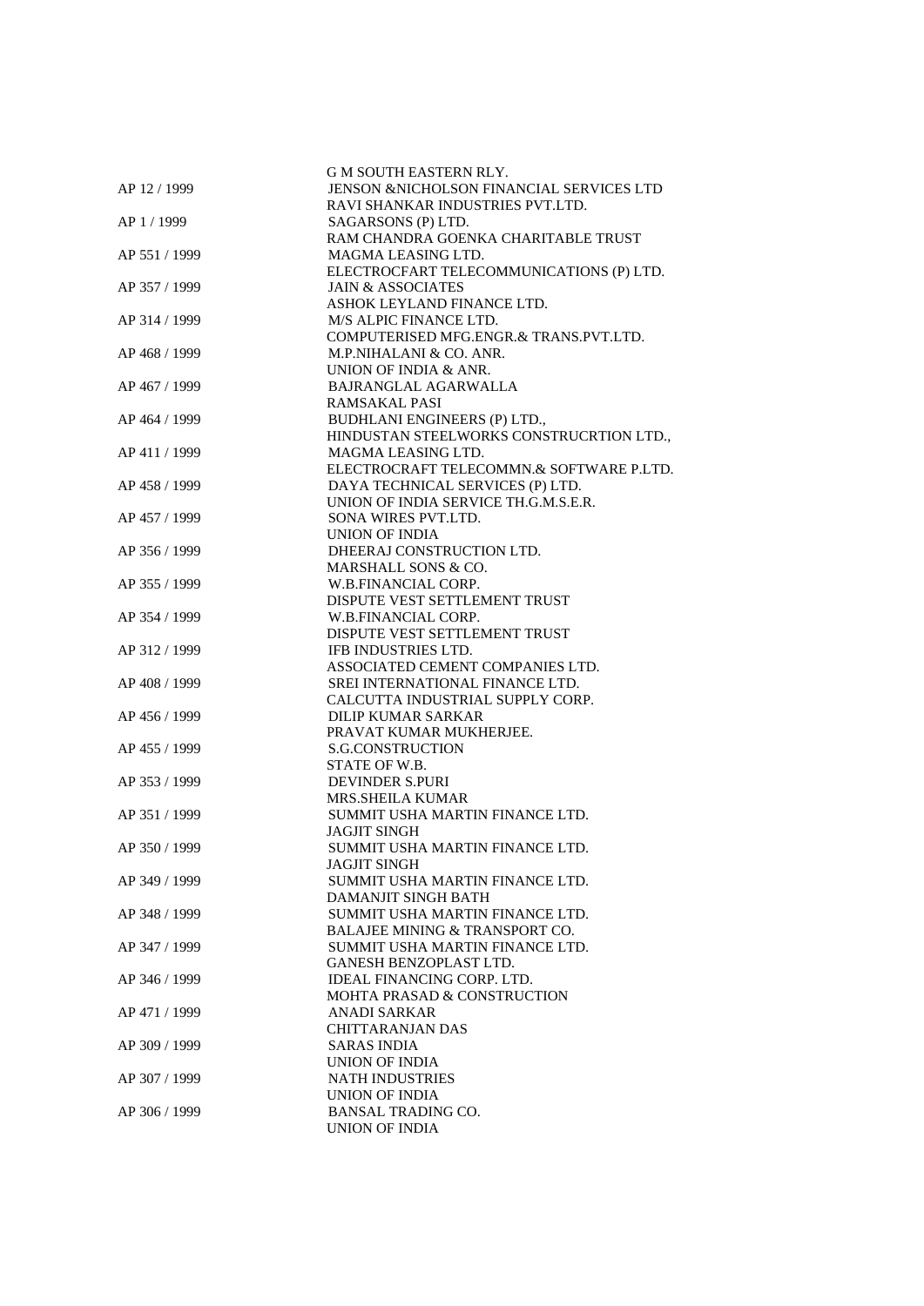|               | <b>G M SOUTH EASTERN RLY.</b>            |
|---------------|------------------------------------------|
| AP 12 / 1999  | JENSON &NICHOLSON FINANCIAL SERVICES LTD |
|               |                                          |
|               | RAVI SHANKAR INDUSTRIES PVT.LTD.         |
| AP 1/1999     | SAGARSONS (P) LTD.                       |
|               | RAM CHANDRA GOENKA CHARITABLE TRUST      |
| AP 551 / 1999 | MAGMA LEASING LTD.                       |
|               | ELECTROCFART TELECOMMUNICATIONS (P) LTD. |
| AP 357 / 1999 | <b>JAIN &amp; ASSOCIATES</b>             |
|               | ASHOK LEYLAND FINANCE LTD.               |
| AP 314 / 1999 | M/S ALPIC FINANCE LTD.                   |
|               | COMPUTERISED MFG.ENGR.& TRANS.PVT.LTD.   |
| AP 468 / 1999 | M.P.NIHALANI & CO. ANR.                  |
|               | UNION OF INDIA & ANR.                    |
| AP 467 / 1999 | BAJRANGLAL AGARWALLA                     |
|               | <b>RAMSAKAL PASI</b>                     |
| AP 464 / 1999 | BUDHLANI ENGINEERS (P) LTD.,             |
|               |                                          |
|               | HINDUSTAN STEELWORKS CONSTRUCRTION LTD., |
| AP 411 / 1999 | MAGMA LEASING LTD.                       |
|               | ELECTROCRAFT TELECOMMN.& SOFTWARE P.LTD. |
| AP 458 / 1999 | DAYA TECHNICAL SERVICES (P) LTD.         |
|               | UNION OF INDIA SERVICE TH.G.M.S.E.R.     |
| AP 457 / 1999 | SONA WIRES PVT.LTD.                      |
|               | UNION OF INDIA                           |
| AP 356 / 1999 | DHEERAJ CONSTRUCTION LTD.                |
|               | MARSHALL SONS & CO.                      |
| AP 355 / 1999 | W.B.FINANCIAL CORP.                      |
|               | DISPUTE VEST SETTLEMENT TRUST            |
| AP 354 / 1999 | W.B.FINANCIAL CORP.                      |
|               | DISPUTE VEST SETTLEMENT TRUST            |
| AP 312 / 1999 | <b>IFB INDUSTRIES LTD.</b>               |
|               | ASSOCIATED CEMENT COMPANIES LTD.         |
|               |                                          |
| AP 408 / 1999 | SREI INTERNATIONAL FINANCE LTD.          |
|               | CALCUTTA INDUSTRIAL SUPPLY CORP.         |
| AP 456 / 1999 | <b>DILIP KUMAR SARKAR</b>                |
|               | PRAVAT KUMAR MUKHERJEE.                  |
| AP 455 / 1999 | <b>S.G.CONSTRUCTION</b>                  |
|               | STATE OF W.B.                            |
| AP 353 / 1999 | <b>DEVINDER S.PURI</b>                   |
|               | <b>MRS.SHEILA KUMAR</b>                  |
| AP 351 / 1999 | SUMMIT USHA MARTIN FINANCE LTD.          |
|               | JAGJIT SINGH                             |
| AP 350 / 1999 | SUMMIT USHA MARTIN FINANCE LTD.          |
|               | <b>JAGJIT SINGH</b>                      |
| AP 349 / 1999 | SUMMIT USHA MARTIN FINANCE LTD.          |
|               | DAMANJIT SINGH BATH                      |
| AP 348 / 1999 | SUMMIT USHA MARTIN FINANCE LTD.          |
|               | BALAJEE MINING & TRANSPORT CO.           |
|               |                                          |
| AP 347 / 1999 | SUMMIT USHA MARTIN FINANCE LTD.          |
|               | <b>GANESH BENZOPLAST LTD.</b>            |
| AP 346 / 1999 | IDEAL FINANCING CORP. LTD.               |
|               | <b>MOHTA PRASAD &amp; CONSTRUCTION</b>   |
| AP 471 / 1999 | ANADI SARKAR                             |
|               | <b>CHITTARANJAN DAS</b>                  |
| AP 309 / 1999 | <b>SARAS INDIA</b>                       |
|               | UNION OF INDIA                           |
| AP 307 / 1999 | <b>NATH INDUSTRIES</b>                   |
|               | <b>UNION OF INDIA</b>                    |
| AP 306 / 1999 | <b>BANSAL TRADING CO.</b>                |
|               | <b>UNION OF INDIA</b>                    |
|               |                                          |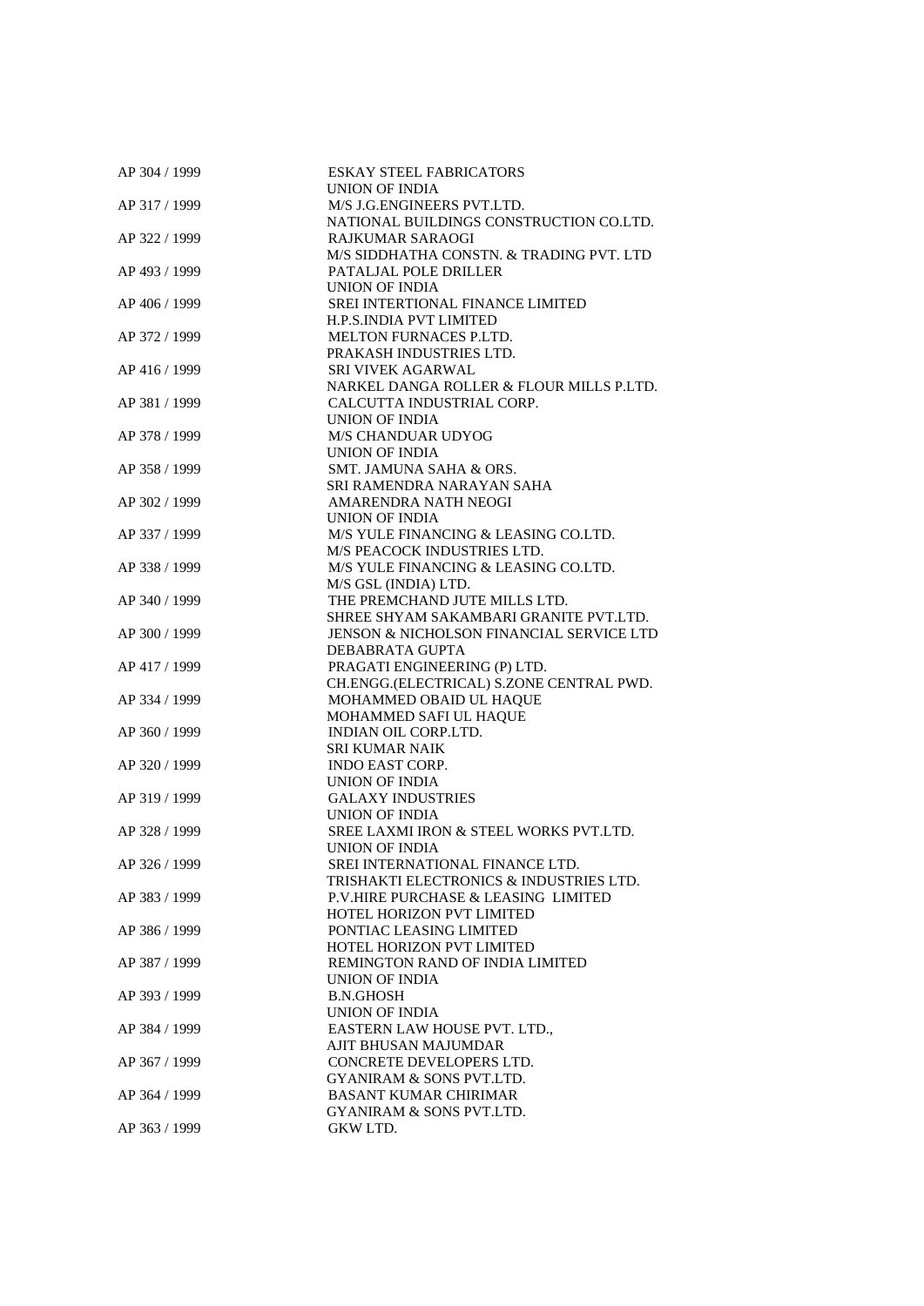| AP 304 / 1999 | <b>ESKAY STEEL FABRICATORS</b>           |
|---------------|------------------------------------------|
|               | UNION OF INDIA                           |
| AP 317 / 1999 | M/S J.G. ENGINEERS PVT.LTD.              |
|               | NATIONAL BUILDINGS CONSTRUCTION CO.LTD.  |
| AP 322 / 1999 | <b>RAJKUMAR SARAOGI</b>                  |
|               | M/S SIDDHATHA CONSTN. & TRADING PVT. LTD |
| AP 493 / 1999 | PATALJAL POLE DRILLER                    |
|               |                                          |
|               | UNION OF INDIA                           |
| AP 406 / 1999 | SREI INTERTIONAL FINANCE LIMITED         |
|               | <b>H.P.S.INDIA PVT LIMITED</b>           |
| AP 372 / 1999 | <b>MELTON FURNACES P.LTD.</b>            |
|               | PRAKASH INDUSTRIES LTD.                  |
| AP 416 / 1999 | <b>SRI VIVEK AGARWAL</b>                 |
|               | NARKEL DANGA ROLLER & FLOUR MILLS P.LTD. |
| AP 381 / 1999 | CALCUTTA INDUSTRIAL CORP.                |
|               | UNION OF INDIA                           |
| AP 378 / 1999 | <b>M/S CHANDUAR UDYOG</b>                |
|               | UNION OF INDIA                           |
| AP 358 / 1999 | SMT. JAMUNA SAHA & ORS.                  |
|               | SRI RAMENDRA NARAYAN SAHA                |
|               |                                          |
| AP 302 / 1999 | AMARENDRA NATH NEOGI                     |
|               | UNION OF INDIA                           |
| AP 337 / 1999 | M/S YULE FINANCING & LEASING CO.LTD.     |
|               | M/S PEACOCK INDUSTRIES LTD.              |
| AP 338 / 1999 | M/S YULE FINANCING & LEASING CO.LTD.     |
|               | M/S GSL (INDIA) LTD.                     |
| AP 340 / 1999 | THE PREMCHAND JUTE MILLS LTD.            |
|               | SHREE SHYAM SAKAMBARI GRANITE PVT.LTD.   |
| AP 300 / 1999 | JENSON & NICHOLSON FINANCIAL SERVICE LTD |
|               | DEBABRATA GUPTA                          |
| AP 417 / 1999 | PRAGATI ENGINEERING (P) LTD.             |
|               | CH.ENGG.(ELECTRICAL) S.ZONE CENTRAL PWD. |
| AP 334 / 1999 | MOHAMMED OBAID UL HAQUE                  |
|               | MOHAMMED SAFI UL HAQUE                   |
| AP 360 / 1999 | INDIAN OIL CORP.LTD.                     |
|               |                                          |
|               | <b>SRI KUMAR NAIK</b>                    |
| AP 320 / 1999 | <b>INDO EAST CORP.</b>                   |
|               | UNION OF INDIA                           |
| AP 319 / 1999 | <b>GALAXY INDUSTRIES</b>                 |
|               | <b>UNION OF INDIA</b>                    |
| AP 328 / 1999 | SREE LAXMI IRON & STEEL WORKS PVT.LTD.   |
|               | <b>UNION OF INDIA</b>                    |
| AP 326 / 1999 | SREI INTERNATIONAL FINANCE LTD.          |
|               | TRISHAKTI ELECTRONICS & INDUSTRIES LTD.  |
| AP 383 / 1999 | P.V.HIRE PURCHASE & LEASING LIMITED      |
|               | <b>HOTEL HORIZON PVT LIMITED</b>         |
| AP 386 / 1999 | PONTIAC LEASING LIMITED                  |
|               | HOTEL HORIZON PVT LIMITED                |
| AP 387 / 1999 | REMINGTON RAND OF INDIA LIMITED          |
|               | UNION OF INDIA                           |
|               |                                          |
| AP 393 / 1999 | <b>B.N.GHOSH</b>                         |
|               | UNION OF INDIA                           |
| AP 384 / 1999 | EASTERN LAW HOUSE PVT. LTD.,             |
|               | AJIT BHUSAN MAJUMDAR                     |
| AP 367 / 1999 | CONCRETE DEVELOPERS LTD.                 |
|               | GYANIRAM & SONS PVT.LTD.                 |
| AP 364 / 1999 | <b>BASANT KUMAR CHIRIMAR</b>             |
|               | <b>GYANIRAM &amp; SONS PVT.LTD.</b>      |
| AP 363 / 1999 | GKW LTD.                                 |
|               |                                          |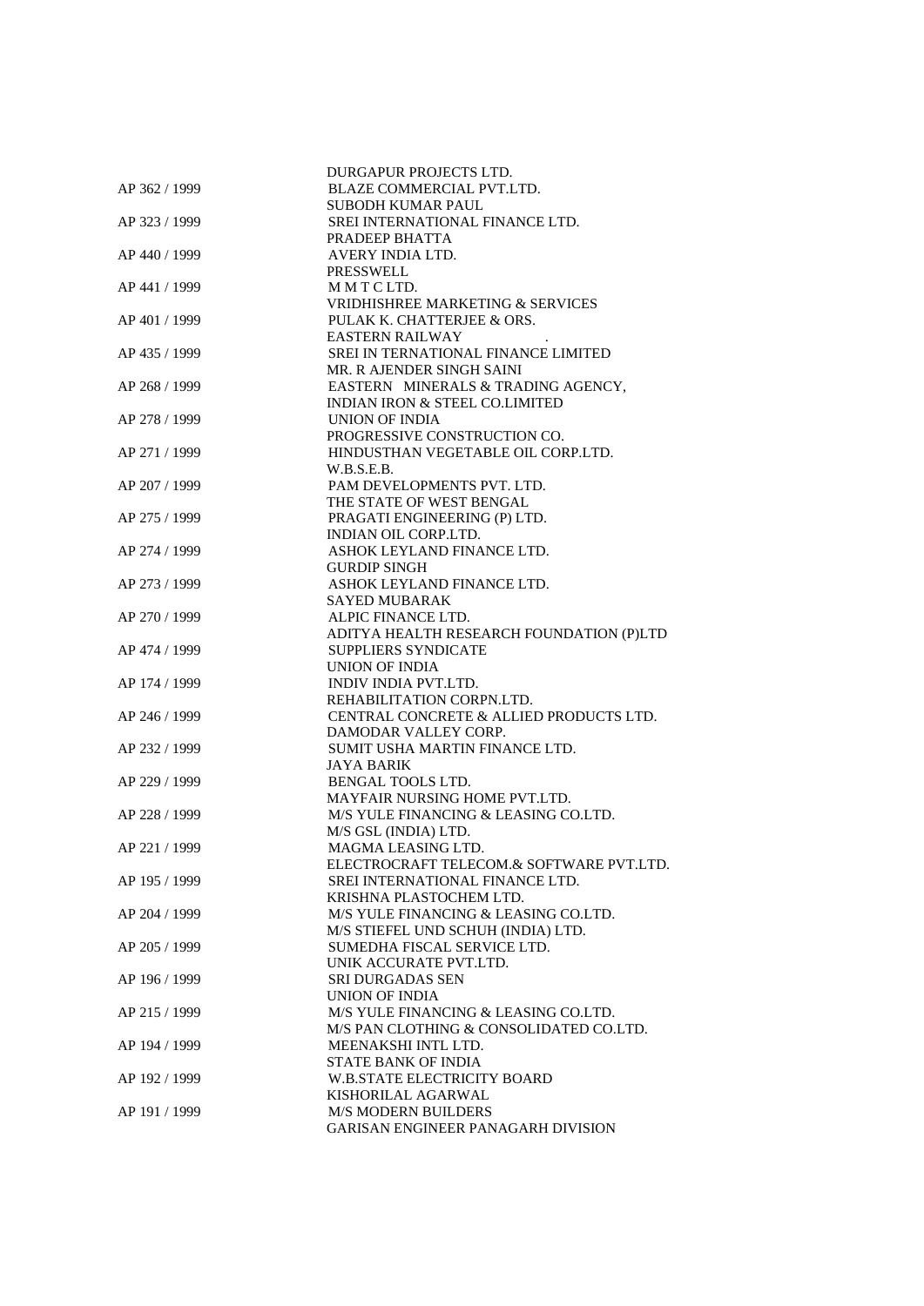|               | DURGAPUR PROJECTS LTD.                                          |
|---------------|-----------------------------------------------------------------|
| AP 362 / 1999 | BLAZE COMMERCIAL PVT.LTD.                                       |
|               | <b>SUBODH KUMAR PAUL</b>                                        |
| AP 323 / 1999 | SREI INTERNATIONAL FINANCE LTD.<br>PRADEEP BHATTA               |
| AP 440 / 1999 | AVERY INDIA LTD.                                                |
|               | <b>PRESSWELL</b>                                                |
| AP 441 / 1999 | MMTCLTD.                                                        |
|               | VRIDHISHREE MARKETING & SERVICES                                |
| AP 401 / 1999 | PULAK K. CHATTERJEE & ORS.                                      |
|               | <b>EASTERN RAILWAY</b>                                          |
| AP 435 / 1999 |                                                                 |
|               | SREI IN TERNATIONAL FINANCE LIMITED                             |
|               | MR. R AJENDER SINGH SAINI<br>EASTERN MINERALS & TRADING AGENCY, |
| AP 268 / 1999 | INDIAN IRON & STEEL CO.LIMITED                                  |
|               |                                                                 |
| AP 278 / 1999 | UNION OF INDIA<br>PROGRESSIVE CONSTRUCTION CO.                  |
|               | HINDUSTHAN VEGETABLE OIL CORP.LTD.                              |
| AP 271 / 1999 | W.B.S.E.B.                                                      |
| AP 207 / 1999 | PAM DEVELOPMENTS PVT. LTD.                                      |
|               | THE STATE OF WEST BENGAL                                        |
| AP 275 / 1999 | PRAGATI ENGINEERING (P) LTD.                                    |
|               | <b>INDIAN OIL CORP.LTD.</b>                                     |
| AP 274 / 1999 | ASHOK LEYLAND FINANCE LTD.                                      |
|               | <b>GURDIP SINGH</b>                                             |
| AP 273 / 1999 | ASHOK LEYLAND FINANCE LTD.                                      |
|               | SAYED MUBARAK                                                   |
| AP 270 / 1999 | ALPIC FINANCE LTD.                                              |
|               | ADITYA HEALTH RESEARCH FOUNDATION (P)LTD                        |
| AP 474 / 1999 | <b>SUPPLIERS SYNDICATE</b>                                      |
|               | UNION OF INDIA                                                  |
| AP 174 / 1999 | INDIV INDIA PVT.LTD.                                            |
|               | REHABILITATION CORPN.LTD.                                       |
| AP 246 / 1999 | CENTRAL CONCRETE & ALLIED PRODUCTS LTD.                         |
|               | DAMODAR VALLEY CORP.                                            |
| AP 232 / 1999 | SUMIT USHA MARTIN FINANCE LTD.                                  |
|               | <b>JAYA BARIK</b>                                               |
| AP 229 / 1999 | BENGAL TOOLS LTD.                                               |
|               | MAYFAIR NURSING HOME PVT.LTD.                                   |
| AP 228 / 1999 | M/S YULE FINANCING & LEASING CO.LTD.                            |
|               | M/S GSL (INDIA) LTD.                                            |
| AP 221 / 1999 | MAGMA LEASING LTD.                                              |
|               | ELECTROCRAFT TELECOM.& SOFTWARE PVT.LTD.                        |
| AP 195 / 1999 | SREI INTERNATIONAL FINANCE LTD.                                 |
|               | KRISHNA PLASTOCHEM LTD.                                         |
| AP 204 / 1999 | M/S YULE FINANCING & LEASING CO.LTD.                            |
|               | M/S STIEFEL UND SCHUH (INDIA) LTD.                              |
| AP 205 / 1999 | SUMEDHA FISCAL SERVICE LTD.                                     |
|               | UNIK ACCURATE PVT.LTD.                                          |
| AP 196 / 1999 | <b>SRI DURGADAS SEN</b>                                         |
|               | <b>UNION OF INDIA</b>                                           |
| AP 215 / 1999 | M/S YULE FINANCING & LEASING CO.LTD.                            |
|               | M/S PAN CLOTHING & CONSOLIDATED CO.LTD.                         |
| AP 194 / 1999 | MEENAKSHI INTL LTD.                                             |
|               | STATE BANK OF INDIA                                             |
| AP 192 / 1999 | <b>W.B.STATE ELECTRICITY BOARD</b>                              |
|               | KISHORILAL AGARWAL                                              |
| AP 191 / 1999 | <b>M/S MODERN BUILDERS</b>                                      |
|               | GARISAN ENGINEER PANAGARH DIVISION                              |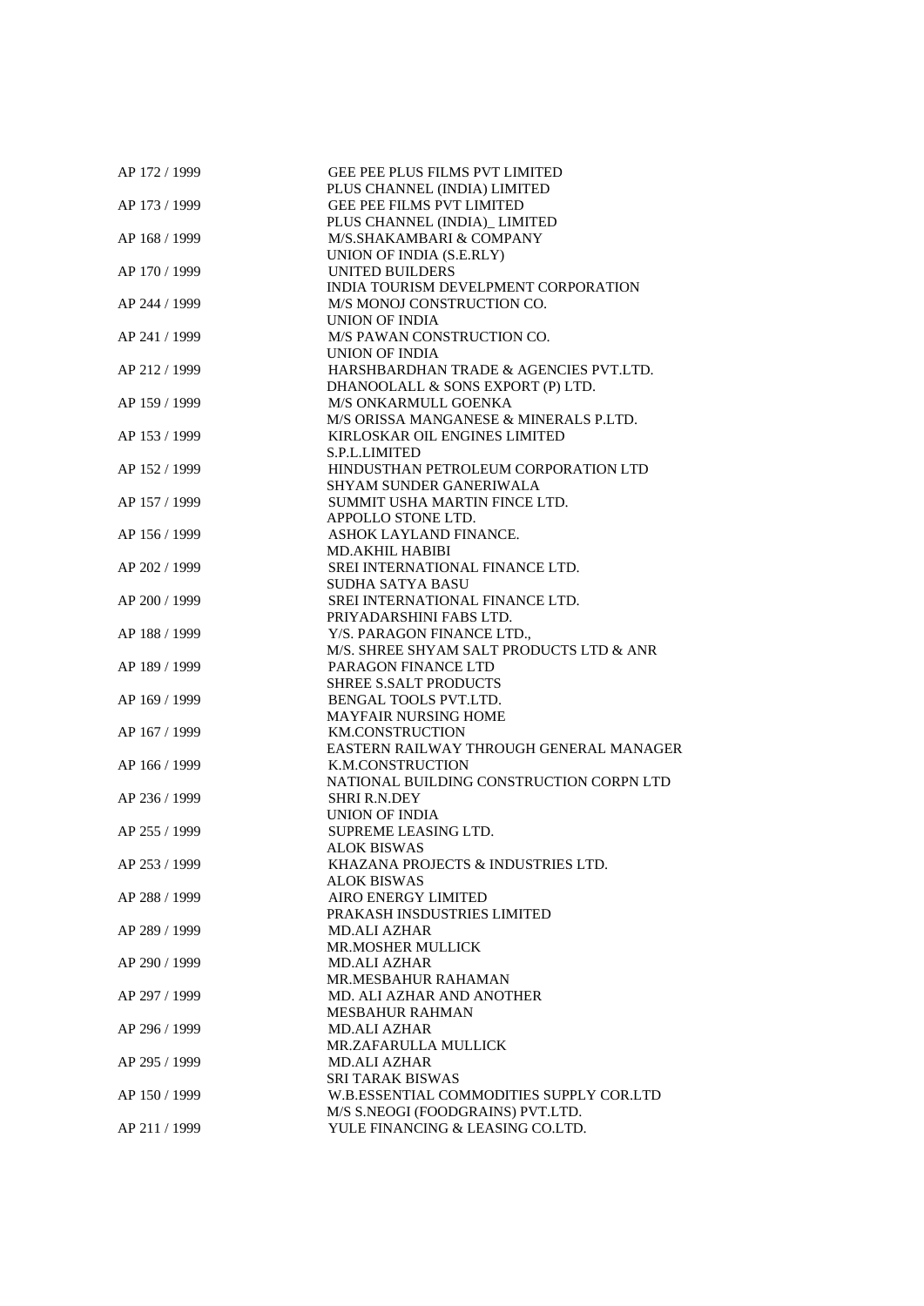| AP 172 / 1999 | GEE PEE PLUS FILMS PVT LIMITED           |
|---------------|------------------------------------------|
|               | PLUS CHANNEL (INDIA) LIMITED             |
| AP 173 / 1999 | <b>GEE PEE FILMS PVT LIMITED</b>         |
|               | PLUS CHANNEL (INDIA)_LIMITED             |
| AP 168 / 1999 | M/S.SHAKAMBARI & COMPANY                 |
|               | UNION OF INDIA (S.E.RLY)                 |
| AP 170 / 1999 | <b>UNITED BUILDERS</b>                   |
|               | INDIA TOURISM DEVELPMENT CORPORATION     |
|               |                                          |
| AP 244 / 1999 | M/S MONOJ CONSTRUCTION CO.               |
|               | UNION OF INDIA                           |
| AP 241 / 1999 | M/S PAWAN CONSTRUCTION CO.               |
|               | UNION OF INDIA                           |
| AP 212 / 1999 | HARSHBARDHAN TRADE & AGENCIES PVT.LTD.   |
|               | DHANOOLALL & SONS EXPORT (P) LTD.        |
| AP 159 / 1999 | M/S ONKARMULL GOENKA                     |
|               | M/S ORISSA MANGANESE & MINERALS P.LTD.   |
| AP 153 / 1999 | KIRLOSKAR OIL ENGINES LIMITED            |
|               | S.P.L.LIMITED                            |
| AP 152 / 1999 | HINDUSTHAN PETROLEUM CORPORATION LTD     |
|               | <b>SHYAM SUNDER GANERIWALA</b>           |
|               |                                          |
| AP 157 / 1999 | SUMMIT USHA MARTIN FINCE LTD.            |
|               | APPOLLO STONE LTD.                       |
| AP 156 / 1999 | ASHOK LAYLAND FINANCE.                   |
|               | MD.AKHIL HABIBI                          |
| AP 202 / 1999 | SREI INTERNATIONAL FINANCE LTD.          |
|               | <b>SUDHA SATYA BASU</b>                  |
| AP 200 / 1999 | SREI INTERNATIONAL FINANCE LTD.          |
|               | PRIYADARSHINI FABS LTD.                  |
| AP 188 / 1999 | Y/S. PARAGON FINANCE LTD.,               |
|               | M/S. SHREE SHYAM SALT PRODUCTS LTD & ANR |
| AP 189 / 1999 | PARAGON FINANCE LTD                      |
|               | <b>SHREE S.SALT PRODUCTS</b>             |
| AP 169 / 1999 | <b>BENGAL TOOLS PVT.LTD.</b>             |
|               | <b>MAYFAIR NURSING HOME</b>              |
| AP 167 / 1999 | <b>KM.CONSTRUCTION</b>                   |
|               |                                          |
|               | EASTERN RAILWAY THROUGH GENERAL MANAGER  |
| AP 166 / 1999 | K.M.CONSTRUCTION                         |
|               | NATIONAL BUILDING CONSTRUCTION CORPN LTD |
| AP 236 / 1999 | <b>SHRI R.N.DEY</b>                      |
|               | <b>UNION OF INDIA</b>                    |
| AP 255 / 1999 | SUPREME LEASING LTD.                     |
|               | <b>ALOK BISWAS</b>                       |
| AP 253 / 1999 | KHAZANA PROJECTS & INDUSTRIES LTD.       |
|               | ALOK BISWAS                              |
| AP 288 / 1999 | <b>AIRO ENERGY LIMITED</b>               |
|               | PRAKASH INSDUSTRIES LIMITED              |
| AP 289 / 1999 | <b>MD.ALI AZHAR</b>                      |
|               | <b>MR.MOSHER MULLICK</b>                 |
| AP 290 / 1999 | <b>MD.ALI AZHAR</b>                      |
|               | MR.MESBAHUR RAHAMAN                      |
|               |                                          |
| AP 297 / 1999 | MD. ALI AZHAR AND ANOTHER                |
|               | <b>MESBAHUR RAHMAN</b>                   |
| AP 296 / 1999 | <b>MD.ALI AZHAR</b>                      |
|               | MR.ZAFARULLA MULLICK                     |
| AP 295 / 1999 | <b>MD.ALI AZHAR</b>                      |
|               | <b>SRI TARAK BISWAS</b>                  |
| AP 150 / 1999 | W.B.ESSENTIAL COMMODITIES SUPPLY COR.LTD |
|               | M/S S.NEOGI (FOODGRAINS) PVT.LTD.        |
| AP 211 / 1999 | YULE FINANCING & LEASING CO.LTD.         |
|               |                                          |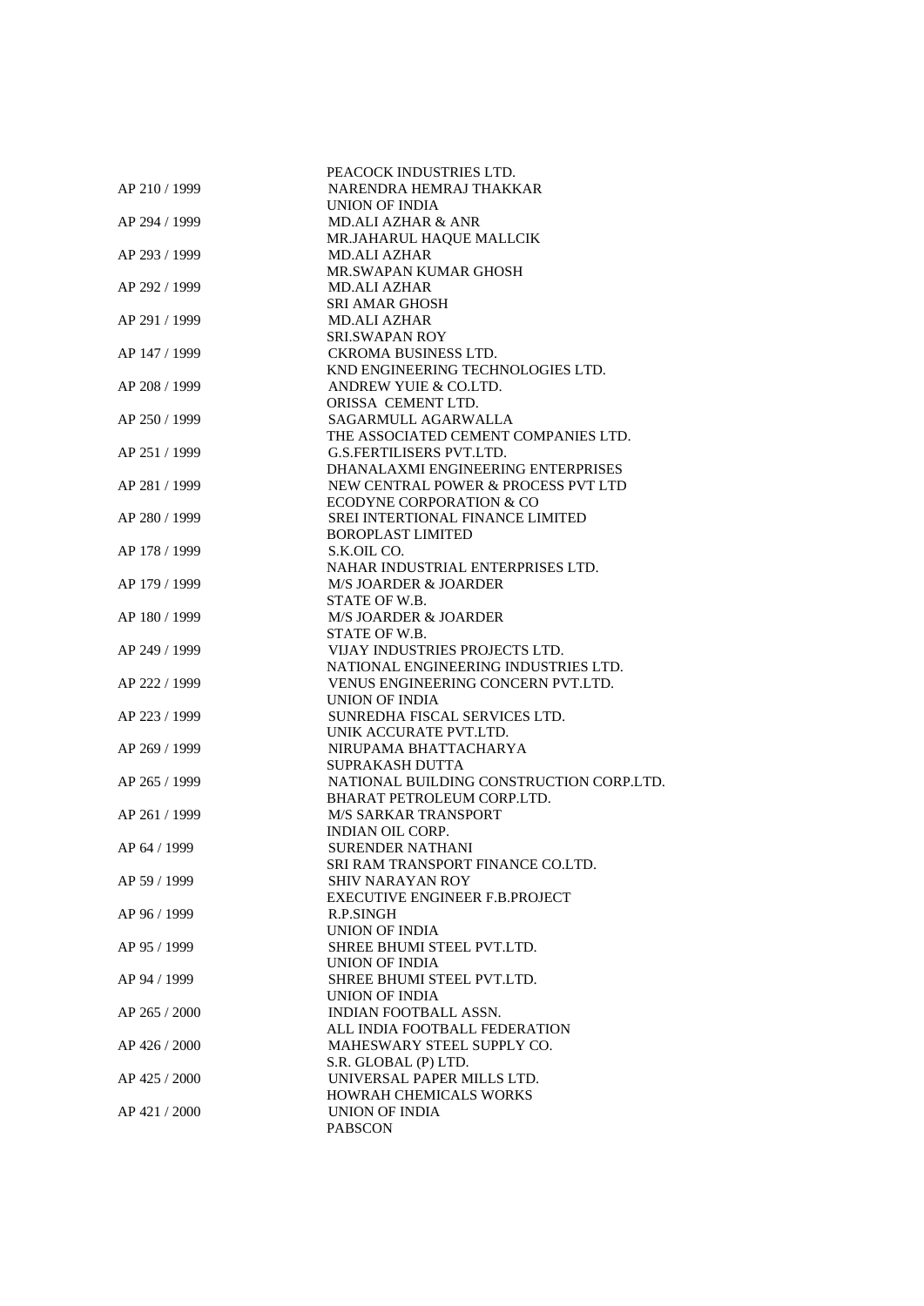|               | PEACOCK INDUSTRIES LTD.                  |
|---------------|------------------------------------------|
| AP 210 / 1999 | NARENDRA HEMRAJ THAKKAR                  |
|               | UNION OF INDIA                           |
| AP 294 / 1999 | <b>MD.ALI AZHAR &amp; ANR</b>            |
|               | MR.JAHARUL HAQUE MALLCIK                 |
| AP 293 / 1999 | <b>MD.ALI AZHAR</b>                      |
|               | MR.SWAPAN KUMAR GHOSH                    |
| AP 292 / 1999 | <b>MD.ALI AZHAR</b>                      |
|               | <b>SRI AMAR GHOSH</b>                    |
| AP 291 / 1999 | MD.ALI AZHAR                             |
|               | SRI.SWAPAN ROY                           |
| AP 147 / 1999 | CKROMA BUSINESS LTD.                     |
|               | KND ENGINEERING TECHNOLOGIES LTD.        |
| AP 208 / 1999 | ANDREW YUIE & CO.LTD.                    |
|               | ORISSA CEMENT LTD.                       |
| AP 250 / 1999 | SAGARMULL AGARWALLA                      |
|               | THE ASSOCIATED CEMENT COMPANIES LTD.     |
| AP 251 / 1999 | <b>G.S.FERTILISERS PVT.LTD.</b>          |
|               | DHANALAXMI ENGINEERING ENTERPRISES       |
| AP 281 / 1999 | NEW CENTRAL POWER & PROCESS PVT LTD      |
|               | ECODYNE CORPORATION & CO                 |
| AP 280 / 1999 | SREI INTERTIONAL FINANCE LIMITED         |
|               | <b>BOROPLAST LIMITED</b>                 |
| AP 178 / 1999 | S.K.OIL CO.                              |
|               | NAHAR INDUSTRIAL ENTERPRISES LTD.        |
| AP 179 / 1999 | M/S JOARDER & JOARDER                    |
|               | STATE OF W.B.                            |
| AP 180 / 1999 | <b>M/S JOARDER &amp; JOARDER</b>         |
|               | STATE OF W.B.                            |
| AP 249 / 1999 | VIJAY INDUSTRIES PROJECTS LTD.           |
|               | NATIONAL ENGINEERING INDUSTRIES LTD.     |
| AP 222 / 1999 | VENUS ENGINEERING CONCERN PVT.LTD.       |
|               | UNION OF INDIA                           |
| AP 223 / 1999 | SUNREDHA FISCAL SERVICES LTD.            |
|               | UNIK ACCURATE PVT.LTD.                   |
| AP 269 / 1999 | NIRUPAMA BHATTACHARYA                    |
|               | SUPRAKASH DUTTA                          |
| AP 265 / 1999 | NATIONAL BUILDING CONSTRUCTION CORP.LTD. |
|               | BHARAT PETROLEUM CORP.LTD.               |
| AP 261 / 1999 | <b>M/S SARKAR TRANSPORT</b>              |
|               | <b>INDIAN OIL CORP.</b>                  |
| AP 64 / 1999  | SURENDER NATHANI                         |
|               | SRI RAM TRANSPORT FINANCE CO.LTD.        |
| AP 59 / 1999  | <b>SHIV NARAYAN ROY</b>                  |
|               | EXECUTIVE ENGINEER F.B.PROJECT           |
| AP 96 / 1999  | R.P.SINGH                                |
|               | UNION OF INDIA                           |
| AP 95 / 1999  | SHREE BHUMI STEEL PVT.LTD.               |
|               | UNION OF INDIA                           |
| AP 94 / 1999  | SHREE BHUMI STEEL PVT.LTD.               |
|               | UNION OF INDIA                           |
| AP 265 / 2000 | <b>INDIAN FOOTBALL ASSN.</b>             |
|               | ALL INDIA FOOTBALL FEDERATION            |
| AP 426 / 2000 | MAHESWARY STEEL SUPPLY CO.               |
|               | S.R. GLOBAL (P) LTD.                     |
| AP 425 / 2000 | UNIVERSAL PAPER MILLS LTD.               |
|               | HOWRAH CHEMICALS WORKS<br>UNION OF INDIA |
| AP 421 / 2000 | <b>PABSCON</b>                           |
|               |                                          |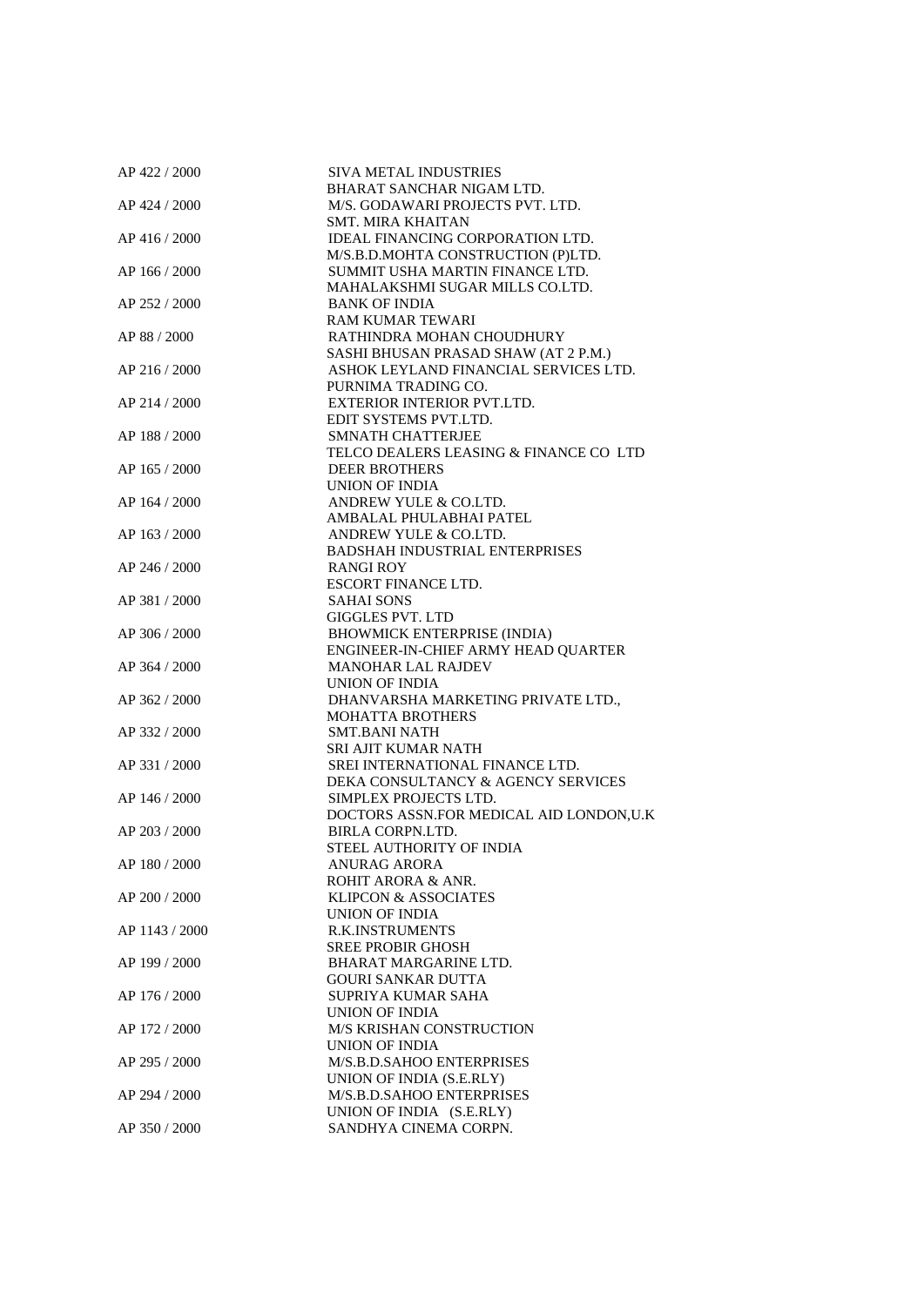| AP 422 / 2000  | SIVA METAL INDUSTRIES                                         |
|----------------|---------------------------------------------------------------|
|                | <b>BHARAT SANCHAR NIGAM LTD.</b>                              |
| AP 424 / 2000  | M/S. GODAWARI PROJECTS PVT. LTD.                              |
|                | <b>SMT. MIRA KHAITAN</b>                                      |
| AP 416 / 2000  | IDEAL FINANCING CORPORATION LTD.                              |
|                | M/S.B.D.MOHTA CONSTRUCTION (P)LTD.                            |
| AP 166 / 2000  | SUMMIT USHA MARTIN FINANCE LTD.                               |
|                | MAHALAKSHMI SUGAR MILLS CO.LTD.                               |
| AP 252 / 2000  | <b>BANK OF INDIA</b>                                          |
|                | <b>RAM KUMAR TEWARI</b>                                       |
| AP 88 / 2000   | RATHINDRA MOHAN CHOUDHURY                                     |
|                | SASHI BHUSAN PRASAD SHAW (AT 2 P.M.)                          |
| AP 216 / 2000  | ASHOK LEYLAND FINANCIAL SERVICES LTD.                         |
|                | PURNIMA TRADING CO.                                           |
| AP 214 / 2000  | EXTERIOR INTERIOR PVT.LTD.                                    |
|                |                                                               |
|                | EDIT SYSTEMS PVT.LTD.                                         |
| AP 188 / 2000  | <b>SMNATH CHATTERJEE</b>                                      |
|                | TELCO DEALERS LEASING & FINANCE CO LTD                        |
| AP 165 / 2000  | <b>DEER BROTHERS</b>                                          |
|                | UNION OF INDIA                                                |
| AP 164 / 2000  | ANDREW YULE & CO.LTD.                                         |
|                | AMBALAL PHULABHAI PATEL                                       |
| AP 163 / 2000  | ANDREW YULE & CO.LTD.                                         |
|                | <b>BADSHAH INDUSTRIAL ENTERPRISES</b>                         |
| AP 246 / 2000  | RANGI ROY                                                     |
|                | ESCORT FINANCE LTD.                                           |
| AP 381 / 2000  | <b>SAHAI SONS</b>                                             |
|                | <b>GIGGLES PVT. LTD</b>                                       |
| AP 306 / 2000  | <b>BHOWMICK ENTERPRISE (INDIA)</b>                            |
|                | ENGINEER-IN-CHIEF ARMY HEAD QUARTER                           |
| AP 364 / 2000  | <b>MANOHAR LAL RAJDEV</b>                                     |
|                | UNION OF INDIA                                                |
| AP 362 / 2000  |                                                               |
|                | DHANVARSHA MARKETING PRIVATE LTD.,<br><b>MOHATTA BROTHERS</b> |
|                |                                                               |
| AP 332 / 2000  | <b>SMT.BANI NATH</b>                                          |
|                | <b>SRI AJIT KUMAR NATH</b>                                    |
| AP 331 / 2000  | SREI INTERNATIONAL FINANCE LTD.                               |
|                | DEKA CONSULTANCY & AGENCY SERVICES                            |
| AP 146 / 2000  | SIMPLEX PROJECTS LTD.                                         |
|                | DOCTORS ASSN.FOR MEDICAL AID LONDON,U.K                       |
| AP 203 / 2000  | BIRLA CORPN.LTD.                                              |
|                | STEEL AUTHORITY OF INDIA                                      |
| AP 180 / 2000  | ANURAG ARORA                                                  |
|                | ROHIT ARORA & ANR.                                            |
| AP 200 / 2000  | <b>KLIPCON &amp; ASSOCIATES</b>                               |
|                | UNION OF INDIA                                                |
| AP 1143 / 2000 | <b>R.K.INSTRUMENTS</b>                                        |
|                | <b>SREE PROBIR GHOSH</b>                                      |
| AP 199 / 2000  | BHARAT MARGARINE LTD.                                         |
|                | <b>GOURI SANKAR DUTTA</b>                                     |
| AP 176 / 2000  | SUPRIYA KUMAR SAHA                                            |
|                | <b>UNION OF INDIA</b>                                         |
| AP 172 / 2000  | <b>M/S KRISHAN CONSTRUCTION</b>                               |
|                | UNION OF INDIA                                                |
| AP 295 / 2000  | M/S.B.D.SAHOO ENTERPRISES                                     |
|                |                                                               |
|                | UNION OF INDIA (S.E.RLY)                                      |
| AP 294 / 2000  | M/S.B.D.SAHOO ENTERPRISES                                     |
|                | UNION OF INDIA (S.E.RLY)                                      |
| AP 350 / 2000  | SANDHYA CINEMA CORPN.                                         |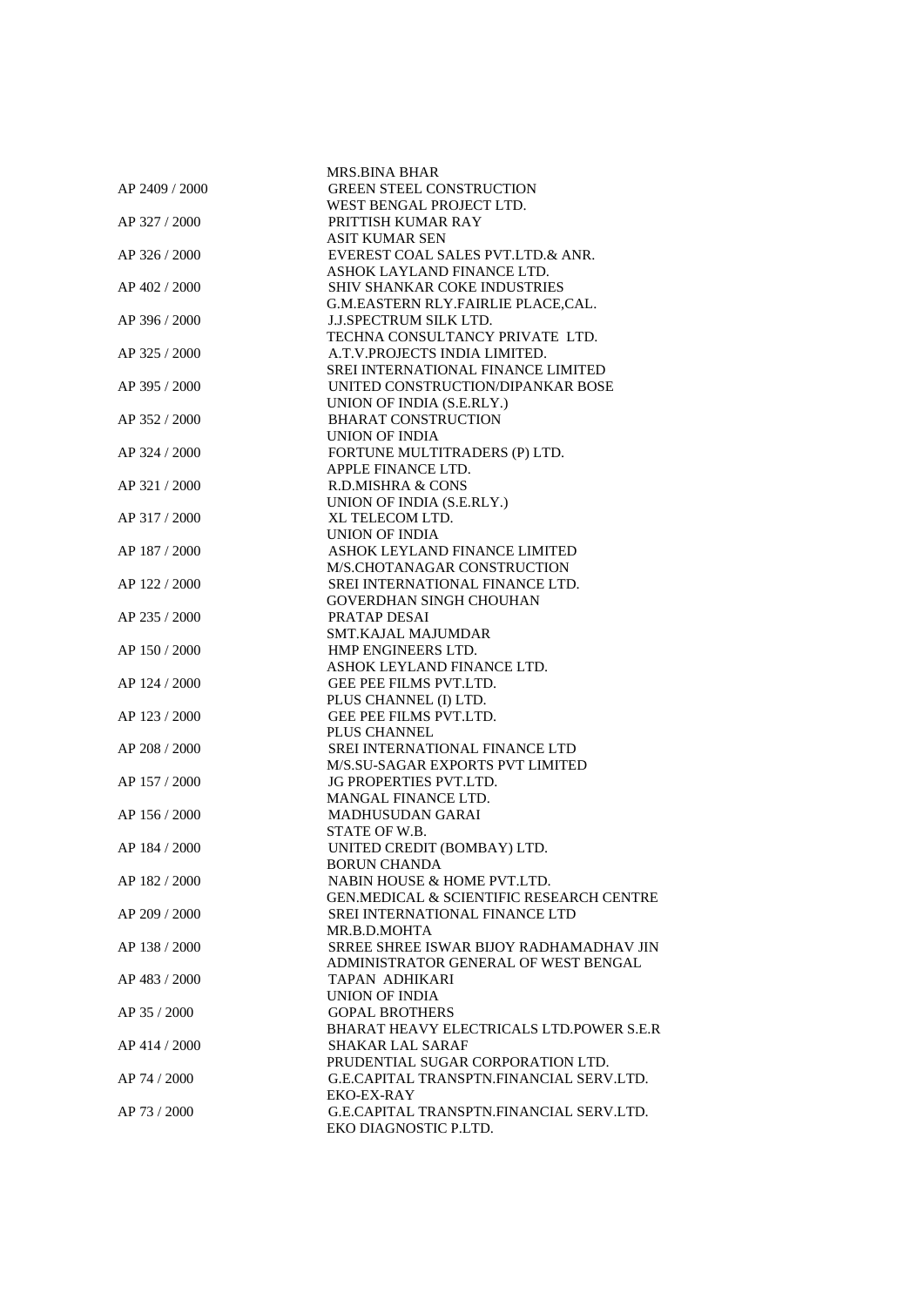|                | MRS.BINA BHAR                                                             |
|----------------|---------------------------------------------------------------------------|
| AP 2409 / 2000 | <b>GREEN STEEL CONSTRUCTION</b>                                           |
|                | WEST BENGAL PROJECT LTD.                                                  |
| AP 327 / 2000  | PRITTISH KUMAR RAY                                                        |
|                | <b>ASIT KUMAR SEN</b>                                                     |
| AP 326 / 2000  | EVEREST COAL SALES PVT.LTD.& ANR.                                         |
|                | ASHOK LAYLAND FINANCE LTD.                                                |
| AP 402 / 2000  | <b>SHIV SHANKAR COKE INDUSTRIES</b>                                       |
|                | G.M.EASTERN RLY.FAIRLIE PLACE,CAL.                                        |
| AP 396 / 2000  | <b>J.J.SPECTRUM SILK LTD.</b>                                             |
|                | TECHNA CONSULTANCY PRIVATE LTD.                                           |
| AP 325 / 2000  | A.T.V.PROJECTS INDIA LIMITED.                                             |
|                | <b>SREI INTERNATIONAL FINANCE LIMITED</b>                                 |
| AP 395 / 2000  | UNITED CONSTRUCTION/DIPANKAR BOSE                                         |
|                | UNION OF INDIA (S.E.RLY.)                                                 |
|                | <b>BHARAT CONSTRUCTION</b>                                                |
| AP 352 / 2000  | UNION OF INDIA                                                            |
|                |                                                                           |
| AP 324 / 2000  | FORTUNE MULTITRADERS (P) LTD.<br>APPLE FINANCE LTD.                       |
|                |                                                                           |
| AP 321 / 2000  | R.D.MISHRA & CONS                                                         |
|                | UNION OF INDIA (S.E.RLY.)                                                 |
| AP 317 / 2000  | XL TELECOM LTD.                                                           |
|                | <b>UNION OF INDIA</b>                                                     |
| AP 187 / 2000  | ASHOK LEYLAND FINANCE LIMITED                                             |
|                | M/S.CHOTANAGAR CONSTRUCTION                                               |
| AP 122 / 2000  | SREI INTERNATIONAL FINANCE LTD.                                           |
|                | <b>GOVERDHAN SINGH CHOUHAN</b>                                            |
| AP 235 / 2000  | PRATAP DESAI                                                              |
|                | SMT.KAJAL MAJUMDAR                                                        |
| AP 150 / 2000  | HMP ENGINEERS LTD.                                                        |
|                | ASHOK LEYLAND FINANCE LTD.                                                |
| AP 124 / 2000  | GEE PEE FILMS PVT.LTD.                                                    |
|                | PLUS CHANNEL (I) LTD.                                                     |
| AP 123 / 2000  | GEE PEE FILMS PVT.LTD.                                                    |
|                | PLUS CHANNEL                                                              |
| AP 208 / 2000  | <b>SREI INTERNATIONAL FINANCE LTD</b><br>M/S.SU-SAGAR EXPORTS PVT LIMITED |
| AP 157 / 2000  | <b>JG PROPERTIES PVT.LTD.</b>                                             |
|                | MANGAL FINANCE LTD.                                                       |
| AP 156 / 2000  | <b>MADHUSUDAN GARAI</b>                                                   |
|                | STATE OF W.B.                                                             |
| AP 184 / 2000  | UNITED CREDIT (BOMBAY) LTD.                                               |
|                | <b>BORUN CHANDA</b>                                                       |
| AP 182 / 2000  | NABIN HOUSE & HOME PVT.LTD.                                               |
|                | <b>GEN.MEDICAL &amp; SCIENTIFIC RESEARCH CENTRE</b>                       |
| AP 209 / 2000  | SREI INTERNATIONAL FINANCE LTD                                            |
|                | MR.B.D.MOHTA                                                              |
|                | SRREE SHREE ISWAR BIJOY RADHAMADHAV JIN                                   |
| AP 138 / 2000  | ADMINISTRATOR GENERAL OF WEST BENGAL                                      |
|                | TAPAN ADHIKARI                                                            |
| AP 483 / 2000  |                                                                           |
|                | <b>UNION OF INDIA</b><br><b>GOPAL BROTHERS</b>                            |
| AP 35 / 2000   | BHARAT HEAVY ELECTRICALS LTD.POWER S.E.R                                  |
|                |                                                                           |
| AP 414 / 2000  | <b>SHAKAR LAL SARAF</b>                                                   |
|                | PRUDENTIAL SUGAR CORPORATION LTD.                                         |
| AP 74 / 2000   | G.E.CAPITAL TRANSPTN.FINANCIAL SERV.LTD.                                  |
|                | EKO-EX-RAY                                                                |
| AP 73 / 2000   | G.E.CAPITAL TRANSPTN.FINANCIAL SERV.LTD.                                  |
|                | EKO DIAGNOSTIC P.LTD.                                                     |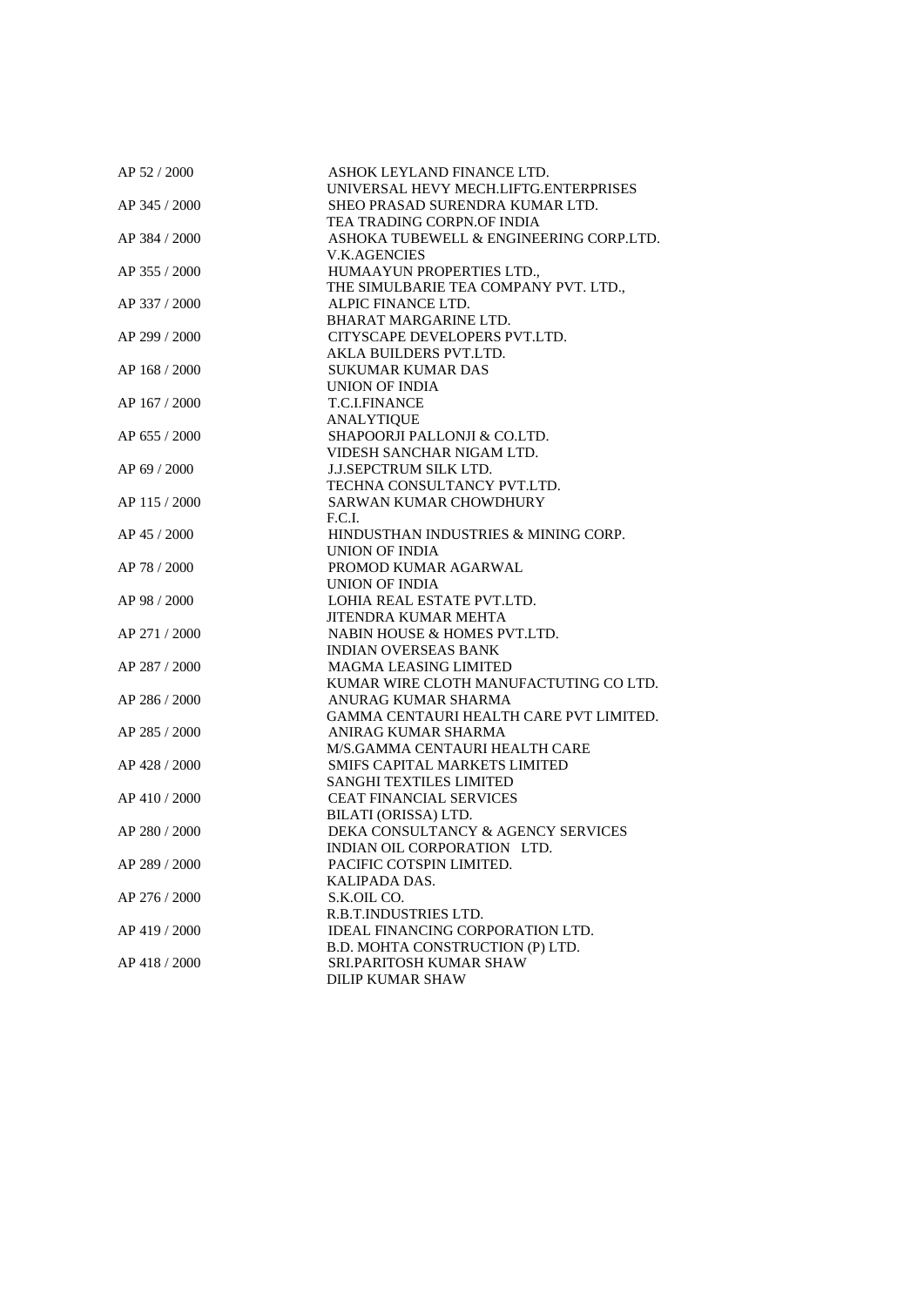| AP 52 / 2000  | ASHOK LEYLAND FINANCE LTD.<br>UNIVERSAL HEVY MECH.LIFTG.ENTERPRISES |
|---------------|---------------------------------------------------------------------|
| AP 345 / 2000 | SHEO PRASAD SURENDRA KUMAR LTD.                                     |
|               | TEA TRADING CORPN.OF INDIA                                          |
| AP 384 / 2000 | ASHOKA TUBEWELL & ENGINEERING CORP.LTD.                             |
|               | <b>V.K.AGENCIES</b>                                                 |
| AP 355 / 2000 | HUMAAYUN PROPERTIES LTD.,                                           |
|               | THE SIMULBARIE TEA COMPANY PVT. LTD.,                               |
| AP 337 / 2000 | ALPIC FINANCE LTD.                                                  |
|               | BHARAT MARGARINE LTD.                                               |
| AP 299 / 2000 | CITYSCAPE DEVELOPERS PVT.LTD.                                       |
|               | AKLA BUILDERS PVT.LTD.                                              |
| AP 168 / 2000 | <b>SUKUMAR KUMAR DAS</b>                                            |
|               | <b>UNION OF INDIA</b>                                               |
| AP 167 / 2000 | T.C.I.FINANCE                                                       |
|               | <b>ANALYTIQUE</b>                                                   |
| AP 655 / 2000 | SHAPOORJI PALLONJI & CO.LTD.                                        |
|               | VIDESH SANCHAR NIGAM LTD.                                           |
| AP 69 / 2000  | <b>J.J.SEPCTRUM SILK LTD.</b>                                       |
|               | TECHNA CONSULTANCY PVT.LTD.                                         |
| AP 115 / 2000 | SARWAN KUMAR CHOWDHURY                                              |
|               | F.C.I.                                                              |
| AP 45 / 2000  | HINDUSTHAN INDUSTRIES & MINING CORP.                                |
|               | UNION OF INDIA                                                      |
| AP 78 / 2000  | PROMOD KUMAR AGARWAL                                                |
|               | UNION OF INDIA                                                      |
| AP 98 / 2000  | LOHIA REAL ESTATE PVT.LTD.                                          |
|               | JITENDRA KUMAR MEHTA                                                |
| AP 271 / 2000 | NABIN HOUSE & HOMES PVT.LTD.                                        |
|               | <b>INDIAN OVERSEAS BANK</b>                                         |
| AP 287 / 2000 | <b>MAGMA LEASING LIMITED</b>                                        |
|               | KUMAR WIRE CLOTH MANUFACTUTING CO LTD.                              |
| AP 286 / 2000 | ANURAG KUMAR SHARMA                                                 |
|               | GAMMA CENTAURI HEALTH CARE PVT LIMITED.                             |
| AP 285 / 2000 | ANIRAG KUMAR SHARMA                                                 |
|               | M/S.GAMMA CENTAURI HEALTH CARE                                      |
| AP 428 / 2000 | <b>SMIFS CAPITAL MARKETS LIMITED</b>                                |
|               | <b>SANGHI TEXTILES LIMITED</b>                                      |
| AP 410 / 2000 | CEAT FINANCIAL SERVICES                                             |
|               | BILATI (ORISSA) LTD.                                                |
| AP 280 / 2000 | DEKA CONSULTANCY & AGENCY SERVICES                                  |
|               | INDIAN OIL CORPORATION LTD.                                         |
| AP 289 / 2000 | PACIFIC COTSPIN LIMITED.                                            |
|               | KALIPADA DAS.                                                       |
| AP 276 / 2000 | S.K.OIL CO.                                                         |
|               | R.B.T.INDUSTRIES LTD.                                               |
| AP 419 / 2000 | IDEAL FINANCING CORPORATION LTD.                                    |
|               | B.D. MOHTA CONSTRUCTION (P) LTD.                                    |
| AP 418 / 2000 | <b>SRI.PARITOSH KUMAR SHAW</b>                                      |
|               | <b>DILIP KUMAR SHAW</b>                                             |
|               |                                                                     |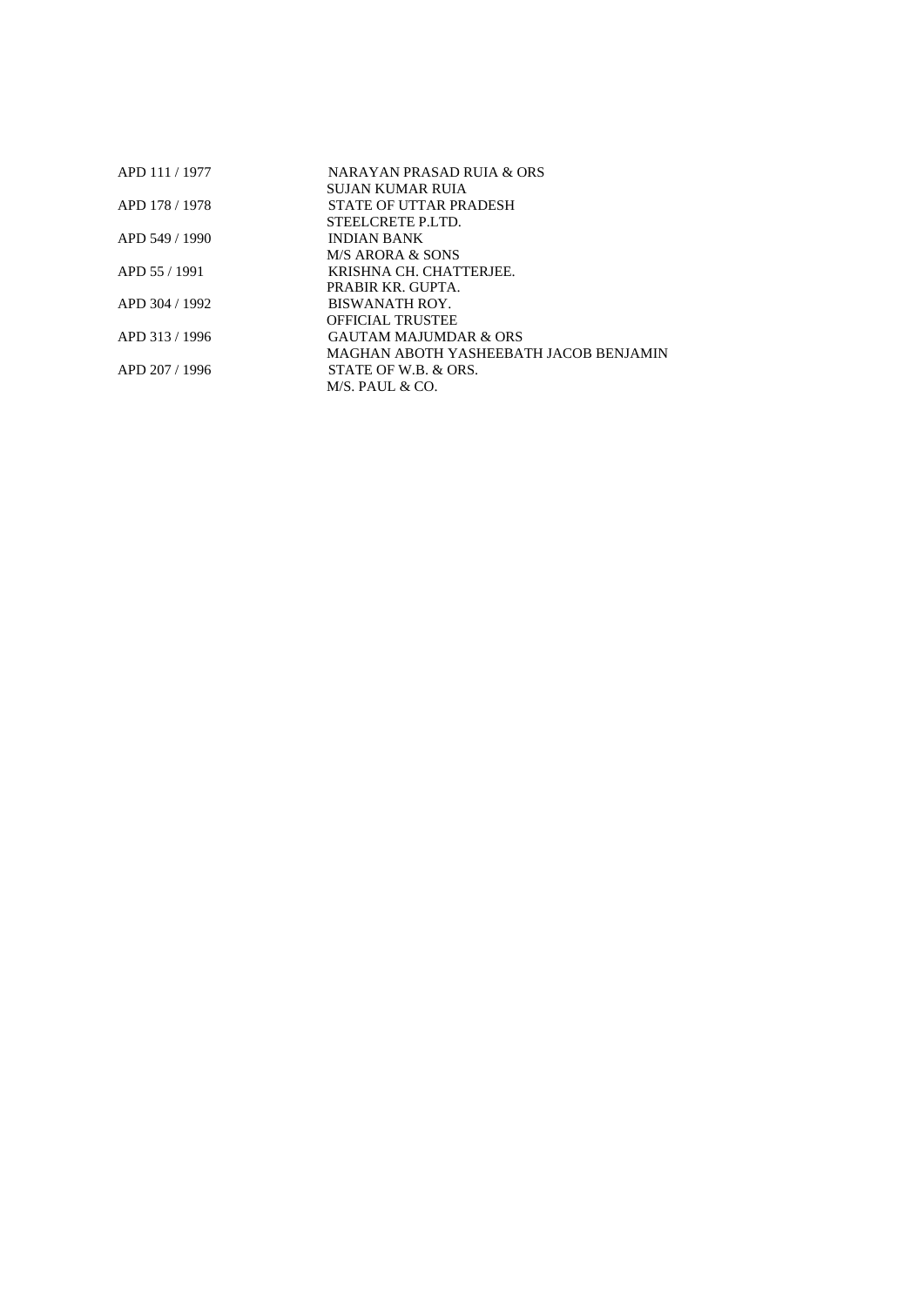| APD 111 / 1977 | NARAYAN PRASAD RUJA & ORS              |
|----------------|----------------------------------------|
|                | SUJAN KUMAR RUIA                       |
| APD 178 / 1978 | STATE OF UTTAR PRADESH                 |
|                | STEEL CRETE P.LTD.                     |
| APD 549 / 1990 | <b>INDIAN BANK</b>                     |
|                | M/S ARORA & SONS                       |
| APD 55 / 1991  | KRISHNA CH. CHATTERJEE.                |
|                | PRABIR KR GUPTA.                       |
| APD 304 / 1992 | BISWANATH ROY.                         |
|                | <b>OFFICIAL TRUSTEE</b>                |
| APD 313/1996   | <b>GAUTAM MAJUMDAR &amp; ORS</b>       |
|                | MAGHAN ABOTH YASHEEBATH JACOB BENJAMIN |
| APD 207 / 1996 | STATE OF W.B. & ORS.                   |
|                | $M/S.$ PAUL & CO.                      |
|                |                                        |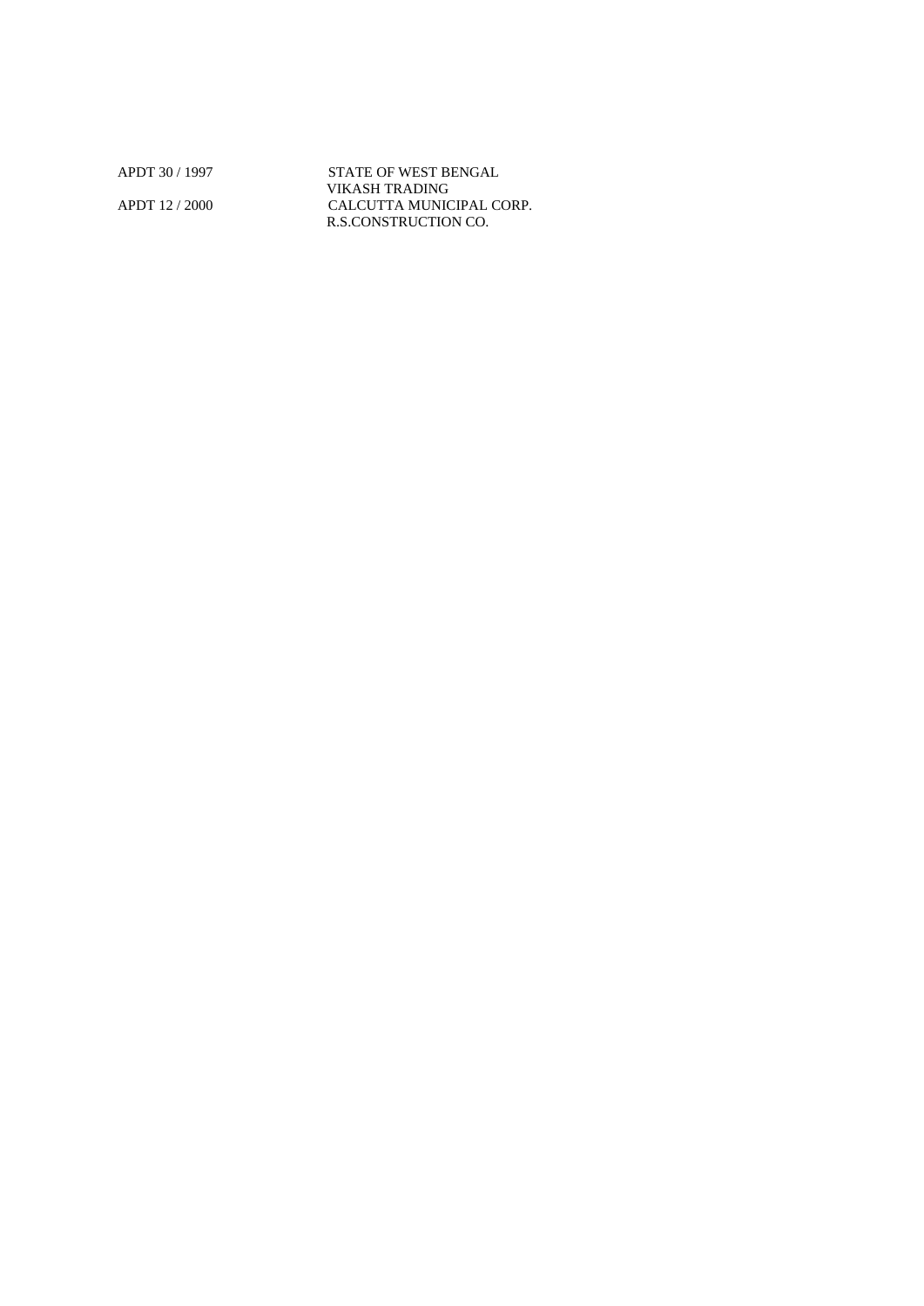APDT 30 / 1997 STATE OF WEST BENGAL VIKASH TRADING APDT 12 / 2000 CALCUTTA MUNICIPAL CORP. R.S.CONSTRUCTION CO.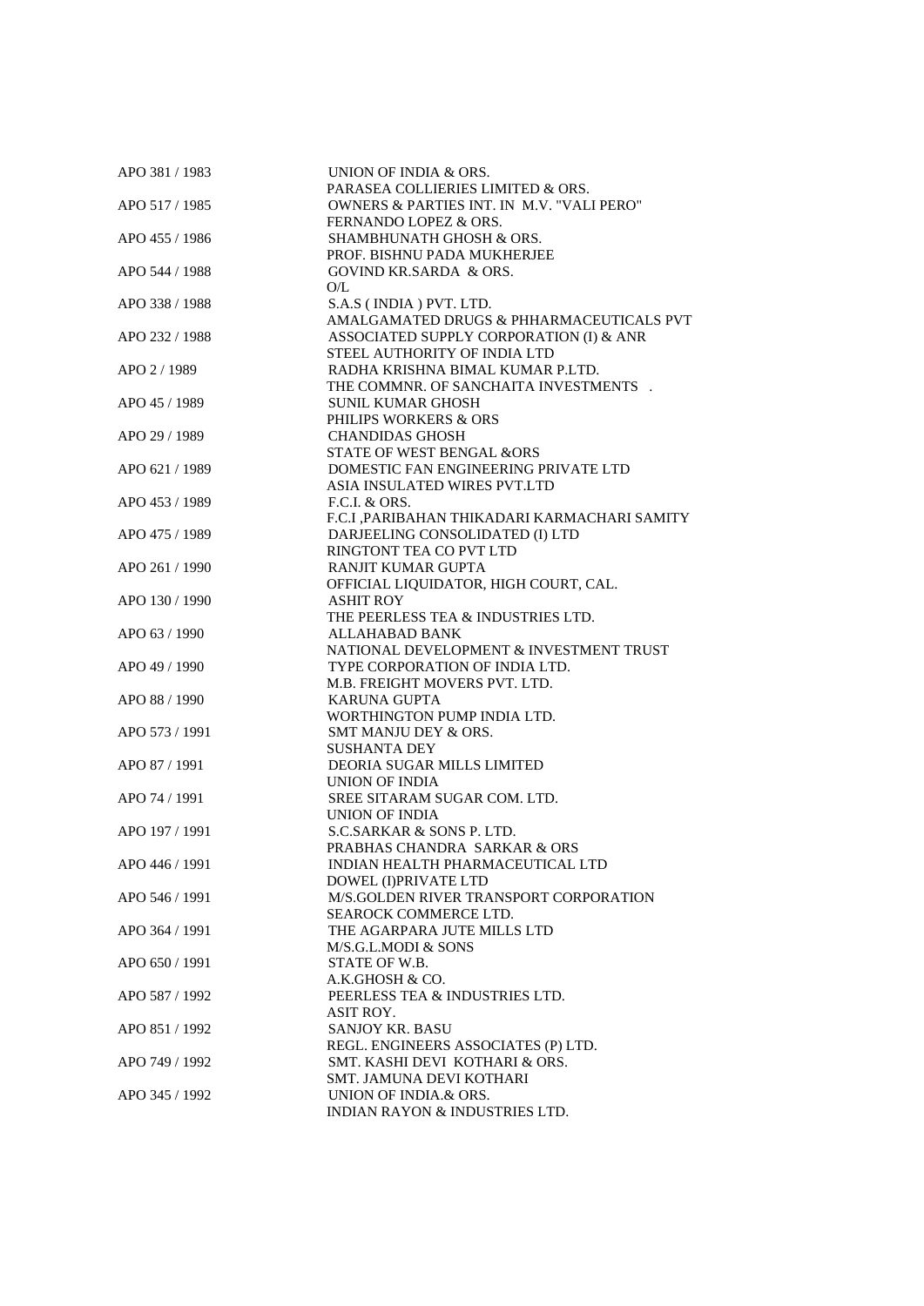| APO 381 / 1983 | UNION OF INDIA & ORS.                         |
|----------------|-----------------------------------------------|
|                | PARASEA COLLIERIES LIMITED & ORS.             |
| APO 517 / 1985 | OWNERS & PARTIES INT. IN M.V. "VALI PERO"     |
|                | FERNANDO LOPEZ & ORS.                         |
| APO 455 / 1986 | SHAMBHUNATH GHOSH & ORS.                      |
|                | PROF. BISHNU PADA MUKHERJEE                   |
| APO 544 / 1988 | <b>GOVIND KR.SARDA &amp; ORS.</b>             |
|                | O/L                                           |
| APO 338 / 1988 | S.A.S (INDIA) PVT. LTD.                       |
|                | AMALGAMATED DRUGS & PHHARMACEUTICALS PVT      |
| APO 232 / 1988 | ASSOCIATED SUPPLY CORPORATION (I) & ANR       |
|                | STEEL AUTHORITY OF INDIA LTD                  |
| APO 2/1989     | RADHA KRISHNA BIMAL KUMAR P.LTD.              |
|                | THE COMMNR. OF SANCHAITA INVESTMENTS.         |
| APO 45 / 1989  | <b>SUNIL KUMAR GHOSH</b>                      |
|                | PHILIPS WORKERS & ORS                         |
| APO 29 / 1989  | <b>CHANDIDAS GHOSH</b>                        |
|                | STATE OF WEST BENGAL &ORS                     |
| APO 621 / 1989 | DOMESTIC FAN ENGINEERING PRIVATE LTD          |
|                | ASIA INSULATED WIRES PVT.LTD                  |
| APO 453 / 1989 | F.C.I. & ORS.                                 |
|                | F.C.I , PARIBAHAN THIKADARI KARMACHARI SAMITY |
| APO 475 / 1989 | DARJEELING CONSOLIDATED (I) LTD               |
|                |                                               |
|                | RINGTONT TEA CO PVT LTD                       |
| APO 261 / 1990 | RANJIT KUMAR GUPTA                            |
|                | OFFICIAL LIQUIDATOR, HIGH COURT, CAL.         |
| APO 130 / 1990 | <b>ASHIT ROY</b>                              |
|                | THE PEERLESS TEA & INDUSTRIES LTD.            |
| APO 63 / 1990  | ALLAHABAD BANK                                |
|                | NATIONAL DEVELOPMENT & INVESTMENT TRUST       |
| APO 49 / 1990  | TYPE CORPORATION OF INDIA LTD.                |
|                | M.B. FREIGHT MOVERS PVT. LTD.                 |
| APO 88 / 1990  | <b>KARUNA GUPTA</b>                           |
|                | WORTHINGTON PUMP INDIA LTD.                   |
| APO 573 / 1991 | SMT MANJU DEY & ORS.                          |
|                | <b>SUSHANTA DEY</b>                           |
| APO 87 / 1991  | <b>DEORIA SUGAR MILLS LIMITED</b>             |
|                | UNION OF INDIA                                |
| APO 74 / 1991  | SREE SITARAM SUGAR COM. LTD.                  |
|                | UNION OF INDIA                                |
| APO 197 / 1991 | S.C.SARKAR & SONS P. LTD.                     |
|                | PRABHAS CHANDRA SARKAR & ORS                  |
| APO 446 / 1991 | INDIAN HEALTH PHARMACEUTICAL LTD              |
|                | DOWEL (I)PRIVATE LTD                          |
| APO 546 / 1991 | M/S.GOLDEN RIVER TRANSPORT CORPORATION        |
|                | <b>SEAROCK COMMERCE LTD.</b>                  |
| APO 364 / 1991 | THE AGARPARA JUTE MILLS LTD                   |
|                | M/S.G.L.MODI & SONS                           |
| APO 650 / 1991 | STATE OF W.B.                                 |
|                | A.K.GHOSH & CO.                               |
| APO 587 / 1992 | PEERLESS TEA & INDUSTRIES LTD.                |
|                | ASIT ROY.                                     |
| APO 851 / 1992 | <b>SANJOY KR. BASU</b>                        |
|                | REGL. ENGINEERS ASSOCIATES (P) LTD.           |
| APO 749 / 1992 | SMT. KASHI DEVI KOTHARI & ORS.                |
|                | SMT. JAMUNA DEVI KOTHARI                      |
| APO 345 / 1992 | UNION OF INDIA.& ORS.                         |
|                | INDIAN RAYON & INDUSTRIES LTD.                |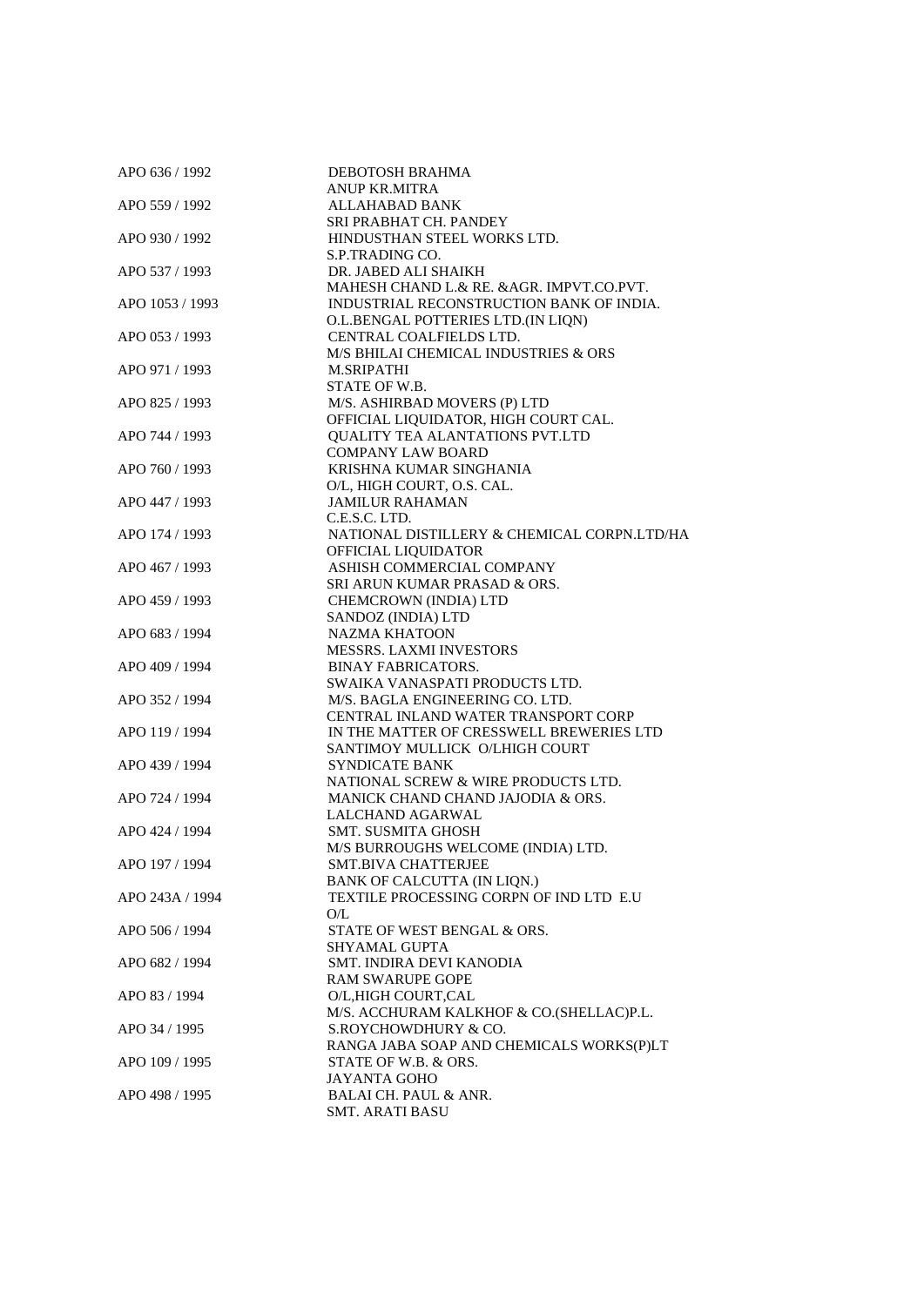| APO 636 / 1992  | DEBOTOSH BRAHMA                             |
|-----------------|---------------------------------------------|
|                 | <b>ANUP KR.MITRA</b>                        |
| APO 559 / 1992  | <b>ALLAHABAD BANK</b>                       |
|                 | SRI PRABHAT CH. PANDEY                      |
| APO 930 / 1992  | HINDUSTHAN STEEL WORKS LTD.                 |
|                 | S.P.TRADING CO.                             |
| APO 537 / 1993  | DR. JABED ALI SHAIKH                        |
|                 | MAHESH CHAND L.& RE. & AGR. IMPVT.CO.PVT.   |
| APO 1053 / 1993 | INDUSTRIAL RECONSTRUCTION BANK OF INDIA.    |
|                 | O.L.BENGAL POTTERIES LTD.(IN LIQN)          |
| APO 053 / 1993  | CENTRAL COALFIELDS LTD.                     |
|                 | M/S BHILAI CHEMICAL INDUSTRIES & ORS        |
| APO 971 / 1993  | <b>M.SRIPATHI</b>                           |
|                 | STATE OF W.B.                               |
| APO 825 / 1993  | M/S. ASHIRBAD MOVERS (P) LTD                |
|                 | OFFICIAL LIQUIDATOR, HIGH COURT CAL.        |
| APO 744 / 1993  | QUALITY TEA ALANTATIONS PVT.LTD             |
|                 | <b>COMPANY LAW BOARD</b>                    |
| APO 760 / 1993  | KRISHNA KUMAR SINGHANIA                     |
|                 | O/L, HIGH COURT, O.S. CAL.                  |
| APO 447 / 1993  | <b>JAMILUR RAHAMAN</b>                      |
|                 | C.E.S.C. LTD.                               |
| APO 174 / 1993  | NATIONAL DISTILLERY & CHEMICAL CORPN.LTD/HA |
|                 | OFFICIAL LIQUIDATOR                         |
| APO 467 / 1993  | ASHISH COMMERCIAL COMPANY                   |
|                 | SRI ARUN KUMAR PRASAD & ORS.                |
| APO 459 / 1993  | CHEMCROWN (INDIA) LTD                       |
|                 | SANDOZ (INDIA) LTD                          |
| APO 683 / 1994  | <b>NAZMA KHATOON</b>                        |
|                 | <b>MESSRS. LAXMI INVESTORS</b>              |
| APO 409 / 1994  | <b>BINAY FABRICATORS.</b>                   |
|                 | SWAIKA VANASPATI PRODUCTS LTD.              |
| APO 352 / 1994  | M/S. BAGLA ENGINEERING CO. LTD.             |
|                 | CENTRAL INLAND WATER TRANSPORT CORP         |
| APO 119 / 1994  | IN THE MATTER OF CRESSWELL BREWERIES LTD    |
|                 | SANTIMOY MULLICK O/LHIGH COURT              |
| APO 439 / 1994  | <b>SYNDICATE BANK</b>                       |
|                 | NATIONAL SCREW & WIRE PRODUCTS LTD.         |
| APO 724 / 1994  | MANICK CHAND CHAND JAJODIA & ORS.           |
|                 | LALCHAND AGARWAL                            |
| APO 424 / 1994  | SMT. SUSMITA GHOSH                          |
|                 | M/S BURROUGHS WELCOME (INDIA) LTD.          |
| APO 197 / 1994  | SMT.BIVA CHATTERJEE                         |
|                 | BANK OF CALCUTTA (IN LIQN.)                 |
| APO 243A / 1994 | TEXTILE PROCESSING CORPN OF IND LTD E.U     |
|                 | O/L                                         |
| APO 506 / 1994  | STATE OF WEST BENGAL & ORS.                 |
|                 | <b>SHYAMAL GUPTA</b>                        |
| APO 682 / 1994  | SMT. INDIRA DEVI KANODIA                    |
|                 | <b>RAM SWARUPE GOPE</b>                     |
| APO 83 / 1994   | O/L,HIGH COURT,CAL                          |
|                 | M/S. ACCHURAM KALKHOF & CO.(SHELLAC)P.L.    |
| APO 34 / 1995   | S.ROYCHOWDHURY & CO.                        |
|                 | RANGA JABA SOAP AND CHEMICALS WORKS(P)LT    |
| APO 109 / 1995  | STATE OF W.B. & ORS.                        |
|                 | <b>JAYANTA GOHO</b>                         |
| APO 498 / 1995  | <b>BALAI CH. PAUL &amp; ANR.</b>            |
|                 | <b>SMT. ARATI BASU</b>                      |
|                 |                                             |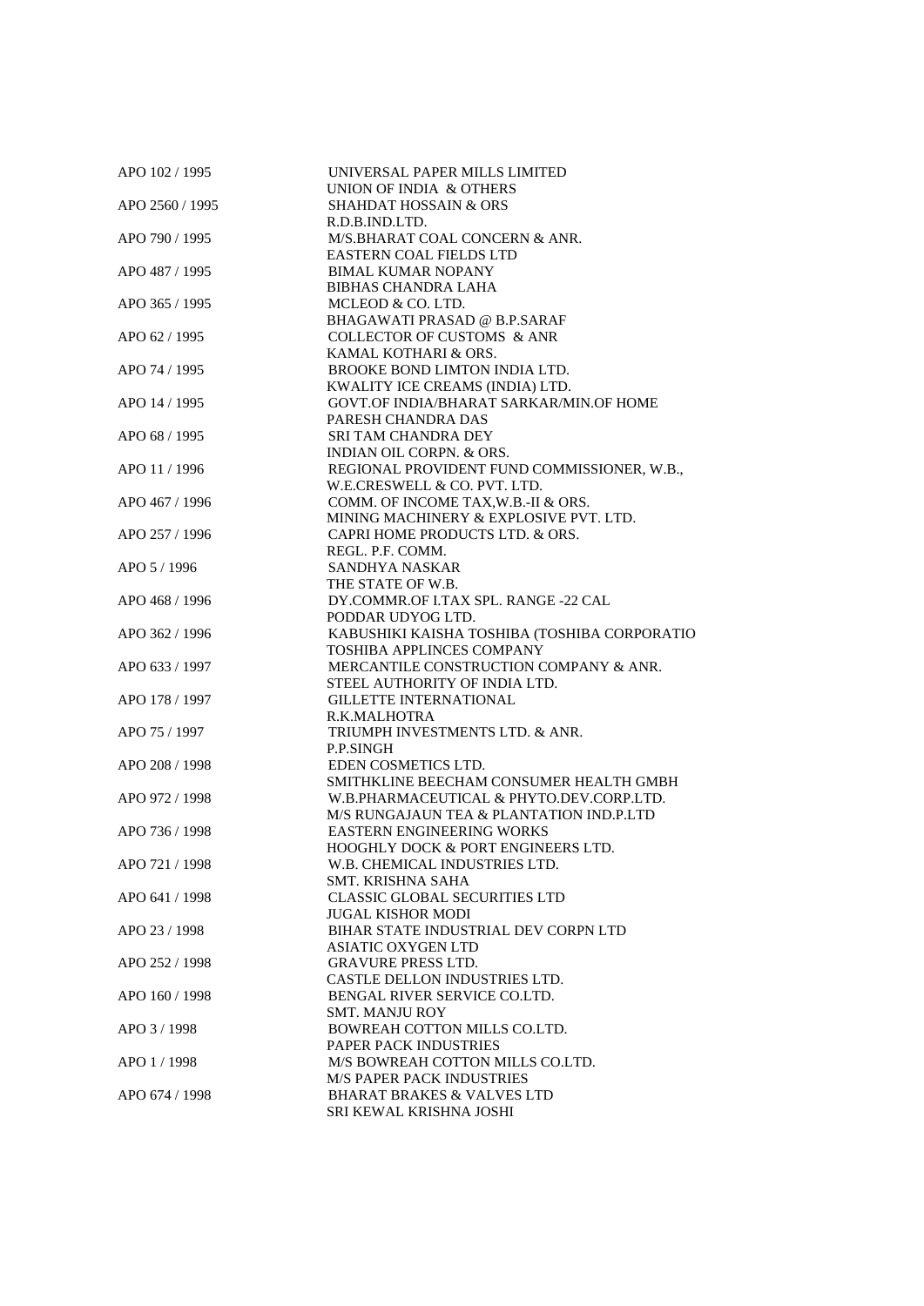| APO 102 / 1995  | UNIVERSAL PAPER MILLS LIMITED<br>UNION OF INDIA & OTHERS |
|-----------------|----------------------------------------------------------|
| APO 2560 / 1995 | <b>SHAHDAT HOSSAIN &amp; ORS</b>                         |
|                 | R.D.B.IND.LTD.                                           |
| APO 790 / 1995  | M/S.BHARAT COAL CONCERN & ANR.                           |
|                 | <b>EASTERN COAL FIELDS LTD</b>                           |
| APO 487 / 1995  | <b>BIMAL KUMAR NOPANY</b>                                |
|                 | <b>BIBHAS CHANDRA LAHA</b>                               |
|                 |                                                          |
| APO 365 / 1995  | MCLEOD & CO. LTD.                                        |
|                 | <b>BHAGAWATI PRASAD @ B.P.SARAF</b>                      |
| APO 62 / 1995   | <b>COLLECTOR OF CUSTOMS &amp; ANR</b>                    |
|                 | KAMAL KOTHARI & ORS.                                     |
| APO 74 / 1995   | BROOKE BOND LIMTON INDIA LTD.                            |
|                 | KWALITY ICE CREAMS (INDIA) LTD.                          |
| APO 14 / 1995   | GOVT.OF INDIA/BHARAT SARKAR/MIN.OF HOME                  |
|                 | PARESH CHANDRA DAS                                       |
| APO 68 / 1995   | <b>SRI TAM CHANDRA DEY</b>                               |
|                 | INDIAN OIL CORPN. & ORS.                                 |
| APO 11 / 1996   | REGIONAL PROVIDENT FUND COMMISSIONER, W.B.,              |
|                 | W.E.CRESWELL & CO. PVT. LTD.                             |
| APO 467 / 1996  | COMM. OF INCOME TAX, W.B.-II & ORS.                      |
|                 | MINING MACHINERY & EXPLOSIVE PVT. LTD.                   |
| APO 257 / 1996  | CAPRI HOME PRODUCTS LTD. & ORS.                          |
|                 | REGL. P.F. COMM.                                         |
| APO 5/1996      | SANDHYA NASKAR                                           |
|                 | THE STATE OF W.B.                                        |
| APO 468 / 1996  | DY.COMMR.OF I.TAX SPL. RANGE -22 CAL                     |
|                 | PODDAR UDYOG LTD.                                        |
| APO 362 / 1996  | KABUSHIKI KAISHA TOSHIBA (TOSHIBA CORPORATIO             |
|                 | <b>TOSHIBA APPLINCES COMPANY</b>                         |
| APO 633 / 1997  | MERCANTILE CONSTRUCTION COMPANY & ANR.                   |
|                 | STEEL AUTHORITY OF INDIA LTD.                            |
| APO 178 / 1997  | <b>GILLETTE INTERNATIONAL</b>                            |
|                 | R.K.MALHOTRA                                             |
| APO 75 / 1997   | TRIUMPH INVESTMENTS LTD. & ANR.                          |
|                 | P.P.SINGH                                                |
| APO 208 / 1998  | EDEN COSMETICS LTD.                                      |
|                 | SMITHKLINE BEECHAM CONSUMER HEALTH GMBH                  |
| APO 972 / 1998  | W.B.PHARMACEUTICAL & PHYTO.DEV.CORP.LTD.                 |
|                 | M/S RUNGAJAUN TEA & PLANTATION IND.P.LTD                 |
| APO 736 / 1998  | <b>EASTERN ENGINEERING WORKS</b>                         |
|                 | <b>HOOGHLY DOCK &amp; PORT ENGINEERS LTD.</b>            |
| APO 721 / 1998  | W.B. CHEMICAL INDUSTRIES LTD.                            |
|                 | SMT. KRISHNA SAHA                                        |
| APO 641 / 1998  | <b>CLASSIC GLOBAL SECURITIES LTD</b>                     |
|                 | <b>JUGAL KISHOR MODI</b>                                 |
| APO 23 / 1998   | BIHAR STATE INDUSTRIAL DEV CORPN LTD                     |
|                 | <b>ASIATIC OXYGEN LTD</b>                                |
| APO 252 / 1998  | <b>GRAVURE PRESS LTD.</b>                                |
|                 | CASTLE DELLON INDUSTRIES LTD.                            |
| APO 160 / 1998  | BENGAL RIVER SERVICE CO.LTD.                             |
|                 | <b>SMT. MANJU ROY</b>                                    |
|                 |                                                          |
| APO 3/1998      | BOWREAH COTTON MILLS CO.LTD.                             |
|                 | PAPER PACK INDUSTRIES                                    |
| APO 1/1998      | M/S BOWREAH COTTON MILLS CO.LTD.                         |
|                 | <b>M/S PAPER PACK INDUSTRIES</b>                         |
| APO 674 / 1998  | <b>BHARAT BRAKES &amp; VALVES LTD</b>                    |
|                 | SRI KEWAL KRISHNA JOSHI                                  |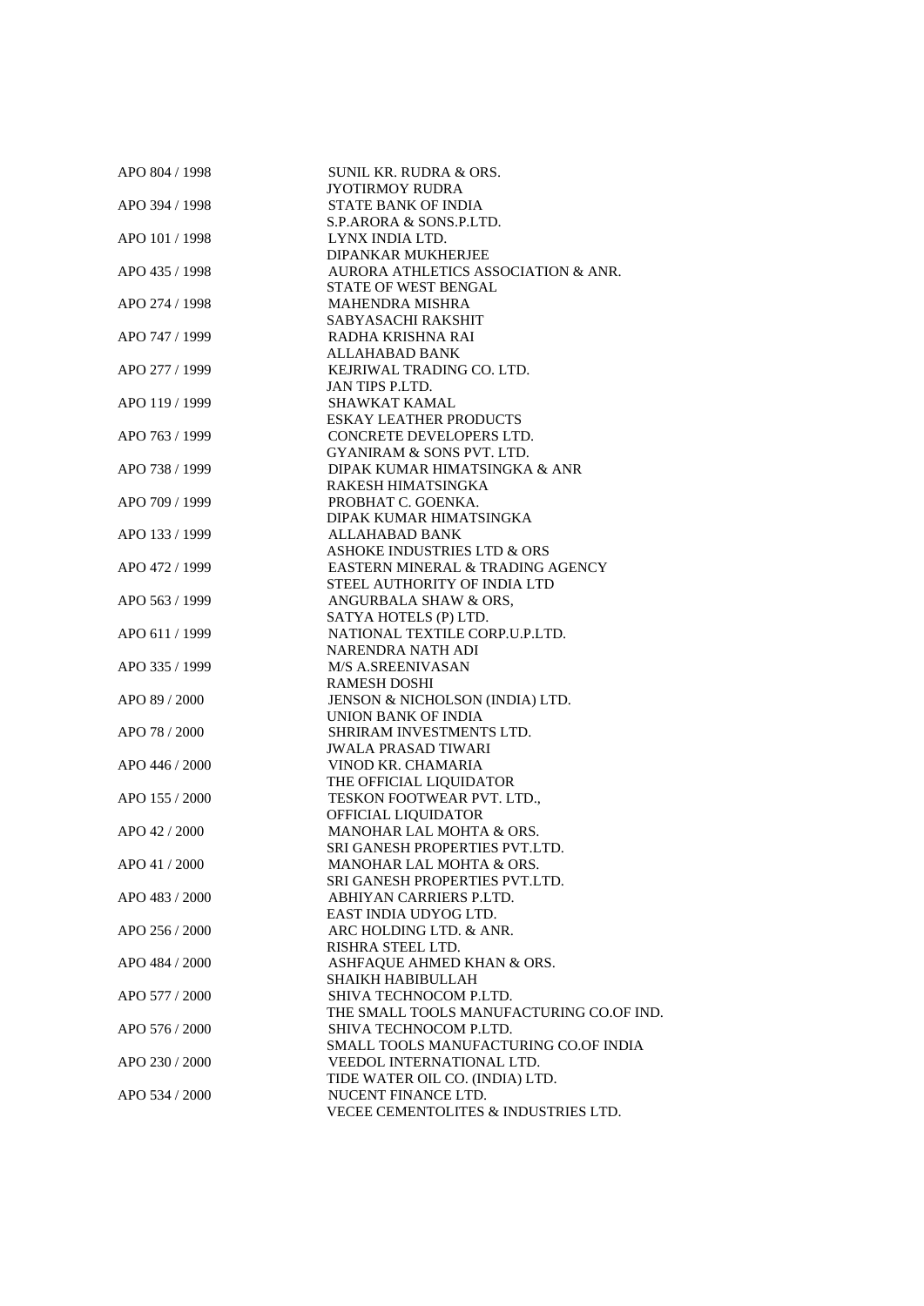| APO 804 / 1998 | <b>SUNIL KR. RUDRA &amp; ORS.</b>        |
|----------------|------------------------------------------|
|                | JYOTIRMOY RUDRA                          |
| APO 394 / 1998 | STATE BANK OF INDIA                      |
|                | S.P.ARORA & SONS.P.LTD.                  |
| APO 101 / 1998 | LYNX INDIA LTD.                          |
|                | DIPANKAR MUKHERJEE                       |
| APO 435 / 1998 | AURORA ATHLETICS ASSOCIATION & ANR.      |
|                | <b>STATE OF WEST BENGAL</b>              |
|                |                                          |
| APO 274 / 1998 | <b>MAHENDRA MISHRA</b>                   |
|                | SABYASACHI RAKSHIT                       |
| APO 747 / 1999 | RADHA KRISHNA RAI                        |
|                | ALLAHABAD BANK                           |
| APO 277 / 1999 | KEJRIWAL TRADING CO. LTD.                |
|                | JAN TIPS P.LTD.                          |
| APO 119 / 1999 | SHAWKAT KAMAL                            |
|                | <b>ESKAY LEATHER PRODUCTS</b>            |
| APO 763 / 1999 | CONCRETE DEVELOPERS LTD.                 |
|                | GYANIRAM & SONS PVT. LTD.                |
| APO 738 / 1999 | DIPAK KUMAR HIMATSINGKA & ANR            |
|                | RAKESH HIMATSINGKA                       |
| APO 709 / 1999 | PROBHAT C. GOENKA.                       |
|                | DIPAK KUMAR HIMATSINGKA                  |
| APO 133 / 1999 | ALLAHABAD BANK                           |
|                |                                          |
|                | ASHOKE INDUSTRIES LTD & ORS              |
| APO 472 / 1999 | EASTERN MINERAL & TRADING AGENCY         |
|                | STEEL AUTHORITY OF INDIA LTD             |
| APO 563 / 1999 | ANGURBALA SHAW & ORS,                    |
|                | SATYA HOTELS (P) LTD.                    |
| APO 611 / 1999 | NATIONAL TEXTILE CORP.U.P.LTD.           |
|                | NARENDRA NATH ADI                        |
| APO 335 / 1999 | <b>M/S A.SREENIVASAN</b>                 |
|                | <b>RAMESH DOSHI</b>                      |
| APO 89 / 2000  | JENSON & NICHOLSON (INDIA) LTD.          |
|                | UNION BANK OF INDIA                      |
| APO 78 / 2000  | SHRIRAM INVESTMENTS LTD.                 |
|                | <b>JWALA PRASAD TIWARI</b>               |
| APO 446 / 2000 | VINOD KR. CHAMARIA                       |
|                | THE OFFICIAL LIQUIDATOR                  |
| APO 155 / 2000 | TESKON FOOTWEAR PVT. LTD.,               |
|                | OFFICIAL LIQUIDATOR                      |
| APO 42 / 2000  | MANOHAR LAL MOHTA & ORS.                 |
|                | SRI GANESH PROPERTIES PVT.LTD.           |
|                |                                          |
| APO 41 / 2000  | MANOHAR LAL MOHTA & ORS.                 |
|                | SRI GANESH PROPERTIES PVT.LTD.           |
| APO 483 / 2000 | ABHIYAN CARRIERS P.LTD.                  |
|                | EAST INDIA UDYOG LTD.                    |
| APO 256 / 2000 | ARC HOLDING LTD. & ANR.                  |
|                | RISHRA STEEL LTD.                        |
| APO 484 / 2000 | ASHFAQUE AHMED KHAN & ORS.               |
|                | SHAIKH HABIBULLAH                        |
| APO 577 / 2000 | SHIVA TECHNOCOM P.LTD.                   |
|                | THE SMALL TOOLS MANUFACTURING CO.OF IND. |
| APO 576 / 2000 | SHIVA TECHNOCOM P.LTD.                   |
|                | SMALL TOOLS MANUFACTURING CO.OF INDIA    |
| APO 230 / 2000 | VEEDOL INTERNATIONAL LTD.                |
|                | TIDE WATER OIL CO. (INDIA) LTD.          |
|                | NUCENT FINANCE LTD.                      |
| APO 534 / 2000 |                                          |
|                | VECEE CEMENTOLITES & INDUSTRIES LTD.     |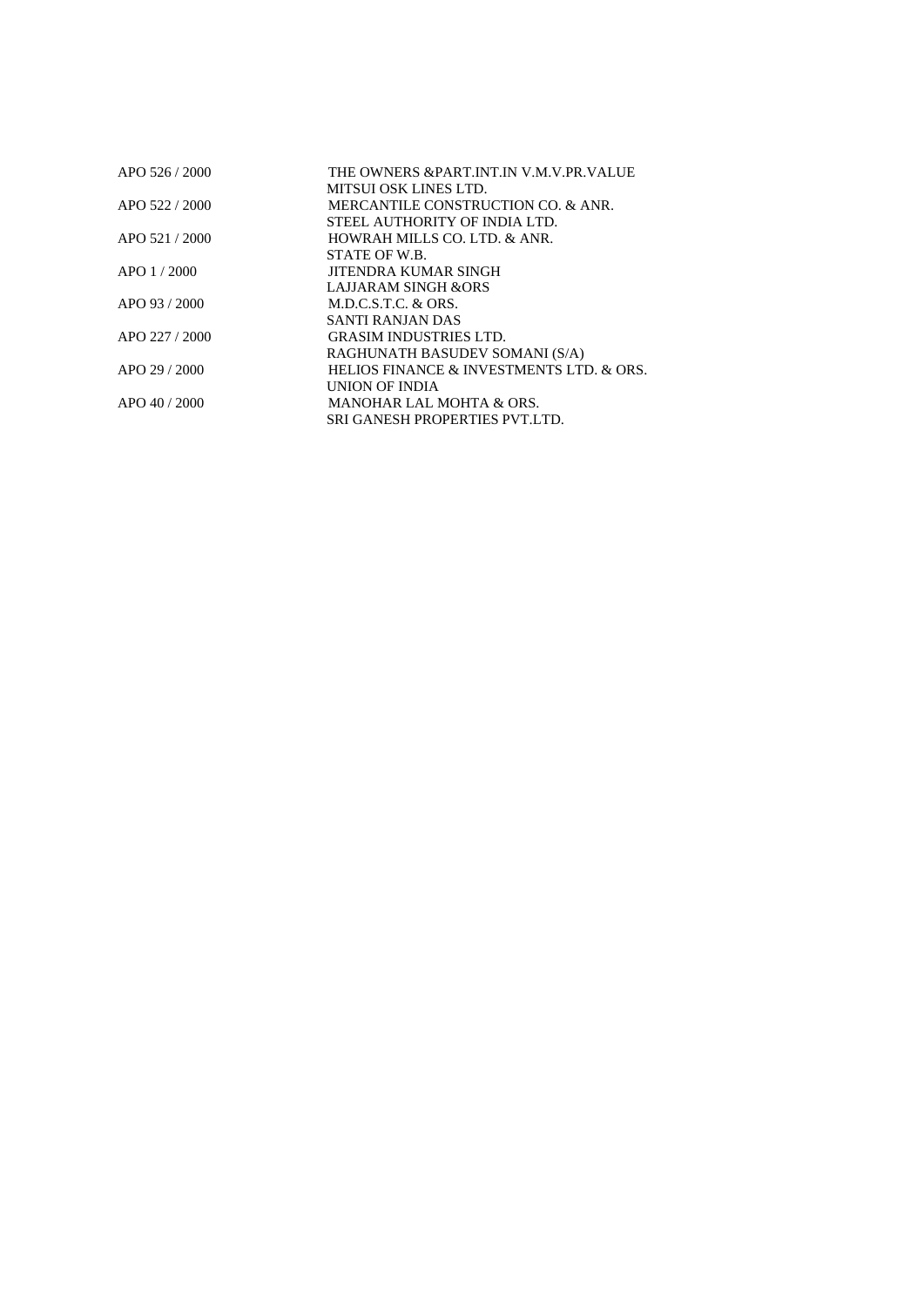| APO 526 / 2000  | THE OWNERS & PART INT IN V.M.V.PR.VALUE  |
|-----------------|------------------------------------------|
|                 | MITSUI OSK LINES LTD.                    |
| APO 522 / 2000  | MERCANTILE CONSTRUCTION CO. & ANR.       |
|                 | STEEL AUTHORITY OF INDIA LTD.            |
| APO 521 / 2000  | HOWRAH MILLS CO. LTD. & ANR.             |
|                 | STATE OF W.B.                            |
| $APO$ 1 / 2000  | <b>JITENDRA KUMAR SINGH</b>              |
|                 | <b>LAJJARAM SINGH &amp;ORS</b>           |
| APO 93 $/$ 2000 | M.D.C.S.T.C. & ORS.                      |
|                 | SANTI RANJAN DAS                         |
| APO 227 / 2000  | <b>GRASIM INDUSTRIES LTD.</b>            |
|                 | RAGHUNATH BASUDEV SOMANI (S/A)           |
| APO 29 $/$ 2000 | HELIOS FINANCE & INVESTMENTS LTD. & ORS. |
|                 | UNION OF INDIA                           |
| $APO$ 40 / 2000 | <b>MANOHAR LAL MOHTA &amp; ORS.</b>      |
|                 | <b>SRI GANESH PROPERTIES PVT.LTD.</b>    |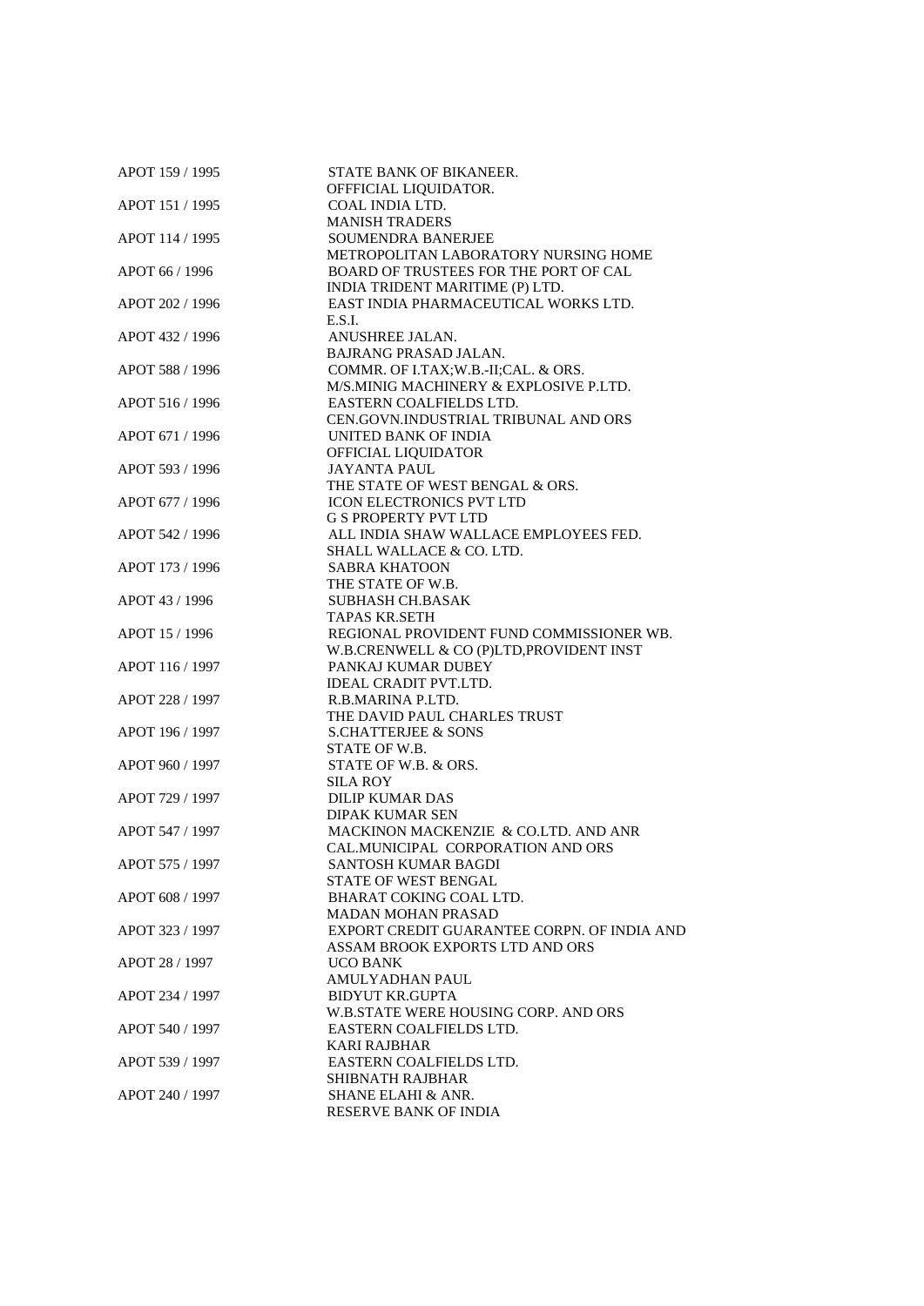| APOT 159 / 1995 | STATE BANK OF BIKANEER.<br>OFFFICIAL LIQUIDATOR. |
|-----------------|--------------------------------------------------|
| APOT 151 / 1995 | COAL INDIA LTD.                                  |
|                 | <b>MANISH TRADERS</b>                            |
| APOT 114 / 1995 | <b>SOUMENDRA BANERJEE</b>                        |
|                 | METROPOLITAN LABORATORY NURSING HOME             |
| APOT 66 / 1996  | BOARD OF TRUSTEES FOR THE PORT OF CAL            |
|                 | INDIA TRIDENT MARITIME (P) LTD.                  |
| APOT 202 / 1996 | EAST INDIA PHARMACEUTICAL WORKS LTD.             |
|                 | E.S.I.                                           |
| APOT 432 / 1996 | ANUSHREE JALAN.                                  |
|                 | BAJRANG PRASAD JALAN.                            |
| APOT 588 / 1996 | COMMR. OF I.TAX; W.B.-II; CAL. & ORS.            |
|                 | M/S.MINIG MACHINERY & EXPLOSIVE P.LTD.           |
| APOT 516 / 1996 | EASTERN COALFIELDS LTD.                          |
|                 | CEN.GOVN.INDUSTRIAL TRIBUNAL AND ORS             |
| APOT 671 / 1996 | UNITED BANK OF INDIA                             |
|                 | OFFICIAL LIQUIDATOR                              |
| APOT 593 / 1996 | <b>JAYANTA PAUL</b>                              |
|                 | THE STATE OF WEST BENGAL & ORS.                  |
| APOT 677 / 1996 | <b>ICON ELECTRONICS PVT LTD</b>                  |
|                 | <b>G S PROPERTY PVT LTD</b>                      |
| APOT 542 / 1996 | ALL INDIA SHAW WALLACE EMPLOYEES FED.            |
|                 | SHALL WALLACE & CO. LTD.                         |
| APOT 173 / 1996 | <b>SABRA KHATOON</b>                             |
|                 | THE STATE OF W.B.                                |
| APOT 43 / 1996  | <b>SUBHASH CH.BASAK</b>                          |
|                 | TAPAS KR.SETH                                    |
| APOT 15 / 1996  | REGIONAL PROVIDENT FUND COMMISSIONER WB.         |
|                 | W.B.CRENWELL & CO (P)LTD, PROVIDENT INST         |
| APOT 116 / 1997 | PANKAJ KUMAR DUBEY                               |
|                 | <b>IDEAL CRADIT PVT.LTD.</b>                     |
| APOT 228 / 1997 | R.B.MARINA P.LTD.                                |
|                 | THE DAVID PAUL CHARLES TRUST                     |
| APOT 196 / 1997 | <b>S.CHATTERJEE &amp; SONS</b>                   |
|                 | STATE OF W.B.                                    |
| APOT 960 / 1997 | STATE OF W.B. & ORS.                             |
|                 | SILA ROY                                         |
| APOT 729 / 1997 | <b>DILIP KUMAR DAS</b>                           |
|                 | <b>DIPAK KUMAR SEN</b>                           |
| APOT 547 / 1997 | MACKINON MACKENZIE & CO.LTD. AND ANR             |
|                 | CAL.MUNICIPAL CORPORATION AND ORS                |
| APOT 575 / 1997 | <b>SANTOSH KUMAR BAGDI</b>                       |
|                 | STATE OF WEST BENGAL                             |
| APOT 608 / 1997 | <b>BHARAT COKING COAL LTD.</b>                   |
|                 | <b>MADAN MOHAN PRASAD</b>                        |
| APOT 323 / 1997 | EXPORT CREDIT GUARANTEE CORPN. OF INDIA AND      |
|                 | ASSAM BROOK EXPORTS LTD AND ORS                  |
| APOT 28 / 1997  | <b>UCO BANK</b>                                  |
|                 | <b>AMULYADHAN PAUL</b>                           |
| APOT 234 / 1997 | <b>BIDYUT KR.GUPTA</b>                           |
|                 | W.B.STATE WERE HOUSING CORP. AND ORS             |
| APOT 540 / 1997 | EASTERN COALFIELDS LTD.                          |
|                 | KARI RAJBHAR                                     |
| APOT 539 / 1997 | EASTERN COALFIELDS LTD.                          |
|                 | SHIBNATH RAJBHAR                                 |
| APOT 240 / 1997 | <b>SHANE ELAHI &amp; ANR.</b>                    |
|                 | RESERVE BANK OF INDIA                            |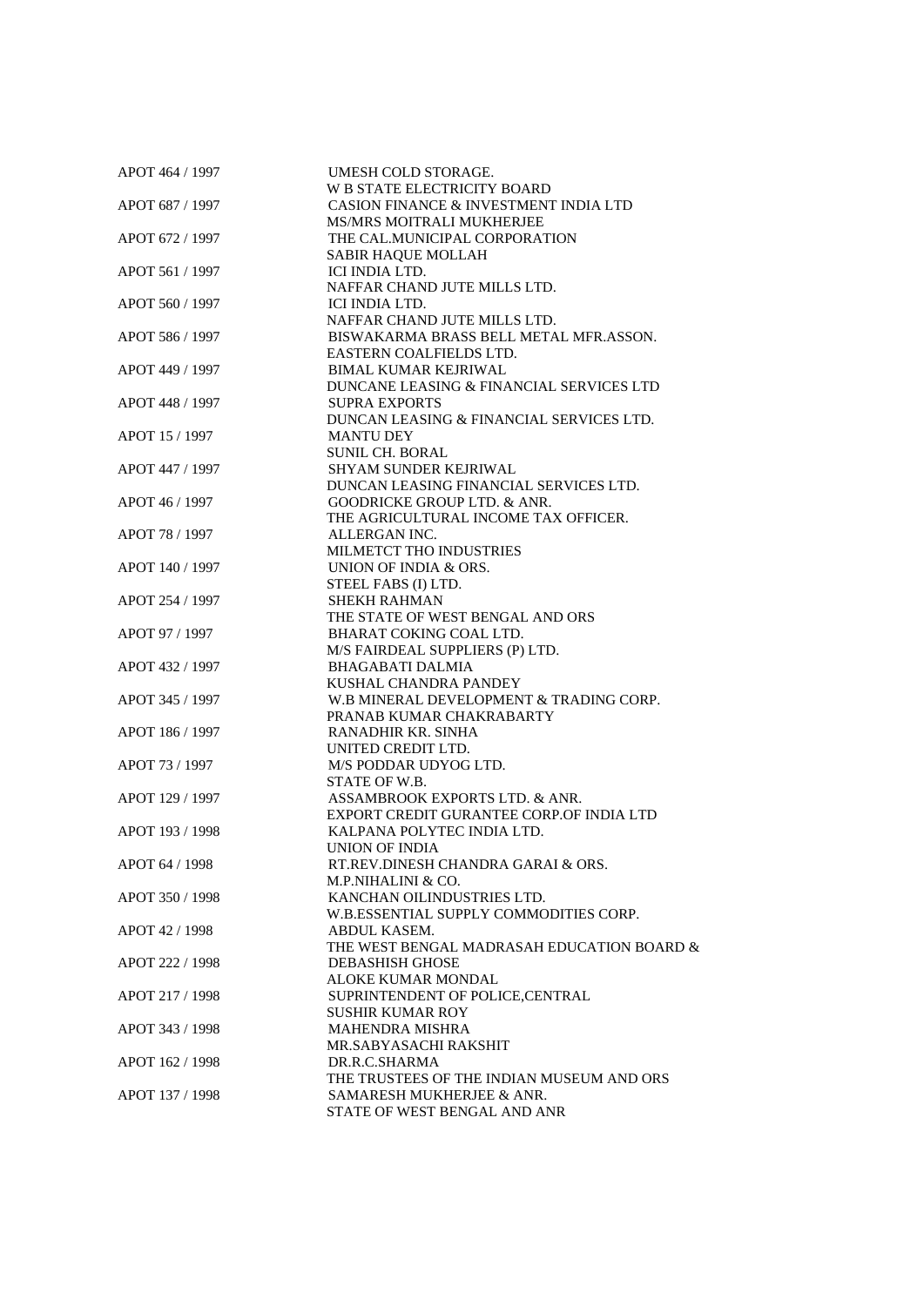| APOT 464 / 1997 | UMESH COLD STORAGE.                        |
|-----------------|--------------------------------------------|
|                 | W B STATE ELECTRICITY BOARD                |
| APOT 687 / 1997 | CASION FINANCE & INVESTMENT INDIA LTD      |
|                 | <b>MS/MRS MOITRALI MUKHERJEE</b>           |
| APOT 672 / 1997 | THE CAL.MUNICIPAL CORPORATION              |
|                 | SABIR HAQUE MOLLAH                         |
| APOT 561 / 1997 | ICI INDIA LTD.                             |
|                 | NAFFAR CHAND JUTE MILLS LTD.               |
|                 | ICI INDIA LTD.                             |
| APOT 560 / 1997 | NAFFAR CHAND JUTE MILLS LTD.               |
|                 |                                            |
| APOT 586 / 1997 | BISWAKARMA BRASS BELL METAL MFR.ASSON.     |
|                 | EASTERN COALFIELDS LTD.                    |
| APOT 449 / 1997 | <b>BIMAL KUMAR KEJRIWAL</b>                |
|                 | DUNCANE LEASING & FINANCIAL SERVICES LTD   |
| APOT 448 / 1997 | <b>SUPRA EXPORTS</b>                       |
|                 | DUNCAN LEASING & FINANCIAL SERVICES LTD.   |
| APOT 15 / 1997  | <b>MANTU DEY</b>                           |
|                 | <b>SUNIL CH. BORAL</b>                     |
| APOT 447 / 1997 | SHYAM SUNDER KEJRIWAL                      |
|                 | DUNCAN LEASING FINANCIAL SERVICES LTD.     |
| APOT 46 / 1997  | <b>GOODRICKE GROUP LTD. &amp; ANR.</b>     |
|                 | THE AGRICULTURAL INCOME TAX OFFICER.       |
| APOT 78 / 1997  | ALLERGAN INC.                              |
|                 | MILMETCT THO INDUSTRIES                    |
| APOT 140 / 1997 | UNION OF INDIA & ORS.                      |
|                 |                                            |
|                 | STEEL FABS (I) LTD.                        |
| APOT 254 / 1997 | <b>SHEKH RAHMAN</b>                        |
|                 | THE STATE OF WEST BENGAL AND ORS           |
| APOT 97 / 1997  | BHARAT COKING COAL LTD.                    |
|                 | M/S FAIRDEAL SUPPLIERS (P) LTD.            |
| APOT 432 / 1997 | <b>BHAGABATI DALMIA</b>                    |
|                 | KUSHAL CHANDRA PANDEY                      |
| APOT 345 / 1997 | W.B MINERAL DEVELOPMENT & TRADING CORP.    |
|                 | PRANAB KUMAR CHAKRABARTY                   |
| APOT 186 / 1997 | RANADHIR KR. SINHA                         |
|                 | UNITED CREDIT LTD.                         |
| APOT 73 / 1997  | M/S PODDAR UDYOG LTD.                      |
|                 | STATE OF W.B.                              |
| APOT 129 / 1997 | ASSAMBROOK EXPORTS LTD. & ANR.             |
|                 | EXPORT CREDIT GURANTEE CORP.OF INDIA LTD   |
| APOT 193 / 1998 | KALPANA POLYTEC INDIA LTD.                 |
|                 | <b>UNION OF INDIA</b>                      |
| APOT 64 / 1998  | RT.REV.DINESH CHANDRA GARAI & ORS.         |
|                 | M.P.NIHALINI & CO.                         |
|                 |                                            |
| APOT 350 / 1998 | KANCHAN OILINDUSTRIES LTD.                 |
|                 | W.B.ESSENTIAL SUPPLY COMMODITIES CORP.     |
| APOT 42 / 1998  | ABDUL KASEM.                               |
|                 | THE WEST BENGAL MADRASAH EDUCATION BOARD & |
| APOT 222 / 1998 | <b>DEBASHISH GHOSE</b>                     |
|                 | ALOKE KUMAR MONDAL                         |
| APOT 217 / 1998 | SUPRINTENDENT OF POLICE, CENTRAL           |
|                 | <b>SUSHIR KUMAR ROY</b>                    |
| APOT 343 / 1998 | <b>MAHENDRA MISHRA</b>                     |
|                 | MR.SABYASACHI RAKSHIT                      |
| APOT 162 / 1998 | DR.R.C.SHARMA                              |
|                 | THE TRUSTEES OF THE INDIAN MUSEUM AND ORS  |
| APOT 137 / 1998 | SAMARESH MUKHERJEE & ANR.                  |
|                 | STATE OF WEST BENGAL AND ANR               |
|                 |                                            |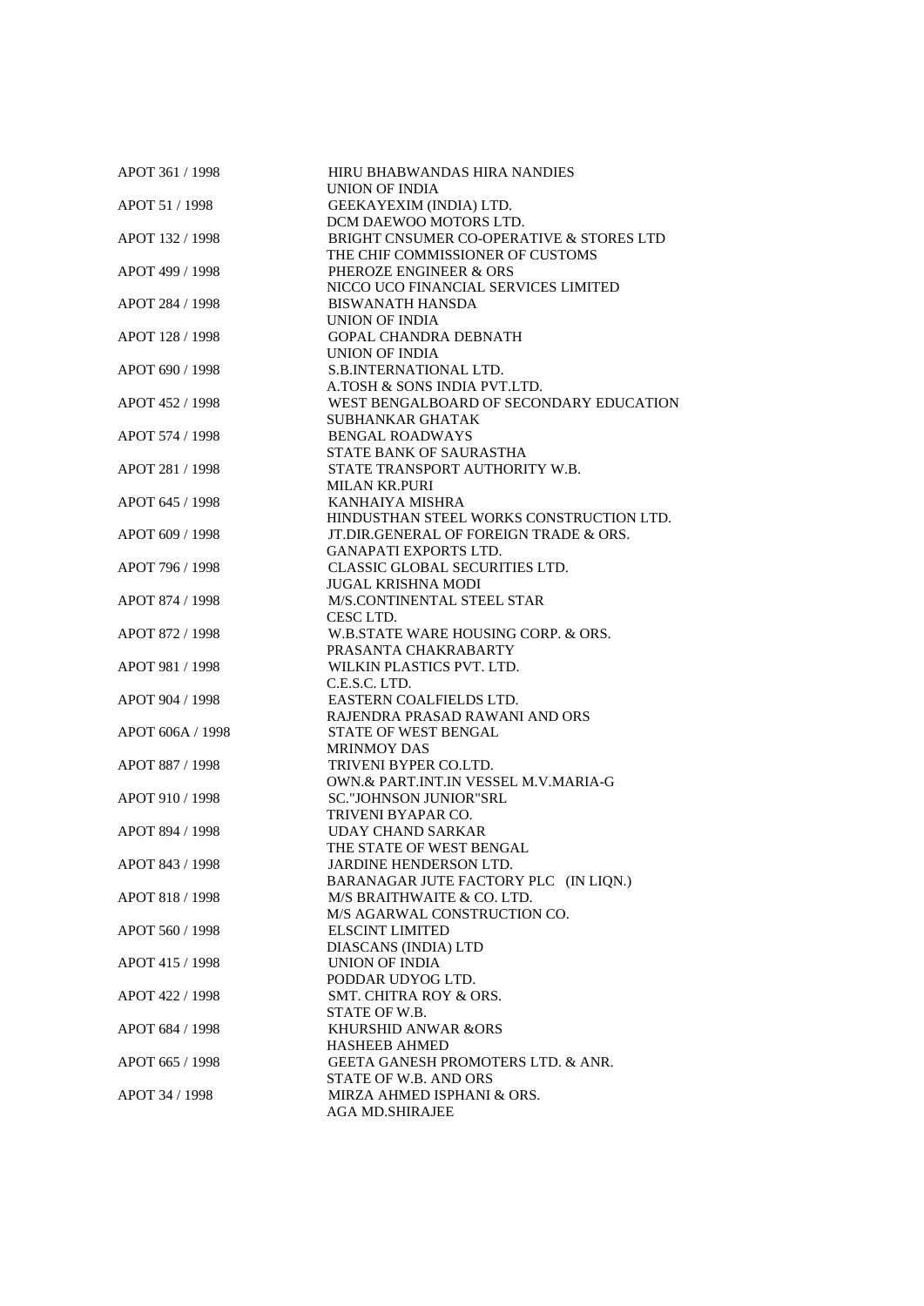| APOT 361 / 1998  | HIRU BHABWANDAS HIRA NANDIES             |
|------------------|------------------------------------------|
|                  | <b>UNION OF INDIA</b>                    |
| APOT 51 / 1998   | GEEKAYEXIM (INDIA) LTD.                  |
|                  | DCM DAEWOO MOTORS LTD.                   |
| APOT 132 / 1998  | BRIGHT CNSUMER CO-OPERATIVE & STORES LTD |
|                  | THE CHIF COMMISSIONER OF CUSTOMS         |
| APOT 499 / 1998  | PHEROZE ENGINEER & ORS                   |
|                  | NICCO UCO FINANCIAL SERVICES LIMITED     |
| APOT 284 / 1998  | <b>BISWANATH HANSDA</b>                  |
|                  | UNION OF INDIA                           |
| APOT 128 / 1998  | <b>GOPAL CHANDRA DEBNATH</b>             |
|                  |                                          |
|                  | <b>UNION OF INDIA</b>                    |
| APOT 690 / 1998  | S.B.INTERNATIONAL LTD.                   |
|                  | A.TOSH & SONS INDIA PVT.LTD.             |
| APOT 452 / 1998  | WEST BENGALBOARD OF SECONDARY EDUCATION  |
|                  | <b>SUBHANKAR GHATAK</b>                  |
| APOT 574 / 1998  | <b>BENGAL ROADWAYS</b>                   |
|                  | STATE BANK OF SAURASTHA                  |
| APOT 281 / 1998  | STATE TRANSPORT AUTHORITY W.B.           |
|                  | <b>MILAN KR.PURI</b>                     |
| APOT 645 / 1998  | KANHAIYA MISHRA                          |
|                  | HINDUSTHAN STEEL WORKS CONSTRUCTION LTD. |
| APOT 609 / 1998  | JT.DIR.GENERAL OF FOREIGN TRADE & ORS.   |
|                  | <b>GANAPATI EXPORTS LTD.</b>             |
|                  |                                          |
| APOT 796 / 1998  | CLASSIC GLOBAL SECURITIES LTD.           |
|                  | <b>JUGAL KRISHNA MODI</b>                |
| APOT 874 / 1998  | M/S.CONTINENTAL STEEL STAR               |
|                  | CESC LTD.                                |
| APOT 872 / 1998  | W.B.STATE WARE HOUSING CORP. & ORS.      |
|                  | PRASANTA CHAKRABARTY                     |
| APOT 981 / 1998  | WILKIN PLASTICS PVT. LTD.                |
|                  | C.E.S.C. LTD.                            |
| APOT 904 / 1998  | EASTERN COALFIELDS LTD.                  |
|                  | RAJENDRA PRASAD RAWANI AND ORS           |
| APOT 606A / 1998 | STATE OF WEST BENGAL                     |
|                  | <b>MRINMOY DAS</b>                       |
| APOT 887 / 1998  | TRIVENI BYPER CO.LTD.                    |
|                  | OWN.& PART.INT.IN VESSEL M.V.MARIA-G     |
| APOT 910 / 1998  | SC."JOHNSON JUNIOR"SRL                   |
|                  |                                          |
|                  | TRIVENI BYAPAR CO.                       |
| APOT 894 / 1998  | <b>UDAY CHAND SARKAR</b>                 |
|                  | THE STATE OF WEST BENGAL                 |
| APOT 843 / 1998  | JARDINE HENDERSON LTD.                   |
|                  | BARANAGAR JUTE FACTORY PLC (IN LIQN.)    |
| APOT 818 / 1998  | M/S BRAITHWAITE & CO. LTD.               |
|                  | M/S AGARWAL CONSTRUCTION CO.             |
| APOT 560 / 1998  | <b>ELSCINT LIMITED</b>                   |
|                  | DIASCANS (INDIA) LTD                     |
| APOT 415 / 1998  | <b>UNION OF INDIA</b>                    |
|                  | PODDAR UDYOG LTD.                        |
| APOT 422 / 1998  | <b>SMT. CHITRA ROY &amp; ORS.</b>        |
|                  | STATE OF W.B.                            |
| APOT 684 / 1998  | KHURSHID ANWAR &ORS                      |
|                  | <b>HASHEEB AHMED</b>                     |
|                  |                                          |
| APOT 665 / 1998  | GEETA GANESH PROMOTERS LTD. & ANR.       |
|                  | STATE OF W.B. AND ORS                    |
| APOT 34 / 1998   | MIRZA AHMED ISPHANI & ORS.               |
|                  | <b>AGA MD.SHIRAJEE</b>                   |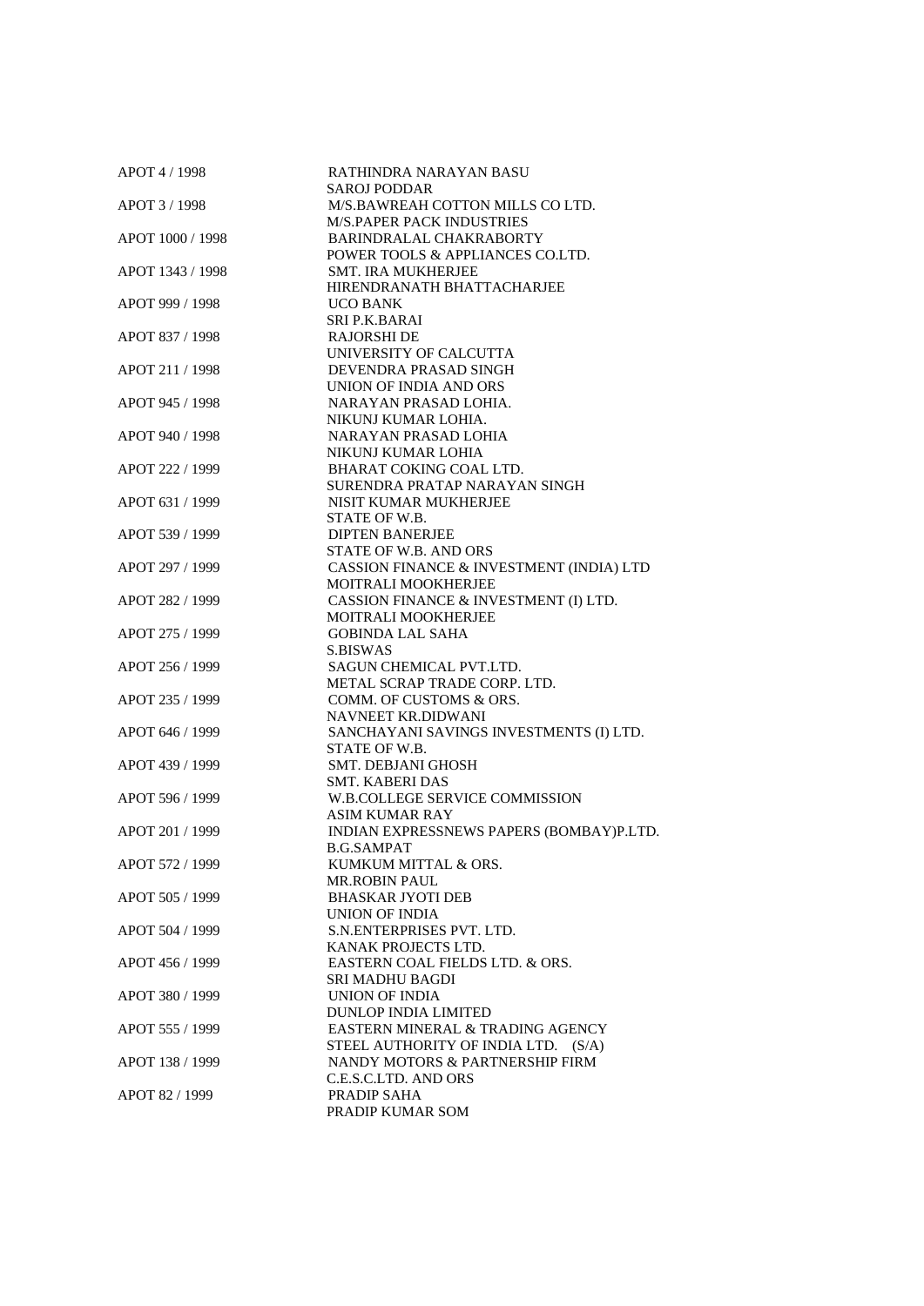| APOT 4 / 1998    | RATHINDRA NARAYAN BASU                   |
|------------------|------------------------------------------|
|                  | <b>SAROJ PODDAR</b>                      |
| APOT 3 / 1998    | M/S.BAWREAH COTTON MILLS CO LTD.         |
|                  | <b>M/S.PAPER PACK INDUSTRIES</b>         |
| APOT 1000 / 1998 | BARINDRALAL CHAKRABORTY                  |
|                  | POWER TOOLS & APPLIANCES CO.LTD.         |
| APOT 1343 / 1998 | SMT. IRA MUKHERJEE                       |
|                  | HIRENDRANATH BHATTACHARJEE               |
| APOT 999 / 1998  | <b>UCO BANK</b>                          |
|                  | <b>SRI P.K.BARAI</b>                     |
| APOT 837 / 1998  | <b>RAJORSHI DE</b>                       |
|                  | UNIVERSITY OF CALCUTTA                   |
| APOT 211 / 1998  | DEVENDRA PRASAD SINGH                    |
|                  | UNION OF INDIA AND ORS                   |
| APOT 945 / 1998  | NARAYAN PRASAD LOHIA.                    |
|                  | NIKUNJ KUMAR LOHIA.                      |
| APOT 940 / 1998  | NARAYAN PRASAD LOHIA                     |
|                  | NIKUNJ KUMAR LOHIA                       |
| APOT 222 / 1999  | BHARAT COKING COAL LTD.                  |
|                  | SURENDRA PRATAP NARAYAN SINGH            |
| APOT 631 / 1999  | NISIT KUMAR MUKHERJEE                    |
|                  | STATE OF W.B.                            |
| APOT 539 / 1999  | <b>DIPTEN BANERJEE</b>                   |
|                  |                                          |
|                  | STATE OF W.B. AND ORS                    |
| APOT 297 / 1999  | CASSION FINANCE & INVESTMENT (INDIA) LTD |
|                  | MOITRALI MOOKHERJEE                      |
| APOT 282 / 1999  | CASSION FINANCE & INVESTMENT (I) LTD.    |
|                  | MOITRALI MOOKHERJEE                      |
| APOT 275 / 1999  | <b>GOBINDA LAL SAHA</b>                  |
|                  | <b>S.BISWAS</b>                          |
| APOT 256 / 1999  | SAGUN CHEMICAL PVT.LTD.                  |
|                  | METAL SCRAP TRADE CORP. LTD.             |
| APOT 235 / 1999  | COMM. OF CUSTOMS & ORS.                  |
|                  | NAVNEET KR.DIDWANI                       |
| APOT 646 / 1999  | SANCHAYANI SAVINGS INVESTMENTS (I) LTD.  |
|                  | STATE OF W.B.                            |
| APOT 439 / 1999  | <b>SMT. DEBJANI GHOSH</b>                |
|                  | <b>SMT. KABERI DAS</b>                   |
| APOT 596 / 1999  | W.B.COLLEGE SERVICE COMMISSION           |
|                  | <b>ASIM KUMAR RAY</b>                    |
| APOT 201 / 1999  | INDIAN EXPRESSNEWS PAPERS (BOMBAY)P.LTD. |
|                  | <b>B.G.SAMPAT</b>                        |
| APOT 572 / 1999  | KUMKUM MITTAL & ORS.                     |
|                  | <b>MR.ROBIN PAUL</b>                     |
| APOT 505 / 1999  | <b>BHASKAR JYOTI DEB</b>                 |
|                  | UNION OF INDIA                           |
| APOT 504 / 1999  | S.N.ENTERPRISES PVT. LTD.                |
|                  | KANAK PROJECTS LTD.                      |
| APOT 456 / 1999  | EASTERN COAL FIELDS LTD. & ORS.          |
|                  | <b>SRI MADHU BAGDI</b>                   |
|                  |                                          |
| APOT 380 / 1999  | UNION OF INDIA                           |
|                  | <b>DUNLOP INDIA LIMITED</b>              |
| APOT 555 / 1999  | EASTERN MINERAL & TRADING AGENCY         |
|                  | STEEL AUTHORITY OF INDIA LTD. (S/A)      |
| APOT 138 / 1999  | NANDY MOTORS & PARTNERSHIP FIRM          |
|                  | C.E.S.C.LTD. AND ORS                     |
| APOT 82 / 1999   | PRADIP SAHA                              |
|                  | PRADIP KUMAR SOM                         |
|                  |                                          |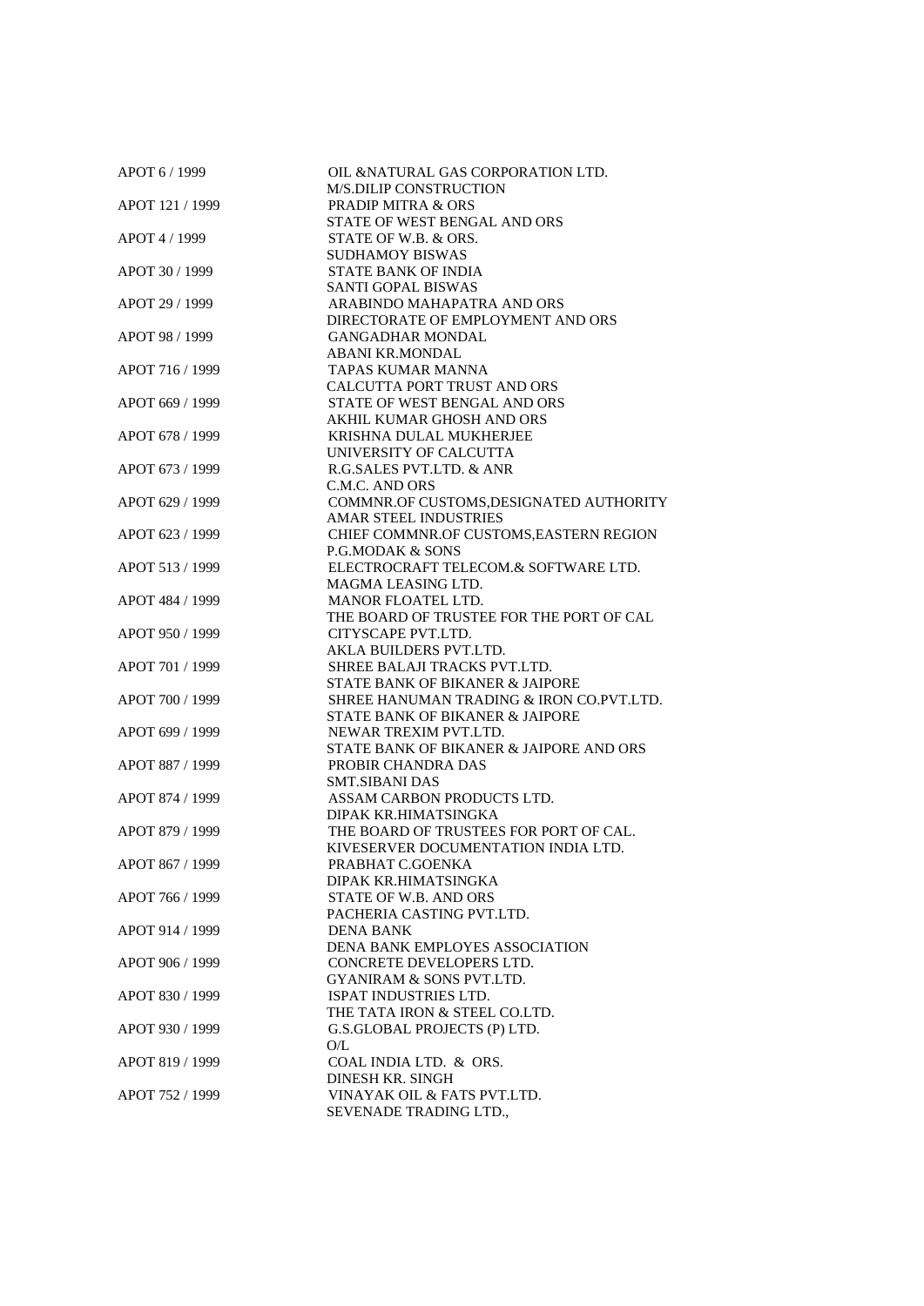| APOT 6 / 1999   | OIL &NATURAL GAS CORPORATION LTD.<br><b>M/S.DILIP CONSTRUCTION</b> |
|-----------------|--------------------------------------------------------------------|
| APOT 121 / 1999 | <b>PRADIP MITRA &amp; ORS</b>                                      |
|                 | STATE OF WEST BENGAL AND ORS                                       |
| APOT 4 / 1999   | STATE OF W.B. & ORS.                                               |
|                 | <b>SUDHAMOY BISWAS</b>                                             |
| APOT 30 / 1999  | <b>STATE BANK OF INDIA</b>                                         |
|                 | <b>SANTI GOPAL BISWAS</b>                                          |
| APOT 29 / 1999  | ARABINDO MAHAPATRA AND ORS                                         |
|                 | DIRECTORATE OF EMPLOYMENT AND ORS                                  |
| APOT 98 / 1999  | <b>GANGADHAR MONDAL</b>                                            |
|                 | <b>ABANI KR.MONDAL</b>                                             |
| APOT 716 / 1999 | TAPAS KUMAR MANNA                                                  |
|                 | CALCUTTA PORT TRUST AND ORS                                        |
| APOT 669 / 1999 | STATE OF WEST BENGAL AND ORS                                       |
|                 | AKHIL KUMAR GHOSH AND ORS                                          |
| APOT 678 / 1999 | KRISHNA DULAL MUKHERJEE                                            |
|                 | UNIVERSITY OF CALCUTTA                                             |
| APOT 673 / 1999 | R.G.SALES PVT.LTD. & ANR                                           |
|                 | C.M.C. AND ORS                                                     |
| APOT 629 / 1999 | COMMNR.OF CUSTOMS, DESIGNATED AUTHORITY                            |
|                 | AMAR STEEL INDUSTRIES                                              |
| APOT 623 / 1999 | CHIEF COMMNR.OF CUSTOMS, EASTERN REGION                            |
|                 | P.G.MODAK & SONS                                                   |
| APOT 513 / 1999 | ELECTROCRAFT TELECOM.& SOFTWARE LTD.                               |
|                 | MAGMA LEASING LTD.                                                 |
| APOT 484 / 1999 | <b>MANOR FLOATEL LTD.</b>                                          |
|                 | THE BOARD OF TRUSTEE FOR THE PORT OF CAL                           |
| APOT 950 / 1999 | CITYSCAPE PVT.LTD.                                                 |
|                 | AKLA BUILDERS PVT.LTD.                                             |
| APOT 701 / 1999 | SHREE BALAJI TRACKS PVT.LTD.                                       |
|                 | STATE BANK OF BIKANER & JAIPORE                                    |
| APOT 700 / 1999 | SHREE HANUMAN TRADING & IRON CO.PVT.LTD.                           |
|                 | STATE BANK OF BIKANER & JAIPORE                                    |
| APOT 699 / 1999 | NEWAR TREXIM PVT.LTD.                                              |
|                 | STATE BANK OF BIKANER & JAIPORE AND ORS                            |
| APOT 887 / 1999 | PROBIR CHANDRA DAS                                                 |
|                 | <b>SMT.SIBANI DAS</b>                                              |
| APOT 874 / 1999 | ASSAM CARBON PRODUCTS LTD.                                         |
|                 | DIPAK KR.HIMATSINGKA                                               |
| APOT 879 / 1999 | THE BOARD OF TRUSTEES FOR PORT OF CAL.                             |
|                 | KIVESERVER DOCUMENTATION INDIA LTD.                                |
| APOT 867 / 1999 | PRABHAT C.GOENKA                                                   |
|                 | DIPAK KR.HIMATSINGKA                                               |
| APOT 766 / 1999 | STATE OF W.B. AND ORS                                              |
|                 | PACHERIA CASTING PVT.LTD.                                          |
| APOT 914 / 1999 | DENA BANK                                                          |
|                 | DENA BANK EMPLOYES ASSOCIATION                                     |
| APOT 906 / 1999 | CONCRETE DEVELOPERS LTD.                                           |
|                 | <b>GYANIRAM &amp; SONS PVT.LTD.</b>                                |
| APOT 830 / 1999 | ISPAT INDUSTRIES LTD.                                              |
|                 | THE TATA IRON & STEEL CO.LTD.                                      |
| APOT 930 / 1999 | G.S.GLOBAL PROJECTS (P) LTD.                                       |
|                 | O/L                                                                |
| APOT 819 / 1999 | COAL INDIA LTD. & ORS.                                             |
|                 | <b>DINESH KR. SINGH</b>                                            |
| APOT 752 / 1999 | VINAYAK OIL & FATS PVT.LTD.                                        |
|                 | SEVENADE TRADING LTD.,                                             |
|                 |                                                                    |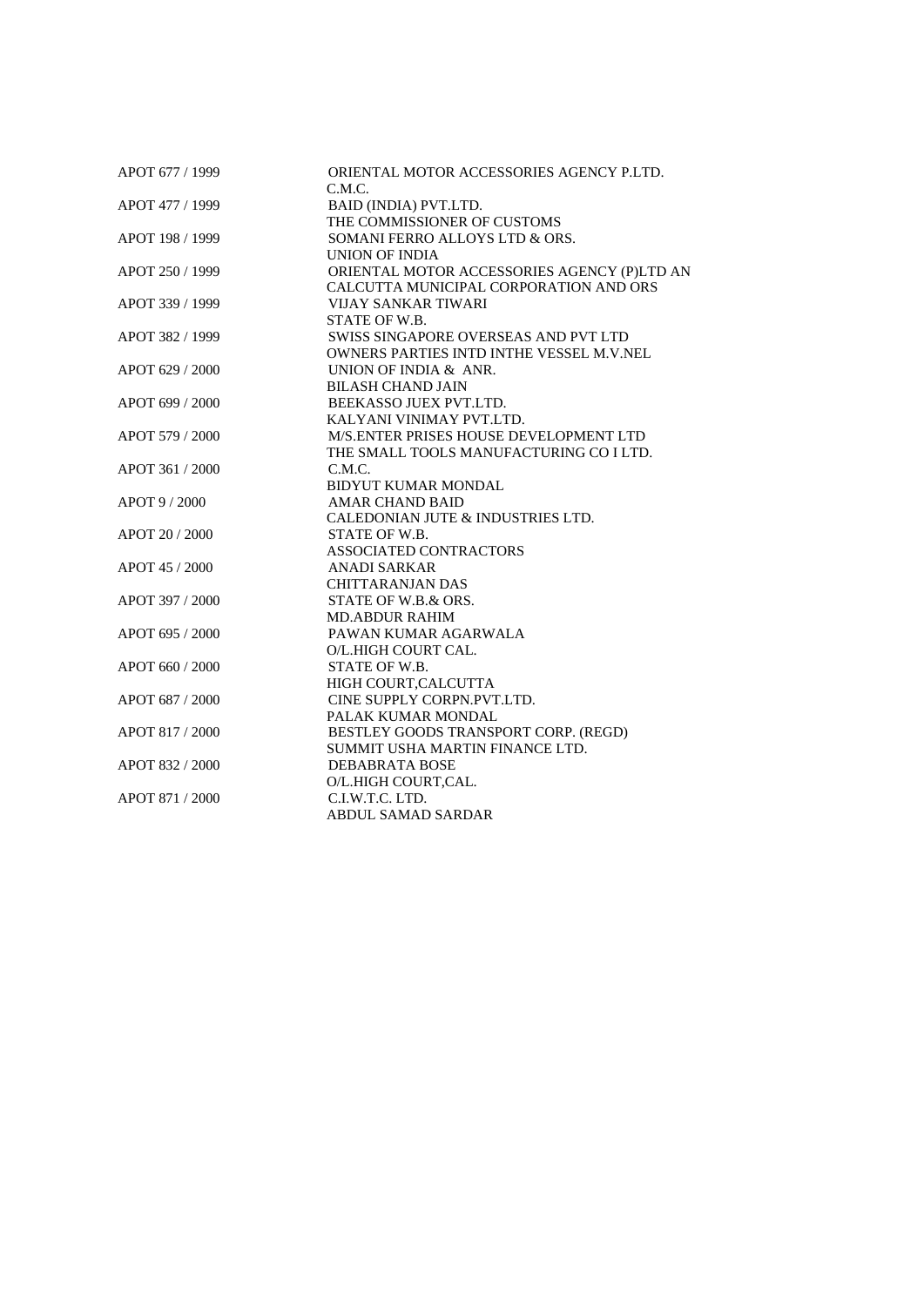| APOT 677 / 1999 | ORIENTAL MOTOR ACCESSORIES AGENCY P.LTD.        |
|-----------------|-------------------------------------------------|
|                 | C.M.C.                                          |
| APOT 477 / 1999 | BAID (INDIA) PVT.LTD.                           |
|                 | THE COMMISSIONER OF CUSTOMS                     |
| APOT 198 / 1999 | SOMANI FERRO ALLOYS LTD & ORS.                  |
|                 | <b>UNION OF INDIA</b>                           |
| APOT 250 / 1999 | ORIENTAL MOTOR ACCESSORIES AGENCY (P)LTD AN     |
|                 | CALCUTTA MUNICIPAL CORPORATION AND ORS          |
| APOT 339 / 1999 | <b>VIJAY SANKAR TIWARI</b>                      |
|                 | STATE OF W.B.                                   |
| APOT 382 / 1999 | SWISS SINGAPORE OVERSEAS AND PVT LTD            |
|                 | <b>OWNERS PARTIES INTD INTHE VESSEL M.V.NEL</b> |
| APOT 629 / 2000 | UNION OF INDIA & ANR.                           |
|                 | <b>BILASH CHAND JAIN</b>                        |
| APOT 699 / 2000 | BEEKASSO JUEX PVT.LTD.                          |
|                 | KALYANI VINIMAY PVT.LTD.                        |
| APOT 579 / 2000 | M/S.ENTER PRISES HOUSE DEVELOPMENT LTD          |
|                 | THE SMALL TOOLS MANUFACTURING CO I LTD.         |
| APOT 361 / 2000 | C.M.C.                                          |
|                 | <b>BIDYUT KUMAR MONDAL</b>                      |
| APOT 9/2000     | <b>AMAR CHAND BAID</b>                          |
|                 | CALEDONIAN JUTE & INDUSTRIES LTD.               |
| APOT 20 / 2000  | STATE OF W.B.                                   |
|                 | <b>ASSOCIATED CONTRACTORS</b>                   |
| APOT 45 / 2000  | <b>ANADI SARKAR</b>                             |
|                 | <b>CHITTARANJAN DAS</b>                         |
| APOT 397 / 2000 | STATE OF W.B.& ORS.                             |
|                 | <b>MD.ABDUR RAHIM</b>                           |
| APOT 695 / 2000 | PAWAN KUMAR AGARWALA                            |
|                 | O/L.HIGH COURT CAL.                             |
| APOT 660 / 2000 | STATE OF W.B.                                   |
|                 | HIGH COURT, CALCUTTA                            |
| APOT 687 / 2000 | CINE SUPPLY CORPN.PVT.LTD.                      |
|                 | PALAK KUMAR MONDAL                              |
| APOT 817 / 2000 | BESTLEY GOODS TRANSPORT CORP. (REGD)            |
|                 | SUMMIT USHA MARTIN FINANCE LTD.                 |
| APOT 832 / 2000 | <b>DEBABRATA BOSE</b>                           |
|                 | O/L.HIGH COURT,CAL.                             |
| APOT 871 / 2000 | C.I.W.T.C. LTD.                                 |
|                 | <b>ABDUL SAMAD SARDAR</b>                       |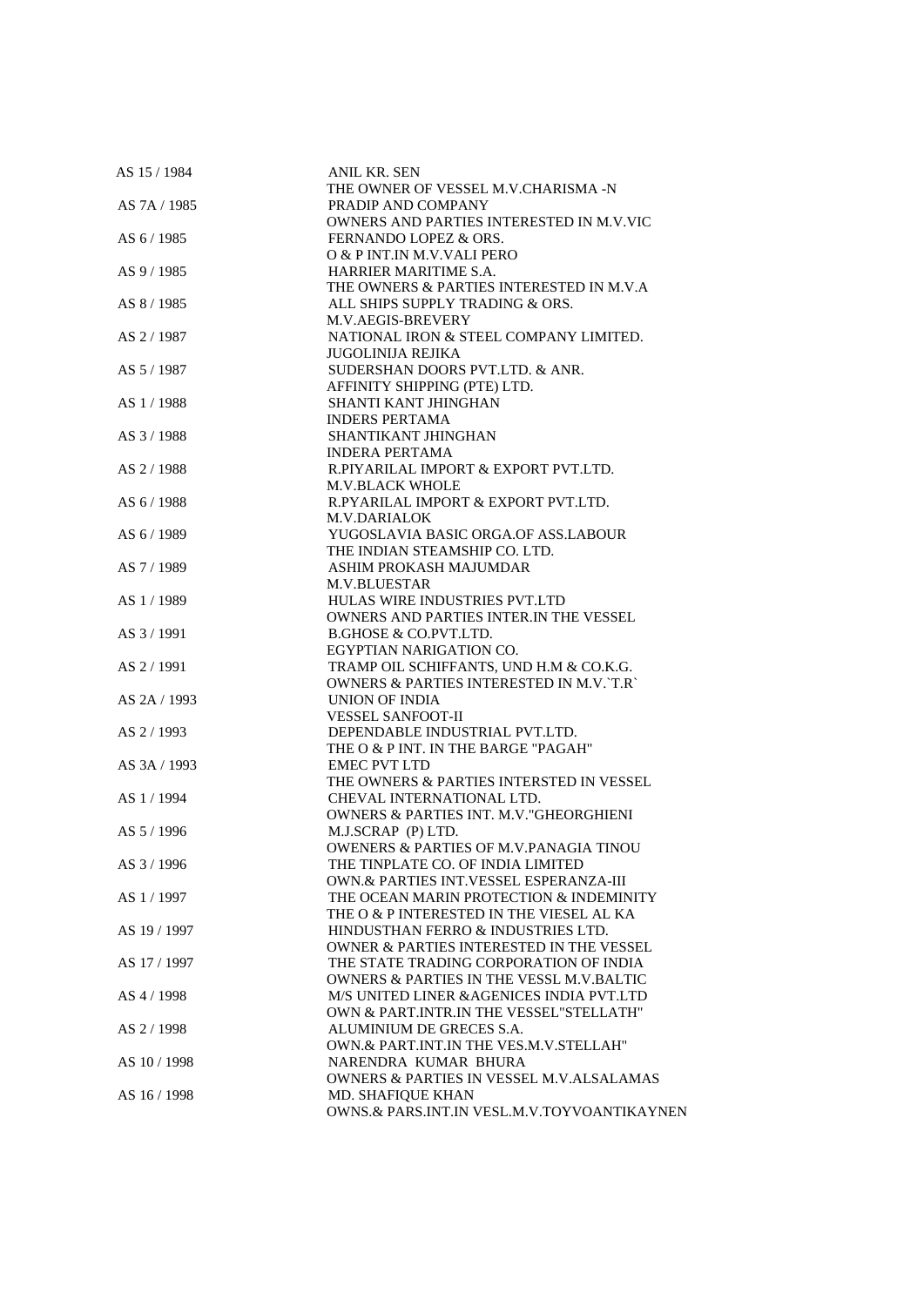| AS 15/1984   | ANIL KR. SEN                                      |
|--------------|---------------------------------------------------|
|              | THE OWNER OF VESSEL M.V.CHARISMA -N               |
| AS 7A / 1985 | PRADIP AND COMPANY                                |
|              | OWNERS AND PARTIES INTERESTED IN M.V.VIC          |
| AS 6 / 1985  | FERNANDO LOPEZ & ORS.                             |
|              | O & P INT.IN M.V.VALI PERO                        |
| AS 9/1985    | HARRIER MARITIME S.A.                             |
|              | THE OWNERS & PARTIES INTERESTED IN M.V.A          |
| AS 8 / 1985  | ALL SHIPS SUPPLY TRADING & ORS.                   |
|              | M.V.AEGIS-BREVERY                                 |
| AS 2/1987    | NATIONAL IRON & STEEL COMPANY LIMITED.            |
|              | <b>JUGOLINIJA REJIKA</b>                          |
| AS 5 / 1987  | SUDERSHAN DOORS PVT.LTD. & ANR.                   |
|              | AFFINITY SHIPPING (PTE) LTD.                      |
| AS 1/1988    | SHANTI KANT JHINGHAN                              |
|              | <b>INDERS PERTAMA</b>                             |
| AS 3/1988    | SHANTIKANT JHINGHAN                               |
|              | <b>INDERA PERTAMA</b>                             |
| AS 2/1988    | R.PIYARILAL IMPORT & EXPORT PVT.LTD.              |
|              | <b>M.V.BLACK WHOLE</b>                            |
| AS 6/1988    | R.PYARILAL IMPORT & EXPORT PVT.LTD.               |
|              | <b>M.V.DARIALOK</b>                               |
| AS 6/1989    | YUGOSLAVIA BASIC ORGA.OF ASS.LABOUR               |
|              | THE INDIAN STEAMSHIP CO. LTD.                     |
| AS 7/1989    | ASHIM PROKASH MAJUMDAR                            |
|              | <b>M.V.BLUESTAR</b>                               |
| AS 1/1989    | HULAS WIRE INDUSTRIES PVT.LTD                     |
|              | OWNERS AND PARTIES INTER.IN THE VESSEL            |
| AS 3/1991    | <b>B.GHOSE &amp; CO.PVT.LTD.</b>                  |
|              | EGYPTIAN NARIGATION CO.                           |
| AS 2 / 1991  | TRAMP OIL SCHIFFANTS, UND H.M & CO.K.G.           |
|              | OWNERS & PARTIES INTERESTED IN M.V. T.R           |
| AS 2A / 1993 | UNION OF INDIA                                    |
|              | <b>VESSEL SANFOOT-II</b>                          |
| AS 2 / 1993  | DEPENDABLE INDUSTRIAL PVT.LTD.                    |
|              | THE O & P INT. IN THE BARGE "PAGAH"               |
| AS 3A / 1993 | <b>EMEC PVT LTD</b>                               |
|              | THE OWNERS & PARTIES INTERSTED IN VESSEL          |
| AS 1/1994    | CHEVAL INTERNATIONAL LTD.                         |
|              | OWNERS & PARTIES INT. M.V. "GHEORGHIENI           |
| AS 5/1996    | M.J.SCRAP (P) LTD.                                |
|              | <b>OWENERS &amp; PARTIES OF M.V.PANAGIA TINOU</b> |
| AS 3/1996    | THE TINPLATE CO. OF INDIA LIMITED                 |
|              | OWN.& PARTIES INT.VESSEL ESPERANZA-III            |
| AS 1/1997    | THE OCEAN MARIN PROTECTION & INDEMINITY           |
|              | THE O & P INTERESTED IN THE VIESEL AL KA          |
| AS 19 / 1997 | HINDUSTHAN FERRO & INDUSTRIES LTD.                |
|              | OWNER & PARTIES INTERESTED IN THE VESSEL          |
| AS 17 / 1997 | THE STATE TRADING CORPORATION OF INDIA            |
|              | OWNERS & PARTIES IN THE VESSL M.V.BALTIC          |
| AS 4/1998    | M/S UNITED LINER & AGENICES INDIA PVT.LTD         |
|              | OWN & PART.INTR.IN THE VESSEL"STELLATH"           |
| AS 2/1998    | ALUMINIUM DE GRECES S.A.                          |
|              | OWN.& PART.INT.IN THE VES.M.V.STELLAH"            |
| AS 10 / 1998 | NARENDRA KUMAR BHURA                              |
|              | OWNERS & PARTIES IN VESSEL M.V.ALSALAMAS          |
| AS 16 / 1998 | MD. SHAFIQUE KHAN                                 |
|              | OWNS.& PARS.INT.IN VESL.M.V.TOYVOANTIKAYNEN       |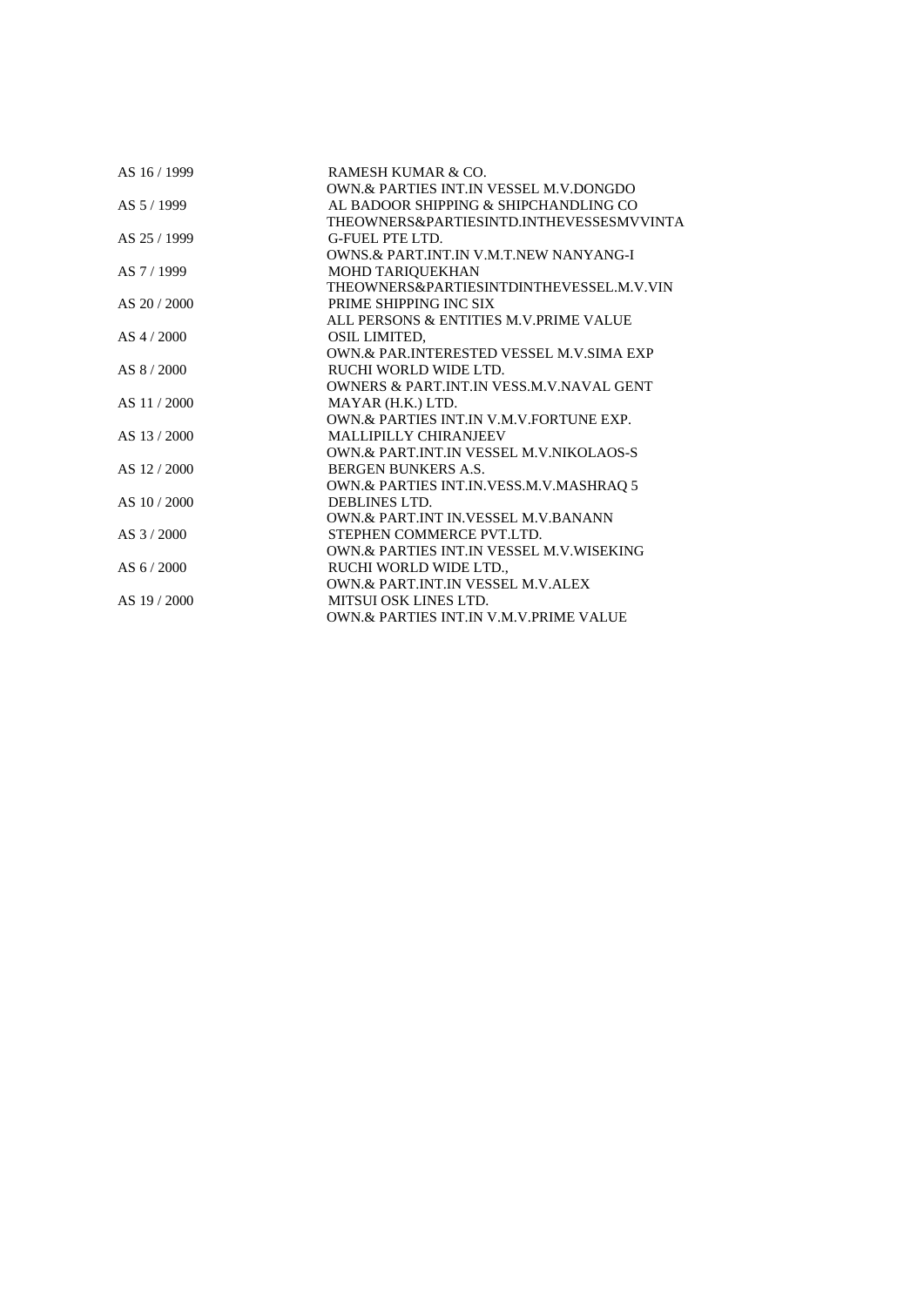| AS 16 / 1999  | RAMESH KUMAR & CO.                                   |
|---------------|------------------------------------------------------|
|               | OWN. & PARTIES INT. IN VESSEL M.V. DONGDO            |
| AS 5/1999     | AL BADOOR SHIPPING & SHIPCHANDLING CO                |
|               | THEOWNERS&PARTIESINTD.INTHEVESSESMVVINTA             |
| AS 25/1999    | G-FUEL PTE LTD.                                      |
|               | <b>OWNS.&amp; PART.INT.IN V.M.T.NEW NANYANG-I</b>    |
| AS 7/1999     | MOHD TARIQUEKHAN                                     |
|               | THEOWNERS&PARTIESINTDINTHEVESSEL.M.V.VIN             |
| AS $20/2000$  | PRIME SHIPPING INC SIX                               |
|               | ALL PERSONS & ENTITIES M.V.PRIME VALUE               |
| $AS$ 4 / 2000 | <b>OSIL LIMITED.</b>                                 |
|               | OWN.& PAR.INTERESTED VESSEL M.V.SIMA EXP             |
| AS 8/2000     | RUCHI WORLD WIDE LTD.                                |
|               | <b>OWNERS &amp; PART INT IN VESS M.V. NAVAL GENT</b> |
| AS 11/2000    | MAYAR (H.K.) LTD.                                    |
|               | OWN. & PARTIES INT. IN V.M.V. FORTUNE EXP.           |
| AS 13/2000    | <b>MALLIPILLY CHIRANJEEV</b>                         |
|               | OWN.& PART.INT.IN VESSEL M.V.NIKOLAOS-S              |
| AS 12/2000    | <b>BERGEN BUNKERS A.S.</b>                           |
|               | OWN.& PARTIES INT.IN.VESS.M.V.MASHRAQ 5              |
| AS 10/2000    | DEBLINES LTD.                                        |
|               | OWN.& PART.INT IN.VESSEL M.V.BANANN                  |
| $AS$ 3 / 2000 | STEPHEN COMMERCE PVT.LTD.                            |
|               | OWN.& PARTIES INT.IN VESSEL M.V.WISEKING             |
| AS $6/2000$   | RUCHI WORLD WIDE LTD.,                               |
|               | <b>OWN.&amp; PART.INT.IN VESSEL M.V.ALEX</b>         |
| AS 19/2000    | <b>MITSUI OSK LINES LTD.</b>                         |
|               | OWN.& PARTIES INT.IN V.M.V.PRIME VALUE               |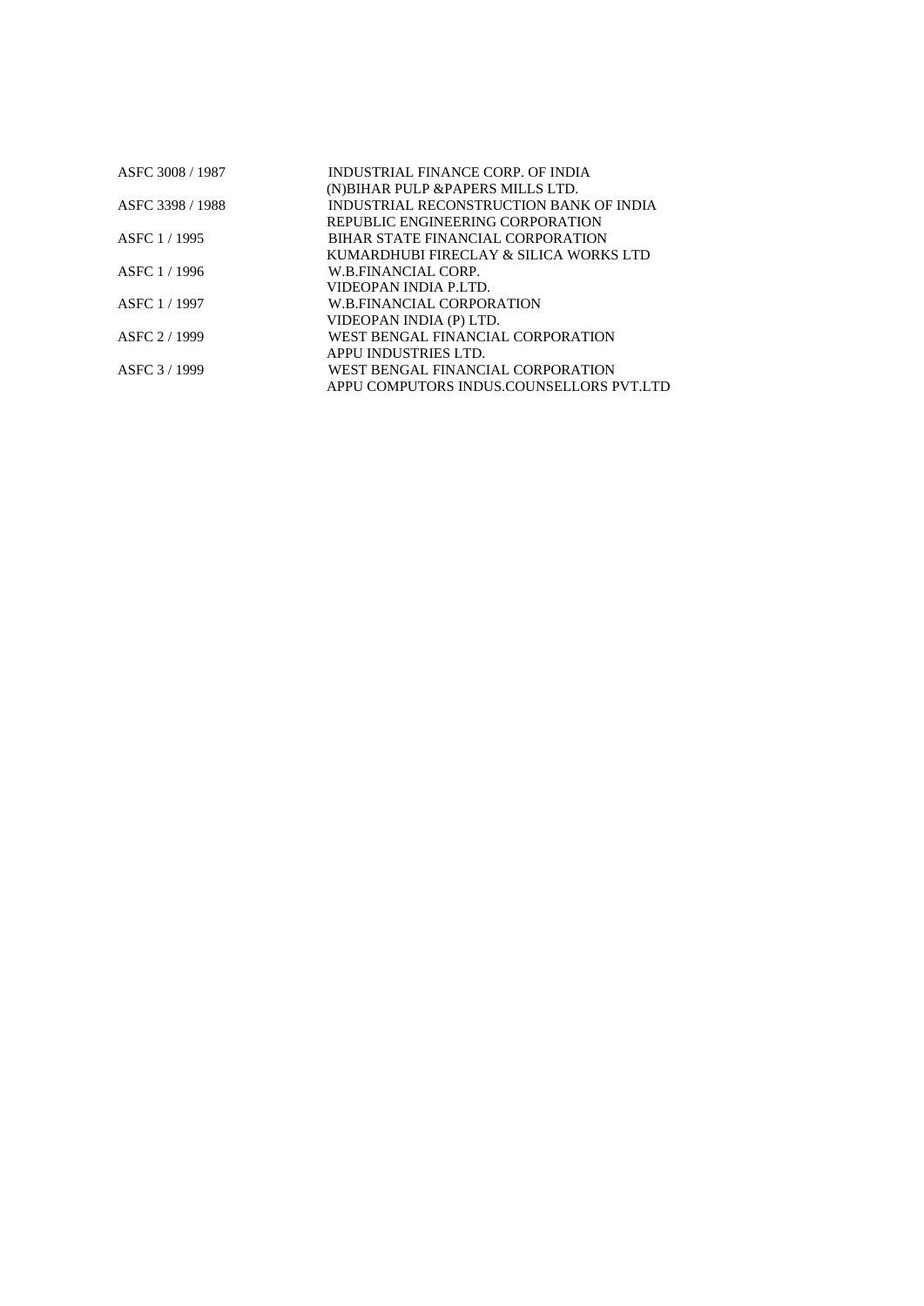| ASFC 3008 / 1987 | INDUSTRIAL FINANCE CORP. OF INDIA        |
|------------------|------------------------------------------|
|                  | (N) BIHAR PULP & PAPERS MILLS LTD.       |
| ASFC 3398 / 1988 | INDUSTRIAL RECONSTRUCTION BANK OF INDIA  |
|                  | REPUBLIC ENGINEERING CORPORATION         |
| ASFC 1/1995      | BIHAR STATE FINANCIAL CORPORATION        |
|                  | KUMARDHUBI FIRECLAY & SILICA WORKS LTD   |
| ASFC 1/1996      | W.B.FINANCIAL CORP.                      |
|                  | VIDEOPAN INDIA P.LTD.                    |
| ASFC 1/1997      | <b>W.B.FINANCIAL CORPORATION</b>         |
|                  | VIDEOPAN INDIA (P) LTD.                  |
| ASFC 2/1999      | WEST BENGAL FINANCIAL CORPORATION        |
|                  | APPU INDUSTRIES LTD.                     |
| ASFC 3/1999      | WEST BENGAL FINANCIAL CORPORATION        |
|                  | APPU COMPUTORS INDUS COUNSELLORS PVT.LTD |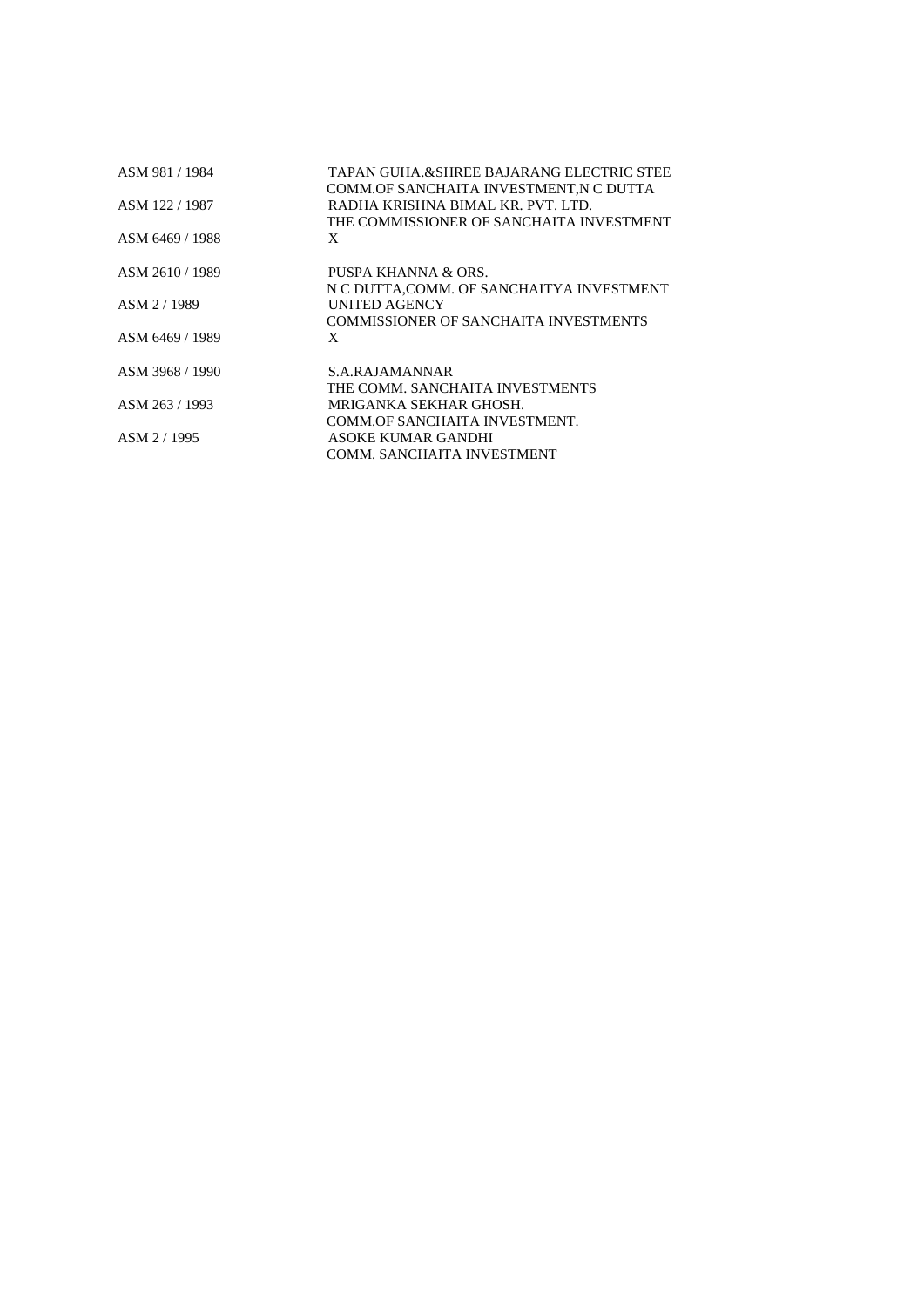| ASM 981 / 1984  | TAPAN GUHA.&SHREE BAJARANG ELECTRIC STEE<br>COMM.OF SANCHAITA INVESTMENT, N C DUTTA |
|-----------------|-------------------------------------------------------------------------------------|
| ASM 122 / 1987  | RADHA KRISHNA BIMAL KR. PVT. LTD.                                                   |
|                 | THE COMMISSIONER OF SANCHAITA INVESTMENT                                            |
| ASM 6469 / 1988 | X                                                                                   |
| ASM 2610 / 1989 | PUSPA KHANNA & ORS.                                                                 |
|                 | N C DUTTA, COMM. OF SANCHAITYA INVESTMENT                                           |
| ASM 2/1989      | <b>UNITED AGENCY</b>                                                                |
|                 | COMMISSIONER OF SANCHAITA INVESTMENTS                                               |
| ASM 6469 / 1989 | X                                                                                   |
| ASM 3968 / 1990 | S.A.RAJAMANNAR                                                                      |
|                 | THE COMM. SANCHAITA INVESTMENTS                                                     |
| ASM 263 / 1993  | MRIGANKA SEKHAR GHOSH.                                                              |
|                 | COMM.OF SANCHAITA INVESTMENT.                                                       |
| ASM 2/1995      | ASOKE KUMAR GANDHI                                                                  |
|                 | COMM. SANCHAITA INVESTMENT                                                          |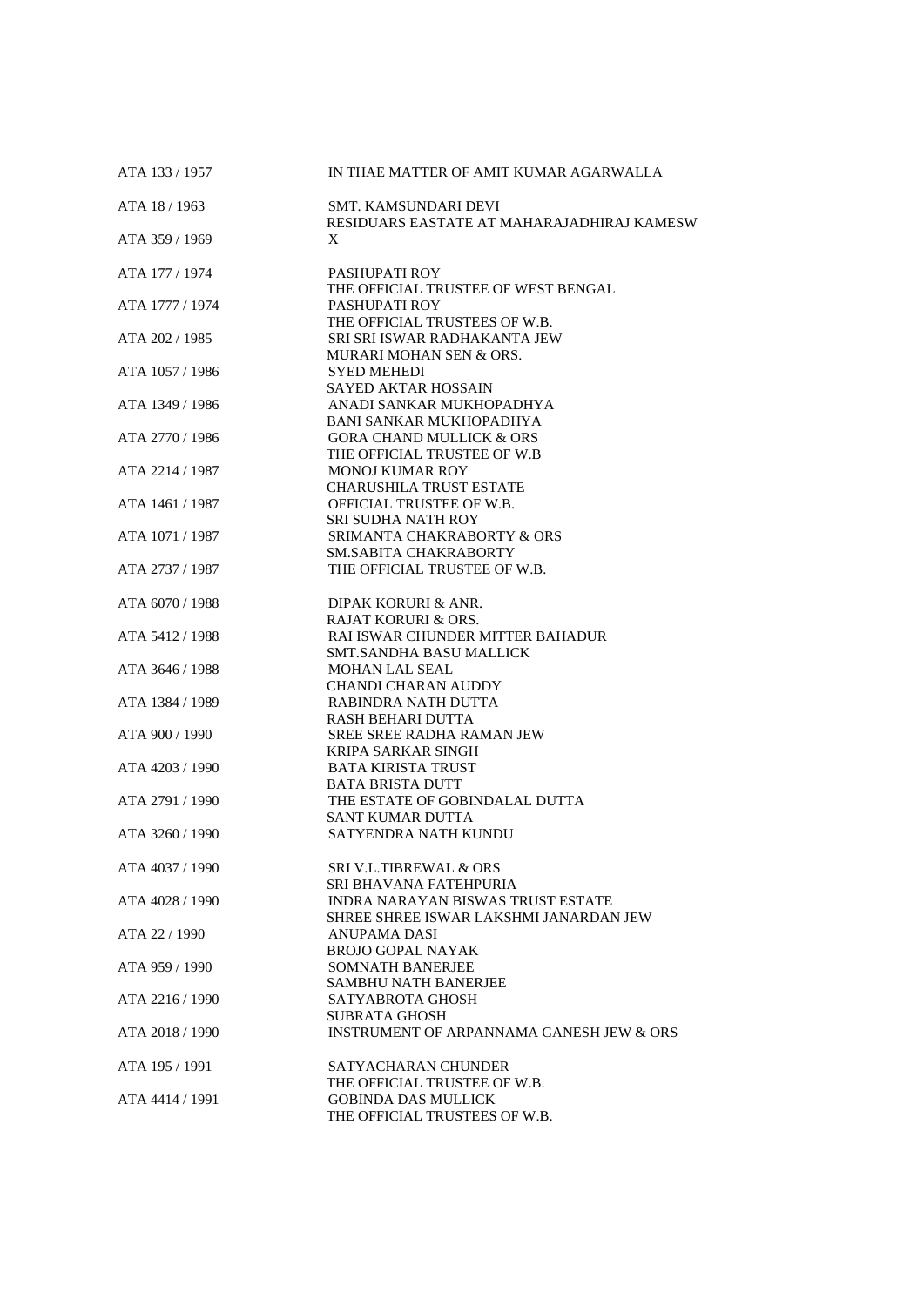| ATA 133 / 1957  | IN THAE MATTER OF AMIT KUMAR AGARWALLA                                             |
|-----------------|------------------------------------------------------------------------------------|
| ATA 18 / 1963   | SMT. KAMSUNDARI DEVI<br>RESIDUARS EASTATE AT MAHARAJADHIRAJ KAMESW                 |
| ATA 359 / 1969  | X                                                                                  |
| ATA 177 / 1974  | PASHUPATI ROY<br>THE OFFICIAL TRUSTEE OF WEST BENGAL                               |
| ATA 1777 / 1974 | PASHUPATI ROY<br>THE OFFICIAL TRUSTEES OF W.B.                                     |
| ATA 202 / 1985  | SRI SRI ISWAR RADHAKANTA JEW<br>MURARI MOHAN SEN & ORS.                            |
| ATA 1057 / 1986 | <b>SYED MEHEDI</b><br><b>SAYED AKTAR HOSSAIN</b>                                   |
| ATA 1349 / 1986 | ANADI SANKAR MUKHOPADHYA<br><b>BANI SANKAR MUKHOPADHYA</b>                         |
| ATA 2770 / 1986 | <b>GORA CHAND MULLICK &amp; ORS</b><br>THE OFFICIAL TRUSTEE OF W.B                 |
| ATA 2214 / 1987 | <b>MONOJ KUMAR ROY</b><br><b>CHARUSHILA TRUST ESTATE</b>                           |
| ATA 1461 / 1987 | OFFICIAL TRUSTEE OF W.B.<br><b>SRI SUDHA NATH ROY</b>                              |
| ATA 1071 / 1987 | SRIMANTA CHAKRABORTY & ORS<br><b>SM.SABITA CHAKRABORTY</b>                         |
| ATA 2737 / 1987 | THE OFFICIAL TRUSTEE OF W.B.                                                       |
| ATA 6070 / 1988 | DIPAK KORURI & ANR.<br><b>RAJAT KORURI &amp; ORS.</b>                              |
| ATA 5412 / 1988 | RAI ISWAR CHUNDER MITTER BAHADUR<br><b>SMT.SANDHA BASU MALLICK</b>                 |
| ATA 3646 / 1988 | <b>MOHAN LAL SEAL</b><br><b>CHANDI CHARAN AUDDY</b>                                |
| ATA 1384 / 1989 | RABINDRA NATH DUTTA<br>RASH BEHARI DUTTA                                           |
| ATA 900 / 1990  | <b>SREE SREE RADHA RAMAN JEW</b><br><b>KRIPA SARKAR SINGH</b>                      |
| ATA 4203 / 1990 | <b>BATA KIRISTA TRUST</b><br><b>BATA BRISTA DUTT</b>                               |
| ATA 2791 / 1990 | THE ESTATE OF GOBINDALAL DUTTA<br><b>SANT KUMAR DUTTA</b>                          |
| ATA 3260 / 1990 | SATYENDRA NATH KUNDU                                                               |
| ATA 4037 / 1990 | SRI V.L.TIBREWAL & ORS<br>SRI BHAVANA FATEHPURIA                                   |
| ATA 4028 / 1990 | <b>INDRA NARAYAN BISWAS TRUST ESTATE</b><br>SHREE SHREE ISWAR LAKSHMI JANARDAN JEW |
| ATA 22 / 1990   | ANUPAMA DASI<br><b>BROJO GOPAL NAYAK</b>                                           |
| ATA 959 / 1990  | <b>SOMNATH BANERJEE</b><br>SAMBHU NATH BANERJEE                                    |
| ATA 2216 / 1990 | SATYABROTA GHOSH<br><b>SUBRATA GHOSH</b>                                           |
| ATA 2018 / 1990 | INSTRUMENT OF ARPANNAMA GANESH JEW & ORS                                           |
| ATA 195 / 1991  | SATYACHARAN CHUNDER<br>THE OFFICIAL TRUSTEE OF W.B.                                |
| ATA 4414 / 1991 | <b>GOBINDA DAS MULLICK</b><br>THE OFFICIAL TRUSTEES OF W.B.                        |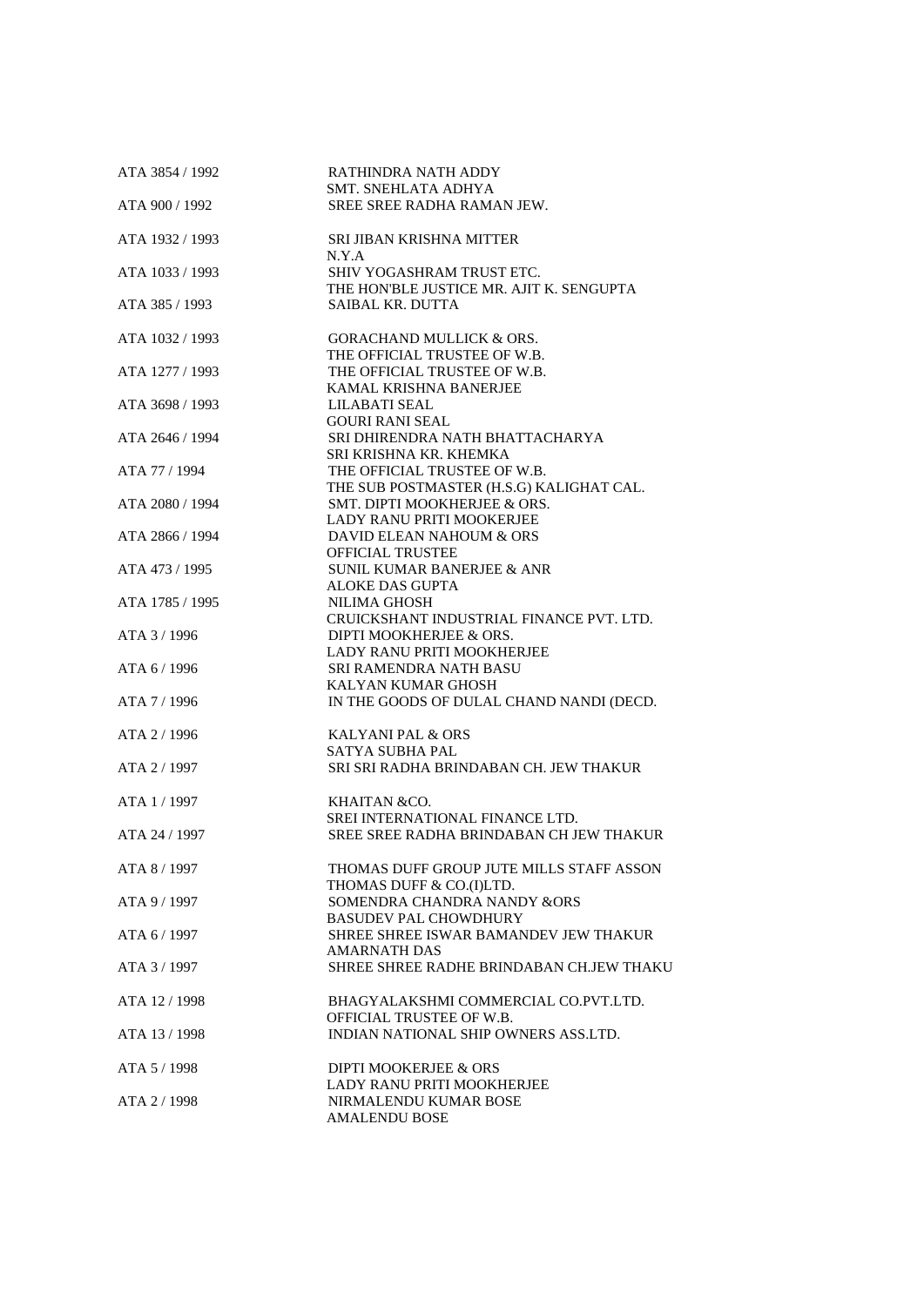| ATA 3854 / 1992 | RATHINDRA NATH ADDY<br>SMT. SNEHLATA ADHYA                               |
|-----------------|--------------------------------------------------------------------------|
| ATA 900 / 1992  | <b>SREE SREE RADHA RAMAN JEW.</b>                                        |
| ATA 1932 / 1993 | SRI JIBAN KRISHNA MITTER                                                 |
| ATA 1033 / 1993 | N.Y.A<br>SHIV YOGASHRAM TRUST ETC.                                       |
| ATA 385 / 1993  | THE HON'BLE JUSTICE MR. AJIT K. SENGUPTA<br>SAIBAL KR. DUTTA             |
| ATA 1032 / 1993 | <b>GORACHAND MULLICK &amp; ORS.</b><br>THE OFFICIAL TRUSTEE OF W.B.      |
| ATA 1277 / 1993 | THE OFFICIAL TRUSTEE OF W.B.<br>KAMAL KRISHNA BANERJEE                   |
| ATA 3698 / 1993 | <b>LILABATI SEAL</b><br><b>GOURI RANI SEAL</b>                           |
| ATA 2646 / 1994 | SRI DHIRENDRA NATH BHATTACHARYA<br>SRI KRISHNA KR. KHEMKA                |
| ATA 77 / 1994   | THE OFFICIAL TRUSTEE OF W.B.<br>THE SUB POSTMASTER (H.S.G) KALIGHAT CAL. |
| ATA 2080 / 1994 | SMT. DIPTI MOOKHERJEE & ORS.<br><b>LADY RANU PRITI MOOKERJEE</b>         |
| ATA 2866 / 1994 | DAVID ELEAN NAHOUM & ORS<br>OFFICIAL TRUSTEE                             |
| ATA 473 / 1995  | <b>SUNIL KUMAR BANERJEE &amp; ANR</b><br>ALOKE DAS GUPTA                 |
| ATA 1785 / 1995 | NILIMA GHOSH<br>CRUICKSHANT INDUSTRIAL FINANCE PVT. LTD.                 |
| ATA 3 / 1996    | DIPTI MOOKHERJEE & ORS.<br>LADY RANU PRITI MOOKHERJEE                    |
| ATA 6 / 1996    | <b>SRI RAMENDRA NATH BASU</b><br>KALYAN KUMAR GHOSH                      |
| ATA 7 / 1996    | IN THE GOODS OF DULAL CHAND NANDI (DECD.                                 |
| ATA 2 / 1996    | KALYANI PAL & ORS<br>SATYA SUBHA PAL                                     |
| ATA 2 / 1997    | SRI SRI RADHA BRINDABAN CH. JEW THAKUR                                   |
| ATA 1 / 1997    | KHAITAN &CO.<br>SREI INTERNATIONAL FINANCE LTD.                          |
| ATA 24 / 1997   | SREE SREE RADHA BRINDABAN CH JEW THAKUR                                  |
| ATA 8 / 1997    | THOMAS DUFF GROUP JUTE MILLS STAFF ASSON<br>THOMAS DUFF & CO.(I)LTD.     |
| ATA 9 / 1997    | SOMENDRA CHANDRA NANDY &ORS<br><b>BASUDEV PAL CHOWDHURY</b>              |
| ATA 6 / 1997    | SHREE SHREE ISWAR BAMANDEV JEW THAKUR<br><b>AMARNATH DAS</b>             |
| ATA 3 / 1997    | SHREE SHREE RADHE BRINDABAN CHJEW THAKU                                  |
| ATA 12 / 1998   | BHAGYALAKSHMI COMMERCIAL CO.PVT.LTD.<br>OFFICIAL TRUSTEE OF W.B.         |
| ATA 13 / 1998   | INDIAN NATIONAL SHIP OWNERS ASS.LTD.                                     |
| ATA 5 / 1998    | <b>DIPTI MOOKERJEE &amp; ORS</b><br>LADY RANU PRITI MOOKHERJEE           |
| ATA 2 / 1998    | NIRMALENDU KUMAR BOSE<br><b>AMALENDU BOSE</b>                            |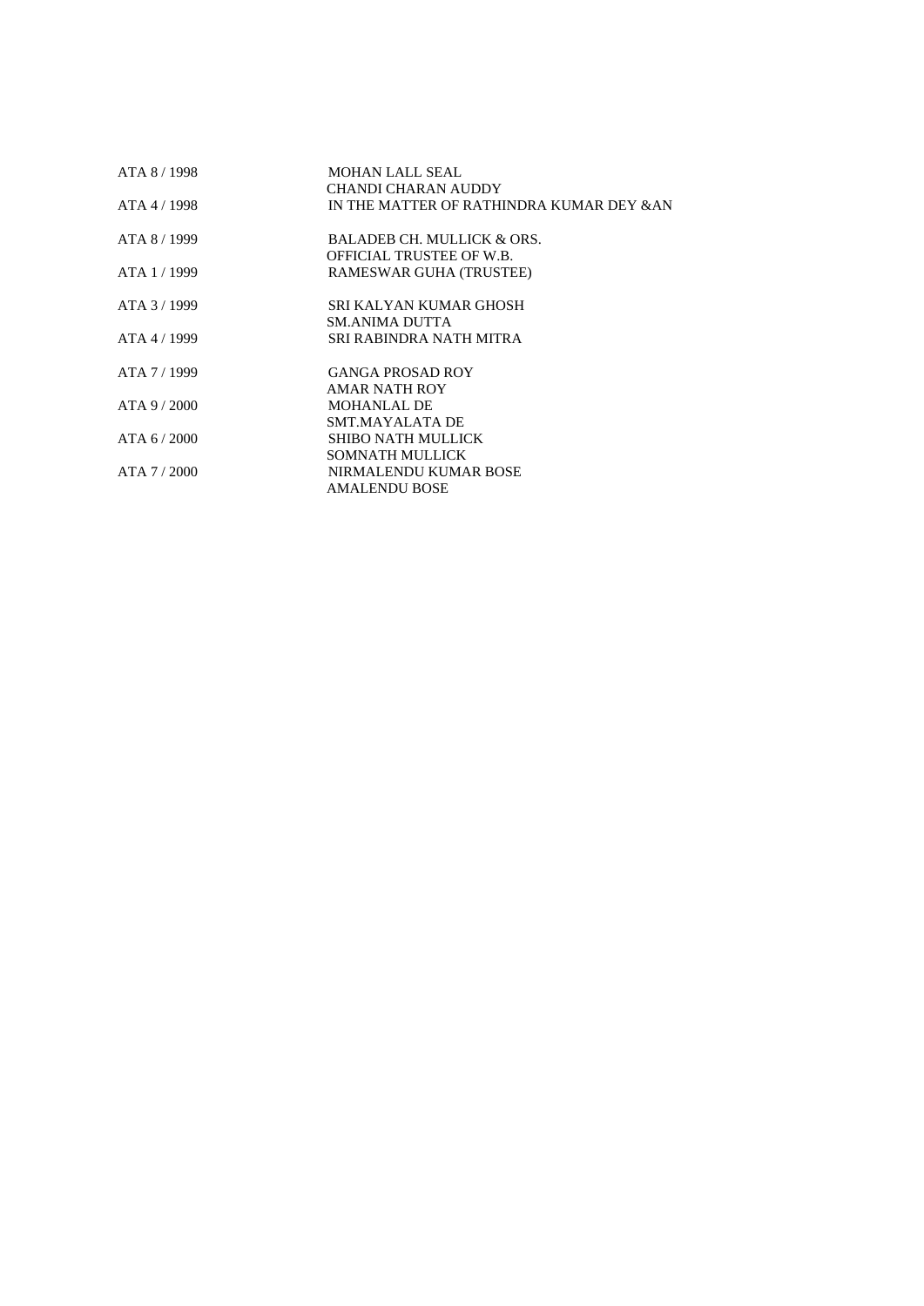| ATA 8 / 1998   | <b>MOHAN LALL SEAL</b>                   |
|----------------|------------------------------------------|
|                | <b>CHANDI CHARAN AUDDY</b>               |
| ATA 4/1998     | IN THE MATTER OF RATHINDRA KUMAR DEY &AN |
| ATA 8/1999     | <b>BALADEB CH. MULLICK &amp; ORS.</b>    |
|                | OFFICIAL TRUSTEE OF W.B.                 |
| ATA 1 / 1999   | RAMESWAR GUHA (TRUSTEE)                  |
| ATA 3/1999     | SRI KALYAN KUMAR GHOSH                   |
|                | SM.ANIMA DUTTA                           |
| ATA 4/1999     | SRI RABINDRA NATH MITRA                  |
| ATA 7/1999     | <b>GANGA PROSAD ROY</b>                  |
|                | AMAR NATH ROY                            |
| $ATA$ 9 / 2000 | <b>MOHANLAL DE</b>                       |
|                | SMT.MAYALATA DE                          |
| ATA $6/2000$   | SHIBO NATH MULLICK                       |
|                | SOMNATH MULLICK                          |
| ATA 7/2000     | NIRMALENDU KUMAR BOSE                    |
|                | <b>AMALENDU BOSE</b>                     |
|                |                                          |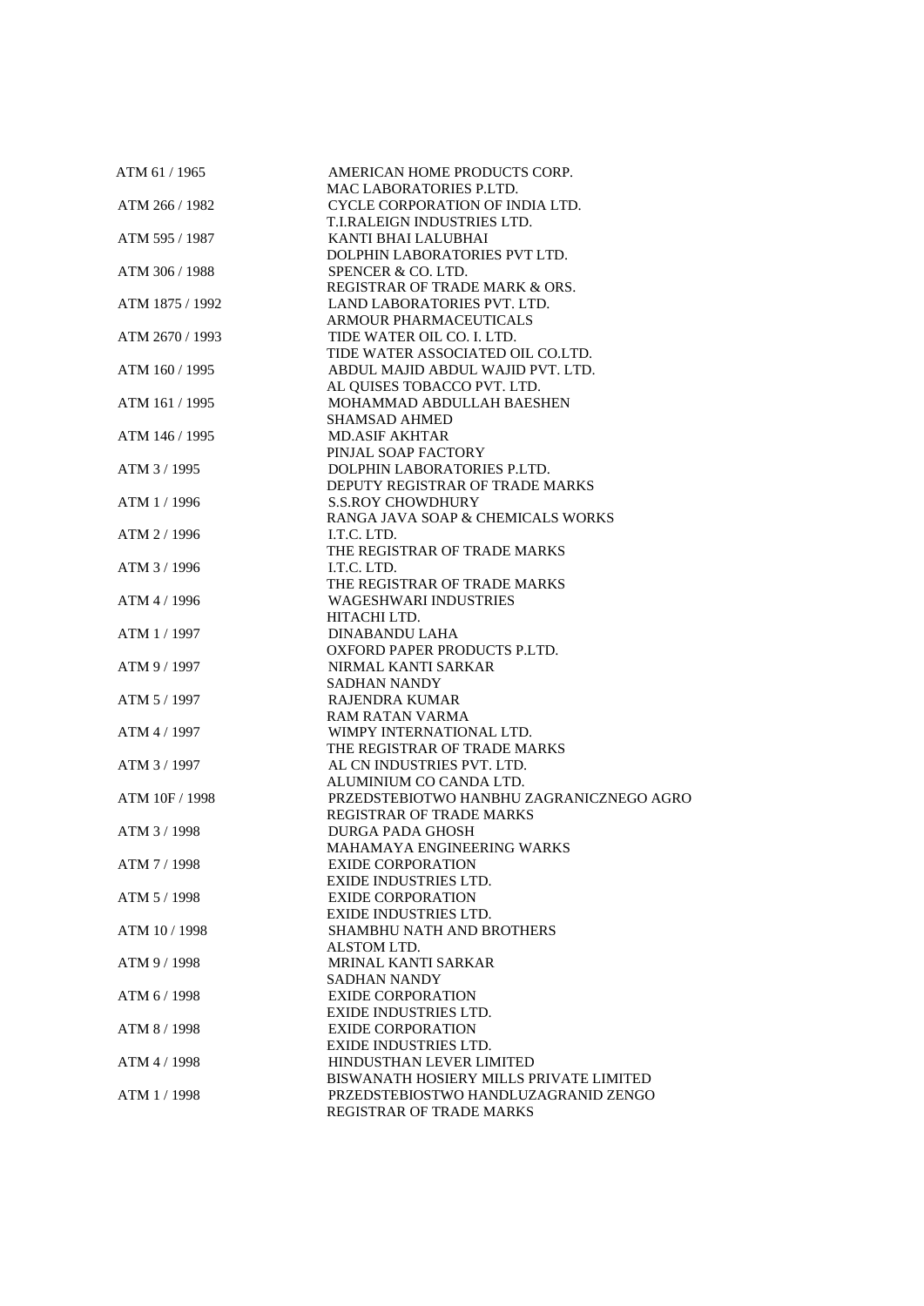| ATM 61 / 1965   | AMERICAN HOME PRODUCTS CORP.<br><b>MAC LABORATORIES P.LTD.</b> |
|-----------------|----------------------------------------------------------------|
| ATM 266 / 1982  | CYCLE CORPORATION OF INDIA LTD.                                |
|                 | T.I.RALEIGN INDUSTRIES LTD.                                    |
| ATM 595 / 1987  | KANTI BHAI LALUBHAI                                            |
|                 | DOLPHIN LABORATORIES PVT LTD.                                  |
| ATM 306 / 1988  |                                                                |
|                 | SPENCER & CO. LTD.                                             |
|                 | REGISTRAR OF TRADE MARK & ORS.                                 |
| ATM 1875 / 1992 | LAND LABORATORIES PVT. LTD.<br><b>ARMOUR PHARMACEUTICALS</b>   |
|                 | TIDE WATER OIL CO. I. LTD.                                     |
| ATM 2670 / 1993 | TIDE WATER ASSOCIATED OIL CO.LTD.                              |
|                 |                                                                |
| ATM 160 / 1995  | ABDUL MAJID ABDUL WAJID PVT. LTD.                              |
|                 | AL QUISES TOBACCO PVT. LTD.                                    |
| ATM 161 / 1995  | MOHAMMAD ABDULLAH BAESHEN                                      |
|                 | <b>SHAMSAD AHMED</b>                                           |
| ATM 146 / 1995  | <b>MD.ASIF AKHTAR</b>                                          |
|                 | PINJAL SOAP FACTORY                                            |
| ATM 3 / 1995    | DOLPHIN LABORATORIES P.LTD.                                    |
|                 | DEPUTY REGISTRAR OF TRADE MARKS                                |
| ATM 1 / 1996    | <b>S.S.ROY CHOWDHURY</b>                                       |
|                 | RANGA JAVA SOAP & CHEMICALS WORKS                              |
| ATM 2 / 1996    | I.T.C. LTD.                                                    |
|                 | THE REGISTRAR OF TRADE MARKS                                   |
| ATM 3 / 1996    | I.T.C. LTD.                                                    |
|                 | THE REGISTRAR OF TRADE MARKS                                   |
| ATM 4 / 1996    | <b>WAGESHWARI INDUSTRIES</b>                                   |
|                 | HITACHI LTD.                                                   |
| ATM 1 / 1997    | <b>DINABANDU LAHA</b>                                          |
|                 | OXFORD PAPER PRODUCTS P.LTD.                                   |
| ATM 9 / 1997    | NIRMAL KANTI SARKAR                                            |
|                 | <b>SADHAN NANDY</b>                                            |
| ATM 5 / 1997    | <b>RAJENDRA KUMAR</b>                                          |
|                 | <b>RAM RATAN VARMA</b>                                         |
| ATM 4 / 1997    | WIMPY INTERNATIONAL LTD.                                       |
|                 | THE REGISTRAR OF TRADE MARKS                                   |
| ATM 3 / 1997    | AL CN INDUSTRIES PVT. LTD.                                     |
|                 | ALUMINIUM CO CANDA LTD.                                        |
| ATM 10F / 1998  | PRZEDSTEBIOTWO HANBHU ZAGRANICZNEGO AGRO                       |
|                 | <b>REGISTRAR OF TRADE MARKS</b>                                |
| ATM 3/1998      | <b>DURGA PADA GHOSH</b>                                        |
|                 | MAHAMAYA ENGINEERING WARKS                                     |
| ATM 7 / 1998    | <b>EXIDE CORPORATION</b>                                       |
|                 | <b>EXIDE INDUSTRIES LTD.</b>                                   |
| ATM 5 / 1998    | <b>EXIDE CORPORATION</b>                                       |
|                 | <b>EXIDE INDUSTRIES LTD.</b>                                   |
| ATM 10/1998     | SHAMBHU NATH AND BROTHERS                                      |
|                 | ALSTOM LTD.                                                    |
| ATM 9 / 1998    | <b>MRINAL KANTI SARKAR</b>                                     |
|                 | <b>SADHAN NANDY</b>                                            |
| ATM 6 / 1998    | <b>EXIDE CORPORATION</b>                                       |
|                 | EXIDE INDUSTRIES LTD.                                          |
| ATM 8 / 1998    | <b>EXIDE CORPORATION</b>                                       |
|                 | <b>EXIDE INDUSTRIES LTD.</b>                                   |
| ATM 4 / 1998    | HINDUSTHAN LEVER LIMITED                                       |
|                 | BISWANATH HOSIERY MILLS PRIVATE LIMITED                        |
| ATM 1 / 1998    | PRZEDSTEBIOSTWO HANDLUZAGRANID ZENGO                           |
|                 | REGISTRAR OF TRADE MARKS                                       |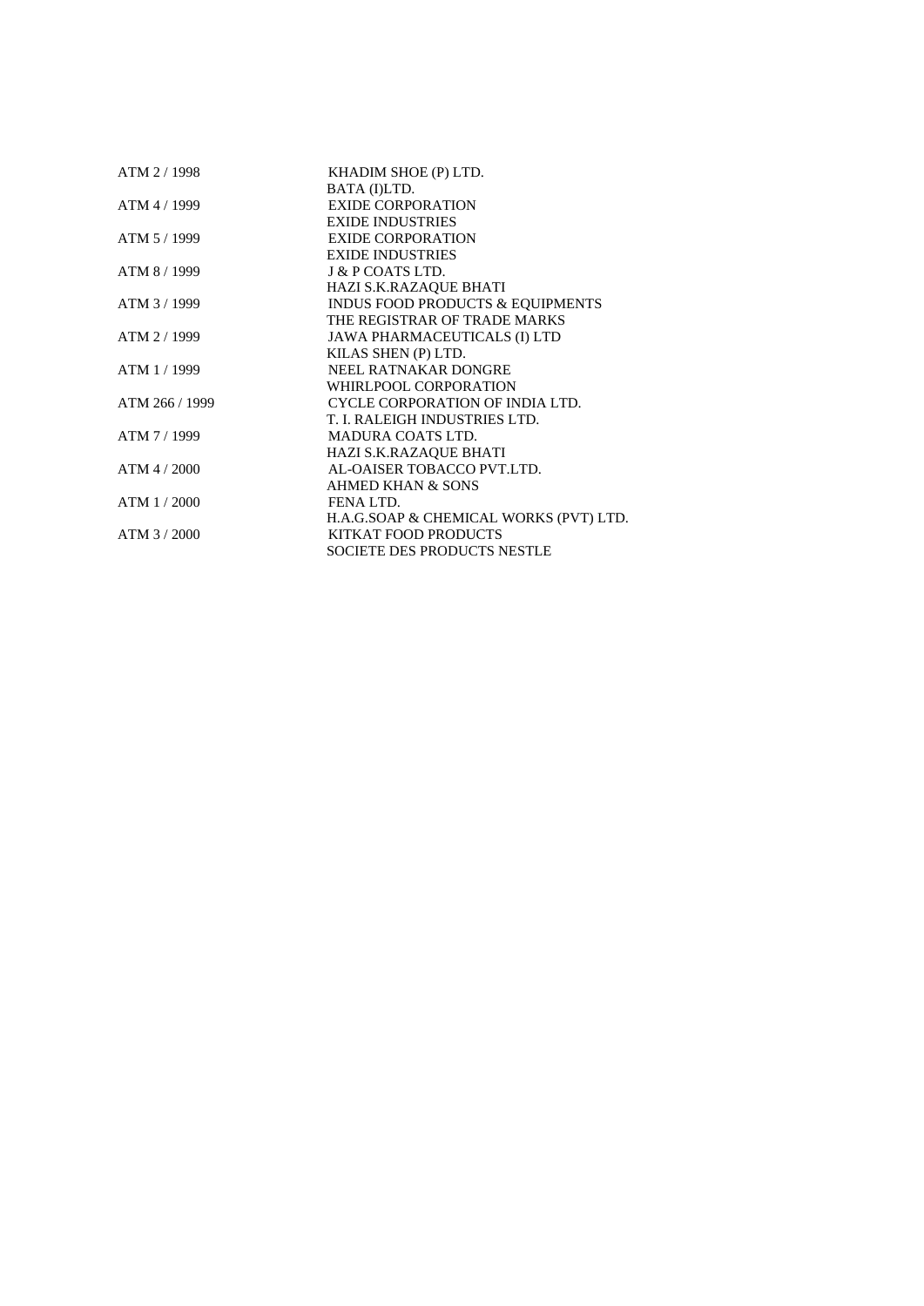| ATM 2 / 1998   | KHADIM SHOE (P) LTD.                        |  |
|----------------|---------------------------------------------|--|
|                | BATA (I)LTD.                                |  |
| ATM 4 / 1999   | <b>EXIDE CORPORATION</b>                    |  |
|                | <b>EXIDE INDUSTRIES</b>                     |  |
| ATM 5 / 1999   | <b>EXIDE CORPORATION</b>                    |  |
|                | <b>EXIDE INDUSTRIES</b>                     |  |
| ATM 8 / 1999   | J & P COATS LTD.                            |  |
|                | HAZI S.K.RAZAQUE BHATI                      |  |
| ATM 3/1999     | <b>INDUS FOOD PRODUCTS &amp; EQUIPMENTS</b> |  |
|                | THE REGISTRAR OF TRADE MARKS                |  |
| ATM 2 / 1999   | JAWA PHARMACEUTICALS (I) LTD                |  |
|                | KILAS SHEN (P) LTD.                         |  |
| ATM 1/1999     | NEEL RATNAKAR DONGRE                        |  |
|                | WHIRLPOOL CORPORATION                       |  |
| ATM 266 / 1999 | CYCLE CORPORATION OF INDIA LTD.             |  |
|                | T. I. RALEIGH INDUSTRIES LTD.               |  |
| ATM 7 / 1999   | <b>MADURA COATS LTD.</b>                    |  |
|                | HAZI S.K.RAZAQUE BHATI                      |  |
| $ATM$ 4 / 2000 | AL-OAISER TOBACCO PVT.LTD.                  |  |
|                | AHMED KHAN & SONS                           |  |
| ATM 1/2000     | FENA LTD.                                   |  |
|                | H.A.G.SOAP & CHEMICAL WORKS (PVT) LTD.      |  |
| ATM 3/2000     | KITKAT FOOD PRODUCTS                        |  |
|                | <b>SOCIETE DES PRODUCTS NESTLE</b>          |  |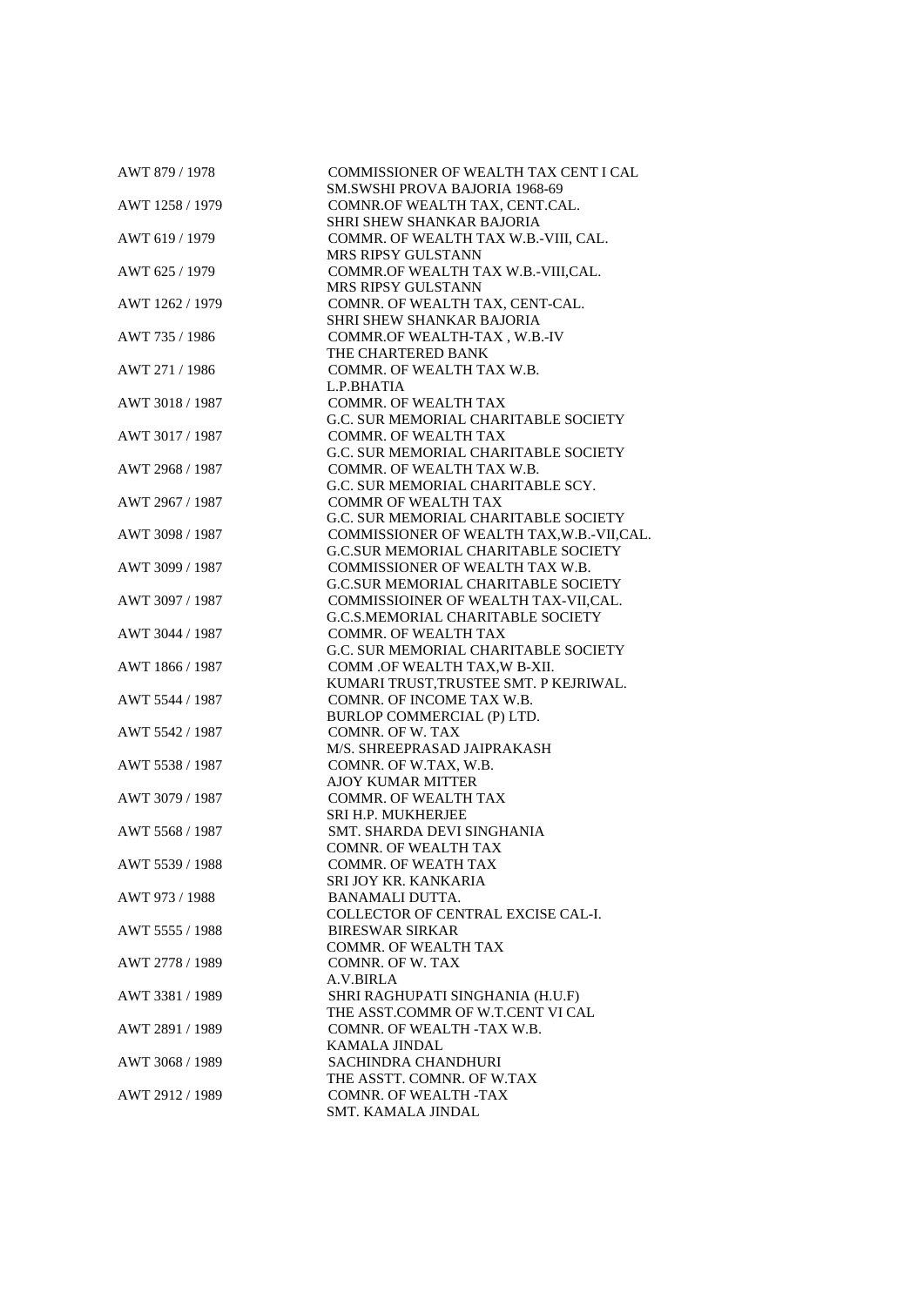| AWT 879 / 1978  | COMMISSIONER OF WEALTH TAX CENT I CAL<br>SM.SWSHI PROVA BAJORIA 1968-69 |
|-----------------|-------------------------------------------------------------------------|
| AWT 1258 / 1979 | COMNR.OF WEALTH TAX, CENT.CAL.                                          |
|                 | SHRI SHEW SHANKAR BAJORIA                                               |
| AWT 619 / 1979  | COMMR. OF WEALTH TAX W.B.-VIII, CAL.                                    |
|                 | MRS RIPSY GULSTANN                                                      |
| AWT 625 / 1979  | COMMR.OF WEALTH TAX W.B.-VIII,CAL.                                      |
|                 | MRS RIPSY GULSTANN                                                      |
| AWT 1262 / 1979 | COMNR. OF WEALTH TAX, CENT-CAL.                                         |
|                 | SHRI SHEW SHANKAR BAJORIA                                               |
| AWT 735 / 1986  |                                                                         |
|                 | COMMR.OF WEALTH-TAX, W.B.-IV                                            |
|                 | THE CHARTERED BANK                                                      |
| AWT 271 / 1986  | COMMR. OF WEALTH TAX W.B.                                               |
|                 | L.P.BHATIA                                                              |
| AWT 3018 / 1987 | COMMR. OF WEALTH TAX                                                    |
|                 | G.C. SUR MEMORIAL CHARITABLE SOCIETY                                    |
| AWT 3017 / 1987 | <b>COMMR. OF WEALTH TAX</b>                                             |
|                 | G.C. SUR MEMORIAL CHARITABLE SOCIETY                                    |
| AWT 2968 / 1987 | COMMR. OF WEALTH TAX W.B.                                               |
|                 | G.C. SUR MEMORIAL CHARITABLE SCY.                                       |
| AWT 2967 / 1987 | <b>COMMR OF WEALTH TAX</b>                                              |
|                 | G.C. SUR MEMORIAL CHARITABLE SOCIETY                                    |
| AWT 3098 / 1987 | COMMISSIONER OF WEALTH TAX, W.B.-VII, CAL.                              |
|                 | G.C.SUR MEMORIAL CHARITABLE SOCIETY                                     |
| AWT 3099 / 1987 | COMMISSIONER OF WEALTH TAX W.B.                                         |
|                 | <b>G.C.SUR MEMORIAL CHARITABLE SOCIETY</b>                              |
| AWT 3097 / 1987 | COMMISSIOINER OF WEALTH TAX-VII, CAL.                                   |
|                 | G.C.S.MEMORIAL CHARITABLE SOCIETY                                       |
| AWT 3044 / 1987 | <b>COMMR. OF WEALTH TAX</b>                                             |
|                 | G.C. SUR MEMORIAL CHARITABLE SOCIETY                                    |
| AWT 1866 / 1987 | COMM .OF WEALTH TAX, W B-XII.                                           |
|                 | KUMARI TRUST, TRUSTEE SMT. P KEJRIWAL.                                  |
| AWT 5544 / 1987 | COMNR. OF INCOME TAX W.B.                                               |
|                 | BURLOP COMMERCIAL (P) LTD.                                              |
| AWT 5542 / 1987 | COMNR. OF W. TAX                                                        |
|                 | M/S. SHREEPRASAD JAIPRAKASH                                             |
| AWT 5538 / 1987 | COMNR. OF W.TAX, W.B.                                                   |
|                 |                                                                         |
|                 | <b>AJOY KUMAR MITTER</b>                                                |
| AWT 3079 / 1987 | <b>COMMR. OF WEALTH TAX</b>                                             |
|                 | <b>SRI H.P. MUKHERJEE</b>                                               |
| AWT 5568 / 1987 | SMT. SHARDA DEVI SINGHANIA                                              |
|                 | <b>COMNR. OF WEALTH TAX</b>                                             |
| AWT 5539 / 1988 | COMMR. OF WEATH TAX                                                     |
|                 | SRI JOY KR. KANKARIA                                                    |
| AWT 973 / 1988  | <b>BANAMALI DUTTA.</b>                                                  |
|                 | <b>COLLECTOR OF CENTRAL EXCISE CAL-I.</b>                               |
| AWT 5555 / 1988 | <b>BIRESWAR SIRKAR</b>                                                  |
|                 | <b>COMMR. OF WEALTH TAX</b>                                             |
| AWT 2778 / 1989 | COMNR. OF W. TAX                                                        |
|                 | A.V.BIRLA                                                               |
| AWT 3381 / 1989 | SHRI RAGHUPATI SINGHANIA (H.U.F)                                        |
|                 | THE ASST.COMMR OF W.T.CENT VI CAL                                       |
| AWT 2891 / 1989 | COMNR. OF WEALTH -TAX W.B.                                              |
|                 | KAMALA JINDAL                                                           |
| AWT 3068 / 1989 | <b>SACHINDRA CHANDHURI</b>                                              |
|                 | THE ASSTT. COMNR. OF W.TAX                                              |
| AWT 2912 / 1989 | <b>COMNR. OF WEALTH -TAX</b>                                            |
|                 | SMT. KAMALA JINDAL                                                      |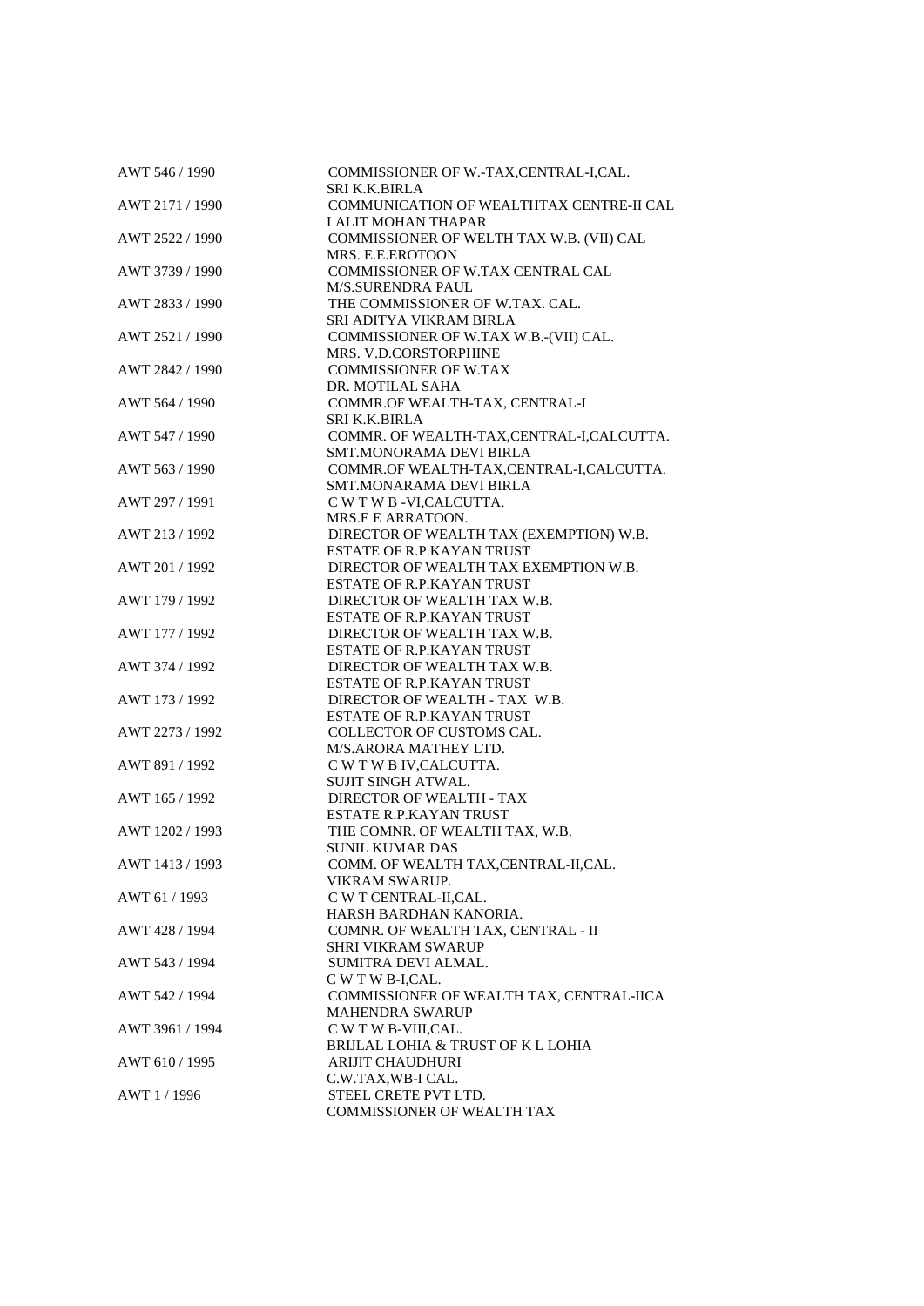| AWT 546 / 1990  | COMMISSIONER OF W.-TAX,CENTRAL-I,CAL.      |
|-----------------|--------------------------------------------|
|                 | SRI K.K.BIRLA                              |
| AWT 2171 / 1990 | COMMUNICATION OF WEALTHTAX CENTRE-II CAL   |
|                 | <b>LALIT MOHAN THAPAR</b>                  |
| AWT 2522 / 1990 | COMMISSIONER OF WELTH TAX W.B. (VII) CAL   |
|                 | MRS. E.E.EROTOON                           |
| AWT 3739 / 1990 | COMMISSIONER OF W.TAX CENTRAL CAL          |
|                 | <b>M/S.SURENDRA PAUL</b>                   |
| AWT 2833 / 1990 | THE COMMISSIONER OF W.TAX. CAL.            |
|                 | SRI ADITYA VIKRAM BIRLA                    |
| AWT 2521 / 1990 | COMMISSIONER OF W.TAX W.B.-(VII) CAL.      |
|                 | MRS. V.D.CORSTORPHINE                      |
| AWT 2842 / 1990 | <b>COMMISSIONER OF W.TAX</b>               |
|                 | DR. MOTILAL SAHA                           |
| AWT 564 / 1990  | COMMR.OF WEALTH-TAX, CENTRAL-I             |
|                 |                                            |
|                 | <b>SRI K.K.BIRLA</b>                       |
| AWT 547 / 1990  | COMMR. OF WEALTH-TAX, CENTRAL-I, CALCUTTA. |
|                 | SMT.MONORAMA DEVI BIRLA                    |
| AWT 563 / 1990  | COMMR.OF WEALTH-TAX,CENTRAL-I,CALCUTTA.    |
|                 | SMT.MONARAMA DEVI BIRLA                    |
| AWT 297 / 1991  | C W T W B -VI, CALCUTTA.                   |
|                 | MRS.E E ARRATOON.                          |
| AWT 213 / 1992  | DIRECTOR OF WEALTH TAX (EXEMPTION) W.B.    |
|                 | <b>ESTATE OF R.P.KAYAN TRUST</b>           |
| AWT 201 / 1992  | DIRECTOR OF WEALTH TAX EXEMPTION W.B.      |
|                 | ESTATE OF R.P.KAYAN TRUST                  |
| AWT 179 / 1992  | DIRECTOR OF WEALTH TAX W.B.                |
|                 | <b>ESTATE OF R.P.KAYAN TRUST</b>           |
| AWT 177 / 1992  | DIRECTOR OF WEALTH TAX W.B.                |
|                 | ESTATE OF R.P.KAYAN TRUST                  |
| AWT 374 / 1992  | DIRECTOR OF WEALTH TAX W.B.                |
|                 |                                            |
|                 | ESTATE OF R.P.KAYAN TRUST                  |
| AWT 173 / 1992  | DIRECTOR OF WEALTH - TAX W.B.              |
|                 | <b>ESTATE OF R.P.KAYAN TRUST</b>           |
| AWT 2273 / 1992 | COLLECTOR OF CUSTOMS CAL.                  |
|                 | M/S.ARORA MATHEY LTD.                      |
| AWT 891 / 1992  | C W T W B IV, CALCUTTA.                    |
|                 | <b>SUJIT SINGH ATWAL.</b>                  |
| AWT 165 / 1992  | DIRECTOR OF WEALTH - TAX                   |
|                 | <b>ESTATE R.P.KAYAN TRUST</b>              |
| AWT 1202 / 1993 | THE COMNR. OF WEALTH TAX, W.B.             |
|                 | <b>SUNIL KUMAR DAS</b>                     |
| AWT 1413 / 1993 | COMM. OF WEALTH TAX, CENTRAL-II, CAL.      |
|                 | VIKRAM SWARUP.                             |
| AWT 61 / 1993   | C W T CENTRAL-II, CAL.                     |
|                 | HARSH BARDHAN KANORIA.                     |
| AWT 428 / 1994  | COMNR. OF WEALTH TAX, CENTRAL - II         |
|                 | <b>SHRI VIKRAM SWARUP</b>                  |
| AWT 543 / 1994  | SUMITRA DEVI ALMAL.                        |
|                 |                                            |
|                 | C W T W B-I,CAL.                           |
| AWT 542 / 1994  | COMMISSIONER OF WEALTH TAX, CENTRAL-IICA   |
|                 | <b>MAHENDRA SWARUP</b>                     |
| AWT 3961 / 1994 | C W T W B-VIII, CAL.                       |
|                 | BRIJLAL LOHIA & TRUST OF K L LOHIA         |
| AWT 610 / 1995  | <b>ARIJIT CHAUDHURI</b>                    |
|                 | C.W.TAX, WB-I CAL.                         |
| AWT 1/1996      | STEEL CRETE PVT LTD.                       |
|                 | COMMISSIONER OF WEALTH TAX                 |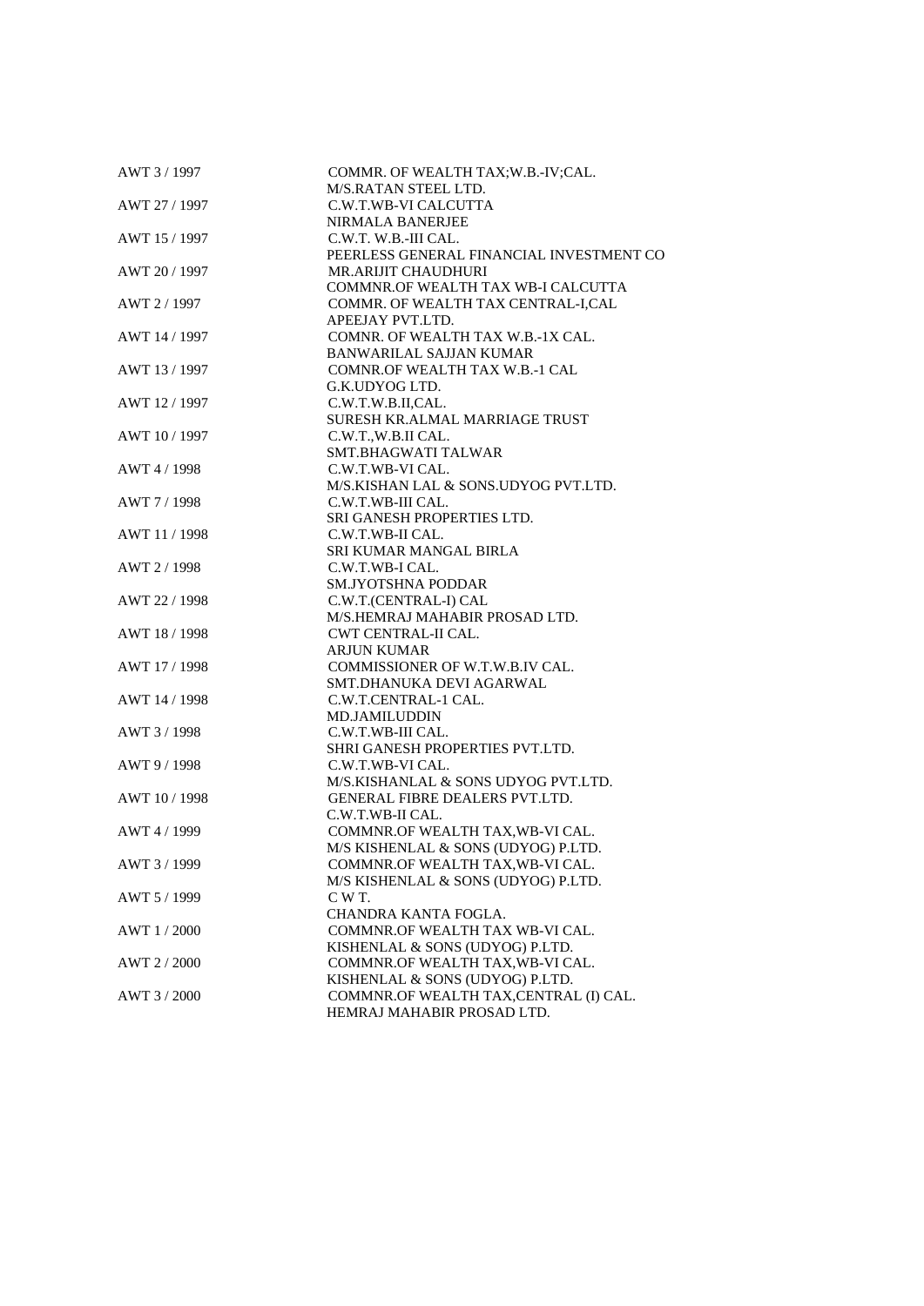| AWT 3/1997    | COMMR. OF WEALTH TAX; W.B.-IV; CAL.<br>M/S.RATAN STEEL LTD. |
|---------------|-------------------------------------------------------------|
| AWT 27 / 1997 | C.W.T.WB-VI CALCUTTA                                        |
|               | <b>NIRMALA BANERJEE</b>                                     |
| AWT 15 / 1997 | C.W.T. W.B.-III CAL.                                        |
|               | PEERLESS GENERAL FINANCIAL INVESTMENT CO                    |
| AWT 20 / 1997 | <b>MR.ARIJIT CHAUDHURI</b>                                  |
|               | COMMNR.OF WEALTH TAX WB-I CALCUTTA                          |
|               |                                                             |
| AWT 2 / 1997  | COMMR. OF WEALTH TAX CENTRAL-I,CAL<br>APEEJAY PVT.LTD.      |
|               | COMNR. OF WEALTH TAX W.B.-1X CAL.                           |
| AWT 14 / 1997 |                                                             |
|               | <b>BANWARILAL SAJJAN KUMAR</b>                              |
| AWT 13/1997   | COMNR.OF WEALTH TAX W.B.-1 CAL                              |
|               | G.K.UDYOG LTD.                                              |
| AWT 12 / 1997 | C.W.T.W.B.II,CAL.                                           |
|               | SURESH KR.ALMAL MARRIAGE TRUST                              |
| AWT 10 / 1997 | C.W.T.,W.B.II CAL.                                          |
|               | SMT.BHAGWATI TALWAR                                         |
| AWT 4 / 1998  | C.W.T.WB-VI CAL.                                            |
|               | M/S.KISHAN LAL & SONS.UDYOG PVT.LTD.                        |
| AWT 7/1998    | C.W.T.WB-III CAL.                                           |
|               | SRI GANESH PROPERTIES LTD.                                  |
| AWT 11 / 1998 | C.W.T.WB-II CAL.                                            |
|               | SRI KUMAR MANGAL BIRLA                                      |
| AWT 2/1998    | C.W.T.WB-I CAL.                                             |
|               | <b>SM.JYOTSHNA PODDAR</b>                                   |
| AWT 22 / 1998 | C.W.T.(CENTRAL-I) CAL                                       |
|               | M/S.HEMRAJ MAHABIR PROSAD LTD.                              |
| AWT 18 / 1998 | <b>CWT CENTRAL-II CAL.</b>                                  |
|               | <b>ARJUN KUMAR</b>                                          |
| AWT 17 / 1998 | COMMISSIONER OF W.T.W.B.IV CAL.                             |
|               | SMT.DHANUKA DEVI AGARWAL                                    |
| AWT 14 / 1998 | C.W.T.CENTRAL-1 CAL.                                        |
|               | <b>MD.JAMILUDDIN</b>                                        |
| AWT 3 / 1998  | C.W.T.WB-III CAL.                                           |
|               | SHRI GANESH PROPERTIES PVT.LTD.                             |
| AWT 9/1998    | C.W.T.WB-VI CAL.                                            |
|               | M/S.KISHANLAL & SONS UDYOG PVT.LTD.                         |
| AWT 10 / 1998 | GENERAL FIBRE DEALERS PVT.LTD.                              |
|               | C.W.T.WB-II CAL.                                            |
| AWT 4 / 1999  | COMMNR.OF WEALTH TAX, WB-VI CAL.                            |
|               | M/S KISHENLAL & SONS (UDYOG) P.LTD.                         |
| AWT 3 / 1999  | COMMNR.OF WEALTH TAX, WB-VI CAL.                            |
|               | M/S KISHENLAL & SONS (UDYOG) P.LTD.                         |
| AWT 5 / 1999  | C W T.                                                      |
|               | CHANDRA KANTA FOGLA.                                        |
| AWT 1/2000    | COMMNR.OF WEALTH TAX WB-VI CAL.                             |
|               | KISHENLAL & SONS (UDYOG) P.LTD.                             |
| AWT 2 / 2000  | COMMNR.OF WEALTH TAX, WB-VI CAL.                            |
|               | KISHENLAL & SONS (UDYOG) P.LTD.                             |
| AWT 3/2000    | COMMNR.OF WEALTH TAX, CENTRAL (I) CAL.                      |
|               | HEMRAJ MAHABIR PROSAD LTD.                                  |
|               |                                                             |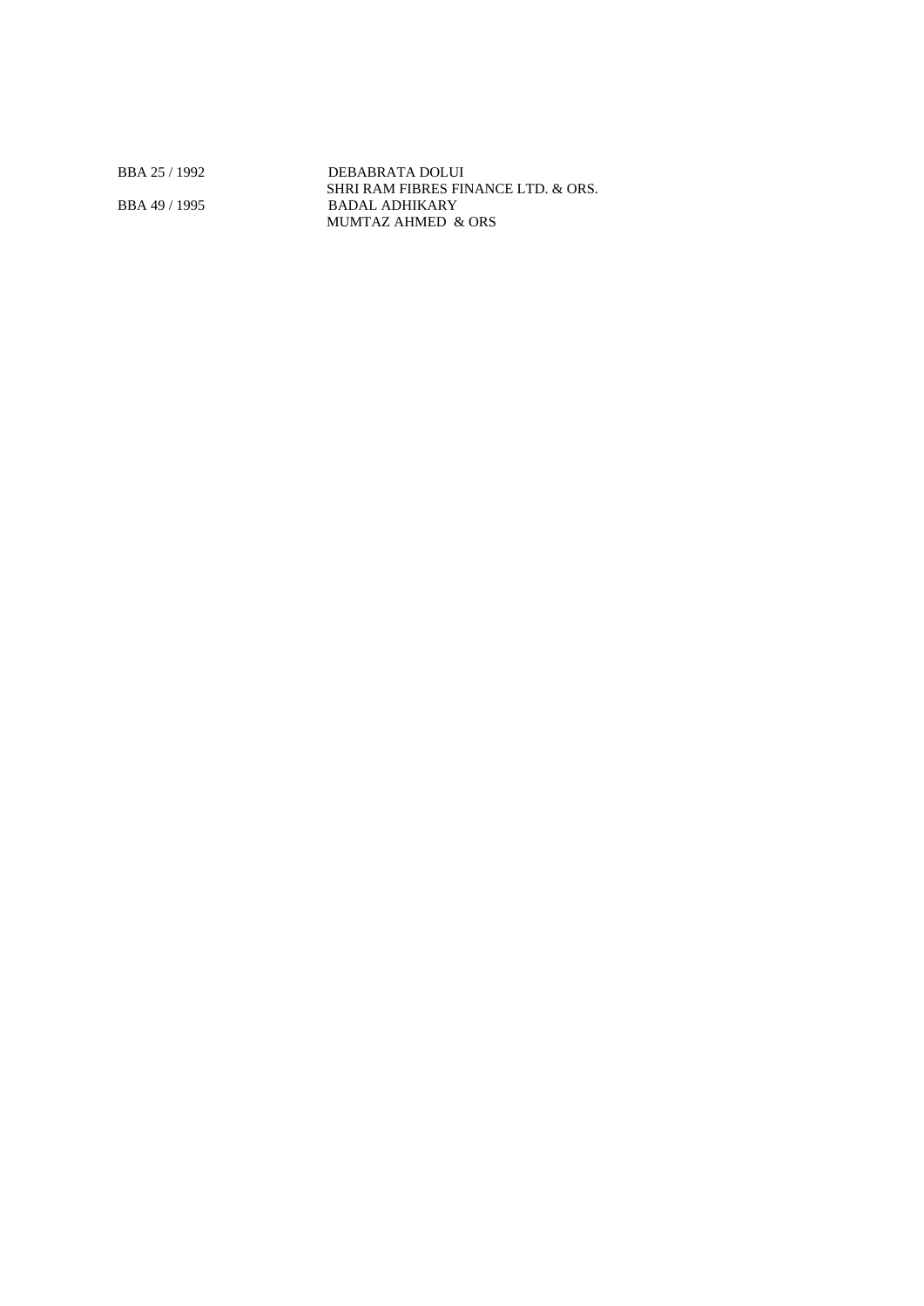BBA 25 / 1992 DEBABRATA DOLUI SHRI RAM FIBRES FINANCE LTD. & ORS. BBA 49 / 1995 BADAL ADHIKARY MUMTAZ AHMED & ORS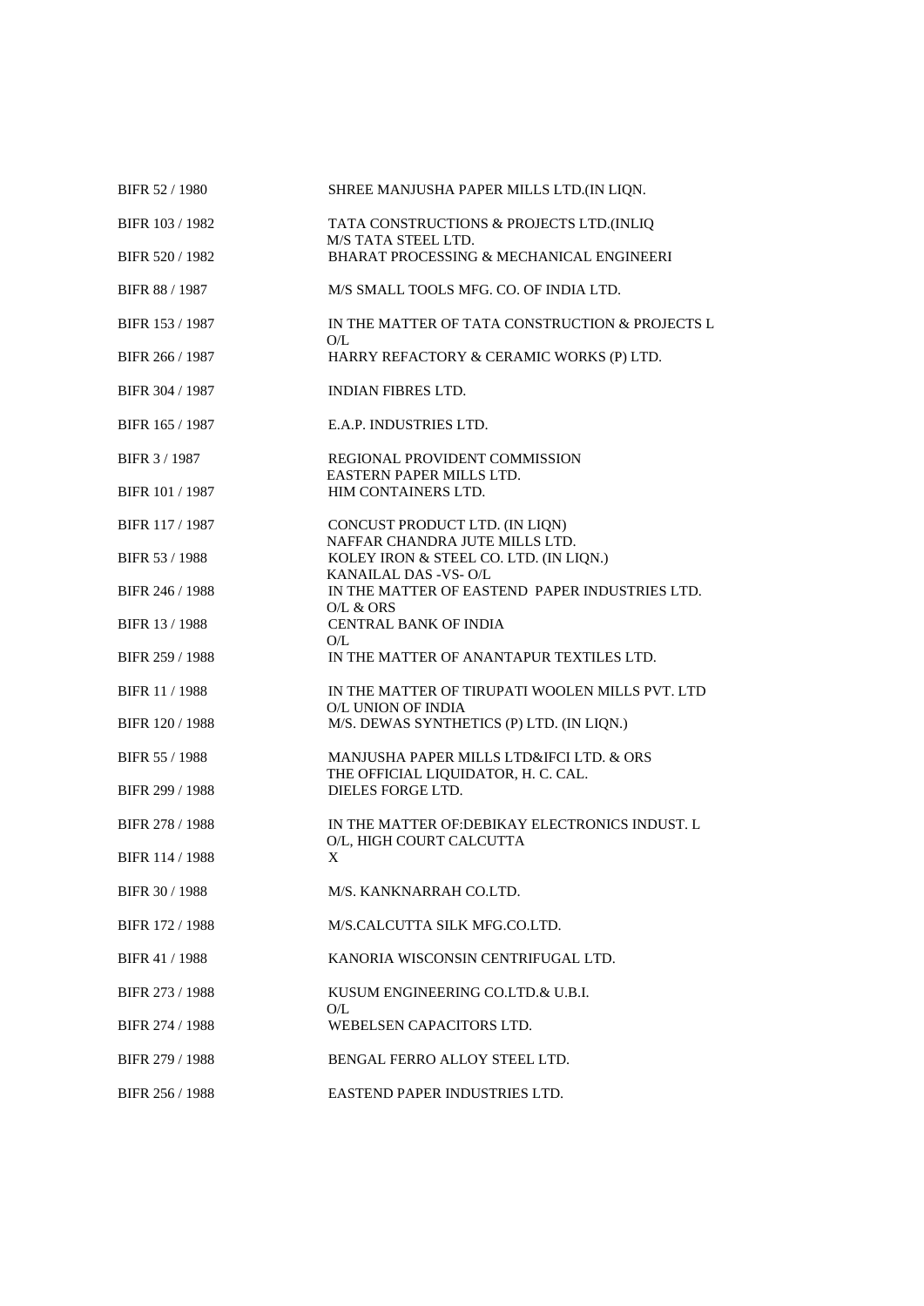| BIFR 52 / 1980        | SHREE MANJUSHA PAPER MILLS LTD.(IN LIQN.                                        |
|-----------------------|---------------------------------------------------------------------------------|
| BIFR 103 / 1982       | TATA CONSTRUCTIONS & PROJECTS LTD.(INLIQ<br>M/S TATA STEEL LTD.                 |
| BIFR 520 / 1982       | BHARAT PROCESSING & MECHANICAL ENGINEERI                                        |
| BIFR 88 / 1987        | M/S SMALL TOOLS MFG. CO. OF INDIA LTD.                                          |
| BIFR 153 / 1987       | IN THE MATTER OF TATA CONSTRUCTION & PROJECTS L<br>O/L                          |
| BIFR 266 / 1987       | HARRY REFACTORY & CERAMIC WORKS (P) LTD.                                        |
| BIFR 304 / 1987       | <b>INDIAN FIBRES LTD.</b>                                                       |
| BIFR 165 / 1987       | E.A.P. INDUSTRIES LTD.                                                          |
| BIFR 3 / 1987         | REGIONAL PROVIDENT COMMISSION<br>EASTERN PAPER MILLS LTD.                       |
| BIFR 101 / 1987       | HIM CONTAINERS LTD.                                                             |
| BIFR 117 / 1987       | CONCUST PRODUCT LTD. (IN LIQN)<br>NAFFAR CHANDRA JUTE MILLS LTD.                |
| BIFR 53 / 1988        | KOLEY IRON & STEEL CO. LTD. (IN LIQN.)<br>KANAILAL DAS - VS-O/L                 |
| BIFR 246 / 1988       | IN THE MATTER OF EASTEND PAPER INDUSTRIES LTD.<br>O/L & ORS                     |
| BIFR 13 / 1988        | CENTRAL BANK OF INDIA<br>O/L                                                    |
| BIFR 259 / 1988       | IN THE MATTER OF ANANTAPUR TEXTILES LTD.                                        |
| <b>BIFR 11 / 1988</b> | IN THE MATTER OF TIRUPATI WOOLEN MILLS PVT. LTD<br>O/L UNION OF INDIA           |
| BIFR 120 / 1988       | M/S. DEWAS SYNTHETICS (P) LTD. (IN LIQN.)                                       |
| BIFR 55 / 1988        | MANJUSHA PAPER MILLS LTD&IFCI LTD. & ORS<br>THE OFFICIAL LIQUIDATOR, H. C. CAL. |
| BIFR 299 / 1988       | DIELES FORGE LTD.                                                               |
| BIFR 278 / 1988       | IN THE MATTER OF: DEBIKAY ELECTRONICS INDUST. L<br>O/L, HIGH COURT CALCUTTA     |
| BIFR 114 / 1988       | X                                                                               |
| BIFR 30 / 1988        | M/S. KANKNARRAH CO.LTD.                                                         |
| BIFR 172 / 1988       | M/S.CALCUTTA SILK MFG.CO.LTD.                                                   |
| BIFR 41 / 1988        | KANORIA WISCONSIN CENTRIFUGAL LTD.                                              |
| BIFR 273 / 1988       | KUSUM ENGINEERING CO.LTD.& U.B.I.<br>O/L                                        |
| BIFR 274 / 1988       | WEBELSEN CAPACITORS LTD.                                                        |
| BIFR 279 / 1988       | BENGAL FERRO ALLOY STEEL LTD.                                                   |
| BIFR 256 / 1988       | EASTEND PAPER INDUSTRIES LTD.                                                   |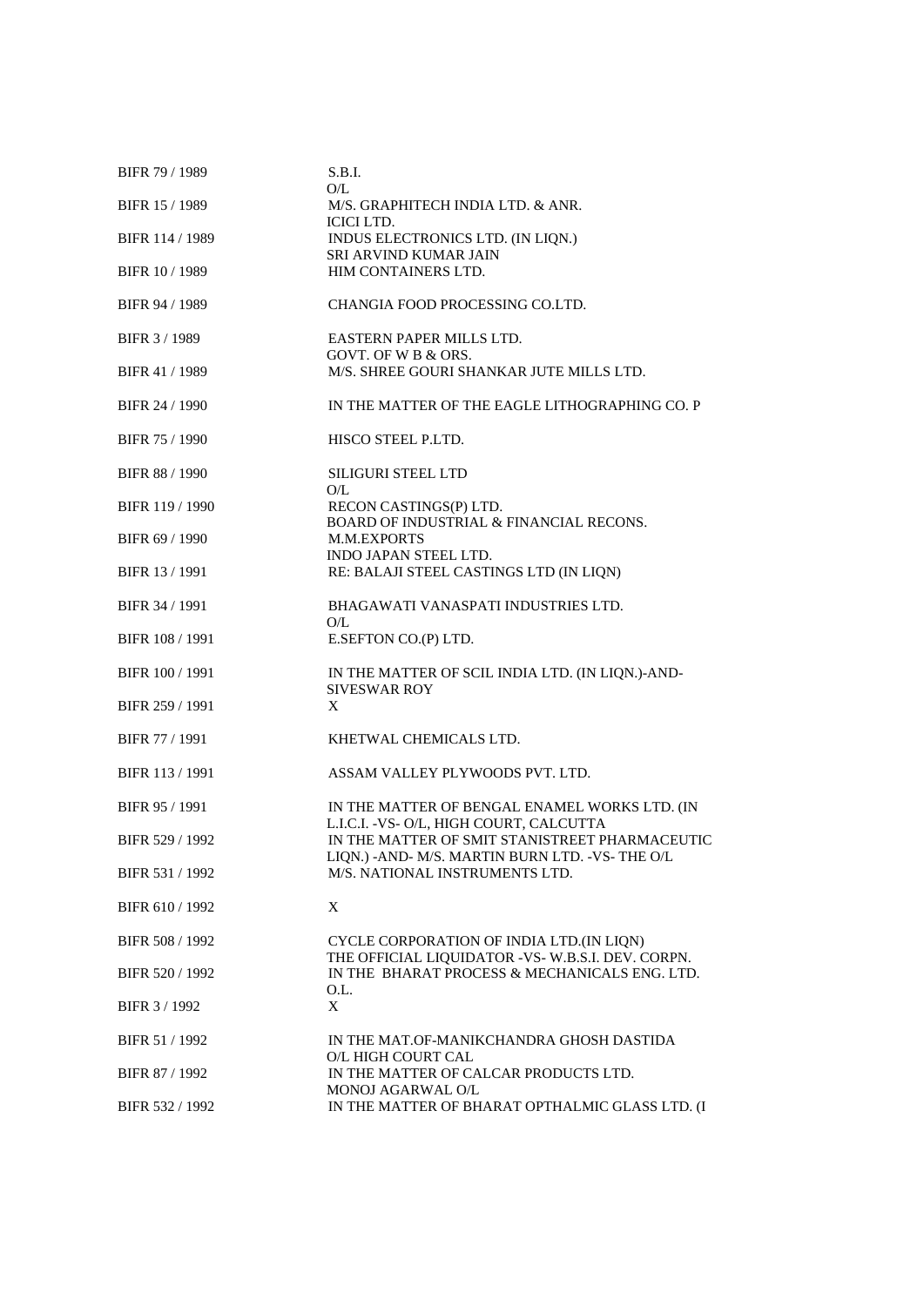| BIFR 79 / 1989        | S.B.I.                                                                                            |
|-----------------------|---------------------------------------------------------------------------------------------------|
| BIFR 15 / 1989        | O/L<br>M/S. GRAPHITECH INDIA LTD. & ANR.                                                          |
| BIFR 114 / 1989       | <b>ICICI LTD.</b><br>INDUS ELECTRONICS LTD. (IN LIQN.)<br>SRI ARVIND KUMAR JAIN                   |
| <b>BIFR 10/1989</b>   | HIM CONTAINERS LTD.                                                                               |
| BIFR 94 / 1989        | CHANGIA FOOD PROCESSING CO.LTD.                                                                   |
| BIFR 3/1989           | EASTERN PAPER MILLS LTD.<br>GOVT. OF W B & ORS.                                                   |
| BIFR 41 / 1989        | M/S. SHREE GOURI SHANKAR JUTE MILLS LTD.                                                          |
| BIFR 24 / 1990        | IN THE MATTER OF THE EAGLE LITHOGRAPHING CO. P                                                    |
| BIFR 75 / 1990        | HISCO STEEL P.LTD.                                                                                |
| <b>BIFR 88 / 1990</b> | <b>SILIGURI STEEL LTD</b><br>O/L                                                                  |
| BIFR 119 / 1990       | RECON CASTINGS(P) LTD.<br>BOARD OF INDUSTRIAL & FINANCIAL RECONS.                                 |
| BIFR 69 / 1990        | <b>M.M.EXPORTS</b><br><b>INDO JAPAN STEEL LTD.</b>                                                |
| BIFR 13 / 1991        | RE: BALAJI STEEL CASTINGS LTD (IN LIQN)                                                           |
| BIFR 34 / 1991        | BHAGAWATI VANASPATI INDUSTRIES LTD.<br>O/L                                                        |
| BIFR 108 / 1991       | E.SEFTON CO.(P) LTD.                                                                              |
| BIFR 100 / 1991       | IN THE MATTER OF SCIL INDIA LTD. (IN LIQN.)-AND-<br><b>SIVESWAR ROY</b>                           |
| BIFR 259 / 1991       | X                                                                                                 |
| BIFR 77 / 1991        | KHETWAL CHEMICALS LTD.                                                                            |
| BIFR 113 / 1991       | ASSAM VALLEY PLYWOODS PVT. LTD.                                                                   |
| BIFR 95 / 1991        | IN THE MATTER OF BENGAL ENAMEL WORKS LTD. (IN<br>L.I.C.I. - VS- O/L, HIGH COURT, CALCUTTA         |
| BIFR 529 / 1992       | IN THE MATTER OF SMIT STANISTREET PHARMACEUTIC<br>LIQN.) -AND- M/S. MARTIN BURN LTD. -VS- THE O/L |
| BIFR 531 / 1992       | M/S. NATIONAL INSTRUMENTS LTD.                                                                    |
| BIFR 610 / 1992       | X                                                                                                 |
| BIFR 508 / 1992       | CYCLE CORPORATION OF INDIA LTD.(IN LIQN)<br>THE OFFICIAL LIQUIDATOR -VS-W.B.S.I. DEV. CORPN.      |
| BIFR 520 / 1992       | IN THE BHARAT PROCESS & MECHANICALS ENG. LTD.<br>O.L.                                             |
| BIFR 3 / 1992         | $\boldsymbol{\mathrm{X}}$                                                                         |
| BIFR 51 / 1992        | IN THE MAT.OF-MANIKCHANDRA GHOSH DASTIDA<br>O/L HIGH COURT CAL                                    |
| BIFR 87 / 1992        | IN THE MATTER OF CALCAR PRODUCTS LTD.<br>MONOJ AGARWAL O/L                                        |
| BIFR 532 / 1992       | IN THE MATTER OF BHARAT OPTHALMIC GLASS LTD. (I                                                   |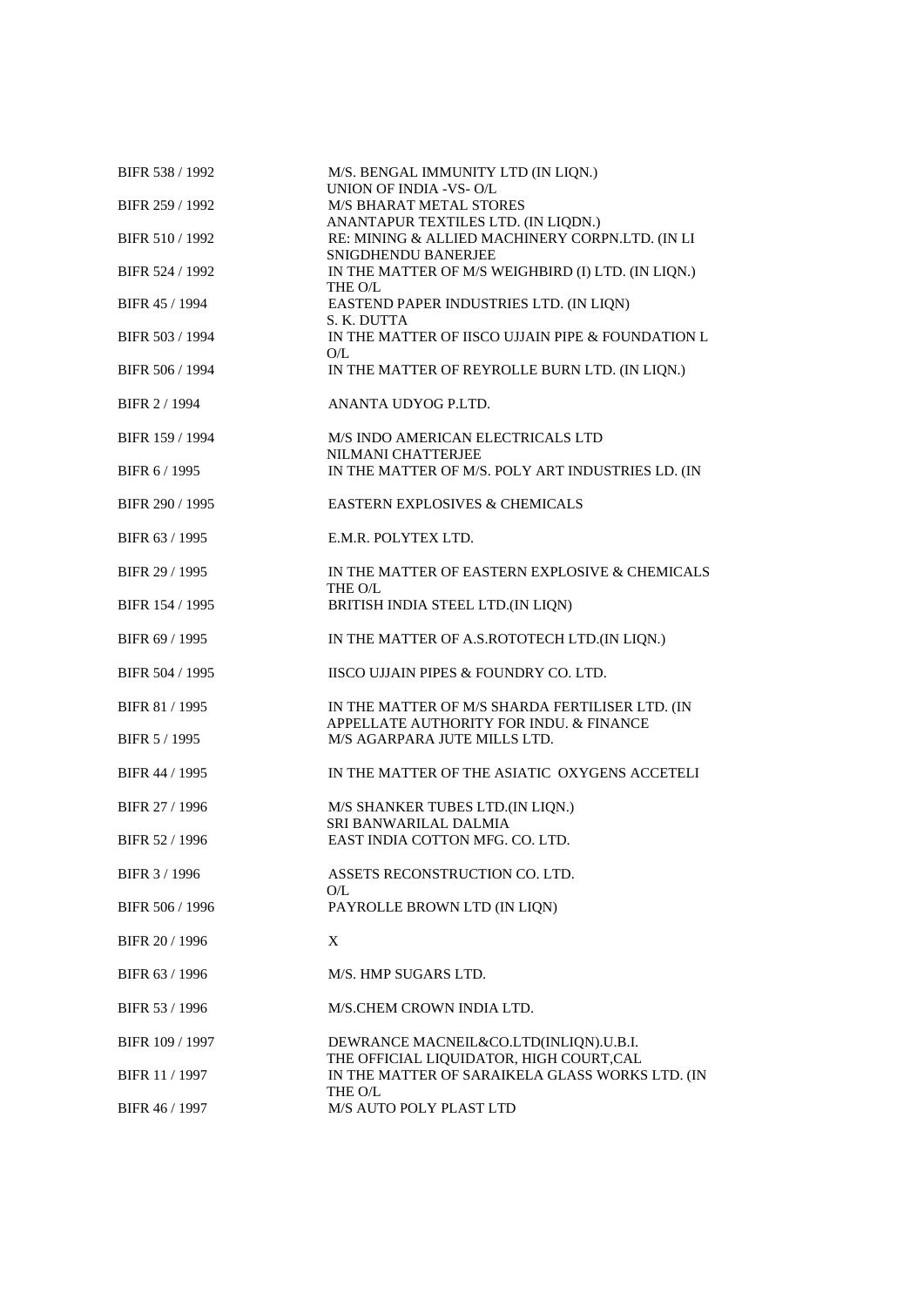| BIFR 538 / 1992 | M/S. BENGAL IMMUNITY LTD (IN LIQN.)<br>UNION OF INDIA -VS-O/L                                                 |
|-----------------|---------------------------------------------------------------------------------------------------------------|
| BIFR 259 / 1992 | <b>M/S BHARAT METAL STORES</b>                                                                                |
| BIFR 510 / 1992 | ANANTAPUR TEXTILES LTD. (IN LIQDN.)<br>RE: MINING & ALLIED MACHINERY CORPN.LTD. (IN LI<br>SNIGDHENDU BANERJEE |
| BIFR 524 / 1992 | IN THE MATTER OF M/S WEIGHBIRD (I) LTD. (IN LIQN.)<br>THE O/L                                                 |
| BIFR 45 / 1994  | EASTEND PAPER INDUSTRIES LTD. (IN LIQN)<br>S. K. DUTTA                                                        |
| BIFR 503 / 1994 | IN THE MATTER OF IISCO UJJAIN PIPE & FOUNDATION L<br>O/L                                                      |
| BIFR 506 / 1994 | IN THE MATTER OF REYROLLE BURN LTD. (IN LIQN.)                                                                |
| BIFR 2 / 1994   | ANANTA UDYOG P.LTD.                                                                                           |
| BIFR 159 / 1994 | M/S INDO AMERICAN ELECTRICALS LTD<br>NILMANI CHATTERJEE                                                       |
| BIFR 6/1995     | IN THE MATTER OF M/S. POLY ART INDUSTRIES LD. (IN                                                             |
| BIFR 290 / 1995 | <b>EASTERN EXPLOSIVES &amp; CHEMICALS</b>                                                                     |
| BIFR 63 / 1995  | E.M.R. POLYTEX LTD.                                                                                           |
| BIFR 29 / 1995  | IN THE MATTER OF EASTERN EXPLOSIVE & CHEMICALS<br>THE O/L                                                     |
| BIFR 154 / 1995 | BRITISH INDIA STEEL LTD.(IN LIQN)                                                                             |
| BIFR 69 / 1995  | IN THE MATTER OF A.S.ROTOTECH LTD.(IN LIQN.)                                                                  |
| BIFR 504 / 1995 | IISCO UJJAIN PIPES & FOUNDRY CO. LTD.                                                                         |
| BIFR 81 / 1995  | IN THE MATTER OF M/S SHARDA FERTILISER LTD. (IN                                                               |
| BIFR 5 / 1995   | APPELLATE AUTHORITY FOR INDU. & FINANCE<br>M/S AGARPARA JUTE MILLS LTD.                                       |
| BIFR 44 / 1995  | IN THE MATTER OF THE ASIATIC OXYGENS ACCETELI                                                                 |
| BIFR 27 / 1996  | M/S SHANKER TUBES LTD.(IN LIQN.)                                                                              |
| BIFR 52 / 1996  | SRI BANWARILAL DALMIA<br>EAST INDIA COTTON MFG. CO. LTD.                                                      |
| BIFR 3 / 1996   | ASSETS RECONSTRUCTION CO. LTD.<br>O/L                                                                         |
| BIFR 506 / 1996 | PAYROLLE BROWN LTD (IN LIQN)                                                                                  |
| BIFR 20 / 1996  | X                                                                                                             |
| BIFR 63 / 1996  | M/S. HMP SUGARS LTD.                                                                                          |
| BIFR 53 / 1996  | M/S.CHEM CROWN INDIA LTD.                                                                                     |
| BIFR 109 / 1997 | DEWRANCE MACNEIL&CO.LTD(INLIQN).U.B.I.                                                                        |
| BIFR 11 / 1997  | THE OFFICIAL LIQUIDATOR, HIGH COURT, CAL<br>IN THE MATTER OF SARAIKELA GLASS WORKS LTD. (IN                   |
| BIFR 46 / 1997  | THE O/L<br>M/S AUTO POLY PLAST LTD                                                                            |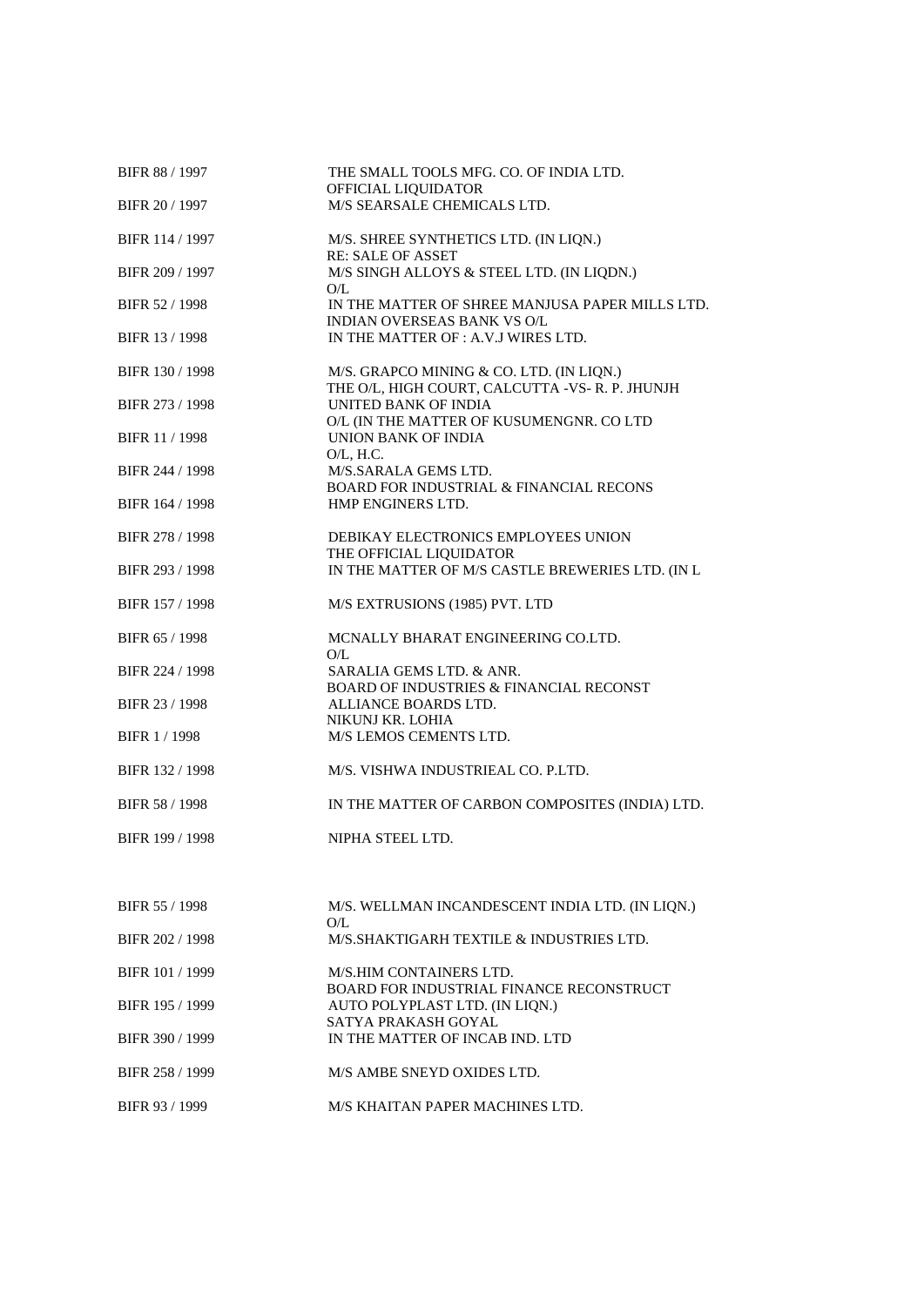| BIFR 88 / 1997        | THE SMALL TOOLS MFG. CO. OF INDIA LTD.<br>OFFICIAL LIQUIDATOR                             |
|-----------------------|-------------------------------------------------------------------------------------------|
| BIFR 20 / 1997        | M/S SEARSALE CHEMICALS LTD.                                                               |
| BIFR 114 / 1997       | M/S. SHREE SYNTHETICS LTD. (IN LIQN.)<br><b>RE: SALE OF ASSET</b>                         |
| BIFR 209 / 1997       | M/S SINGH ALLOYS & STEEL LTD. (IN LIQDN.)<br>O/L                                          |
| BIFR 52 / 1998        | IN THE MATTER OF SHREE MANJUSA PAPER MILLS LTD.<br>INDIAN OVERSEAS BANK VS O/L            |
| BIFR 13 / 1998        | IN THE MATTER OF : A.V.J WIRES LTD.                                                       |
| BIFR 130 / 1998       | M/S. GRAPCO MINING & CO. LTD. (IN LIQN.)<br>THE O/L, HIGH COURT, CALCUTTA -VS-R.P. JHUNJH |
| BIFR 273 / 1998       | UNITED BANK OF INDIA                                                                      |
| <b>BIFR 11 / 1998</b> | O/L (IN THE MATTER OF KUSUMENGNR. CO LTD<br>UNION BANK OF INDIA                           |
| BIFR 244 / 1998       | $O/L$ , H.C.<br>M/S.SARALA GEMS LTD.                                                      |
| BIFR 164 / 1998       | BOARD FOR INDUSTRIAL & FINANCIAL RECONS<br>HMP ENGINERS LTD.                              |
| BIFR 278 / 1998       | DEBIKAY ELECTRONICS EMPLOYEES UNION                                                       |
|                       | THE OFFICIAL LIQUIDATOR                                                                   |
| BIFR 293 / 1998       | IN THE MATTER OF M/S CASTLE BREWERIES LTD. (IN L                                          |
| BIFR 157 / 1998       | M/S EXTRUSIONS (1985) PVT. LTD                                                            |
| BIFR 65 / 1998        | MCNALLY BHARAT ENGINEERING CO.LTD.<br>O/L                                                 |
| BIFR 224 / 1998       | SARALIA GEMS LTD. & ANR.<br><b>BOARD OF INDUSTRIES &amp; FINANCIAL RECONST</b>            |
| BIFR 23 / 1998        | ALLIANCE BOARDS LTD.                                                                      |
| BIFR 1/1998           | NIKUNJ KR. LOHIA<br>M/S LEMOS CEMENTS LTD.                                                |
| BIFR 132 / 1998       | M/S. VISHWA INDUSTRIEAL CO. P.LTD.                                                        |
| BIFR 58 / 1998        | IN THE MATTER OF CARBON COMPOSITES (INDIA) LTD.                                           |
|                       |                                                                                           |
| BIFR 199 / 1998       | NIPHA STEEL LTD.                                                                          |
|                       |                                                                                           |
| BIFR 55 / 1998        | M/S. WELLMAN INCANDESCENT INDIA LTD. (IN LIQN.)<br>O/L                                    |
| BIFR 202 / 1998       | M/S.SHAKTIGARH TEXTILE & INDUSTRIES LTD.                                                  |
| BIFR 101 / 1999       | M/S.HIM CONTAINERS LTD.<br>BOARD FOR INDUSTRIAL FINANCE RECONSTRUCT                       |
| BIFR 195 / 1999       | AUTO POLYPLAST LTD. (IN LIQN.)                                                            |
| BIFR 390 / 1999       | SATYA PRAKASH GOYAL<br>IN THE MATTER OF INCAB IND. LTD                                    |
| BIFR 258 / 1999       | M/S AMBE SNEYD OXIDES LTD.                                                                |
| BIFR 93 / 1999        | M/S KHAITAN PAPER MACHINES LTD.                                                           |